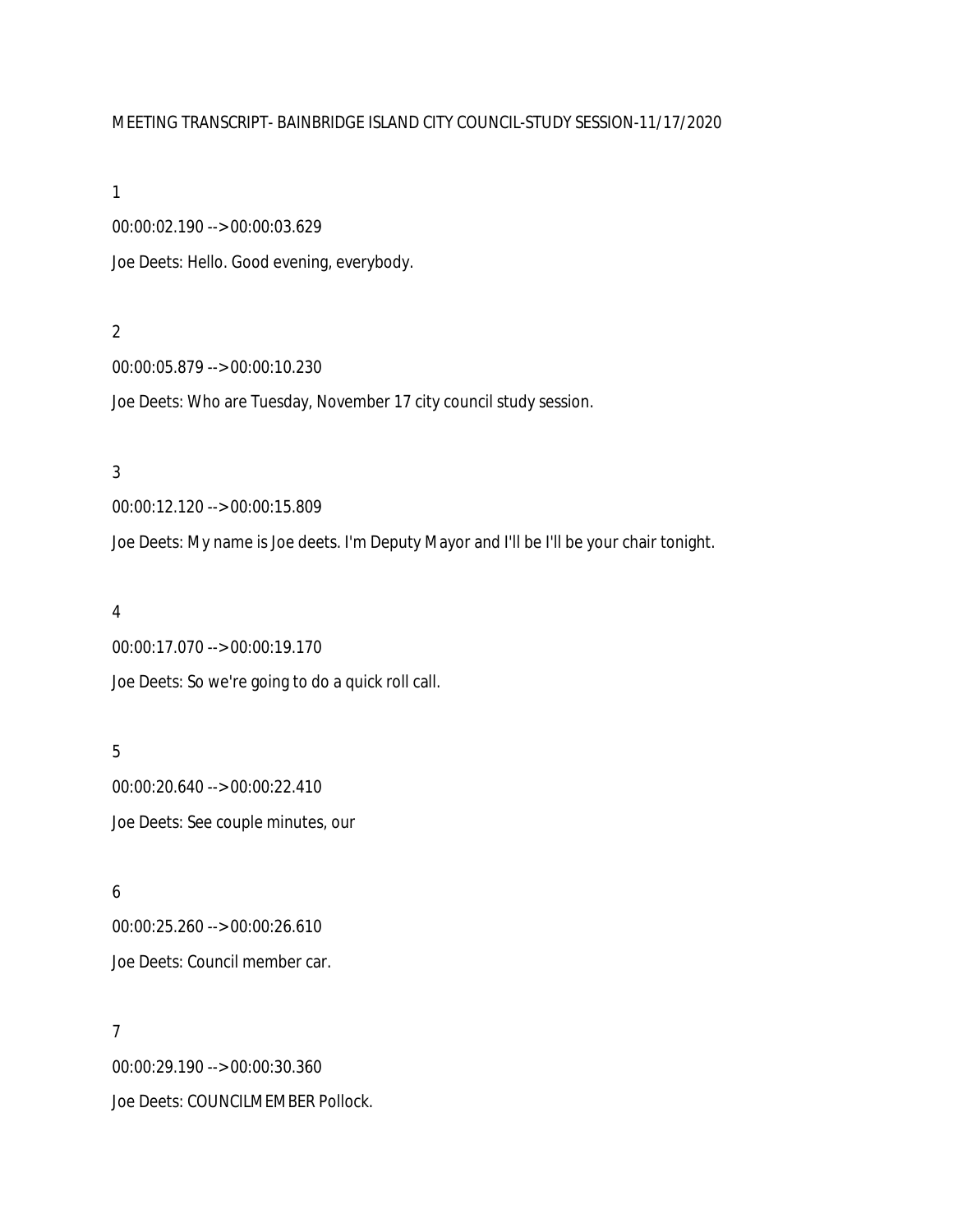### MEETING TRANSCRIPT- BAINBRIDGE ISLAND CITY COUNCIL-STUDY SESSION-11/17/2020

#### 1

00:00:02.190 --> 00:00:03.629 Joe Deets: Hello. Good evening, everybody.

### 2

00:00:05.879 --> 00:00:10.230

Joe Deets: Who are Tuesday, November 17 city council study session.

# 3

00:00:12.120 --> 00:00:15.809 Joe Deets: My name is Joe deets. I'm Deputy Mayor and I'll be I'll be your chair tonight.

### 4

00:00:17.070 --> 00:00:19.170 Joe Deets: So we're going to do a quick roll call.

### 5

00:00:20.640 --> 00:00:22.410 Joe Deets: See couple minutes, our

# 6

00:00:25.260 --> 00:00:26.610 Joe Deets: Council member car.

### 7

00:00:29.190 --> 00:00:30.360 Joe Deets: COUNCILMEMBER Pollock.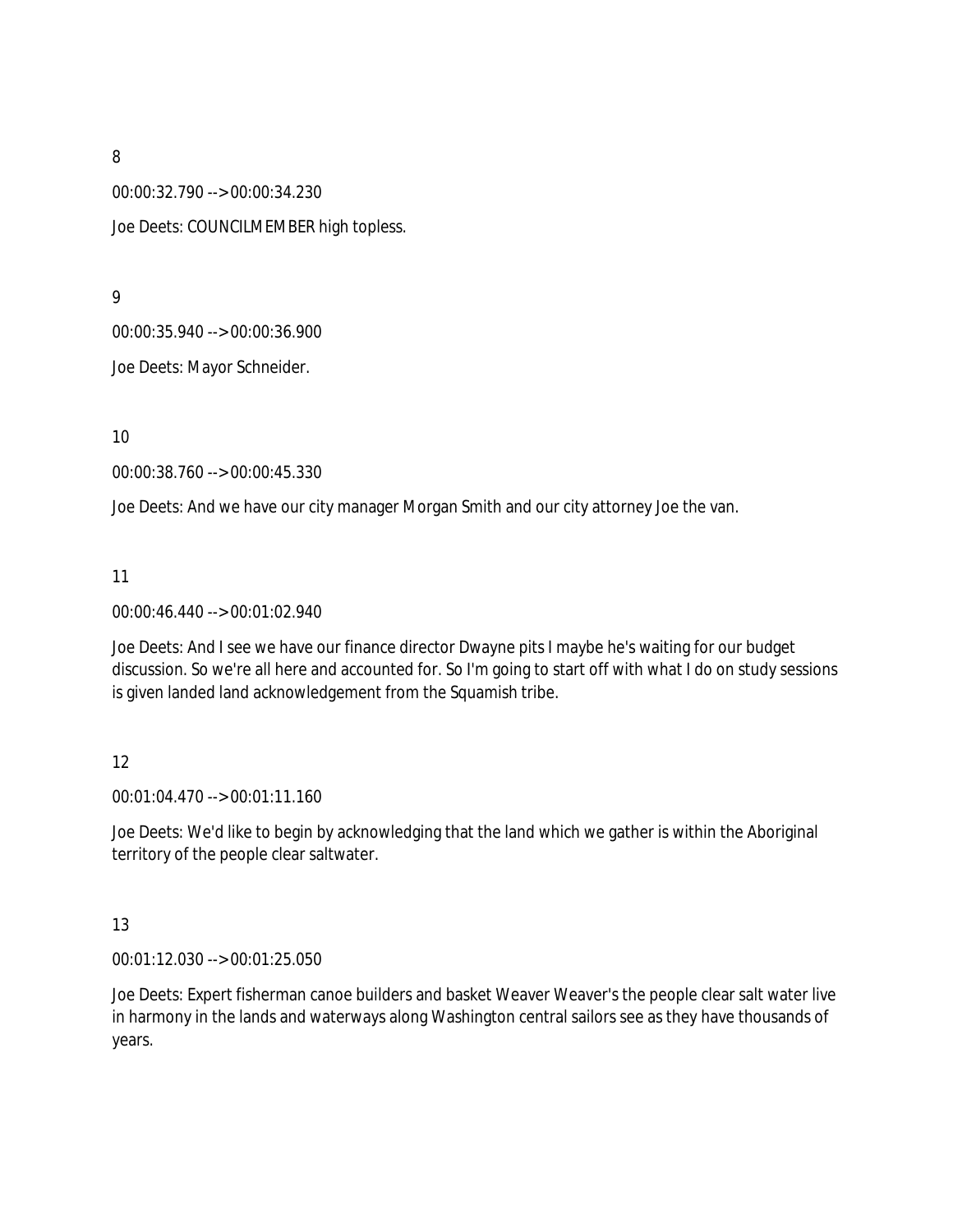00:00:32.790 --> 00:00:34.230

Joe Deets: COUNCILMEMBER high topless.

9

00:00:35.940 --> 00:00:36.900

Joe Deets: Mayor Schneider.

10

00:00:38.760 --> 00:00:45.330

Joe Deets: And we have our city manager Morgan Smith and our city attorney Joe the van.

11

#### 00:00:46.440 --> 00:01:02.940

Joe Deets: And I see we have our finance director Dwayne pits I maybe he's waiting for our budget discussion. So we're all here and accounted for. So I'm going to start off with what I do on study sessions is given landed land acknowledgement from the Squamish tribe.

### 12

00:01:04.470 --> 00:01:11.160

Joe Deets: We'd like to begin by acknowledging that the land which we gather is within the Aboriginal territory of the people clear saltwater.

### 13

00:01:12.030 --> 00:01:25.050

Joe Deets: Expert fisherman canoe builders and basket Weaver Weaver's the people clear salt water live in harmony in the lands and waterways along Washington central sailors see as they have thousands of years.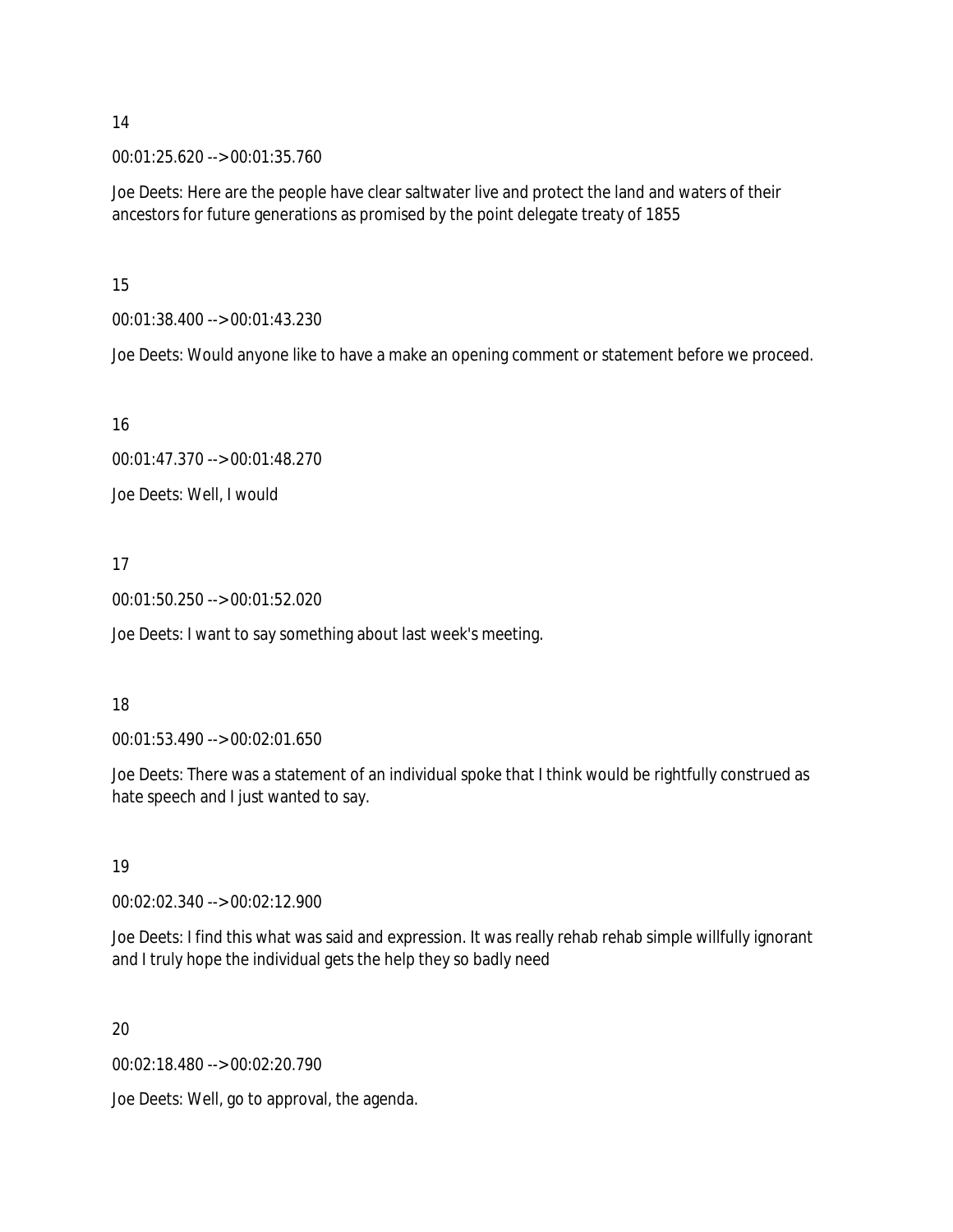00:01:25.620 --> 00:01:35.760

Joe Deets: Here are the people have clear saltwater live and protect the land and waters of their ancestors for future generations as promised by the point delegate treaty of 1855

15

00:01:38.400 --> 00:01:43.230

Joe Deets: Would anyone like to have a make an opening comment or statement before we proceed.

### 16

00:01:47.370 --> 00:01:48.270

Joe Deets: Well, I would

# 17

00:01:50.250 --> 00:01:52.020

Joe Deets: I want to say something about last week's meeting.

### 18

00:01:53.490 --> 00:02:01.650

Joe Deets: There was a statement of an individual spoke that I think would be rightfully construed as hate speech and I just wanted to say.

### 19

00:02:02.340 --> 00:02:12.900

Joe Deets: I find this what was said and expression. It was really rehab rehab simple willfully ignorant and I truly hope the individual gets the help they so badly need

# 20

00:02:18.480 --> 00:02:20.790

Joe Deets: Well, go to approval, the agenda.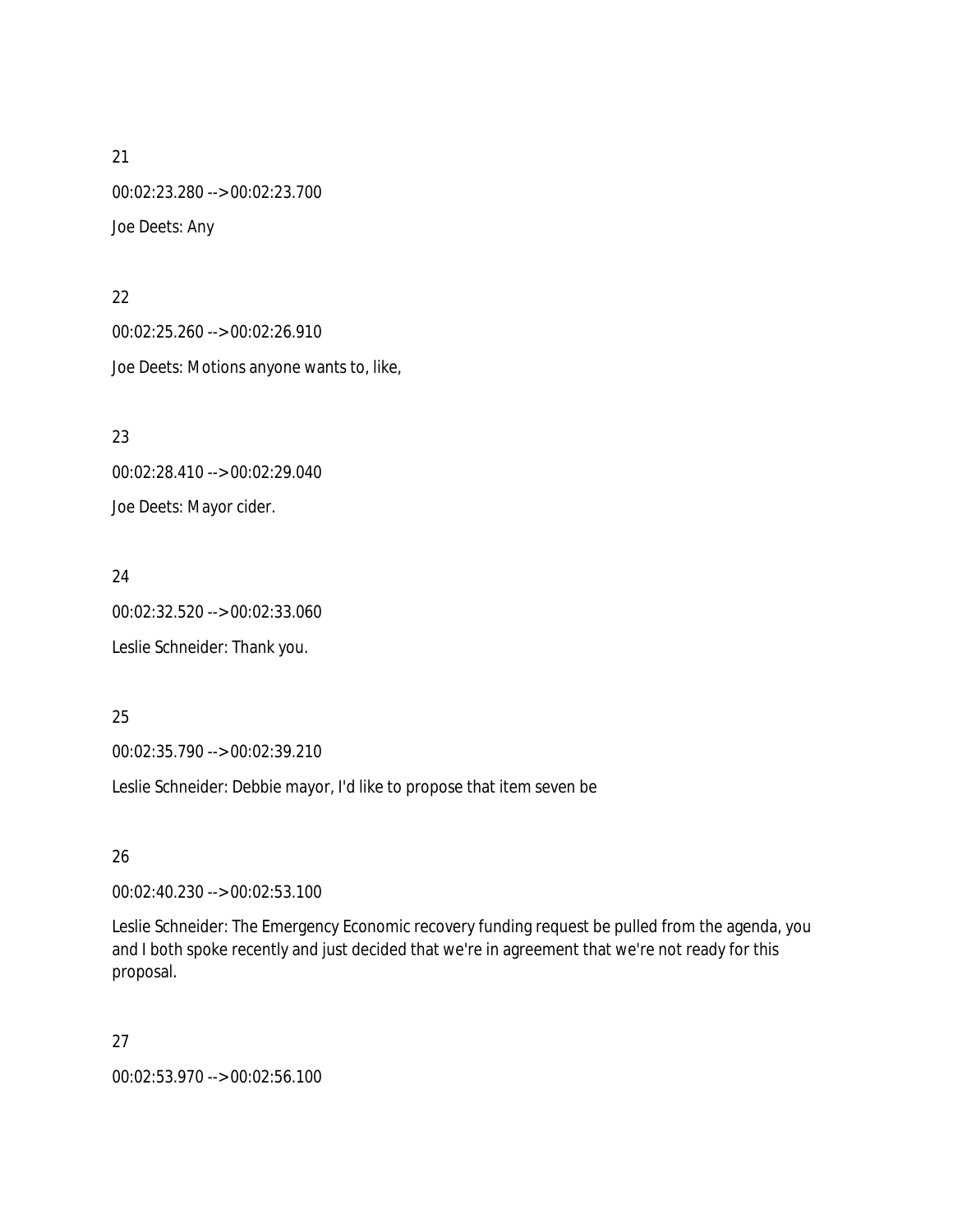21 00:02:23.280 --> 00:02:23.700 Joe Deets: Any

22 00:02:25.260 --> 00:02:26.910 Joe Deets: Motions anyone wants to, like,

23 00:02:28.410 --> 00:02:29.040 Joe Deets: Mayor cider.

24 00:02:32.520 --> 00:02:33.060 Leslie Schneider: Thank you.

25

00:02:35.790 --> 00:02:39.210

Leslie Schneider: Debbie mayor, I'd like to propose that item seven be

26

00:02:40.230 --> 00:02:53.100

Leslie Schneider: The Emergency Economic recovery funding request be pulled from the agenda, you and I both spoke recently and just decided that we're in agreement that we're not ready for this proposal.

27

00:02:53.970 --> 00:02:56.100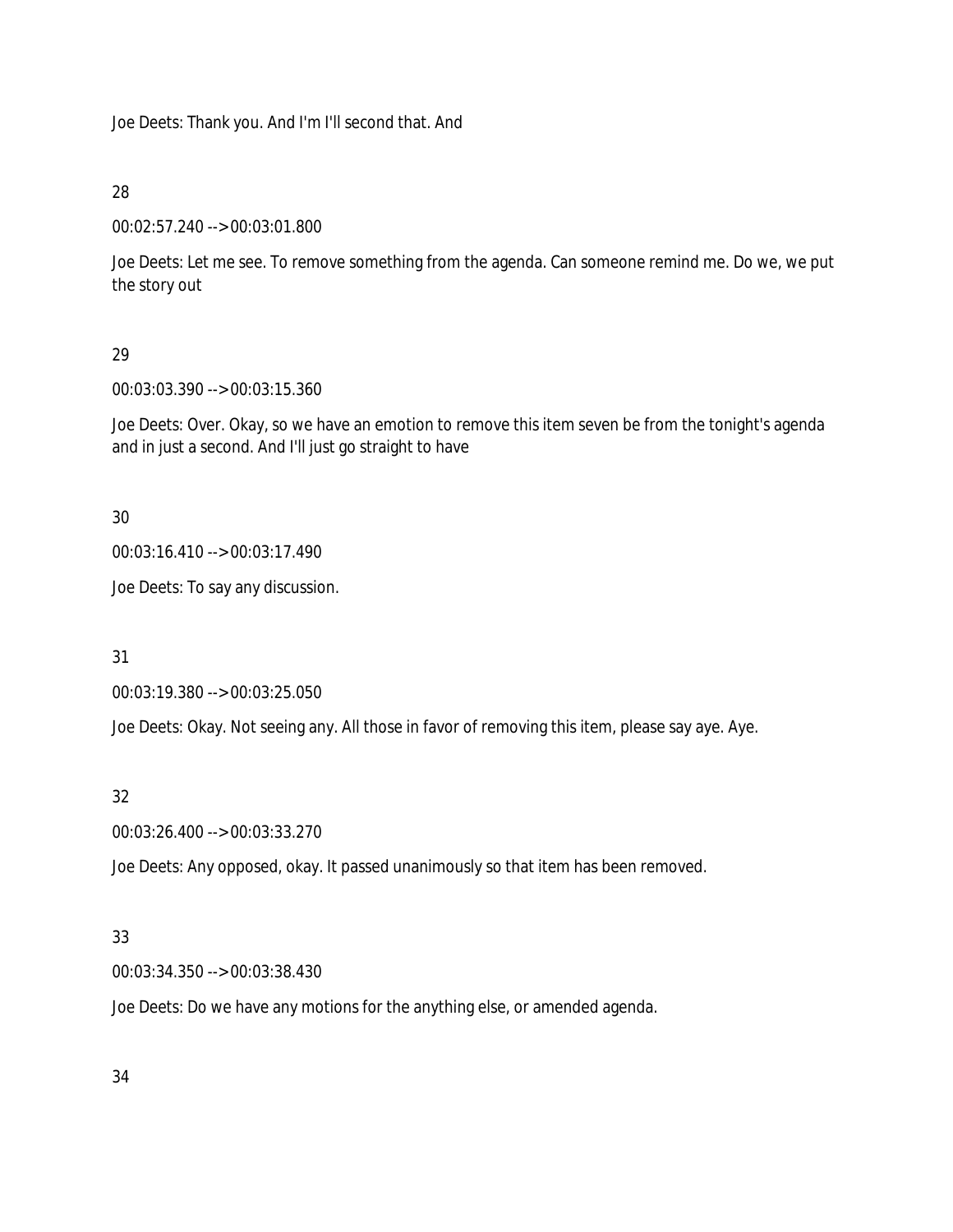Joe Deets: Thank you. And I'm I'll second that. And

28

00:02:57.240 --> 00:03:01.800

Joe Deets: Let me see. To remove something from the agenda. Can someone remind me. Do we, we put the story out

# 29

00:03:03.390 --> 00:03:15.360

Joe Deets: Over. Okay, so we have an emotion to remove this item seven be from the tonight's agenda and in just a second. And I'll just go straight to have

### 30

```
00:03:16.410 --> 00:03:17.490
```
Joe Deets: To say any discussion.

31

00:03:19.380 --> 00:03:25.050

Joe Deets: Okay. Not seeing any. All those in favor of removing this item, please say aye. Aye.

### 32

00:03:26.400 --> 00:03:33.270

Joe Deets: Any opposed, okay. It passed unanimously so that item has been removed.

# 33

00:03:34.350 --> 00:03:38.430

Joe Deets: Do we have any motions for the anything else, or amended agenda.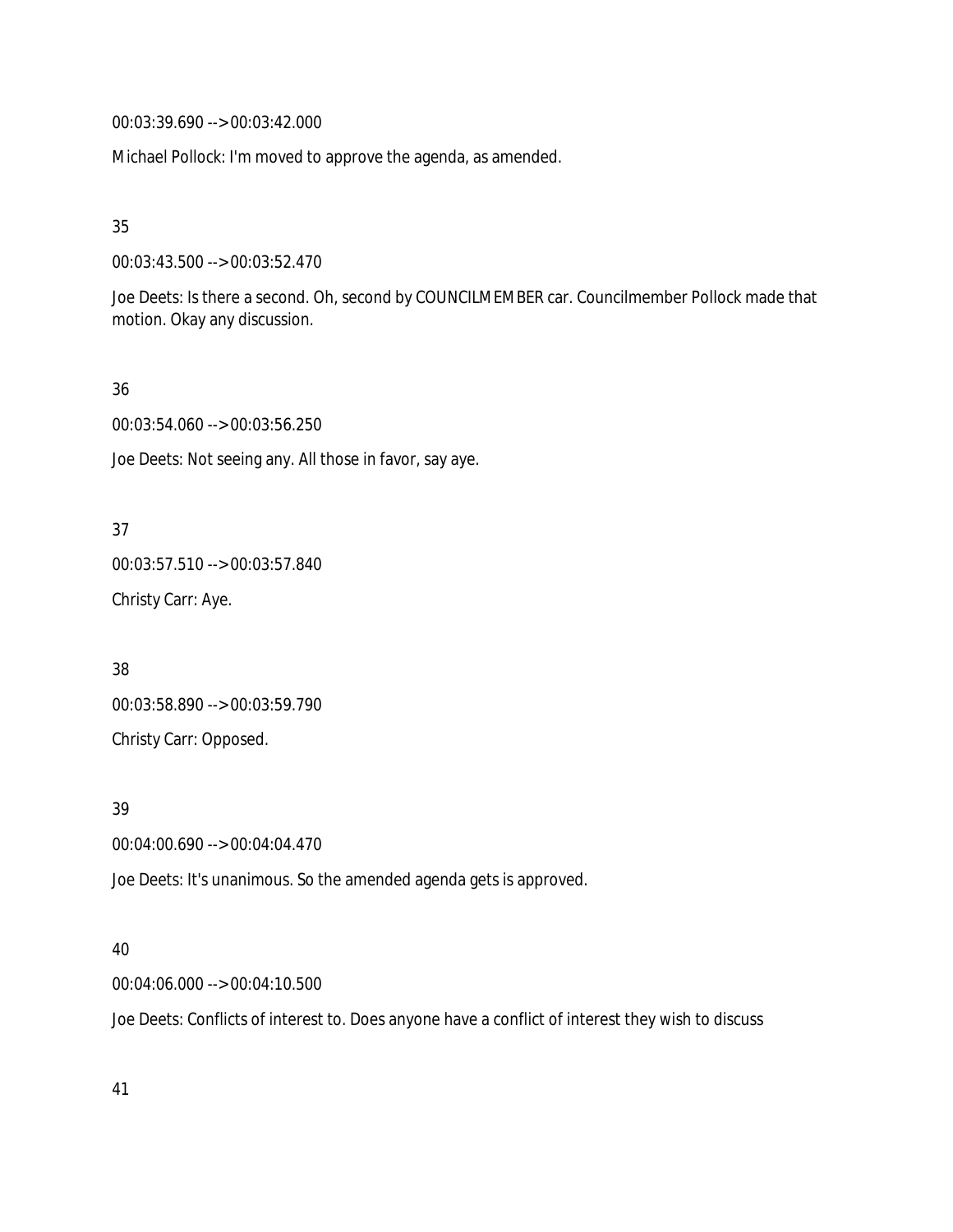00:03:39.690 --> 00:03:42.000

Michael Pollock: I'm moved to approve the agenda, as amended.

35

00:03:43.500 --> 00:03:52.470

Joe Deets: Is there a second. Oh, second by COUNCILMEMBER car. Councilmember Pollock made that motion. Okay any discussion.

36

00:03:54.060 --> 00:03:56.250

Joe Deets: Not seeing any. All those in favor, say aye.

37

00:03:57.510 --> 00:03:57.840 Christy Carr: Aye.

38 00:03:58.890 --> 00:03:59.790 Christy Carr: Opposed.

39

00:04:00.690 --> 00:04:04.470

Joe Deets: It's unanimous. So the amended agenda gets is approved.

### 40

00:04:06.000 --> 00:04:10.500

Joe Deets: Conflicts of interest to. Does anyone have a conflict of interest they wish to discuss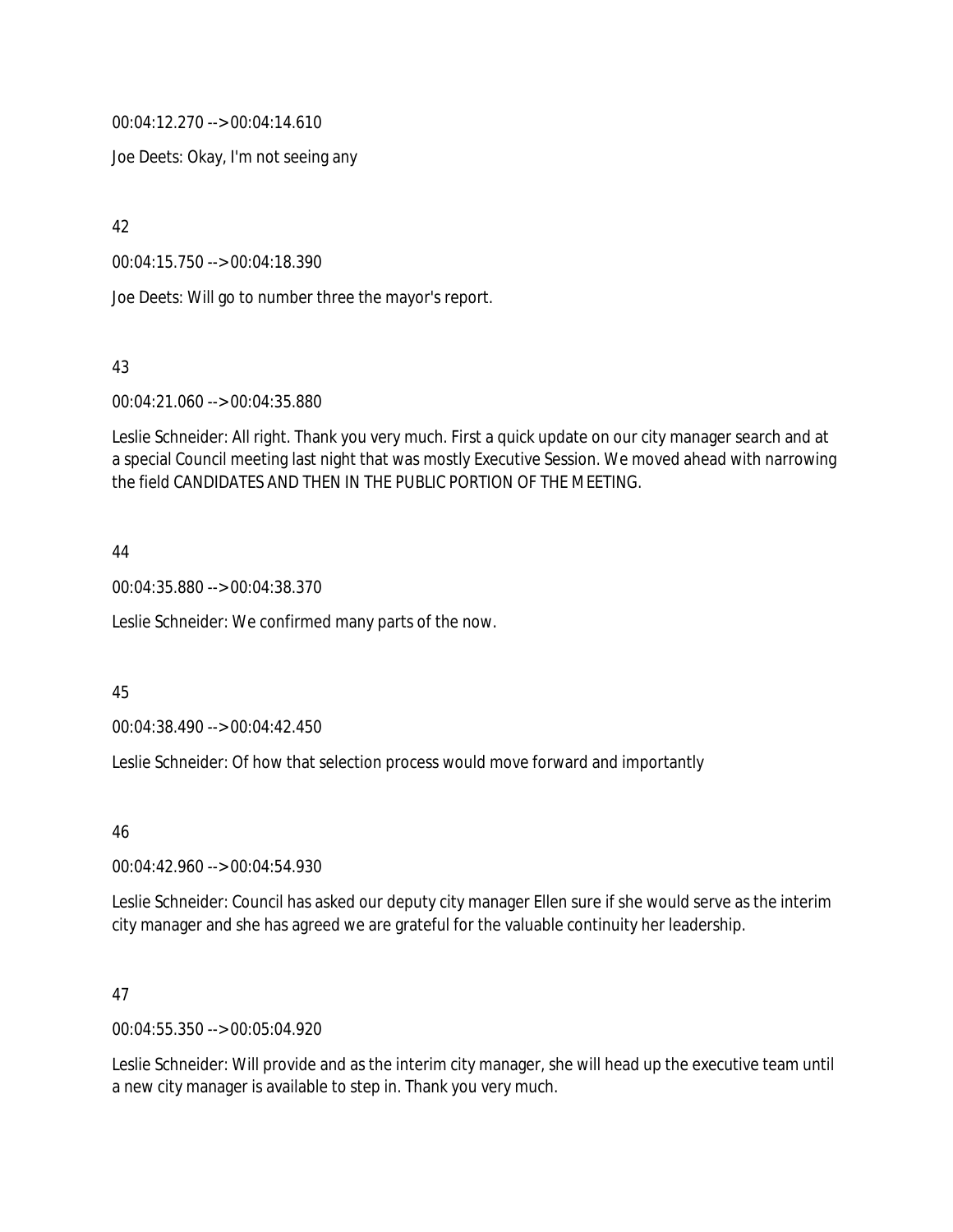00:04:12.270 --> 00:04:14.610

Joe Deets: Okay, I'm not seeing any

42

00:04:15.750 --> 00:04:18.390

Joe Deets: Will go to number three the mayor's report.

43

00:04:21.060 --> 00:04:35.880

Leslie Schneider: All right. Thank you very much. First a quick update on our city manager search and at a special Council meeting last night that was mostly Executive Session. We moved ahead with narrowing the field CANDIDATES AND THEN IN THE PUBLIC PORTION OF THE MEETING.

#### 44

00:04:35.880 --> 00:04:38.370

Leslie Schneider: We confirmed many parts of the now.

### 45

00:04:38.490 --> 00:04:42.450

Leslie Schneider: Of how that selection process would move forward and importantly

46

00:04:42.960 --> 00:04:54.930

Leslie Schneider: Council has asked our deputy city manager Ellen sure if she would serve as the interim city manager and she has agreed we are grateful for the valuable continuity her leadership.

### 47

00:04:55.350 --> 00:05:04.920

Leslie Schneider: Will provide and as the interim city manager, she will head up the executive team until a new city manager is available to step in. Thank you very much.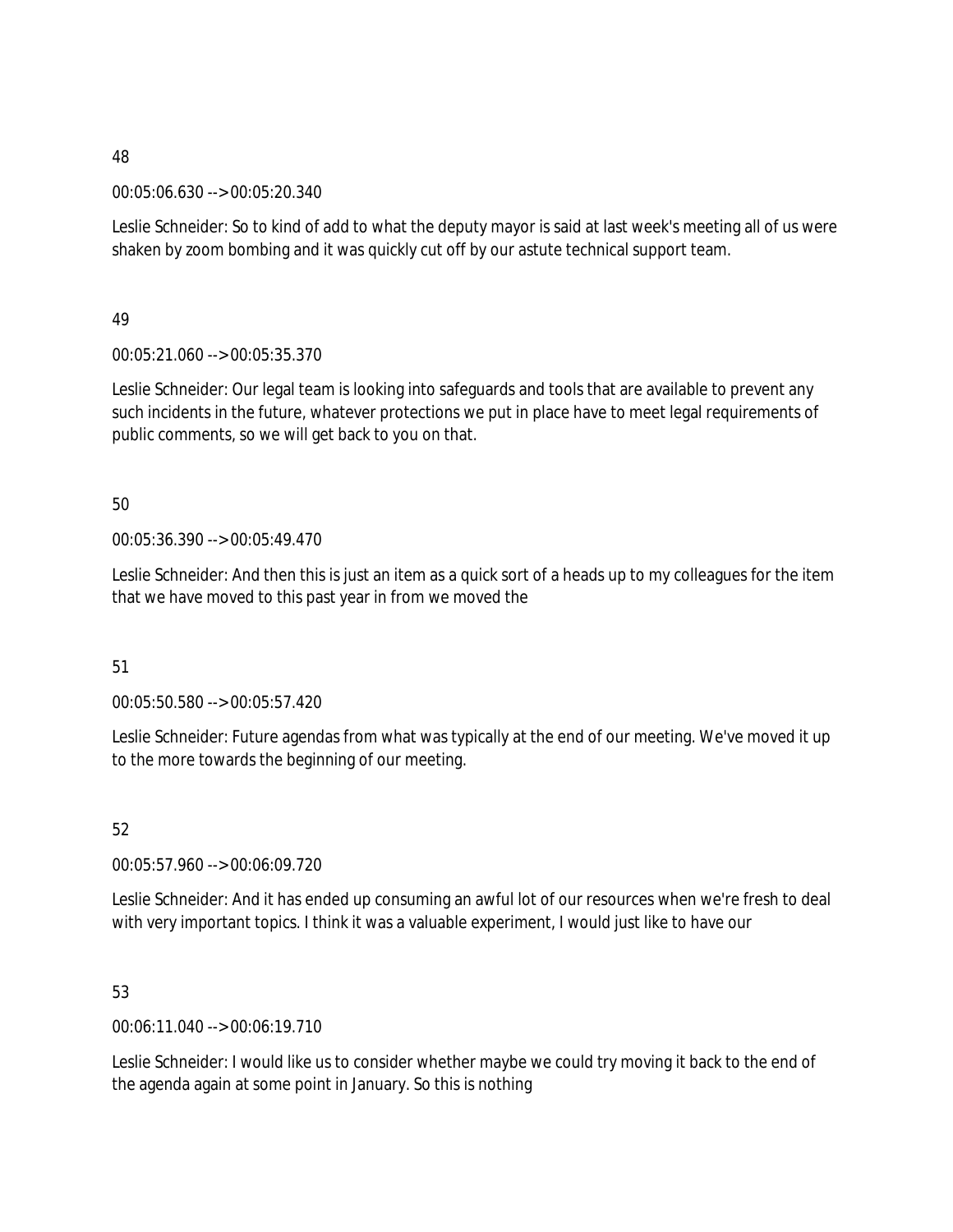00:05:06.630 --> 00:05:20.340

Leslie Schneider: So to kind of add to what the deputy mayor is said at last week's meeting all of us were shaken by zoom bombing and it was quickly cut off by our astute technical support team.

49

00:05:21.060 --> 00:05:35.370

Leslie Schneider: Our legal team is looking into safeguards and tools that are available to prevent any such incidents in the future, whatever protections we put in place have to meet legal requirements of public comments, so we will get back to you on that.

50

00:05:36.390 --> 00:05:49.470

Leslie Schneider: And then this is just an item as a quick sort of a heads up to my colleagues for the item that we have moved to this past year in from we moved the

51

00:05:50.580 --> 00:05:57.420

Leslie Schneider: Future agendas from what was typically at the end of our meeting. We've moved it up to the more towards the beginning of our meeting.

52

00:05:57.960 --> 00:06:09.720

Leslie Schneider: And it has ended up consuming an awful lot of our resources when we're fresh to deal with very important topics. I think it was a valuable experiment, I would just like to have our

53

00:06:11.040 --> 00:06:19.710

Leslie Schneider: I would like us to consider whether maybe we could try moving it back to the end of the agenda again at some point in January. So this is nothing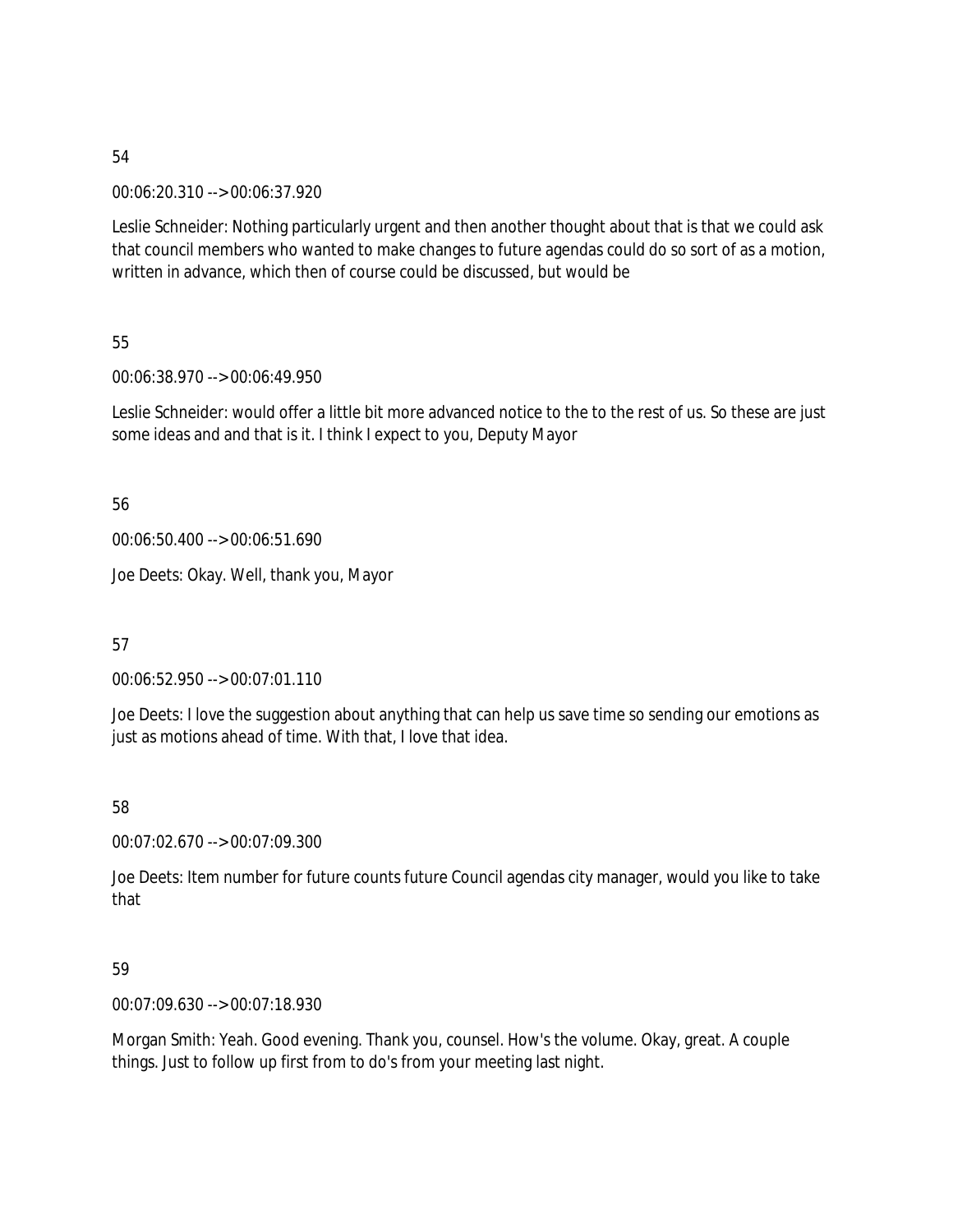00:06:20.310 --> 00:06:37.920

Leslie Schneider: Nothing particularly urgent and then another thought about that is that we could ask that council members who wanted to make changes to future agendas could do so sort of as a motion, written in advance, which then of course could be discussed, but would be

55

00:06:38.970 --> 00:06:49.950

Leslie Schneider: would offer a little bit more advanced notice to the to the rest of us. So these are just some ideas and and that is it. I think I expect to you, Deputy Mayor

56

00:06:50.400 --> 00:06:51.690

Joe Deets: Okay. Well, thank you, Mayor

57

00:06:52.950 --> 00:07:01.110

Joe Deets: I love the suggestion about anything that can help us save time so sending our emotions as just as motions ahead of time. With that, I love that idea.

58

00:07:02.670 --> 00:07:09.300

Joe Deets: Item number for future counts future Council agendas city manager, would you like to take that

59

00:07:09.630 --> 00:07:18.930

Morgan Smith: Yeah. Good evening. Thank you, counsel. How's the volume. Okay, great. A couple things. Just to follow up first from to do's from your meeting last night.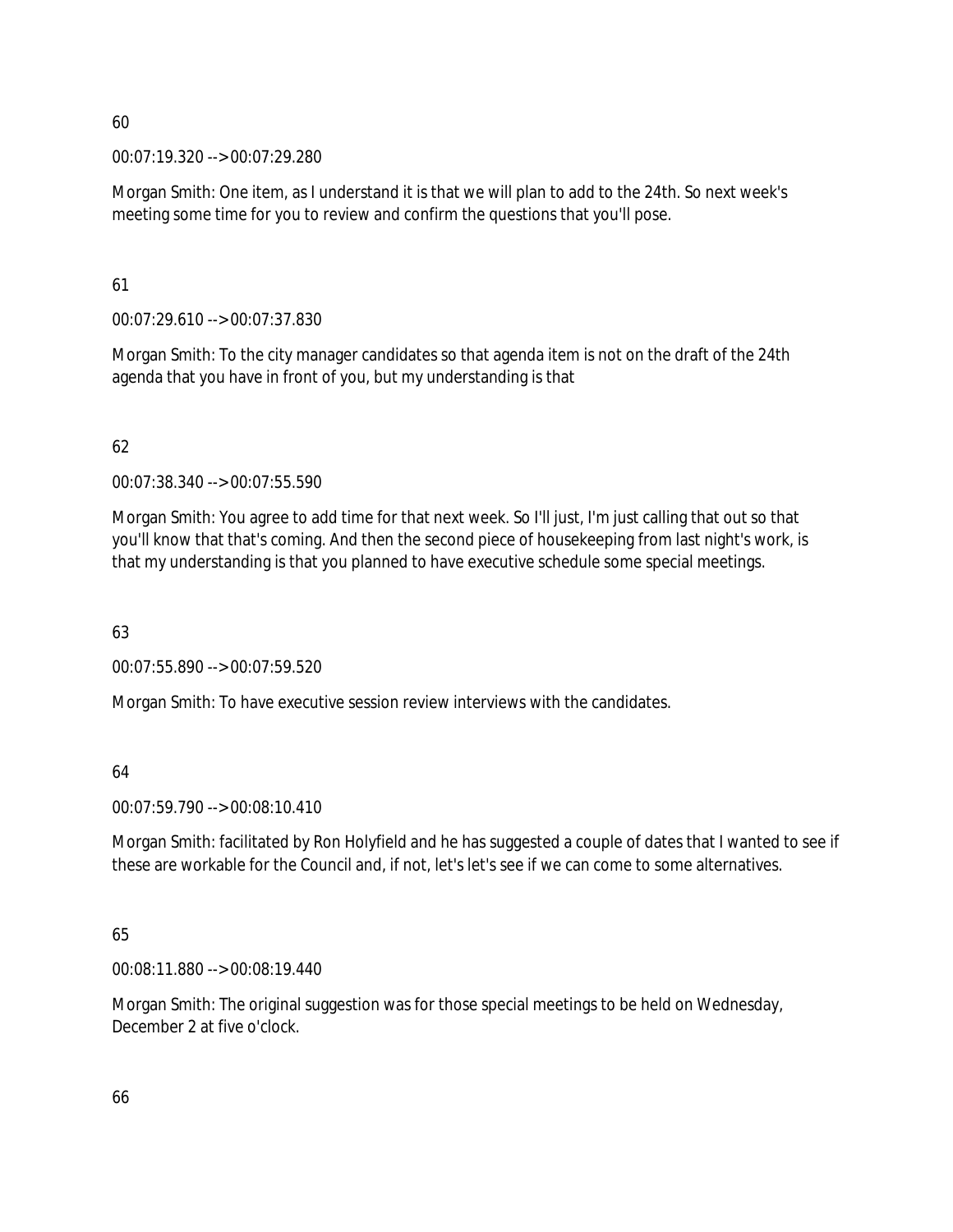00:07:19.320 --> 00:07:29.280

Morgan Smith: One item, as I understand it is that we will plan to add to the 24th. So next week's meeting some time for you to review and confirm the questions that you'll pose.

### 61

00:07:29.610 --> 00:07:37.830

Morgan Smith: To the city manager candidates so that agenda item is not on the draft of the 24th agenda that you have in front of you, but my understanding is that

# 62

00:07:38.340 --> 00:07:55.590

Morgan Smith: You agree to add time for that next week. So I'll just, I'm just calling that out so that you'll know that that's coming. And then the second piece of housekeeping from last night's work, is that my understanding is that you planned to have executive schedule some special meetings.

# 63

00:07:55.890 --> 00:07:59.520

Morgan Smith: To have executive session review interviews with the candidates.

# 64

00:07:59.790 --> 00:08:10.410

Morgan Smith: facilitated by Ron Holyfield and he has suggested a couple of dates that I wanted to see if these are workable for the Council and, if not, let's let's see if we can come to some alternatives.

# 65

00:08:11.880 --> 00:08:19.440

Morgan Smith: The original suggestion was for those special meetings to be held on Wednesday, December 2 at five o'clock.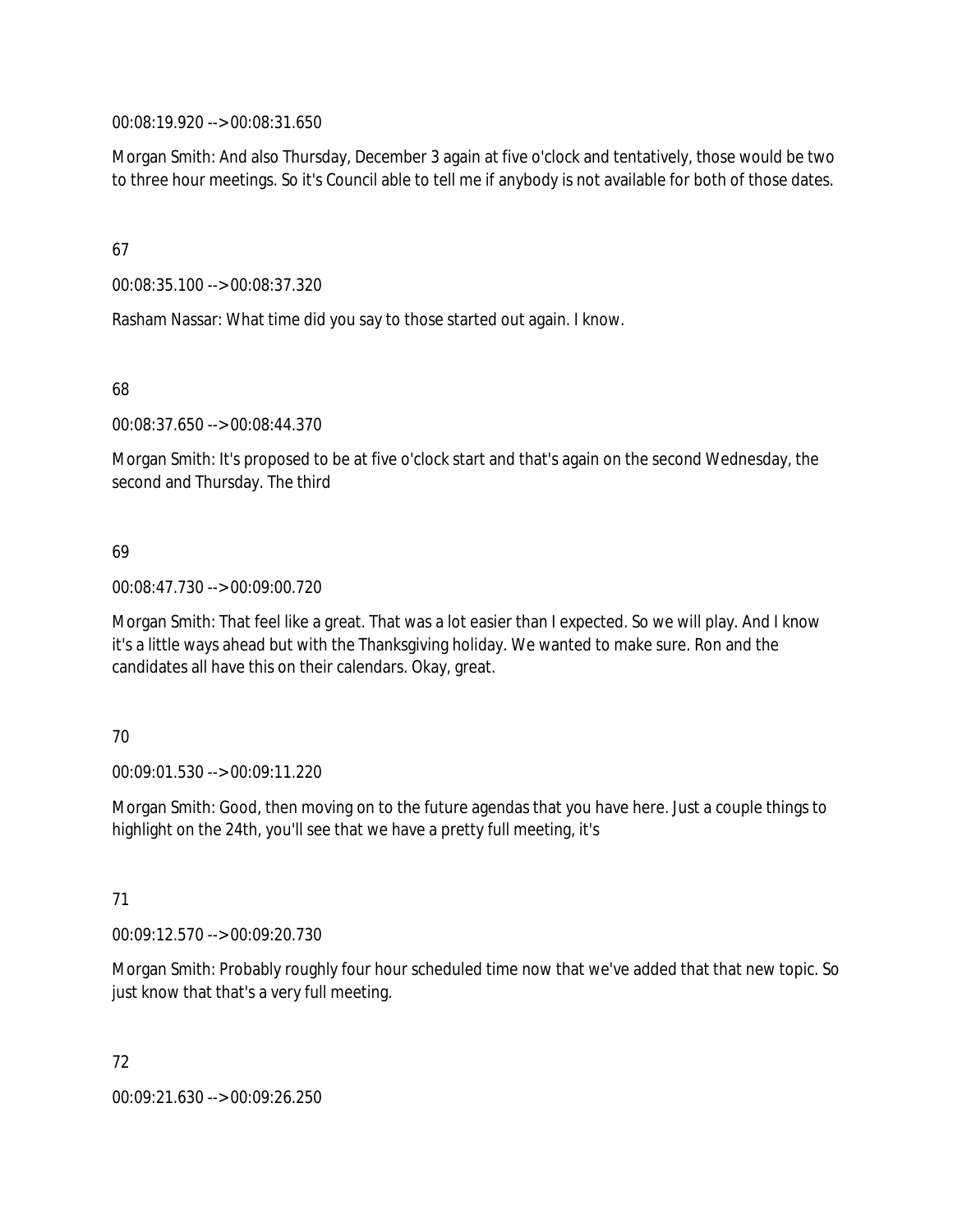00:08:19.920 --> 00:08:31.650

Morgan Smith: And also Thursday, December 3 again at five o'clock and tentatively, those would be two to three hour meetings. So it's Council able to tell me if anybody is not available for both of those dates.

67

00:08:35.100 --> 00:08:37.320

Rasham Nassar: What time did you say to those started out again. I know.

68

00:08:37.650 --> 00:08:44.370

Morgan Smith: It's proposed to be at five o'clock start and that's again on the second Wednesday, the second and Thursday. The third

### 69

00:08:47.730 --> 00:09:00.720

Morgan Smith: That feel like a great. That was a lot easier than I expected. So we will play. And I know it's a little ways ahead but with the Thanksgiving holiday. We wanted to make sure. Ron and the candidates all have this on their calendars. Okay, great.

70

00:09:01.530 --> 00:09:11.220

Morgan Smith: Good, then moving on to the future agendas that you have here. Just a couple things to highlight on the 24th, you'll see that we have a pretty full meeting, it's

71

00:09:12.570 --> 00:09:20.730

Morgan Smith: Probably roughly four hour scheduled time now that we've added that that new topic. So just know that that's a very full meeting.

72 00:09:21.630 --> 00:09:26.250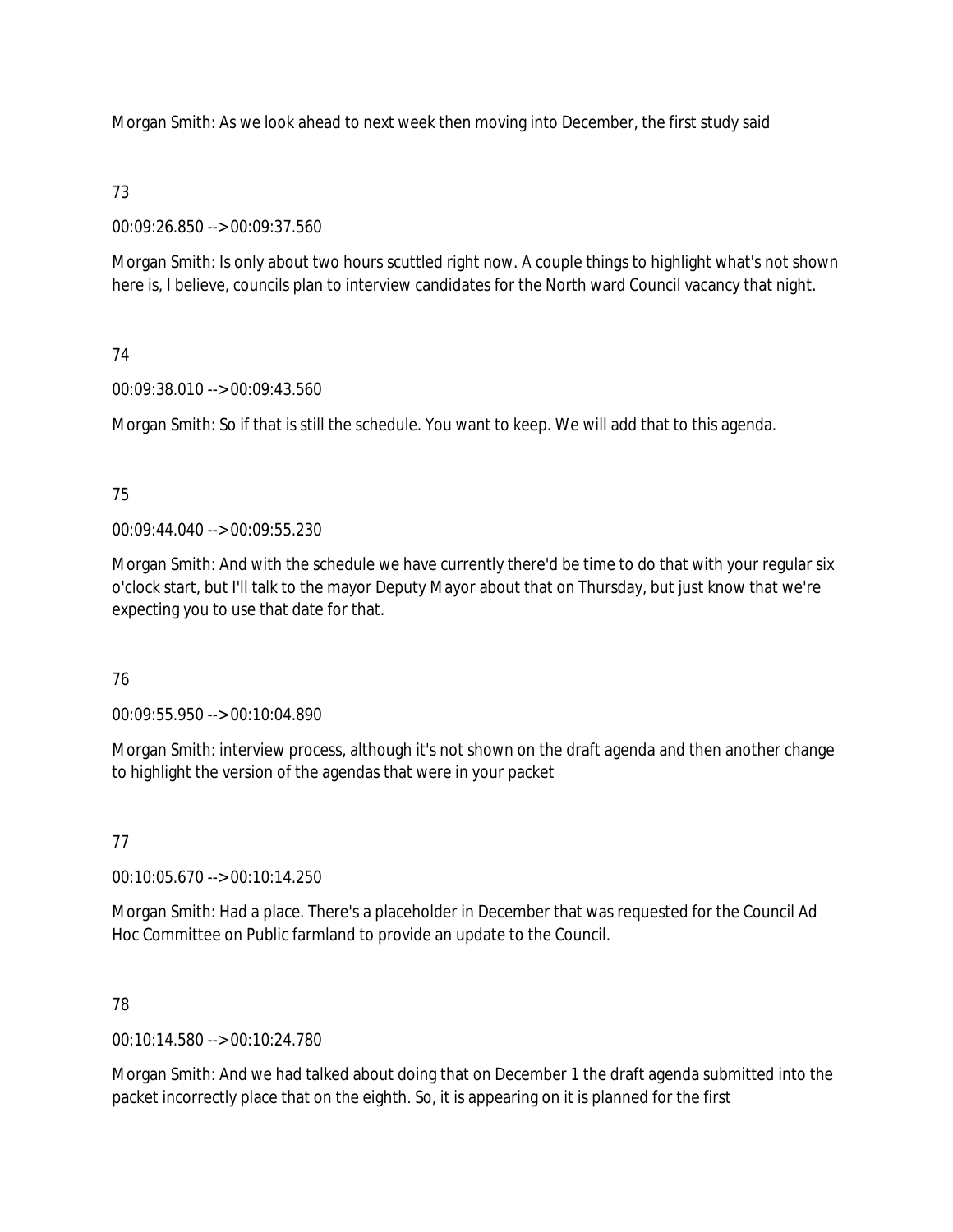Morgan Smith: As we look ahead to next week then moving into December, the first study said

### 73

00:09:26.850 --> 00:09:37.560

Morgan Smith: Is only about two hours scuttled right now. A couple things to highlight what's not shown here is, I believe, councils plan to interview candidates for the North ward Council vacancy that night.

# 74

00:09:38.010 --> 00:09:43.560

Morgan Smith: So if that is still the schedule. You want to keep. We will add that to this agenda.

# 75

00:09:44.040 --> 00:09:55.230

Morgan Smith: And with the schedule we have currently there'd be time to do that with your regular six o'clock start, but I'll talk to the mayor Deputy Mayor about that on Thursday, but just know that we're expecting you to use that date for that.

# 76

00:09:55.950 --> 00:10:04.890

Morgan Smith: interview process, although it's not shown on the draft agenda and then another change to highlight the version of the agendas that were in your packet

# 77

00:10:05.670 --> 00:10:14.250

Morgan Smith: Had a place. There's a placeholder in December that was requested for the Council Ad Hoc Committee on Public farmland to provide an update to the Council.

# 78

00:10:14.580 --> 00:10:24.780

Morgan Smith: And we had talked about doing that on December 1 the draft agenda submitted into the packet incorrectly place that on the eighth. So, it is appearing on it is planned for the first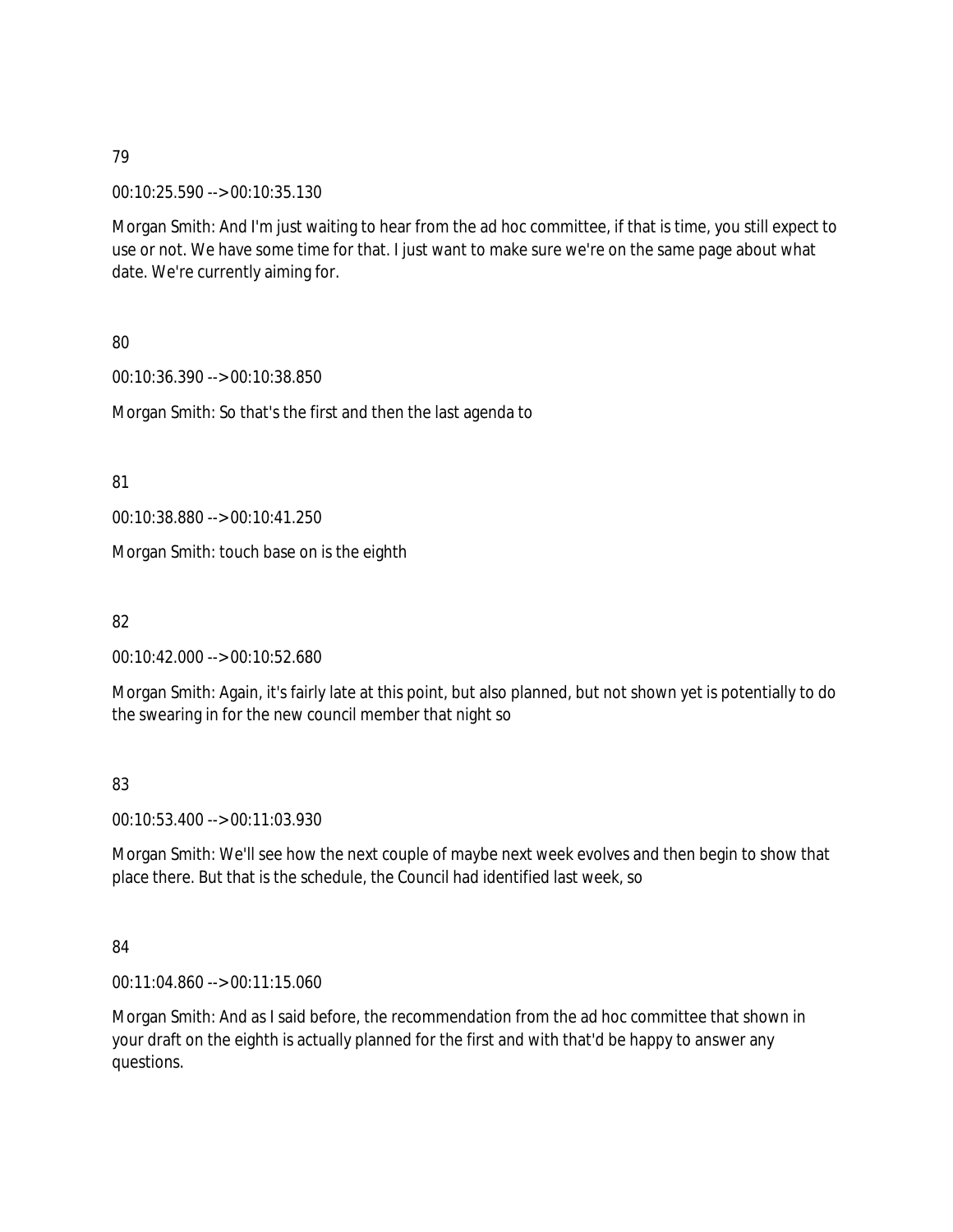00:10:25.590 --> 00:10:35.130

Morgan Smith: And I'm just waiting to hear from the ad hoc committee, if that is time, you still expect to use or not. We have some time for that. I just want to make sure we're on the same page about what date. We're currently aiming for.

80

00:10:36.390 --> 00:10:38.850

Morgan Smith: So that's the first and then the last agenda to

81

00:10:38.880 --> 00:10:41.250

Morgan Smith: touch base on is the eighth

82

00:10:42.000 --> 00:10:52.680

Morgan Smith: Again, it's fairly late at this point, but also planned, but not shown yet is potentially to do the swearing in for the new council member that night so

83

00:10:53.400 --> 00:11:03.930

Morgan Smith: We'll see how the next couple of maybe next week evolves and then begin to show that place there. But that is the schedule, the Council had identified last week, so

84

00:11:04.860 --> 00:11:15.060

Morgan Smith: And as I said before, the recommendation from the ad hoc committee that shown in your draft on the eighth is actually planned for the first and with that'd be happy to answer any questions.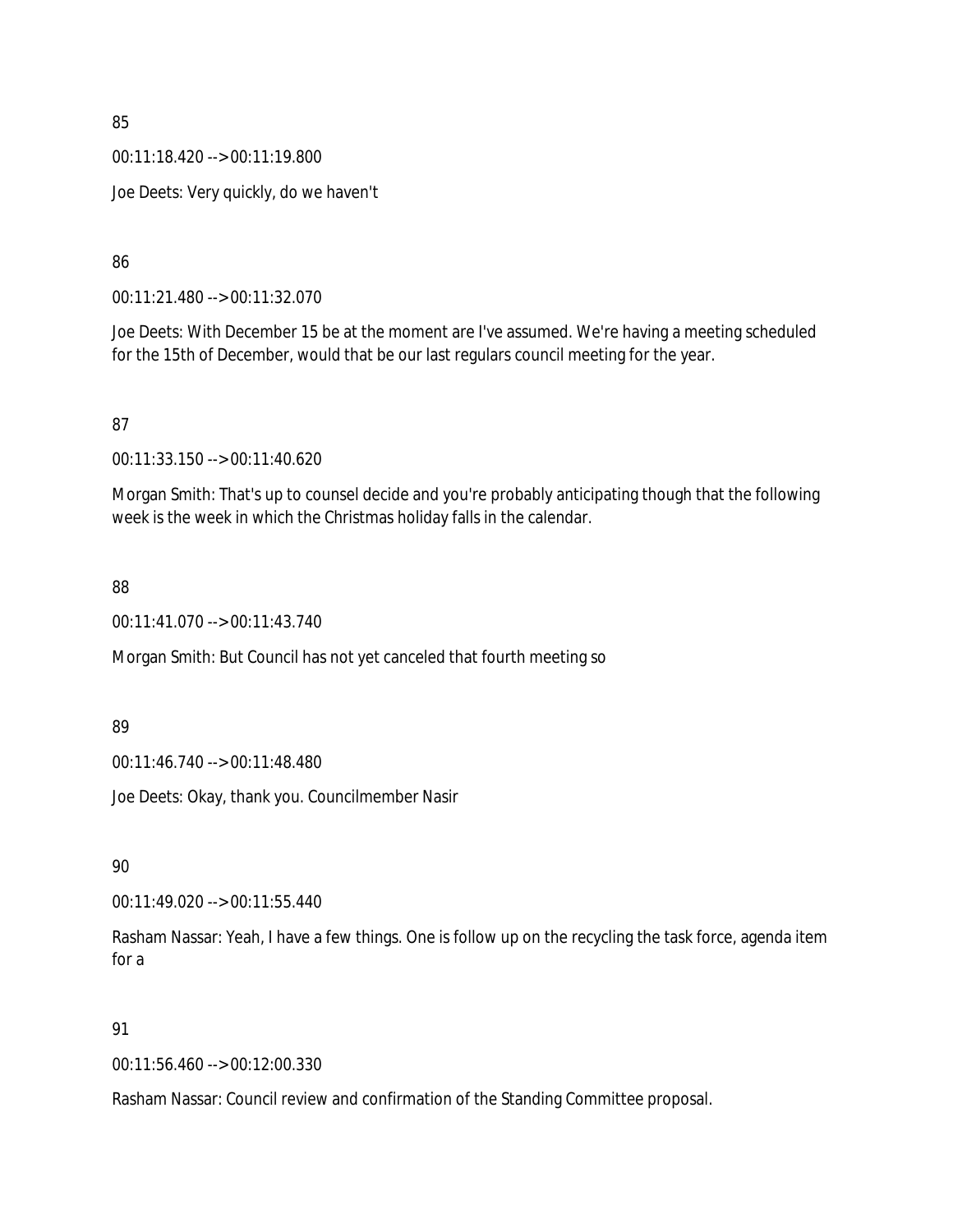00:11:18.420 --> 00:11:19.800

Joe Deets: Very quickly, do we haven't

86

00:11:21.480 --> 00:11:32.070

Joe Deets: With December 15 be at the moment are I've assumed. We're having a meeting scheduled for the 15th of December, would that be our last regulars council meeting for the year.

87

00:11:33.150 --> 00:11:40.620

Morgan Smith: That's up to counsel decide and you're probably anticipating though that the following week is the week in which the Christmas holiday falls in the calendar.

88

00:11:41.070 --> 00:11:43.740

Morgan Smith: But Council has not yet canceled that fourth meeting so

89

00:11:46.740 --> 00:11:48.480

Joe Deets: Okay, thank you. Councilmember Nasir

90

00:11:49.020 --> 00:11:55.440

Rasham Nassar: Yeah, I have a few things. One is follow up on the recycling the task force, agenda item for a

91

00:11:56.460 --> 00:12:00.330

Rasham Nassar: Council review and confirmation of the Standing Committee proposal.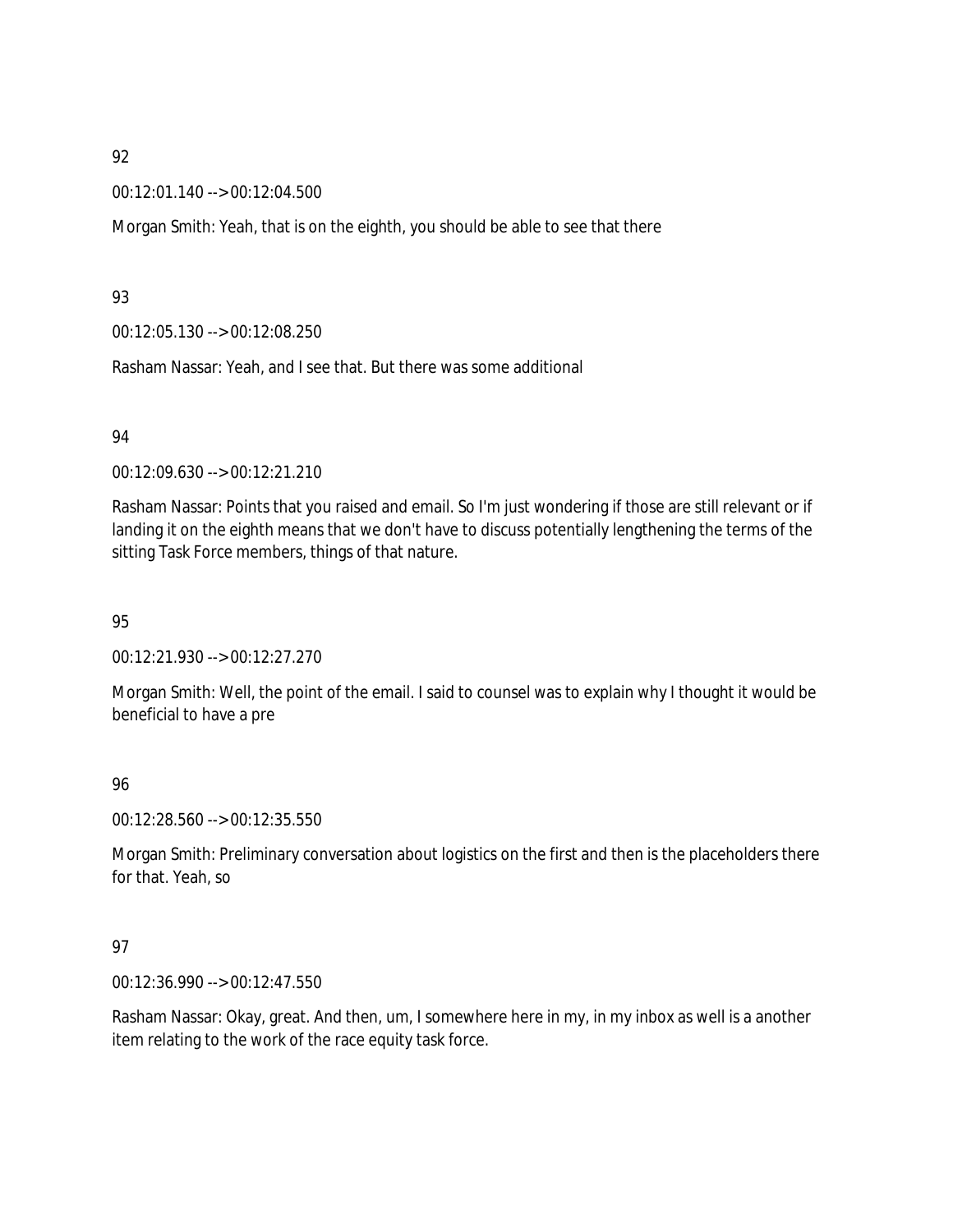00:12:01.140 --> 00:12:04.500

Morgan Smith: Yeah, that is on the eighth, you should be able to see that there

### 93

00:12:05.130 --> 00:12:08.250

Rasham Nassar: Yeah, and I see that. But there was some additional

### 94

00:12:09.630 --> 00:12:21.210

Rasham Nassar: Points that you raised and email. So I'm just wondering if those are still relevant or if landing it on the eighth means that we don't have to discuss potentially lengthening the terms of the sitting Task Force members, things of that nature.

### 95

00:12:21.930 --> 00:12:27.270

Morgan Smith: Well, the point of the email. I said to counsel was to explain why I thought it would be beneficial to have a pre

### 96

00:12:28.560 --> 00:12:35.550

Morgan Smith: Preliminary conversation about logistics on the first and then is the placeholders there for that. Yeah, so

### 97

00:12:36.990 --> 00:12:47.550

Rasham Nassar: Okay, great. And then, um, I somewhere here in my, in my inbox as well is a another item relating to the work of the race equity task force.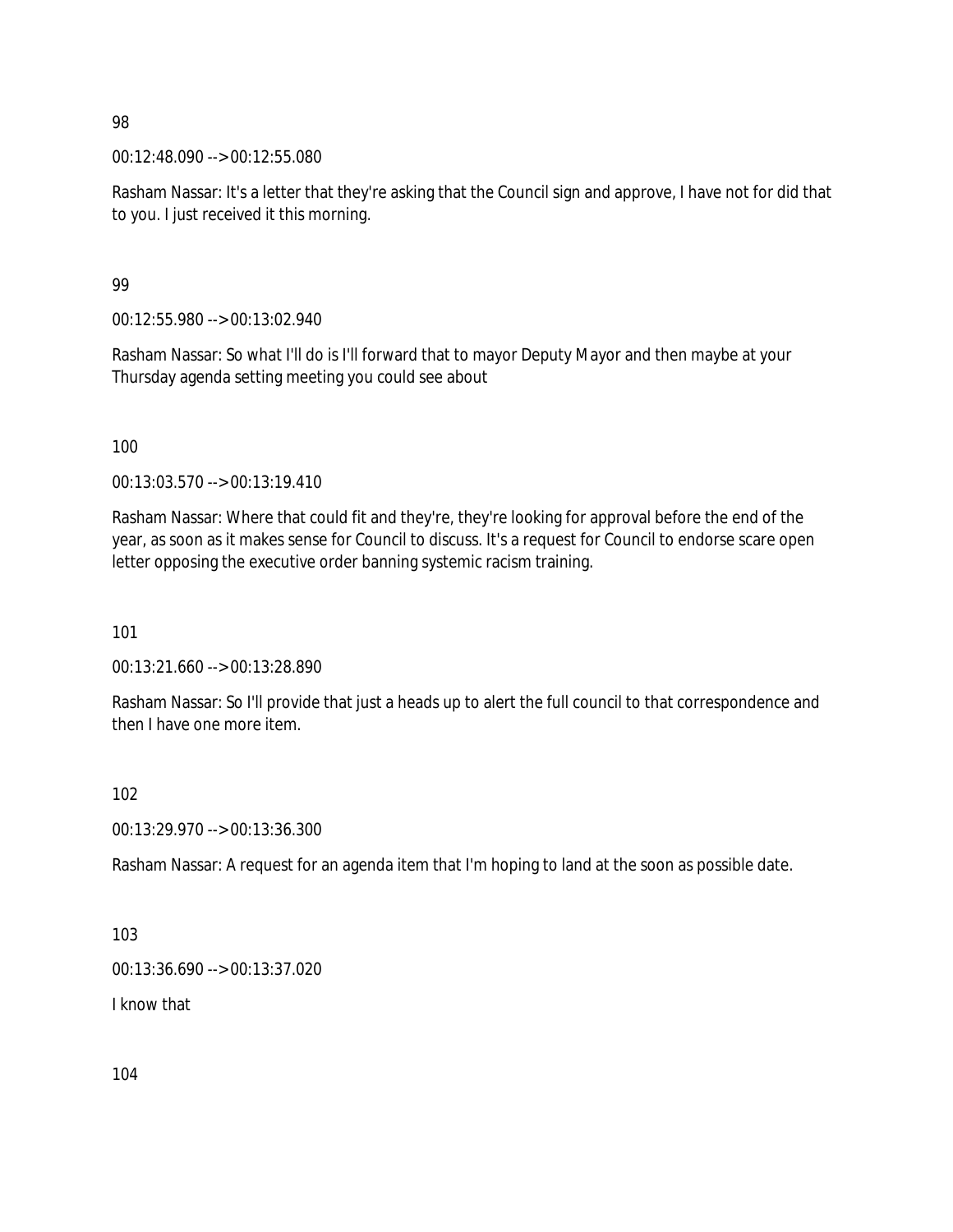00:12:48.090 --> 00:12:55.080

Rasham Nassar: It's a letter that they're asking that the Council sign and approve, I have not for did that to you. I just received it this morning.

### 99

00:12:55.980 --> 00:13:02.940

Rasham Nassar: So what I'll do is I'll forward that to mayor Deputy Mayor and then maybe at your Thursday agenda setting meeting you could see about

100

00:13:03.570 --> 00:13:19.410

Rasham Nassar: Where that could fit and they're, they're looking for approval before the end of the year, as soon as it makes sense for Council to discuss. It's a request for Council to endorse scare open letter opposing the executive order banning systemic racism training.

101

00:13:21.660 --> 00:13:28.890

Rasham Nassar: So I'll provide that just a heads up to alert the full council to that correspondence and then I have one more item.

### 102

00:13:29.970 --> 00:13:36.300

Rasham Nassar: A request for an agenda item that I'm hoping to land at the soon as possible date.

103

00:13:36.690 --> 00:13:37.020

I know that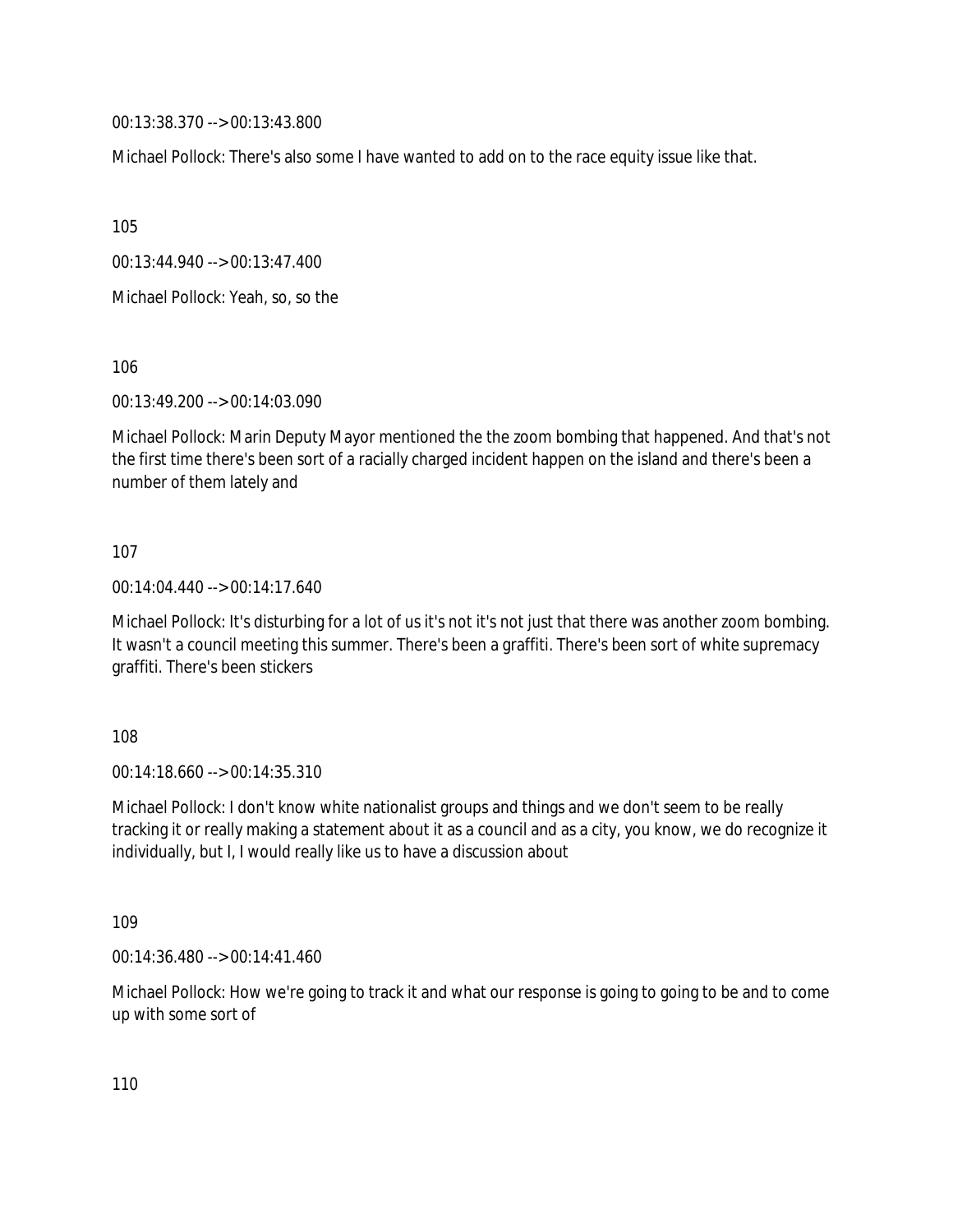00:13:38.370 --> 00:13:43.800

Michael Pollock: There's also some I have wanted to add on to the race equity issue like that.

105

00:13:44.940 --> 00:13:47.400

Michael Pollock: Yeah, so, so the

106

00:13:49.200 --> 00:14:03.090

Michael Pollock: Marin Deputy Mayor mentioned the the zoom bombing that happened. And that's not the first time there's been sort of a racially charged incident happen on the island and there's been a number of them lately and

### 107

00:14:04.440 --> 00:14:17.640

Michael Pollock: It's disturbing for a lot of us it's not it's not just that there was another zoom bombing. It wasn't a council meeting this summer. There's been a graffiti. There's been sort of white supremacy graffiti. There's been stickers

108

00:14:18.660 --> 00:14:35.310

Michael Pollock: I don't know white nationalist groups and things and we don't seem to be really tracking it or really making a statement about it as a council and as a city, you know, we do recognize it individually, but I, I would really like us to have a discussion about

109

00:14:36.480 --> 00:14:41.460

Michael Pollock: How we're going to track it and what our response is going to going to be and to come up with some sort of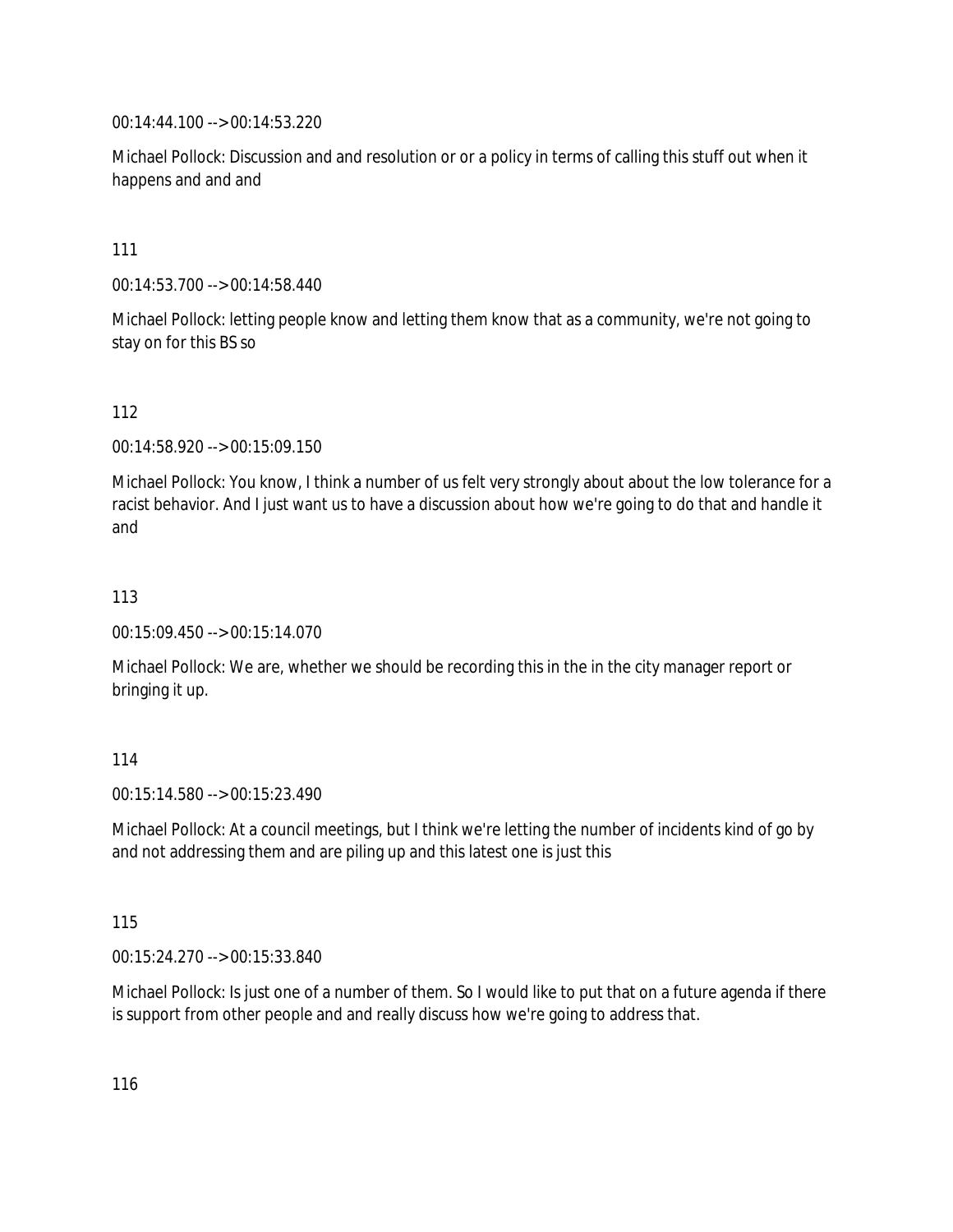00:14:44.100 --> 00:14:53.220

Michael Pollock: Discussion and and resolution or or a policy in terms of calling this stuff out when it happens and and and

111

00:14:53.700 --> 00:14:58.440

Michael Pollock: letting people know and letting them know that as a community, we're not going to stay on for this BS so

112

00:14:58.920 --> 00:15:09.150

Michael Pollock: You know, I think a number of us felt very strongly about about the low tolerance for a racist behavior. And I just want us to have a discussion about how we're going to do that and handle it and

113

00:15:09.450 --> 00:15:14.070

Michael Pollock: We are, whether we should be recording this in the in the city manager report or bringing it up.

114

00:15:14.580 --> 00:15:23.490

Michael Pollock: At a council meetings, but I think we're letting the number of incidents kind of go by and not addressing them and are piling up and this latest one is just this

115

00:15:24.270 --> 00:15:33.840

Michael Pollock: Is just one of a number of them. So I would like to put that on a future agenda if there is support from other people and and really discuss how we're going to address that.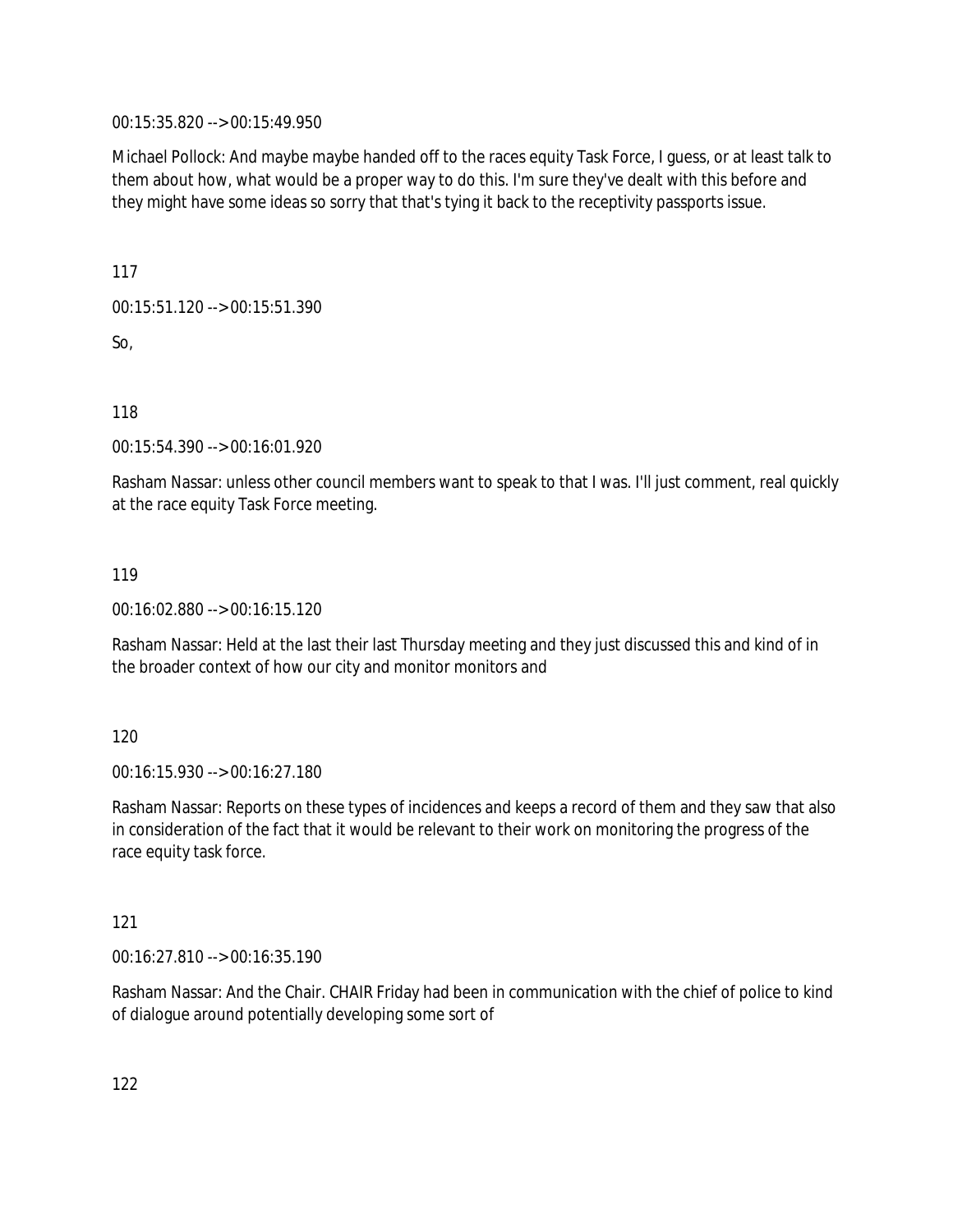00:15:35.820 --> 00:15:49.950

Michael Pollock: And maybe maybe handed off to the races equity Task Force, I guess, or at least talk to them about how, what would be a proper way to do this. I'm sure they've dealt with this before and they might have some ideas so sorry that that's tying it back to the receptivity passports issue.

117

00:15:51.120 --> 00:15:51.390

So,

118

00:15:54.390 --> 00:16:01.920

Rasham Nassar: unless other council members want to speak to that I was. I'll just comment, real quickly at the race equity Task Force meeting.

119

00:16:02.880 --> 00:16:15.120

Rasham Nassar: Held at the last their last Thursday meeting and they just discussed this and kind of in the broader context of how our city and monitor monitors and

120

00:16:15.930 --> 00:16:27.180

Rasham Nassar: Reports on these types of incidences and keeps a record of them and they saw that also in consideration of the fact that it would be relevant to their work on monitoring the progress of the race equity task force.

121

00:16:27.810 --> 00:16:35.190

Rasham Nassar: And the Chair. CHAIR Friday had been in communication with the chief of police to kind of dialogue around potentially developing some sort of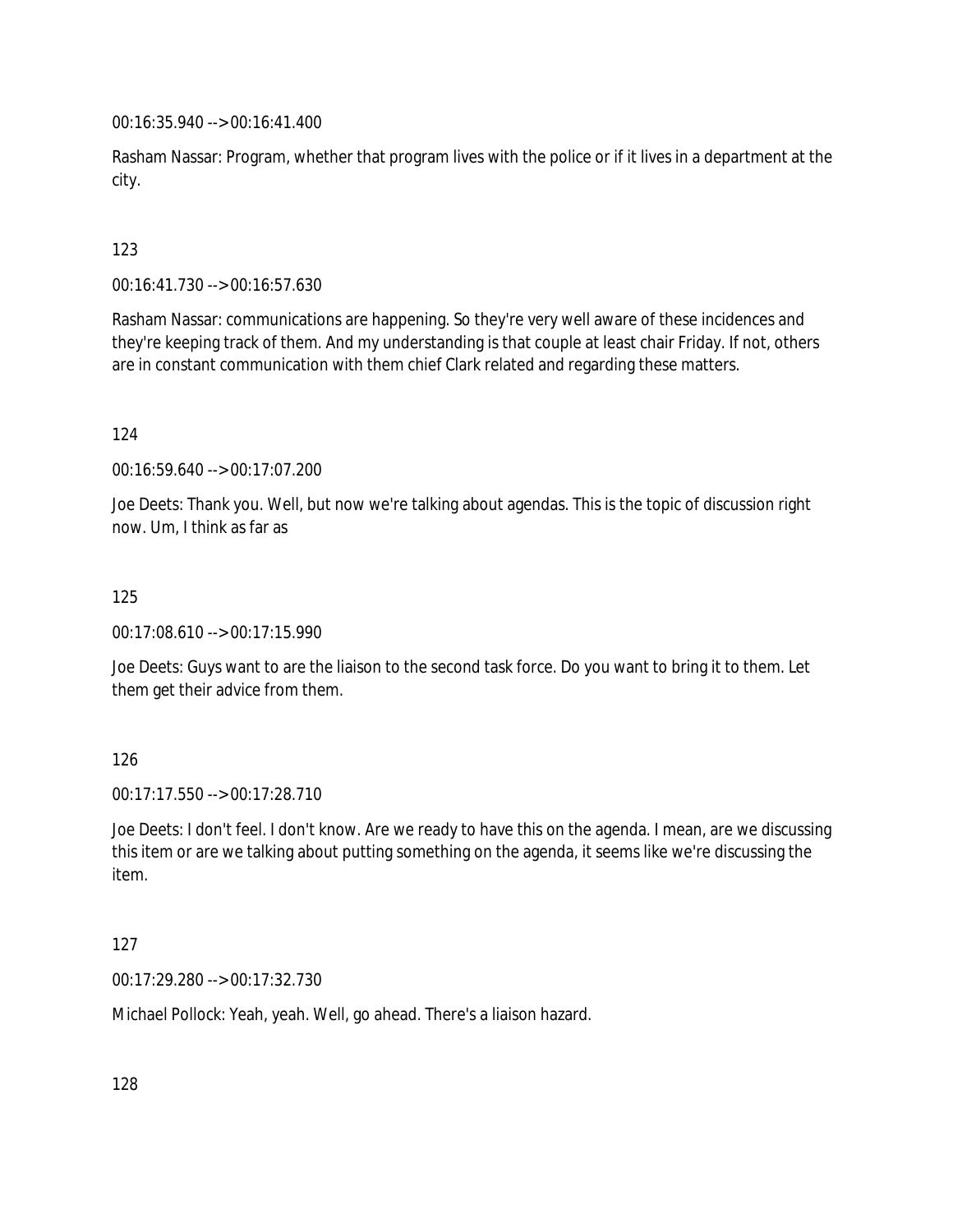00:16:35.940 --> 00:16:41.400

Rasham Nassar: Program, whether that program lives with the police or if it lives in a department at the city.

# 123

00:16:41.730 --> 00:16:57.630

Rasham Nassar: communications are happening. So they're very well aware of these incidences and they're keeping track of them. And my understanding is that couple at least chair Friday. If not, others are in constant communication with them chief Clark related and regarding these matters.

### 124

00:16:59.640 --> 00:17:07.200

Joe Deets: Thank you. Well, but now we're talking about agendas. This is the topic of discussion right now. Um, I think as far as

### 125

00:17:08.610 --> 00:17:15.990

Joe Deets: Guys want to are the liaison to the second task force. Do you want to bring it to them. Let them get their advice from them.

### 126

00:17:17.550 --> 00:17:28.710

Joe Deets: I don't feel. I don't know. Are we ready to have this on the agenda. I mean, are we discussing this item or are we talking about putting something on the agenda, it seems like we're discussing the item.

### 127

00:17:29.280 --> 00:17:32.730

Michael Pollock: Yeah, yeah. Well, go ahead. There's a liaison hazard.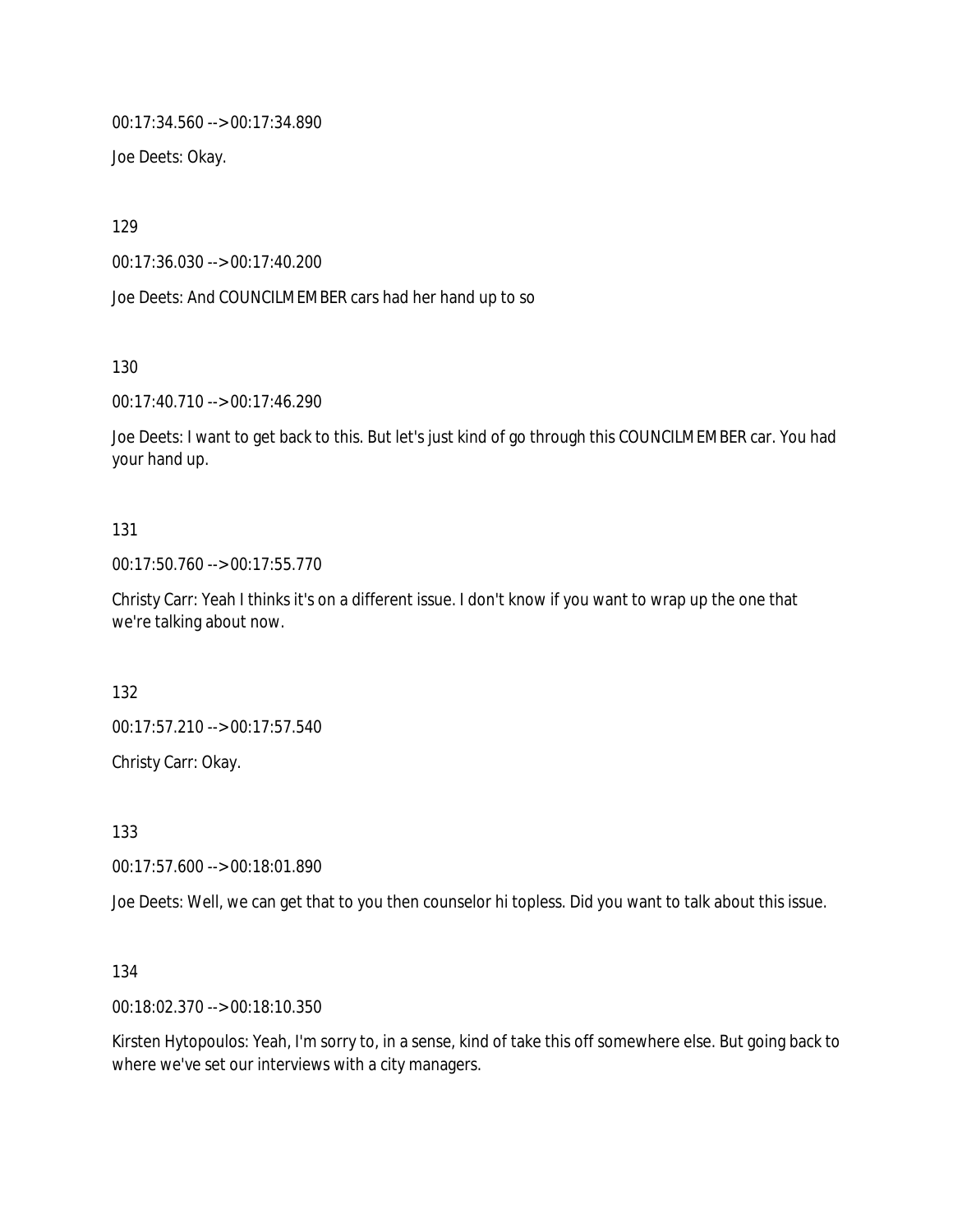00:17:34.560 --> 00:17:34.890

Joe Deets: Okay.

129

00:17:36.030 --> 00:17:40.200

Joe Deets: And COUNCILMEMBER cars had her hand up to so

130

00:17:40.710 --> 00:17:46.290

Joe Deets: I want to get back to this. But let's just kind of go through this COUNCILMEMBER car. You had your hand up.

### 131

00:17:50.760 --> 00:17:55.770

Christy Carr: Yeah I thinks it's on a different issue. I don't know if you want to wrap up the one that we're talking about now.

132

00:17:57.210 --> 00:17:57.540

Christy Carr: Okay.

133

00:17:57.600 --> 00:18:01.890

Joe Deets: Well, we can get that to you then counselor hi topless. Did you want to talk about this issue.

134

00:18:02.370 --> 00:18:10.350

Kirsten Hytopoulos: Yeah, I'm sorry to, in a sense, kind of take this off somewhere else. But going back to where we've set our interviews with a city managers.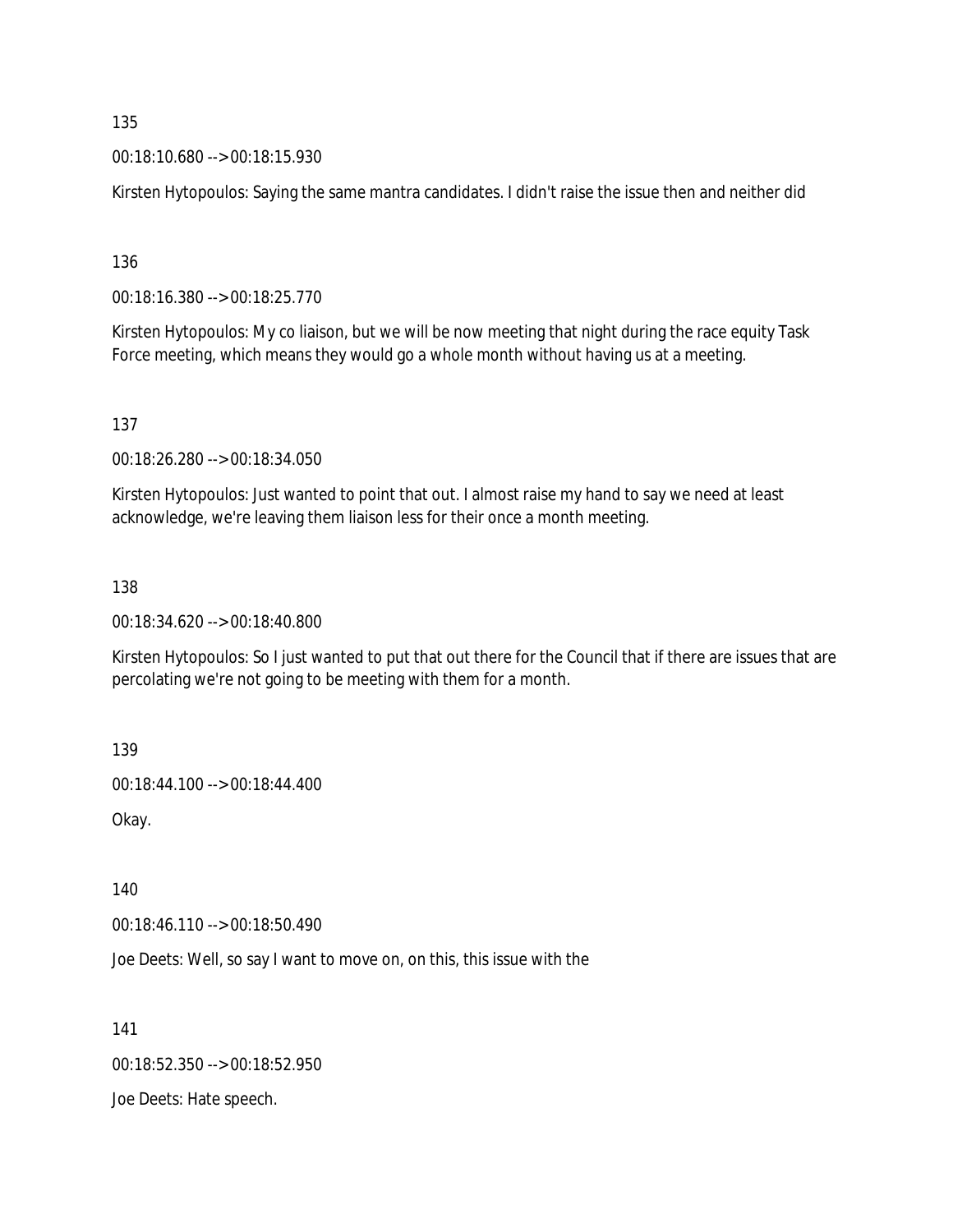00:18:10.680 --> 00:18:15.930

Kirsten Hytopoulos: Saying the same mantra candidates. I didn't raise the issue then and neither did

136

00:18:16.380 --> 00:18:25.770

Kirsten Hytopoulos: My co liaison, but we will be now meeting that night during the race equity Task Force meeting, which means they would go a whole month without having us at a meeting.

137

00:18:26.280 --> 00:18:34.050

Kirsten Hytopoulos: Just wanted to point that out. I almost raise my hand to say we need at least acknowledge, we're leaving them liaison less for their once a month meeting.

138

00:18:34.620 --> 00:18:40.800

Kirsten Hytopoulos: So I just wanted to put that out there for the Council that if there are issues that are percolating we're not going to be meeting with them for a month.

139

00:18:44.100 --> 00:18:44.400

Okay.

140

00:18:46.110 --> 00:18:50.490

Joe Deets: Well, so say I want to move on, on this, this issue with the

141

00:18:52.350 --> 00:18:52.950

Joe Deets: Hate speech.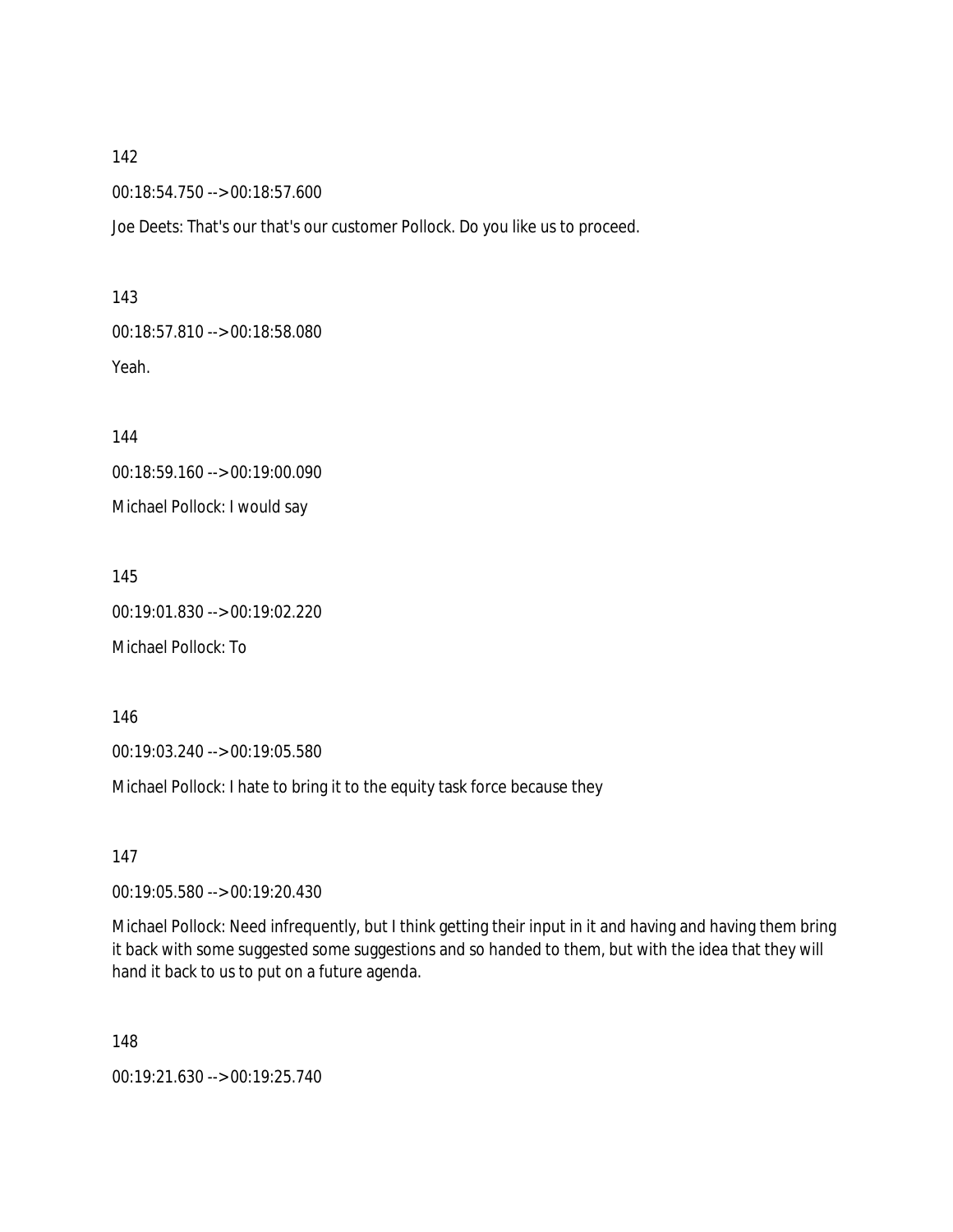00:18:54.750 --> 00:18:57.600

Joe Deets: That's our that's our customer Pollock. Do you like us to proceed.

143 00:18:57.810 --> 00:18:58.080 Yeah.

144 00:18:59.160 --> 00:19:00.090 Michael Pollock: I would say

145 00:19:01.830 --> 00:19:02.220

Michael Pollock: To

146

00:19:03.240 --> 00:19:05.580

Michael Pollock: I hate to bring it to the equity task force because they

147

00:19:05.580 --> 00:19:20.430

Michael Pollock: Need infrequently, but I think getting their input in it and having and having them bring it back with some suggested some suggestions and so handed to them, but with the idea that they will hand it back to us to put on a future agenda.

148

00:19:21.630 --> 00:19:25.740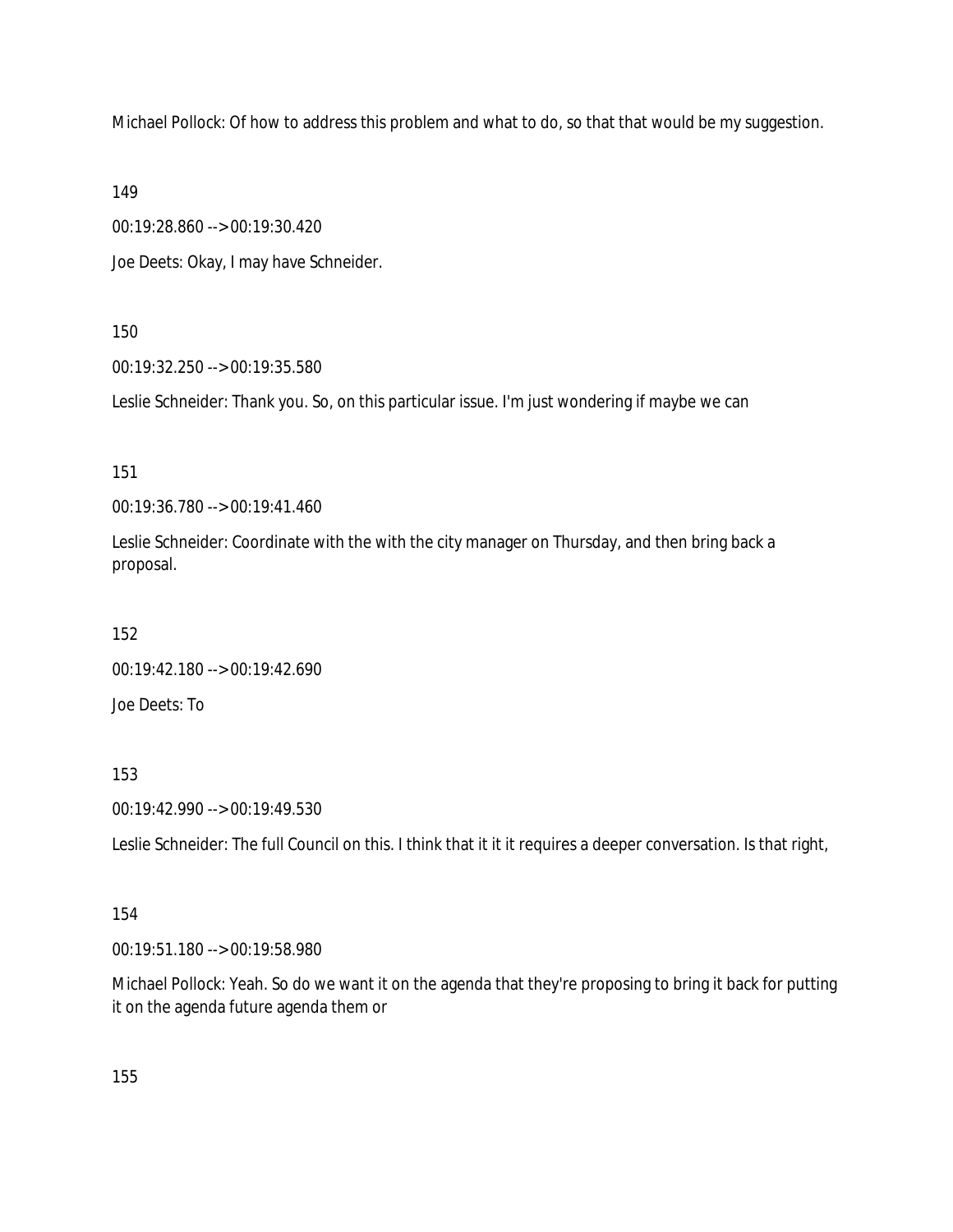Michael Pollock: Of how to address this problem and what to do, so that that would be my suggestion.

149

00:19:28.860 --> 00:19:30.420

Joe Deets: Okay, I may have Schneider.

150

00:19:32.250 --> 00:19:35.580

Leslie Schneider: Thank you. So, on this particular issue. I'm just wondering if maybe we can

151

00:19:36.780 --> 00:19:41.460

Leslie Schneider: Coordinate with the with the city manager on Thursday, and then bring back a proposal.

152

00:19:42.180 --> 00:19:42.690

Joe Deets: To

153

00:19:42.990 --> 00:19:49.530

Leslie Schneider: The full Council on this. I think that it it it requires a deeper conversation. Is that right,

# 154

00:19:51.180 --> 00:19:58.980

Michael Pollock: Yeah. So do we want it on the agenda that they're proposing to bring it back for putting it on the agenda future agenda them or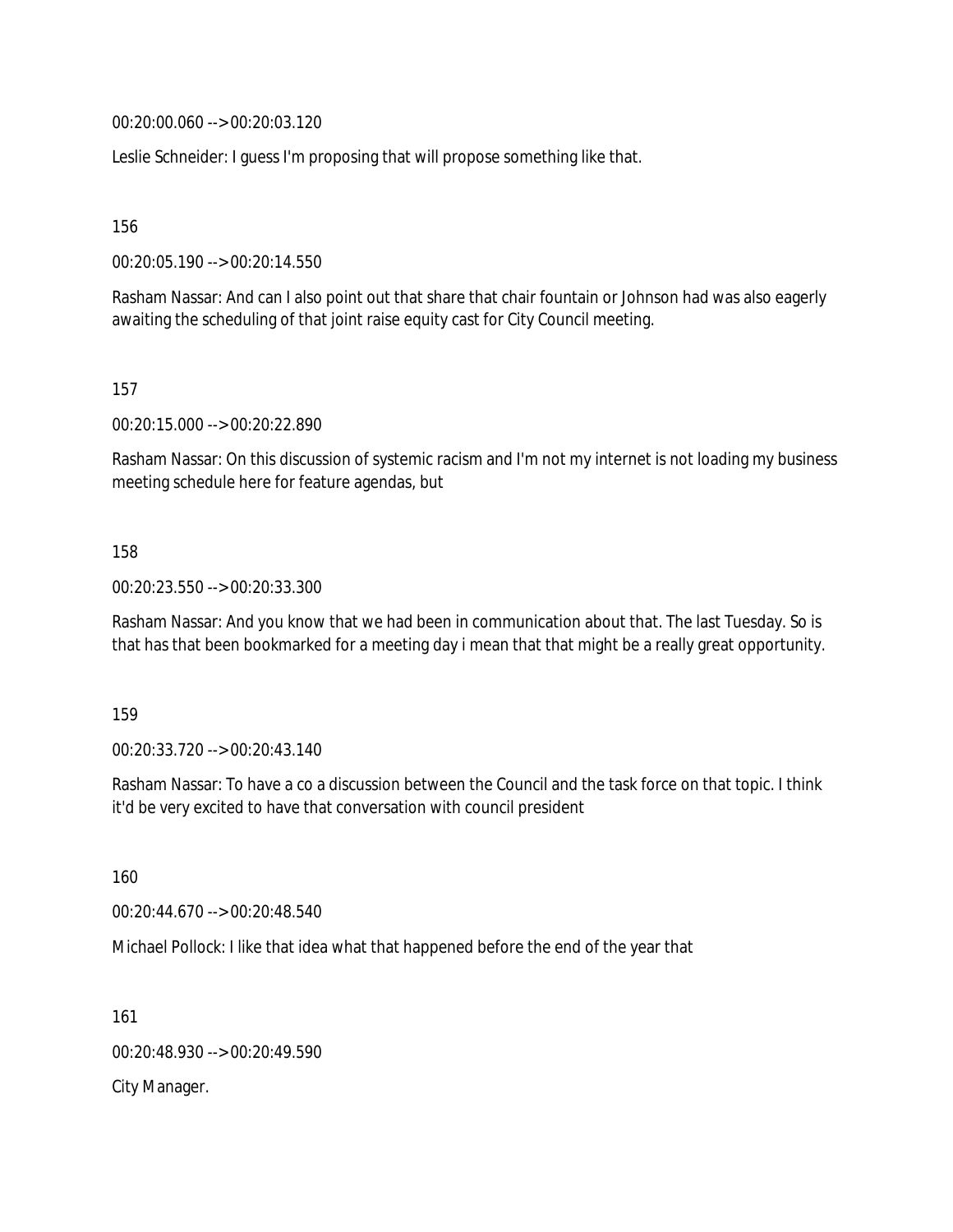00:20:00.060 --> 00:20:03.120

Leslie Schneider: I guess I'm proposing that will propose something like that.

156

00:20:05.190 --> 00:20:14.550

Rasham Nassar: And can I also point out that share that chair fountain or Johnson had was also eagerly awaiting the scheduling of that joint raise equity cast for City Council meeting.

157

00:20:15.000 --> 00:20:22.890

Rasham Nassar: On this discussion of systemic racism and I'm not my internet is not loading my business meeting schedule here for feature agendas, but

#### 158

00:20:23.550 --> 00:20:33.300

Rasham Nassar: And you know that we had been in communication about that. The last Tuesday. So is that has that been bookmarked for a meeting day i mean that that might be a really great opportunity.

159

00:20:33.720 --> 00:20:43.140

Rasham Nassar: To have a co a discussion between the Council and the task force on that topic. I think it'd be very excited to have that conversation with council president

160

00:20:44.670 --> 00:20:48.540

Michael Pollock: I like that idea what that happened before the end of the year that

161

00:20:48.930 --> 00:20:49.590

City Manager.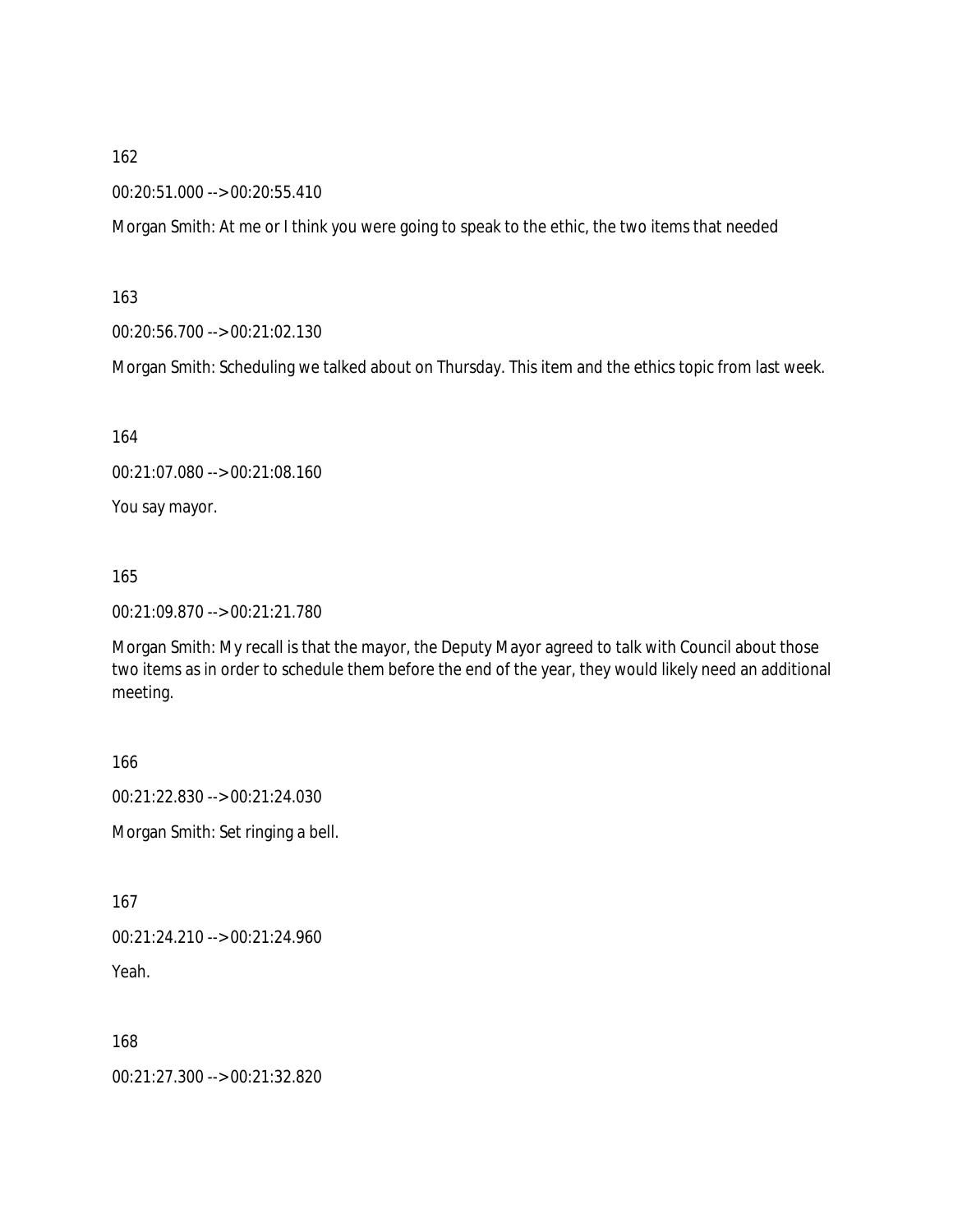00:20:51.000 --> 00:20:55.410

Morgan Smith: At me or I think you were going to speak to the ethic, the two items that needed

163

00:20:56.700 --> 00:21:02.130

Morgan Smith: Scheduling we talked about on Thursday. This item and the ethics topic from last week.

164

00:21:07.080 --> 00:21:08.160

You say mayor.

165

00:21:09.870 --> 00:21:21.780

Morgan Smith: My recall is that the mayor, the Deputy Mayor agreed to talk with Council about those two items as in order to schedule them before the end of the year, they would likely need an additional meeting.

166

00:21:22.830 --> 00:21:24.030

Morgan Smith: Set ringing a bell.

167

00:21:24.210 --> 00:21:24.960

Yeah.

168

00:21:27.300 --> 00:21:32.820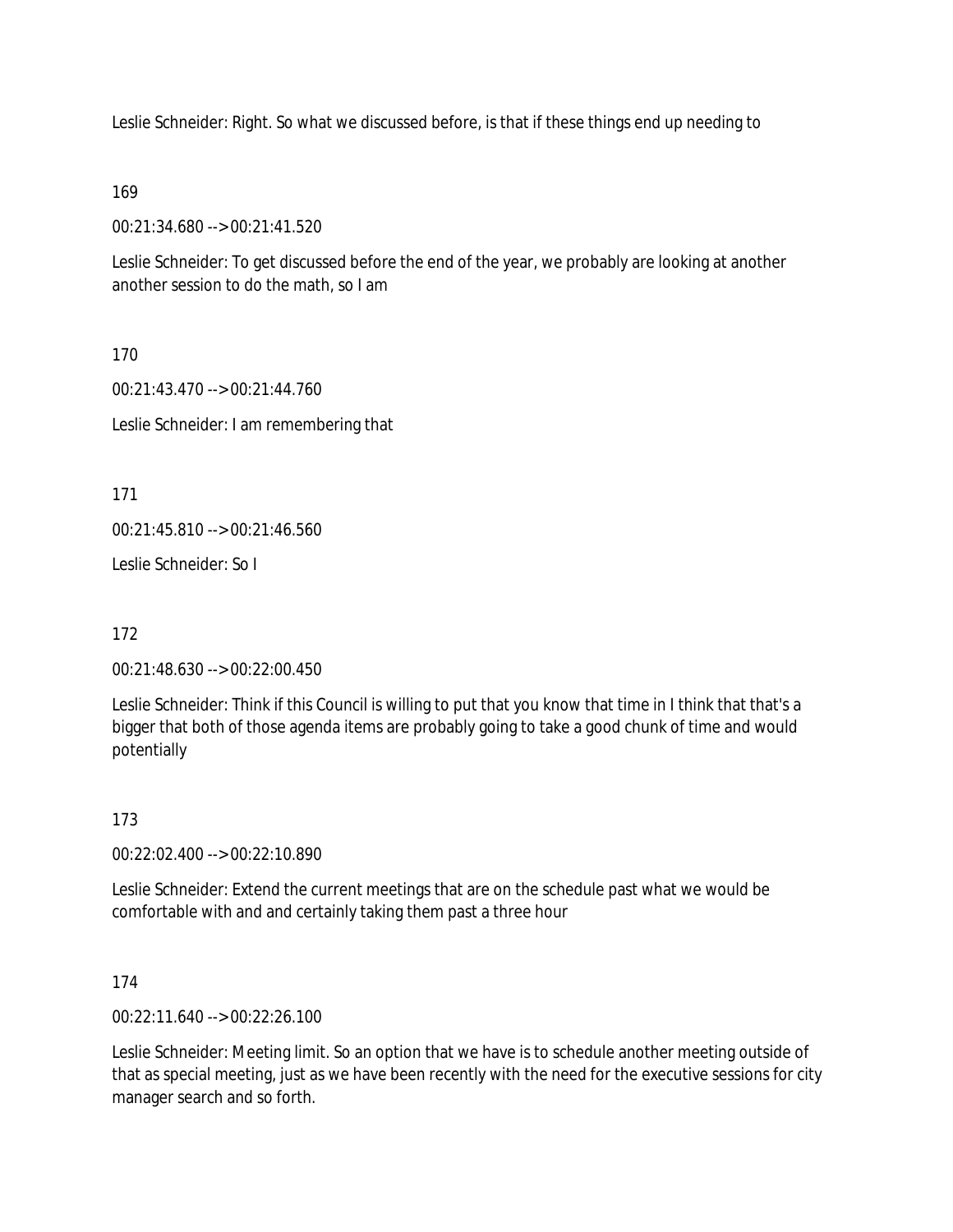Leslie Schneider: Right. So what we discussed before, is that if these things end up needing to

169

00:21:34.680 --> 00:21:41.520

Leslie Schneider: To get discussed before the end of the year, we probably are looking at another another session to do the math, so I am

170

00:21:43.470 --> 00:21:44.760 Leslie Schneider: I am remembering that

171

00:21:45.810 --> 00:21:46.560

Leslie Schneider: So I

172

00:21:48.630 --> 00:22:00.450

Leslie Schneider: Think if this Council is willing to put that you know that time in I think that that's a bigger that both of those agenda items are probably going to take a good chunk of time and would potentially

173

00:22:02.400 --> 00:22:10.890

Leslie Schneider: Extend the current meetings that are on the schedule past what we would be comfortable with and and certainly taking them past a three hour

174

00:22:11.640 --> 00:22:26.100

Leslie Schneider: Meeting limit. So an option that we have is to schedule another meeting outside of that as special meeting, just as we have been recently with the need for the executive sessions for city manager search and so forth.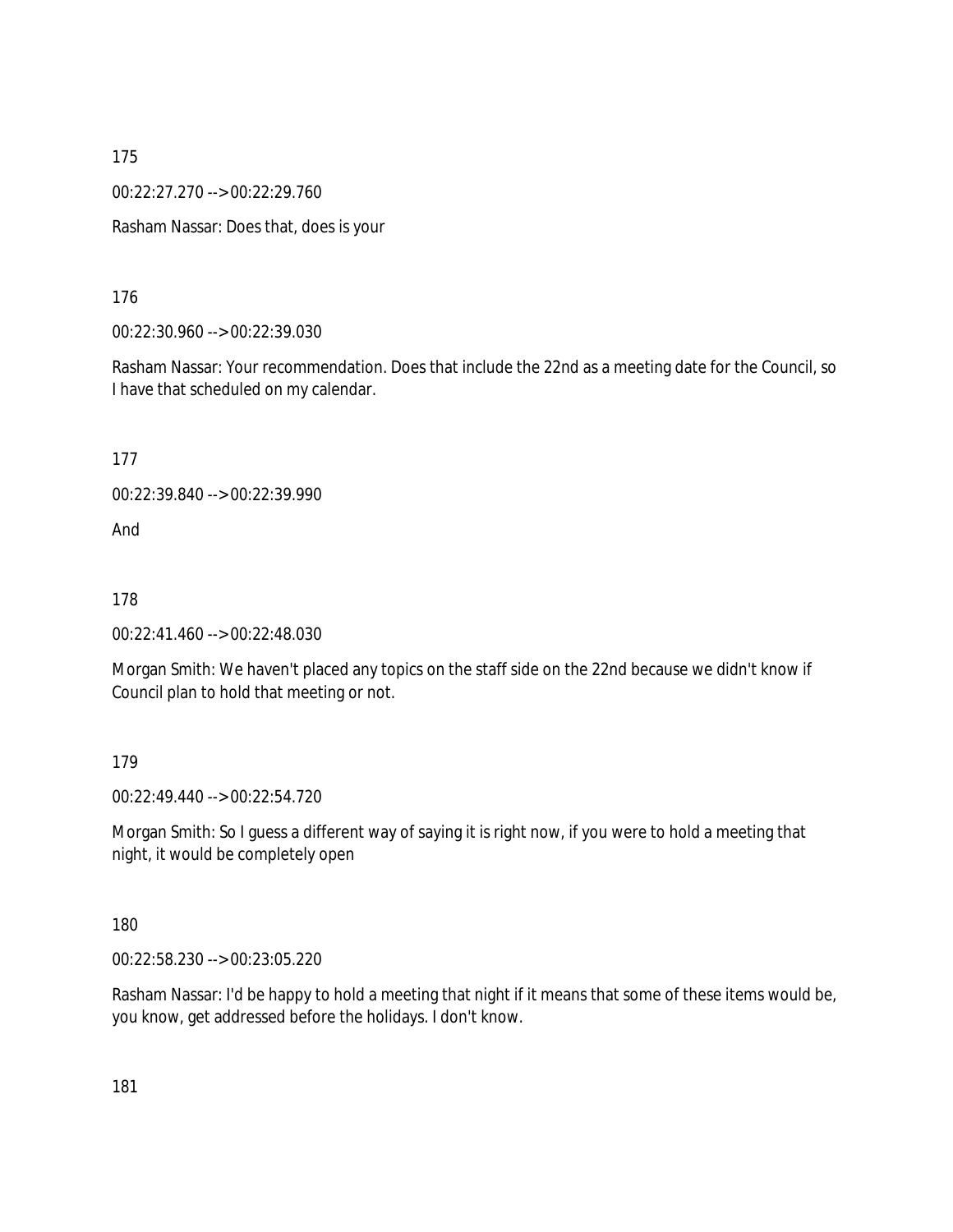00:22:27.270 --> 00:22:29.760

Rasham Nassar: Does that, does is your

176

00:22:30.960 --> 00:22:39.030

Rasham Nassar: Your recommendation. Does that include the 22nd as a meeting date for the Council, so I have that scheduled on my calendar.

177

00:22:39.840 --> 00:22:39.990

And

178

00:22:41.460 --> 00:22:48.030

Morgan Smith: We haven't placed any topics on the staff side on the 22nd because we didn't know if Council plan to hold that meeting or not.

179

00:22:49.440 --> 00:22:54.720

Morgan Smith: So I guess a different way of saying it is right now, if you were to hold a meeting that night, it would be completely open

180

00:22:58.230 --> 00:23:05.220

Rasham Nassar: I'd be happy to hold a meeting that night if it means that some of these items would be, you know, get addressed before the holidays. I don't know.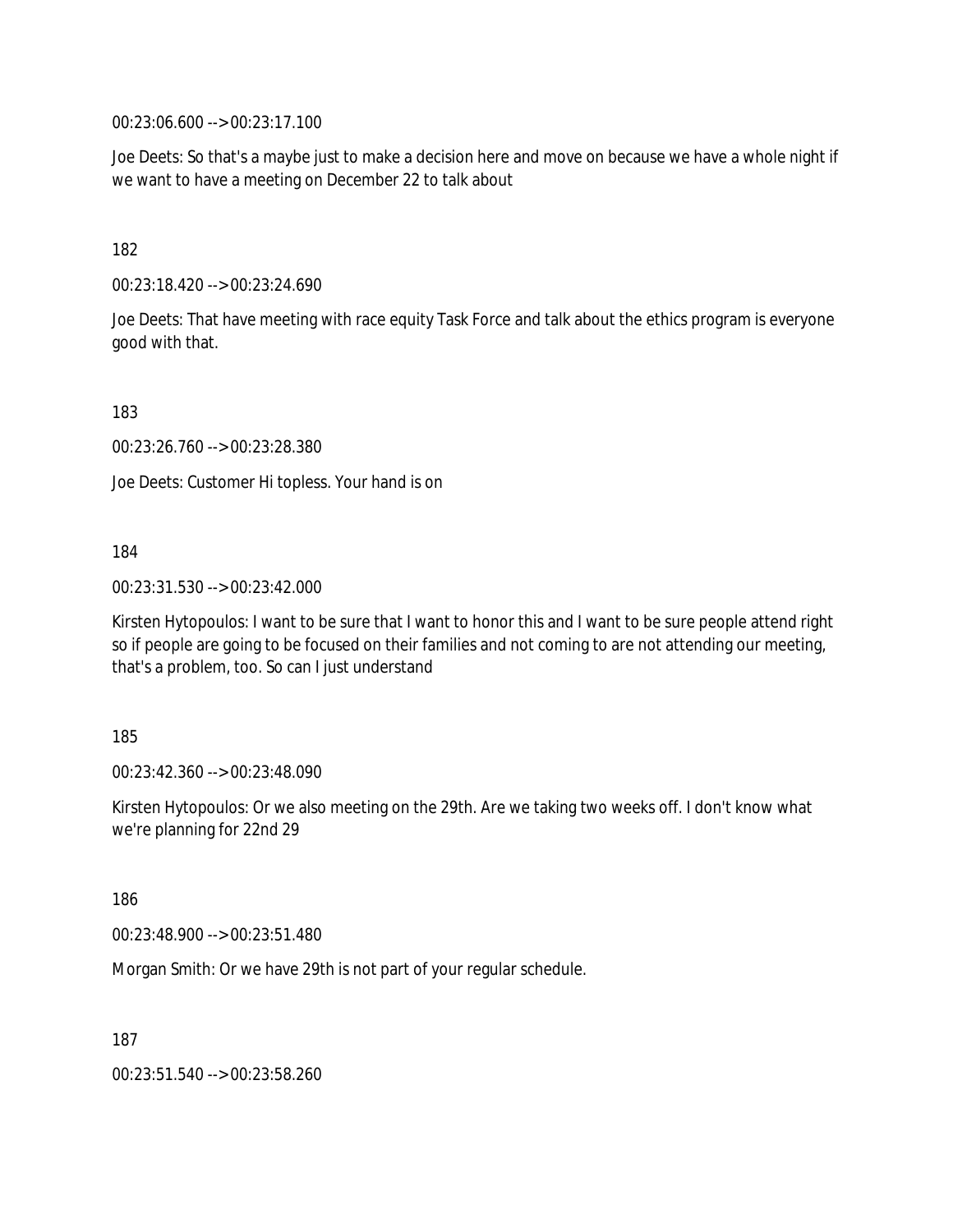00:23:06.600 --> 00:23:17.100

Joe Deets: So that's a maybe just to make a decision here and move on because we have a whole night if we want to have a meeting on December 22 to talk about

182

00:23:18.420 --> 00:23:24.690

Joe Deets: That have meeting with race equity Task Force and talk about the ethics program is everyone good with that.

183

00:23:26.760 --> 00:23:28.380

Joe Deets: Customer Hi topless. Your hand is on

184

00:23:31.530 --> 00:23:42.000

Kirsten Hytopoulos: I want to be sure that I want to honor this and I want to be sure people attend right so if people are going to be focused on their families and not coming to are not attending our meeting, that's a problem, too. So can I just understand

185

00:23:42.360 --> 00:23:48.090

Kirsten Hytopoulos: Or we also meeting on the 29th. Are we taking two weeks off. I don't know what we're planning for 22nd 29

186

00:23:48.900 --> 00:23:51.480

Morgan Smith: Or we have 29th is not part of your regular schedule.

187

00:23:51.540 --> 00:23:58.260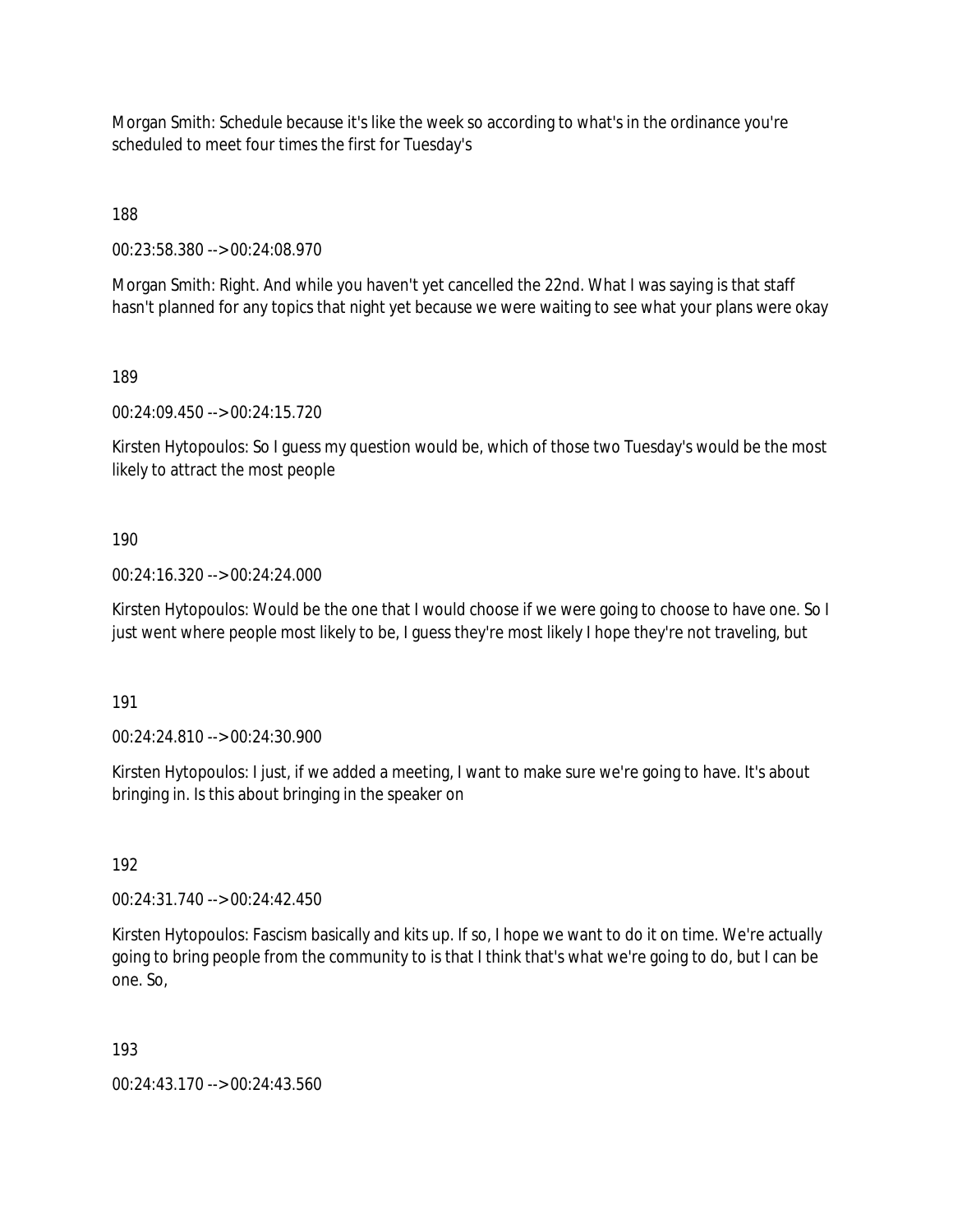Morgan Smith: Schedule because it's like the week so according to what's in the ordinance you're scheduled to meet four times the first for Tuesday's

188

00:23:58.380 --> 00:24:08.970

Morgan Smith: Right. And while you haven't yet cancelled the 22nd. What I was saying is that staff hasn't planned for any topics that night yet because we were waiting to see what your plans were okay

189

00:24:09.450 --> 00:24:15.720

Kirsten Hytopoulos: So I guess my question would be, which of those two Tuesday's would be the most likely to attract the most people

190

00:24:16.320 --> 00:24:24.000

Kirsten Hytopoulos: Would be the one that I would choose if we were going to choose to have one. So I just went where people most likely to be, I guess they're most likely I hope they're not traveling, but

191

00:24:24.810 --> 00:24:30.900

Kirsten Hytopoulos: I just, if we added a meeting, I want to make sure we're going to have. It's about bringing in. Is this about bringing in the speaker on

192

00:24:31.740 --> 00:24:42.450

Kirsten Hytopoulos: Fascism basically and kits up. If so, I hope we want to do it on time. We're actually going to bring people from the community to is that I think that's what we're going to do, but I can be one. So,

193

00:24:43.170 --> 00:24:43.560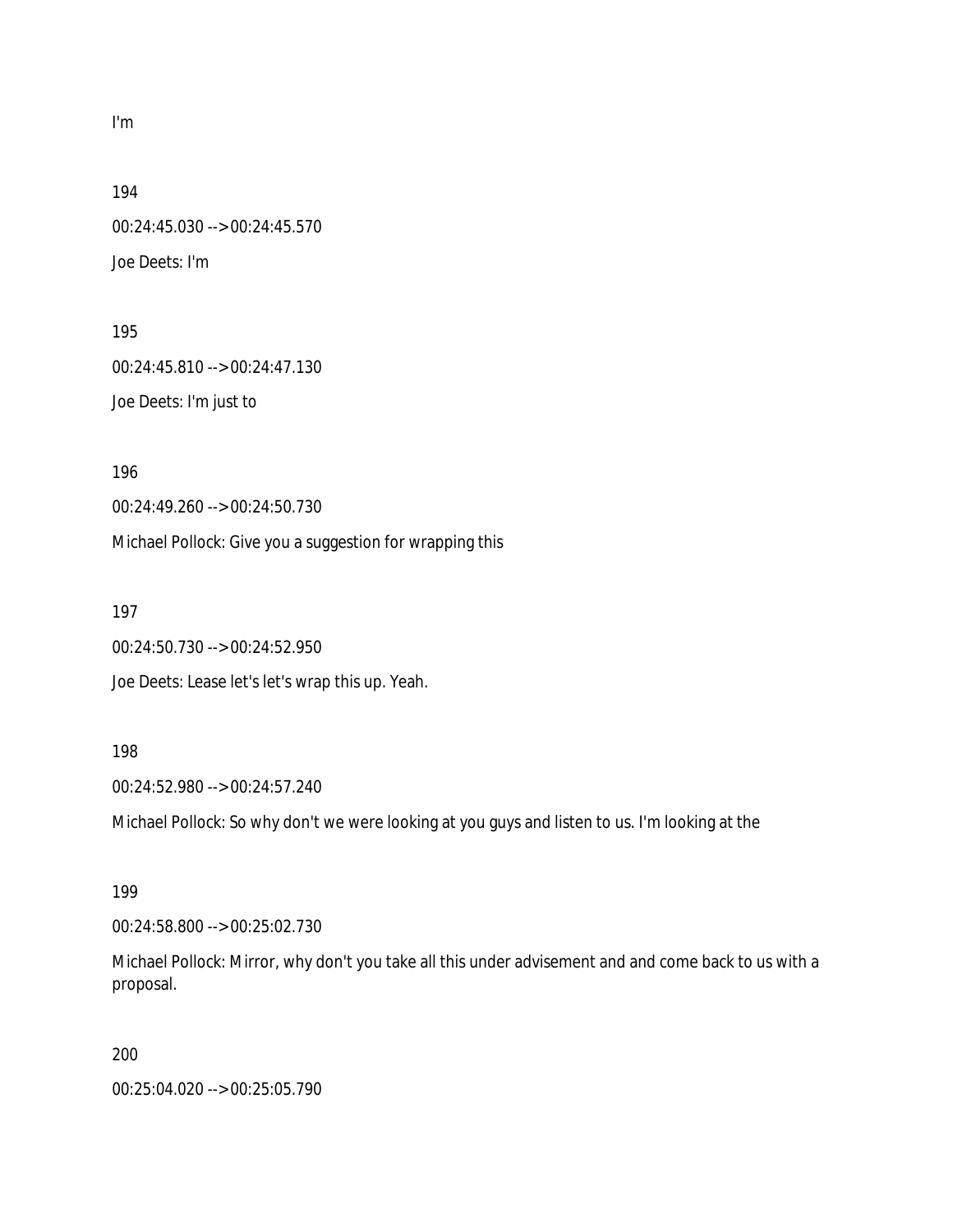I'm

194

00:24:45.030 --> 00:24:45.570 Joe Deets: I'm

195 00:24:45.810 --> 00:24:47.130 Joe Deets: I'm just to

196

00:24:49.260 --> 00:24:50.730

Michael Pollock: Give you a suggestion for wrapping this

197

00:24:50.730 --> 00:24:52.950

Joe Deets: Lease let's let's wrap this up. Yeah.

#### 198

00:24:52.980 --> 00:24:57.240

Michael Pollock: So why don't we were looking at you guys and listen to us. I'm looking at the

199

00:24:58.800 --> 00:25:02.730

Michael Pollock: Mirror, why don't you take all this under advisement and and come back to us with a proposal.

200

00:25:04.020 --> 00:25:05.790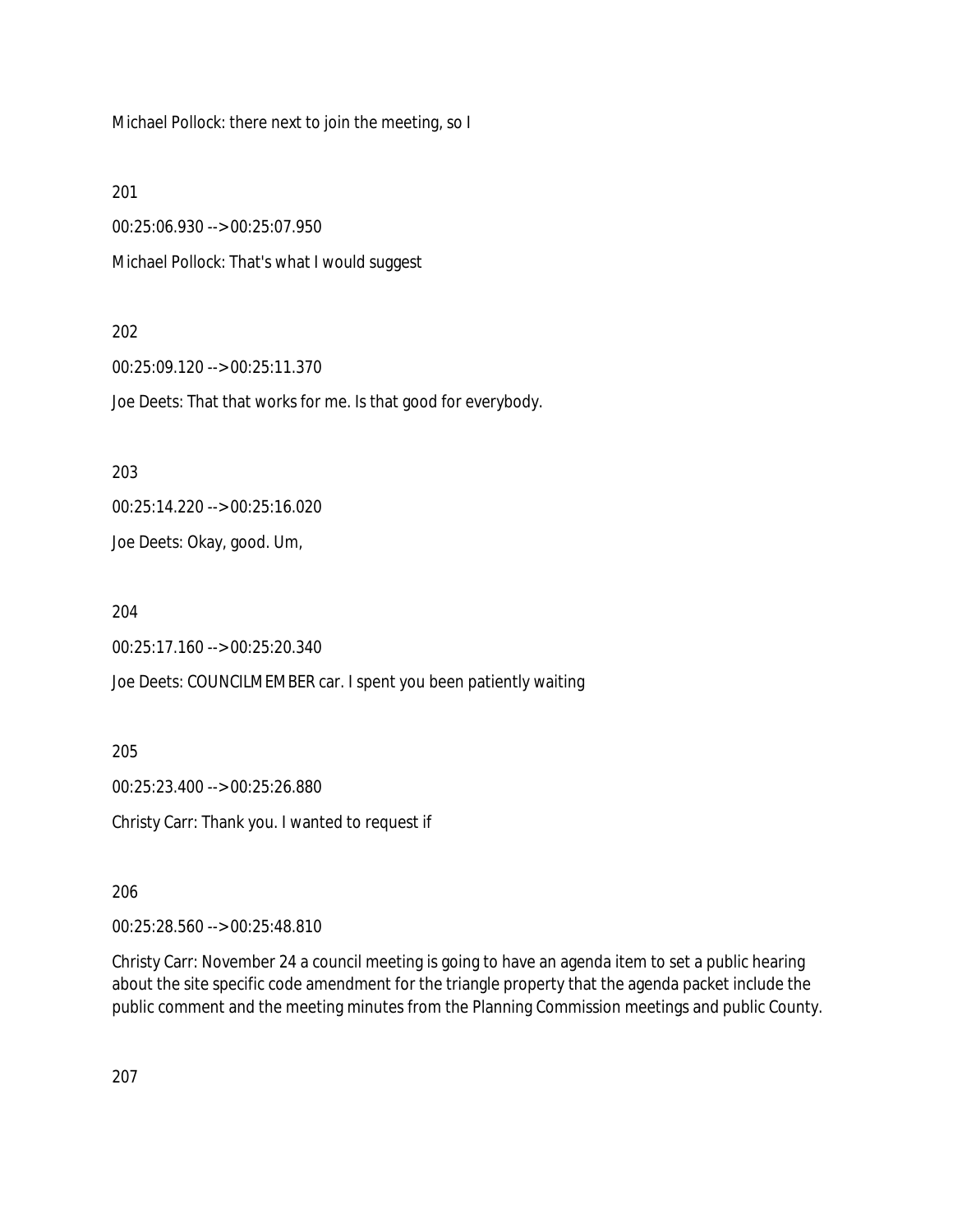Michael Pollock: there next to join the meeting, so I

201

00:25:06.930 --> 00:25:07.950 Michael Pollock: That's what I would suggest

#### 202

00:25:09.120 --> 00:25:11.370

Joe Deets: That that works for me. Is that good for everybody.

203

00:25:14.220 --> 00:25:16.020

Joe Deets: Okay, good. Um,

204

00:25:17.160 --> 00:25:20.340

Joe Deets: COUNCILMEMBER car. I spent you been patiently waiting

205

00:25:23.400 --> 00:25:26.880 Christy Carr: Thank you. I wanted to request if

206

00:25:28.560 --> 00:25:48.810

Christy Carr: November 24 a council meeting is going to have an agenda item to set a public hearing about the site specific code amendment for the triangle property that the agenda packet include the public comment and the meeting minutes from the Planning Commission meetings and public County.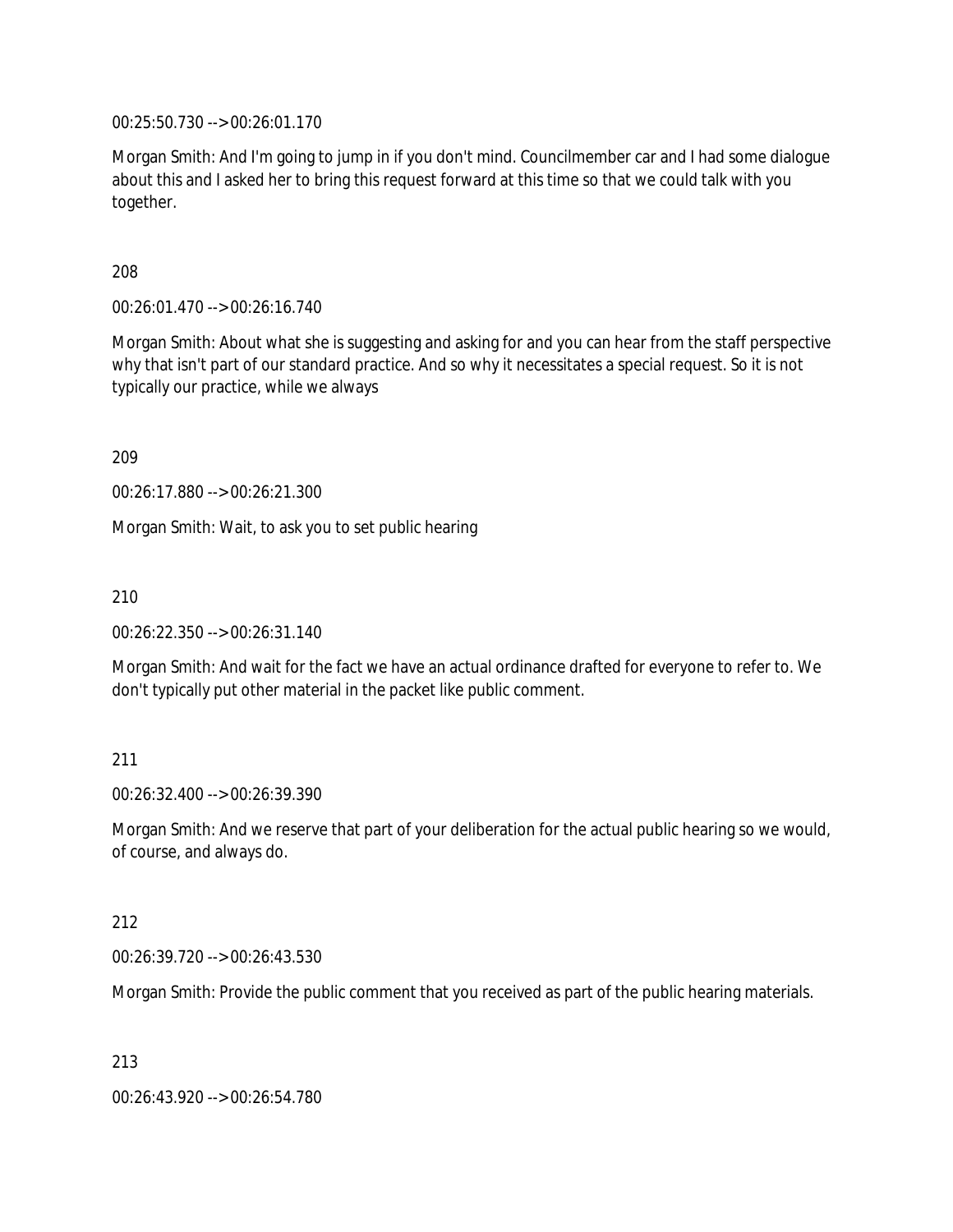00:25:50.730 --> 00:26:01.170

Morgan Smith: And I'm going to jump in if you don't mind. Councilmember car and I had some dialogue about this and I asked her to bring this request forward at this time so that we could talk with you together.

208

00:26:01.470 --> 00:26:16.740

Morgan Smith: About what she is suggesting and asking for and you can hear from the staff perspective why that isn't part of our standard practice. And so why it necessitates a special request. So it is not typically our practice, while we always

209

00:26:17.880 --> 00:26:21.300

Morgan Smith: Wait, to ask you to set public hearing

210

00:26:22.350 --> 00:26:31.140

Morgan Smith: And wait for the fact we have an actual ordinance drafted for everyone to refer to. We don't typically put other material in the packet like public comment.

### 211

00:26:32.400 --> 00:26:39.390

Morgan Smith: And we reserve that part of your deliberation for the actual public hearing so we would, of course, and always do.

#### 212

00:26:39.720 --> 00:26:43.530

Morgan Smith: Provide the public comment that you received as part of the public hearing materials.

213

00:26:43.920 --> 00:26:54.780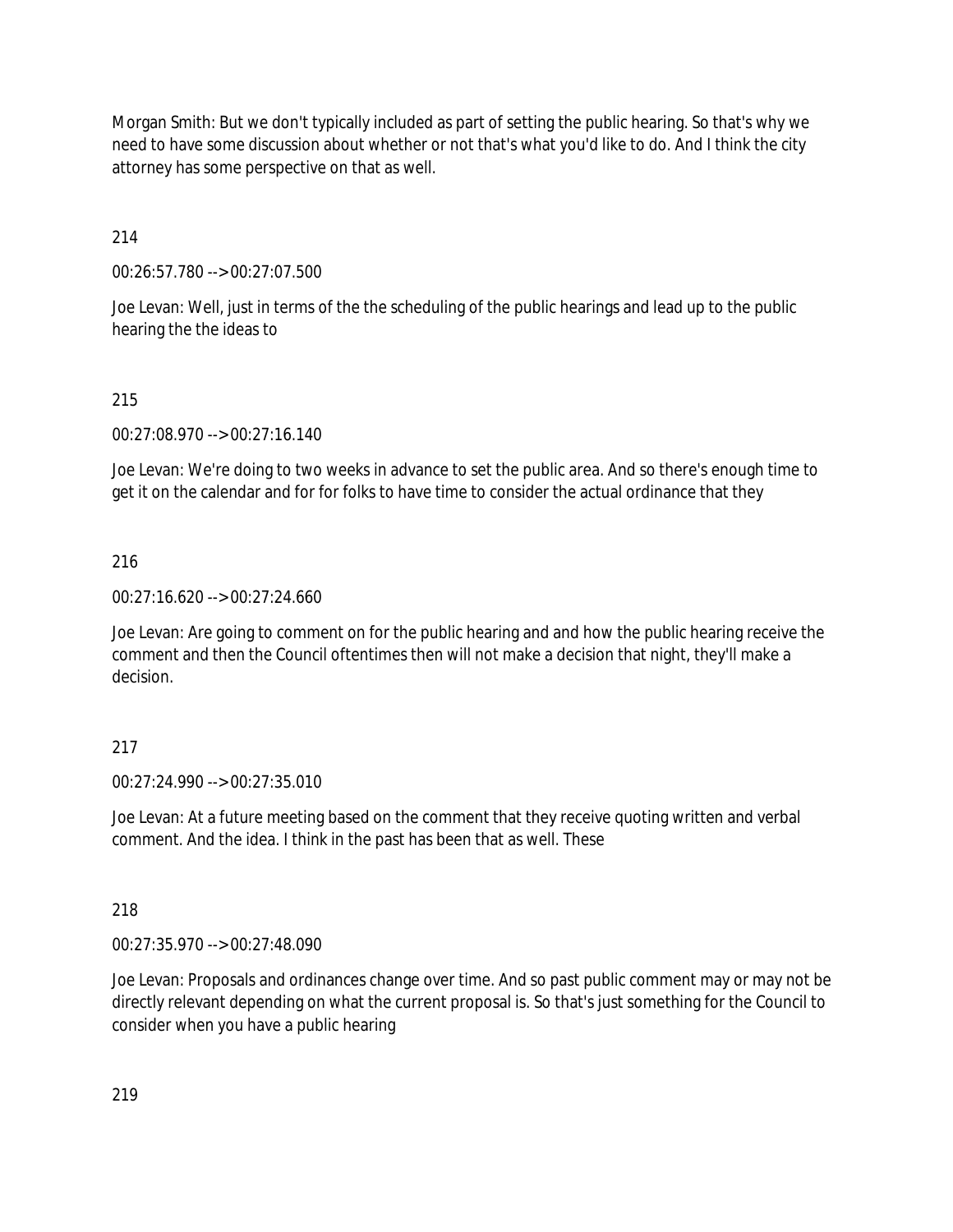Morgan Smith: But we don't typically included as part of setting the public hearing. So that's why we need to have some discussion about whether or not that's what you'd like to do. And I think the city attorney has some perspective on that as well.

214

00:26:57.780 --> 00:27:07.500

Joe Levan: Well, just in terms of the the scheduling of the public hearings and lead up to the public hearing the the ideas to

# 215

00:27:08.970 --> 00:27:16.140

Joe Levan: We're doing to two weeks in advance to set the public area. And so there's enough time to get it on the calendar and for for folks to have time to consider the actual ordinance that they

# 216

00:27:16.620 --> 00:27:24.660

Joe Levan: Are going to comment on for the public hearing and and how the public hearing receive the comment and then the Council oftentimes then will not make a decision that night, they'll make a decision.

# 217

00:27:24.990 --> 00:27:35.010

Joe Levan: At a future meeting based on the comment that they receive quoting written and verbal comment. And the idea. I think in the past has been that as well. These

# 218

00:27:35.970 --> 00:27:48.090

Joe Levan: Proposals and ordinances change over time. And so past public comment may or may not be directly relevant depending on what the current proposal is. So that's just something for the Council to consider when you have a public hearing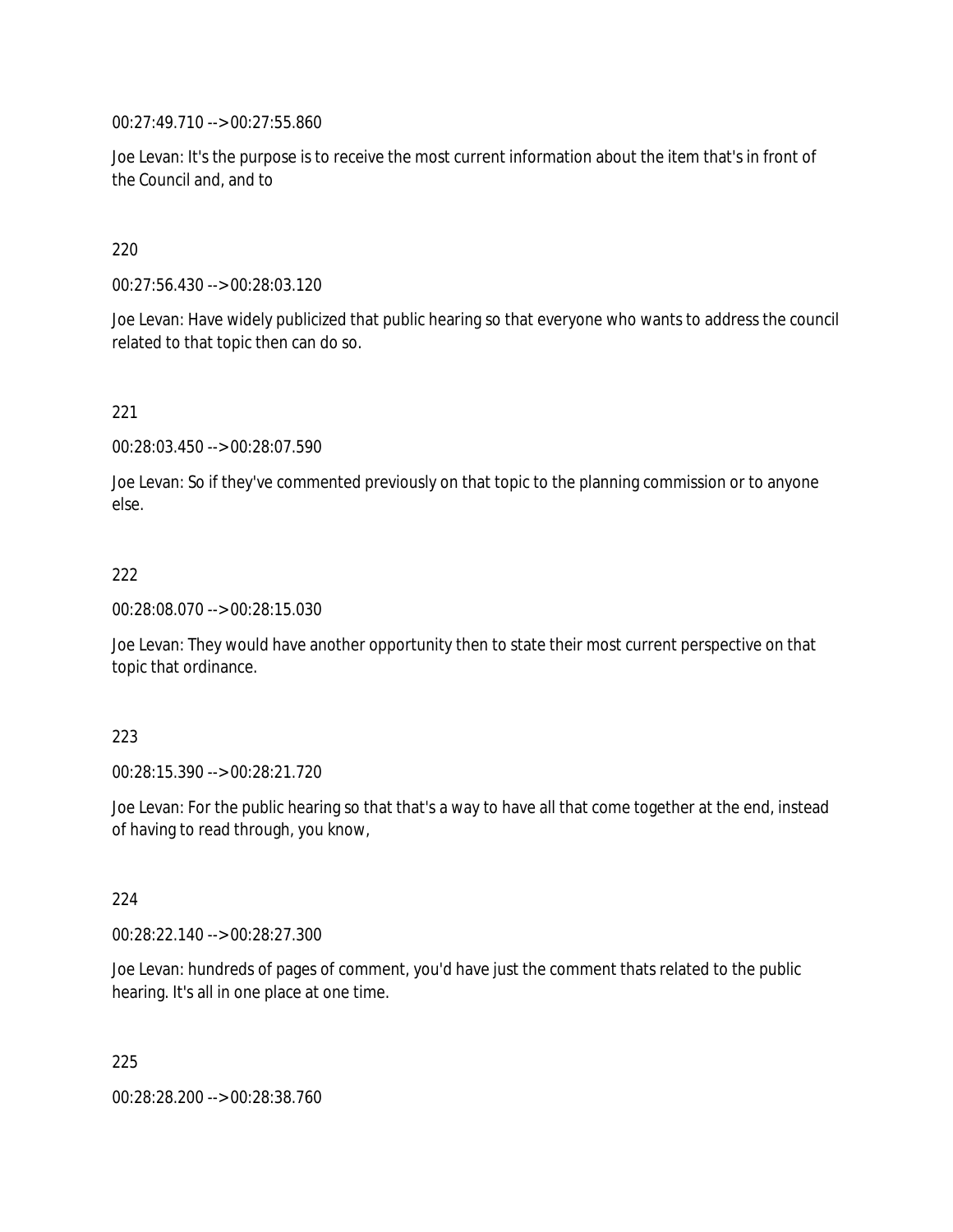00:27:49.710 --> 00:27:55.860

Joe Levan: It's the purpose is to receive the most current information about the item that's in front of the Council and, and to

### 220

00:27:56.430 --> 00:28:03.120

Joe Levan: Have widely publicized that public hearing so that everyone who wants to address the council related to that topic then can do so.

### 221

00:28:03.450 --> 00:28:07.590

Joe Levan: So if they've commented previously on that topic to the planning commission or to anyone else.

### 222

00:28:08.070 --> 00:28:15.030

Joe Levan: They would have another opportunity then to state their most current perspective on that topic that ordinance.

### 223

00:28:15.390 --> 00:28:21.720

Joe Levan: For the public hearing so that that's a way to have all that come together at the end, instead of having to read through, you know,

### 224

00:28:22.140 --> 00:28:27.300

Joe Levan: hundreds of pages of comment, you'd have just the comment thats related to the public hearing. It's all in one place at one time.

225

00:28:28.200 --> 00:28:38.760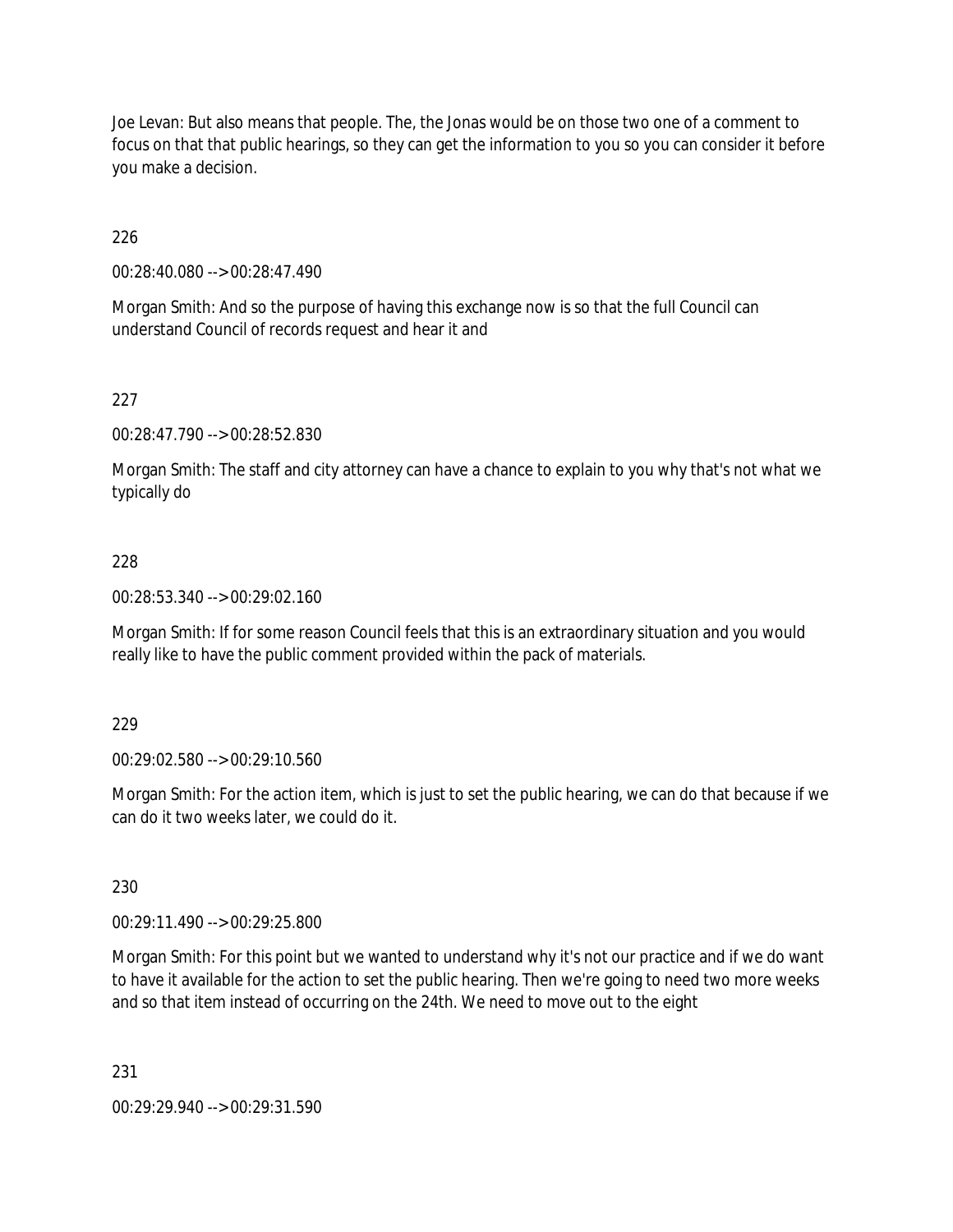Joe Levan: But also means that people. The, the Jonas would be on those two one of a comment to focus on that that public hearings, so they can get the information to you so you can consider it before you make a decision.

226

00:28:40.080 --> 00:28:47.490

Morgan Smith: And so the purpose of having this exchange now is so that the full Council can understand Council of records request and hear it and

227

00:28:47.790 --> 00:28:52.830

Morgan Smith: The staff and city attorney can have a chance to explain to you why that's not what we typically do

228

00:28:53.340 --> 00:29:02.160

Morgan Smith: If for some reason Council feels that this is an extraordinary situation and you would really like to have the public comment provided within the pack of materials.

229

00:29:02.580 --> 00:29:10.560

Morgan Smith: For the action item, which is just to set the public hearing, we can do that because if we can do it two weeks later, we could do it.

230

00:29:11.490 --> 00:29:25.800

Morgan Smith: For this point but we wanted to understand why it's not our practice and if we do want to have it available for the action to set the public hearing. Then we're going to need two more weeks and so that item instead of occurring on the 24th. We need to move out to the eight

231

00:29:29.940 --> 00:29:31.590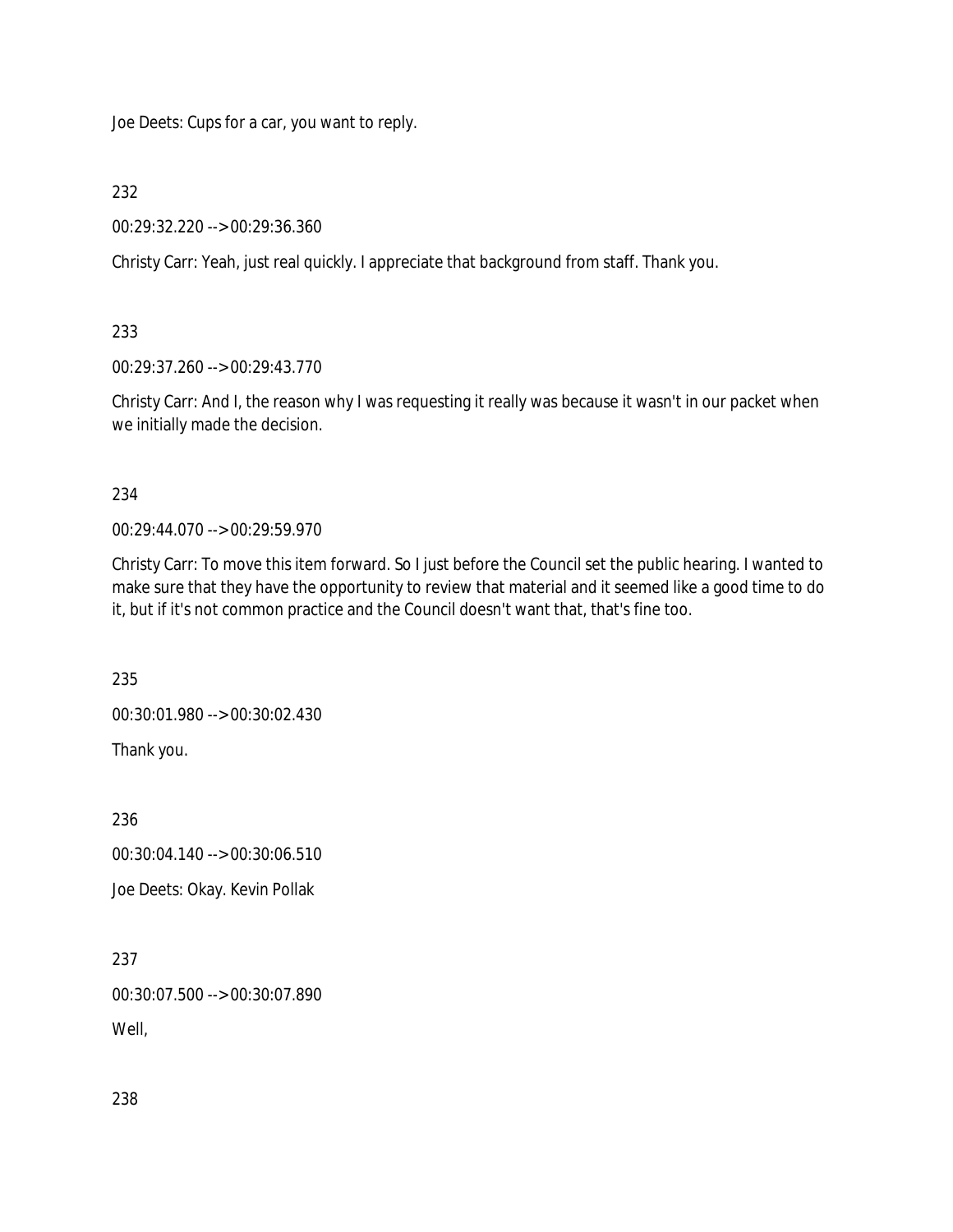Joe Deets: Cups for a car, you want to reply.

232

00:29:32.220 --> 00:29:36.360

Christy Carr: Yeah, just real quickly. I appreciate that background from staff. Thank you.

233

00:29:37.260 --> 00:29:43.770

Christy Carr: And I, the reason why I was requesting it really was because it wasn't in our packet when we initially made the decision.

234

00:29:44.070 --> 00:29:59.970

Christy Carr: To move this item forward. So I just before the Council set the public hearing. I wanted to make sure that they have the opportunity to review that material and it seemed like a good time to do it, but if it's not common practice and the Council doesn't want that, that's fine too.

235

00:30:01.980 --> 00:30:02.430

Thank you.

236

00:30:04.140 --> 00:30:06.510

Joe Deets: Okay. Kevin Pollak

237

00:30:07.500 --> 00:30:07.890

Well,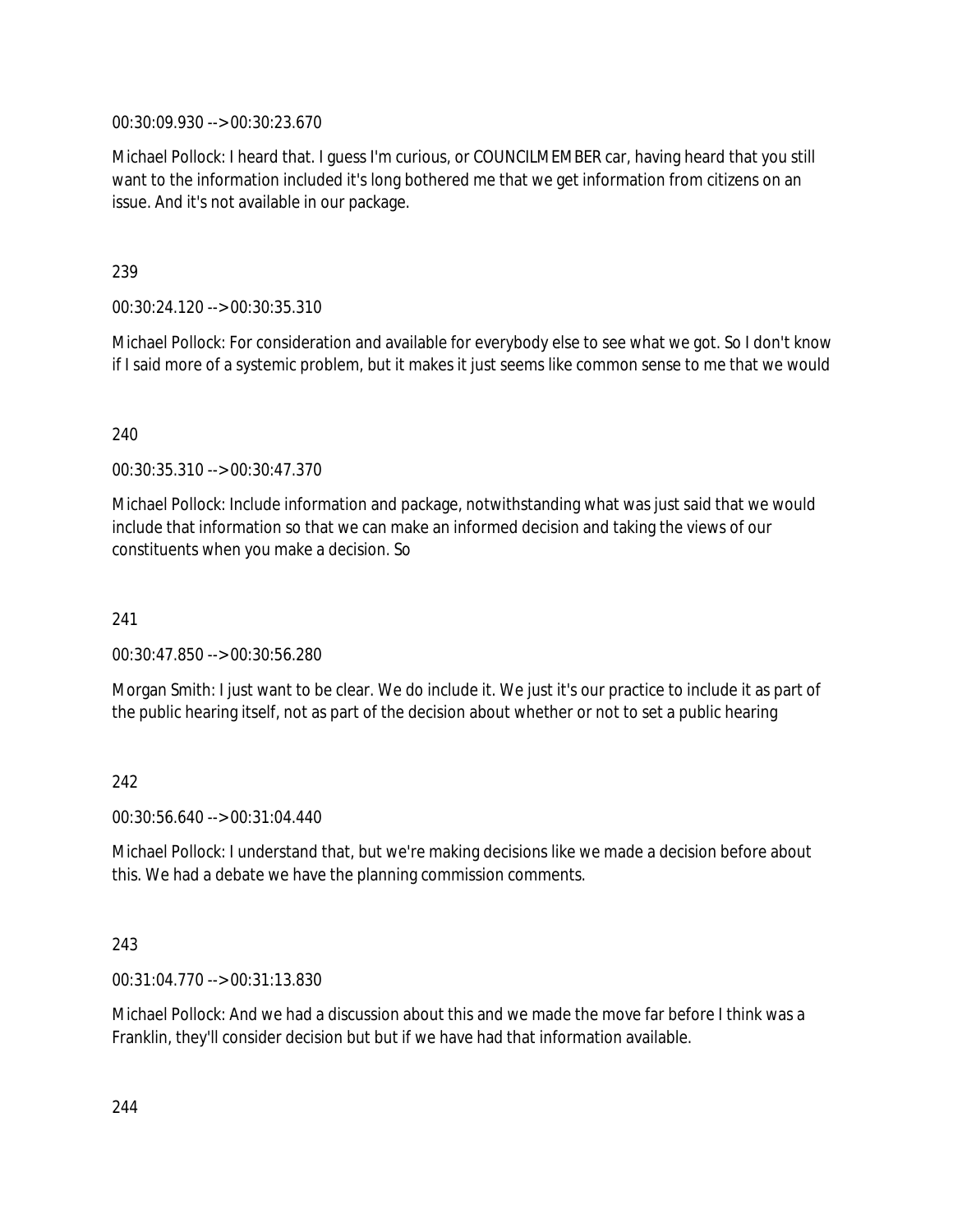00:30:09.930 --> 00:30:23.670

Michael Pollock: I heard that. I guess I'm curious, or COUNCILMEMBER car, having heard that you still want to the information included it's long bothered me that we get information from citizens on an issue. And it's not available in our package.

239

00:30:24.120 --> 00:30:35.310

Michael Pollock: For consideration and available for everybody else to see what we got. So I don't know if I said more of a systemic problem, but it makes it just seems like common sense to me that we would

240

00:30:35.310 --> 00:30:47.370

Michael Pollock: Include information and package, notwithstanding what was just said that we would include that information so that we can make an informed decision and taking the views of our constituents when you make a decision. So

241

00:30:47.850 --> 00:30:56.280

Morgan Smith: I just want to be clear. We do include it. We just it's our practice to include it as part of the public hearing itself, not as part of the decision about whether or not to set a public hearing

242

00:30:56.640 --> 00:31:04.440

Michael Pollock: I understand that, but we're making decisions like we made a decision before about this. We had a debate we have the planning commission comments.

243

00:31:04.770 --> 00:31:13.830

Michael Pollock: And we had a discussion about this and we made the move far before I think was a Franklin, they'll consider decision but but if we have had that information available.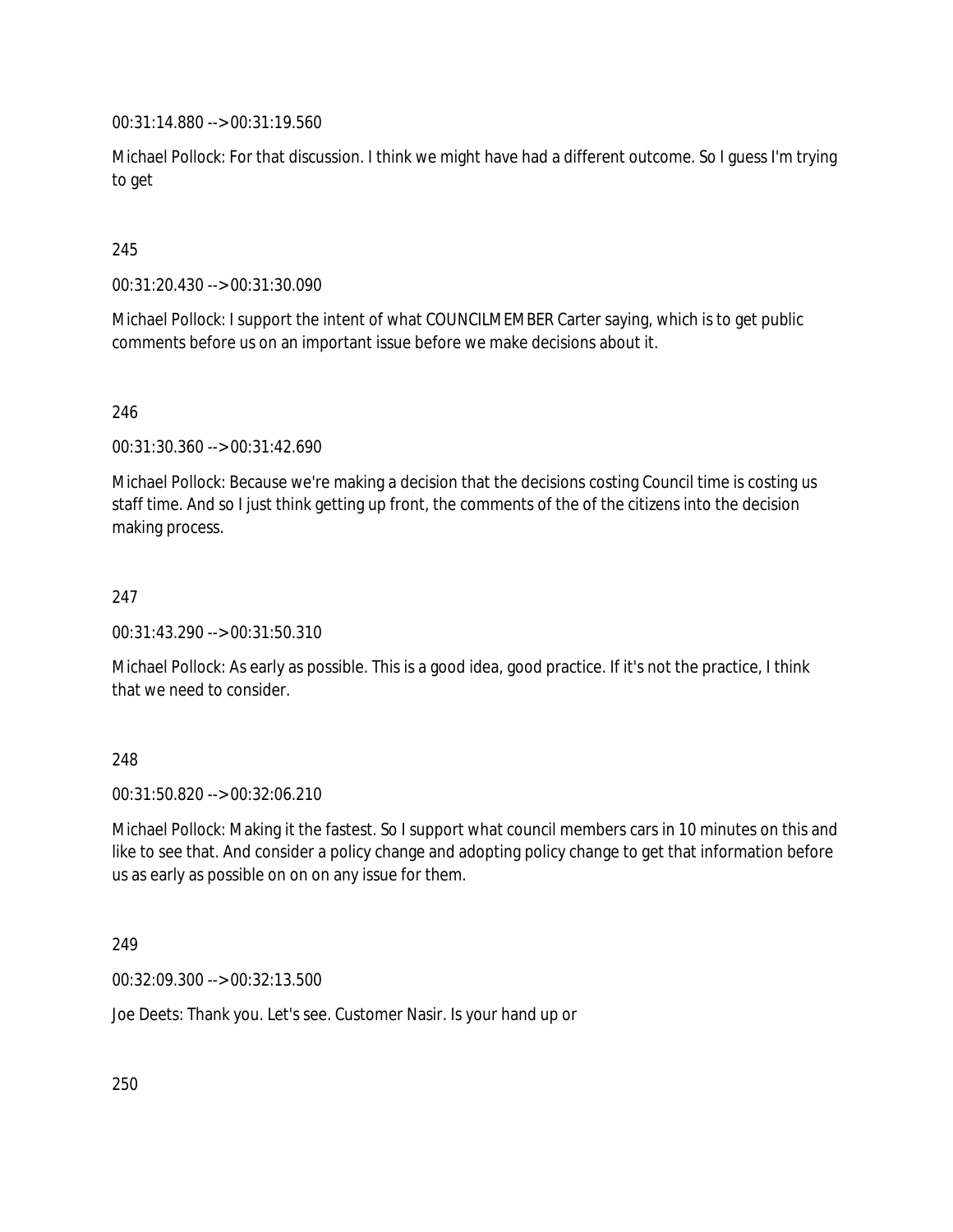00:31:14.880 --> 00:31:19.560

Michael Pollock: For that discussion. I think we might have had a different outcome. So I guess I'm trying to get

# 245

00:31:20.430 --> 00:31:30.090

Michael Pollock: I support the intent of what COUNCILMEMBER Carter saying, which is to get public comments before us on an important issue before we make decisions about it.

## 246

00:31:30.360 --> 00:31:42.690

Michael Pollock: Because we're making a decision that the decisions costing Council time is costing us staff time. And so I just think getting up front, the comments of the of the citizens into the decision making process.

## 247

00:31:43.290 --> 00:31:50.310

Michael Pollock: As early as possible. This is a good idea, good practice. If it's not the practice, I think that we need to consider.

## 248

00:31:50.820 --> 00:32:06.210

Michael Pollock: Making it the fastest. So I support what council members cars in 10 minutes on this and like to see that. And consider a policy change and adopting policy change to get that information before us as early as possible on on on any issue for them.

#### 249

00:32:09.300 --> 00:32:13.500

Joe Deets: Thank you. Let's see. Customer Nasir. Is your hand up or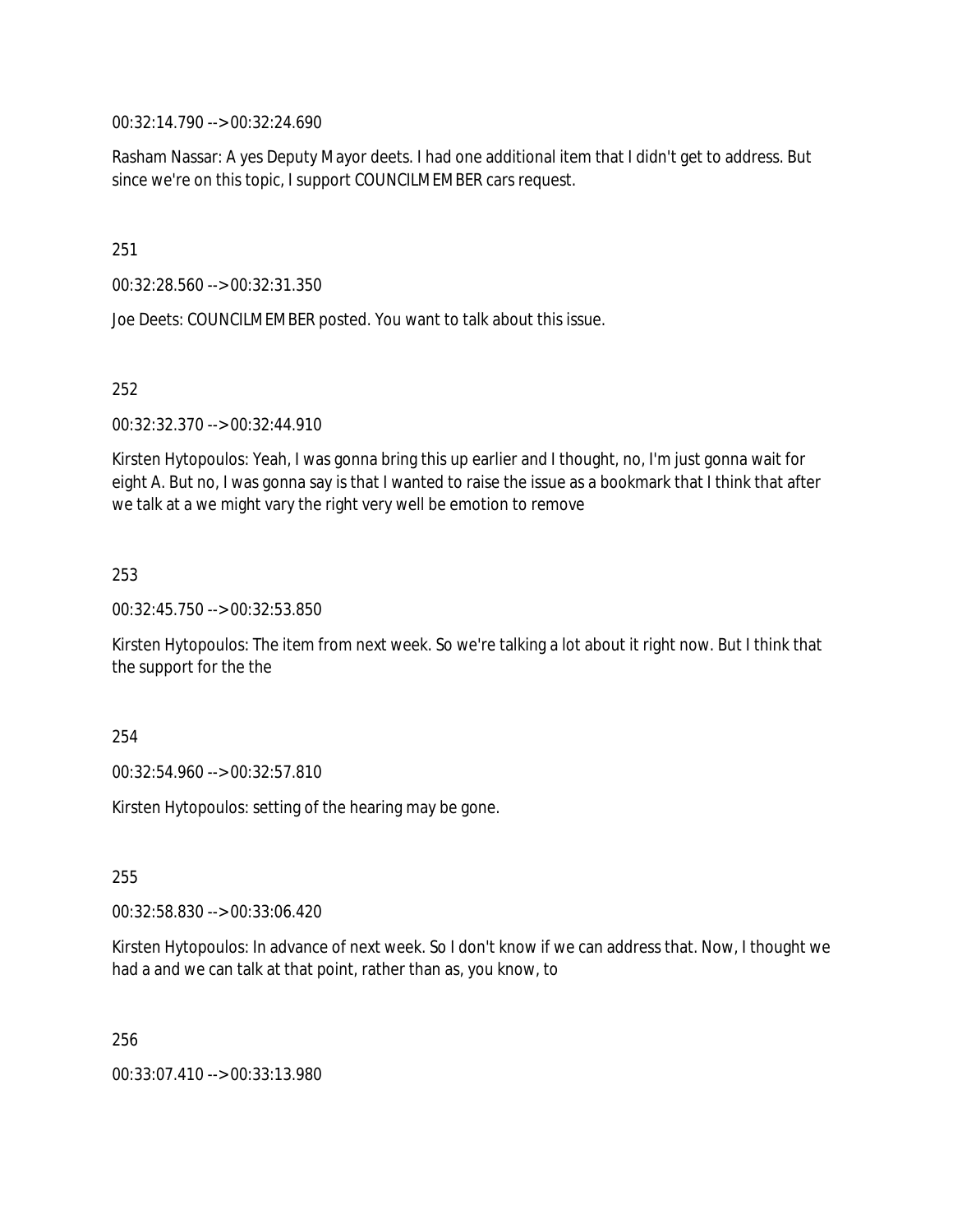00:32:14.790 --> 00:32:24.690

Rasham Nassar: A yes Deputy Mayor deets. I had one additional item that I didn't get to address. But since we're on this topic, I support COUNCILMEMBER cars request.

251

00:32:28.560 --> 00:32:31.350

Joe Deets: COUNCILMEMBER posted. You want to talk about this issue.

252

00:32:32.370 --> 00:32:44.910

Kirsten Hytopoulos: Yeah, I was gonna bring this up earlier and I thought, no, I'm just gonna wait for eight A. But no, I was gonna say is that I wanted to raise the issue as a bookmark that I think that after we talk at a we might vary the right very well be emotion to remove

253

00:32:45.750 --> 00:32:53.850

Kirsten Hytopoulos: The item from next week. So we're talking a lot about it right now. But I think that the support for the the

254

00:32:54.960 --> 00:32:57.810

Kirsten Hytopoulos: setting of the hearing may be gone.

255

00:32:58.830 --> 00:33:06.420

Kirsten Hytopoulos: In advance of next week. So I don't know if we can address that. Now, I thought we had a and we can talk at that point, rather than as, you know, to

256

00:33:07.410 --> 00:33:13.980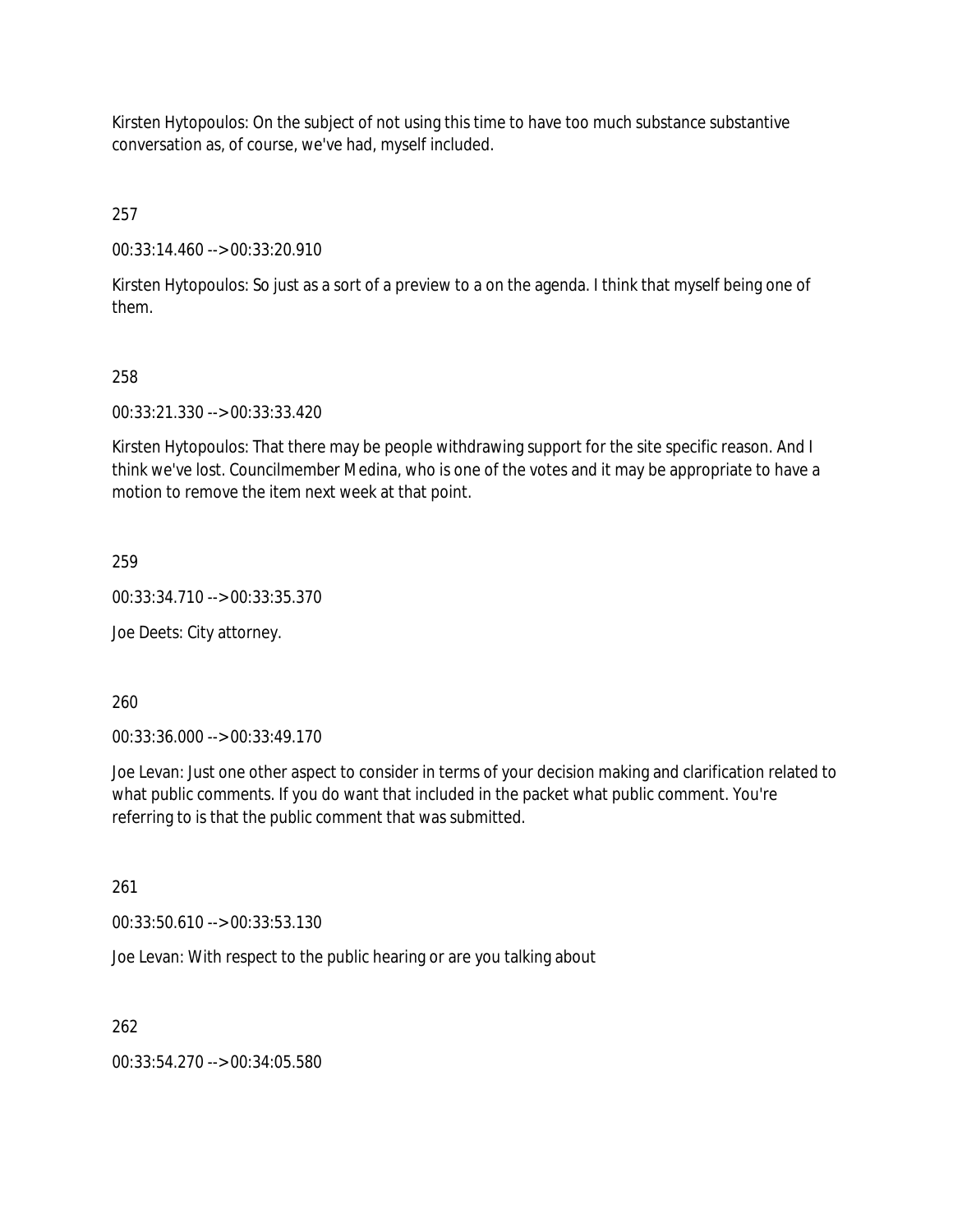Kirsten Hytopoulos: On the subject of not using this time to have too much substance substantive conversation as, of course, we've had, myself included.

257

00:33:14.460 --> 00:33:20.910

Kirsten Hytopoulos: So just as a sort of a preview to a on the agenda. I think that myself being one of them.

### 258

00:33:21.330 --> 00:33:33.420

Kirsten Hytopoulos: That there may be people withdrawing support for the site specific reason. And I think we've lost. Councilmember Medina, who is one of the votes and it may be appropriate to have a motion to remove the item next week at that point.

259

00:33:34.710 --> 00:33:35.370

Joe Deets: City attorney.

260

00:33:36.000 --> 00:33:49.170

Joe Levan: Just one other aspect to consider in terms of your decision making and clarification related to what public comments. If you do want that included in the packet what public comment. You're referring to is that the public comment that was submitted.

261

00:33:50.610 --> 00:33:53.130

Joe Levan: With respect to the public hearing or are you talking about

262

00:33:54.270 --> 00:34:05.580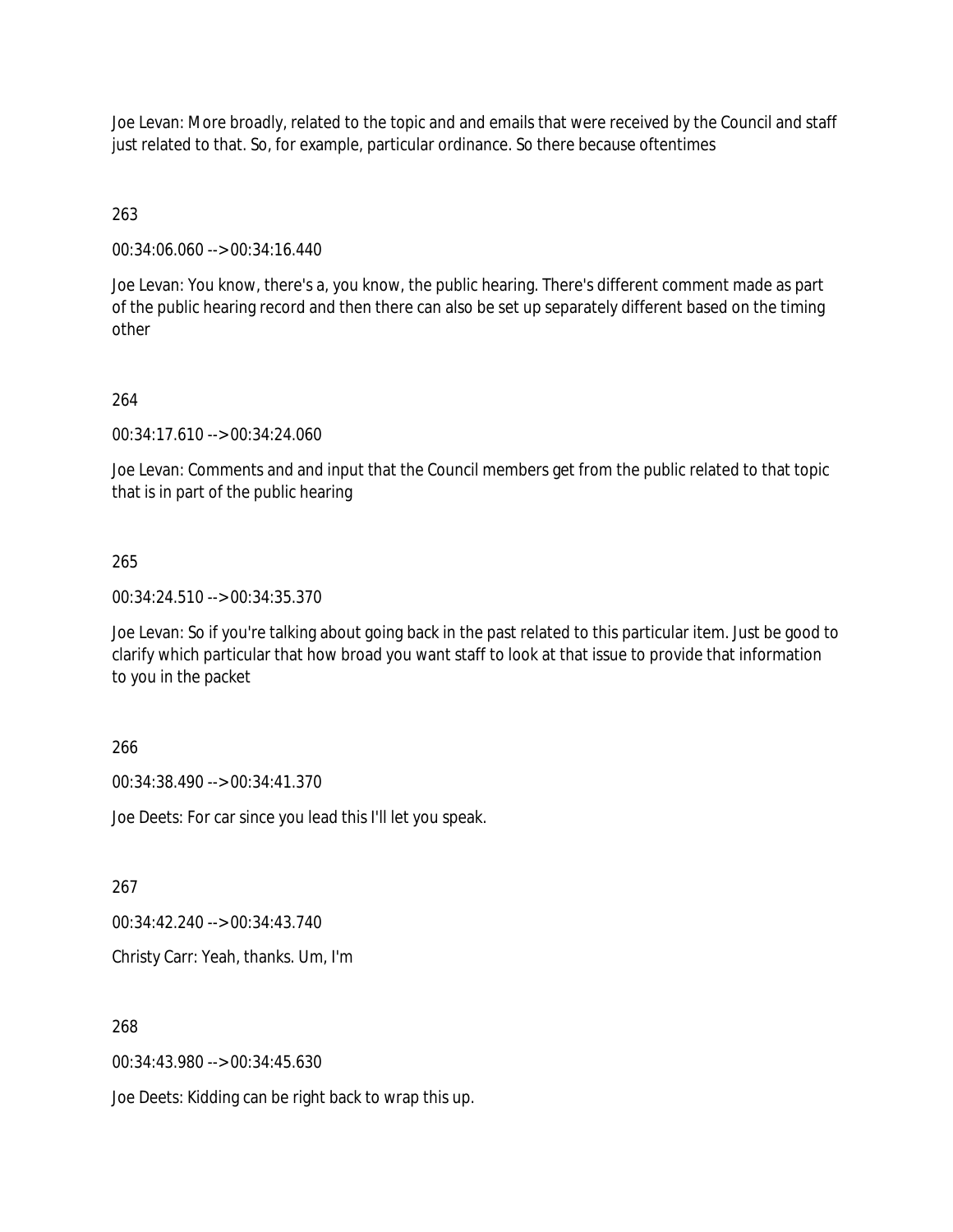Joe Levan: More broadly, related to the topic and and emails that were received by the Council and staff just related to that. So, for example, particular ordinance. So there because oftentimes

263

00:34:06.060 --> 00:34:16.440

Joe Levan: You know, there's a, you know, the public hearing. There's different comment made as part of the public hearing record and then there can also be set up separately different based on the timing other

# 264

00:34:17.610 --> 00:34:24.060

Joe Levan: Comments and and input that the Council members get from the public related to that topic that is in part of the public hearing

# 265

00:34:24.510 --> 00:34:35.370

Joe Levan: So if you're talking about going back in the past related to this particular item. Just be good to clarify which particular that how broad you want staff to look at that issue to provide that information to you in the packet

## 266

00:34:38.490 --> 00:34:41.370

Joe Deets: For car since you lead this I'll let you speak.

267

00:34:42.240 --> 00:34:43.740

Christy Carr: Yeah, thanks. Um, I'm

## 268

00:34:43.980 --> 00:34:45.630

Joe Deets: Kidding can be right back to wrap this up.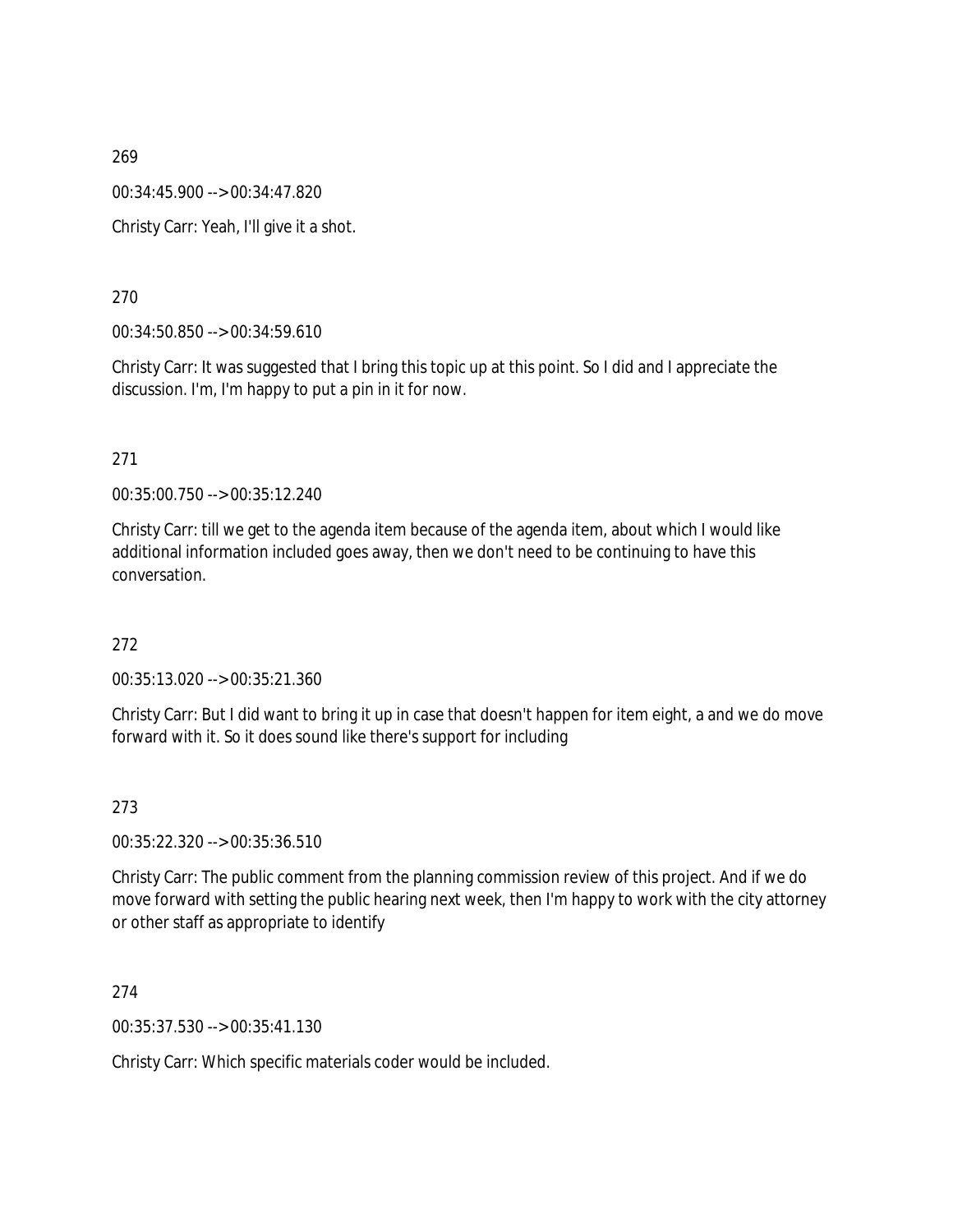00:34:45.900 --> 00:34:47.820

Christy Carr: Yeah, I'll give it a shot.

270

00:34:50.850 --> 00:34:59.610

Christy Carr: It was suggested that I bring this topic up at this point. So I did and I appreciate the discussion. I'm, I'm happy to put a pin in it for now.

271

00:35:00.750 --> 00:35:12.240

Christy Carr: till we get to the agenda item because of the agenda item, about which I would like additional information included goes away, then we don't need to be continuing to have this conversation.

272

00:35:13.020 --> 00:35:21.360

Christy Carr: But I did want to bring it up in case that doesn't happen for item eight, a and we do move forward with it. So it does sound like there's support for including

273

00:35:22.320 --> 00:35:36.510

Christy Carr: The public comment from the planning commission review of this project. And if we do move forward with setting the public hearing next week, then I'm happy to work with the city attorney or other staff as appropriate to identify

274

00:35:37.530 --> 00:35:41.130

Christy Carr: Which specific materials coder would be included.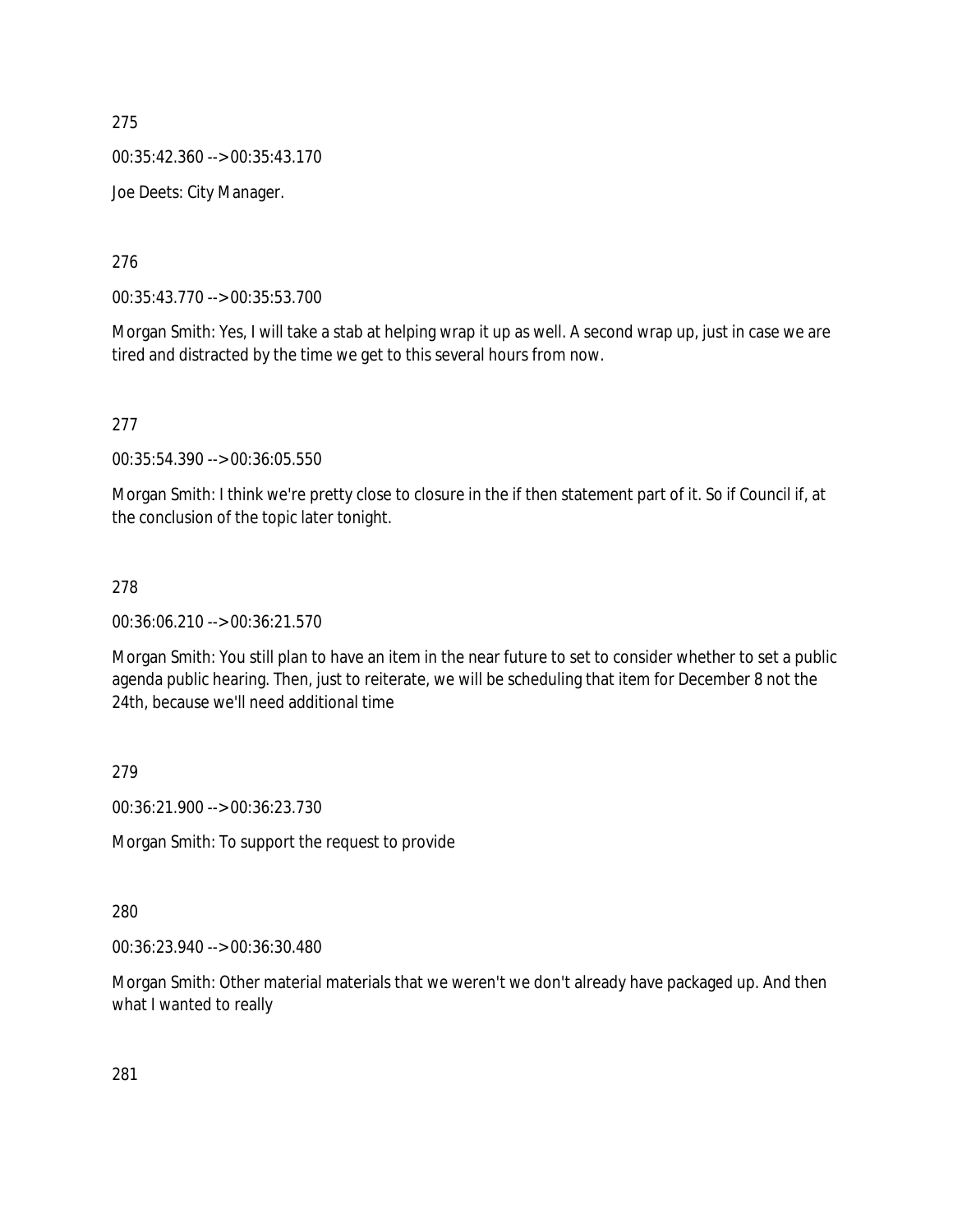00:35:42.360 --> 00:35:43.170

Joe Deets: City Manager.

276

00:35:43.770 --> 00:35:53.700

Morgan Smith: Yes, I will take a stab at helping wrap it up as well. A second wrap up, just in case we are tired and distracted by the time we get to this several hours from now.

277

00:35:54.390 --> 00:36:05.550

Morgan Smith: I think we're pretty close to closure in the if then statement part of it. So if Council if, at the conclusion of the topic later tonight.

## 278

00:36:06.210 --> 00:36:21.570

Morgan Smith: You still plan to have an item in the near future to set to consider whether to set a public agenda public hearing. Then, just to reiterate, we will be scheduling that item for December 8 not the 24th, because we'll need additional time

279

00:36:21.900 --> 00:36:23.730

Morgan Smith: To support the request to provide

280

00:36:23.940 --> 00:36:30.480

Morgan Smith: Other material materials that we weren't we don't already have packaged up. And then what I wanted to really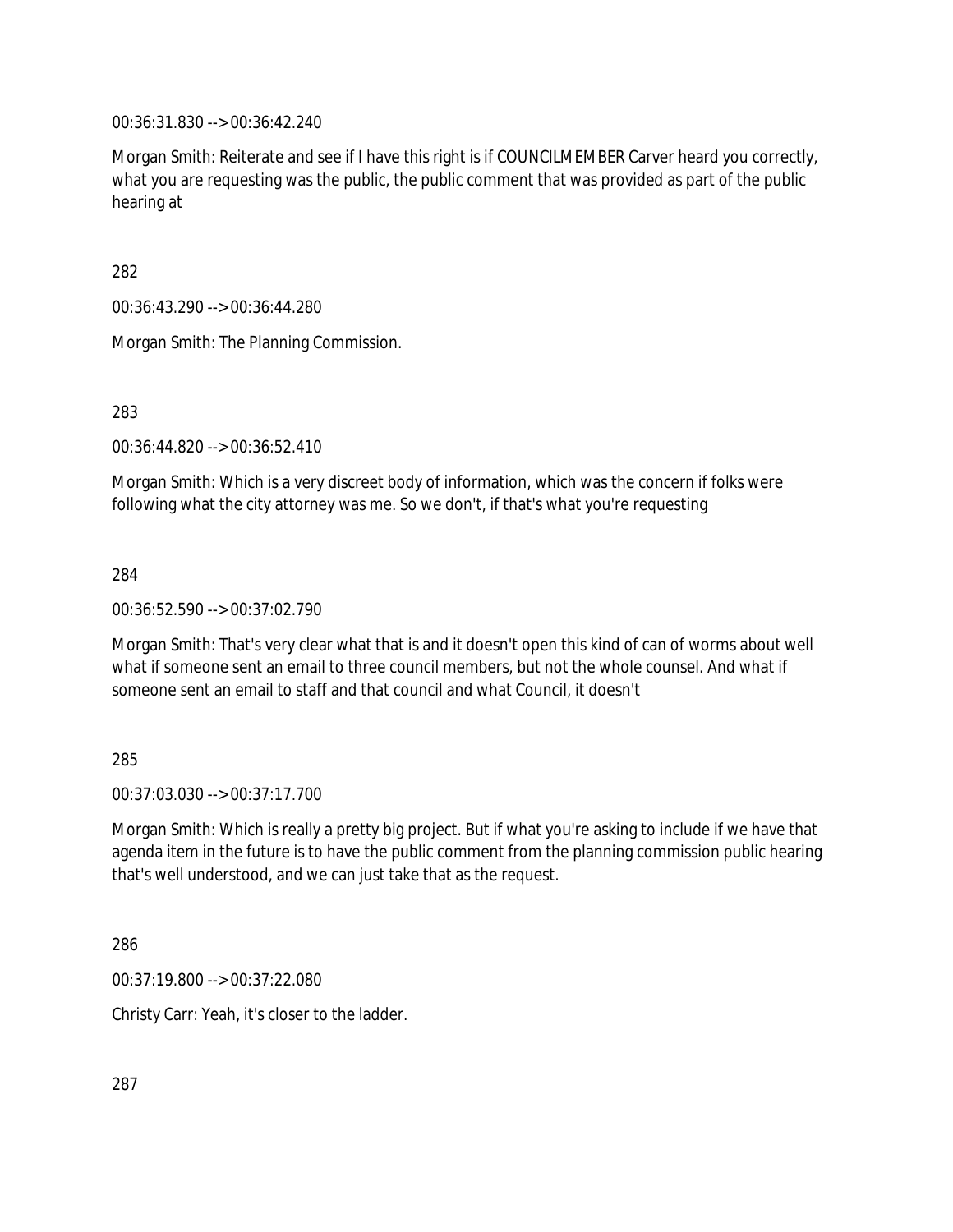00:36:31.830 --> 00:36:42.240

Morgan Smith: Reiterate and see if I have this right is if COUNCILMEMBER Carver heard you correctly, what you are requesting was the public, the public comment that was provided as part of the public hearing at

282

00:36:43.290 --> 00:36:44.280

Morgan Smith: The Planning Commission.

283

00:36:44.820 --> 00:36:52.410

Morgan Smith: Which is a very discreet body of information, which was the concern if folks were following what the city attorney was me. So we don't, if that's what you're requesting

284

00:36:52.590 --> 00:37:02.790

Morgan Smith: That's very clear what that is and it doesn't open this kind of can of worms about well what if someone sent an email to three council members, but not the whole counsel. And what if someone sent an email to staff and that council and what Council, it doesn't

285

00:37:03.030 --> 00:37:17.700

Morgan Smith: Which is really a pretty big project. But if what you're asking to include if we have that agenda item in the future is to have the public comment from the planning commission public hearing that's well understood, and we can just take that as the request.

286

00:37:19.800 --> 00:37:22.080

Christy Carr: Yeah, it's closer to the ladder.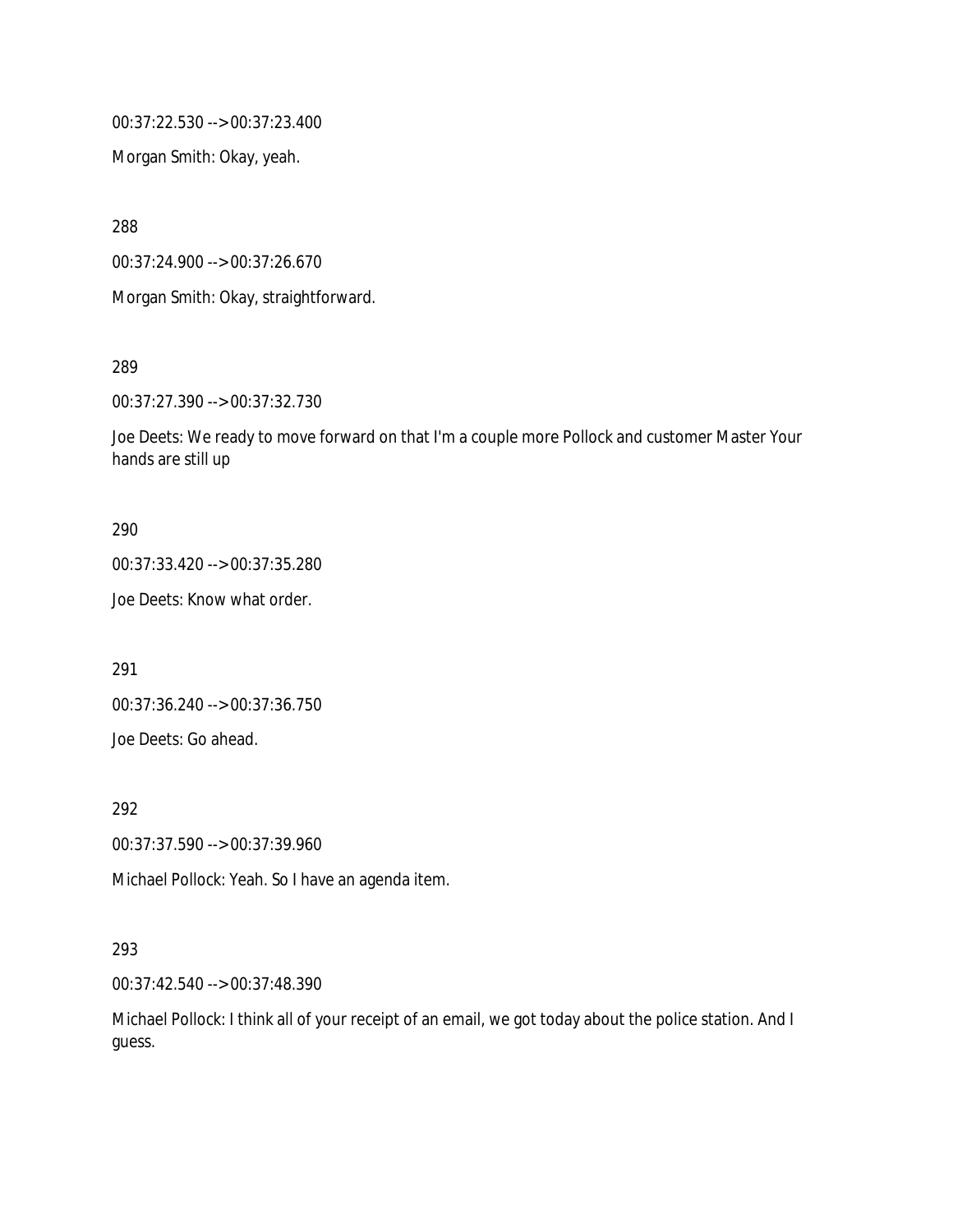00:37:22.530 --> 00:37:23.400

Morgan Smith: Okay, yeah.

288

00:37:24.900 --> 00:37:26.670

Morgan Smith: Okay, straightforward.

289

00:37:27.390 --> 00:37:32.730

Joe Deets: We ready to move forward on that I'm a couple more Pollock and customer Master Your hands are still up

### 290

00:37:33.420 --> 00:37:35.280

Joe Deets: Know what order.

291

00:37:36.240 --> 00:37:36.750 Joe Deets: Go ahead.

292

00:37:37.590 --> 00:37:39.960

Michael Pollock: Yeah. So I have an agenda item.

## 293

00:37:42.540 --> 00:37:48.390

Michael Pollock: I think all of your receipt of an email, we got today about the police station. And I guess.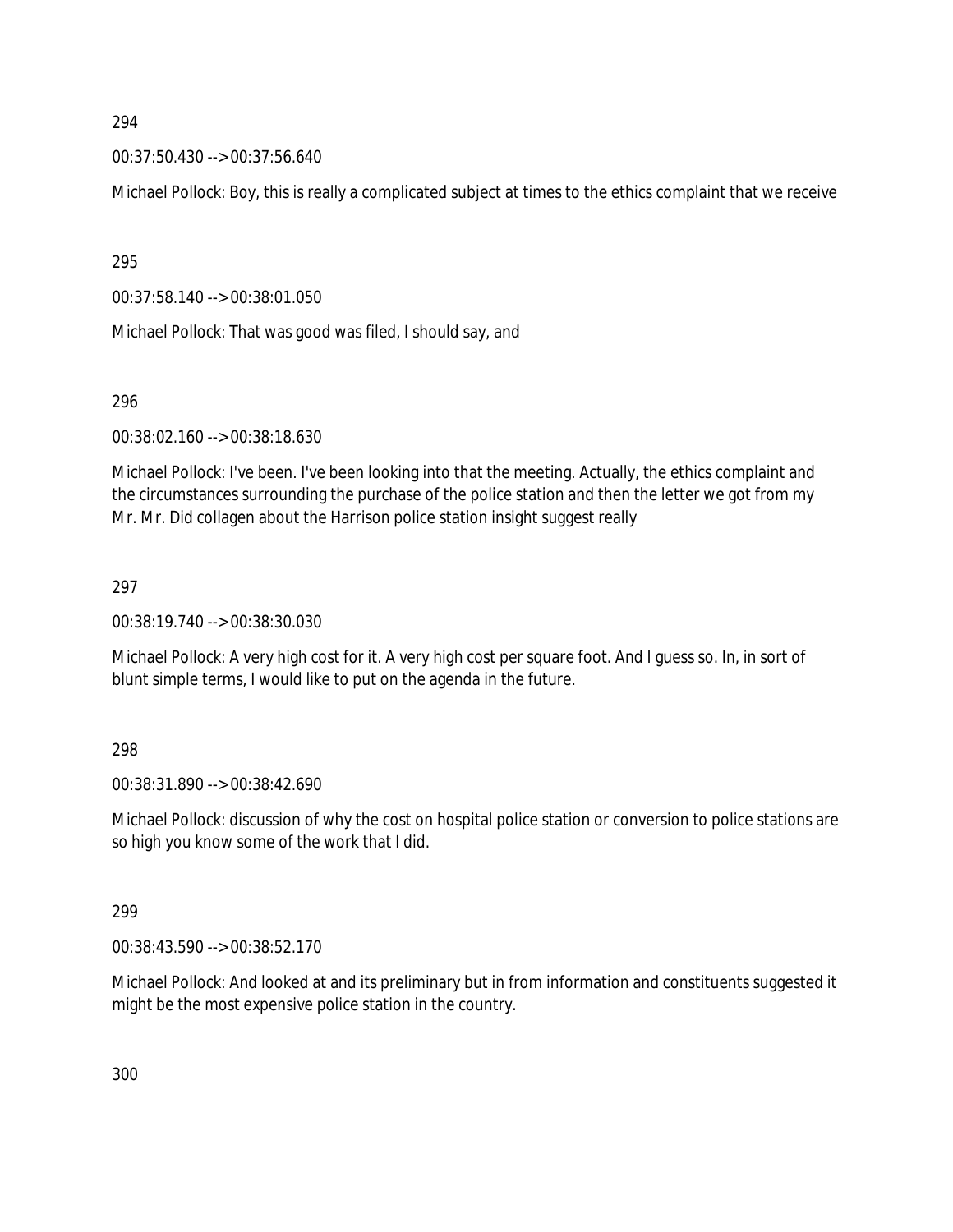00:37:50.430 --> 00:37:56.640

Michael Pollock: Boy, this is really a complicated subject at times to the ethics complaint that we receive

295

00:37:58.140 --> 00:38:01.050

Michael Pollock: That was good was filed, I should say, and

296

00:38:02.160 --> 00:38:18.630

Michael Pollock: I've been. I've been looking into that the meeting. Actually, the ethics complaint and the circumstances surrounding the purchase of the police station and then the letter we got from my Mr. Mr. Did collagen about the Harrison police station insight suggest really

297

00:38:19.740 --> 00:38:30.030

Michael Pollock: A very high cost for it. A very high cost per square foot. And I guess so. In, in sort of blunt simple terms, I would like to put on the agenda in the future.

298

00:38:31.890 --> 00:38:42.690

Michael Pollock: discussion of why the cost on hospital police station or conversion to police stations are so high you know some of the work that I did.

299

00:38:43.590 --> 00:38:52.170

Michael Pollock: And looked at and its preliminary but in from information and constituents suggested it might be the most expensive police station in the country.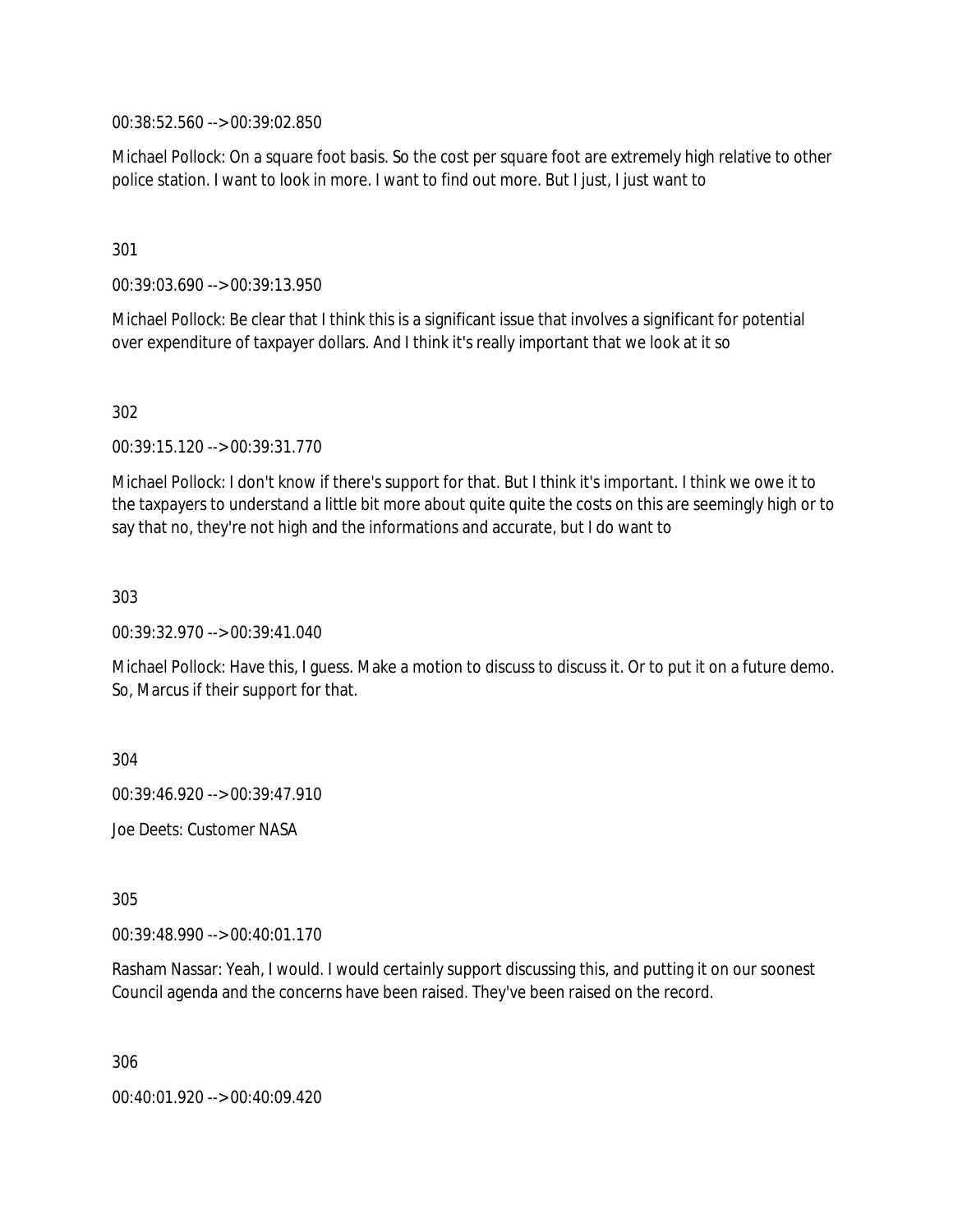00:38:52.560 --> 00:39:02.850

Michael Pollock: On a square foot basis. So the cost per square foot are extremely high relative to other police station. I want to look in more. I want to find out more. But I just, I just want to

301

00:39:03.690 --> 00:39:13.950

Michael Pollock: Be clear that I think this is a significant issue that involves a significant for potential over expenditure of taxpayer dollars. And I think it's really important that we look at it so

302

00:39:15.120 --> 00:39:31.770

Michael Pollock: I don't know if there's support for that. But I think it's important. I think we owe it to the taxpayers to understand a little bit more about quite quite the costs on this are seemingly high or to say that no, they're not high and the informations and accurate, but I do want to

303

00:39:32.970 --> 00:39:41.040

Michael Pollock: Have this, I guess. Make a motion to discuss to discuss it. Or to put it on a future demo. So, Marcus if their support for that.

304

00:39:46.920 --> 00:39:47.910

Joe Deets: Customer NASA

305

00:39:48.990 --> 00:40:01.170

Rasham Nassar: Yeah, I would. I would certainly support discussing this, and putting it on our soonest Council agenda and the concerns have been raised. They've been raised on the record.

306

00:40:01.920 --> 00:40:09.420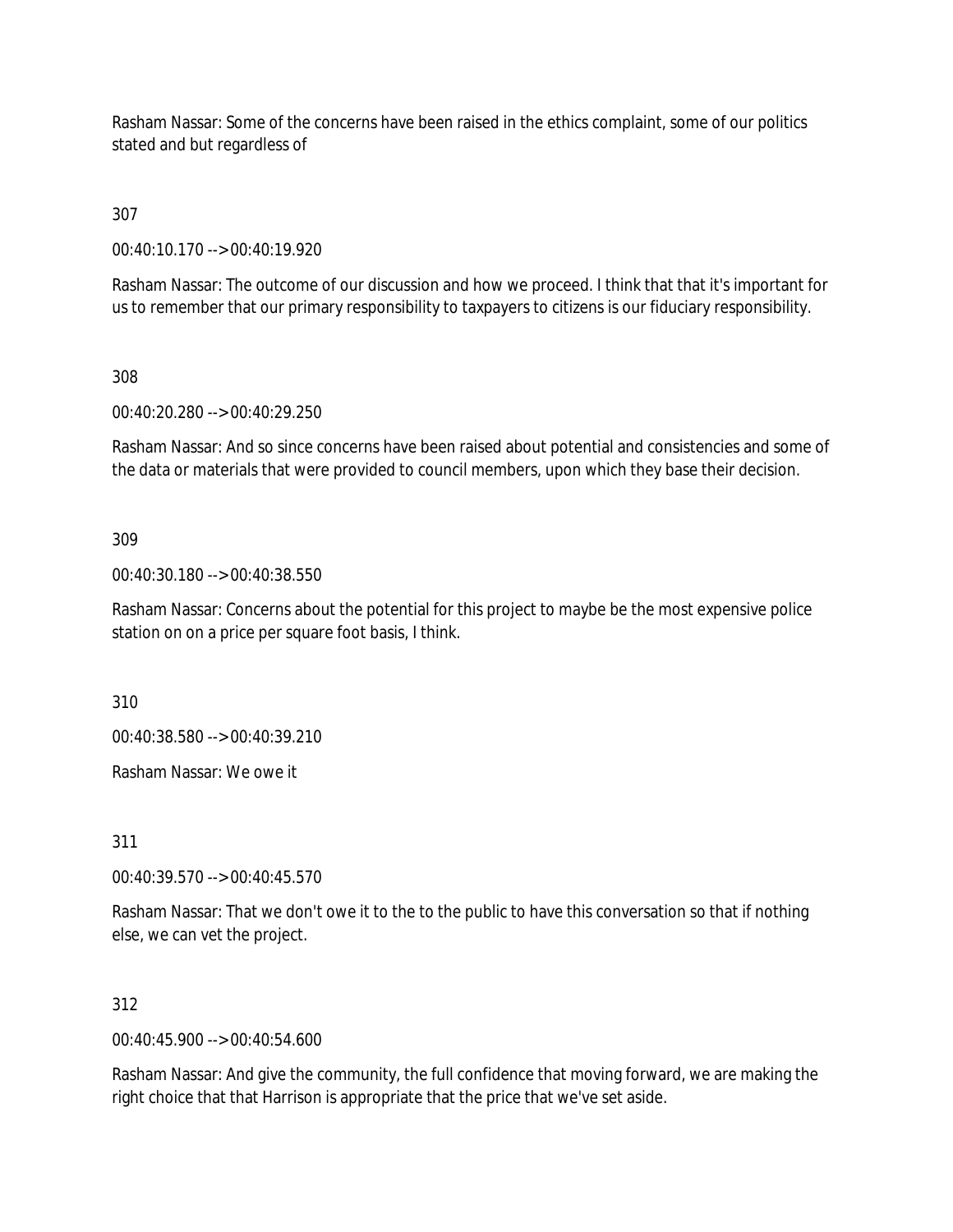Rasham Nassar: Some of the concerns have been raised in the ethics complaint, some of our politics stated and but regardless of

307

00:40:10.170 --> 00:40:19.920

Rasham Nassar: The outcome of our discussion and how we proceed. I think that that it's important for us to remember that our primary responsibility to taxpayers to citizens is our fiduciary responsibility.

308

00:40:20.280 --> 00:40:29.250

Rasham Nassar: And so since concerns have been raised about potential and consistencies and some of the data or materials that were provided to council members, upon which they base their decision.

309

00:40:30.180 --> 00:40:38.550

Rasham Nassar: Concerns about the potential for this project to maybe be the most expensive police station on on a price per square foot basis, I think.

310

00:40:38.580 --> 00:40:39.210

Rasham Nassar: We owe it

311

00:40:39.570 --> 00:40:45.570

Rasham Nassar: That we don't owe it to the to the public to have this conversation so that if nothing else, we can vet the project.

312

00:40:45.900 --> 00:40:54.600

Rasham Nassar: And give the community, the full confidence that moving forward, we are making the right choice that that Harrison is appropriate that the price that we've set aside.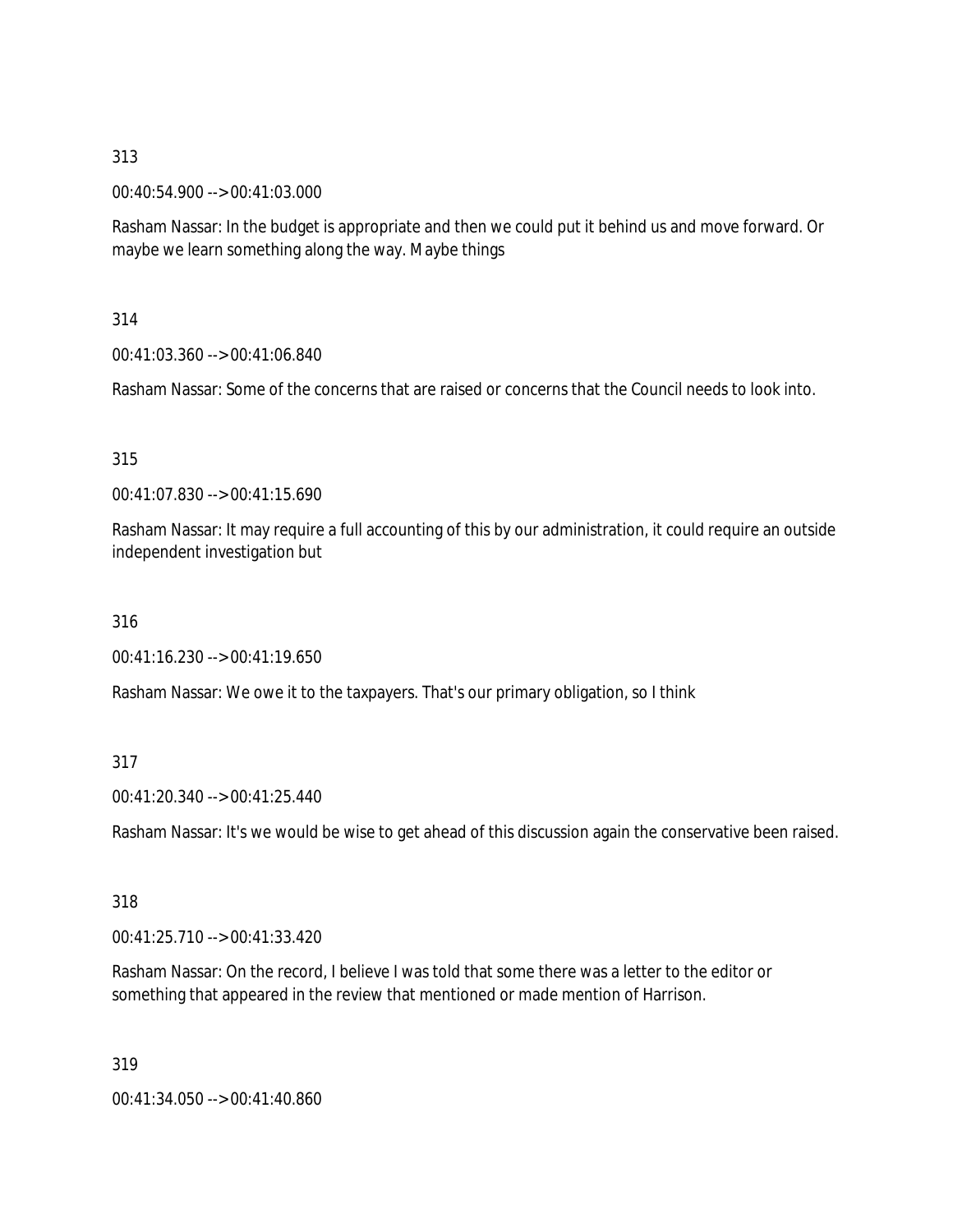00:40:54.900 --> 00:41:03.000

Rasham Nassar: In the budget is appropriate and then we could put it behind us and move forward. Or maybe we learn something along the way. Maybe things

314

00:41:03.360 --> 00:41:06.840

Rasham Nassar: Some of the concerns that are raised or concerns that the Council needs to look into.

315

00:41:07.830 --> 00:41:15.690

Rasham Nassar: It may require a full accounting of this by our administration, it could require an outside independent investigation but

316

00:41:16.230 --> 00:41:19.650

Rasham Nassar: We owe it to the taxpayers. That's our primary obligation, so I think

#### 317

00:41:20.340 --> 00:41:25.440

Rasham Nassar: It's we would be wise to get ahead of this discussion again the conservative been raised.

318

00:41:25.710 --> 00:41:33.420

Rasham Nassar: On the record, I believe I was told that some there was a letter to the editor or something that appeared in the review that mentioned or made mention of Harrison.

319

00:41:34.050 --> 00:41:40.860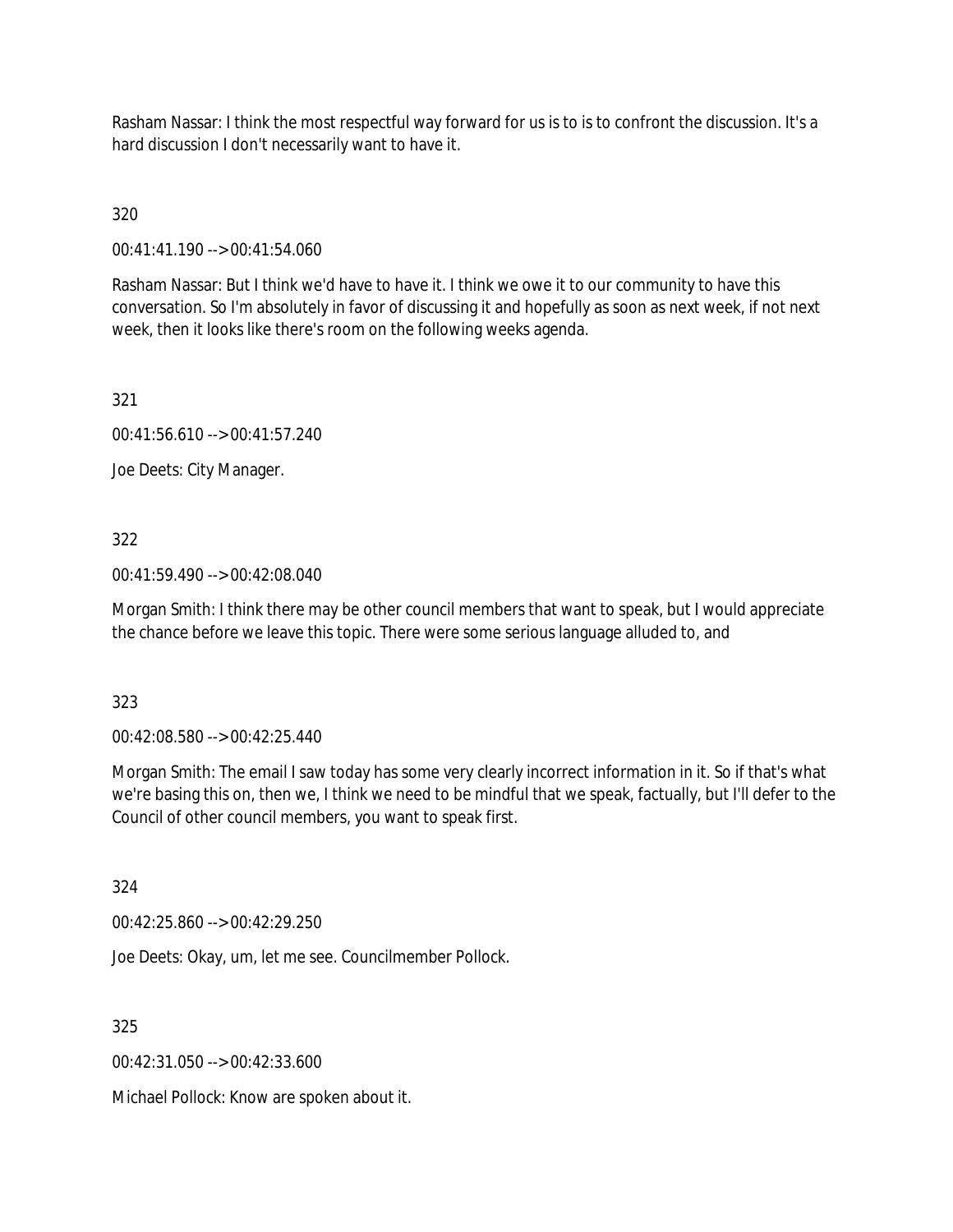Rasham Nassar: I think the most respectful way forward for us is to is to confront the discussion. It's a hard discussion I don't necessarily want to have it.

320

00:41:41.190 --> 00:41:54.060

Rasham Nassar: But I think we'd have to have it. I think we owe it to our community to have this conversation. So I'm absolutely in favor of discussing it and hopefully as soon as next week, if not next week, then it looks like there's room on the following weeks agenda.

321

00:41:56.610 --> 00:41:57.240

Joe Deets: City Manager.

## 322

00:41:59.490 --> 00:42:08.040

Morgan Smith: I think there may be other council members that want to speak, but I would appreciate the chance before we leave this topic. There were some serious language alluded to, and

323

00:42:08.580 --> 00:42:25.440

Morgan Smith: The email I saw today has some very clearly incorrect information in it. So if that's what we're basing this on, then we, I think we need to be mindful that we speak, factually, but I'll defer to the Council of other council members, you want to speak first.

324

00:42:25.860 --> 00:42:29.250

Joe Deets: Okay, um, let me see. Councilmember Pollock.

325

00:42:31.050 --> 00:42:33.600

Michael Pollock: Know are spoken about it.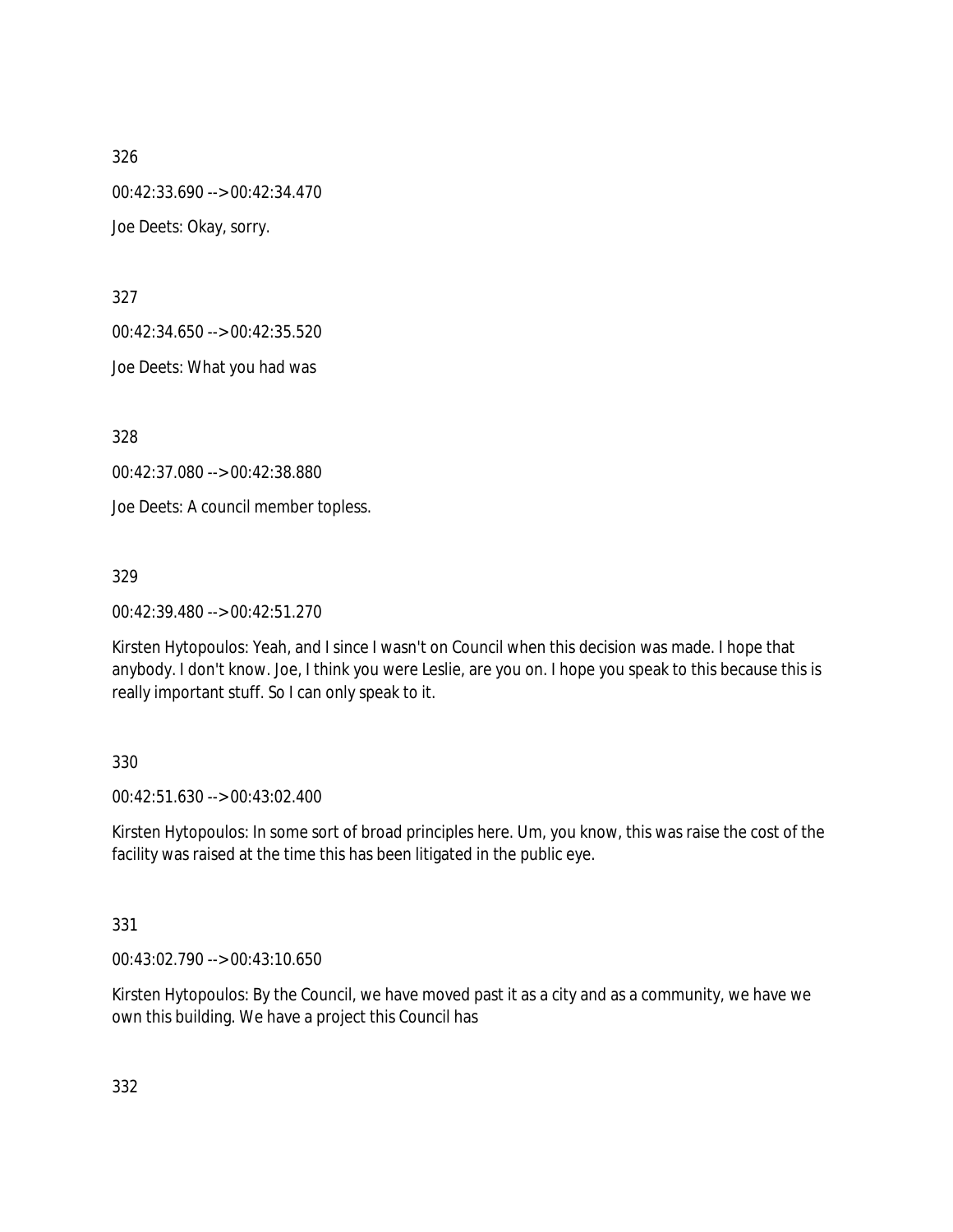00:42:33.690 --> 00:42:34.470

Joe Deets: Okay, sorry.

327

00:42:34.650 --> 00:42:35.520

Joe Deets: What you had was

328

00:42:37.080 --> 00:42:38.880

Joe Deets: A council member topless.

329

00:42:39.480 --> 00:42:51.270

Kirsten Hytopoulos: Yeah, and I since I wasn't on Council when this decision was made. I hope that anybody. I don't know. Joe, I think you were Leslie, are you on. I hope you speak to this because this is really important stuff. So I can only speak to it.

# 330

00:42:51.630 --> 00:43:02.400

Kirsten Hytopoulos: In some sort of broad principles here. Um, you know, this was raise the cost of the facility was raised at the time this has been litigated in the public eye.

# 331

00:43:02.790 --> 00:43:10.650

Kirsten Hytopoulos: By the Council, we have moved past it as a city and as a community, we have we own this building. We have a project this Council has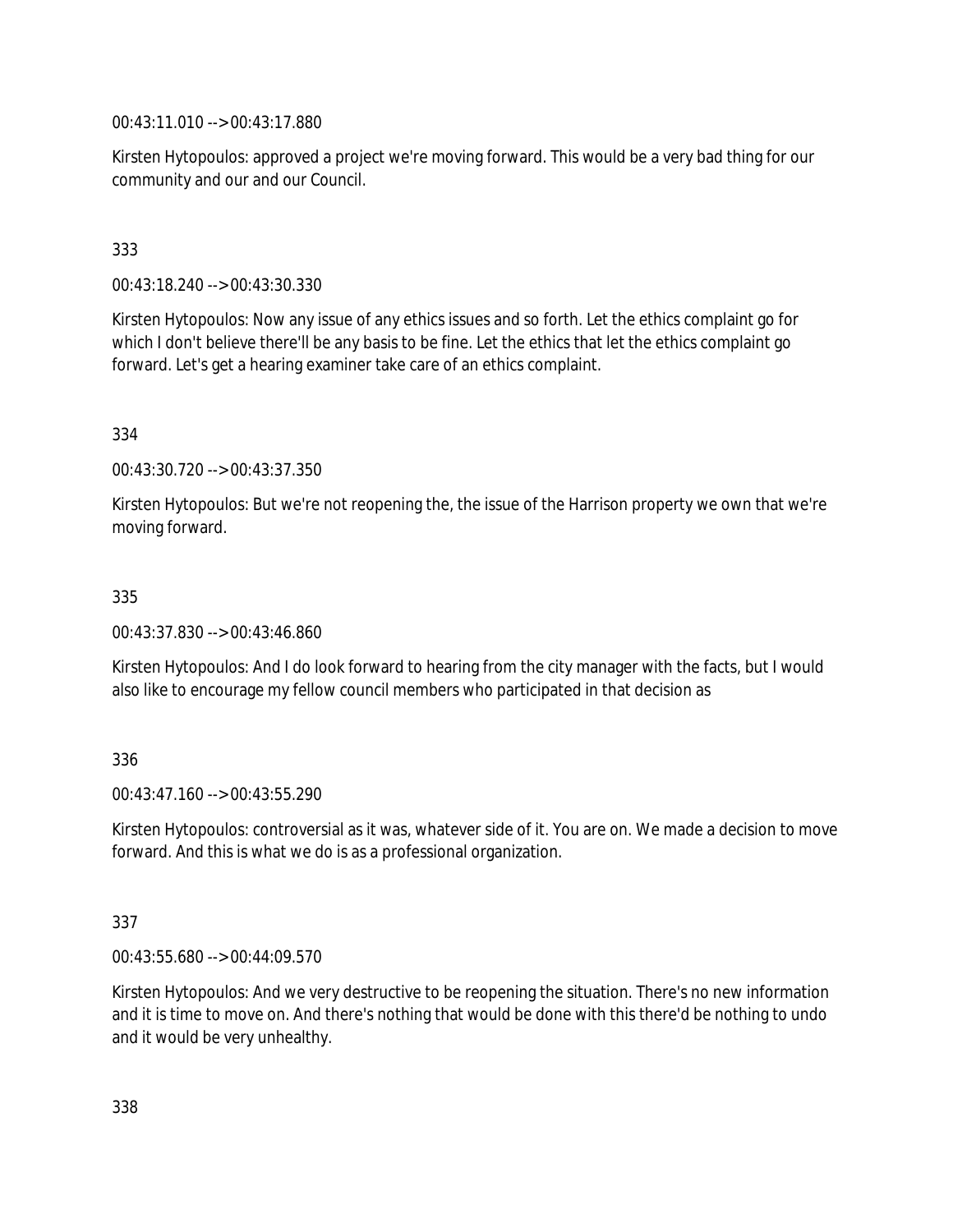00:43:11.010 --> 00:43:17.880

Kirsten Hytopoulos: approved a project we're moving forward. This would be a very bad thing for our community and our and our Council.

# 333

00:43:18.240 --> 00:43:30.330

Kirsten Hytopoulos: Now any issue of any ethics issues and so forth. Let the ethics complaint go for which I don't believe there'll be any basis to be fine. Let the ethics that let the ethics complaint go forward. Let's get a hearing examiner take care of an ethics complaint.

### 334

00:43:30.720 --> 00:43:37.350

Kirsten Hytopoulos: But we're not reopening the, the issue of the Harrison property we own that we're moving forward.

### 335

00:43:37.830 --> 00:43:46.860

Kirsten Hytopoulos: And I do look forward to hearing from the city manager with the facts, but I would also like to encourage my fellow council members who participated in that decision as

## 336

 $00.43.47.160 -> 00.43.55.290$ 

Kirsten Hytopoulos: controversial as it was, whatever side of it. You are on. We made a decision to move forward. And this is what we do is as a professional organization.

#### 337

00:43:55.680 --> 00:44:09.570

Kirsten Hytopoulos: And we very destructive to be reopening the situation. There's no new information and it is time to move on. And there's nothing that would be done with this there'd be nothing to undo and it would be very unhealthy.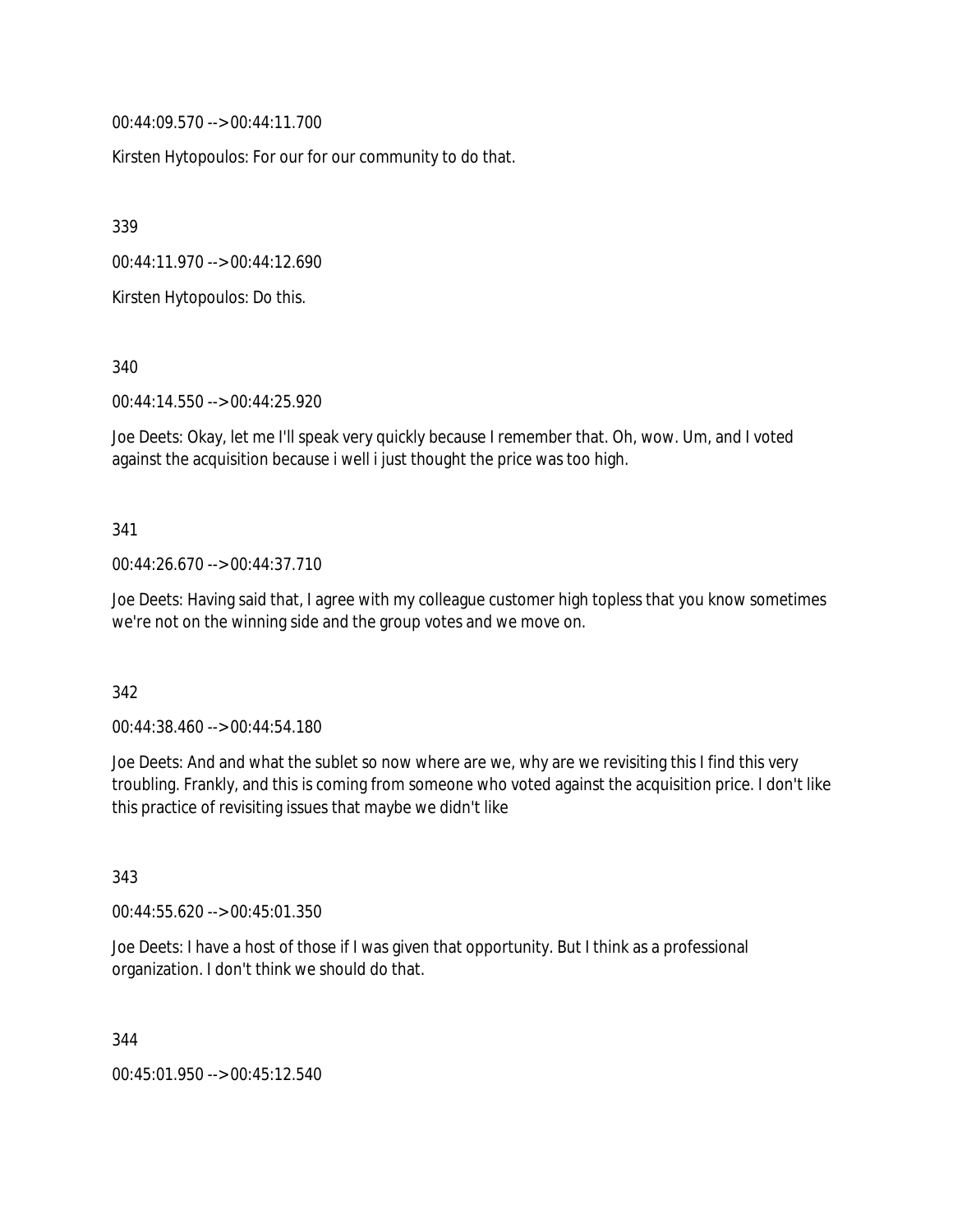00:44:09.570 --> 00:44:11.700

Kirsten Hytopoulos: For our for our community to do that.

339

00:44:11.970 --> 00:44:12.690

Kirsten Hytopoulos: Do this.

340

00:44:14.550 --> 00:44:25.920

Joe Deets: Okay, let me I'll speak very quickly because I remember that. Oh, wow. Um, and I voted against the acquisition because i well i just thought the price was too high.

#### 341

### 00:44:26.670 --> 00:44:37.710

Joe Deets: Having said that, I agree with my colleague customer high topless that you know sometimes we're not on the winning side and the group votes and we move on.

#### 342

00:44:38.460 --> 00:44:54.180

Joe Deets: And and what the sublet so now where are we, why are we revisiting this I find this very troubling. Frankly, and this is coming from someone who voted against the acquisition price. I don't like this practice of revisiting issues that maybe we didn't like

343

00:44:55.620 --> 00:45:01.350

Joe Deets: I have a host of those if I was given that opportunity. But I think as a professional organization. I don't think we should do that.

344

00:45:01.950 --> 00:45:12.540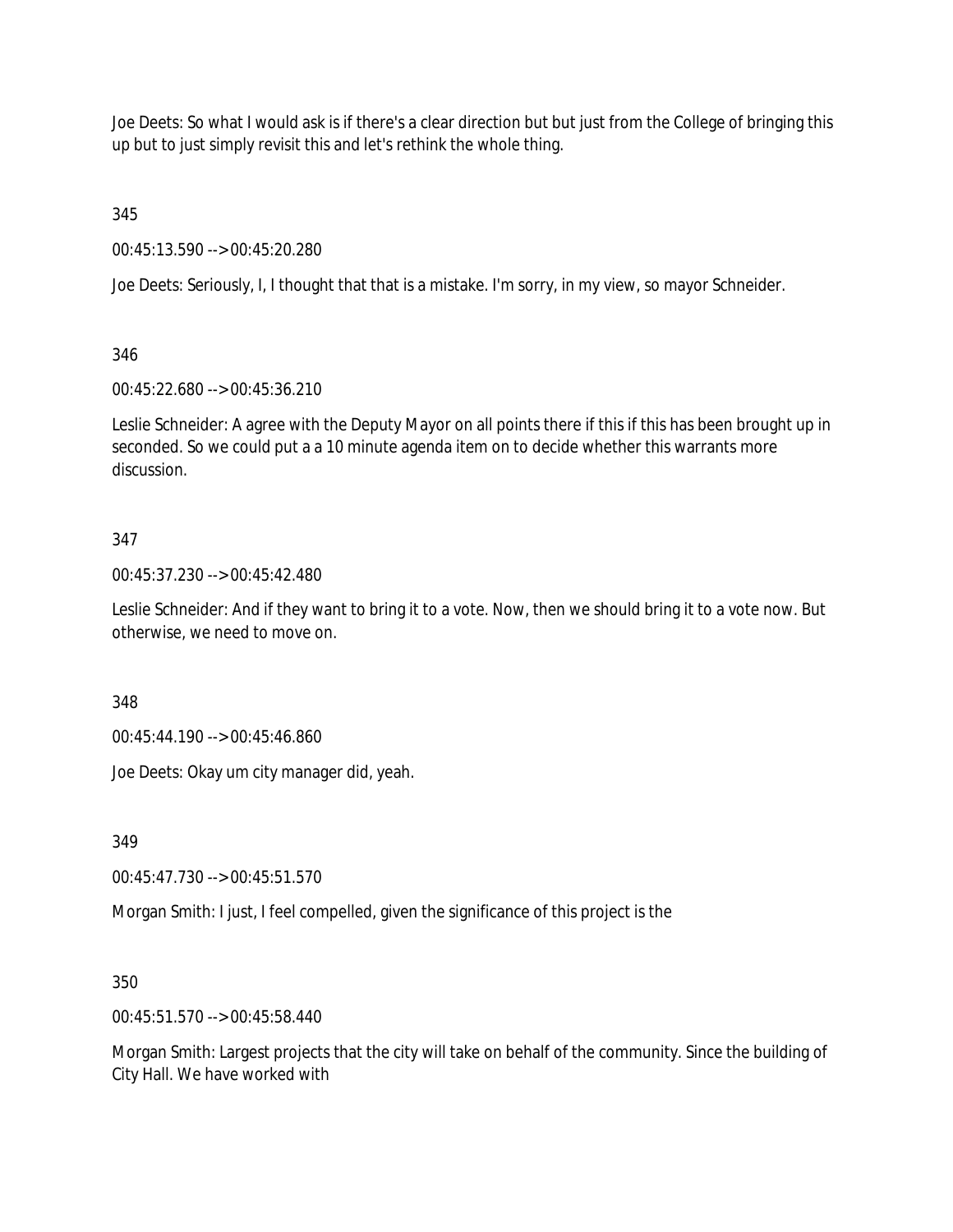Joe Deets: So what I would ask is if there's a clear direction but but just from the College of bringing this up but to just simply revisit this and let's rethink the whole thing.

345

00:45:13.590 --> 00:45:20.280

Joe Deets: Seriously, I, I thought that that is a mistake. I'm sorry, in my view, so mayor Schneider.

346

00:45:22.680 --> 00:45:36.210

Leslie Schneider: A agree with the Deputy Mayor on all points there if this if this has been brought up in seconded. So we could put a a 10 minute agenda item on to decide whether this warrants more discussion.

## 347

00:45:37.230 --> 00:45:42.480

Leslie Schneider: And if they want to bring it to a vote. Now, then we should bring it to a vote now. But otherwise, we need to move on.

348

00:45:44.190 --> 00:45:46.860

Joe Deets: Okay um city manager did, yeah.

349

00:45:47.730 --> 00:45:51.570

Morgan Smith: I just, I feel compelled, given the significance of this project is the

350

00:45:51.570 --> 00:45:58.440

Morgan Smith: Largest projects that the city will take on behalf of the community. Since the building of City Hall. We have worked with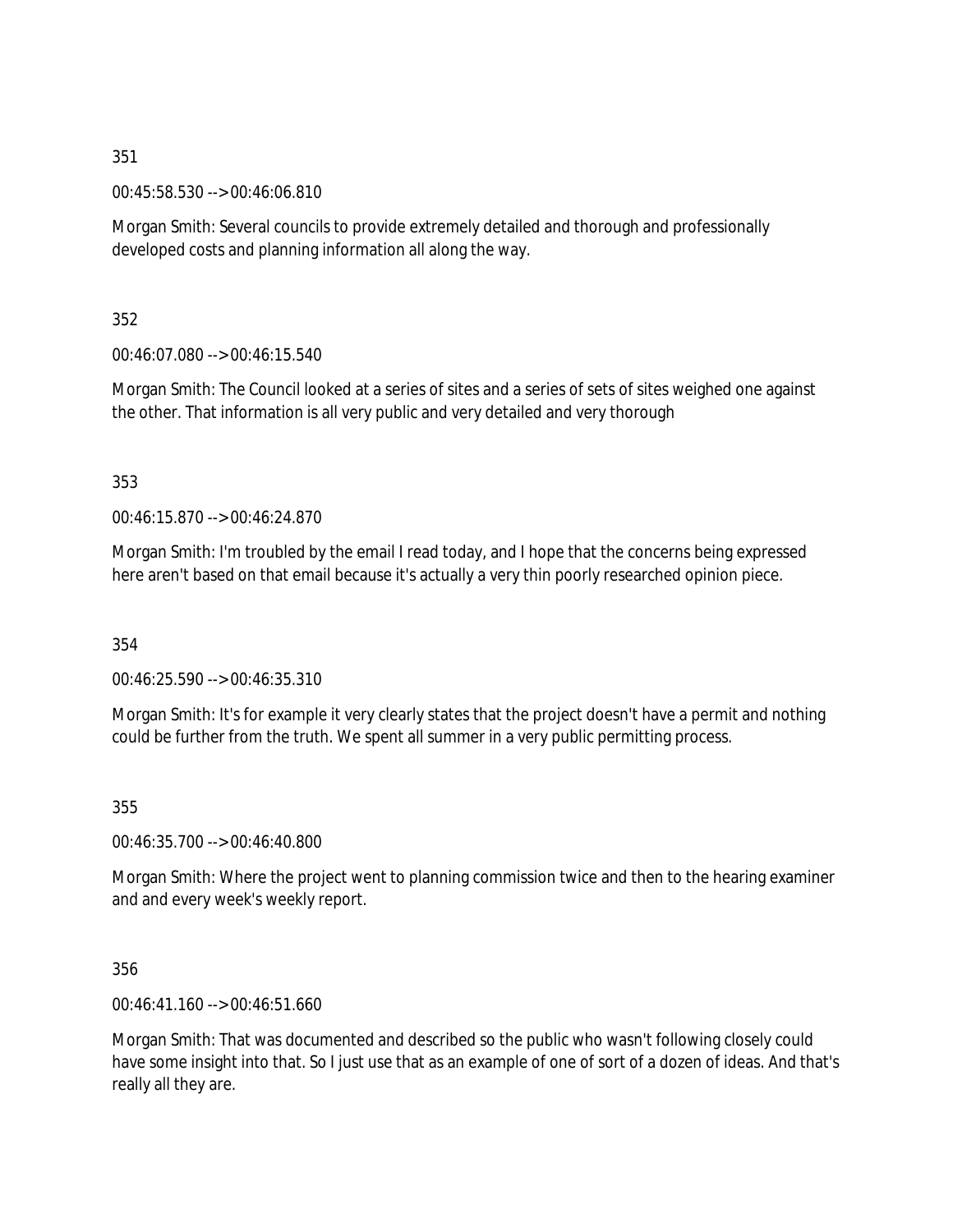00:45:58.530 --> 00:46:06.810

Morgan Smith: Several councils to provide extremely detailed and thorough and professionally developed costs and planning information all along the way.

352

00:46:07.080 --> 00:46:15.540

Morgan Smith: The Council looked at a series of sites and a series of sets of sites weighed one against the other. That information is all very public and very detailed and very thorough

353

00:46:15.870 --> 00:46:24.870

Morgan Smith: I'm troubled by the email I read today, and I hope that the concerns being expressed here aren't based on that email because it's actually a very thin poorly researched opinion piece.

354

00:46:25.590 --> 00:46:35.310

Morgan Smith: It's for example it very clearly states that the project doesn't have a permit and nothing could be further from the truth. We spent all summer in a very public permitting process.

355

00:46:35.700 --> 00:46:40.800

Morgan Smith: Where the project went to planning commission twice and then to the hearing examiner and and every week's weekly report.

356

00:46:41.160 --> 00:46:51.660

Morgan Smith: That was documented and described so the public who wasn't following closely could have some insight into that. So I just use that as an example of one of sort of a dozen of ideas. And that's really all they are.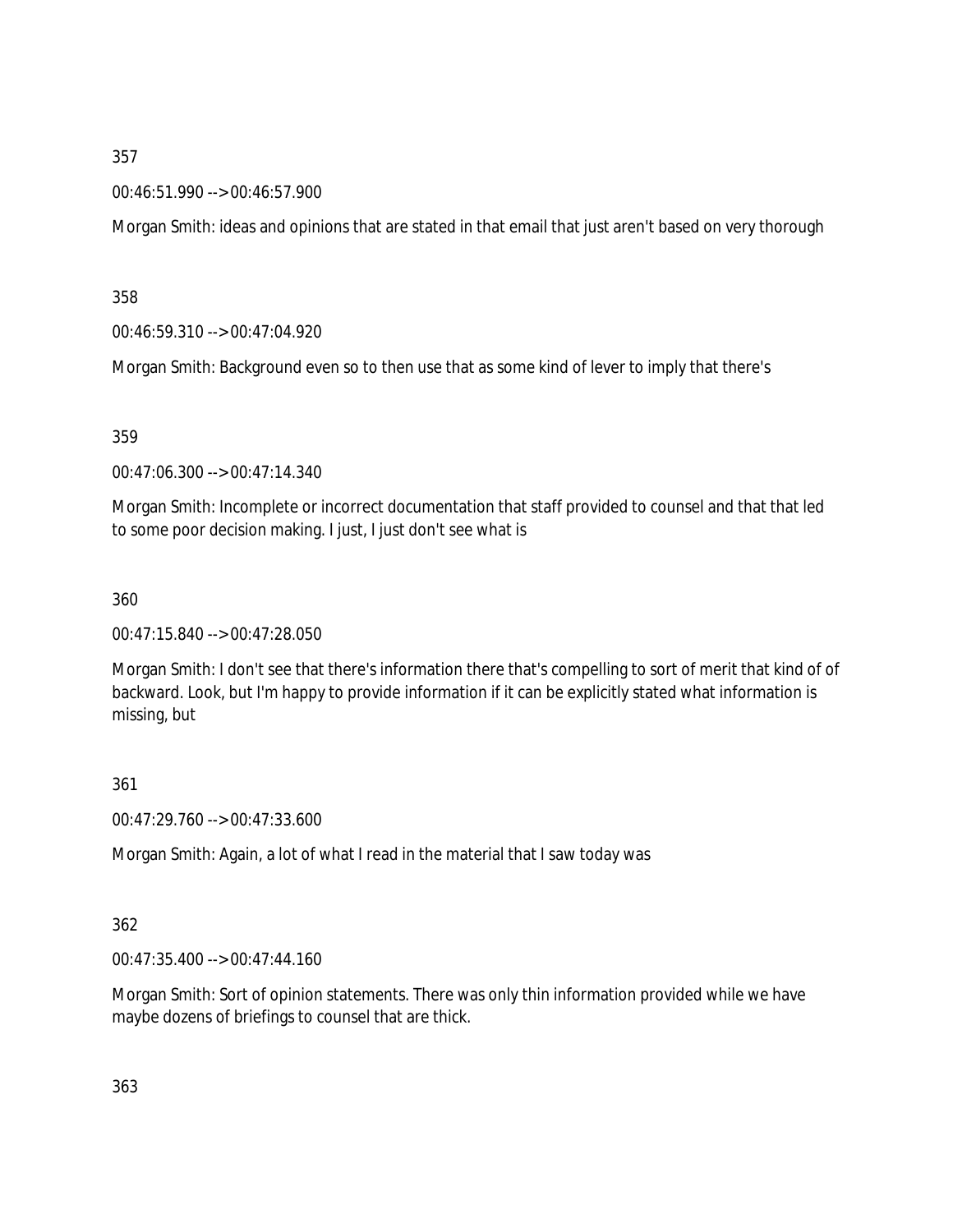00:46:51.990 --> 00:46:57.900

Morgan Smith: ideas and opinions that are stated in that email that just aren't based on very thorough

358

00:46:59.310 --> 00:47:04.920

Morgan Smith: Background even so to then use that as some kind of lever to imply that there's

359

00:47:06.300 --> 00:47:14.340

Morgan Smith: Incomplete or incorrect documentation that staff provided to counsel and that that led to some poor decision making. I just, I just don't see what is

360

00:47:15.840 --> 00:47:28.050

Morgan Smith: I don't see that there's information there that's compelling to sort of merit that kind of of backward. Look, but I'm happy to provide information if it can be explicitly stated what information is missing, but

361

00:47:29.760 --> 00:47:33.600

Morgan Smith: Again, a lot of what I read in the material that I saw today was

362

00:47:35.400 --> 00:47:44.160

Morgan Smith: Sort of opinion statements. There was only thin information provided while we have maybe dozens of briefings to counsel that are thick.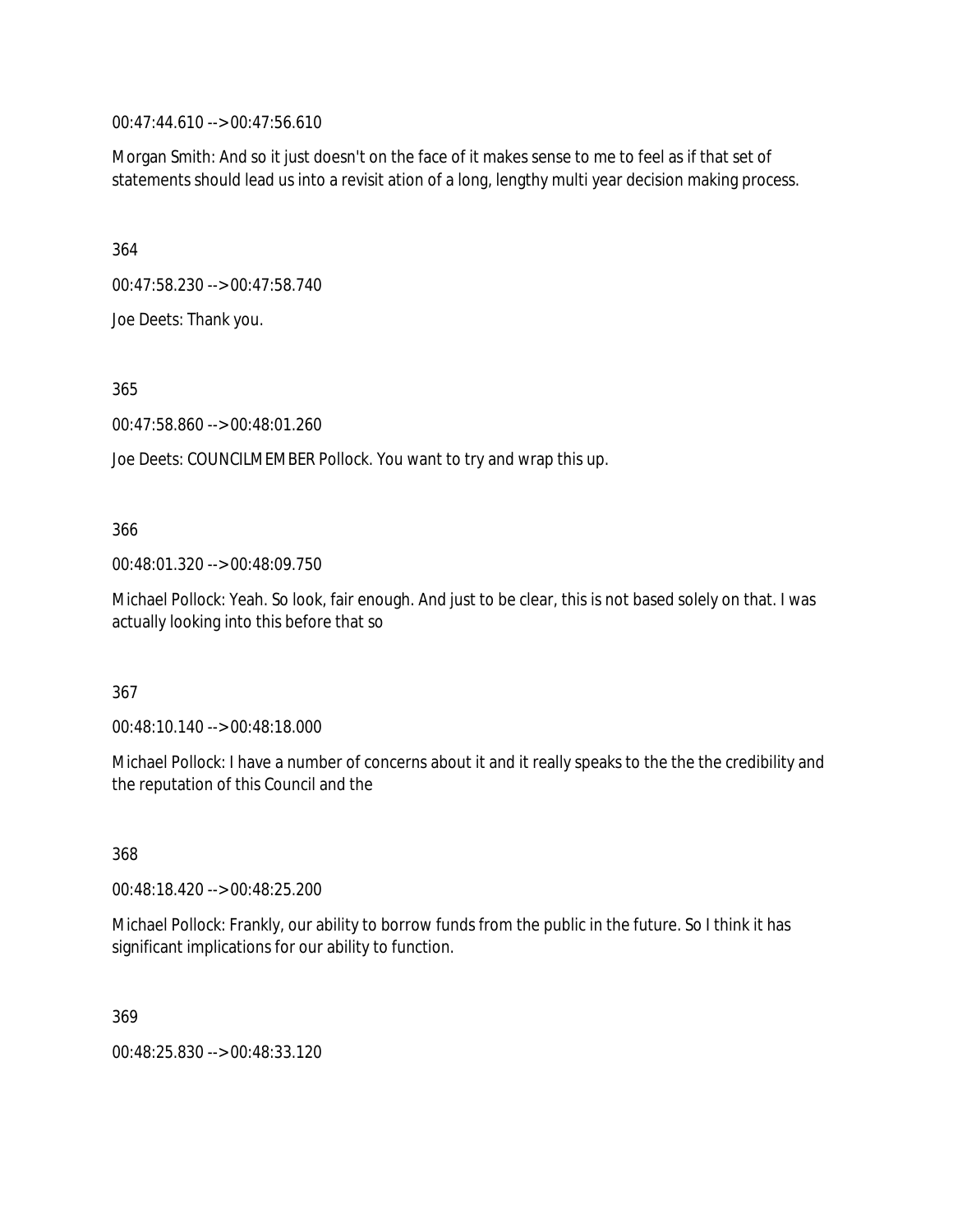00:47:44.610 --> 00:47:56.610

Morgan Smith: And so it just doesn't on the face of it makes sense to me to feel as if that set of statements should lead us into a revisit ation of a long, lengthy multi year decision making process.

364

00:47:58.230 --> 00:47:58.740

Joe Deets: Thank you.

365

00:47:58.860 --> 00:48:01.260

Joe Deets: COUNCILMEMBER Pollock. You want to try and wrap this up.

### 366

00:48:01.320 --> 00:48:09.750

Michael Pollock: Yeah. So look, fair enough. And just to be clear, this is not based solely on that. I was actually looking into this before that so

#### 367

00:48:10.140 --> 00:48:18.000

Michael Pollock: I have a number of concerns about it and it really speaks to the the the credibility and the reputation of this Council and the

368

00:48:18.420 --> 00:48:25.200

Michael Pollock: Frankly, our ability to borrow funds from the public in the future. So I think it has significant implications for our ability to function.

369

00:48:25.830 --> 00:48:33.120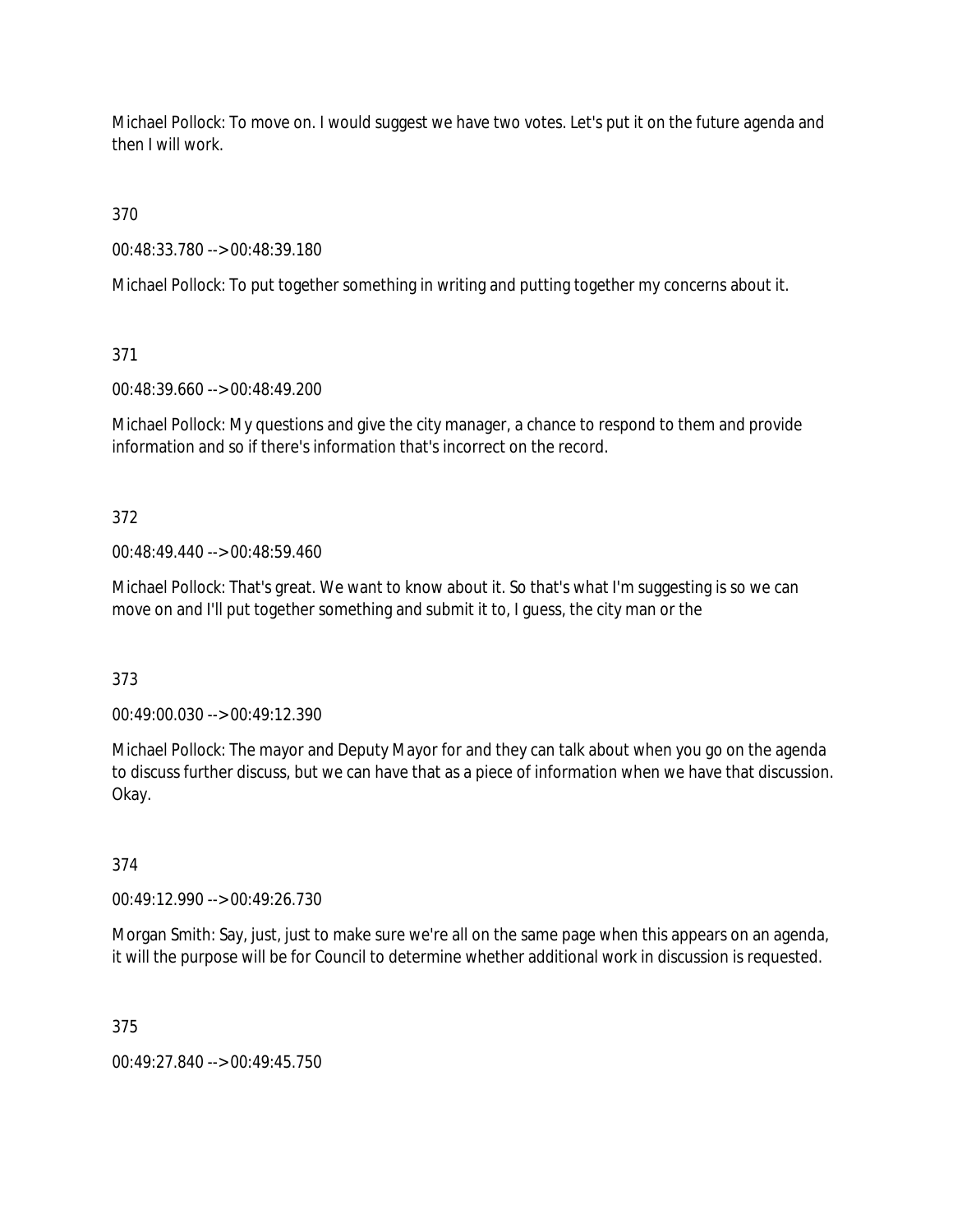Michael Pollock: To move on. I would suggest we have two votes. Let's put it on the future agenda and then I will work.

370

00:48:33.780 --> 00:48:39.180

Michael Pollock: To put together something in writing and putting together my concerns about it.

371

00:48:39.660 --> 00:48:49.200

Michael Pollock: My questions and give the city manager, a chance to respond to them and provide information and so if there's information that's incorrect on the record.

372

00:48:49.440 --> 00:48:59.460

Michael Pollock: That's great. We want to know about it. So that's what I'm suggesting is so we can move on and I'll put together something and submit it to, I guess, the city man or the

373

00:49:00.030 --> 00:49:12.390

Michael Pollock: The mayor and Deputy Mayor for and they can talk about when you go on the agenda to discuss further discuss, but we can have that as a piece of information when we have that discussion. Okay.

374

00:49:12.990 --> 00:49:26.730

Morgan Smith: Say, just, just to make sure we're all on the same page when this appears on an agenda, it will the purpose will be for Council to determine whether additional work in discussion is requested.

375

00:49:27.840 --> 00:49:45.750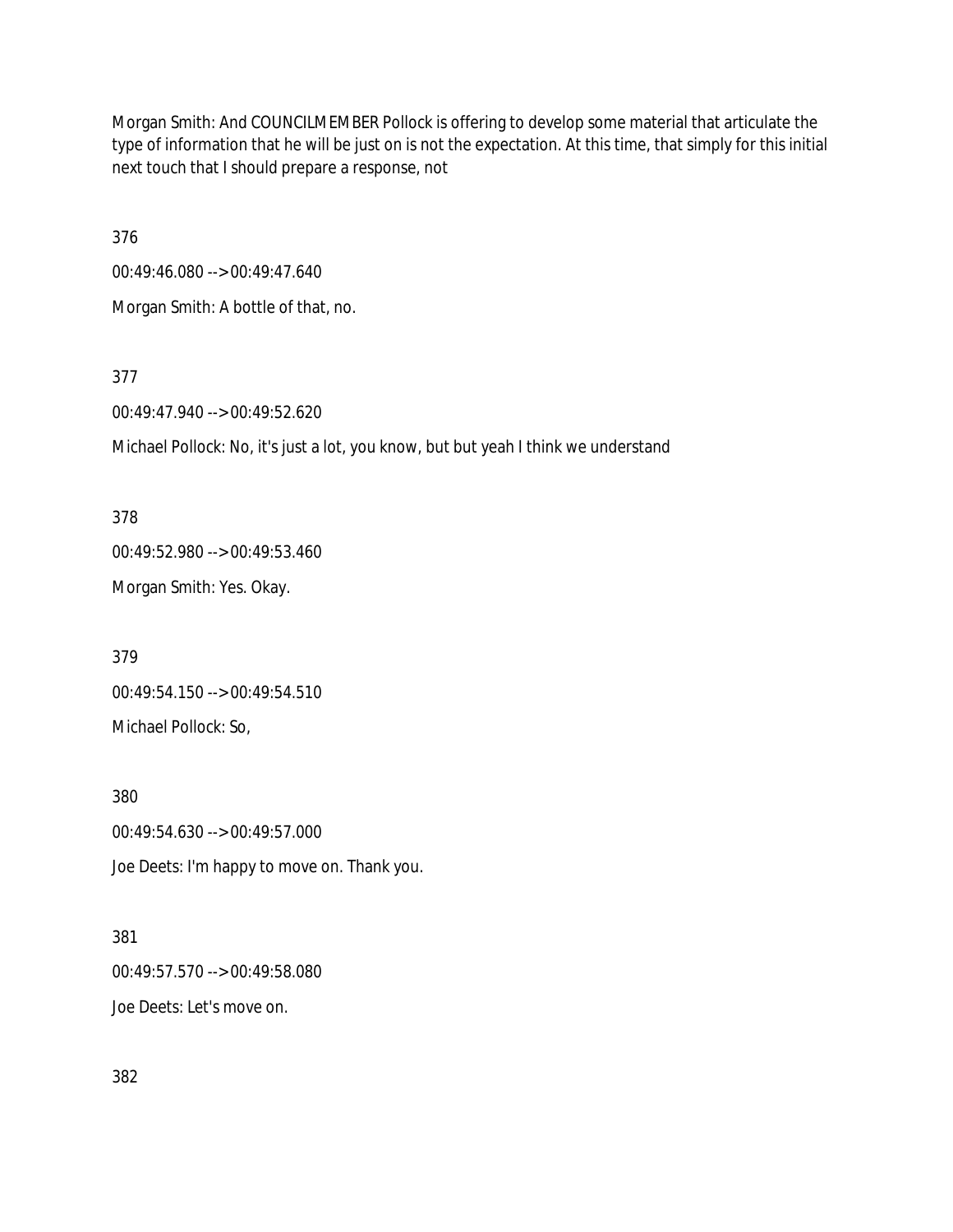Morgan Smith: And COUNCILMEMBER Pollock is offering to develop some material that articulate the type of information that he will be just on is not the expectation. At this time, that simply for this initial next touch that I should prepare a response, not

376

00:49:46.080 --> 00:49:47.640

Morgan Smith: A bottle of that, no.

377

00:49:47.940 --> 00:49:52.620

Michael Pollock: No, it's just a lot, you know, but but yeah I think we understand

378 00:49:52.980 --> 00:49:53.460 Morgan Smith: Yes. Okay.

379 00:49:54.150 --> 00:49:54.510 Michael Pollock: So,

380 00:49:54.630 --> 00:49:57.000 Joe Deets: I'm happy to move on. Thank you.

381 00:49:57.570 --> 00:49:58.080 Joe Deets: Let's move on.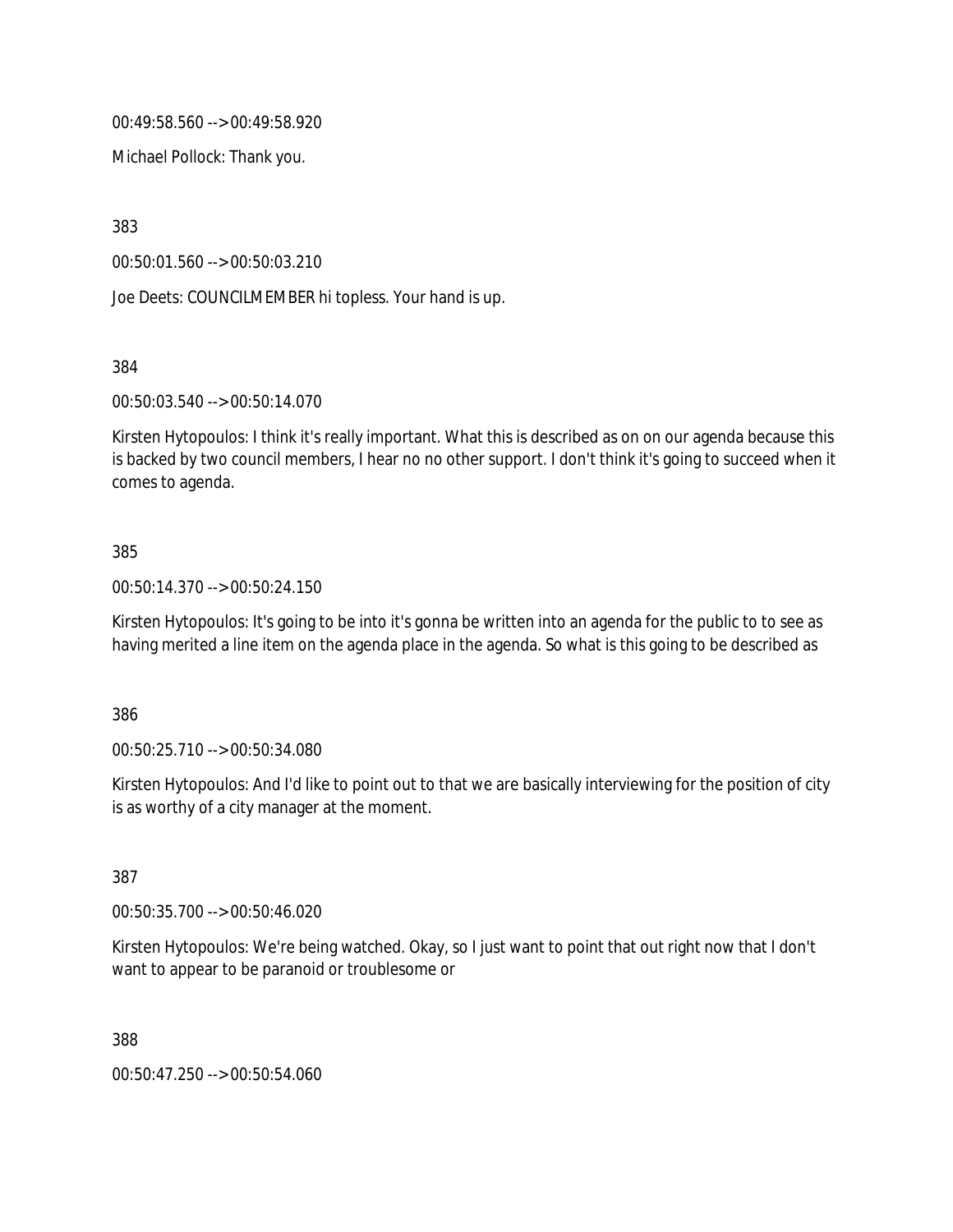00:49:58.560 --> 00:49:58.920

Michael Pollock: Thank you.

383

00:50:01.560 --> 00:50:03.210

Joe Deets: COUNCILMEMBER hi topless. Your hand is up.

384

00:50:03.540 --> 00:50:14.070

Kirsten Hytopoulos: I think it's really important. What this is described as on on our agenda because this is backed by two council members, I hear no no other support. I don't think it's going to succeed when it comes to agenda.

### 385

00:50:14.370 --> 00:50:24.150

Kirsten Hytopoulos: It's going to be into it's gonna be written into an agenda for the public to to see as having merited a line item on the agenda place in the agenda. So what is this going to be described as

386

00:50:25.710 --> 00:50:34.080

Kirsten Hytopoulos: And I'd like to point out to that we are basically interviewing for the position of city is as worthy of a city manager at the moment.

387

00:50:35.700 --> 00:50:46.020

Kirsten Hytopoulos: We're being watched. Okay, so I just want to point that out right now that I don't want to appear to be paranoid or troublesome or

388

00:50:47.250 --> 00:50:54.060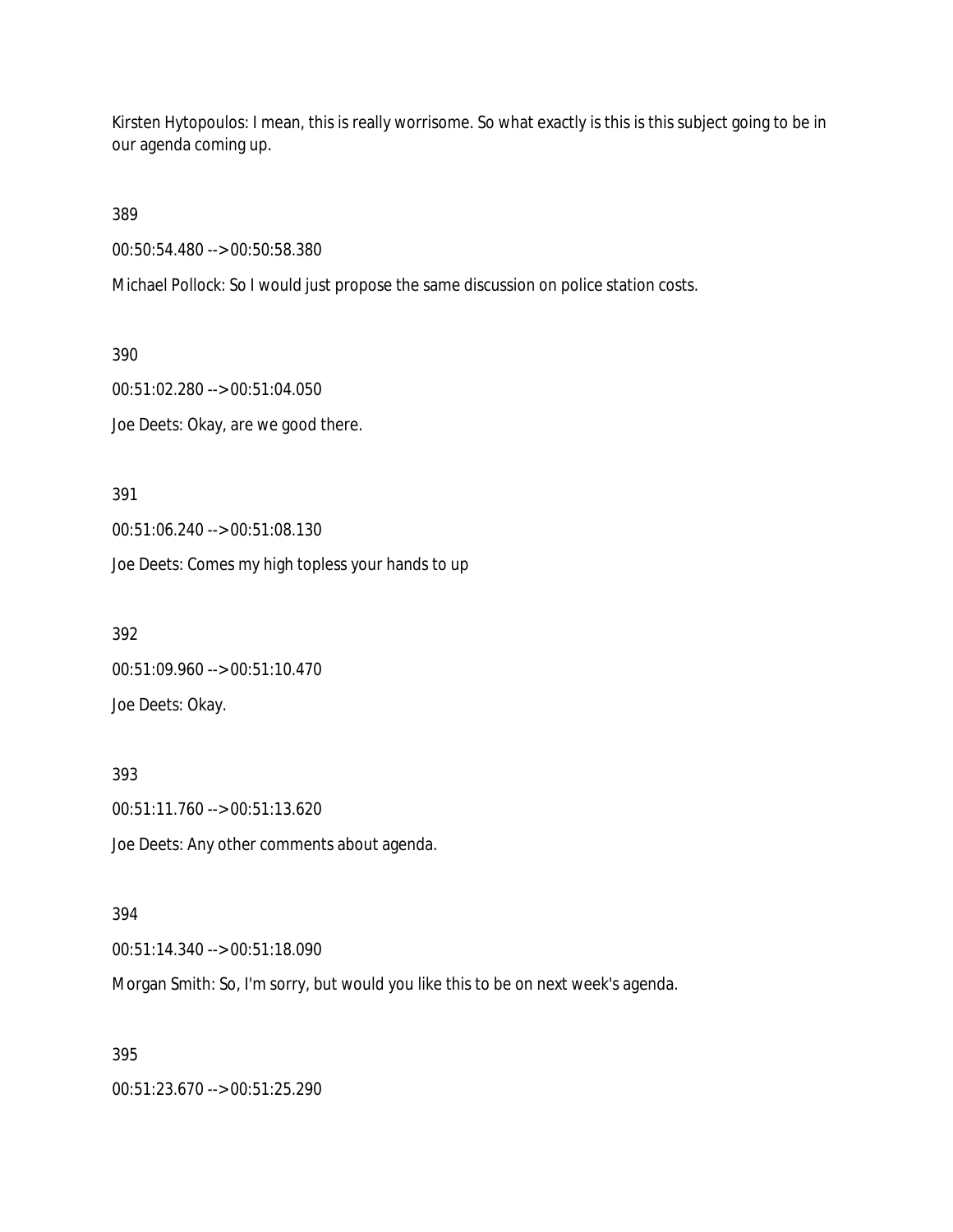Kirsten Hytopoulos: I mean, this is really worrisome. So what exactly is this is this subject going to be in our agenda coming up.

389

00:50:54.480 --> 00:50:58.380

Michael Pollock: So I would just propose the same discussion on police station costs.

390 00:51:02.280 --> 00:51:04.050 Joe Deets: Okay, are we good there.

391 00:51:06.240 --> 00:51:08.130

Joe Deets: Comes my high topless your hands to up

392 00:51:09.960 --> 00:51:10.470 Joe Deets: Okay.

393 00:51:11.760 --> 00:51:13.620 Joe Deets: Any other comments about agenda.

394

00:51:14.340 --> 00:51:18.090

Morgan Smith: So, I'm sorry, but would you like this to be on next week's agenda.

395

00:51:23.670 --> 00:51:25.290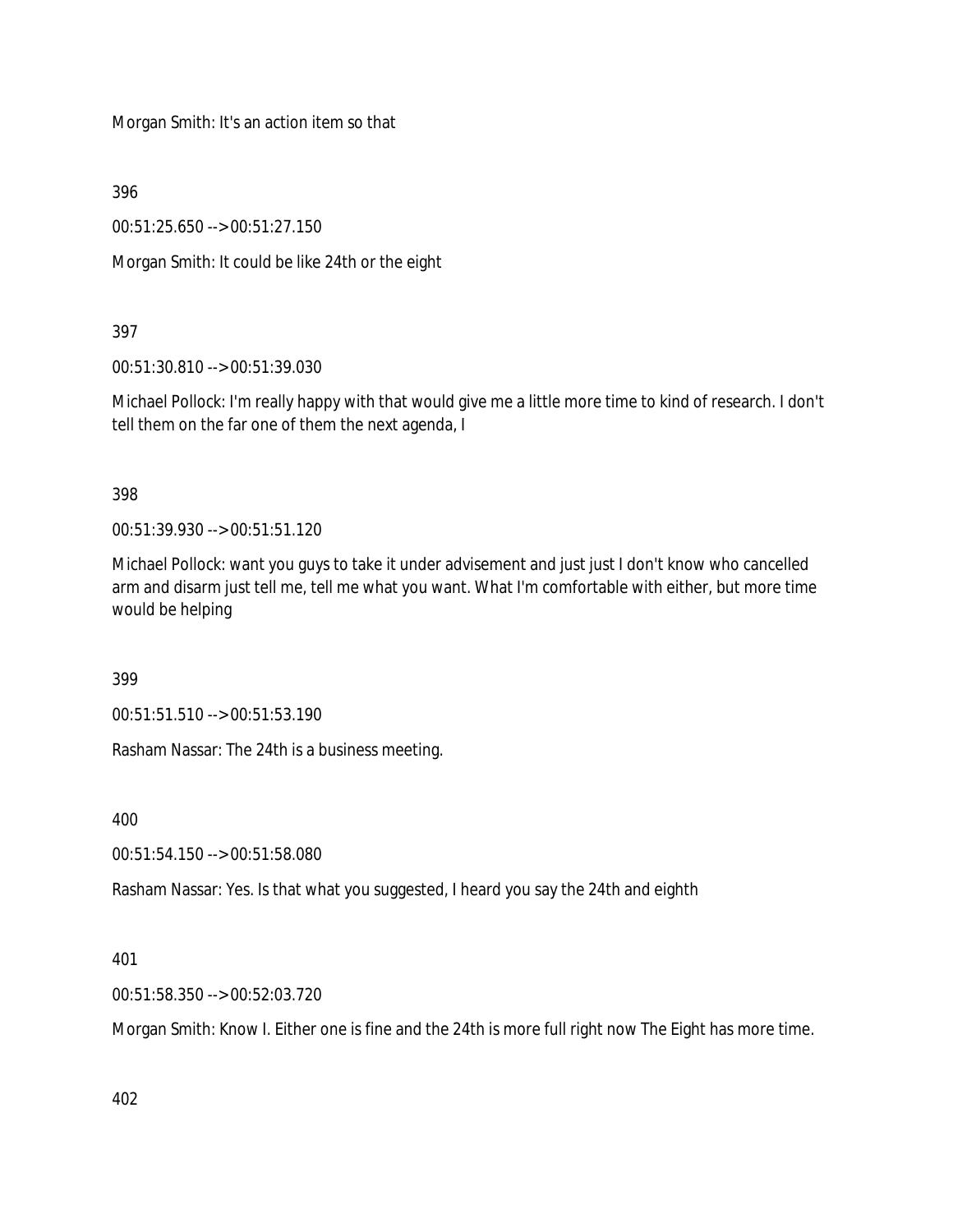Morgan Smith: It's an action item so that

396

00:51:25.650 --> 00:51:27.150

Morgan Smith: It could be like 24th or the eight

# 397

00:51:30.810 --> 00:51:39.030

Michael Pollock: I'm really happy with that would give me a little more time to kind of research. I don't tell them on the far one of them the next agenda, I

398

00:51:39.930 --> 00:51:51.120

Michael Pollock: want you guys to take it under advisement and just just I don't know who cancelled arm and disarm just tell me, tell me what you want. What I'm comfortable with either, but more time would be helping

399

00:51:51.510 --> 00:51:53.190

Rasham Nassar: The 24th is a business meeting.

400

00:51:54.150 --> 00:51:58.080

Rasham Nassar: Yes. Is that what you suggested, I heard you say the 24th and eighth

401

00:51:58.350 --> 00:52:03.720

Morgan Smith: Know I. Either one is fine and the 24th is more full right now The Eight has more time.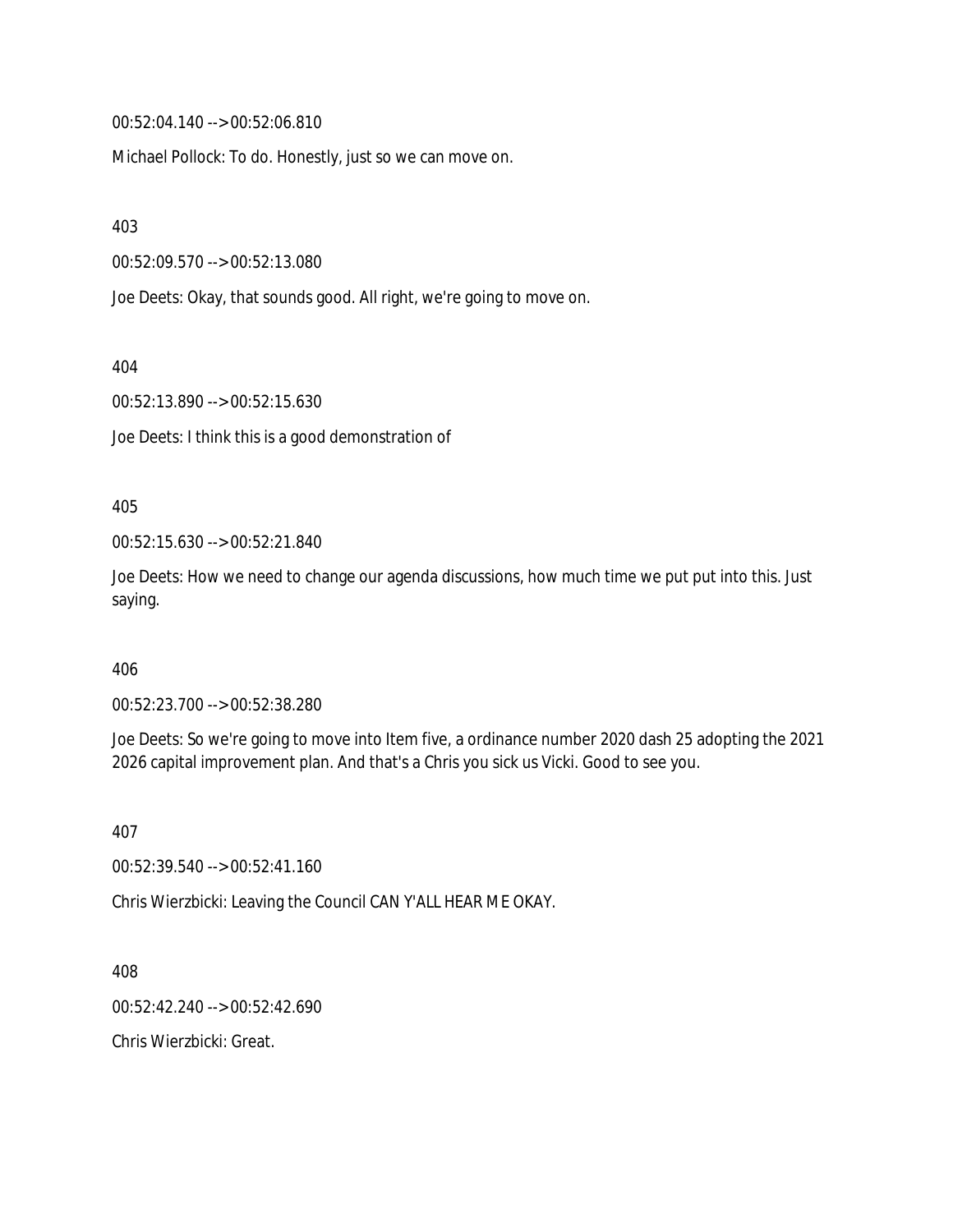00:52:04.140 --> 00:52:06.810

Michael Pollock: To do. Honestly, just so we can move on.

403

00:52:09.570 --> 00:52:13.080

Joe Deets: Okay, that sounds good. All right, we're going to move on.

404

00:52:13.890 --> 00:52:15.630

Joe Deets: I think this is a good demonstration of

#### 405

00:52:15.630 --> 00:52:21.840

Joe Deets: How we need to change our agenda discussions, how much time we put put into this. Just saying.

406

00:52:23.700 --> 00:52:38.280

Joe Deets: So we're going to move into Item five, a ordinance number 2020 dash 25 adopting the 2021 2026 capital improvement plan. And that's a Chris you sick us Vicki. Good to see you.

407

00:52:39.540 --> 00:52:41.160

Chris Wierzbicki: Leaving the Council CAN Y'ALL HEAR ME OKAY.

408

00:52:42.240 --> 00:52:42.690

Chris Wierzbicki: Great.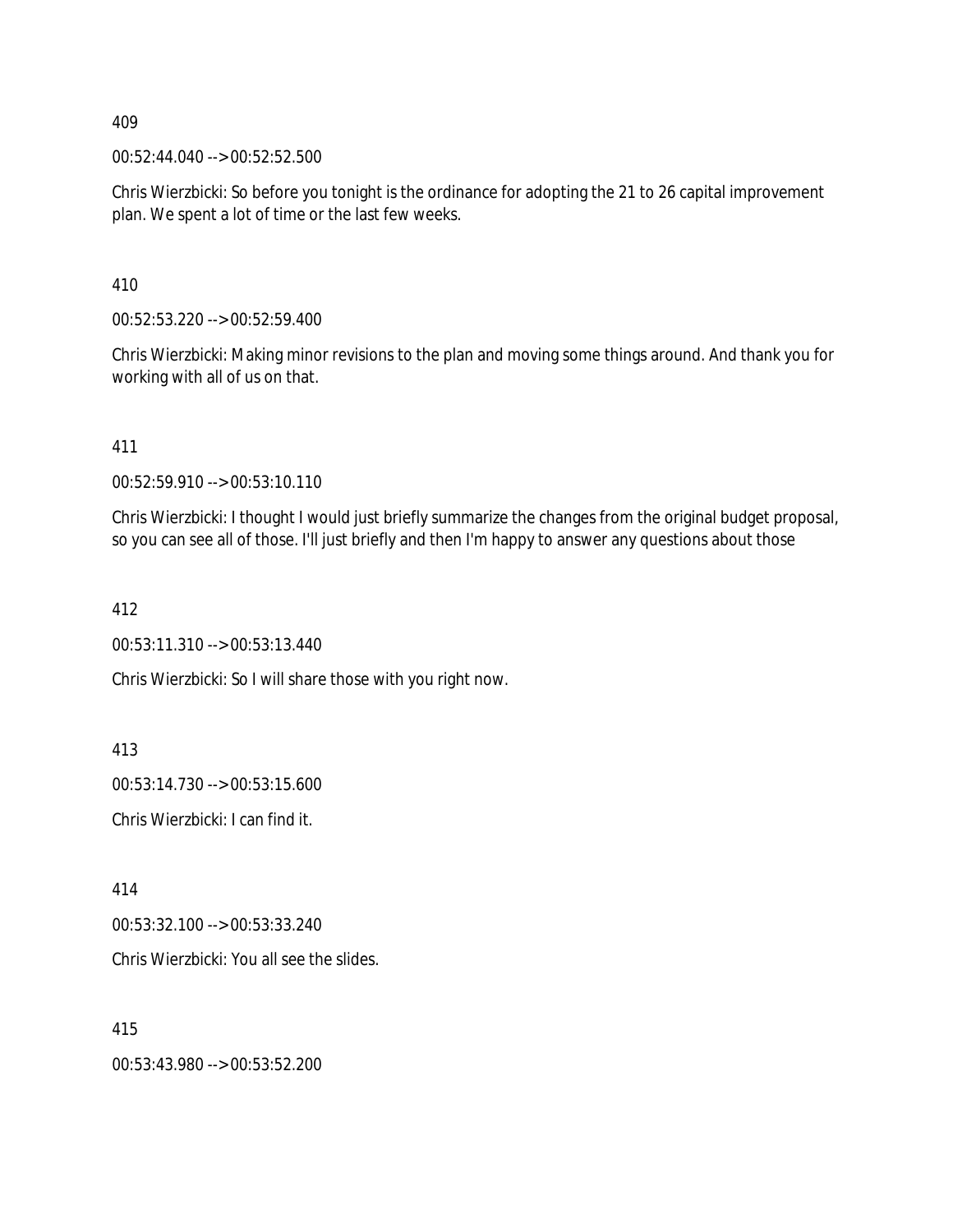00:52:44.040 --> 00:52:52.500

Chris Wierzbicki: So before you tonight is the ordinance for adopting the 21 to 26 capital improvement plan. We spent a lot of time or the last few weeks.

410

00:52:53.220 --> 00:52:59.400

Chris Wierzbicki: Making minor revisions to the plan and moving some things around. And thank you for working with all of us on that.

411

00:52:59.910 --> 00:53:10.110

Chris Wierzbicki: I thought I would just briefly summarize the changes from the original budget proposal, so you can see all of those. I'll just briefly and then I'm happy to answer any questions about those

412

00:53:11.310 --> 00:53:13.440

Chris Wierzbicki: So I will share those with you right now.

413

00:53:14.730 --> 00:53:15.600

Chris Wierzbicki: I can find it.

414

00:53:32.100 --> 00:53:33.240

Chris Wierzbicki: You all see the slides.

415

00:53:43.980 --> 00:53:52.200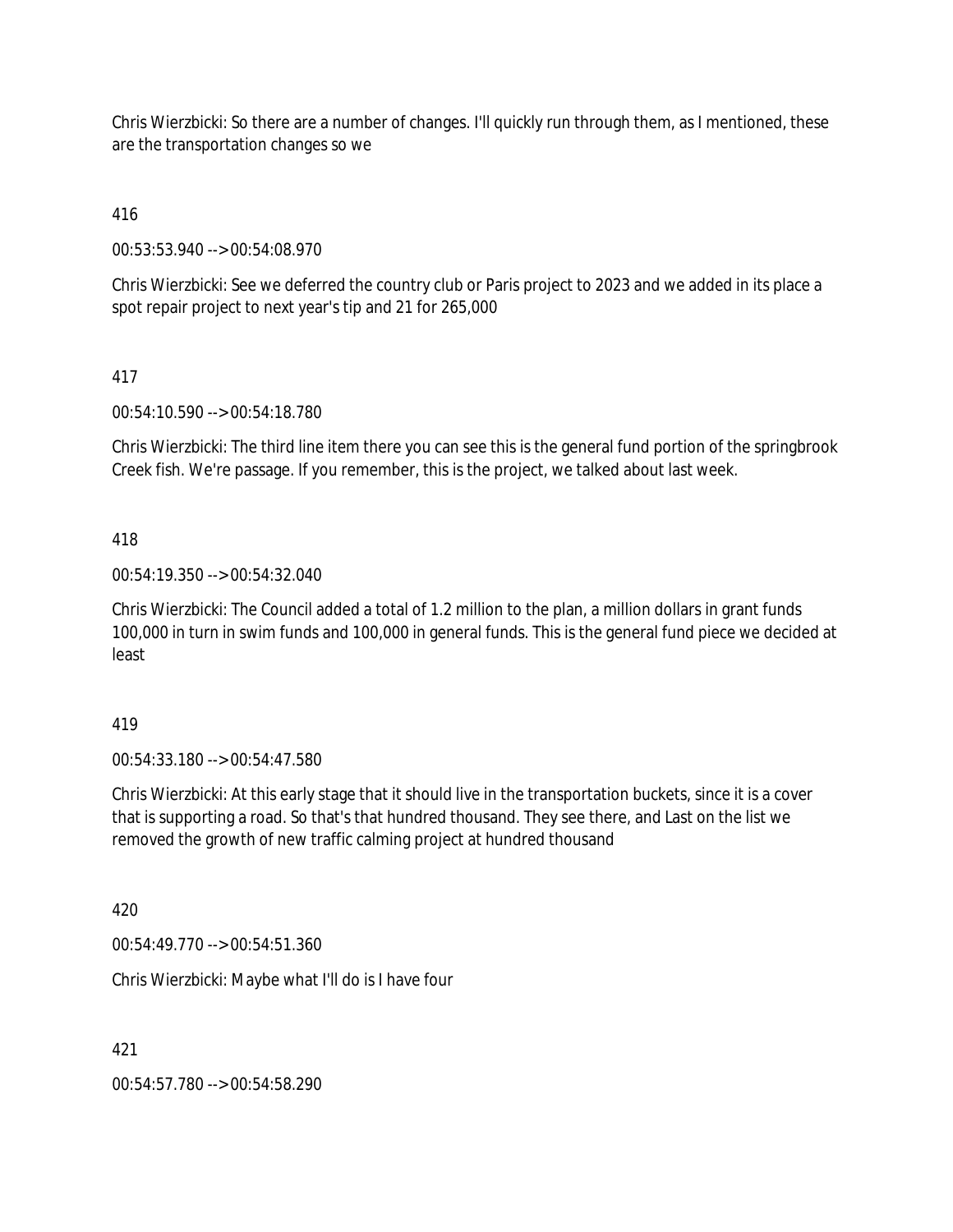Chris Wierzbicki: So there are a number of changes. I'll quickly run through them, as I mentioned, these are the transportation changes so we

416

00:53:53.940 --> 00:54:08.970

Chris Wierzbicki: See we deferred the country club or Paris project to 2023 and we added in its place a spot repair project to next year's tip and 21 for 265,000

417

00:54:10.590 --> 00:54:18.780

Chris Wierzbicki: The third line item there you can see this is the general fund portion of the springbrook Creek fish. We're passage. If you remember, this is the project, we talked about last week.

418

00:54:19.350 --> 00:54:32.040

Chris Wierzbicki: The Council added a total of 1.2 million to the plan, a million dollars in grant funds 100,000 in turn in swim funds and 100,000 in general funds. This is the general fund piece we decided at least

419

00:54:33.180 --> 00:54:47.580

Chris Wierzbicki: At this early stage that it should live in the transportation buckets, since it is a cover that is supporting a road. So that's that hundred thousand. They see there, and Last on the list we removed the growth of new traffic calming project at hundred thousand

420

00:54:49.770 --> 00:54:51.360

Chris Wierzbicki: Maybe what I'll do is I have four

421

00:54:57.780 --> 00:54:58.290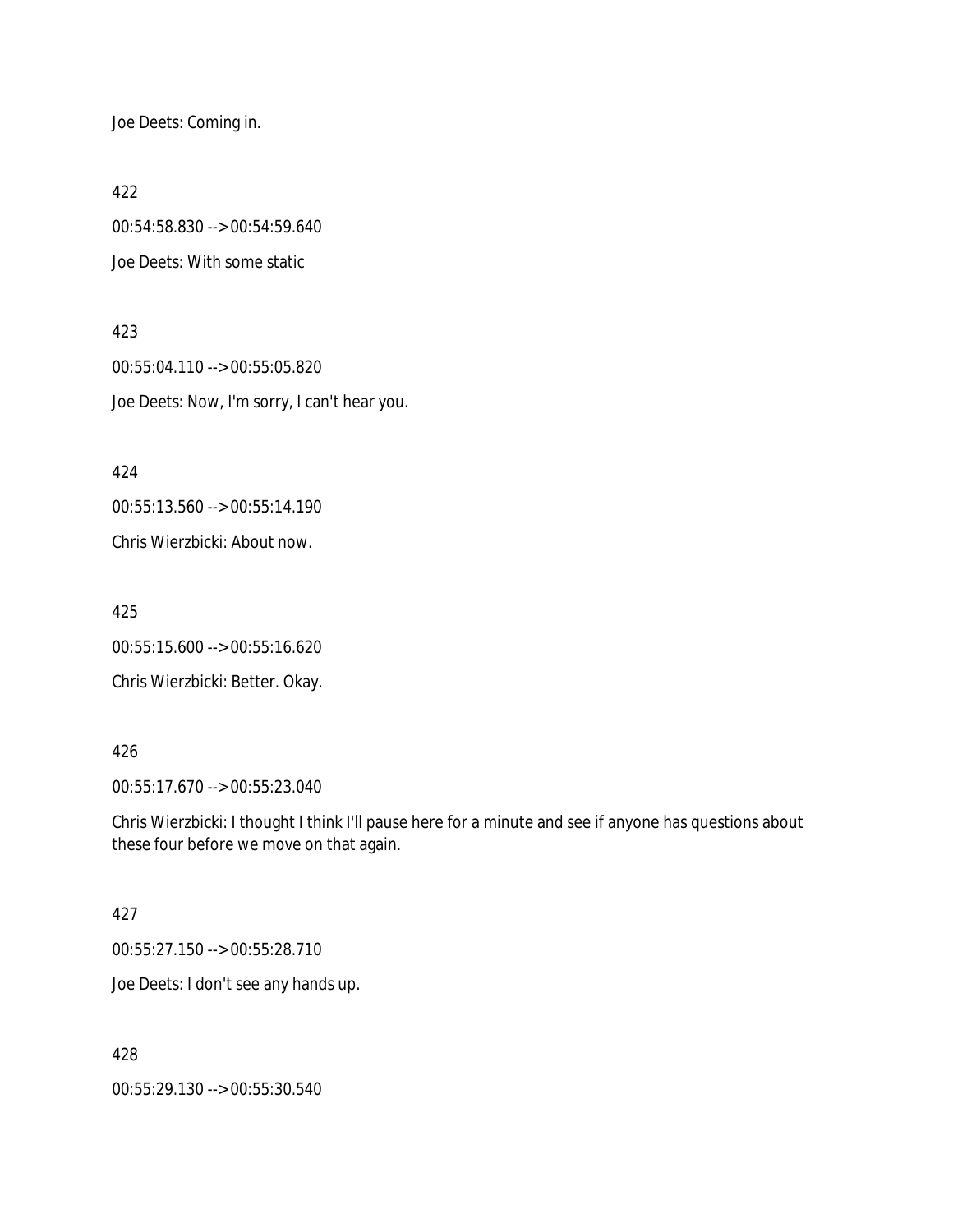Joe Deets: Coming in.

422

00:54:58.830 --> 00:54:59.640 Joe Deets: With some static

423 00:55:04.110 --> 00:55:05.820 Joe Deets: Now, I'm sorry, I can't hear you.

424

00:55:13.560 --> 00:55:14.190

Chris Wierzbicki: About now.

425 00:55:15.600 --> 00:55:16.620

Chris Wierzbicki: Better. Okay.

# 426

00:55:17.670 --> 00:55:23.040

Chris Wierzbicki: I thought I think I'll pause here for a minute and see if anyone has questions about these four before we move on that again.

#### 427

00:55:27.150 --> 00:55:28.710

Joe Deets: I don't see any hands up.

428

00:55:29.130 --> 00:55:30.540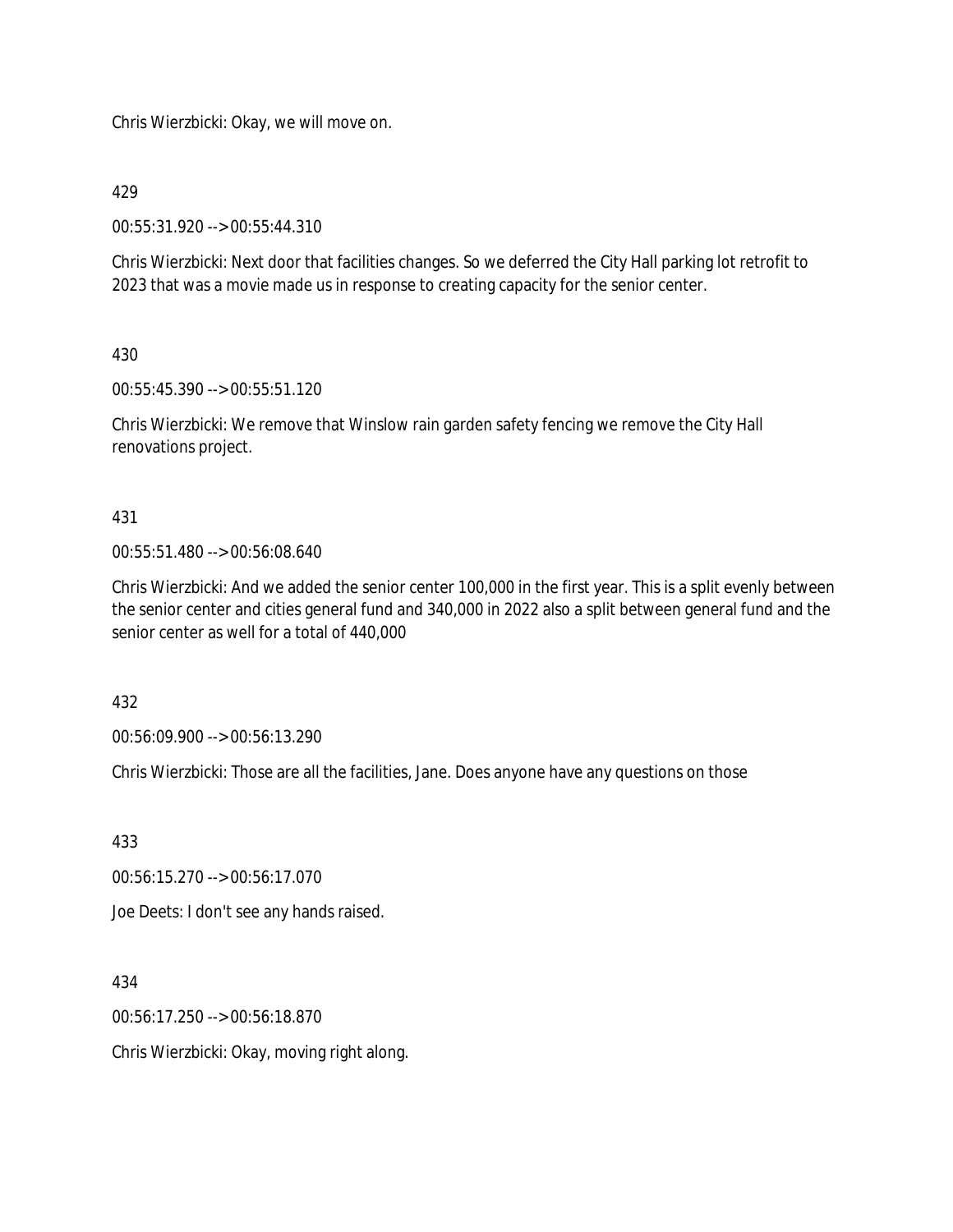Chris Wierzbicki: Okay, we will move on.

429

00:55:31.920 --> 00:55:44.310

Chris Wierzbicki: Next door that facilities changes. So we deferred the City Hall parking lot retrofit to 2023 that was a movie made us in response to creating capacity for the senior center.

430

00:55:45.390 --> 00:55:51.120

Chris Wierzbicki: We remove that Winslow rain garden safety fencing we remove the City Hall renovations project.

431

00:55:51.480 --> 00:56:08.640

Chris Wierzbicki: And we added the senior center 100,000 in the first year. This is a split evenly between the senior center and cities general fund and 340,000 in 2022 also a split between general fund and the senior center as well for a total of 440,000

432

00:56:09.900 --> 00:56:13.290

Chris Wierzbicki: Those are all the facilities, Jane. Does anyone have any questions on those

433

00:56:15.270 --> 00:56:17.070

Joe Deets: I don't see any hands raised.

434

00:56:17.250 --> 00:56:18.870

Chris Wierzbicki: Okay, moving right along.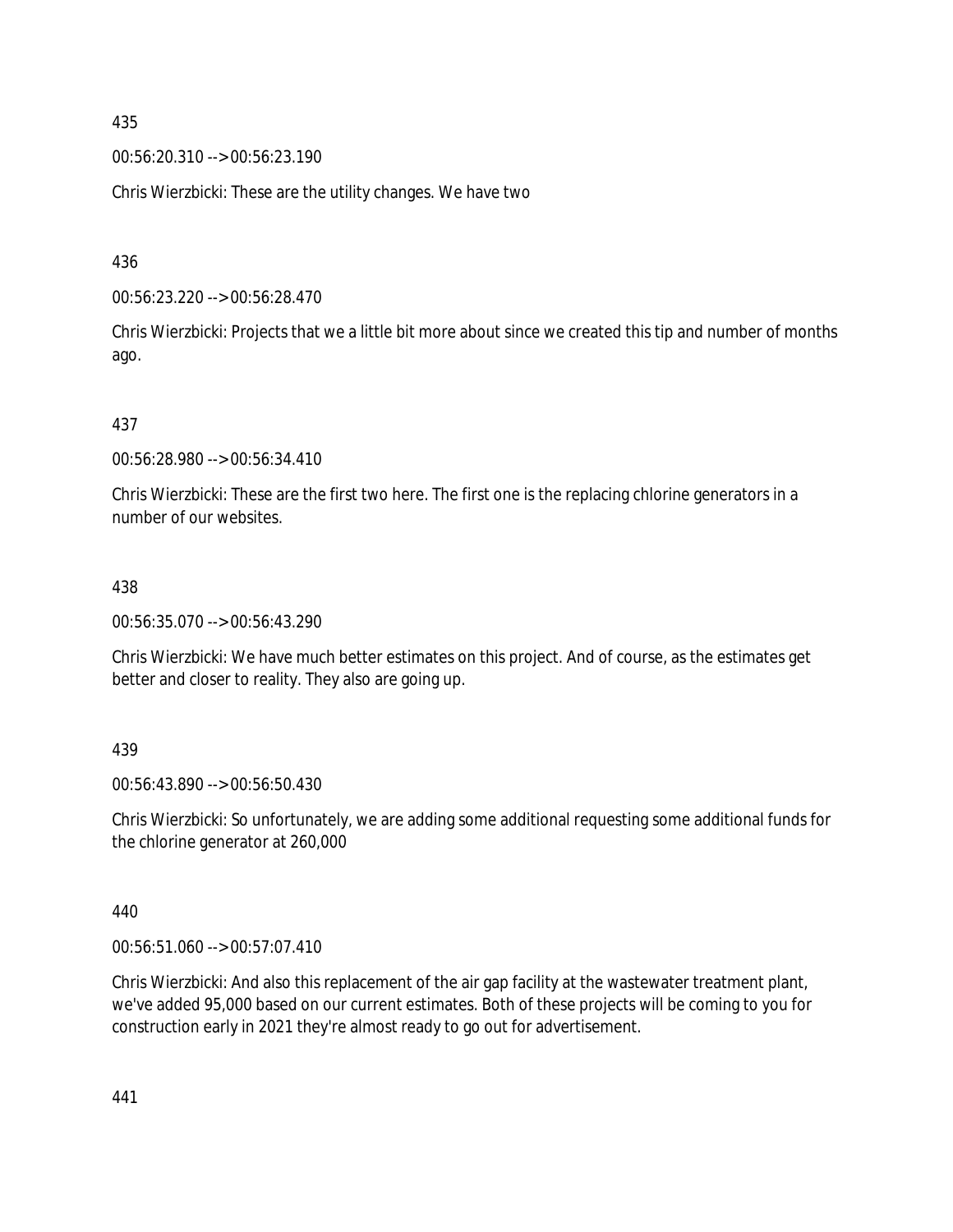00:56:20.310 --> 00:56:23.190

Chris Wierzbicki: These are the utility changes. We have two

436

00:56:23.220 --> 00:56:28.470

Chris Wierzbicki: Projects that we a little bit more about since we created this tip and number of months ago.

437

00:56:28.980 --> 00:56:34.410

Chris Wierzbicki: These are the first two here. The first one is the replacing chlorine generators in a number of our websites.

## 438

00:56:35.070 --> 00:56:43.290

Chris Wierzbicki: We have much better estimates on this project. And of course, as the estimates get better and closer to reality. They also are going up.

#### 439

00:56:43.890 --> 00:56:50.430

Chris Wierzbicki: So unfortunately, we are adding some additional requesting some additional funds for the chlorine generator at 260,000

440

00:56:51.060 --> 00:57:07.410

Chris Wierzbicki: And also this replacement of the air gap facility at the wastewater treatment plant, we've added 95,000 based on our current estimates. Both of these projects will be coming to you for construction early in 2021 they're almost ready to go out for advertisement.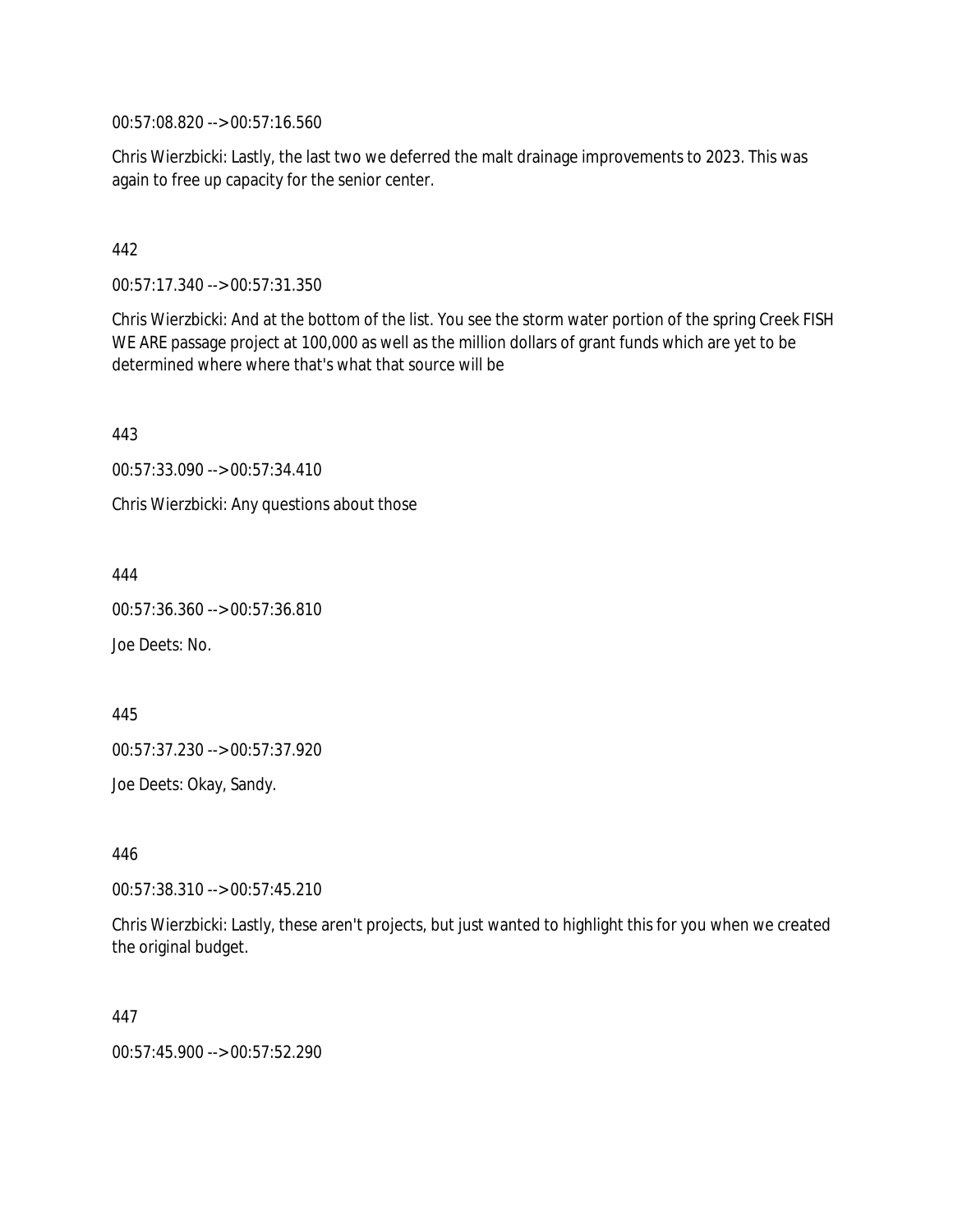00:57:08.820 --> 00:57:16.560

Chris Wierzbicki: Lastly, the last two we deferred the malt drainage improvements to 2023. This was again to free up capacity for the senior center.

# 442

00:57:17.340 --> 00:57:31.350

Chris Wierzbicki: And at the bottom of the list. You see the storm water portion of the spring Creek FISH WE ARE passage project at 100,000 as well as the million dollars of grant funds which are yet to be determined where where that's what that source will be

443

00:57:33.090 --> 00:57:34.410

Chris Wierzbicki: Any questions about those

444

00:57:36.360 --> 00:57:36.810

Joe Deets: No.

445

00:57:37.230 --> 00:57:37.920

Joe Deets: Okay, Sandy.

446

00:57:38.310 --> 00:57:45.210

Chris Wierzbicki: Lastly, these aren't projects, but just wanted to highlight this for you when we created the original budget.

447

00:57:45.900 --> 00:57:52.290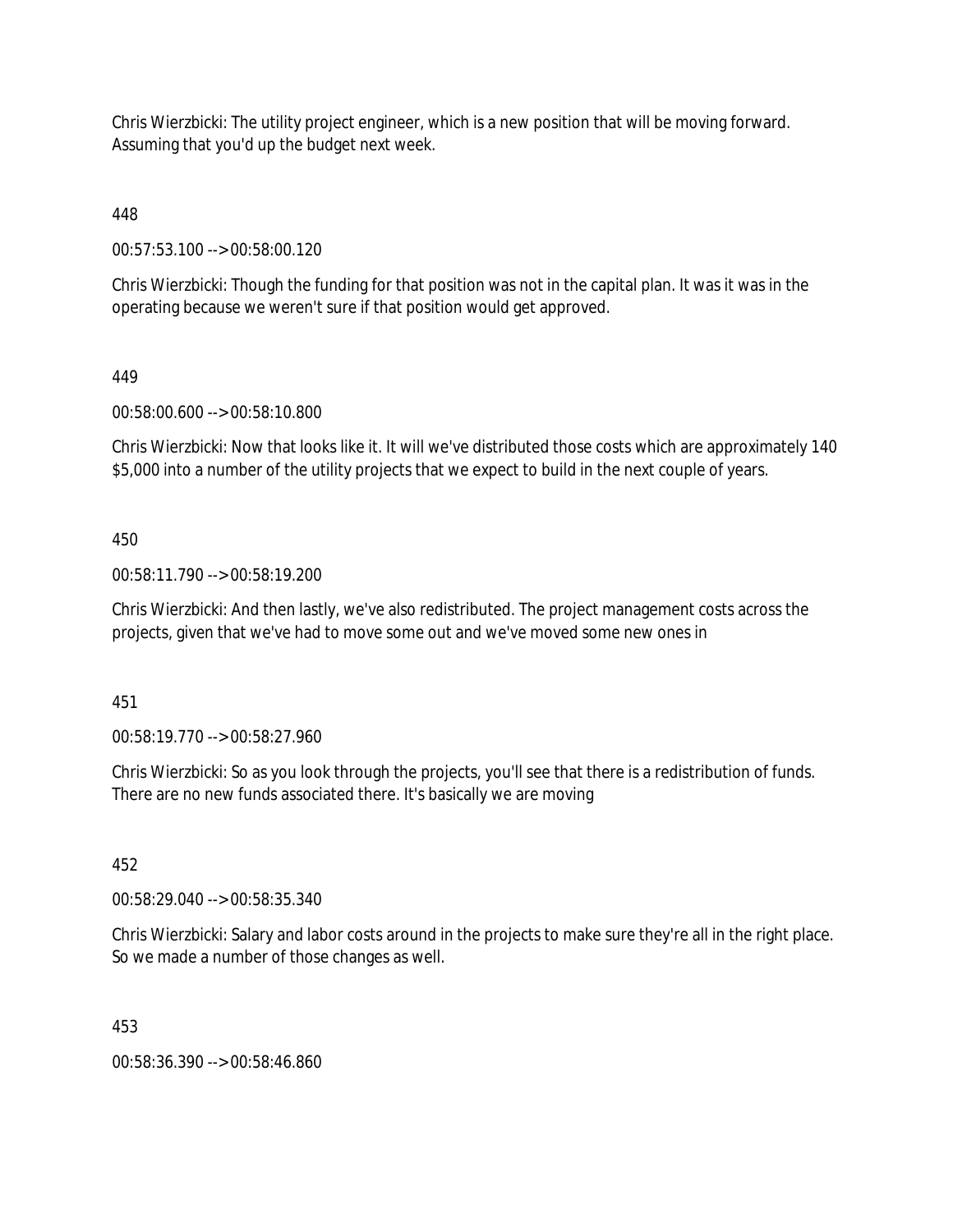Chris Wierzbicki: The utility project engineer, which is a new position that will be moving forward. Assuming that you'd up the budget next week.

448

00:57:53.100 --> 00:58:00.120

Chris Wierzbicki: Though the funding for that position was not in the capital plan. It was it was in the operating because we weren't sure if that position would get approved.

# 449

00:58:00.600 --> 00:58:10.800

Chris Wierzbicki: Now that looks like it. It will we've distributed those costs which are approximately 140 \$5,000 into a number of the utility projects that we expect to build in the next couple of years.

# 450

00:58:11.790 --> 00:58:19.200

Chris Wierzbicki: And then lastly, we've also redistributed. The project management costs across the projects, given that we've had to move some out and we've moved some new ones in

451

00:58:19.770 --> 00:58:27.960

Chris Wierzbicki: So as you look through the projects, you'll see that there is a redistribution of funds. There are no new funds associated there. It's basically we are moving

# 452

00:58:29.040 --> 00:58:35.340

Chris Wierzbicki: Salary and labor costs around in the projects to make sure they're all in the right place. So we made a number of those changes as well.

# 453

00:58:36.390 --> 00:58:46.860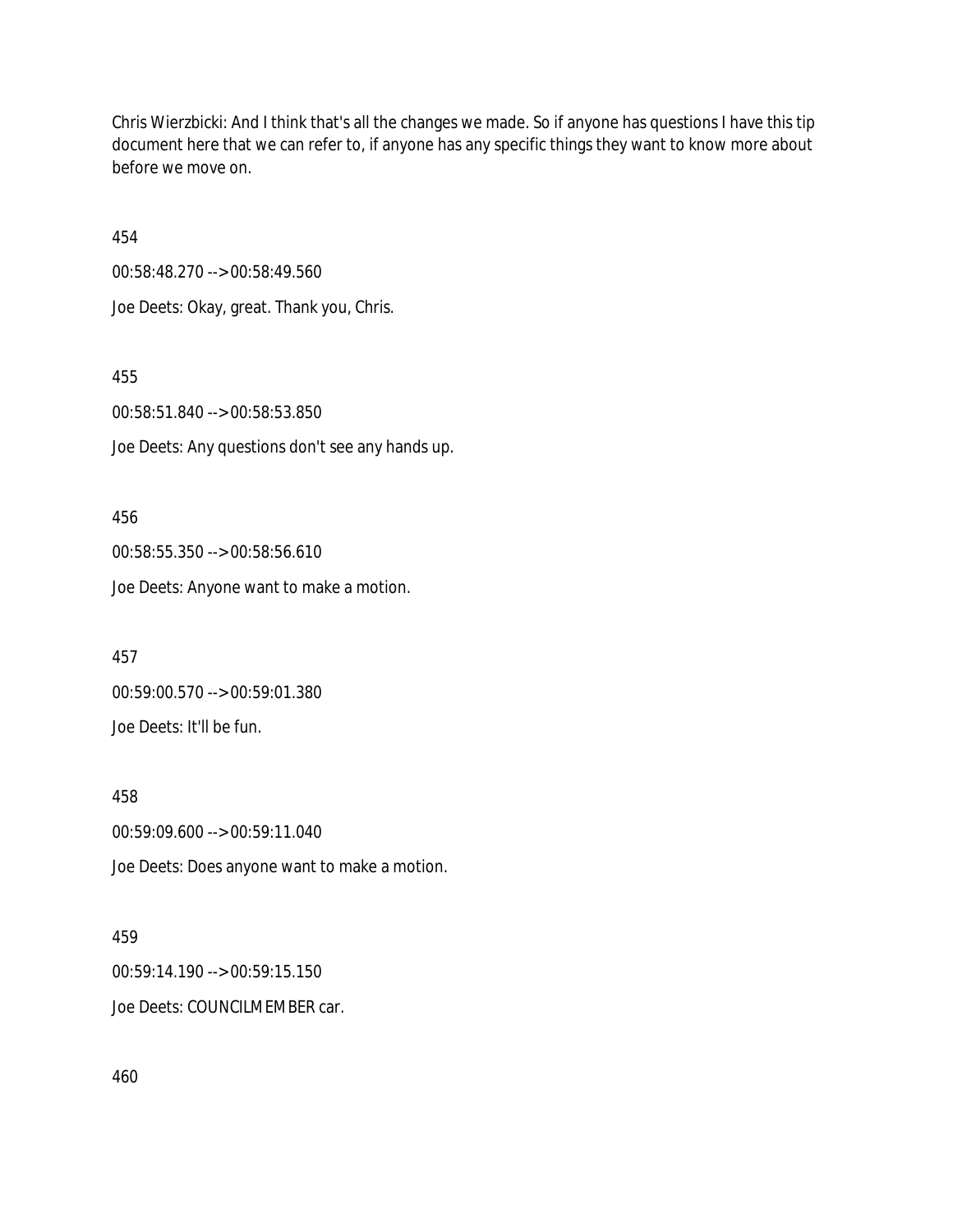Chris Wierzbicki: And I think that's all the changes we made. So if anyone has questions I have this tip document here that we can refer to, if anyone has any specific things they want to know more about before we move on.

454

00:58:48.270 --> 00:58:49.560 Joe Deets: Okay, great. Thank you, Chris.

455

00:58:51.840 --> 00:58:53.850

Joe Deets: Any questions don't see any hands up.

456 00:58:55.350 --> 00:58:56.610 Joe Deets: Anyone want to make a motion.

457 00:59:00.570 --> 00:59:01.380 Joe Deets: It'll be fun.

458 00:59:09.600 --> 00:59:11.040 Joe Deets: Does anyone want to make a motion.

#### 459

00:59:14.190 --> 00:59:15.150 Joe Deets: COUNCILMEMBER car.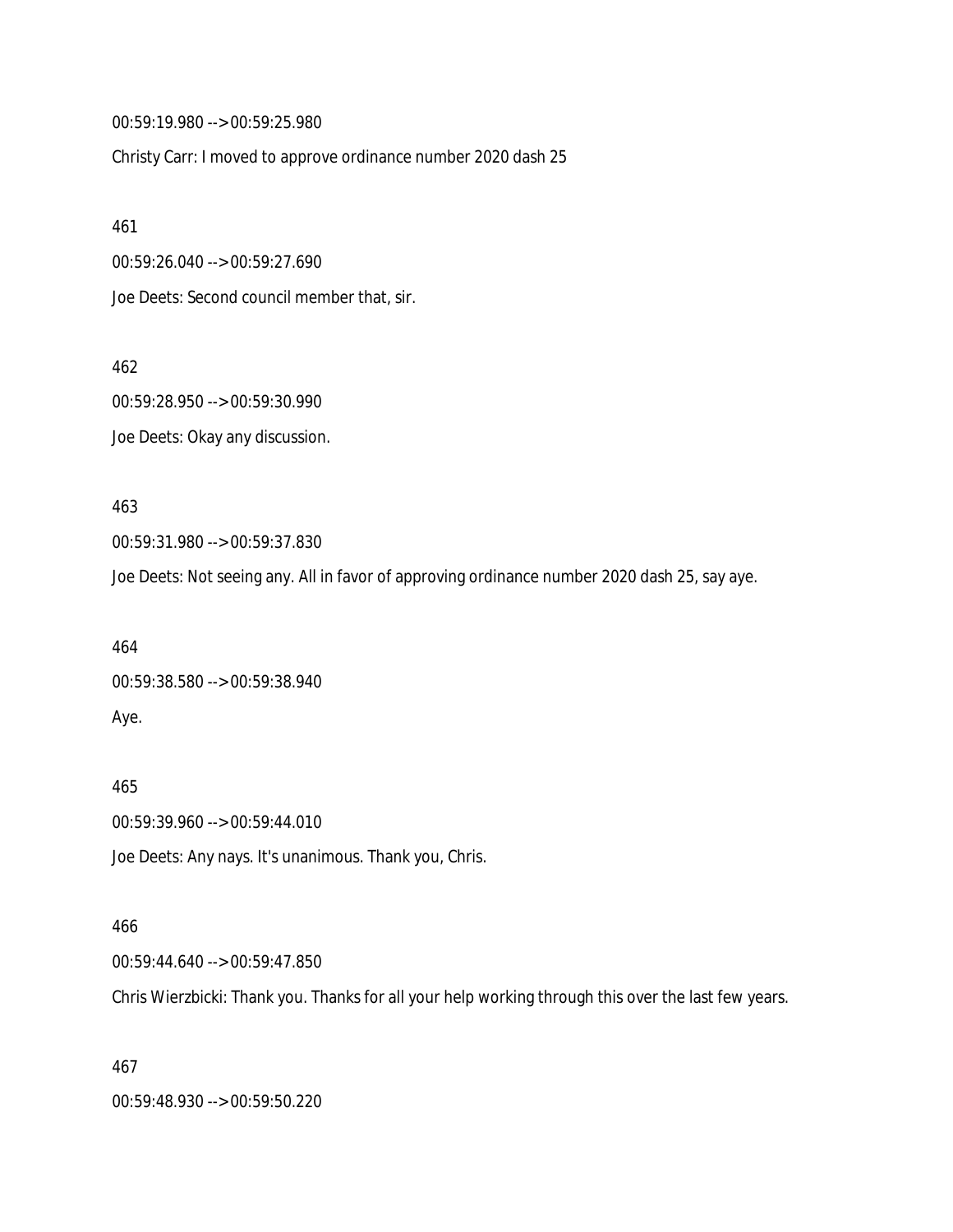00:59:19.980 --> 00:59:25.980

Christy Carr: I moved to approve ordinance number 2020 dash 25

461

00:59:26.040 --> 00:59:27.690

Joe Deets: Second council member that, sir.

462

00:59:28.950 --> 00:59:30.990 Joe Deets: Okay any discussion.

463

00:59:31.980 --> 00:59:37.830

Joe Deets: Not seeing any. All in favor of approving ordinance number 2020 dash 25, say aye.

464 00:59:38.580 --> 00:59:38.940 Aye.

465 00:59:39.960 --> 00:59:44.010 Joe Deets: Any nays. It's unanimous. Thank you, Chris.

#### 466

00:59:44.640 --> 00:59:47.850

Chris Wierzbicki: Thank you. Thanks for all your help working through this over the last few years.

467

00:59:48.930 --> 00:59:50.220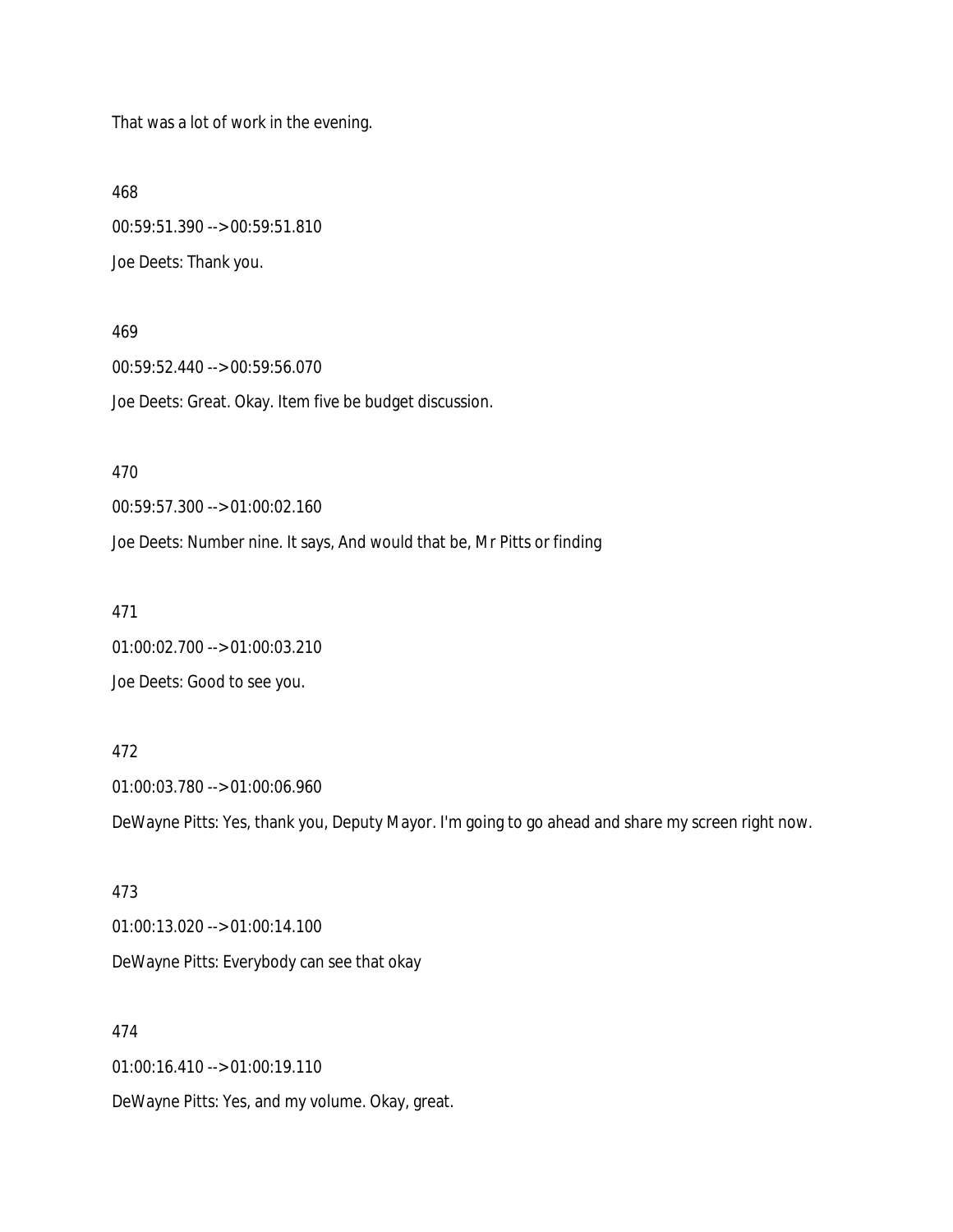That was a lot of work in the evening.

468

00:59:51.390 --> 00:59:51.810 Joe Deets: Thank you.

469

00:59:52.440 --> 00:59:56.070 Joe Deets: Great. Okay. Item five be budget discussion.

470

00:59:57.300 --> 01:00:02.160

Joe Deets: Number nine. It says, And would that be, Mr Pitts or finding

471

01:00:02.700 --> 01:00:03.210 Joe Deets: Good to see you.

472

01:00:03.780 --> 01:00:06.960 DeWayne Pitts: Yes, thank you, Deputy Mayor. I'm going to go ahead and share my screen right now.

473 01:00:13.020 --> 01:00:14.100 DeWayne Pitts: Everybody can see that okay

474 01:00:16.410 --> 01:00:19.110 DeWayne Pitts: Yes, and my volume. Okay, great.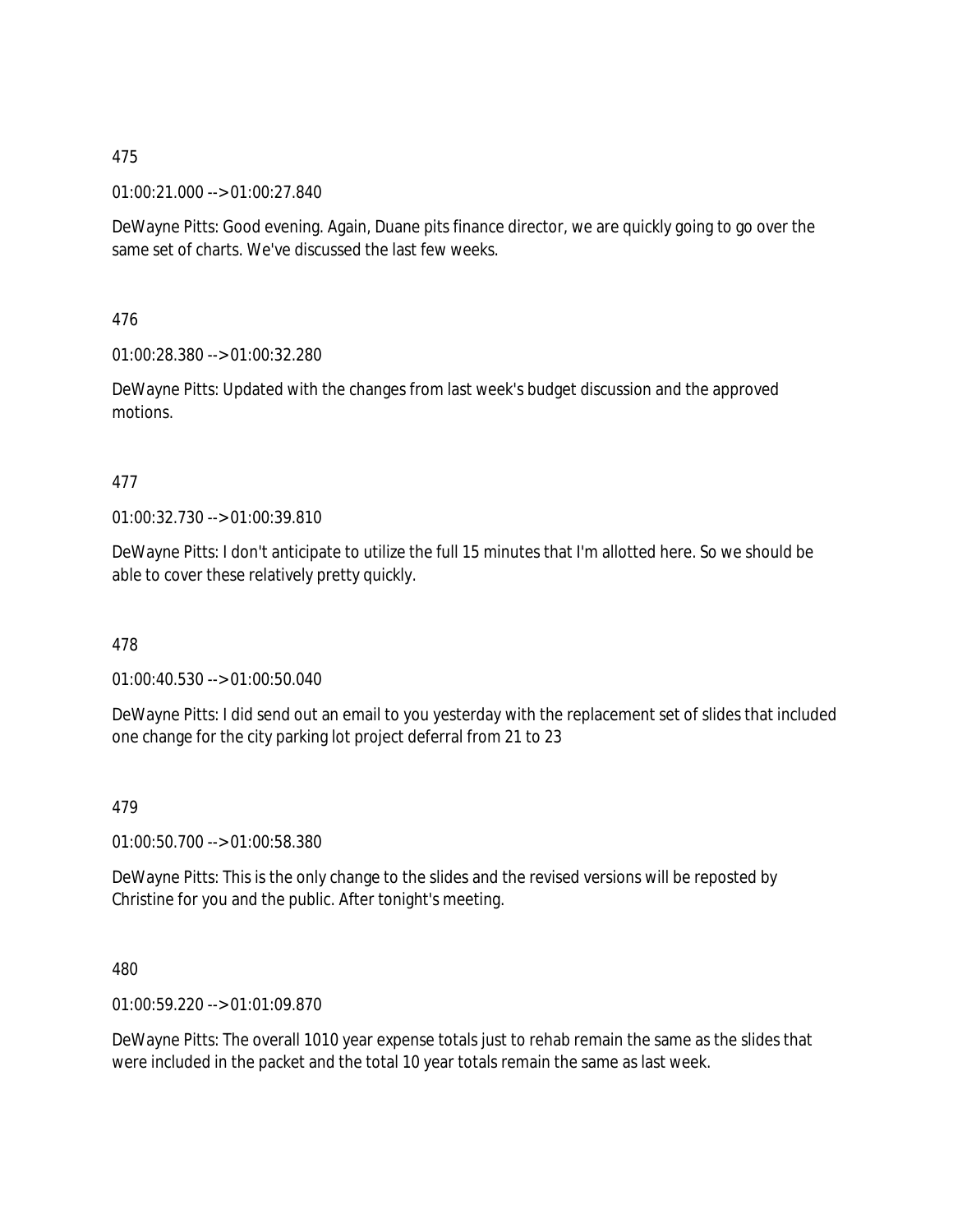#### 01:00:21.000 --> 01:00:27.840

DeWayne Pitts: Good evening. Again, Duane pits finance director, we are quickly going to go over the same set of charts. We've discussed the last few weeks.

476

01:00:28.380 --> 01:00:32.280

DeWayne Pitts: Updated with the changes from last week's budget discussion and the approved motions.

## 477

01:00:32.730 --> 01:00:39.810

DeWayne Pitts: I don't anticipate to utilize the full 15 minutes that I'm allotted here. So we should be able to cover these relatively pretty quickly.

#### 478

01:00:40.530 --> 01:00:50.040

DeWayne Pitts: I did send out an email to you yesterday with the replacement set of slides that included one change for the city parking lot project deferral from 21 to 23

#### 479

01:00:50.700 --> 01:00:58.380

DeWayne Pitts: This is the only change to the slides and the revised versions will be reposted by Christine for you and the public. After tonight's meeting.

#### 480

01:00:59.220 --> 01:01:09.870

DeWayne Pitts: The overall 1010 year expense totals just to rehab remain the same as the slides that were included in the packet and the total 10 year totals remain the same as last week.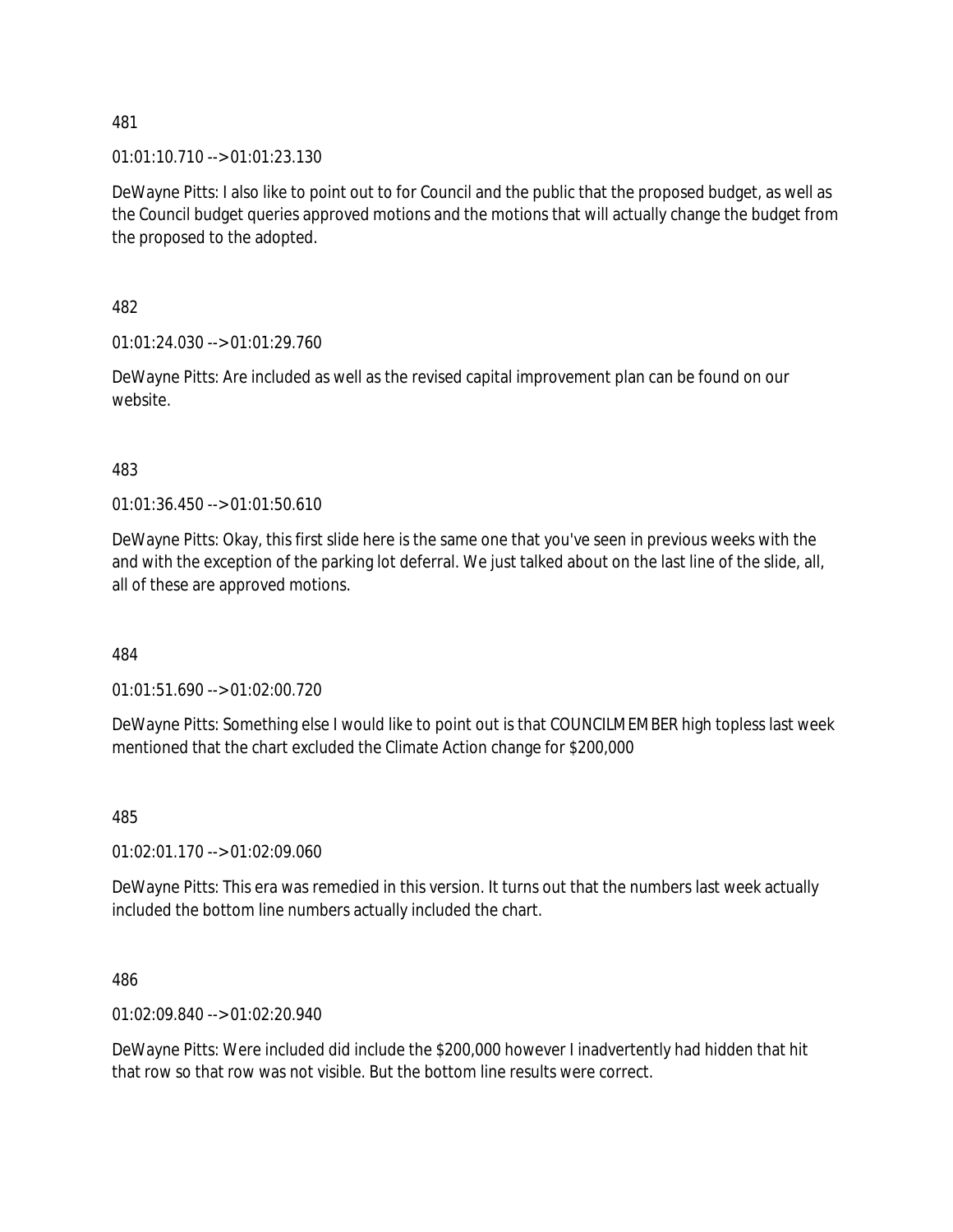01:01:10.710 --> 01:01:23.130

DeWayne Pitts: I also like to point out to for Council and the public that the proposed budget, as well as the Council budget queries approved motions and the motions that will actually change the budget from the proposed to the adopted.

482

01:01:24.030 --> 01:01:29.760

DeWayne Pitts: Are included as well as the revised capital improvement plan can be found on our website.

483

01:01:36.450 --> 01:01:50.610

DeWayne Pitts: Okay, this first slide here is the same one that you've seen in previous weeks with the and with the exception of the parking lot deferral. We just talked about on the last line of the slide, all, all of these are approved motions.

484

01:01:51.690 --> 01:02:00.720

DeWayne Pitts: Something else I would like to point out is that COUNCILMEMBER high topless last week mentioned that the chart excluded the Climate Action change for \$200,000

485

01:02:01.170 --> 01:02:09.060

DeWayne Pitts: This era was remedied in this version. It turns out that the numbers last week actually included the bottom line numbers actually included the chart.

486

01:02:09.840 --> 01:02:20.940

DeWayne Pitts: Were included did include the \$200,000 however I inadvertently had hidden that hit that row so that row was not visible. But the bottom line results were correct.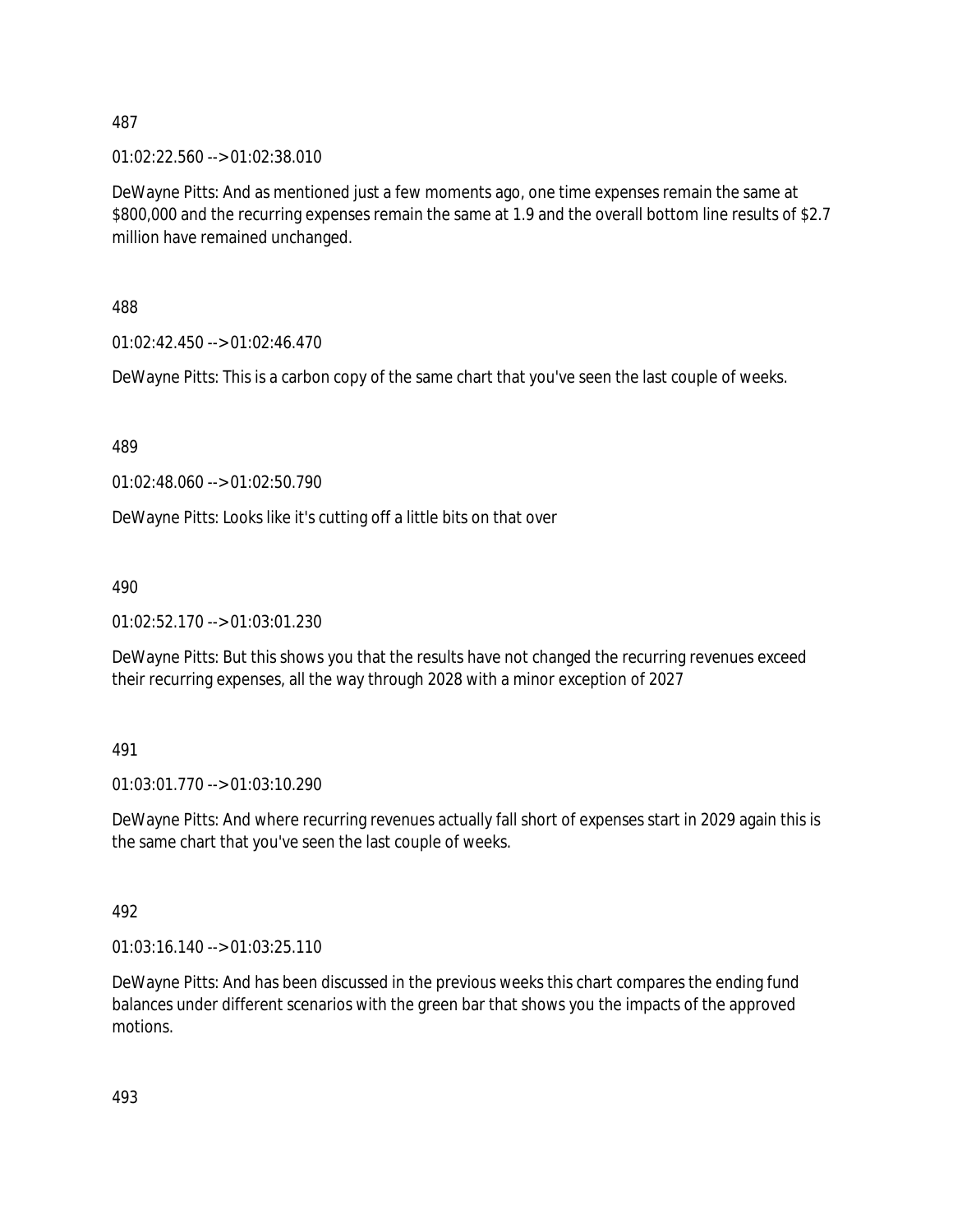01:02:22.560 --> 01:02:38.010

DeWayne Pitts: And as mentioned just a few moments ago, one time expenses remain the same at \$800,000 and the recurring expenses remain the same at 1.9 and the overall bottom line results of \$2.7 million have remained unchanged.

488

01:02:42.450 --> 01:02:46.470

DeWayne Pitts: This is a carbon copy of the same chart that you've seen the last couple of weeks.

489

01:02:48.060 --> 01:02:50.790

DeWayne Pitts: Looks like it's cutting off a little bits on that over

490

01:02:52.170 --> 01:03:01.230

DeWayne Pitts: But this shows you that the results have not changed the recurring revenues exceed their recurring expenses, all the way through 2028 with a minor exception of 2027

491

01:03:01.770 --> 01:03:10.290

DeWayne Pitts: And where recurring revenues actually fall short of expenses start in 2029 again this is the same chart that you've seen the last couple of weeks.

492

01:03:16.140 --> 01:03:25.110

DeWayne Pitts: And has been discussed in the previous weeks this chart compares the ending fund balances under different scenarios with the green bar that shows you the impacts of the approved motions.

493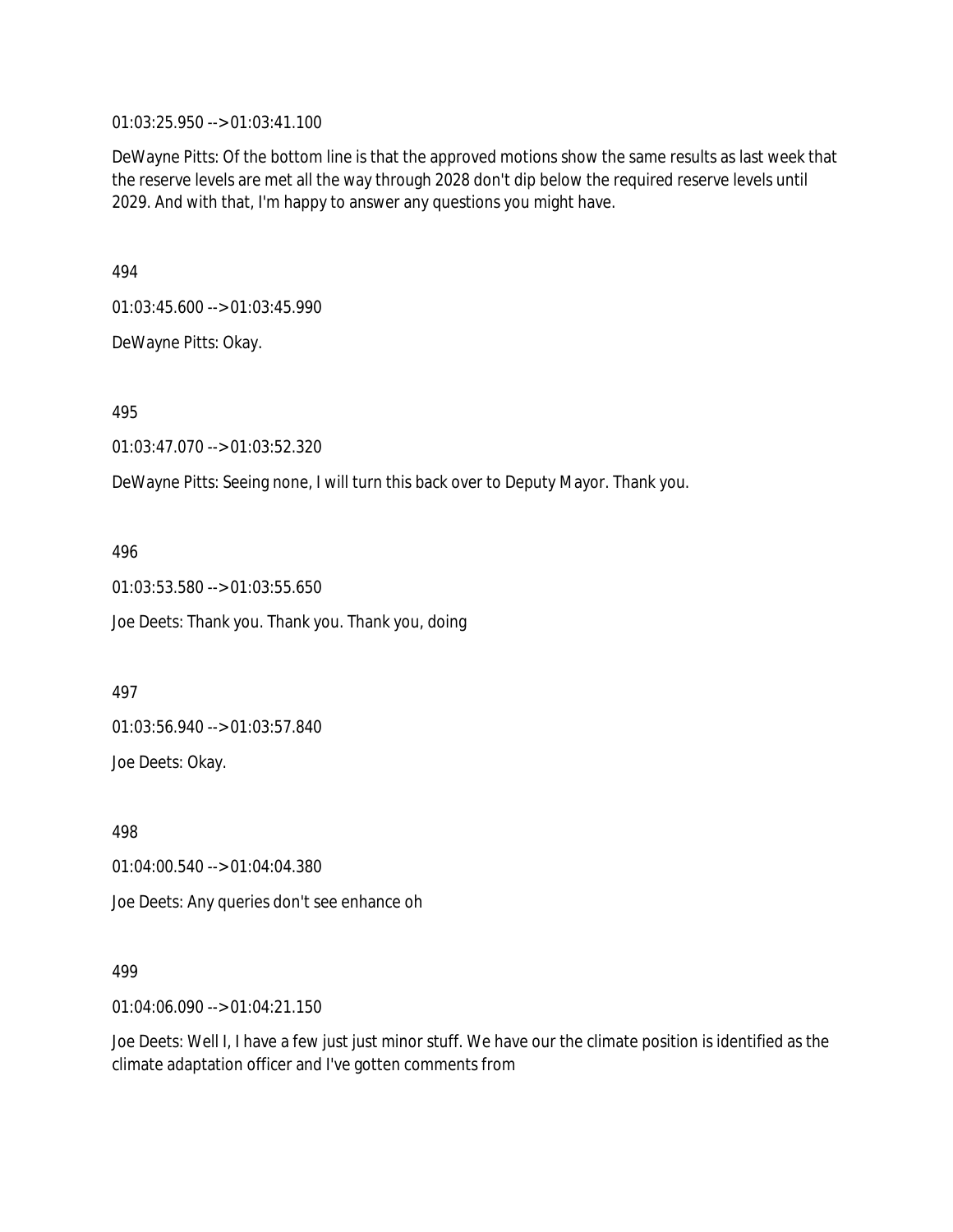01:03:25.950 --> 01:03:41.100

DeWayne Pitts: Of the bottom line is that the approved motions show the same results as last week that the reserve levels are met all the way through 2028 don't dip below the required reserve levels until 2029. And with that, I'm happy to answer any questions you might have.

494

01:03:45.600 --> 01:03:45.990

DeWayne Pitts: Okay.

495

01:03:47.070 --> 01:03:52.320

DeWayne Pitts: Seeing none, I will turn this back over to Deputy Mayor. Thank you.

496

01:03:53.580 --> 01:03:55.650 Joe Deets: Thank you. Thank you. Thank you, doing

497

01:03:56.940 --> 01:03:57.840 Joe Deets: Okay.

498

01:04:00.540 --> 01:04:04.380

Joe Deets: Any queries don't see enhance oh

499

01:04:06.090 --> 01:04:21.150

Joe Deets: Well I, I have a few just just minor stuff. We have our the climate position is identified as the climate adaptation officer and I've gotten comments from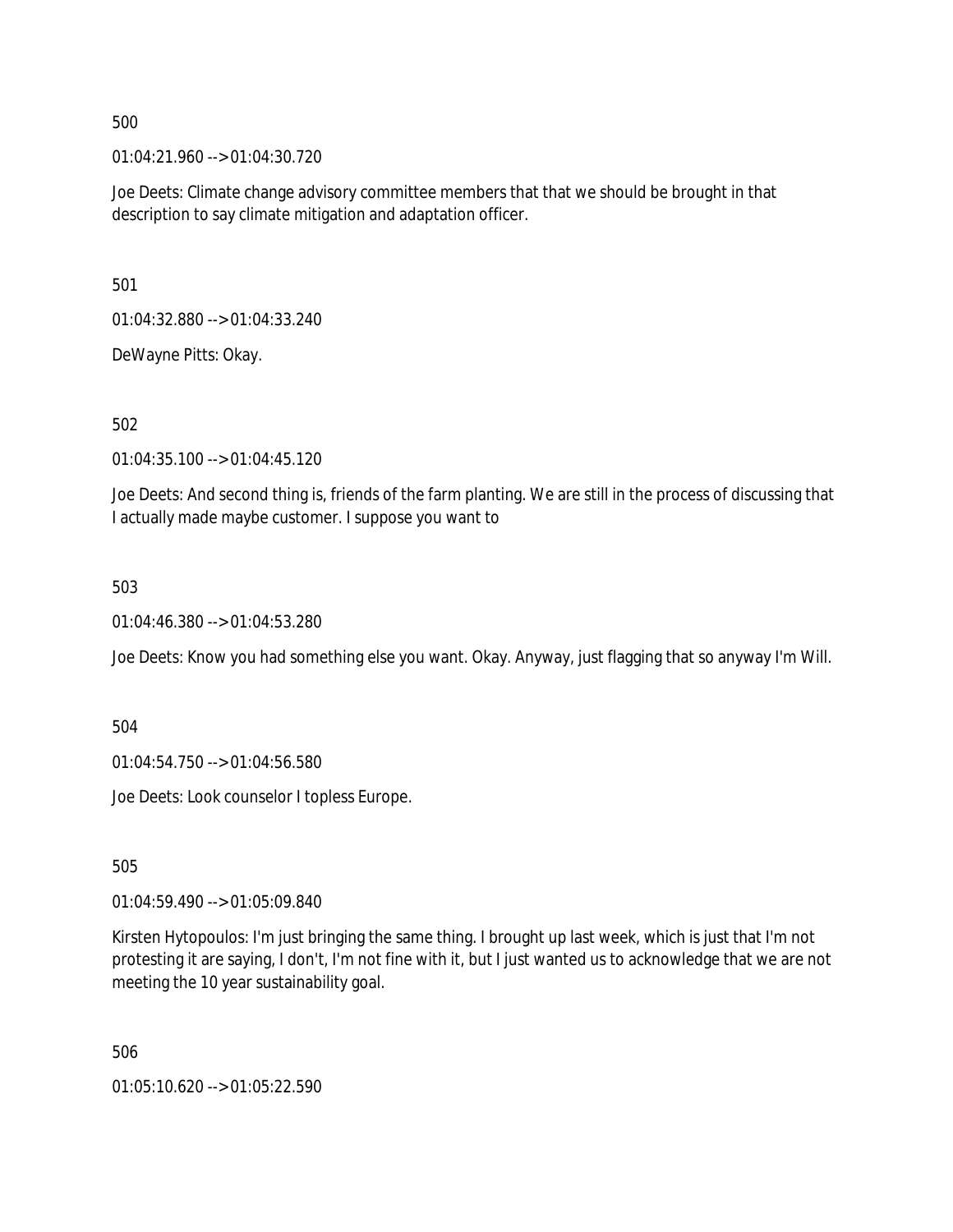01:04:21.960 --> 01:04:30.720

Joe Deets: Climate change advisory committee members that that we should be brought in that description to say climate mitigation and adaptation officer.

501

01:04:32.880 --> 01:04:33.240

DeWayne Pitts: Okay.

502

01:04:35.100 --> 01:04:45.120

Joe Deets: And second thing is, friends of the farm planting. We are still in the process of discussing that I actually made maybe customer. I suppose you want to

503

01:04:46.380 --> 01:04:53.280

Joe Deets: Know you had something else you want. Okay. Anyway, just flagging that so anyway I'm Will.

504

01:04:54.750 --> 01:04:56.580

Joe Deets: Look counselor I topless Europe.

505

01:04:59.490 --> 01:05:09.840

Kirsten Hytopoulos: I'm just bringing the same thing. I brought up last week, which is just that I'm not protesting it are saying, I don't, I'm not fine with it, but I just wanted us to acknowledge that we are not meeting the 10 year sustainability goal.

506

01:05:10.620 --> 01:05:22.590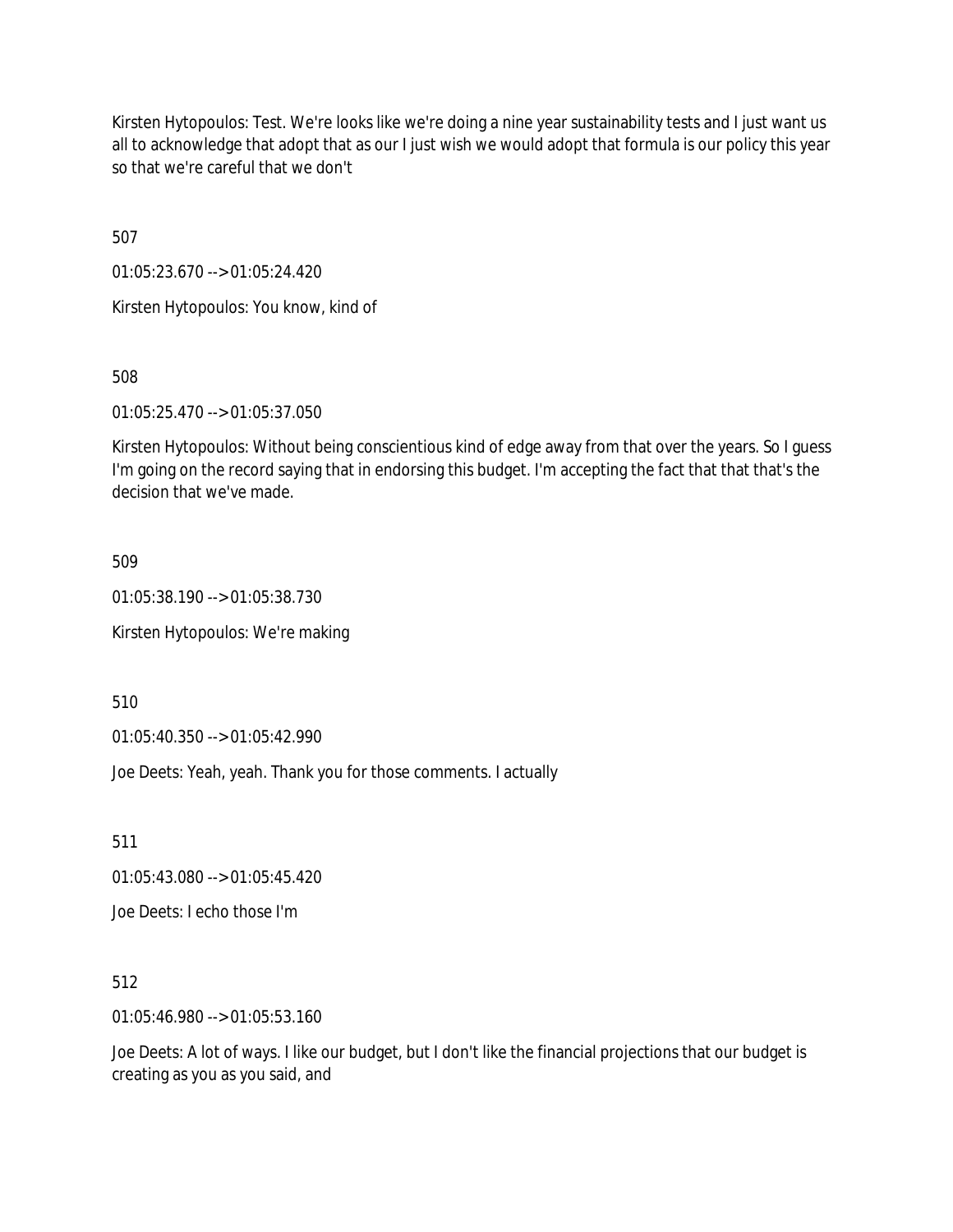Kirsten Hytopoulos: Test. We're looks like we're doing a nine year sustainability tests and I just want us all to acknowledge that adopt that as our I just wish we would adopt that formula is our policy this year so that we're careful that we don't

507

01:05:23.670 --> 01:05:24.420

Kirsten Hytopoulos: You know, kind of

508

01:05:25.470 --> 01:05:37.050

Kirsten Hytopoulos: Without being conscientious kind of edge away from that over the years. So I guess I'm going on the record saying that in endorsing this budget. I'm accepting the fact that that that's the decision that we've made.

509

01:05:38.190 --> 01:05:38.730

Kirsten Hytopoulos: We're making

510

01:05:40.350 --> 01:05:42.990

Joe Deets: Yeah, yeah. Thank you for those comments. I actually

511

01:05:43.080 --> 01:05:45.420

Joe Deets: I echo those I'm

512

01:05:46.980 --> 01:05:53.160

Joe Deets: A lot of ways. I like our budget, but I don't like the financial projections that our budget is creating as you as you said, and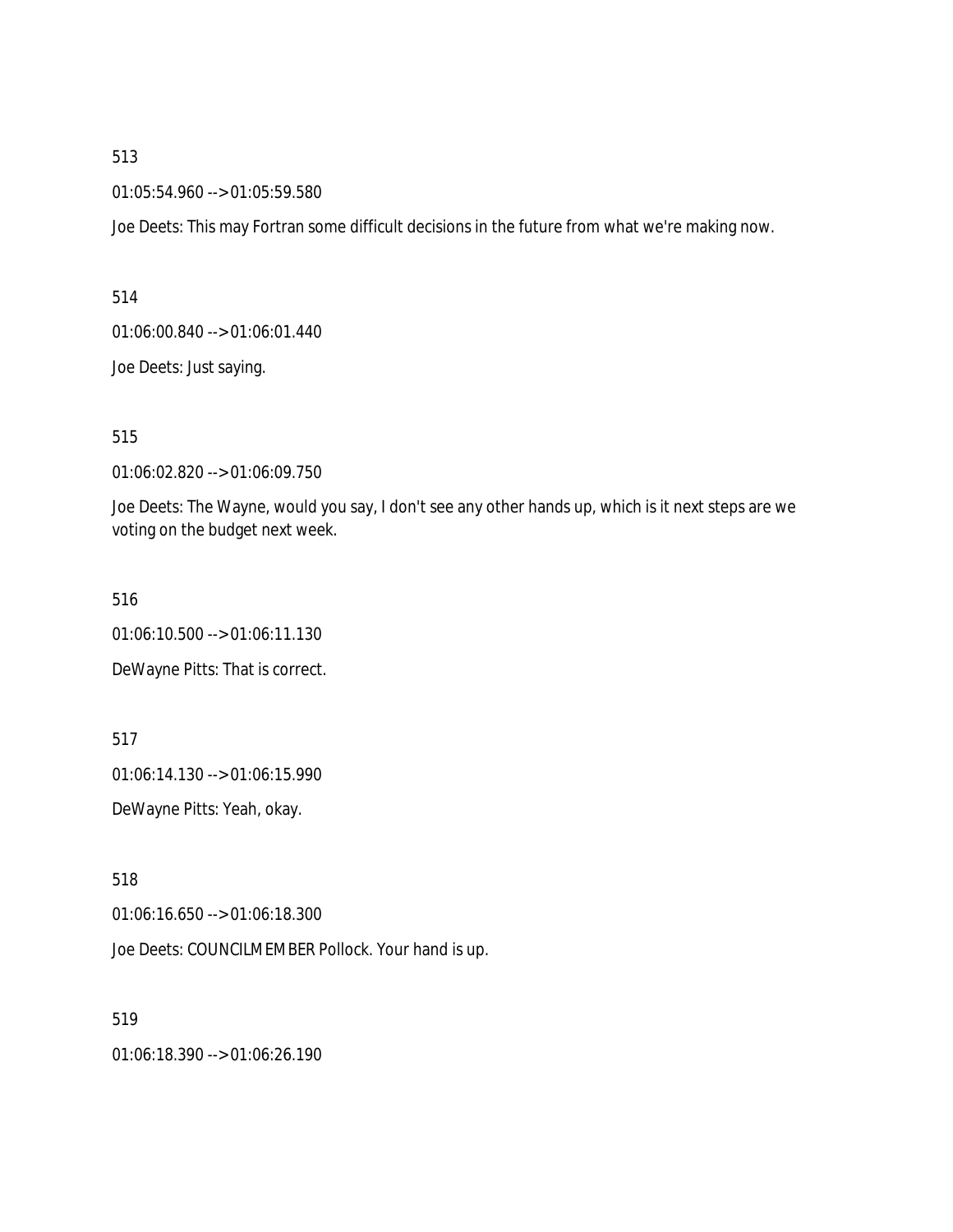01:05:54.960 --> 01:05:59.580

Joe Deets: This may Fortran some difficult decisions in the future from what we're making now.

514

01:06:00.840 --> 01:06:01.440

Joe Deets: Just saying.

515

01:06:02.820 --> 01:06:09.750

Joe Deets: The Wayne, would you say, I don't see any other hands up, which is it next steps are we voting on the budget next week.

516

01:06:10.500 --> 01:06:11.130

DeWayne Pitts: That is correct.

517

01:06:14.130 --> 01:06:15.990

DeWayne Pitts: Yeah, okay.

518

01:06:16.650 --> 01:06:18.300

Joe Deets: COUNCILMEMBER Pollock. Your hand is up.

519

01:06:18.390 --> 01:06:26.190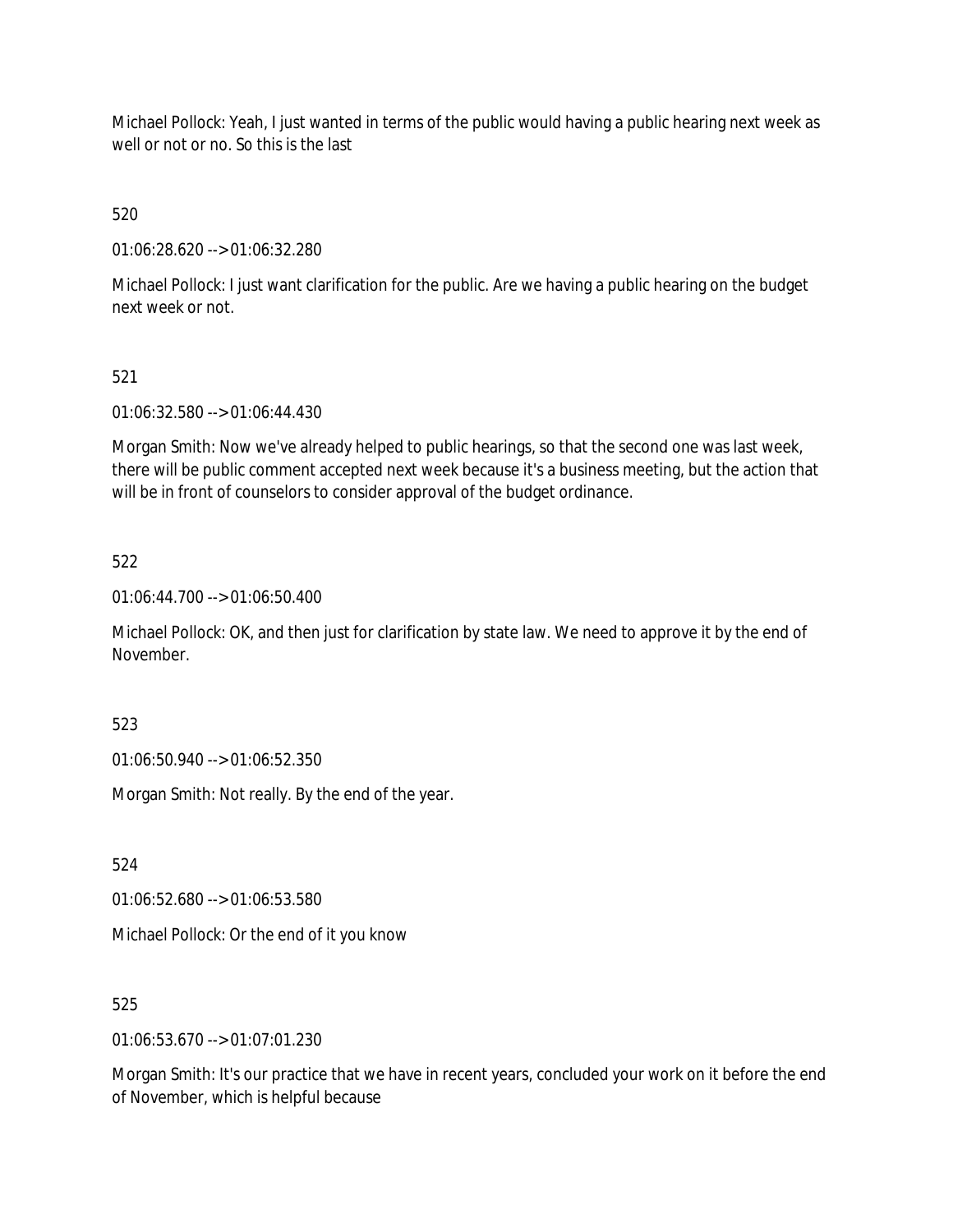Michael Pollock: Yeah, I just wanted in terms of the public would having a public hearing next week as well or not or no. So this is the last

520

01:06:28.620 --> 01:06:32.280

Michael Pollock: I just want clarification for the public. Are we having a public hearing on the budget next week or not.

# 521

01:06:32.580 --> 01:06:44.430

Morgan Smith: Now we've already helped to public hearings, so that the second one was last week, there will be public comment accepted next week because it's a business meeting, but the action that will be in front of counselors to consider approval of the budget ordinance.

## 522

01:06:44.700 --> 01:06:50.400

Michael Pollock: OK, and then just for clarification by state law. We need to approve it by the end of November.

523

01:06:50.940 --> 01:06:52.350

Morgan Smith: Not really. By the end of the year.

524

01:06:52.680 --> 01:06:53.580

Michael Pollock: Or the end of it you know

#### 525

01:06:53.670 --> 01:07:01.230

Morgan Smith: It's our practice that we have in recent years, concluded your work on it before the end of November, which is helpful because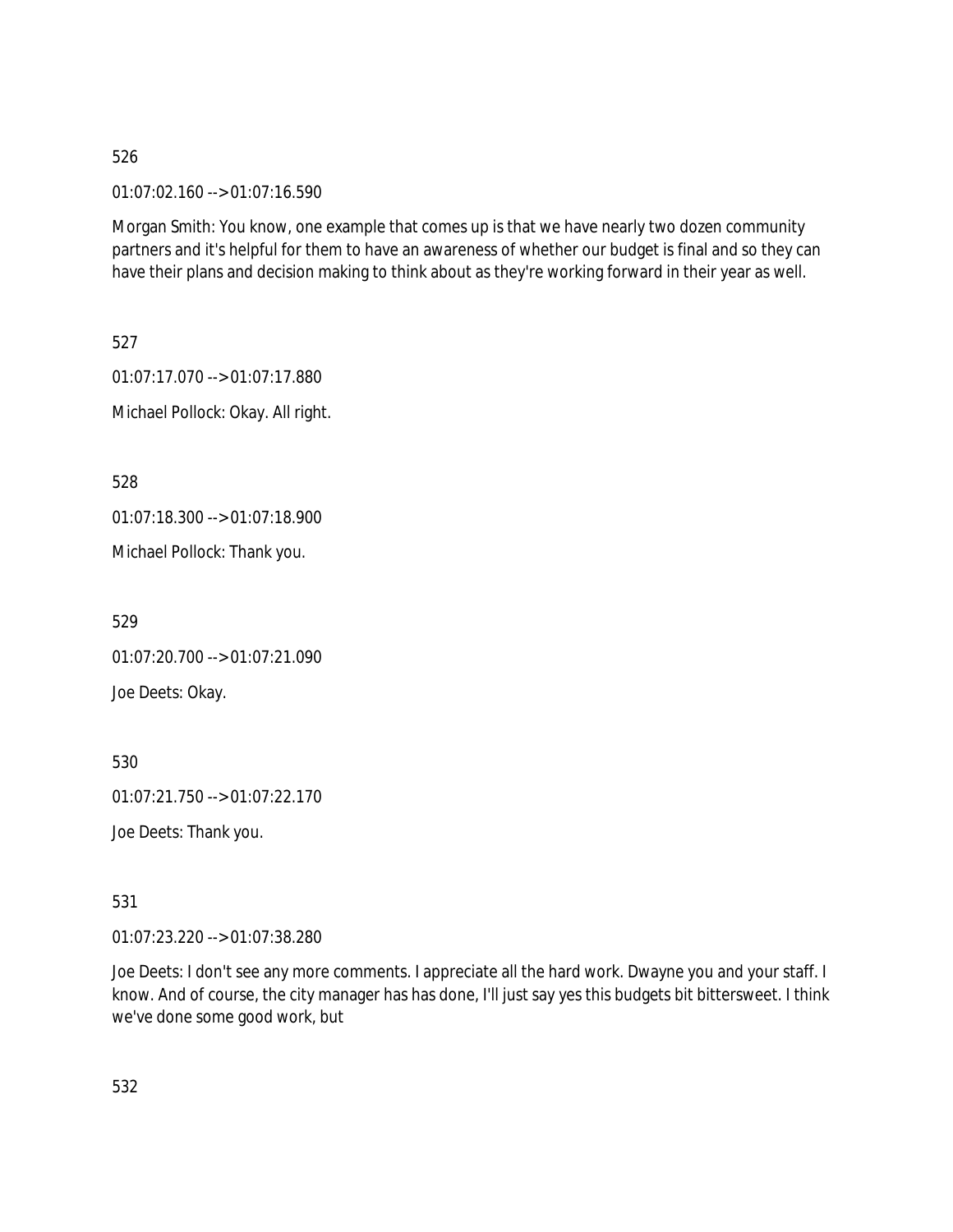01:07:02.160 --> 01:07:16.590

Morgan Smith: You know, one example that comes up is that we have nearly two dozen community partners and it's helpful for them to have an awareness of whether our budget is final and so they can have their plans and decision making to think about as they're working forward in their year as well.

527 01:07:17.070 --> 01:07:17.880 Michael Pollock: Okay. All right.

528

01:07:18.300 --> 01:07:18.900

Michael Pollock: Thank you.

529

01:07:20.700 --> 01:07:21.090 Joe Deets: Okay.

530

01:07:21.750 --> 01:07:22.170

Joe Deets: Thank you.

531

01:07:23.220 --> 01:07:38.280

Joe Deets: I don't see any more comments. I appreciate all the hard work. Dwayne you and your staff. I know. And of course, the city manager has has done, I'll just say yes this budgets bit bittersweet. I think we've done some good work, but

532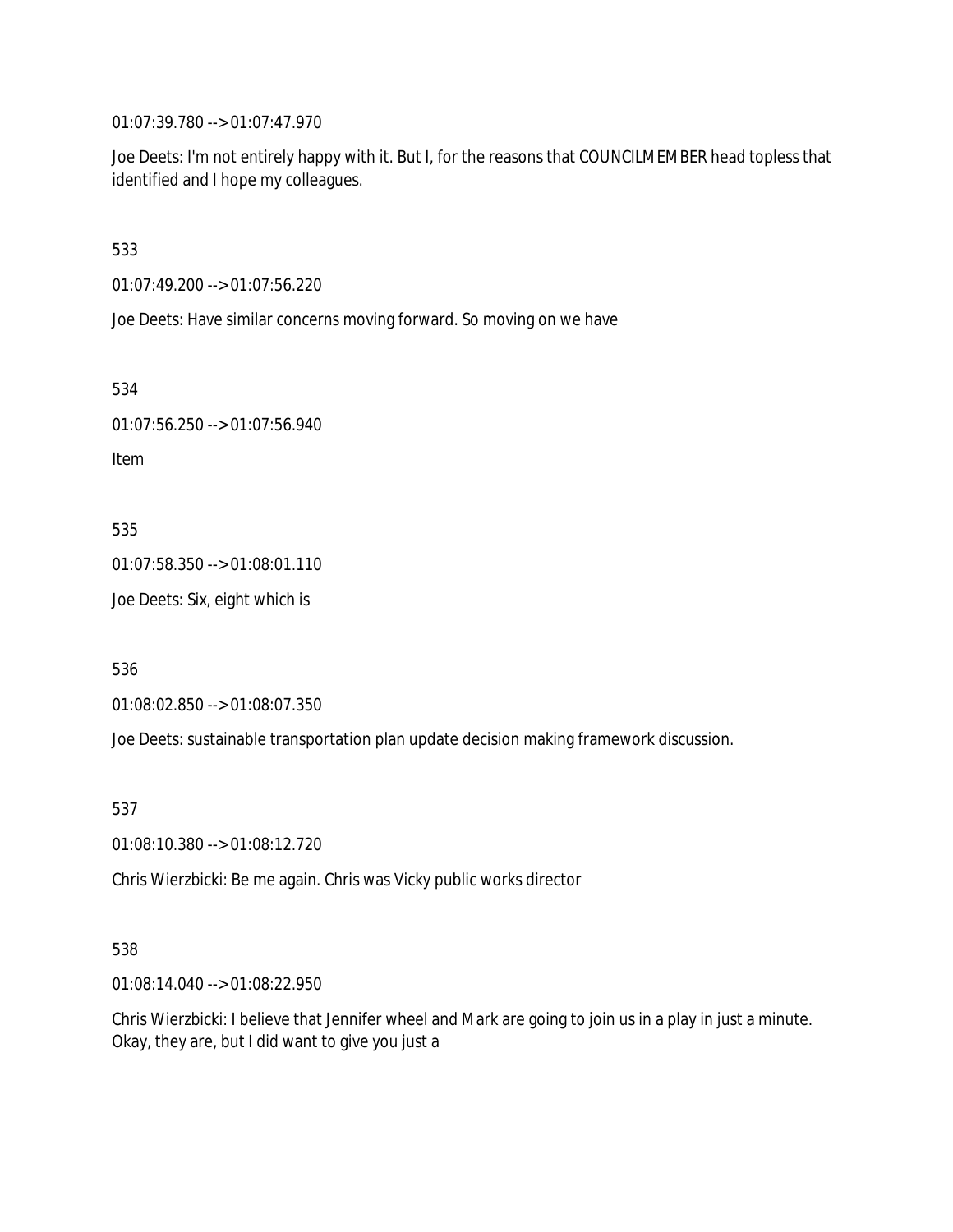01:07:39.780 --> 01:07:47.970

Joe Deets: I'm not entirely happy with it. But I, for the reasons that COUNCILMEMBER head topless that identified and I hope my colleagues.

533

01:07:49.200 --> 01:07:56.220

Joe Deets: Have similar concerns moving forward. So moving on we have

534

```
01:07:56.250 --> 01:07:56.940
Item
```
535

01:07:58.350 --> 01:08:01.110

Joe Deets: Six, eight which is

536

01:08:02.850 --> 01:08:07.350

Joe Deets: sustainable transportation plan update decision making framework discussion.

537

01:08:10.380 --> 01:08:12.720

Chris Wierzbicki: Be me again. Chris was Vicky public works director

538

01:08:14.040 --> 01:08:22.950

Chris Wierzbicki: I believe that Jennifer wheel and Mark are going to join us in a play in just a minute. Okay, they are, but I did want to give you just a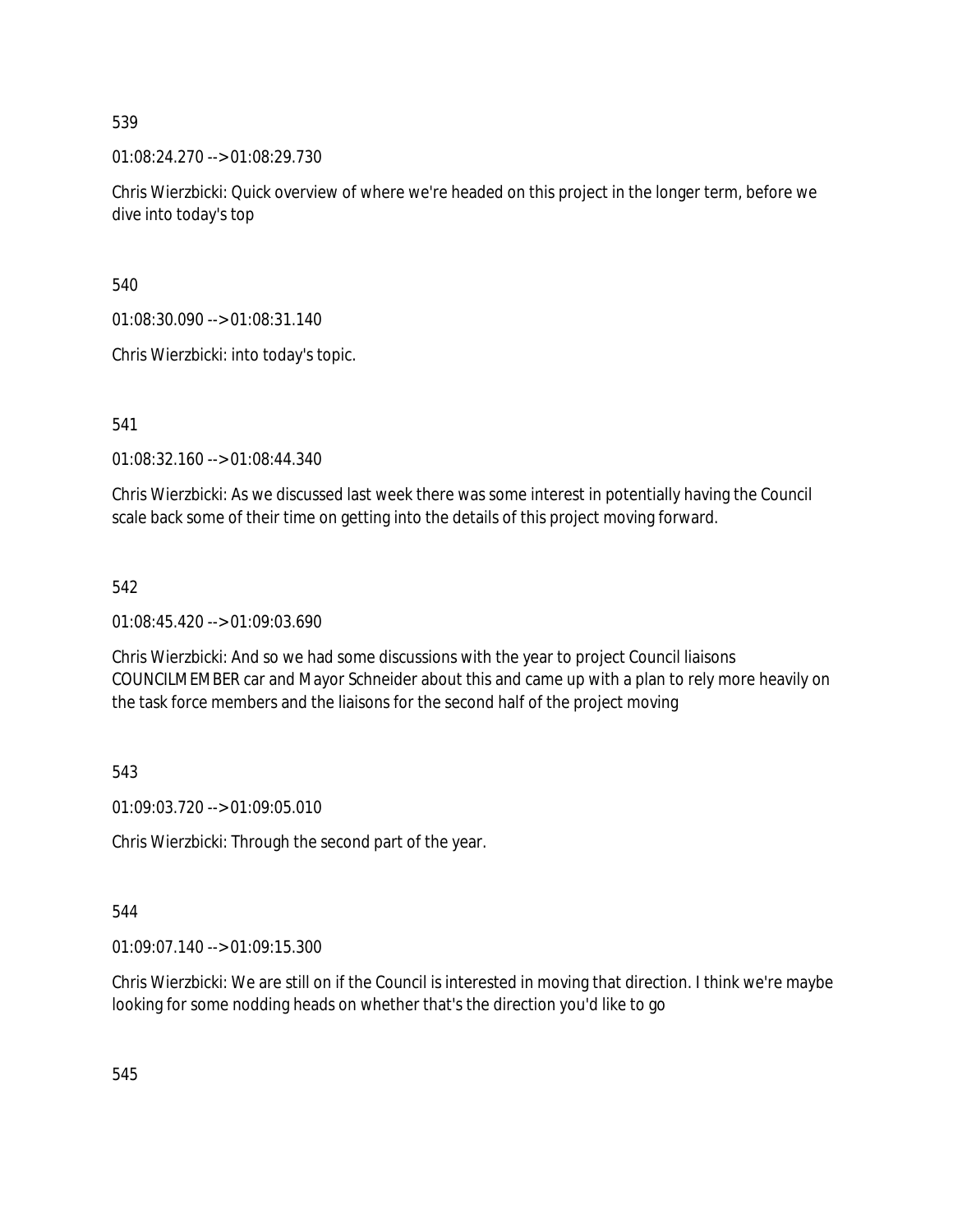01:08:24.270 --> 01:08:29.730

Chris Wierzbicki: Quick overview of where we're headed on this project in the longer term, before we dive into today's top

540

01:08:30.090 --> 01:08:31.140

Chris Wierzbicki: into today's topic.

541

01:08:32.160 --> 01:08:44.340

Chris Wierzbicki: As we discussed last week there was some interest in potentially having the Council scale back some of their time on getting into the details of this project moving forward.

#### 542

01:08:45.420 --> 01:09:03.690

Chris Wierzbicki: And so we had some discussions with the year to project Council liaisons COUNCILMEMBER car and Mayor Schneider about this and came up with a plan to rely more heavily on the task force members and the liaisons for the second half of the project moving

543

01:09:03.720 --> 01:09:05.010

Chris Wierzbicki: Through the second part of the year.

544

01:09:07.140 --> 01:09:15.300

Chris Wierzbicki: We are still on if the Council is interested in moving that direction. I think we're maybe looking for some nodding heads on whether that's the direction you'd like to go

545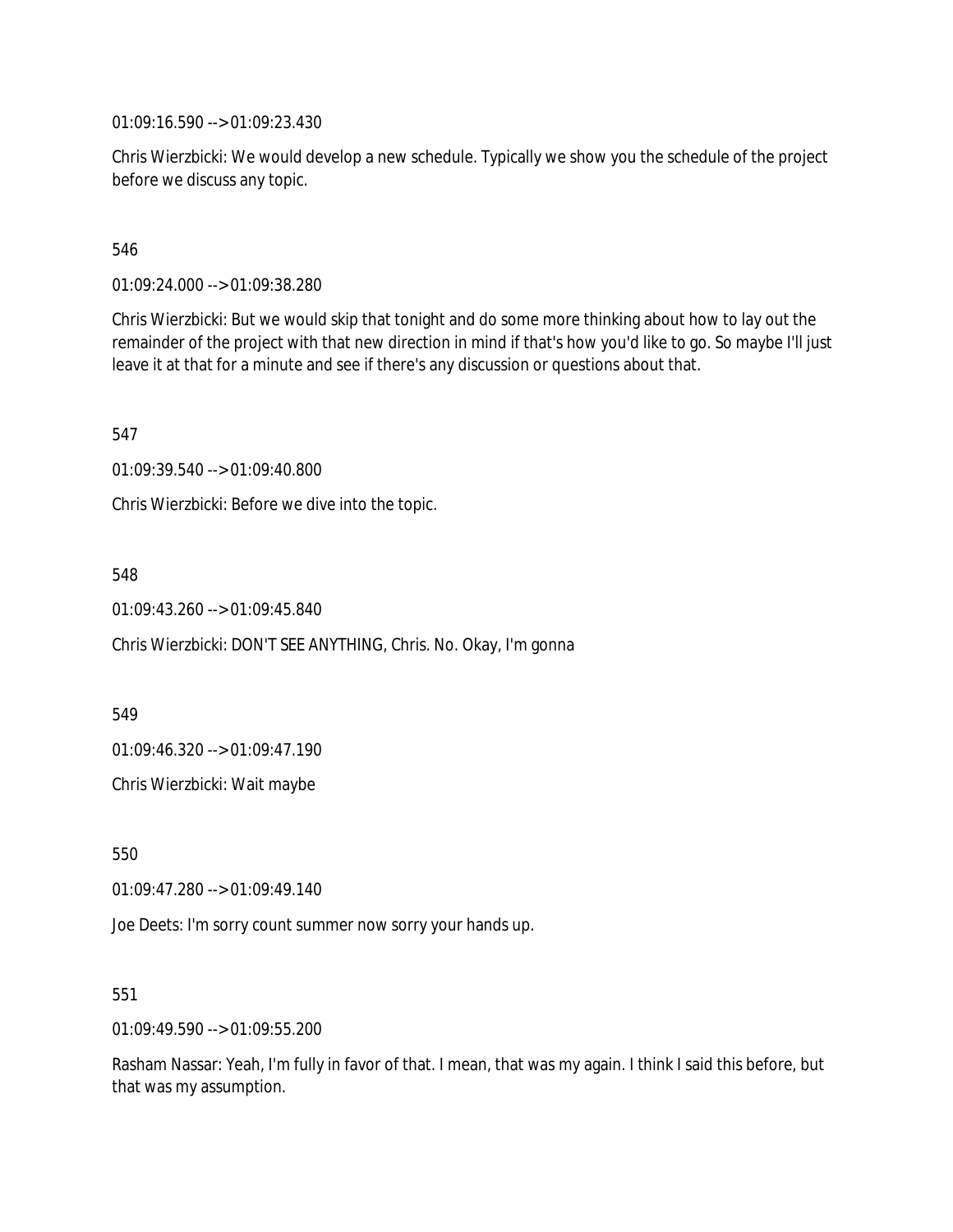01:09:16.590 --> 01:09:23.430

Chris Wierzbicki: We would develop a new schedule. Typically we show you the schedule of the project before we discuss any topic.

546

01:09:24.000 --> 01:09:38.280

Chris Wierzbicki: But we would skip that tonight and do some more thinking about how to lay out the remainder of the project with that new direction in mind if that's how you'd like to go. So maybe I'll just leave it at that for a minute and see if there's any discussion or questions about that.

547

01:09:39.540 --> 01:09:40.800

Chris Wierzbicki: Before we dive into the topic.

548

01:09:43.260 --> 01:09:45.840

Chris Wierzbicki: DON'T SEE ANYTHING, Chris. No. Okay, I'm gonna

549

01:09:46.320 --> 01:09:47.190

Chris Wierzbicki: Wait maybe

550

01:09:47.280 --> 01:09:49.140

Joe Deets: I'm sorry count summer now sorry your hands up.

551

01:09:49.590 --> 01:09:55.200

Rasham Nassar: Yeah, I'm fully in favor of that. I mean, that was my again. I think I said this before, but that was my assumption.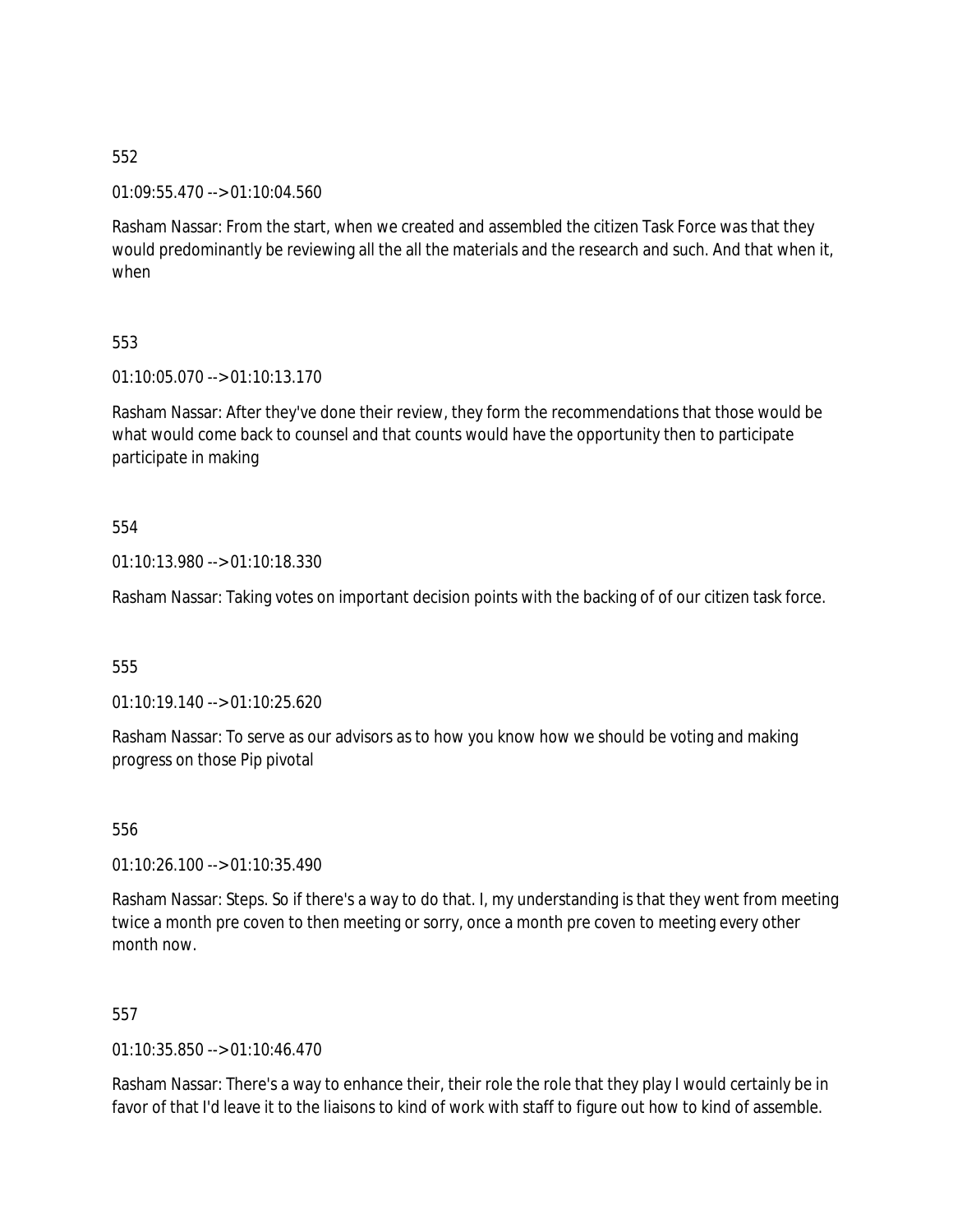01:09:55.470 --> 01:10:04.560

Rasham Nassar: From the start, when we created and assembled the citizen Task Force was that they would predominantly be reviewing all the all the materials and the research and such. And that when it, when

553

01:10:05.070 --> 01:10:13.170

Rasham Nassar: After they've done their review, they form the recommendations that those would be what would come back to counsel and that counts would have the opportunity then to participate participate in making

554

01:10:13.980 --> 01:10:18.330

Rasham Nassar: Taking votes on important decision points with the backing of of our citizen task force.

555

01:10:19.140 --> 01:10:25.620

Rasham Nassar: To serve as our advisors as to how you know how we should be voting and making progress on those Pip pivotal

556

01:10:26.100 --> 01:10:35.490

Rasham Nassar: Steps. So if there's a way to do that. I, my understanding is that they went from meeting twice a month pre coven to then meeting or sorry, once a month pre coven to meeting every other month now.

557

01:10:35.850 --> 01:10:46.470

Rasham Nassar: There's a way to enhance their, their role the role that they play I would certainly be in favor of that I'd leave it to the liaisons to kind of work with staff to figure out how to kind of assemble.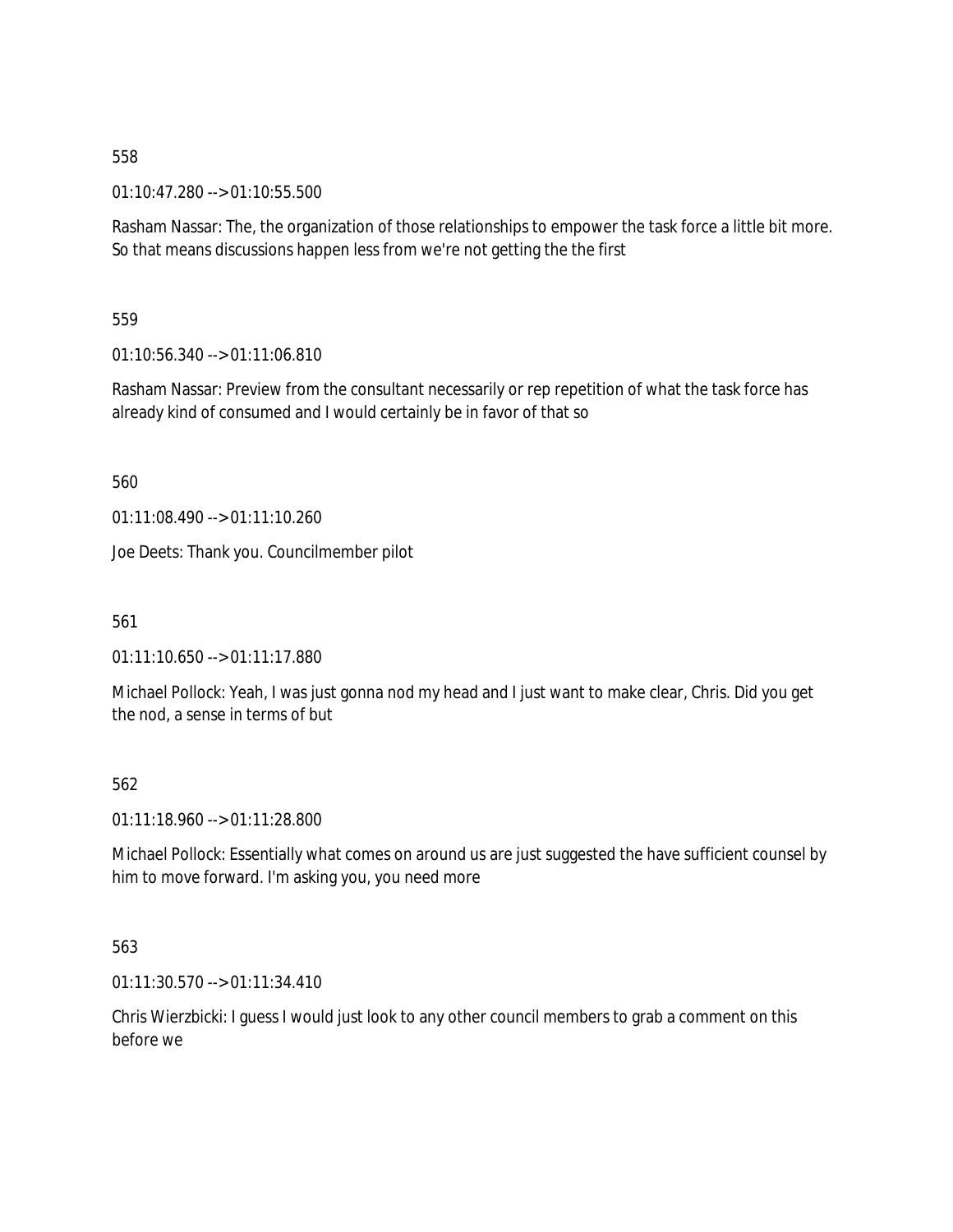01:10:47.280 --> 01:10:55.500

Rasham Nassar: The, the organization of those relationships to empower the task force a little bit more. So that means discussions happen less from we're not getting the the first

559

01:10:56.340 --> 01:11:06.810

Rasham Nassar: Preview from the consultant necessarily or rep repetition of what the task force has already kind of consumed and I would certainly be in favor of that so

560

01:11:08.490 --> 01:11:10.260

Joe Deets: Thank you. Councilmember pilot

561

01:11:10.650 --> 01:11:17.880

Michael Pollock: Yeah, I was just gonna nod my head and I just want to make clear, Chris. Did you get the nod, a sense in terms of but

562

01:11:18.960 --> 01:11:28.800

Michael Pollock: Essentially what comes on around us are just suggested the have sufficient counsel by him to move forward. I'm asking you, you need more

563

01:11:30.570 --> 01:11:34.410

Chris Wierzbicki: I guess I would just look to any other council members to grab a comment on this before we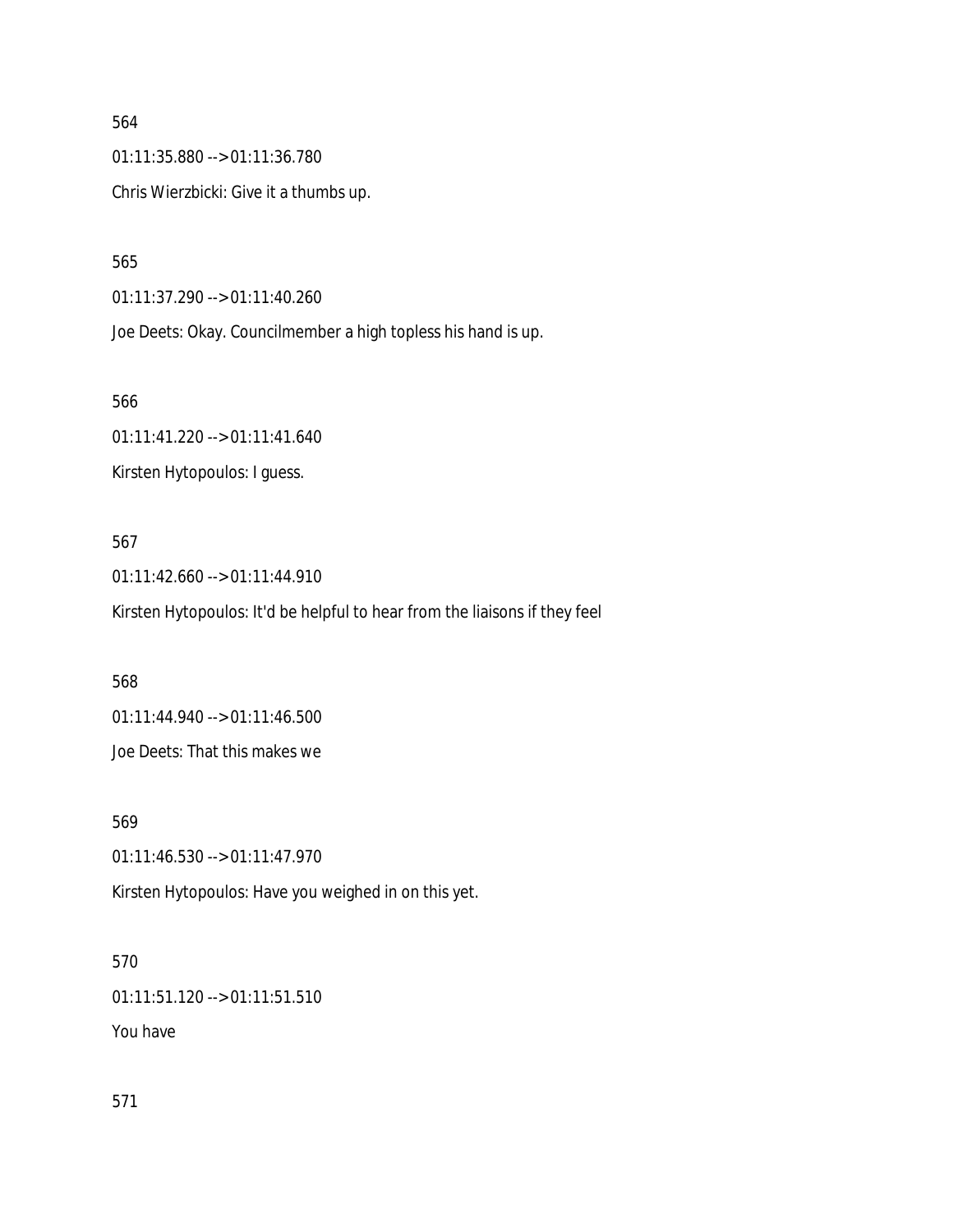564 01:11:35.880 --> 01:11:36.780 Chris Wierzbicki: Give it a thumbs up.

565

01:11:37.290 --> 01:11:40.260

Joe Deets: Okay. Councilmember a high topless his hand is up.

566

01:11:41.220 --> 01:11:41.640

Kirsten Hytopoulos: I guess.

#### 567

01:11:42.660 --> 01:11:44.910

Kirsten Hytopoulos: It'd be helpful to hear from the liaisons if they feel

568

01:11:44.940 --> 01:11:46.500

Joe Deets: That this makes we

569

01:11:46.530 --> 01:11:47.970

Kirsten Hytopoulos: Have you weighed in on this yet.

#### 570

01:11:51.120 --> 01:11:51.510

You have

571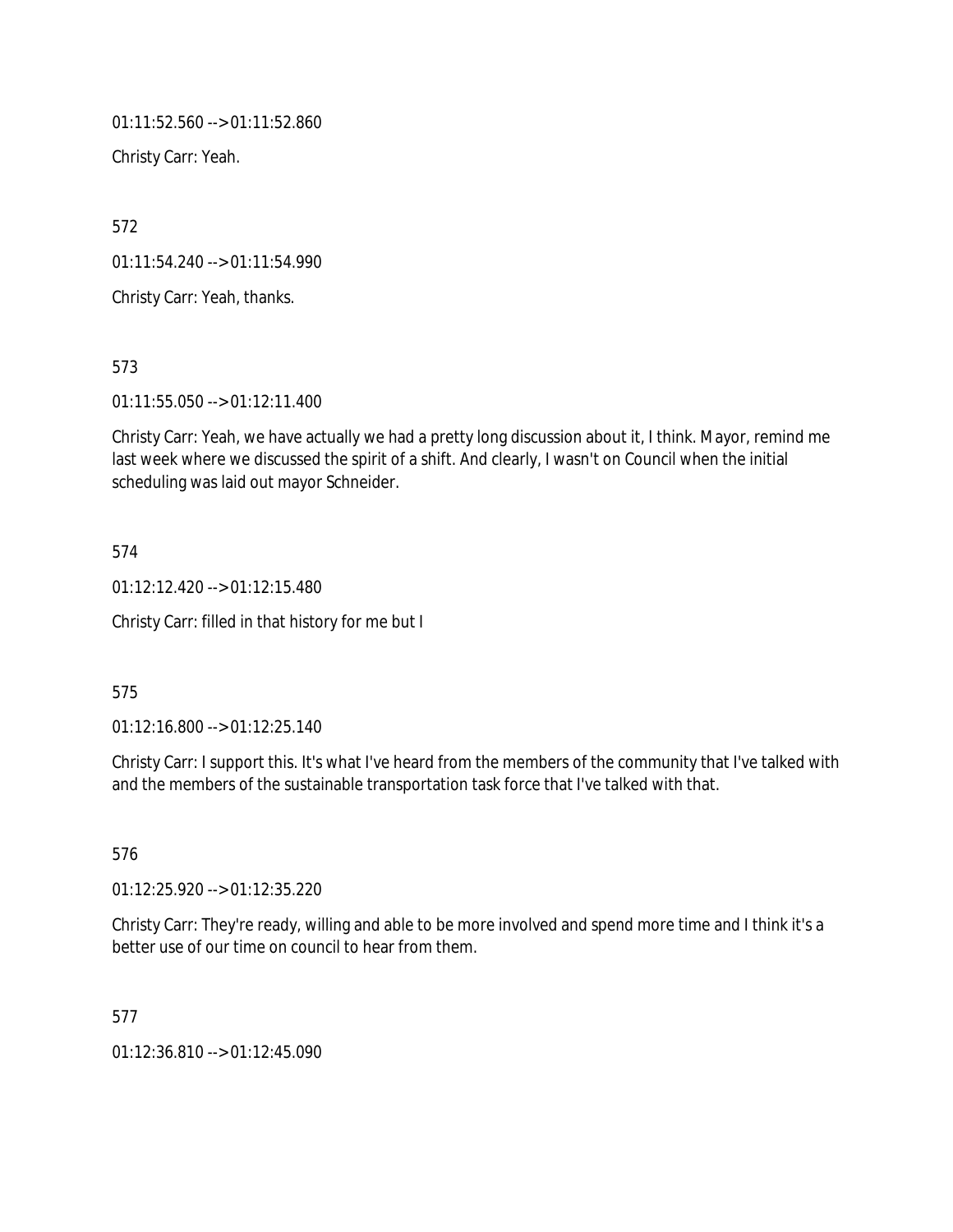01:11:52.560 --> 01:11:52.860

Christy Carr: Yeah.

572

01:11:54.240 --> 01:11:54.990

Christy Carr: Yeah, thanks.

573

01:11:55.050 --> 01:12:11.400

Christy Carr: Yeah, we have actually we had a pretty long discussion about it, I think. Mayor, remind me last week where we discussed the spirit of a shift. And clearly, I wasn't on Council when the initial scheduling was laid out mayor Schneider.

574

01:12:12.420 --> 01:12:15.480

Christy Carr: filled in that history for me but I

575

01:12:16.800 --> 01:12:25.140

Christy Carr: I support this. It's what I've heard from the members of the community that I've talked with and the members of the sustainable transportation task force that I've talked with that.

576

01:12:25.920 --> 01:12:35.220

Christy Carr: They're ready, willing and able to be more involved and spend more time and I think it's a better use of our time on council to hear from them.

577

01:12:36.810 --> 01:12:45.090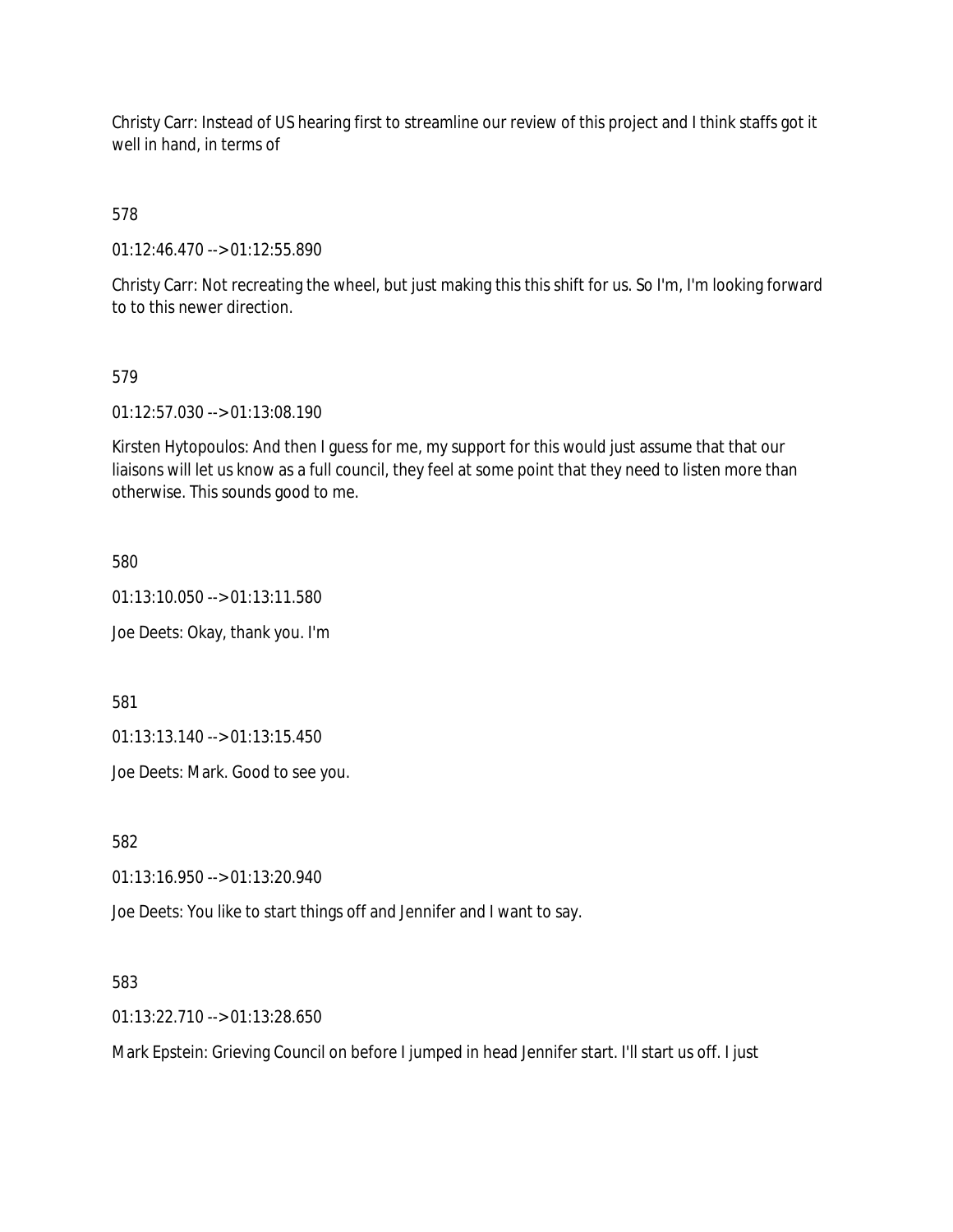Christy Carr: Instead of US hearing first to streamline our review of this project and I think staffs got it well in hand, in terms of

578

01:12:46.470 --> 01:12:55.890

Christy Carr: Not recreating the wheel, but just making this this shift for us. So I'm, I'm looking forward to to this newer direction.

## 579

01:12:57.030 --> 01:13:08.190

Kirsten Hytopoulos: And then I guess for me, my support for this would just assume that that our liaisons will let us know as a full council, they feel at some point that they need to listen more than otherwise. This sounds good to me.

580

01:13:10.050 --> 01:13:11.580

Joe Deets: Okay, thank you. I'm

581

01:13:13.140 --> 01:13:15.450

Joe Deets: Mark. Good to see you.

582

01:13:16.950 --> 01:13:20.940

Joe Deets: You like to start things off and Jennifer and I want to say.

583

01:13:22.710 --> 01:13:28.650

Mark Epstein: Grieving Council on before I jumped in head Jennifer start. I'll start us off. I just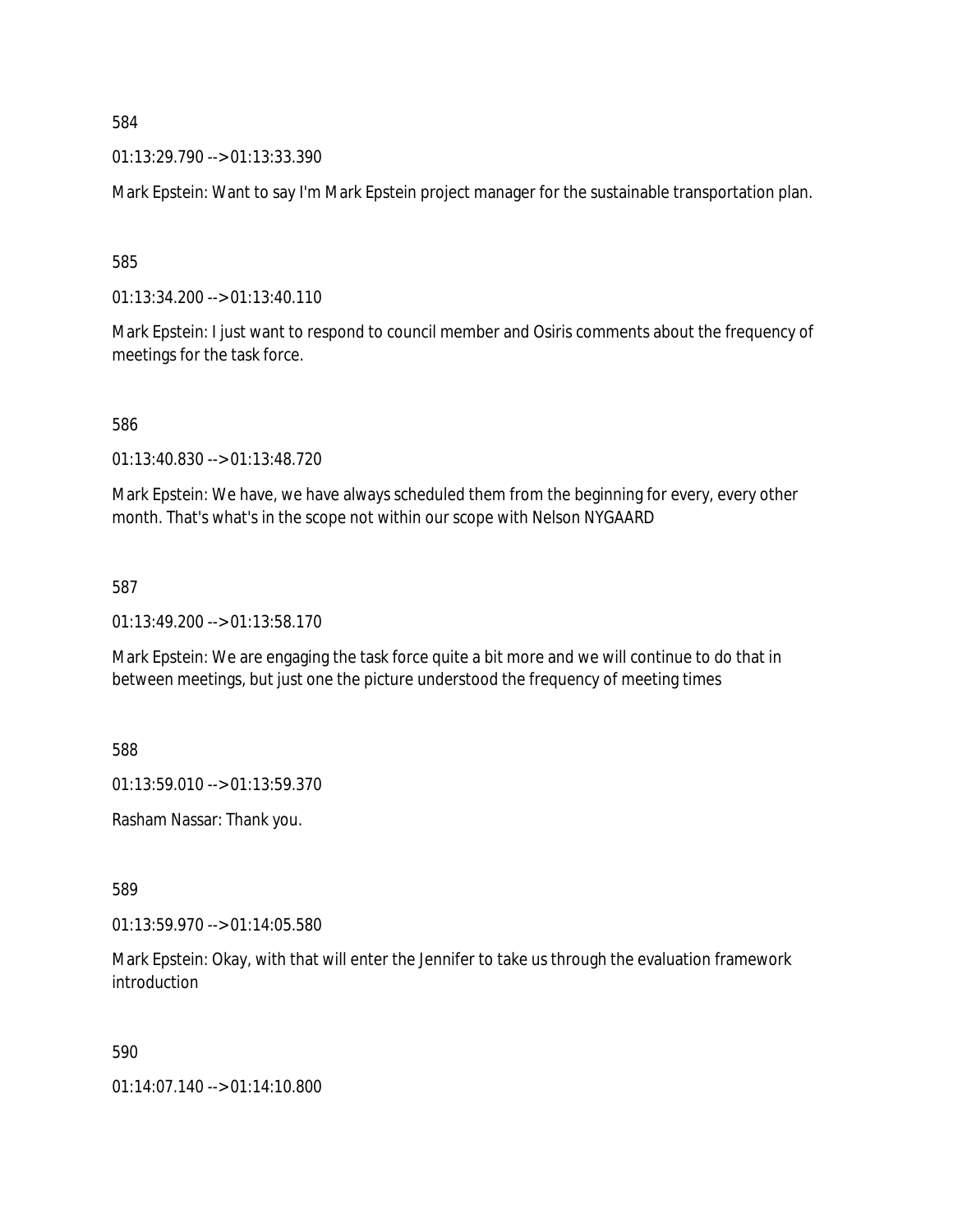01:13:29.790 --> 01:13:33.390

Mark Epstein: Want to say I'm Mark Epstein project manager for the sustainable transportation plan.

585

01:13:34.200 --> 01:13:40.110

Mark Epstein: I just want to respond to council member and Osiris comments about the frequency of meetings for the task force.

586

01:13:40.830 --> 01:13:48.720

Mark Epstein: We have, we have always scheduled them from the beginning for every, every other month. That's what's in the scope not within our scope with Nelson NYGAARD

587

01:13:49.200 --> 01:13:58.170

Mark Epstein: We are engaging the task force quite a bit more and we will continue to do that in between meetings, but just one the picture understood the frequency of meeting times

588

01:13:59.010 --> 01:13:59.370

Rasham Nassar: Thank you.

589

01:13:59.970 --> 01:14:05.580

Mark Epstein: Okay, with that will enter the Jennifer to take us through the evaluation framework introduction

590

01:14:07.140 --> 01:14:10.800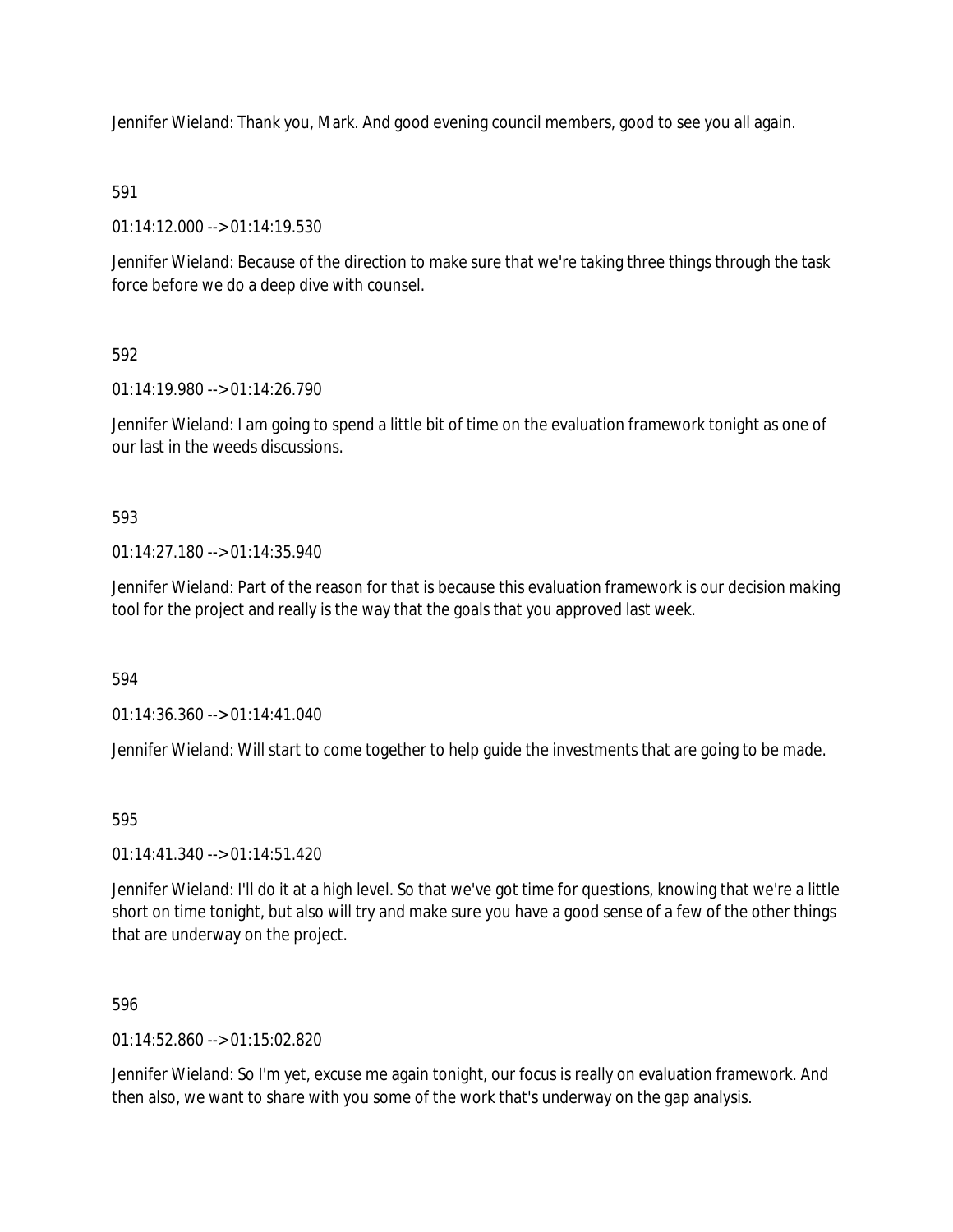Jennifer Wieland: Thank you, Mark. And good evening council members, good to see you all again.

## 591

01:14:12.000 --> 01:14:19.530

Jennifer Wieland: Because of the direction to make sure that we're taking three things through the task force before we do a deep dive with counsel.

## 592

01:14:19.980 --> 01:14:26.790

Jennifer Wieland: I am going to spend a little bit of time on the evaluation framework tonight as one of our last in the weeds discussions.

#### 593

 $01:14:27.180 \rightarrow 01:14:35.940$ 

Jennifer Wieland: Part of the reason for that is because this evaluation framework is our decision making tool for the project and really is the way that the goals that you approved last week.

#### 594

01:14:36.360 --> 01:14:41.040

Jennifer Wieland: Will start to come together to help guide the investments that are going to be made.

#### 595

01:14:41.340 --> 01:14:51.420

Jennifer Wieland: I'll do it at a high level. So that we've got time for questions, knowing that we're a little short on time tonight, but also will try and make sure you have a good sense of a few of the other things that are underway on the project.

#### 596

 $01.14.52.860 -> 01.15.02.820$ 

Jennifer Wieland: So I'm yet, excuse me again tonight, our focus is really on evaluation framework. And then also, we want to share with you some of the work that's underway on the gap analysis.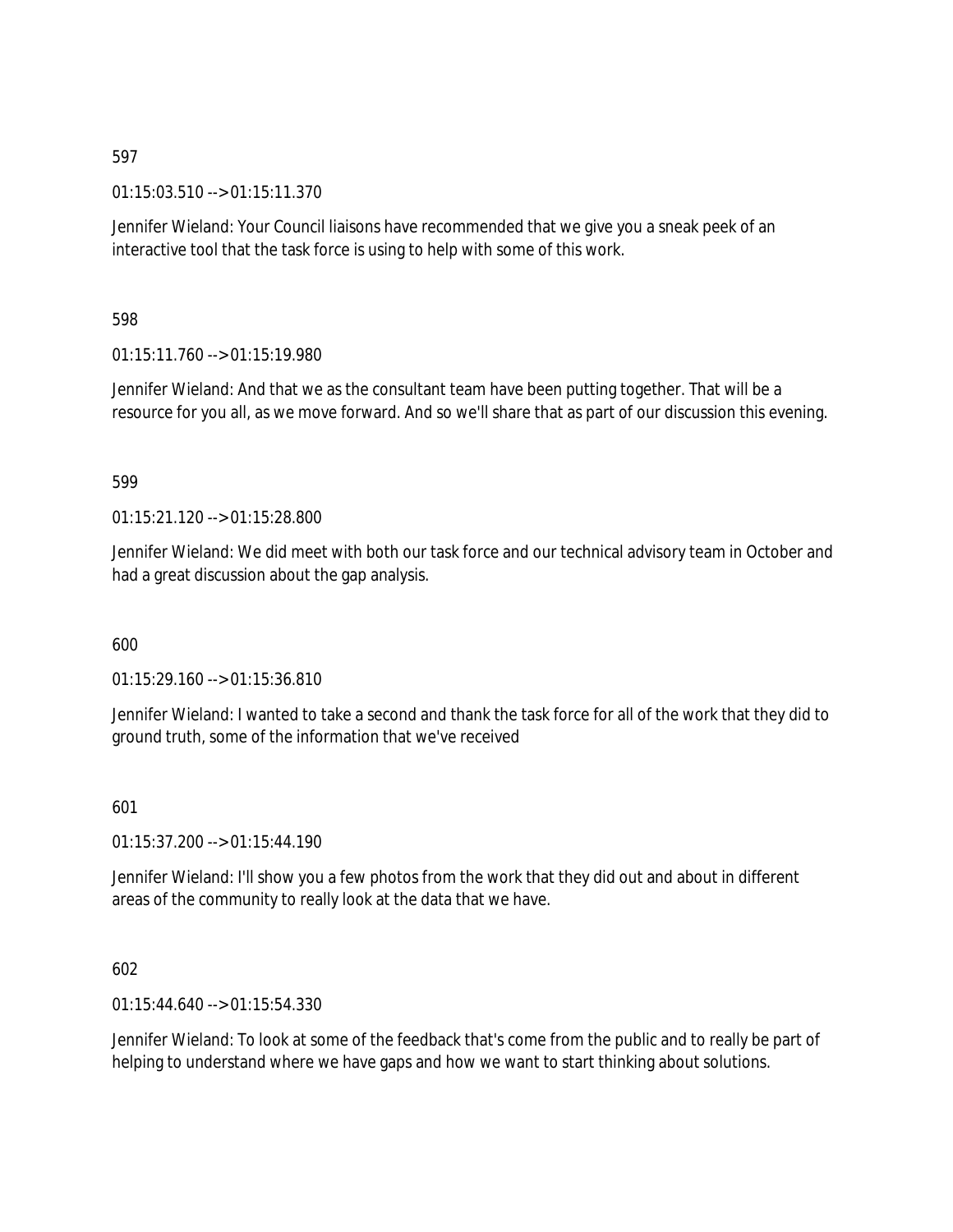01:15:03.510 --> 01:15:11.370

Jennifer Wieland: Your Council liaisons have recommended that we give you a sneak peek of an interactive tool that the task force is using to help with some of this work.

598

01:15:11.760 --> 01:15:19.980

Jennifer Wieland: And that we as the consultant team have been putting together. That will be a resource for you all, as we move forward. And so we'll share that as part of our discussion this evening.

#### 599

 $01:15:21.120 \rightarrow 01:15:28.800$ 

Jennifer Wieland: We did meet with both our task force and our technical advisory team in October and had a great discussion about the gap analysis.

600

01:15:29.160 --> 01:15:36.810

Jennifer Wieland: I wanted to take a second and thank the task force for all of the work that they did to ground truth, some of the information that we've received

601

01:15:37.200 --> 01:15:44.190

Jennifer Wieland: I'll show you a few photos from the work that they did out and about in different areas of the community to really look at the data that we have.

#### 602

01:15:44.640 --> 01:15:54.330

Jennifer Wieland: To look at some of the feedback that's come from the public and to really be part of helping to understand where we have gaps and how we want to start thinking about solutions.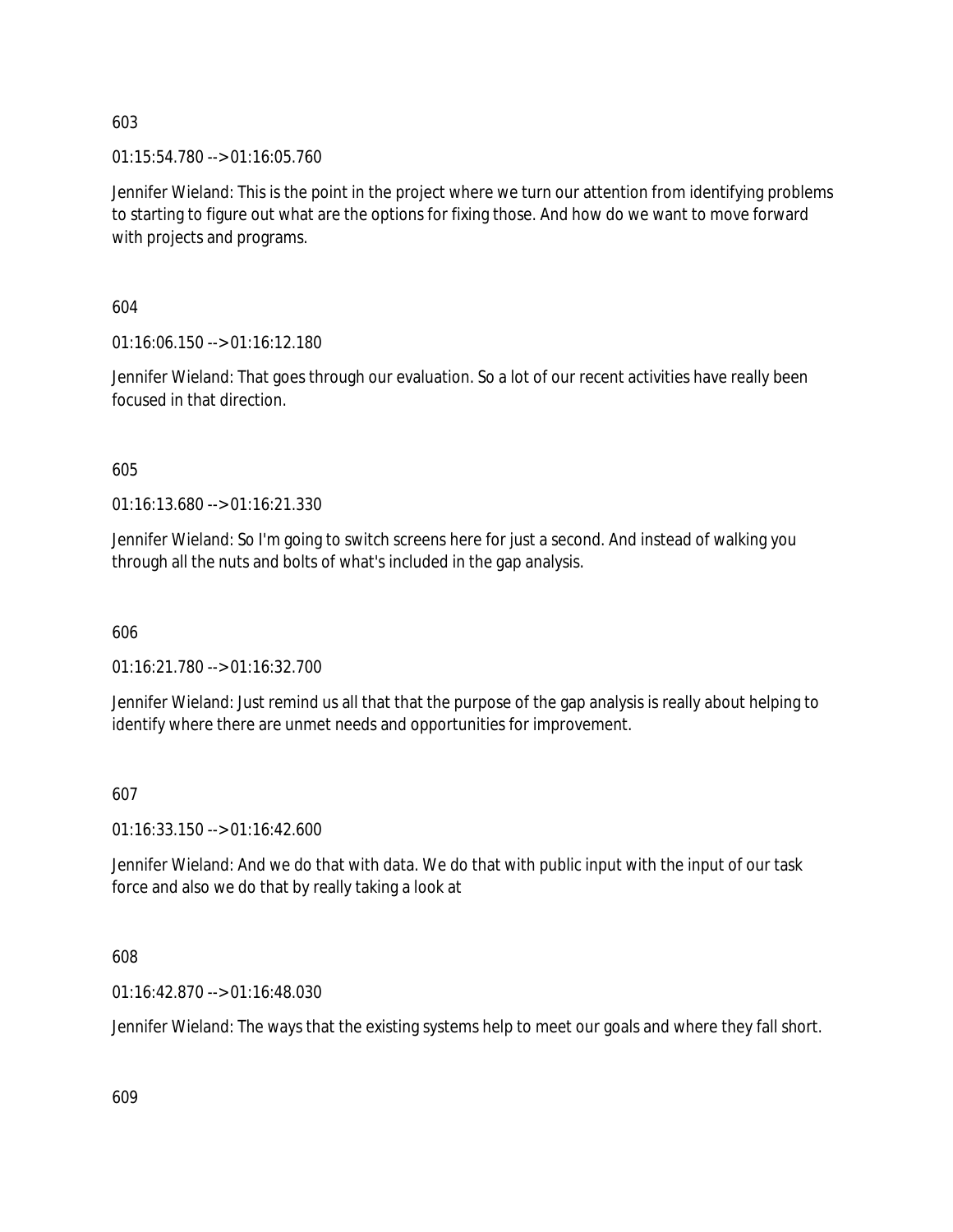01:15:54.780 --> 01:16:05.760

Jennifer Wieland: This is the point in the project where we turn our attention from identifying problems to starting to figure out what are the options for fixing those. And how do we want to move forward with projects and programs.

604

01:16:06.150 --> 01:16:12.180

Jennifer Wieland: That goes through our evaluation. So a lot of our recent activities have really been focused in that direction.

605

01:16:13.680 --> 01:16:21.330

Jennifer Wieland: So I'm going to switch screens here for just a second. And instead of walking you through all the nuts and bolts of what's included in the gap analysis.

606

01:16:21.780 --> 01:16:32.700

Jennifer Wieland: Just remind us all that that the purpose of the gap analysis is really about helping to identify where there are unmet needs and opportunities for improvement.

# 607

01:16:33.150 --> 01:16:42.600

Jennifer Wieland: And we do that with data. We do that with public input with the input of our task force and also we do that by really taking a look at

608

01:16:42.870 --> 01:16:48.030

Jennifer Wieland: The ways that the existing systems help to meet our goals and where they fall short.

609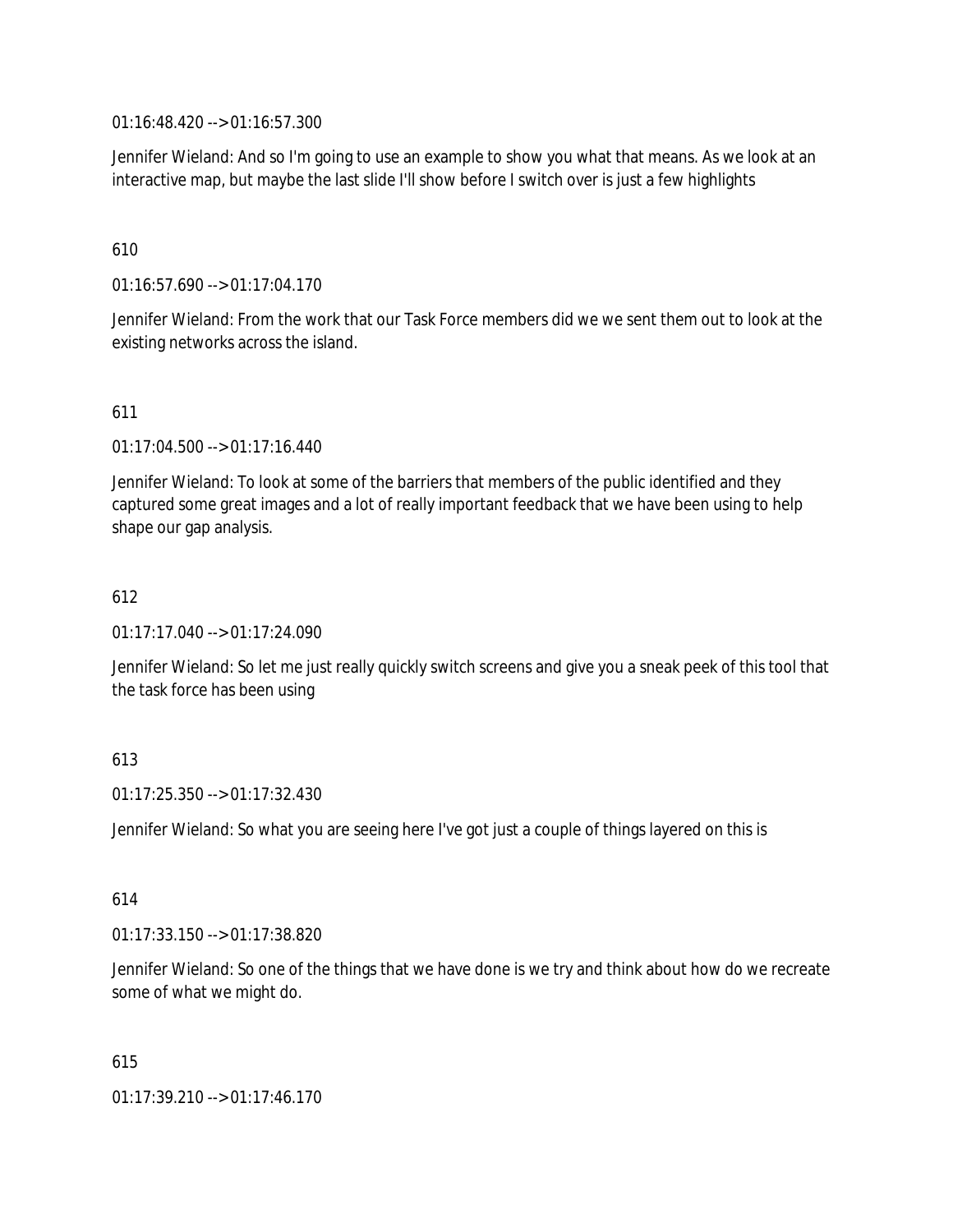01:16:48.420 --> 01:16:57.300

Jennifer Wieland: And so I'm going to use an example to show you what that means. As we look at an interactive map, but maybe the last slide I'll show before I switch over is just a few highlights

### 610

01:16:57.690 --> 01:17:04.170

Jennifer Wieland: From the work that our Task Force members did we we sent them out to look at the existing networks across the island.

#### 611

01:17:04.500 --> 01:17:16.440

Jennifer Wieland: To look at some of the barriers that members of the public identified and they captured some great images and a lot of really important feedback that we have been using to help shape our gap analysis.

## 612

01:17:17.040 --> 01:17:24.090

Jennifer Wieland: So let me just really quickly switch screens and give you a sneak peek of this tool that the task force has been using

# 613

 $01:17:25.350 \rightarrow 01:17:32.430$ 

Jennifer Wieland: So what you are seeing here I've got just a couple of things layered on this is

#### 614

01:17:33.150 --> 01:17:38.820

Jennifer Wieland: So one of the things that we have done is we try and think about how do we recreate some of what we might do.

615

01:17:39.210 --> 01:17:46.170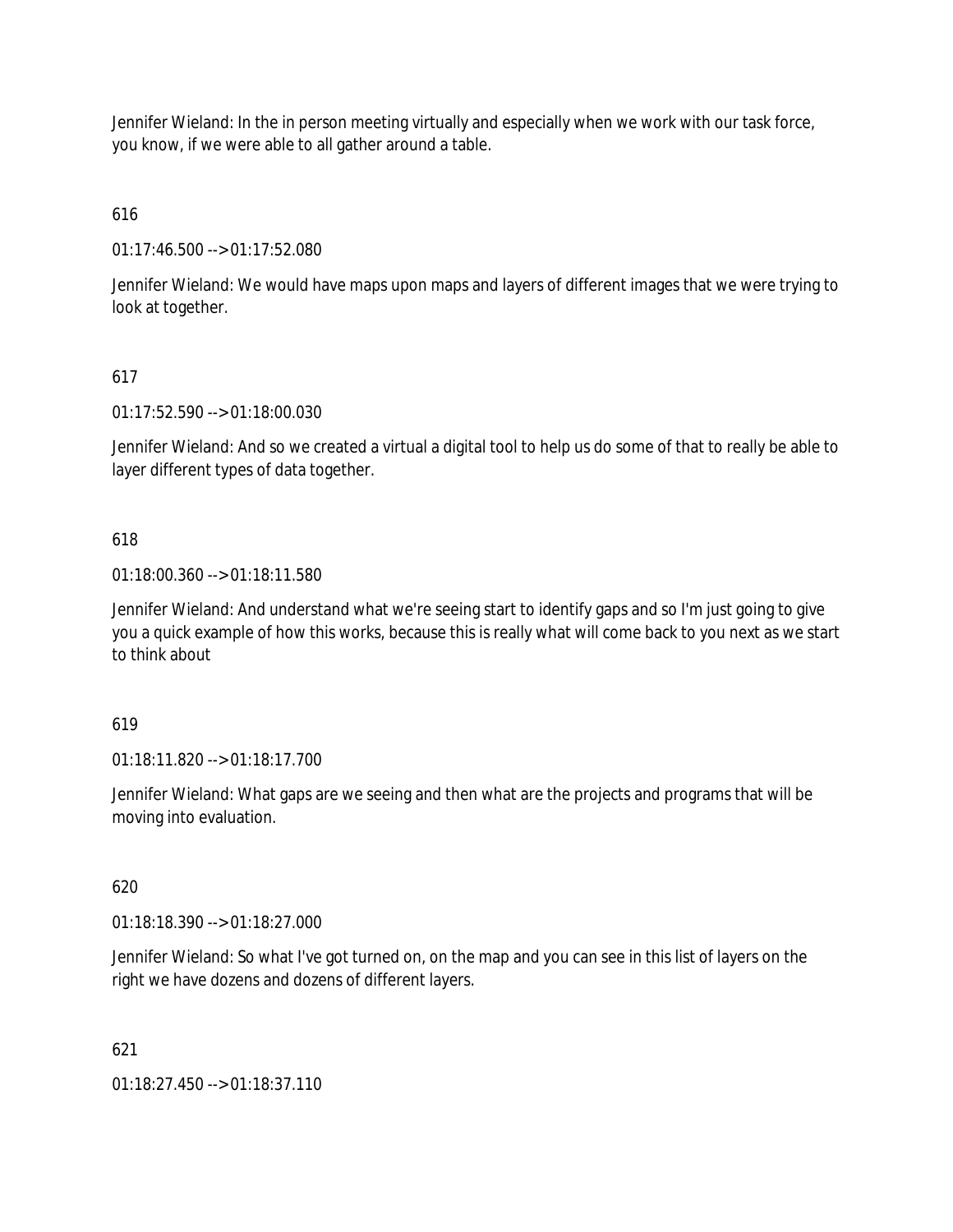Jennifer Wieland: In the in person meeting virtually and especially when we work with our task force, you know, if we were able to all gather around a table.

616

01:17:46.500 --> 01:17:52.080

Jennifer Wieland: We would have maps upon maps and layers of different images that we were trying to look at together.

# 617

01:17:52.590 --> 01:18:00.030

Jennifer Wieland: And so we created a virtual a digital tool to help us do some of that to really be able to layer different types of data together.

## 618

01:18:00.360 --> 01:18:11.580

Jennifer Wieland: And understand what we're seeing start to identify gaps and so I'm just going to give you a quick example of how this works, because this is really what will come back to you next as we start to think about

#### 619

01:18:11.820 --> 01:18:17.700

Jennifer Wieland: What gaps are we seeing and then what are the projects and programs that will be moving into evaluation.

#### 620

01:18:18.390 --> 01:18:27.000

Jennifer Wieland: So what I've got turned on, on the map and you can see in this list of layers on the right we have dozens and dozens of different layers.

# 621

01:18:27.450 --> 01:18:37.110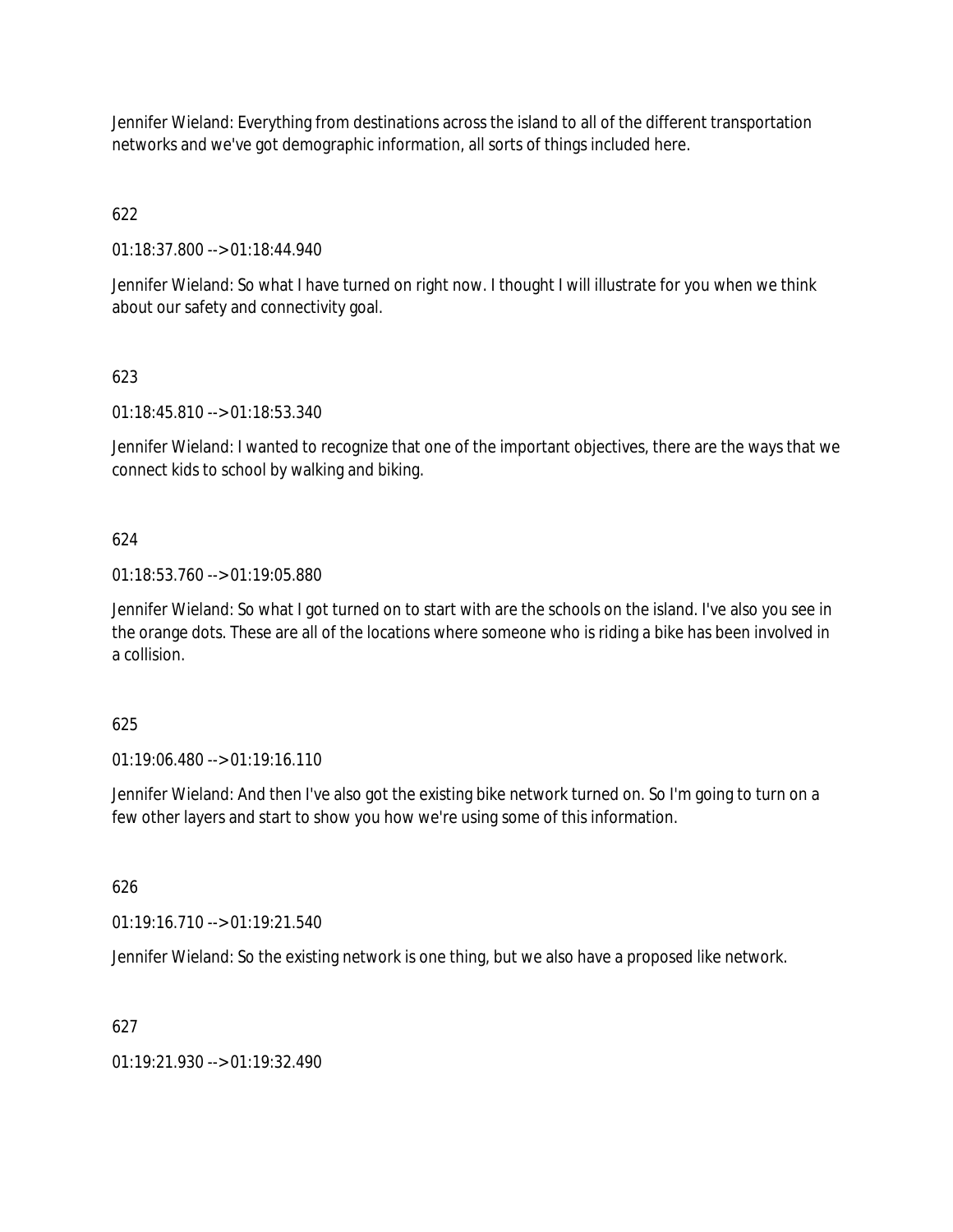Jennifer Wieland: Everything from destinations across the island to all of the different transportation networks and we've got demographic information, all sorts of things included here.

# 622

01:18:37.800 --> 01:18:44.940

Jennifer Wieland: So what I have turned on right now. I thought I will illustrate for you when we think about our safety and connectivity goal.

# 623

01:18:45.810 --> 01:18:53.340

Jennifer Wieland: I wanted to recognize that one of the important objectives, there are the ways that we connect kids to school by walking and biking.

# 624

01:18:53.760 --> 01:19:05.880

Jennifer Wieland: So what I got turned on to start with are the schools on the island. I've also you see in the orange dots. These are all of the locations where someone who is riding a bike has been involved in a collision.

# 625

01:19:06.480 --> 01:19:16.110

Jennifer Wieland: And then I've also got the existing bike network turned on. So I'm going to turn on a few other layers and start to show you how we're using some of this information.

626

01:19:16.710 --> 01:19:21.540

Jennifer Wieland: So the existing network is one thing, but we also have a proposed like network.

# 627

01:19:21.930 --> 01:19:32.490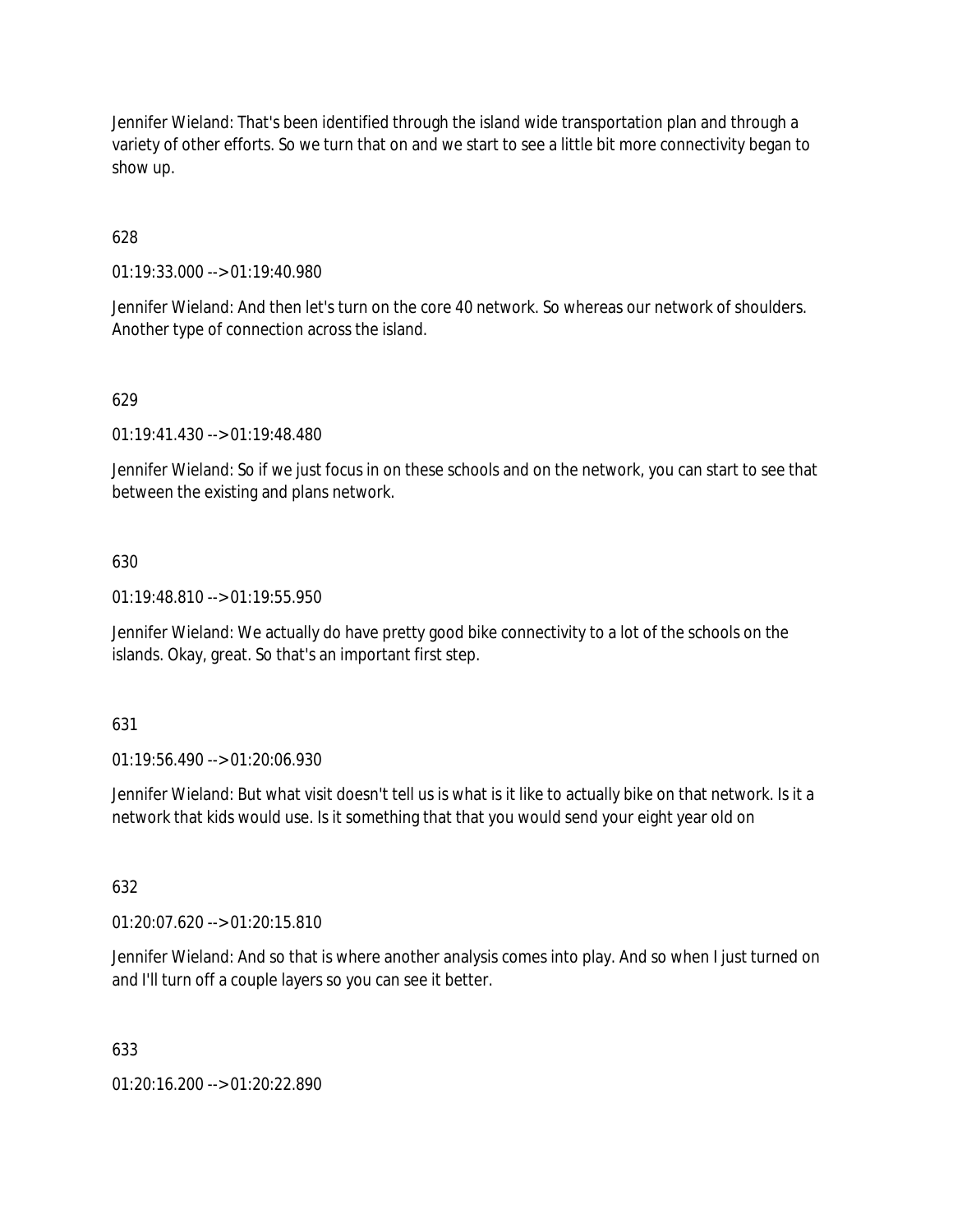Jennifer Wieland: That's been identified through the island wide transportation plan and through a variety of other efforts. So we turn that on and we start to see a little bit more connectivity began to show up.

628

01:19:33.000 --> 01:19:40.980

Jennifer Wieland: And then let's turn on the core 40 network. So whereas our network of shoulders. Another type of connection across the island.

#### 629

01:19:41.430 --> 01:19:48.480

Jennifer Wieland: So if we just focus in on these schools and on the network, you can start to see that between the existing and plans network.

#### 630

01:19:48.810 --> 01:19:55.950

Jennifer Wieland: We actually do have pretty good bike connectivity to a lot of the schools on the islands. Okay, great. So that's an important first step.

#### 631

01:19:56.490 --> 01:20:06.930

Jennifer Wieland: But what visit doesn't tell us is what is it like to actually bike on that network. Is it a network that kids would use. Is it something that that you would send your eight year old on

#### 632

01:20:07.620 --> 01:20:15.810

Jennifer Wieland: And so that is where another analysis comes into play. And so when I just turned on and I'll turn off a couple layers so you can see it better.

#### 633

01:20:16.200 --> 01:20:22.890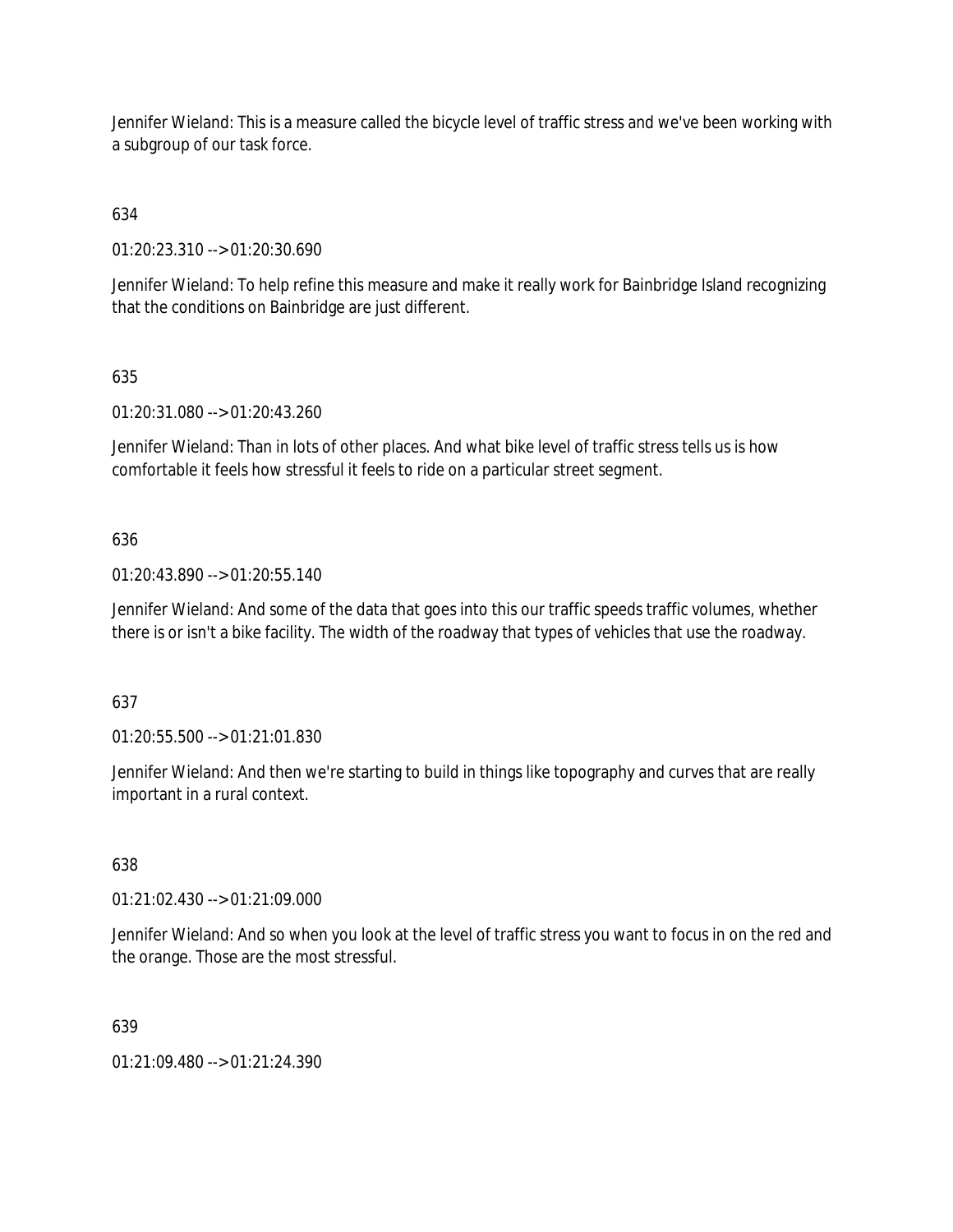Jennifer Wieland: This is a measure called the bicycle level of traffic stress and we've been working with a subgroup of our task force.

# 634

01:20:23.310 --> 01:20:30.690

Jennifer Wieland: To help refine this measure and make it really work for Bainbridge Island recognizing that the conditions on Bainbridge are just different.

# 635

01:20:31.080 --> 01:20:43.260

Jennifer Wieland: Than in lots of other places. And what bike level of traffic stress tells us is how comfortable it feels how stressful it feels to ride on a particular street segment.

# 636

01:20:43.890 --> 01:20:55.140

Jennifer Wieland: And some of the data that goes into this our traffic speeds traffic volumes, whether there is or isn't a bike facility. The width of the roadway that types of vehicles that use the roadway.

# 637

01:20:55.500 --> 01:21:01.830

Jennifer Wieland: And then we're starting to build in things like topography and curves that are really important in a rural context.

# 638

01:21:02.430 --> 01:21:09.000

Jennifer Wieland: And so when you look at the level of traffic stress you want to focus in on the red and the orange. Those are the most stressful.

# 639

01:21:09.480 --> 01:21:24.390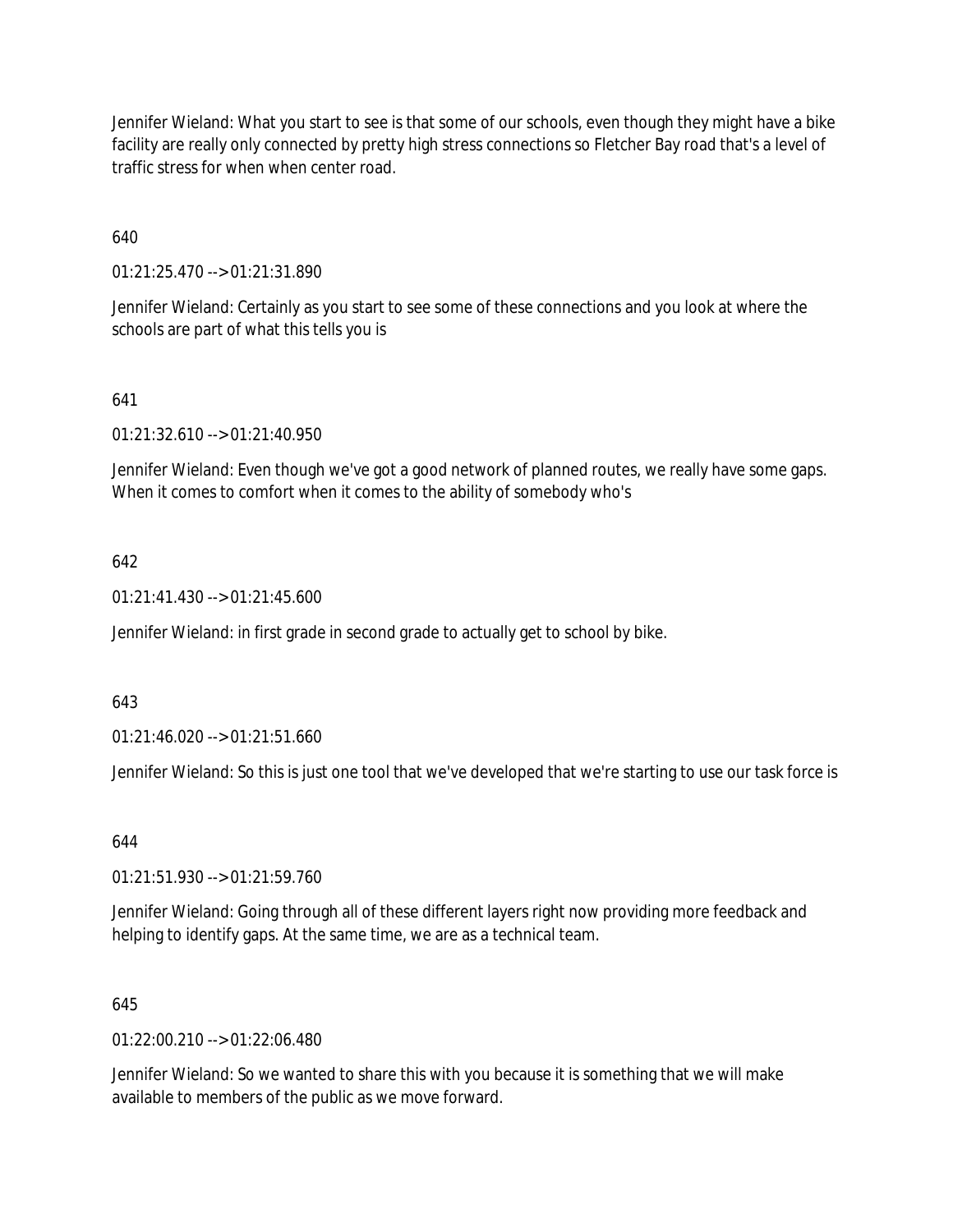Jennifer Wieland: What you start to see is that some of our schools, even though they might have a bike facility are really only connected by pretty high stress connections so Fletcher Bay road that's a level of traffic stress for when when center road.

640

01:21:25.470 --> 01:21:31.890

Jennifer Wieland: Certainly as you start to see some of these connections and you look at where the schools are part of what this tells you is

## 641

01:21:32.610 --> 01:21:40.950

Jennifer Wieland: Even though we've got a good network of planned routes, we really have some gaps. When it comes to comfort when it comes to the ability of somebody who's

## 642

 $01:21:41.430 \rightarrow 01:21:45.600$ 

Jennifer Wieland: in first grade in second grade to actually get to school by bike.

#### 643

01:21:46.020 --> 01:21:51.660

Jennifer Wieland: So this is just one tool that we've developed that we're starting to use our task force is

#### 644

01:21:51.930 --> 01:21:59.760

Jennifer Wieland: Going through all of these different layers right now providing more feedback and helping to identify gaps. At the same time, we are as a technical team.

#### 645

 $01:22:00.210 \rightarrow 01:22:06.480$ 

Jennifer Wieland: So we wanted to share this with you because it is something that we will make available to members of the public as we move forward.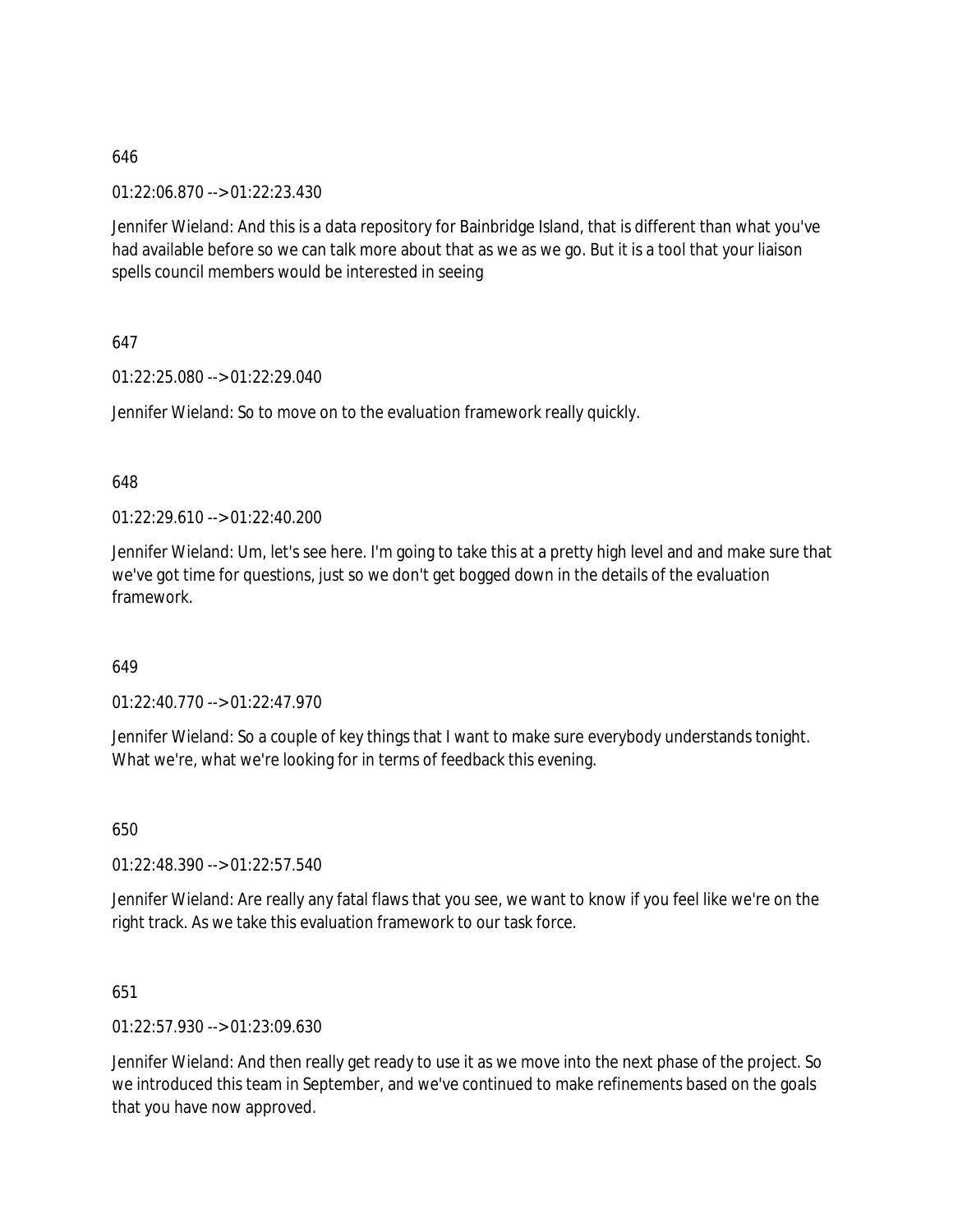01:22:06.870 --> 01:22:23.430

Jennifer Wieland: And this is a data repository for Bainbridge Island, that is different than what you've had available before so we can talk more about that as we as we go. But it is a tool that your liaison spells council members would be interested in seeing

647

01:22:25.080 --> 01:22:29.040

Jennifer Wieland: So to move on to the evaluation framework really quickly.

#### 648

01:22:29.610 --> 01:22:40.200

Jennifer Wieland: Um, let's see here. I'm going to take this at a pretty high level and and make sure that we've got time for questions, just so we don't get bogged down in the details of the evaluation framework.

#### 649

01:22:40.770 --> 01:22:47.970

Jennifer Wieland: So a couple of key things that I want to make sure everybody understands tonight. What we're, what we're looking for in terms of feedback this evening.

650

01:22:48.390 --> 01:22:57.540

Jennifer Wieland: Are really any fatal flaws that you see, we want to know if you feel like we're on the right track. As we take this evaluation framework to our task force.

651

01:22:57.930 --> 01:23:09.630

Jennifer Wieland: And then really get ready to use it as we move into the next phase of the project. So we introduced this team in September, and we've continued to make refinements based on the goals that you have now approved.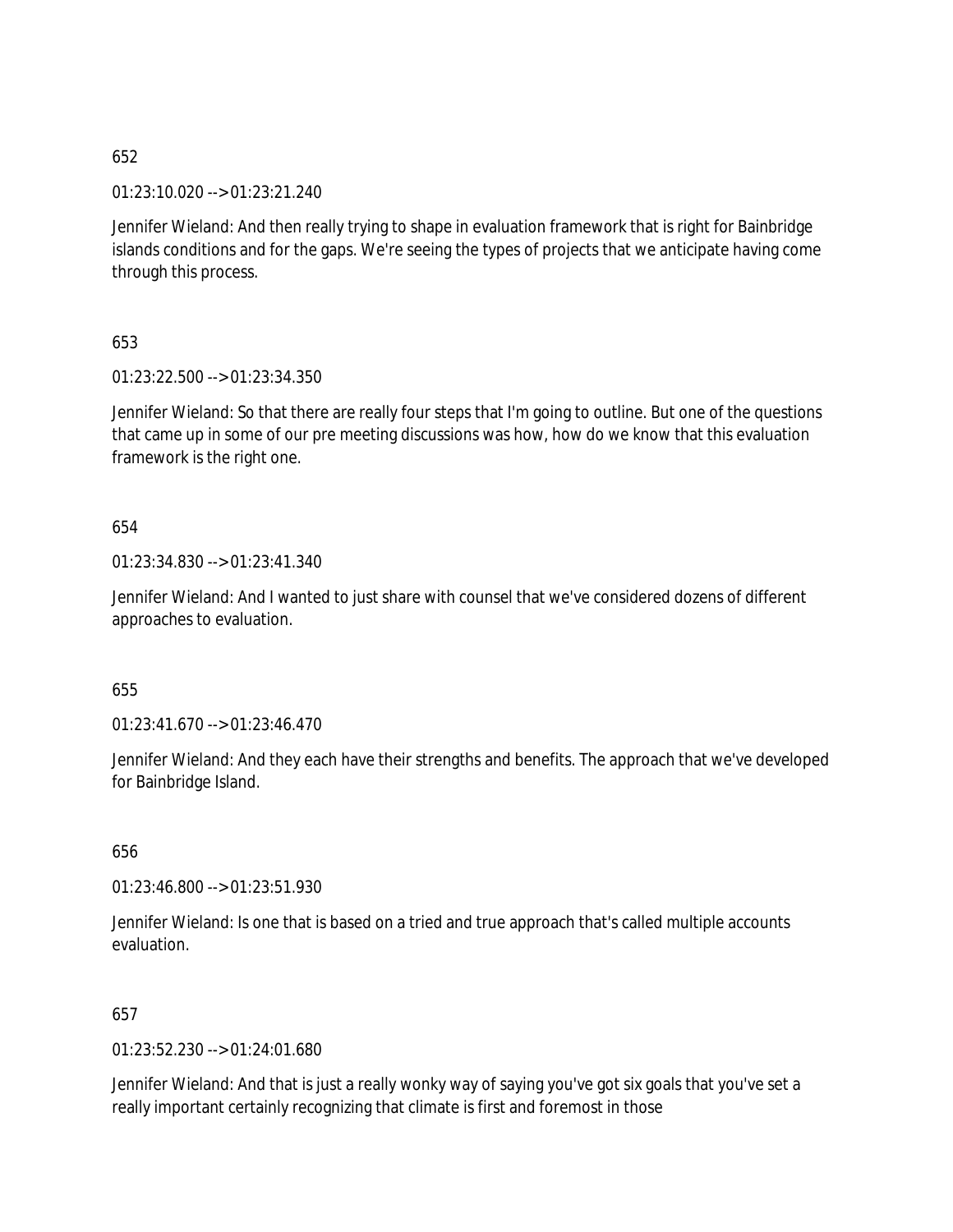01:23:10.020 --> 01:23:21.240

Jennifer Wieland: And then really trying to shape in evaluation framework that is right for Bainbridge islands conditions and for the gaps. We're seeing the types of projects that we anticipate having come through this process.

653

01:23:22.500 --> 01:23:34.350

Jennifer Wieland: So that there are really four steps that I'm going to outline. But one of the questions that came up in some of our pre meeting discussions was how, how do we know that this evaluation framework is the right one.

654

01:23:34.830 --> 01:23:41.340

Jennifer Wieland: And I wanted to just share with counsel that we've considered dozens of different approaches to evaluation.

655

 $01:23:41.670 \rightarrow 01:23:46.470$ 

Jennifer Wieland: And they each have their strengths and benefits. The approach that we've developed for Bainbridge Island.

656

01:23:46.800 --> 01:23:51.930

Jennifer Wieland: Is one that is based on a tried and true approach that's called multiple accounts evaluation.

657

01:23:52.230 --> 01:24:01.680

Jennifer Wieland: And that is just a really wonky way of saying you've got six goals that you've set a really important certainly recognizing that climate is first and foremost in those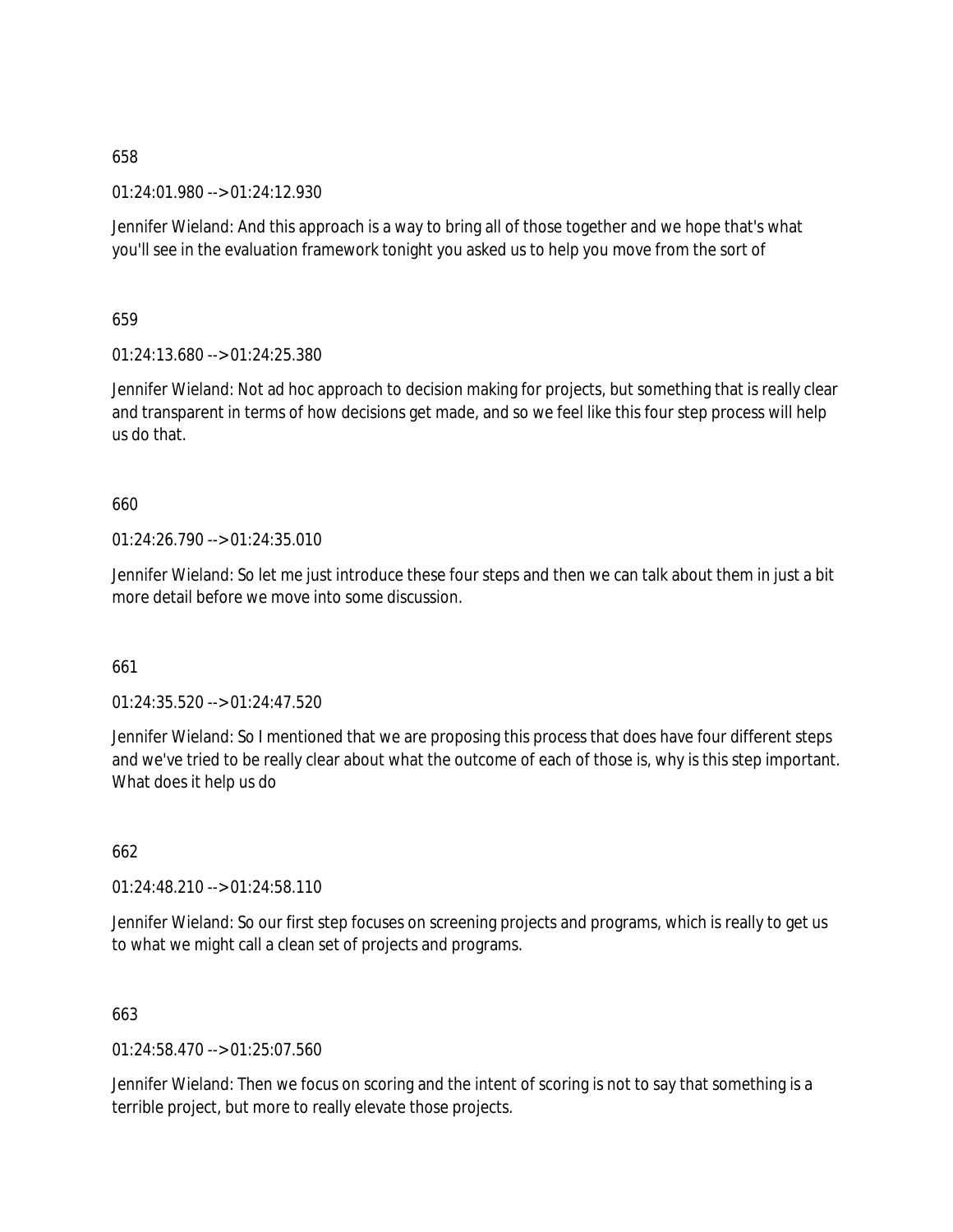01:24:01.980 --> 01:24:12.930

Jennifer Wieland: And this approach is a way to bring all of those together and we hope that's what you'll see in the evaluation framework tonight you asked us to help you move from the sort of

659

01:24:13.680 --> 01:24:25.380

Jennifer Wieland: Not ad hoc approach to decision making for projects, but something that is really clear and transparent in terms of how decisions get made, and so we feel like this four step process will help us do that.

# 660

01:24:26.790 --> 01:24:35.010

Jennifer Wieland: So let me just introduce these four steps and then we can talk about them in just a bit more detail before we move into some discussion.

#### 661

01:24:35.520 --> 01:24:47.520

Jennifer Wieland: So I mentioned that we are proposing this process that does have four different steps and we've tried to be really clear about what the outcome of each of those is, why is this step important. What does it help us do

662

01:24:48.210 --> 01:24:58.110

Jennifer Wieland: So our first step focuses on screening projects and programs, which is really to get us to what we might call a clean set of projects and programs.

663

01:24:58.470 --> 01:25:07.560

Jennifer Wieland: Then we focus on scoring and the intent of scoring is not to say that something is a terrible project, but more to really elevate those projects.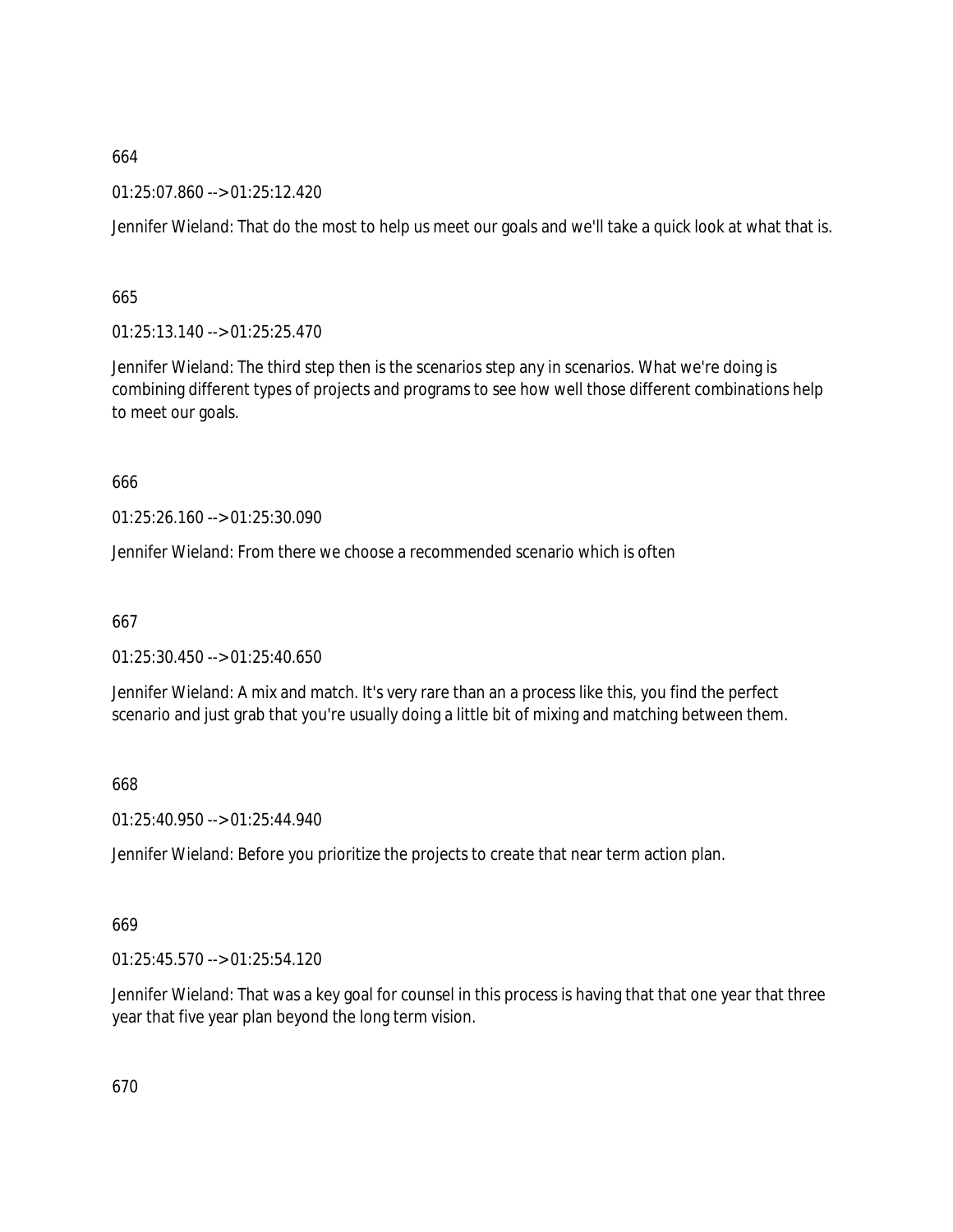01:25:07.860 --> 01:25:12.420

Jennifer Wieland: That do the most to help us meet our goals and we'll take a quick look at what that is.

665

01:25:13.140 --> 01:25:25.470

Jennifer Wieland: The third step then is the scenarios step any in scenarios. What we're doing is combining different types of projects and programs to see how well those different combinations help to meet our goals.

#### 666

01:25:26.160 --> 01:25:30.090

Jennifer Wieland: From there we choose a recommended scenario which is often

667

01:25:30.450 --> 01:25:40.650

Jennifer Wieland: A mix and match. It's very rare than an a process like this, you find the perfect scenario and just grab that you're usually doing a little bit of mixing and matching between them.

668

01:25:40.950 --> 01:25:44.940

Jennifer Wieland: Before you prioritize the projects to create that near term action plan.

# 669

01:25:45.570 --> 01:25:54.120

Jennifer Wieland: That was a key goal for counsel in this process is having that that one year that three year that five year plan beyond the long term vision.

670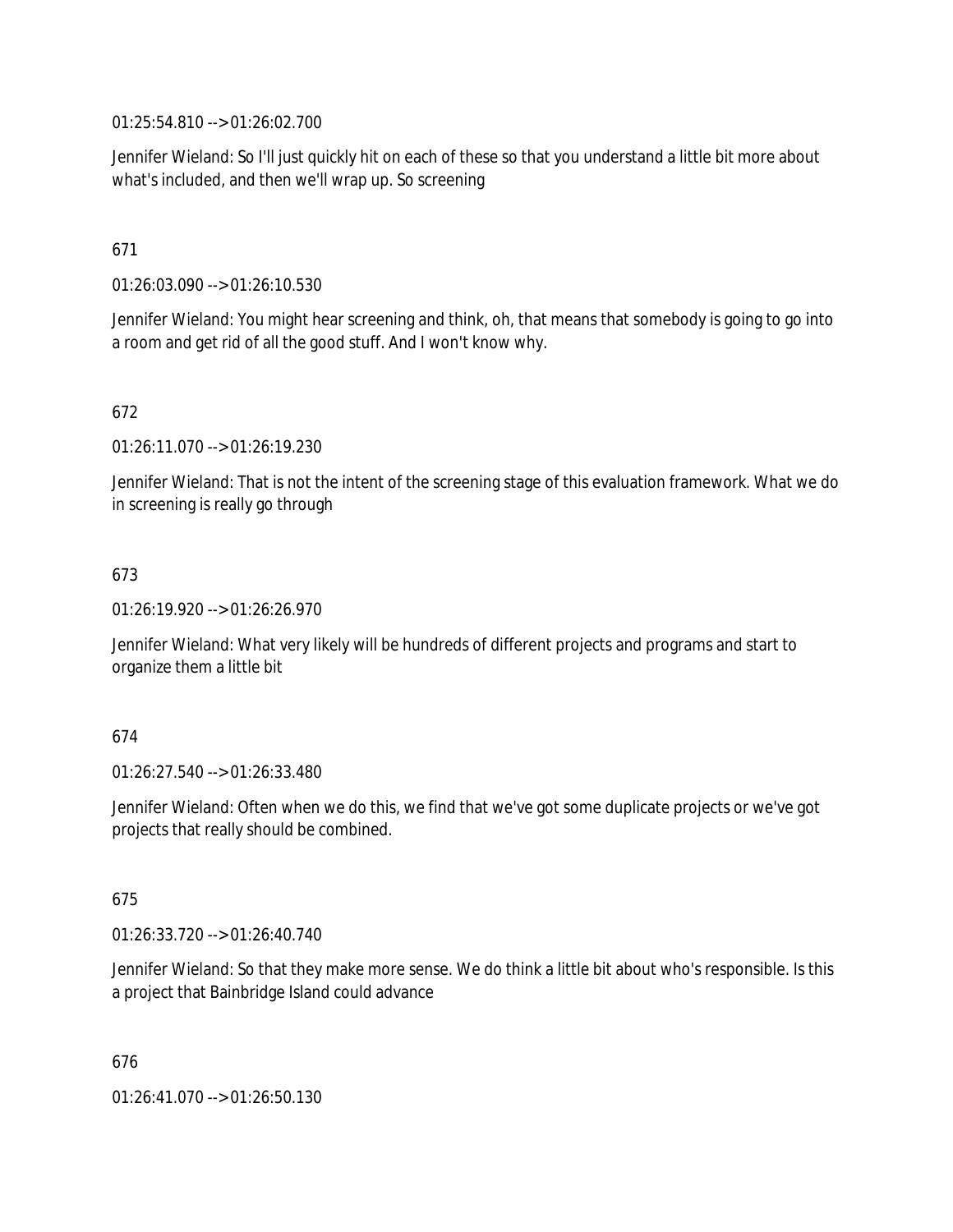01:25:54.810 --> 01:26:02.700

Jennifer Wieland: So I'll just quickly hit on each of these so that you understand a little bit more about what's included, and then we'll wrap up. So screening

## 671

01:26:03.090 --> 01:26:10.530

Jennifer Wieland: You might hear screening and think, oh, that means that somebody is going to go into a room and get rid of all the good stuff. And I won't know why.

## 672

01:26:11.070 --> 01:26:19.230

Jennifer Wieland: That is not the intent of the screening stage of this evaluation framework. What we do in screening is really go through

## 673

01:26:19.920 --> 01:26:26.970

Jennifer Wieland: What very likely will be hundreds of different projects and programs and start to organize them a little bit

#### 674

01:26:27.540 --> 01:26:33.480

Jennifer Wieland: Often when we do this, we find that we've got some duplicate projects or we've got projects that really should be combined.

#### 675

01:26:33.720 --> 01:26:40.740

Jennifer Wieland: So that they make more sense. We do think a little bit about who's responsible. Is this a project that Bainbridge Island could advance

676

01:26:41.070 --> 01:26:50.130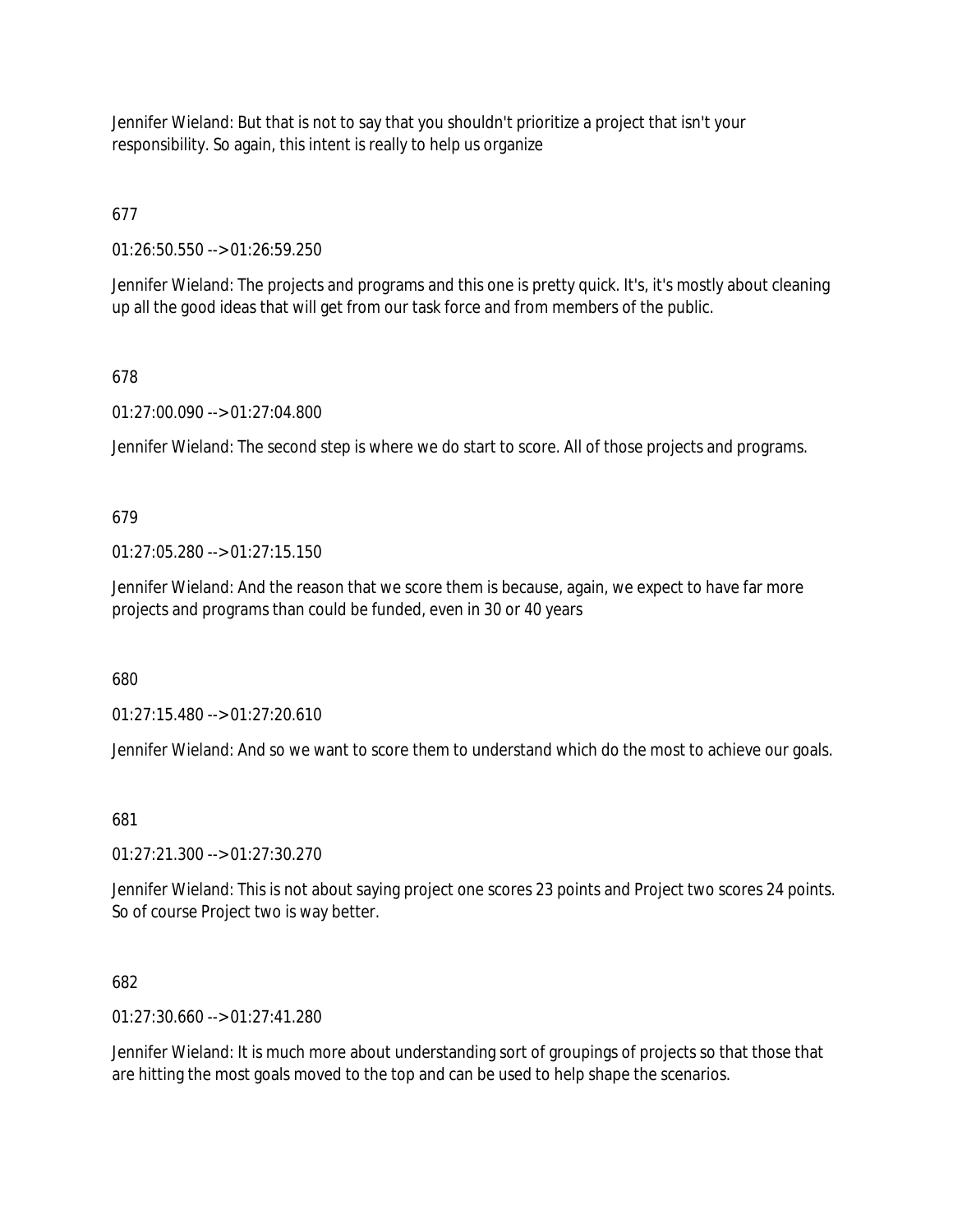Jennifer Wieland: But that is not to say that you shouldn't prioritize a project that isn't your responsibility. So again, this intent is really to help us organize

# 677

01:26:50.550 --> 01:26:59.250

Jennifer Wieland: The projects and programs and this one is pretty quick. It's, it's mostly about cleaning up all the good ideas that will get from our task force and from members of the public.

## 678

01:27:00.090 --> 01:27:04.800

Jennifer Wieland: The second step is where we do start to score. All of those projects and programs.

## 679

01:27:05.280 --> 01:27:15.150

Jennifer Wieland: And the reason that we score them is because, again, we expect to have far more projects and programs than could be funded, even in 30 or 40 years

#### 680

01:27:15.480 --> 01:27:20.610

Jennifer Wieland: And so we want to score them to understand which do the most to achieve our goals.

#### 681

01:27:21.300 --> 01:27:30.270

Jennifer Wieland: This is not about saying project one scores 23 points and Project two scores 24 points. So of course Project two is way better.

#### 682

01:27:30.660 --> 01:27:41.280

Jennifer Wieland: It is much more about understanding sort of groupings of projects so that those that are hitting the most goals moved to the top and can be used to help shape the scenarios.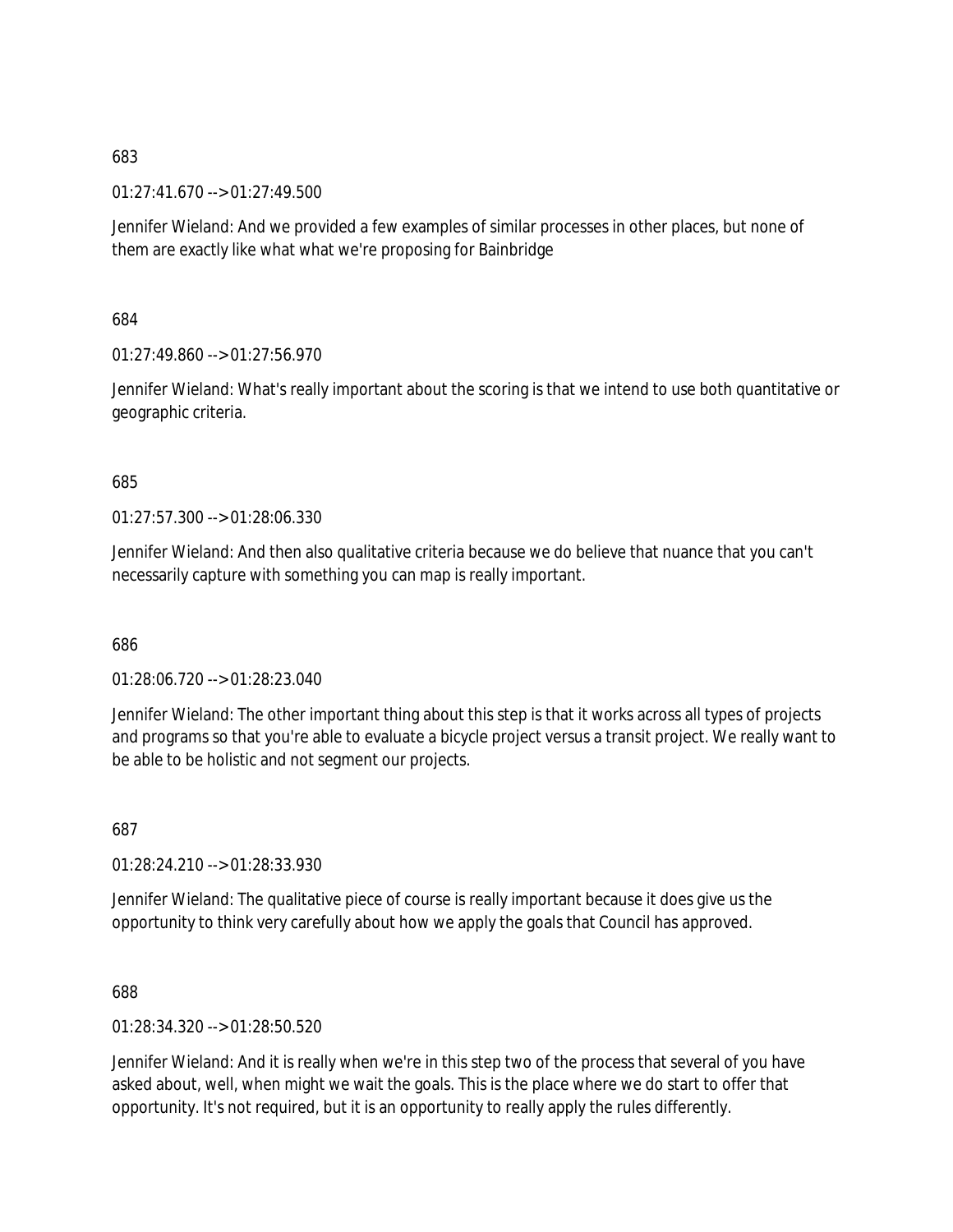01:27:41.670 --> 01:27:49.500

Jennifer Wieland: And we provided a few examples of similar processes in other places, but none of them are exactly like what what we're proposing for Bainbridge

684

01:27:49.860 --> 01:27:56.970

Jennifer Wieland: What's really important about the scoring is that we intend to use both quantitative or geographic criteria.

685

01:27:57.300 --> 01:28:06.330

Jennifer Wieland: And then also qualitative criteria because we do believe that nuance that you can't necessarily capture with something you can map is really important.

686

01:28:06.720 --> 01:28:23.040

Jennifer Wieland: The other important thing about this step is that it works across all types of projects and programs so that you're able to evaluate a bicycle project versus a transit project. We really want to be able to be holistic and not segment our projects.

687

01:28:24.210 --> 01:28:33.930

Jennifer Wieland: The qualitative piece of course is really important because it does give us the opportunity to think very carefully about how we apply the goals that Council has approved.

688

01:28:34.320 --> 01:28:50.520

Jennifer Wieland: And it is really when we're in this step two of the process that several of you have asked about, well, when might we wait the goals. This is the place where we do start to offer that opportunity. It's not required, but it is an opportunity to really apply the rules differently.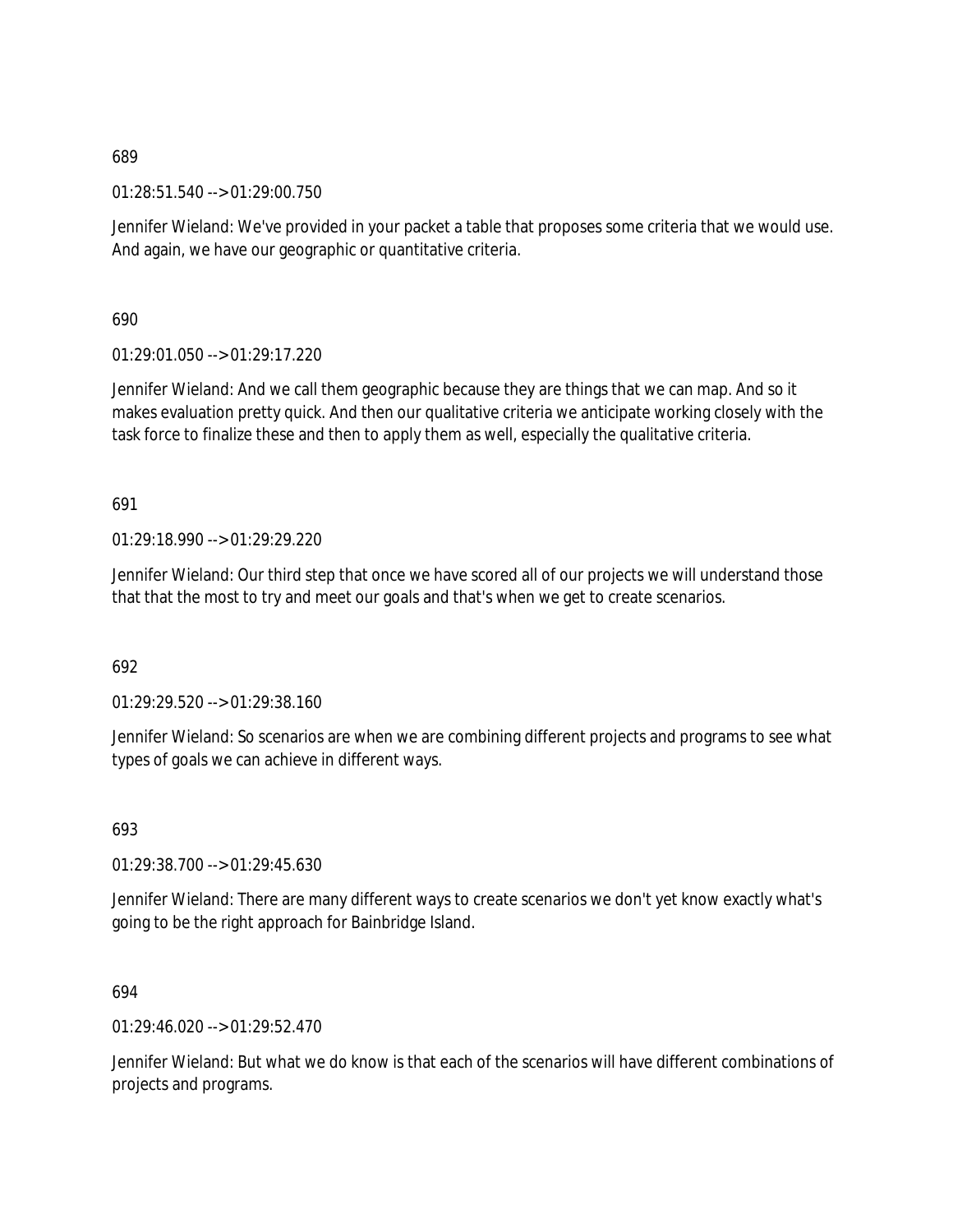01:28:51.540 --> 01:29:00.750

Jennifer Wieland: We've provided in your packet a table that proposes some criteria that we would use. And again, we have our geographic or quantitative criteria.

690

01:29:01.050 --> 01:29:17.220

Jennifer Wieland: And we call them geographic because they are things that we can map. And so it makes evaluation pretty quick. And then our qualitative criteria we anticipate working closely with the task force to finalize these and then to apply them as well, especially the qualitative criteria.

691

01:29:18.990 --> 01:29:29.220

Jennifer Wieland: Our third step that once we have scored all of our projects we will understand those that that the most to try and meet our goals and that's when we get to create scenarios.

692

01:29:29.520 --> 01:29:38.160

Jennifer Wieland: So scenarios are when we are combining different projects and programs to see what types of goals we can achieve in different ways.

693

01:29:38.700 --> 01:29:45.630

Jennifer Wieland: There are many different ways to create scenarios we don't yet know exactly what's going to be the right approach for Bainbridge Island.

694

01:29:46.020 --> 01:29:52.470

Jennifer Wieland: But what we do know is that each of the scenarios will have different combinations of projects and programs.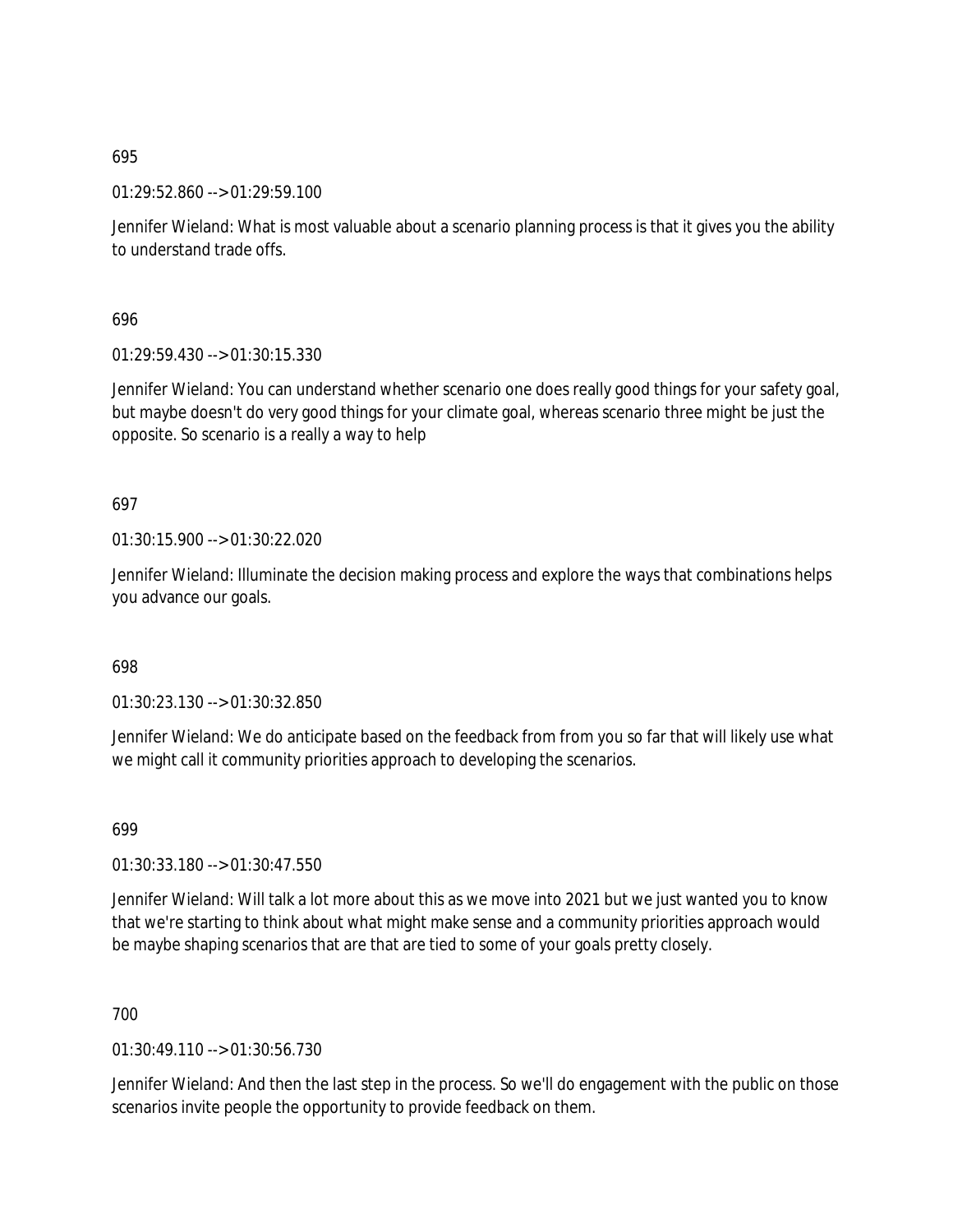01:29:52.860 --> 01:29:59.100

Jennifer Wieland: What is most valuable about a scenario planning process is that it gives you the ability to understand trade offs.

696

01:29:59.430 --> 01:30:15.330

Jennifer Wieland: You can understand whether scenario one does really good things for your safety goal, but maybe doesn't do very good things for your climate goal, whereas scenario three might be just the opposite. So scenario is a really a way to help

697

01:30:15.900 --> 01:30:22.020

Jennifer Wieland: Illuminate the decision making process and explore the ways that combinations helps you advance our goals.

698

01:30:23.130 --> 01:30:32.850

Jennifer Wieland: We do anticipate based on the feedback from from you so far that will likely use what we might call it community priorities approach to developing the scenarios.

699

01:30:33.180 --> 01:30:47.550

Jennifer Wieland: Will talk a lot more about this as we move into 2021 but we just wanted you to know that we're starting to think about what might make sense and a community priorities approach would be maybe shaping scenarios that are that are tied to some of your goals pretty closely.

700

01:30:49.110 --> 01:30:56.730

Jennifer Wieland: And then the last step in the process. So we'll do engagement with the public on those scenarios invite people the opportunity to provide feedback on them.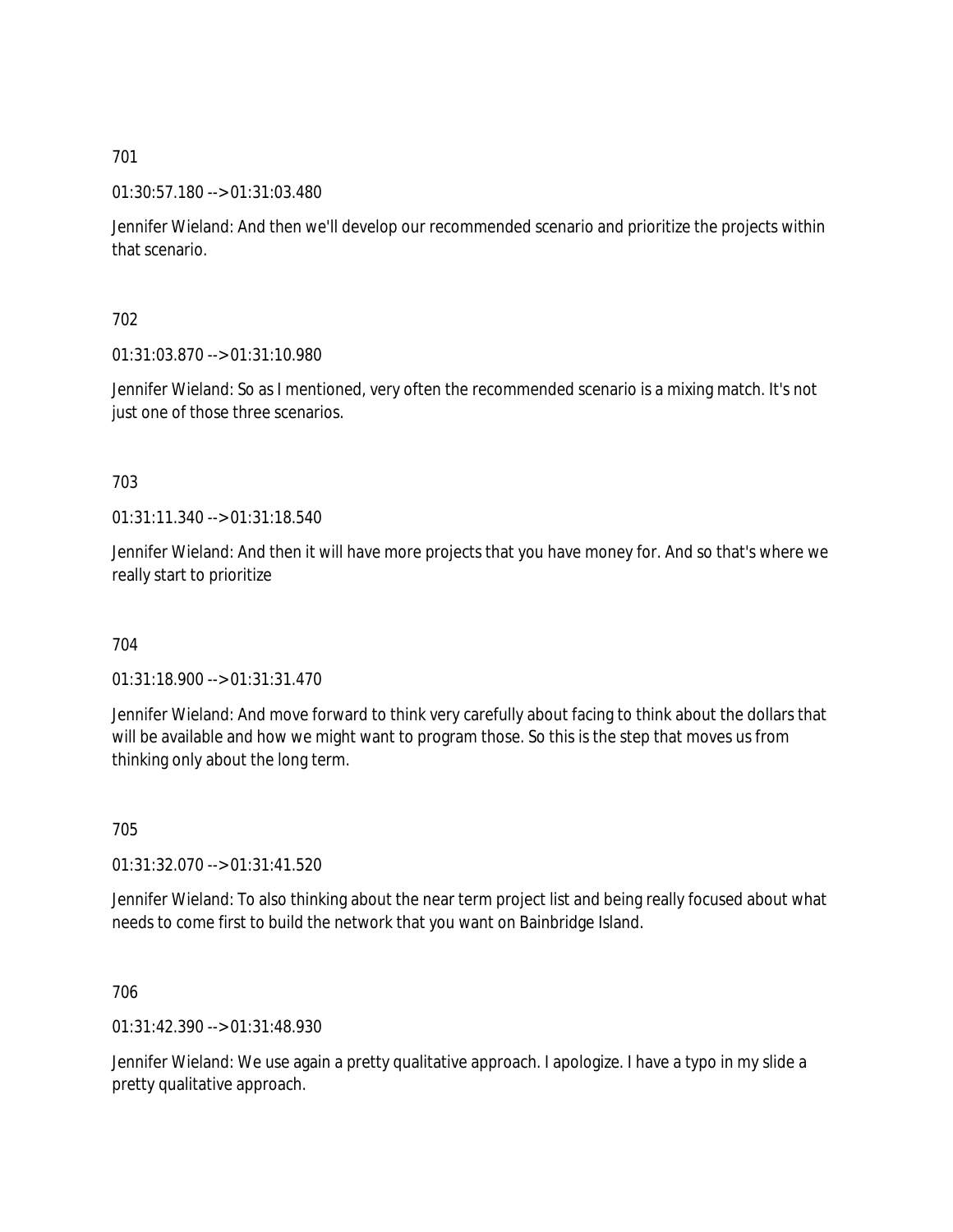01:30:57.180 --> 01:31:03.480

Jennifer Wieland: And then we'll develop our recommended scenario and prioritize the projects within that scenario.

702

01:31:03.870 --> 01:31:10.980

Jennifer Wieland: So as I mentioned, very often the recommended scenario is a mixing match. It's not just one of those three scenarios.

703

01:31:11.340 --> 01:31:18.540

Jennifer Wieland: And then it will have more projects that you have money for. And so that's where we really start to prioritize

704

01:31:18.900 --> 01:31:31.470

Jennifer Wieland: And move forward to think very carefully about facing to think about the dollars that will be available and how we might want to program those. So this is the step that moves us from thinking only about the long term.

705

01:31:32.070 --> 01:31:41.520

Jennifer Wieland: To also thinking about the near term project list and being really focused about what needs to come first to build the network that you want on Bainbridge Island.

706

01:31:42.390 --> 01:31:48.930

Jennifer Wieland: We use again a pretty qualitative approach. I apologize. I have a typo in my slide a pretty qualitative approach.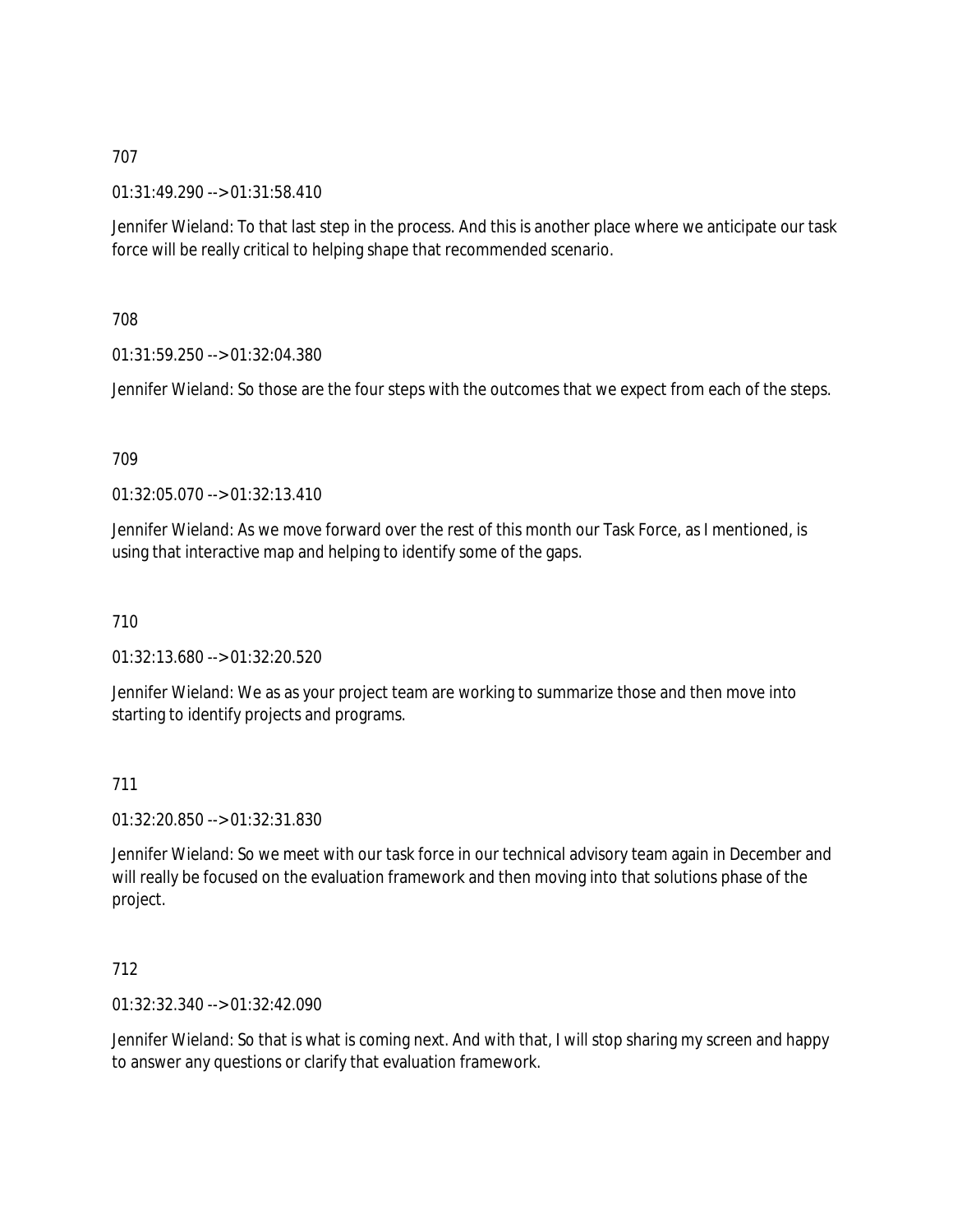01:31:49.290 --> 01:31:58.410

Jennifer Wieland: To that last step in the process. And this is another place where we anticipate our task force will be really critical to helping shape that recommended scenario.

708

01:31:59.250 --> 01:32:04.380

Jennifer Wieland: So those are the four steps with the outcomes that we expect from each of the steps.

709

01:32:05.070 --> 01:32:13.410

Jennifer Wieland: As we move forward over the rest of this month our Task Force, as I mentioned, is using that interactive map and helping to identify some of the gaps.

710

01:32:13.680 --> 01:32:20.520

Jennifer Wieland: We as as your project team are working to summarize those and then move into starting to identify projects and programs.

711

01:32:20.850 --> 01:32:31.830

Jennifer Wieland: So we meet with our task force in our technical advisory team again in December and will really be focused on the evaluation framework and then moving into that solutions phase of the project.

712

01:32:32.340 --> 01:32:42.090

Jennifer Wieland: So that is what is coming next. And with that, I will stop sharing my screen and happy to answer any questions or clarify that evaluation framework.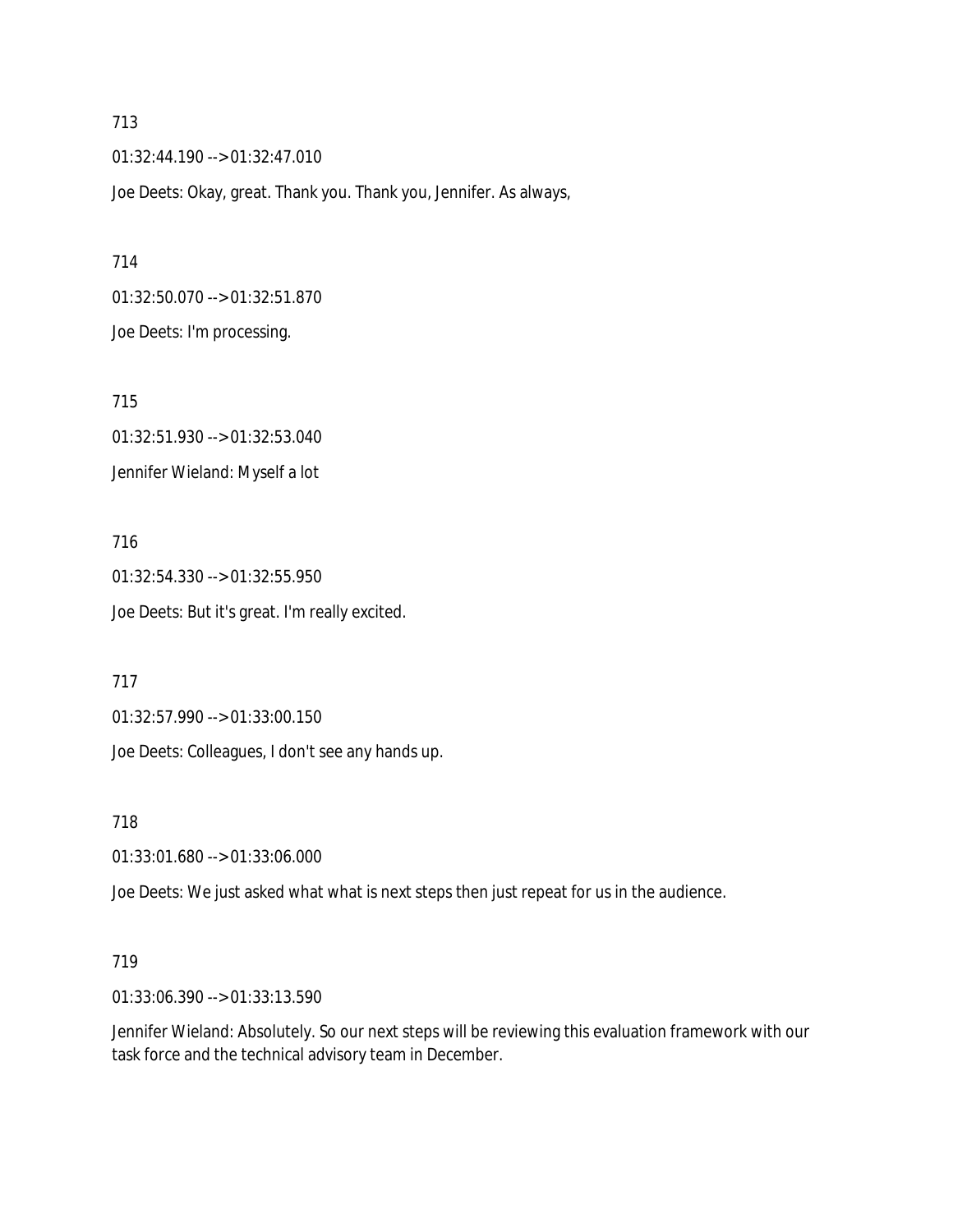01:32:44.190 --> 01:32:47.010 Joe Deets: Okay, great. Thank you. Thank you, Jennifer. As always,

714 01:32:50.070 --> 01:32:51.870 Joe Deets: I'm processing.

715 01:32:51.930 --> 01:32:53.040 Jennifer Wieland: Myself a lot

716 01:32:54.330 --> 01:32:55.950 Joe Deets: But it's great. I'm really excited.

717

01:32:57.990 --> 01:33:00.150

Joe Deets: Colleagues, I don't see any hands up.

718

01:33:01.680 --> 01:33:06.000

Joe Deets: We just asked what what is next steps then just repeat for us in the audience.

#### 719

01:33:06.390 --> 01:33:13.590

Jennifer Wieland: Absolutely. So our next steps will be reviewing this evaluation framework with our task force and the technical advisory team in December.

713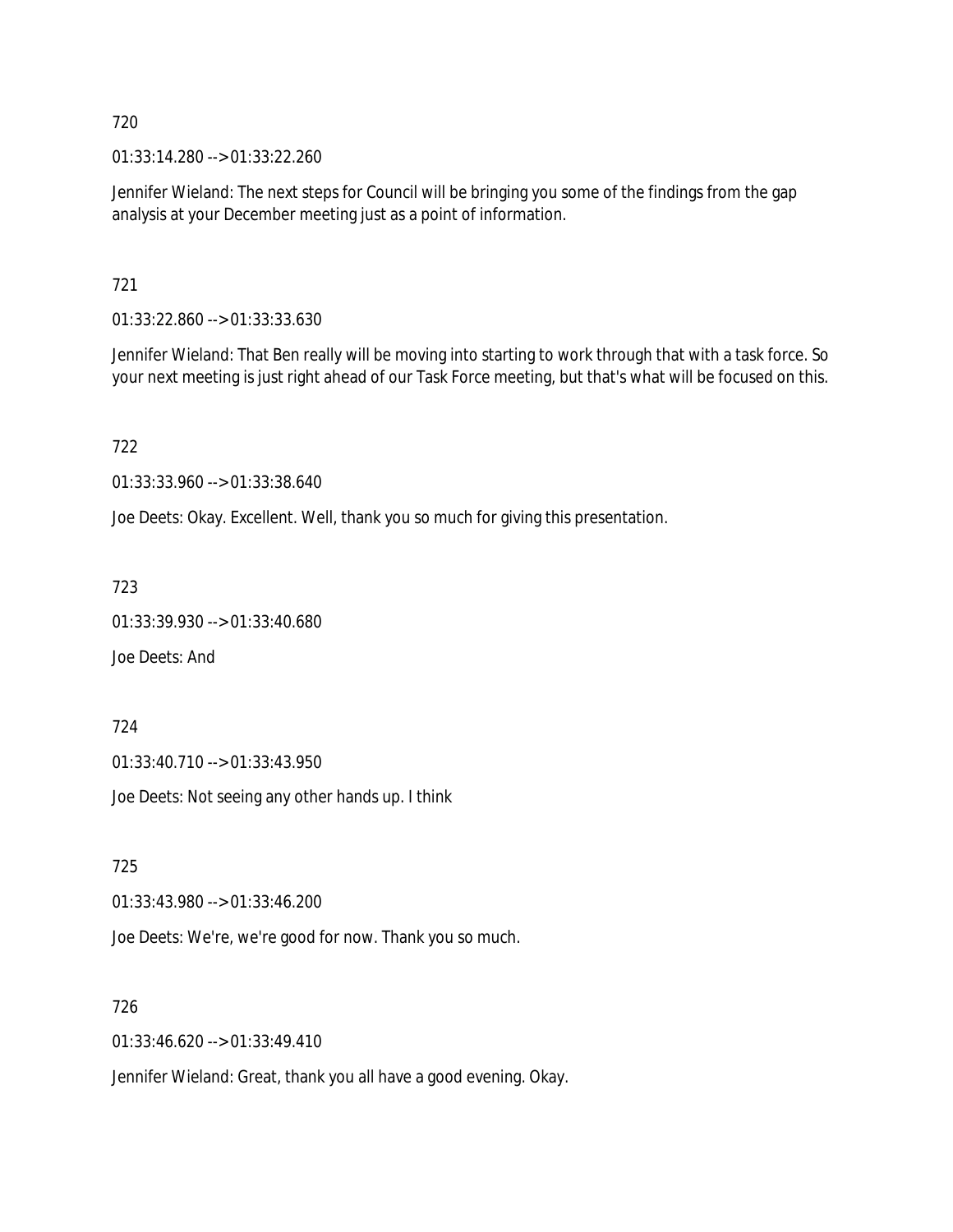01:33:14.280 --> 01:33:22.260

Jennifer Wieland: The next steps for Council will be bringing you some of the findings from the gap analysis at your December meeting just as a point of information.

721

01:33:22.860 --> 01:33:33.630

Jennifer Wieland: That Ben really will be moving into starting to work through that with a task force. So your next meeting is just right ahead of our Task Force meeting, but that's what will be focused on this.

722

01:33:33.960 --> 01:33:38.640

Joe Deets: Okay. Excellent. Well, thank you so much for giving this presentation.

723

01:33:39.930 --> 01:33:40.680

Joe Deets: And

724

01:33:40.710 --> 01:33:43.950

Joe Deets: Not seeing any other hands up. I think

725

01:33:43.980 --> 01:33:46.200

Joe Deets: We're, we're good for now. Thank you so much.

726

01:33:46.620 --> 01:33:49.410

Jennifer Wieland: Great, thank you all have a good evening. Okay.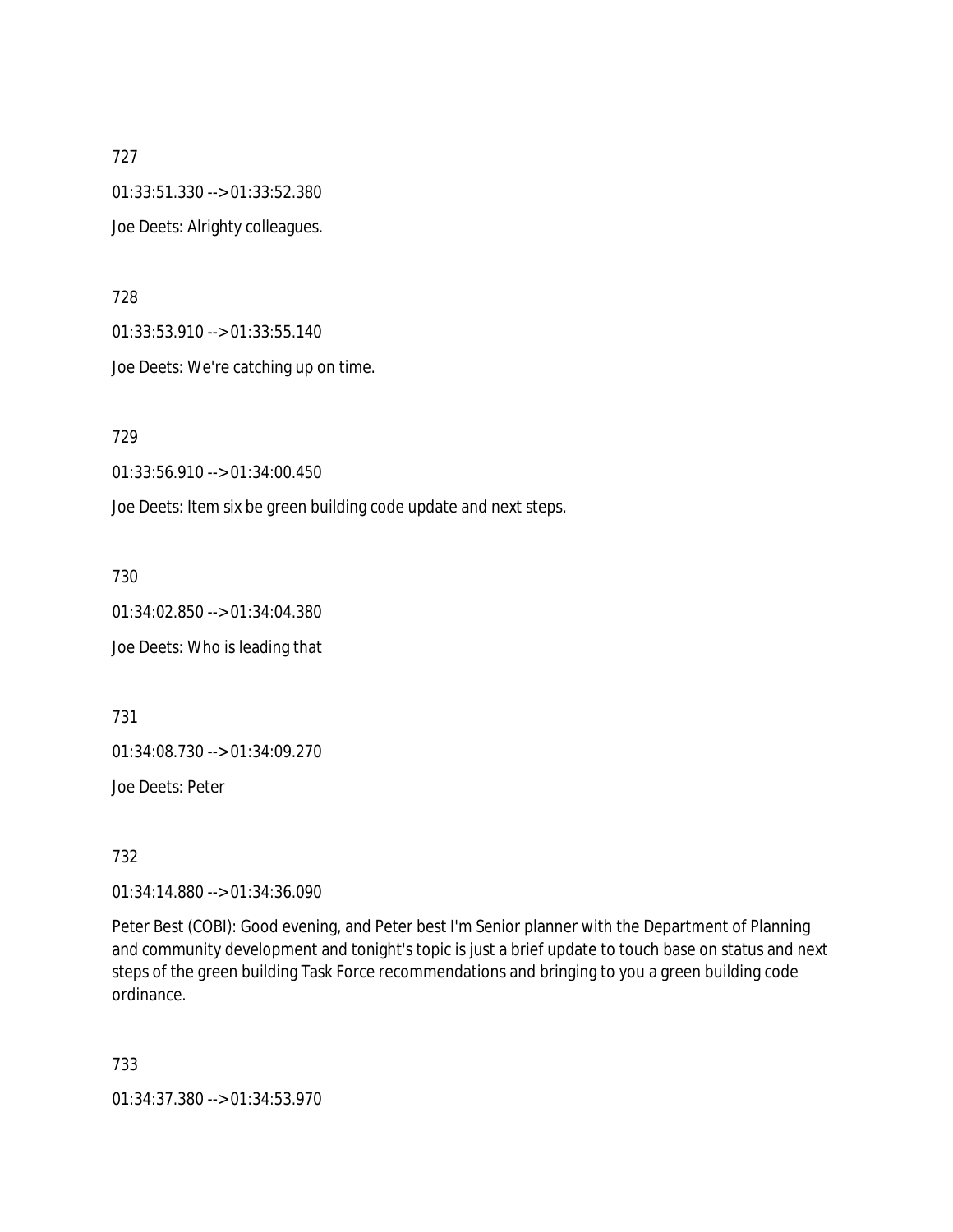727 01:33:51.330 --> 01:33:52.380 Joe Deets: Alrighty colleagues.

728

01:33:53.910 --> 01:33:55.140

Joe Deets: We're catching up on time.

729

01:33:56.910 --> 01:34:00.450

Joe Deets: Item six be green building code update and next steps.

730

01:34:02.850 --> 01:34:04.380

Joe Deets: Who is leading that

731

01:34:08.730 --> 01:34:09.270

Joe Deets: Peter

732

01:34:14.880 --> 01:34:36.090

Peter Best (COBI): Good evening, and Peter best I'm Senior planner with the Department of Planning and community development and tonight's topic is just a brief update to touch base on status and next steps of the green building Task Force recommendations and bringing to you a green building code ordinance.

733

01:34:37.380 --> 01:34:53.970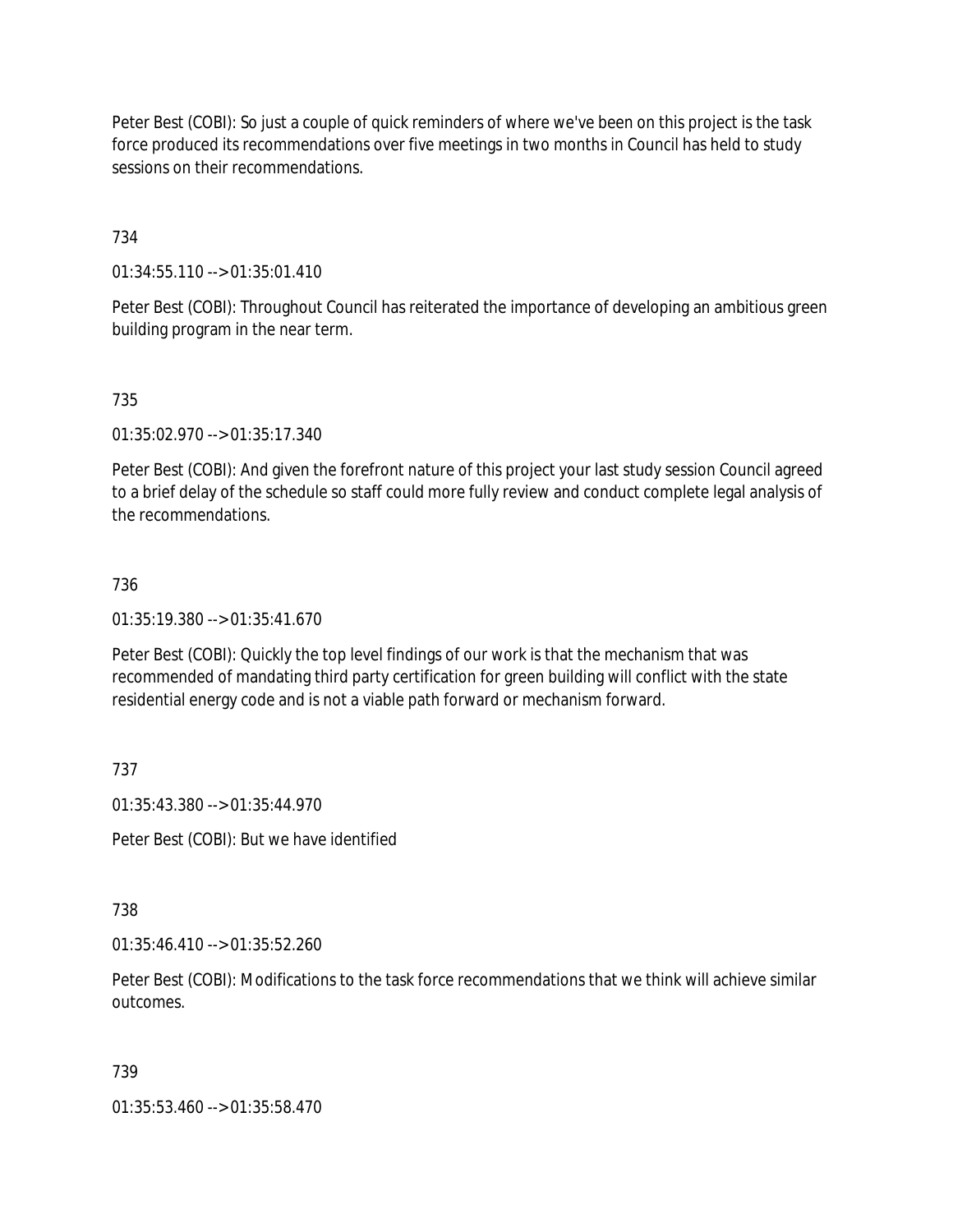Peter Best (COBI): So just a couple of quick reminders of where we've been on this project is the task force produced its recommendations over five meetings in two months in Council has held to study sessions on their recommendations.

## 734

01:34:55.110 --> 01:35:01.410

Peter Best (COBI): Throughout Council has reiterated the importance of developing an ambitious green building program in the near term.

## 735

01:35:02.970 --> 01:35:17.340

Peter Best (COBI): And given the forefront nature of this project your last study session Council agreed to a brief delay of the schedule so staff could more fully review and conduct complete legal analysis of the recommendations.

### 736

01:35:19.380 --> 01:35:41.670

Peter Best (COBI): Quickly the top level findings of our work is that the mechanism that was recommended of mandating third party certification for green building will conflict with the state residential energy code and is not a viable path forward or mechanism forward.

## 737

01:35:43.380 --> 01:35:44.970

Peter Best (COBI): But we have identified

#### 738

01:35:46.410 --> 01:35:52.260

Peter Best (COBI): Modifications to the task force recommendations that we think will achieve similar outcomes.

#### 739

01:35:53.460 --> 01:35:58.470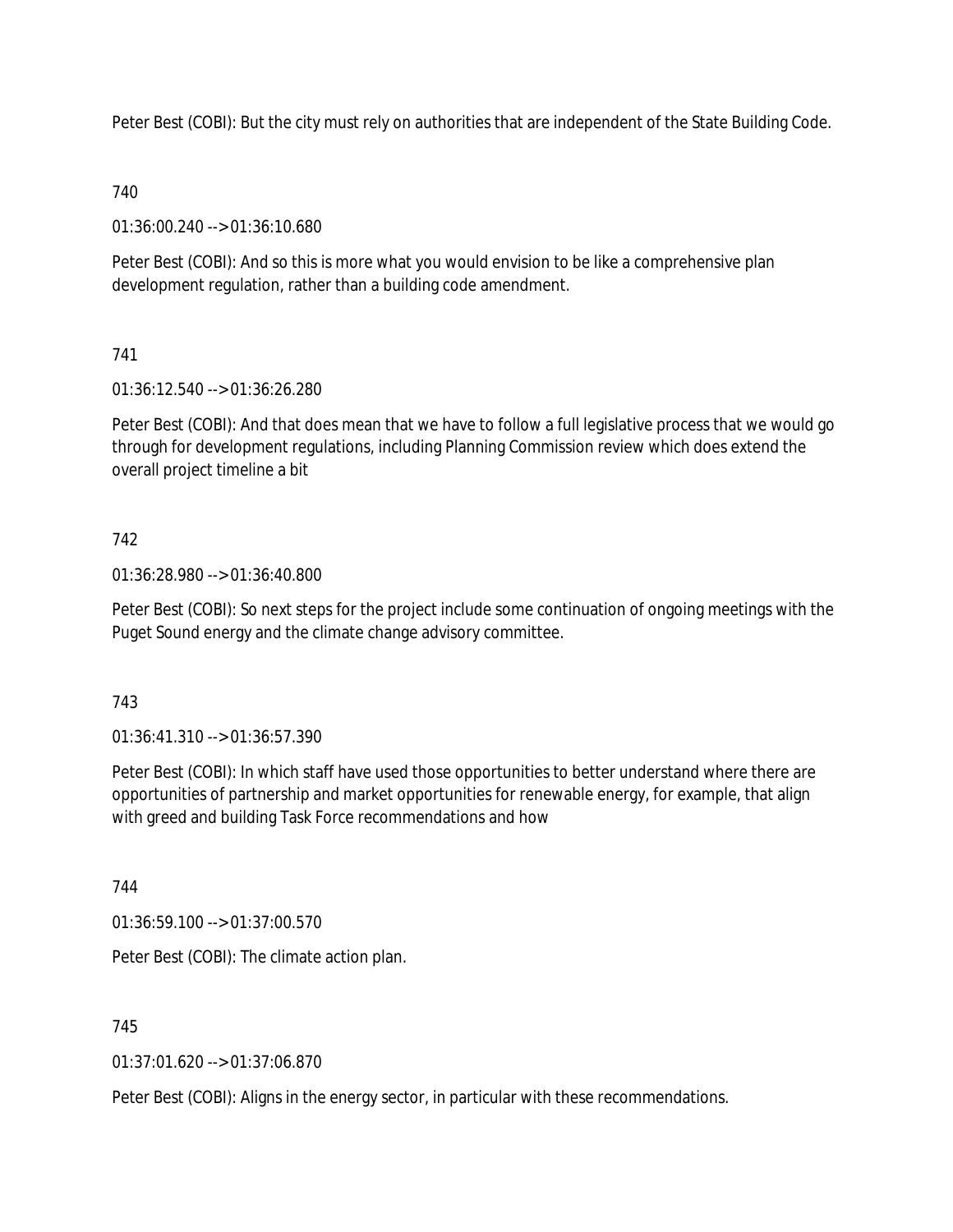Peter Best (COBI): But the city must rely on authorities that are independent of the State Building Code.

# 740

01:36:00.240 --> 01:36:10.680

Peter Best (COBI): And so this is more what you would envision to be like a comprehensive plan development regulation, rather than a building code amendment.

# 741

01:36:12.540 --> 01:36:26.280

Peter Best (COBI): And that does mean that we have to follow a full legislative process that we would go through for development regulations, including Planning Commission review which does extend the overall project timeline a bit

## 742

01:36:28.980 --> 01:36:40.800

Peter Best (COBI): So next steps for the project include some continuation of ongoing meetings with the Puget Sound energy and the climate change advisory committee.

## 743

01:36:41.310 --> 01:36:57.390

Peter Best (COBI): In which staff have used those opportunities to better understand where there are opportunities of partnership and market opportunities for renewable energy, for example, that align with greed and building Task Force recommendations and how

744

01:36:59.100 --> 01:37:00.570

Peter Best (COBI): The climate action plan.

745

01:37:01.620 --> 01:37:06.870

Peter Best (COBI): Aligns in the energy sector, in particular with these recommendations.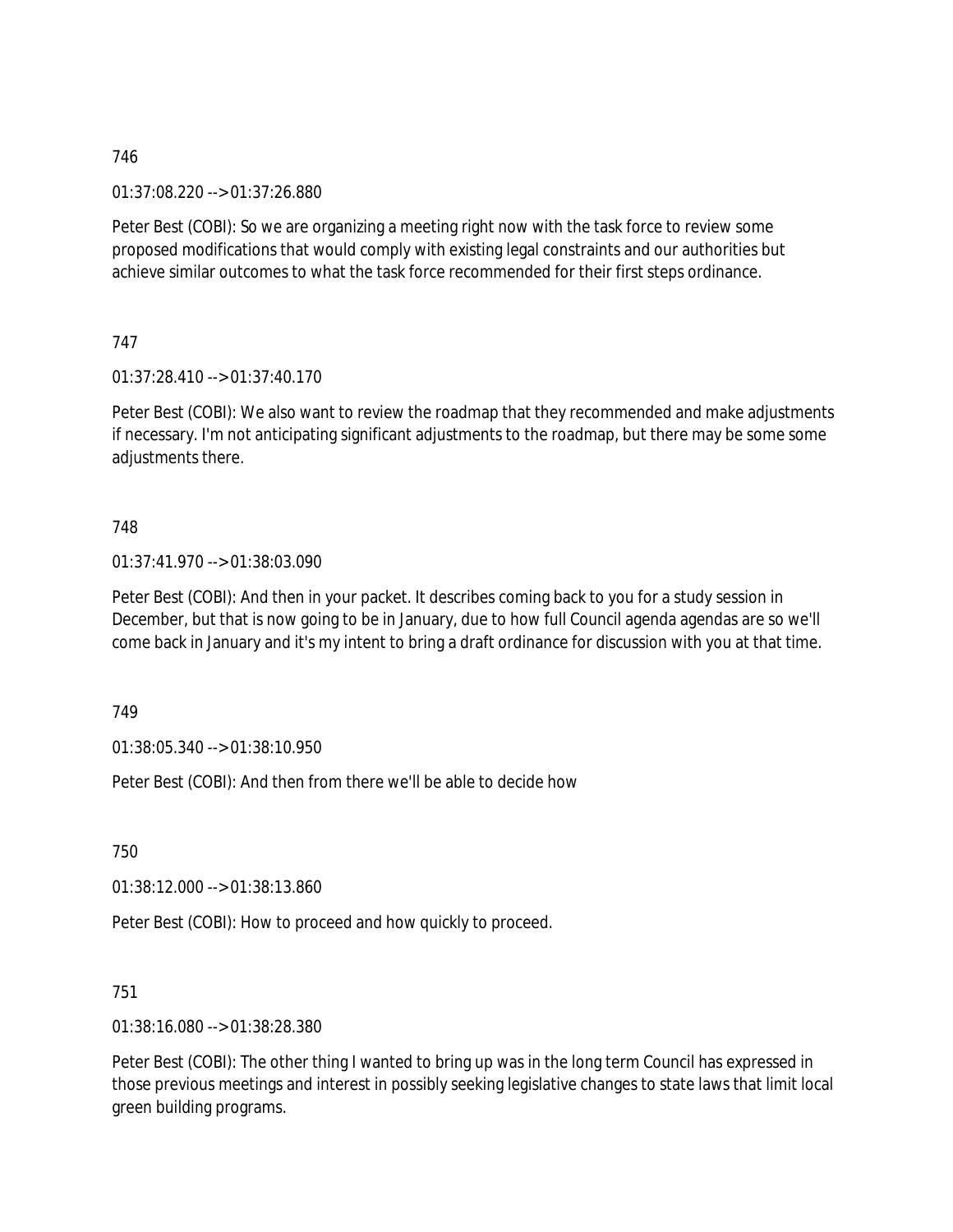01:37:08.220 --> 01:37:26.880

Peter Best (COBI): So we are organizing a meeting right now with the task force to review some proposed modifications that would comply with existing legal constraints and our authorities but achieve similar outcomes to what the task force recommended for their first steps ordinance.

## 747

01:37:28.410 --> 01:37:40.170

Peter Best (COBI): We also want to review the roadmap that they recommended and make adjustments if necessary. I'm not anticipating significant adjustments to the roadmap, but there may be some some adjustments there.

### 748

01:37:41.970 --> 01:38:03.090

Peter Best (COBI): And then in your packet. It describes coming back to you for a study session in December, but that is now going to be in January, due to how full Council agenda agendas are so we'll come back in January and it's my intent to bring a draft ordinance for discussion with you at that time.

749

01:38:05.340 --> 01:38:10.950

Peter Best (COBI): And then from there we'll be able to decide how

750

01:38:12.000 --> 01:38:13.860

Peter Best (COBI): How to proceed and how quickly to proceed.

## 751

01:38:16.080 --> 01:38:28.380

Peter Best (COBI): The other thing I wanted to bring up was in the long term Council has expressed in those previous meetings and interest in possibly seeking legislative changes to state laws that limit local green building programs.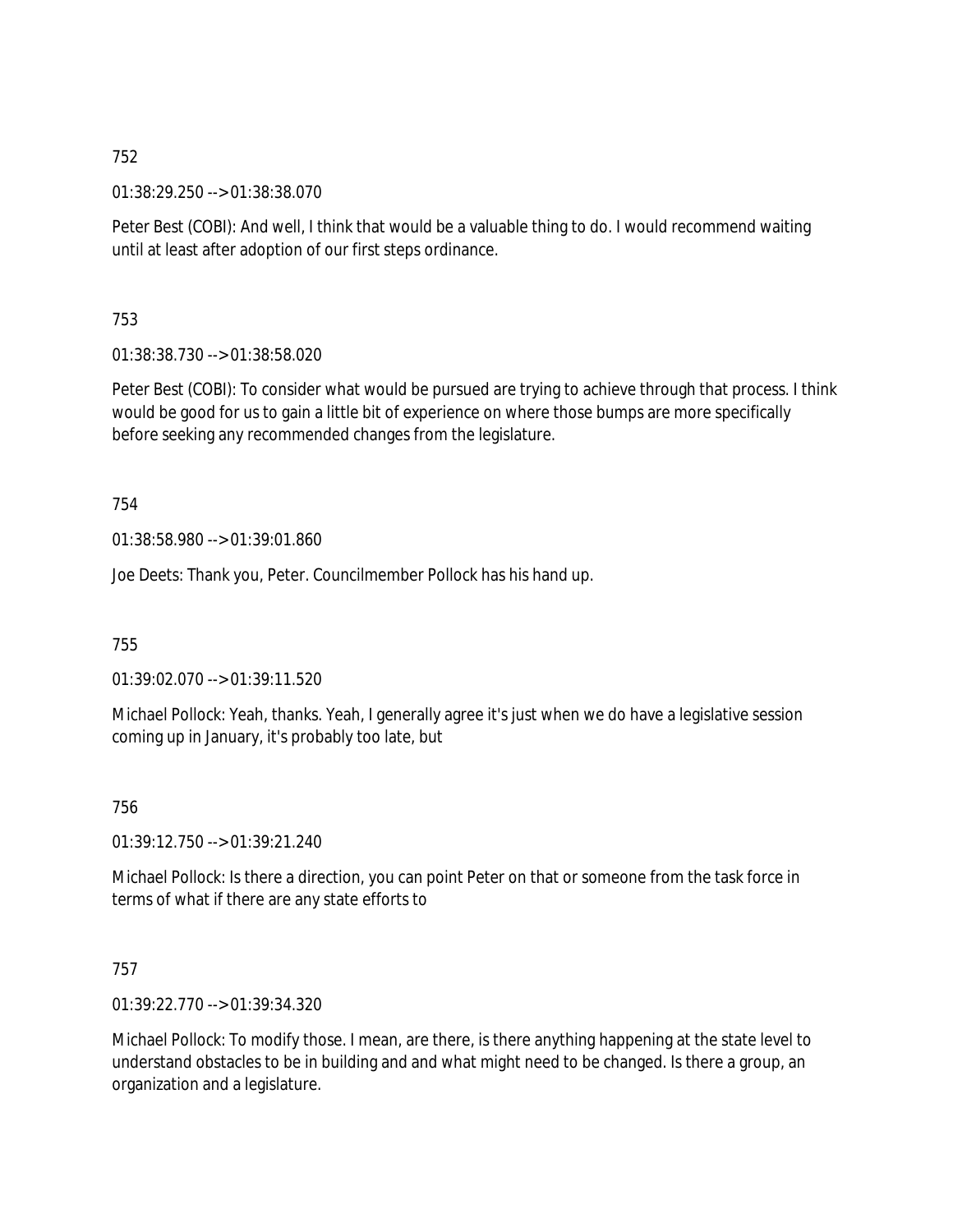01:38:29.250 --> 01:38:38.070

Peter Best (COBI): And well, I think that would be a valuable thing to do. I would recommend waiting until at least after adoption of our first steps ordinance.

753

01:38:38.730 --> 01:38:58.020

Peter Best (COBI): To consider what would be pursued are trying to achieve through that process. I think would be good for us to gain a little bit of experience on where those bumps are more specifically before seeking any recommended changes from the legislature.

754

01:38:58.980 --> 01:39:01.860

Joe Deets: Thank you, Peter. Councilmember Pollock has his hand up.

755

01:39:02.070 --> 01:39:11.520

Michael Pollock: Yeah, thanks. Yeah, I generally agree it's just when we do have a legislative session coming up in January, it's probably too late, but

756

01:39:12.750 --> 01:39:21.240

Michael Pollock: Is there a direction, you can point Peter on that or someone from the task force in terms of what if there are any state efforts to

757

01:39:22.770 --> 01:39:34.320

Michael Pollock: To modify those. I mean, are there, is there anything happening at the state level to understand obstacles to be in building and and what might need to be changed. Is there a group, an organization and a legislature.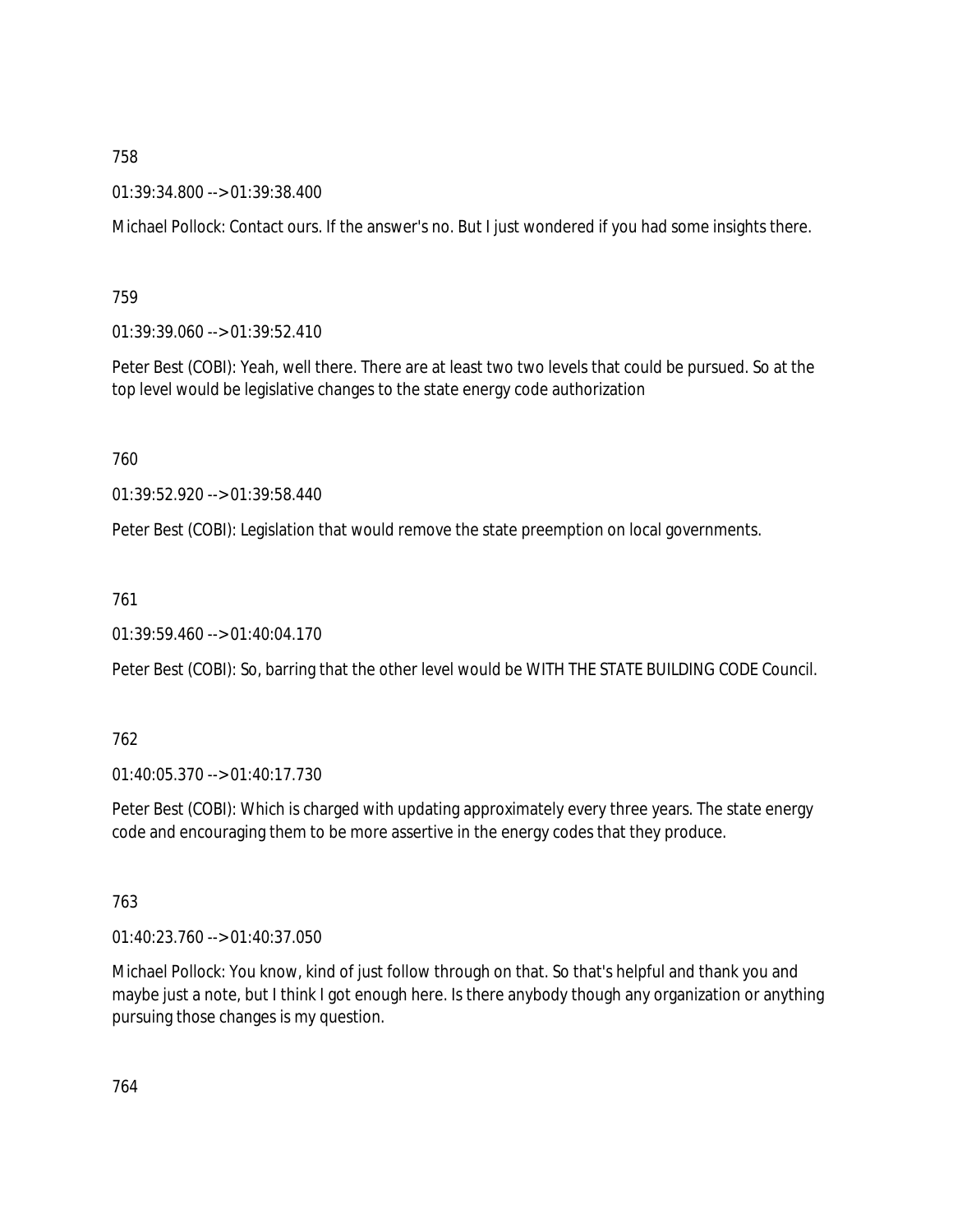01:39:34.800 --> 01:39:38.400

Michael Pollock: Contact ours. If the answer's no. But I just wondered if you had some insights there.

759

01:39:39.060 --> 01:39:52.410

Peter Best (COBI): Yeah, well there. There are at least two two levels that could be pursued. So at the top level would be legislative changes to the state energy code authorization

760

01:39:52.920 --> 01:39:58.440

Peter Best (COBI): Legislation that would remove the state preemption on local governments.

761

01:39:59.460 --> 01:40:04.170

Peter Best (COBI): So, barring that the other level would be WITH THE STATE BUILDING CODE Council.

762

01:40:05.370 --> 01:40:17.730

Peter Best (COBI): Which is charged with updating approximately every three years. The state energy code and encouraging them to be more assertive in the energy codes that they produce.

763

01:40:23.760 --> 01:40:37.050

Michael Pollock: You know, kind of just follow through on that. So that's helpful and thank you and maybe just a note, but I think I got enough here. Is there anybody though any organization or anything pursuing those changes is my question.

764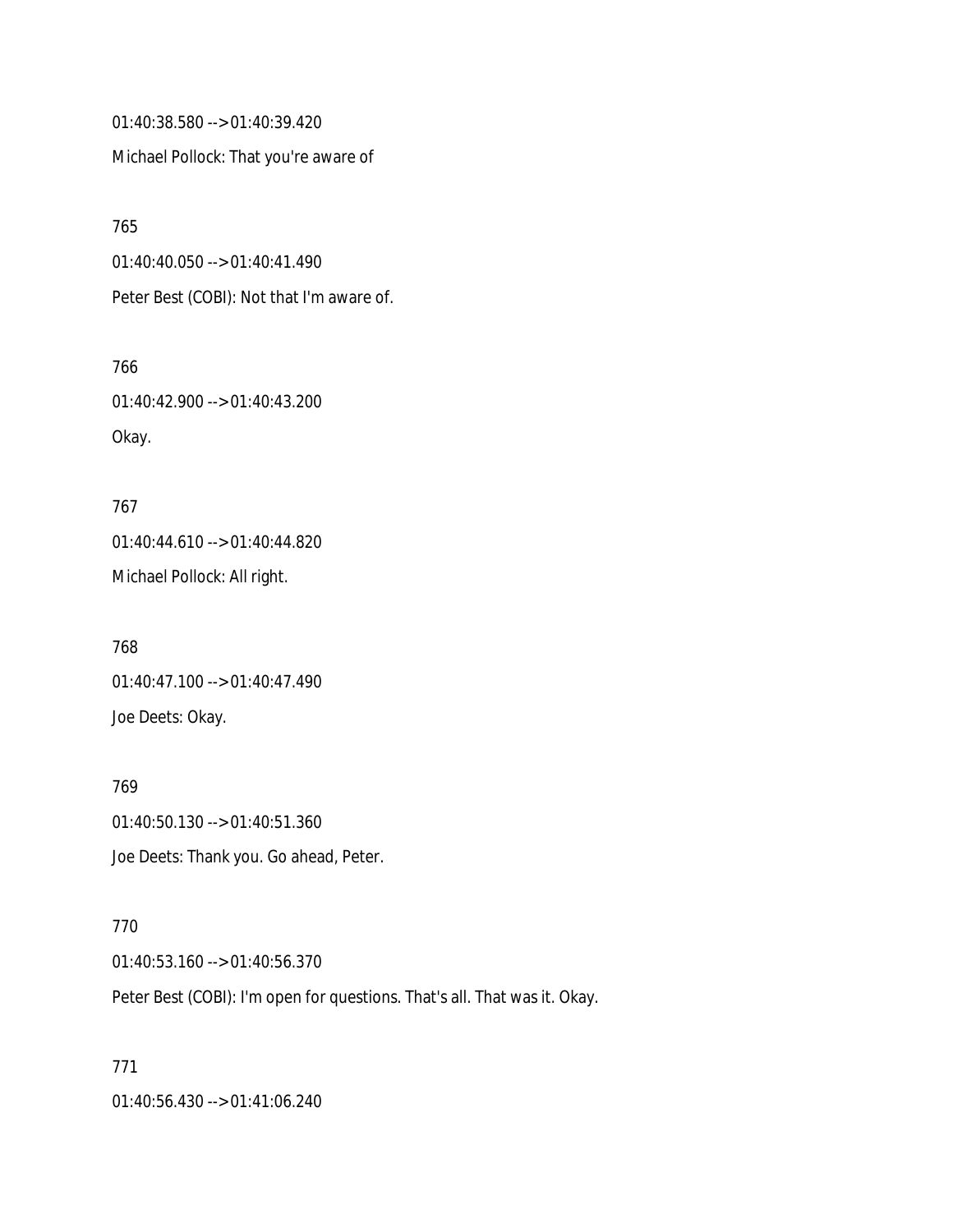01:40:38.580 --> 01:40:39.420

Michael Pollock: That you're aware of

765 01:40:40.050 --> 01:40:41.490 Peter Best (COBI): Not that I'm aware of.

766 01:40:42.900 --> 01:40:43.200 Okay.

767 01:40:44.610 --> 01:40:44.820 Michael Pollock: All right.

768 01:40:47.100 --> 01:40:47.490 Joe Deets: Okay.

769 01:40:50.130 --> 01:40:51.360 Joe Deets: Thank you. Go ahead, Peter.

770 01:40:53.160 --> 01:40:56.370 Peter Best (COBI): I'm open for questions. That's all. That was it. Okay.

771 01:40:56.430 --> 01:41:06.240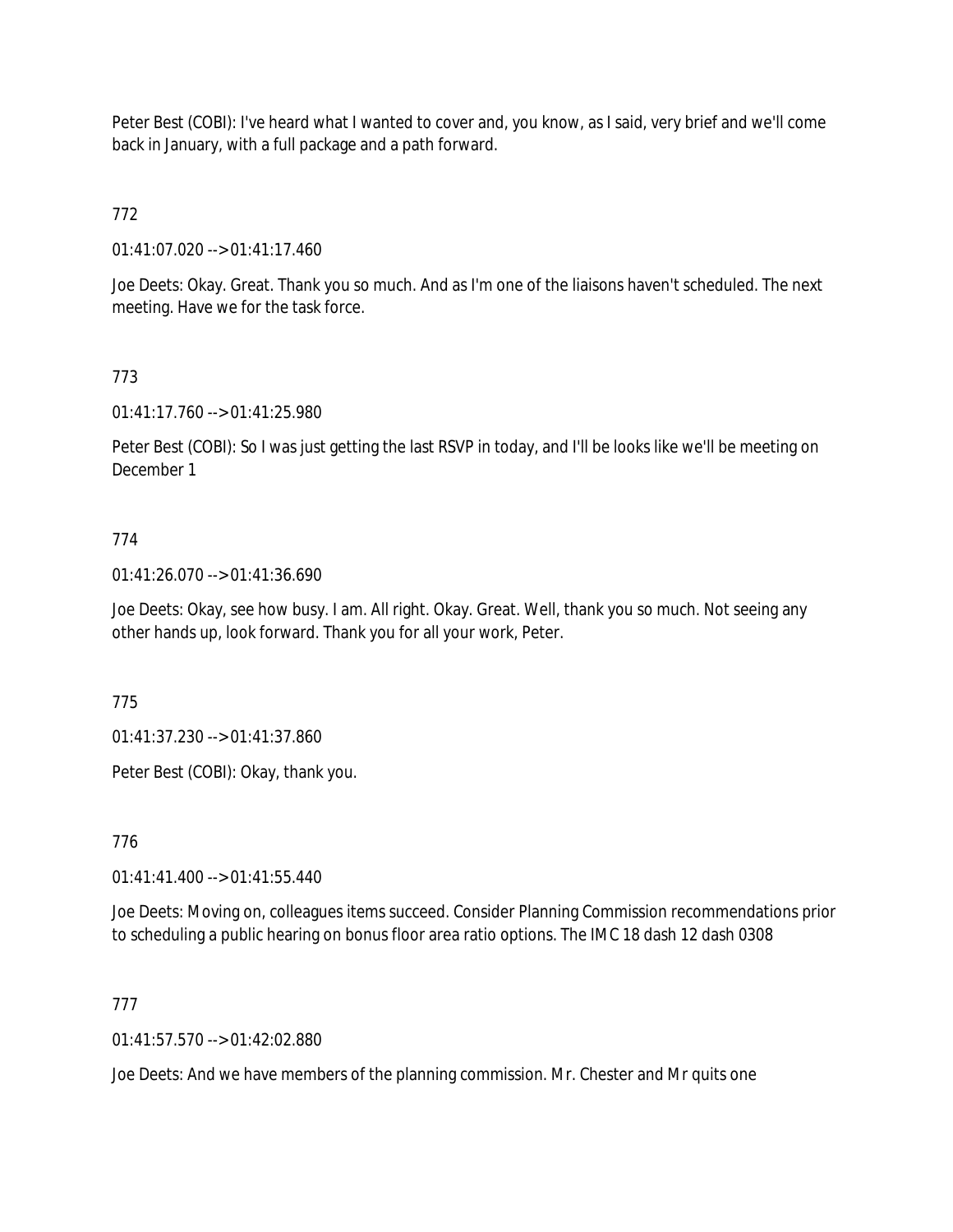Peter Best (COBI): I've heard what I wanted to cover and, you know, as I said, very brief and we'll come back in January, with a full package and a path forward.

772

01:41:07.020 --> 01:41:17.460

Joe Deets: Okay. Great. Thank you so much. And as I'm one of the liaisons haven't scheduled. The next meeting. Have we for the task force.

# 773

01:41:17.760 --> 01:41:25.980

Peter Best (COBI): So I was just getting the last RSVP in today, and I'll be looks like we'll be meeting on December 1

## 774

01:41:26.070 --> 01:41:36.690

Joe Deets: Okay, see how busy. I am. All right. Okay. Great. Well, thank you so much. Not seeing any other hands up, look forward. Thank you for all your work, Peter.

775

01:41:37.230 --> 01:41:37.860

Peter Best (COBI): Okay, thank you.

776

01:41:41.400 --> 01:41:55.440

Joe Deets: Moving on, colleagues items succeed. Consider Planning Commission recommendations prior to scheduling a public hearing on bonus floor area ratio options. The IMC 18 dash 12 dash 0308

## 777

 $01:41:57.570 \rightarrow 01:42:02.880$ 

Joe Deets: And we have members of the planning commission. Mr. Chester and Mr quits one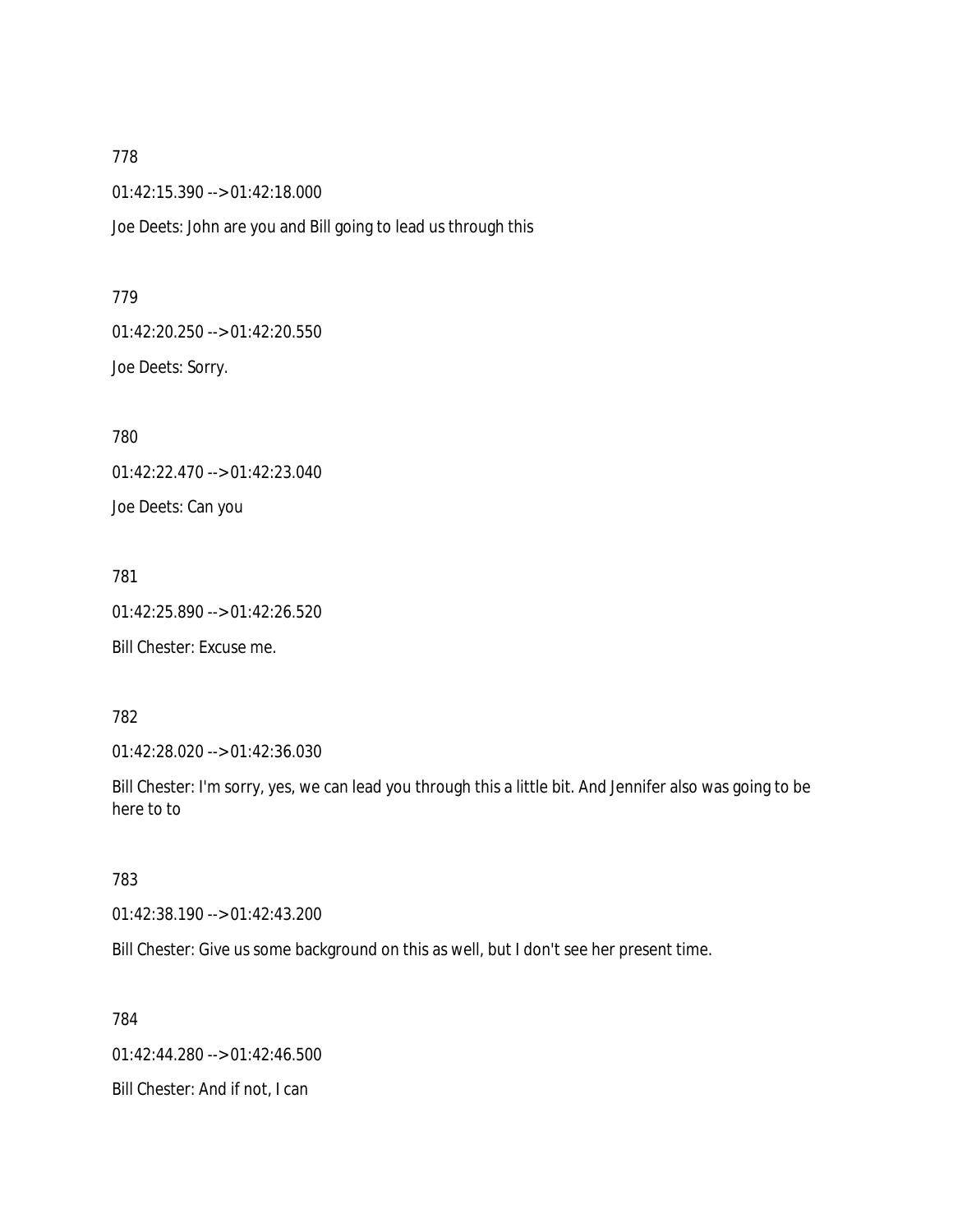01:42:15.390 --> 01:42:18.000

Joe Deets: John are you and Bill going to lead us through this

779 01:42:20.250 --> 01:42:20.550 Joe Deets: Sorry.

780 01:42:22.470 --> 01:42:23.040 Joe Deets: Can you

781 01:42:25.890 --> 01:42:26.520

Bill Chester: Excuse me.

782

01:42:28.020 --> 01:42:36.030

Bill Chester: I'm sorry, yes, we can lead you through this a little bit. And Jennifer also was going to be here to to

783

01:42:38.190 --> 01:42:43.200

Bill Chester: Give us some background on this as well, but I don't see her present time.

784

01:42:44.280 --> 01:42:46.500 Bill Chester: And if not, I can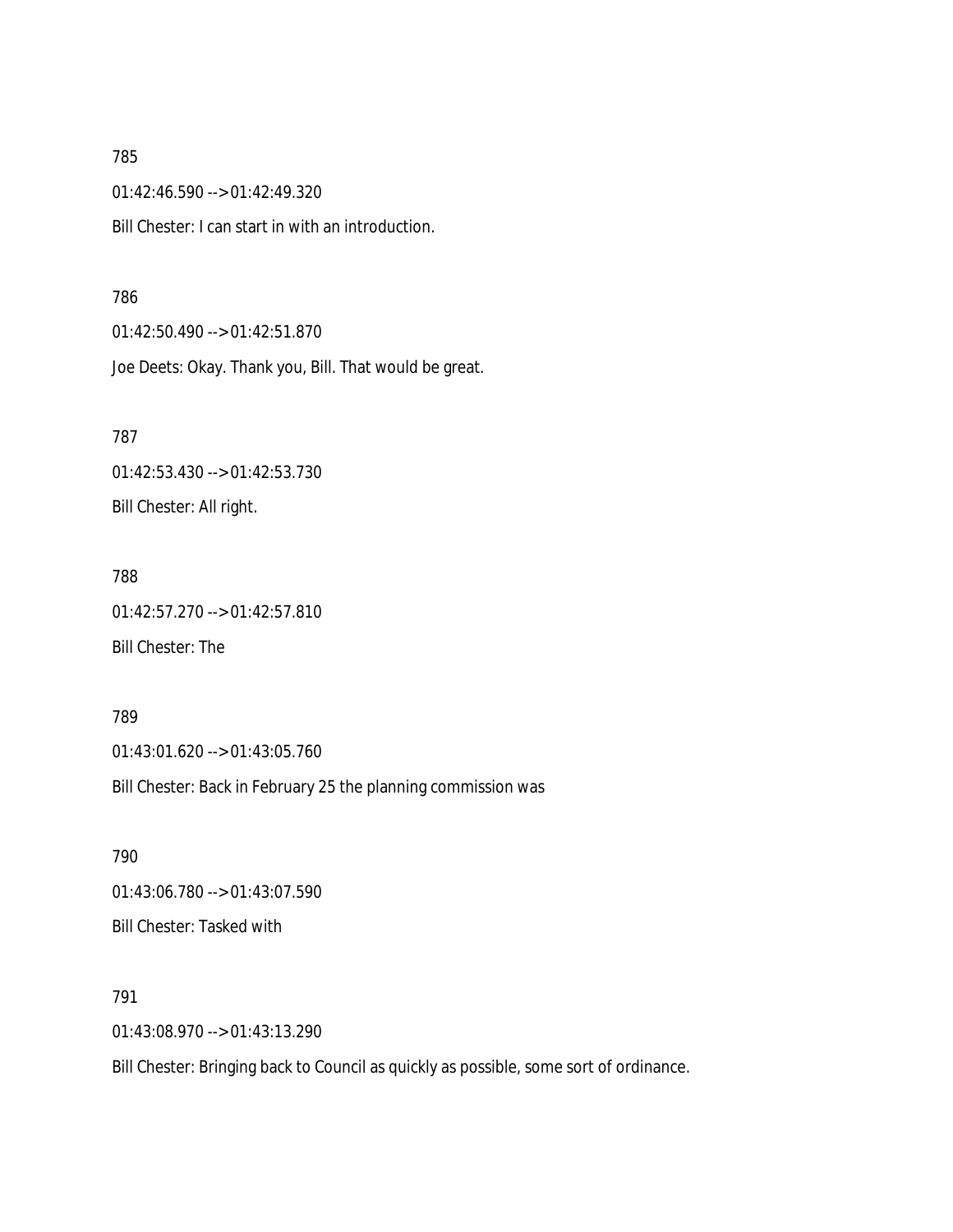01:42:46.590 --> 01:42:49.320 Bill Chester: I can start in with an introduction.

#### 786

01:42:50.490 --> 01:42:51.870 Joe Deets: Okay. Thank you, Bill. That would be great.

787 01:42:53.430 --> 01:42:53.730 Bill Chester: All right.

788 01:42:57.270 --> 01:42:57.810 Bill Chester: The

789 01:43:01.620 --> 01:43:05.760 Bill Chester: Back in February 25 the planning commission was

790 01:43:06.780 --> 01:43:07.590 Bill Chester: Tasked with

791 01:43:08.970 --> 01:43:13.290

Bill Chester: Bringing back to Council as quickly as possible, some sort of ordinance.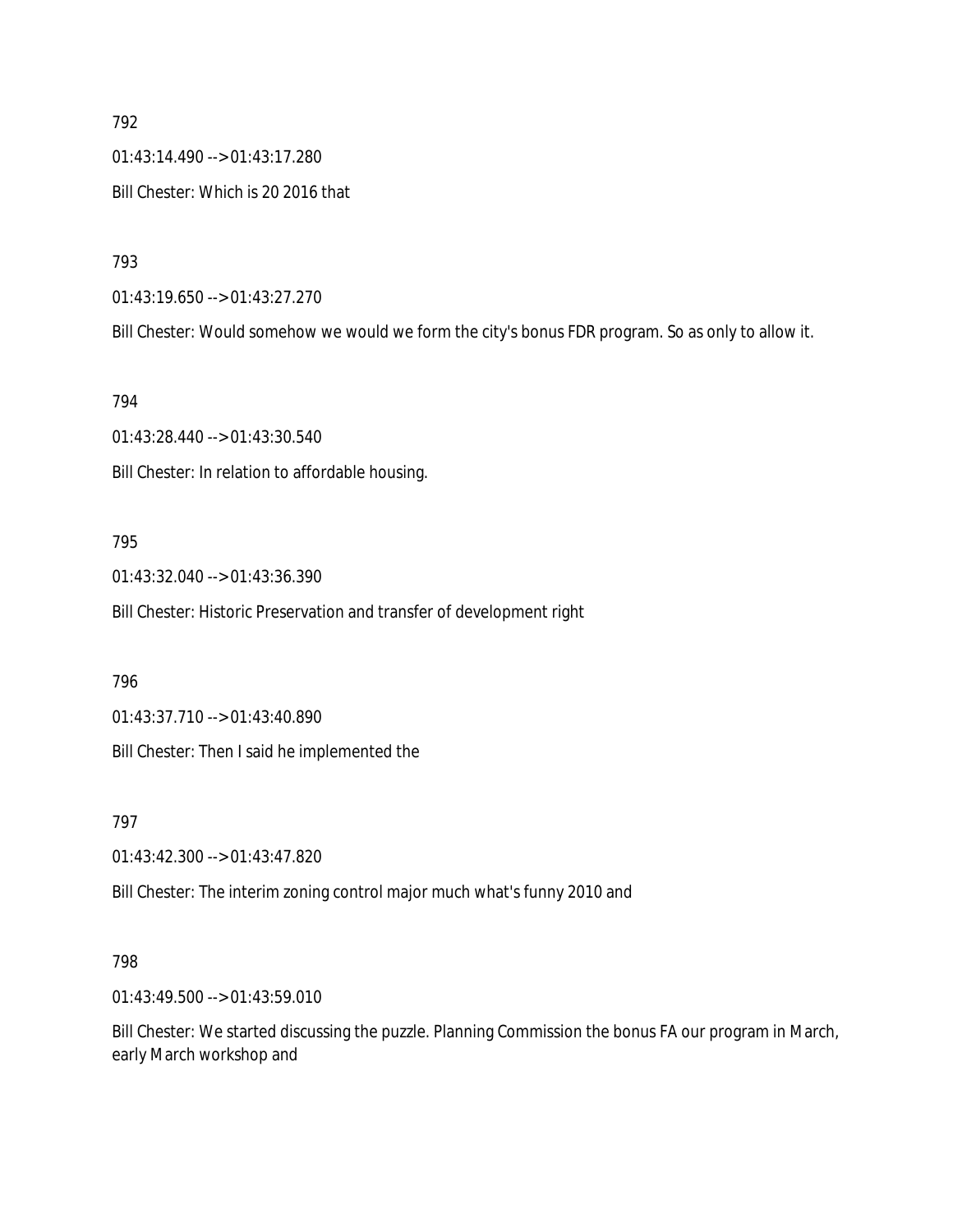01:43:14.490 --> 01:43:17.280 Bill Chester: Which is 20 2016 that

793

01:43:19.650 --> 01:43:27.270

Bill Chester: Would somehow we would we form the city's bonus FDR program. So as only to allow it.

794

01:43:28.440 --> 01:43:30.540 Bill Chester: In relation to affordable housing.

#### 795

01:43:32.040 --> 01:43:36.390

Bill Chester: Historic Preservation and transfer of development right

796

01:43:37.710 --> 01:43:40.890

Bill Chester: Then I said he implemented the

797

01:43:42.300 --> 01:43:47.820

Bill Chester: The interim zoning control major much what's funny 2010 and

#### 798

01:43:49.500 --> 01:43:59.010

Bill Chester: We started discussing the puzzle. Planning Commission the bonus FA our program in March, early March workshop and

792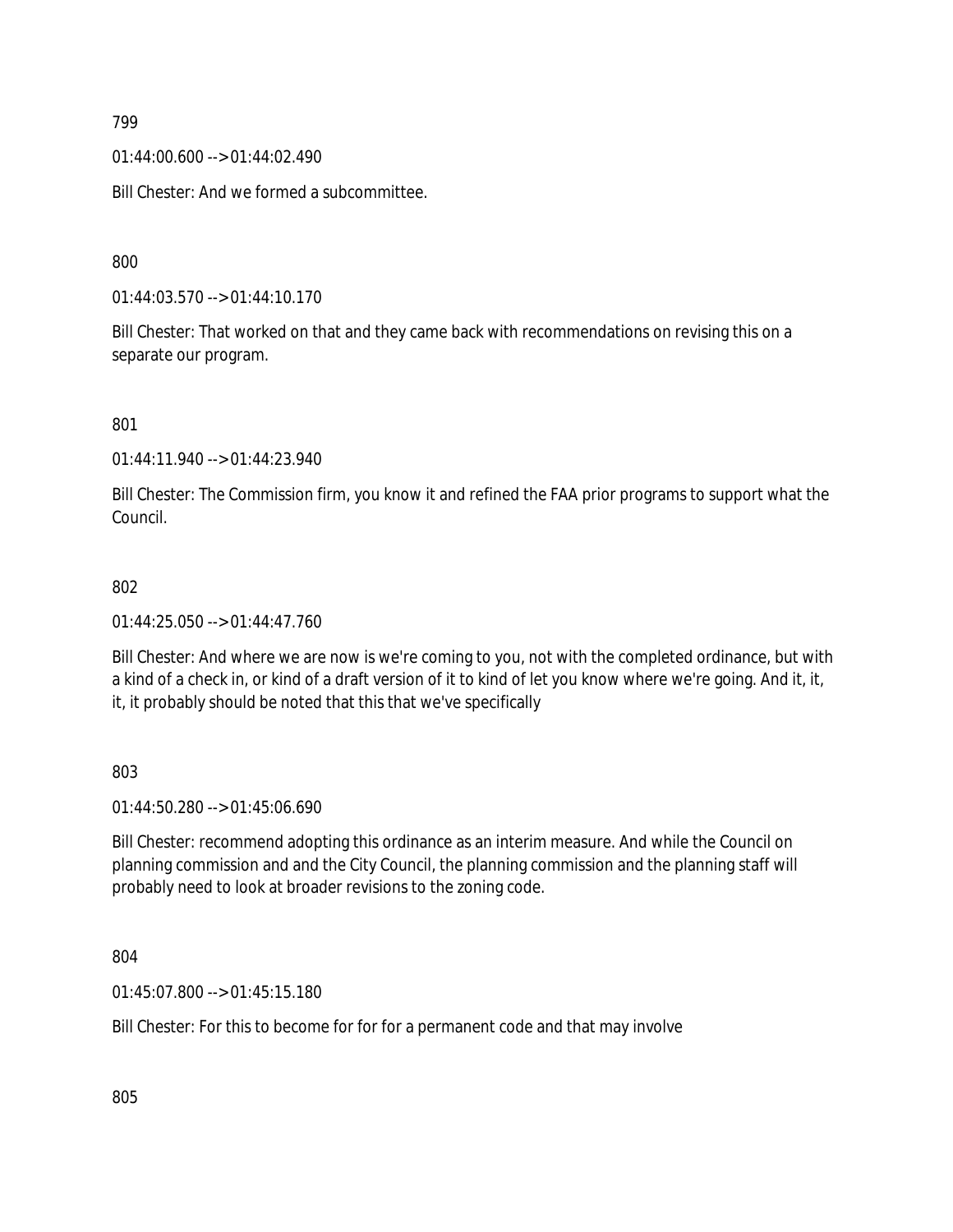01:44:00.600 --> 01:44:02.490

Bill Chester: And we formed a subcommittee.

800

01:44:03.570 --> 01:44:10.170

Bill Chester: That worked on that and they came back with recommendations on revising this on a separate our program.

801

01:44:11.940 --> 01:44:23.940

Bill Chester: The Commission firm, you know it and refined the FAA prior programs to support what the Council.

#### 802

01:44:25.050 --> 01:44:47.760

Bill Chester: And where we are now is we're coming to you, not with the completed ordinance, but with a kind of a check in, or kind of a draft version of it to kind of let you know where we're going. And it, it, it, it probably should be noted that this that we've specifically

803

01:44:50.280 --> 01:45:06.690

Bill Chester: recommend adopting this ordinance as an interim measure. And while the Council on planning commission and and the City Council, the planning commission and the planning staff will probably need to look at broader revisions to the zoning code.

804

01:45:07.800 --> 01:45:15.180

Bill Chester: For this to become for for for a permanent code and that may involve

805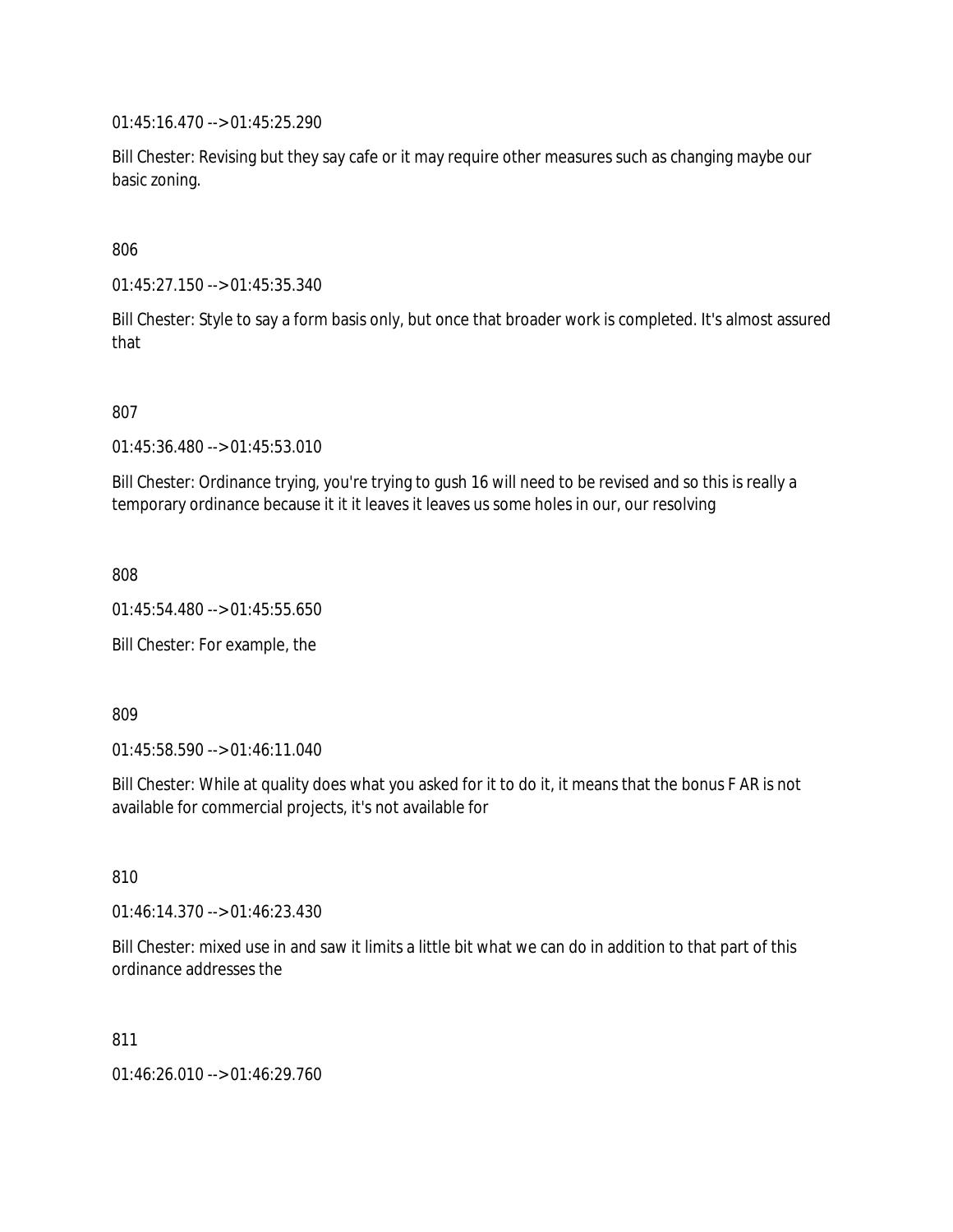01:45:16.470 --> 01:45:25.290

Bill Chester: Revising but they say cafe or it may require other measures such as changing maybe our basic zoning.

806

01:45:27.150 --> 01:45:35.340

Bill Chester: Style to say a form basis only, but once that broader work is completed. It's almost assured that

807

01:45:36.480 --> 01:45:53.010

Bill Chester: Ordinance trying, you're trying to gush 16 will need to be revised and so this is really a temporary ordinance because it it it leaves it leaves us some holes in our, our resolving

808

01:45:54.480 --> 01:45:55.650

Bill Chester: For example, the

809

01:45:58.590 --> 01:46:11.040

Bill Chester: While at quality does what you asked for it to do it, it means that the bonus F AR is not available for commercial projects, it's not available for

810

01:46:14.370 --> 01:46:23.430

Bill Chester: mixed use in and saw it limits a little bit what we can do in addition to that part of this ordinance addresses the

811

01:46:26.010 --> 01:46:29.760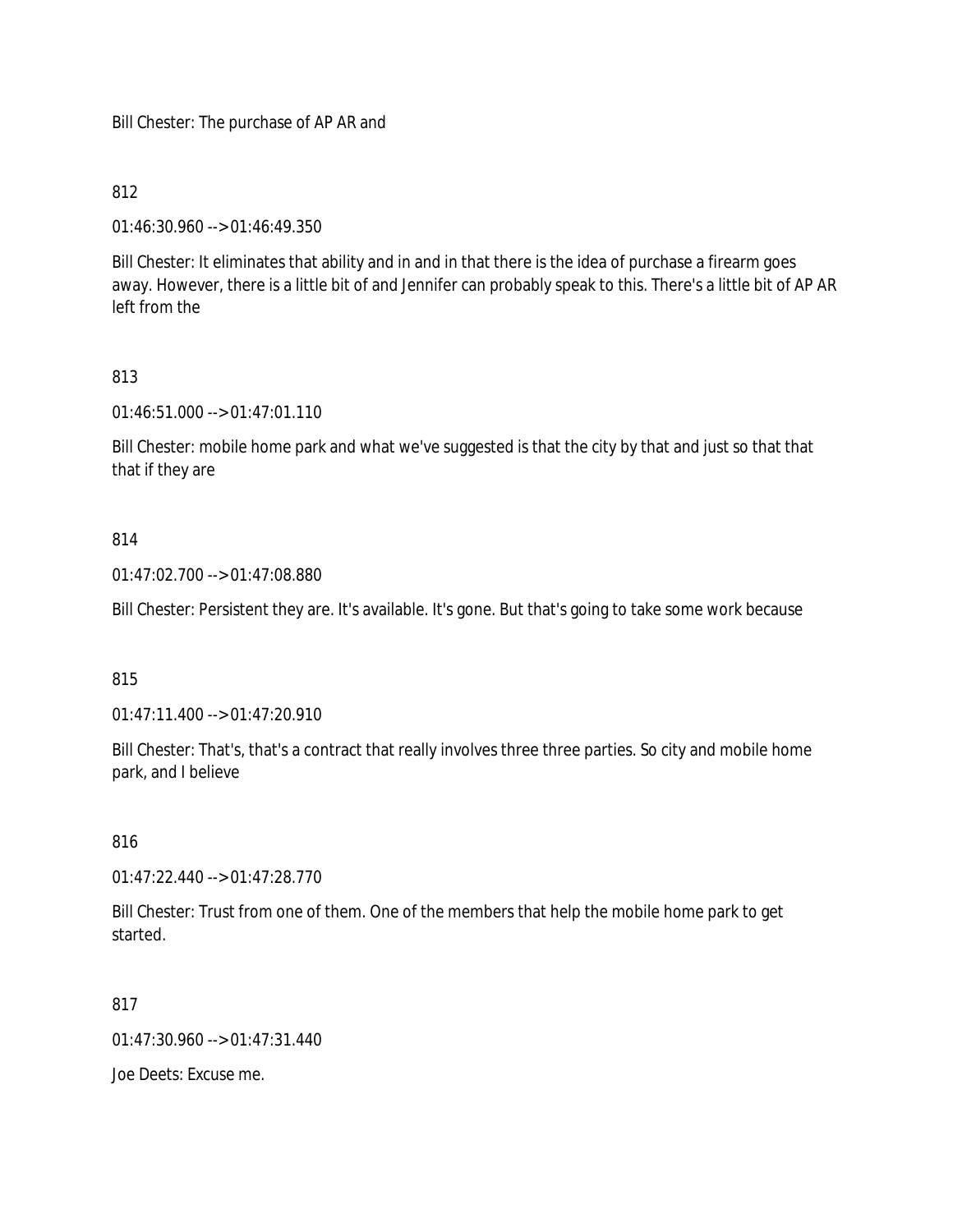Bill Chester: The purchase of AP AR and

### 812

01:46:30.960 --> 01:46:49.350

Bill Chester: It eliminates that ability and in and in that there is the idea of purchase a firearm goes away. However, there is a little bit of and Jennifer can probably speak to this. There's a little bit of AP AR left from the

## 813

01:46:51.000 --> 01:47:01.110

Bill Chester: mobile home park and what we've suggested is that the city by that and just so that that that if they are

### 814

01:47:02.700 --> 01:47:08.880

Bill Chester: Persistent they are. It's available. It's gone. But that's going to take some work because

#### 815

01:47:11.400 --> 01:47:20.910

Bill Chester: That's, that's a contract that really involves three three parties. So city and mobile home park, and I believe

## 816

01:47:22.440 --> 01:47:28.770

Bill Chester: Trust from one of them. One of the members that help the mobile home park to get started.

#### 817

 $01:47:30.960 \rightarrow 01:47:31.440$ 

Joe Deets: Excuse me.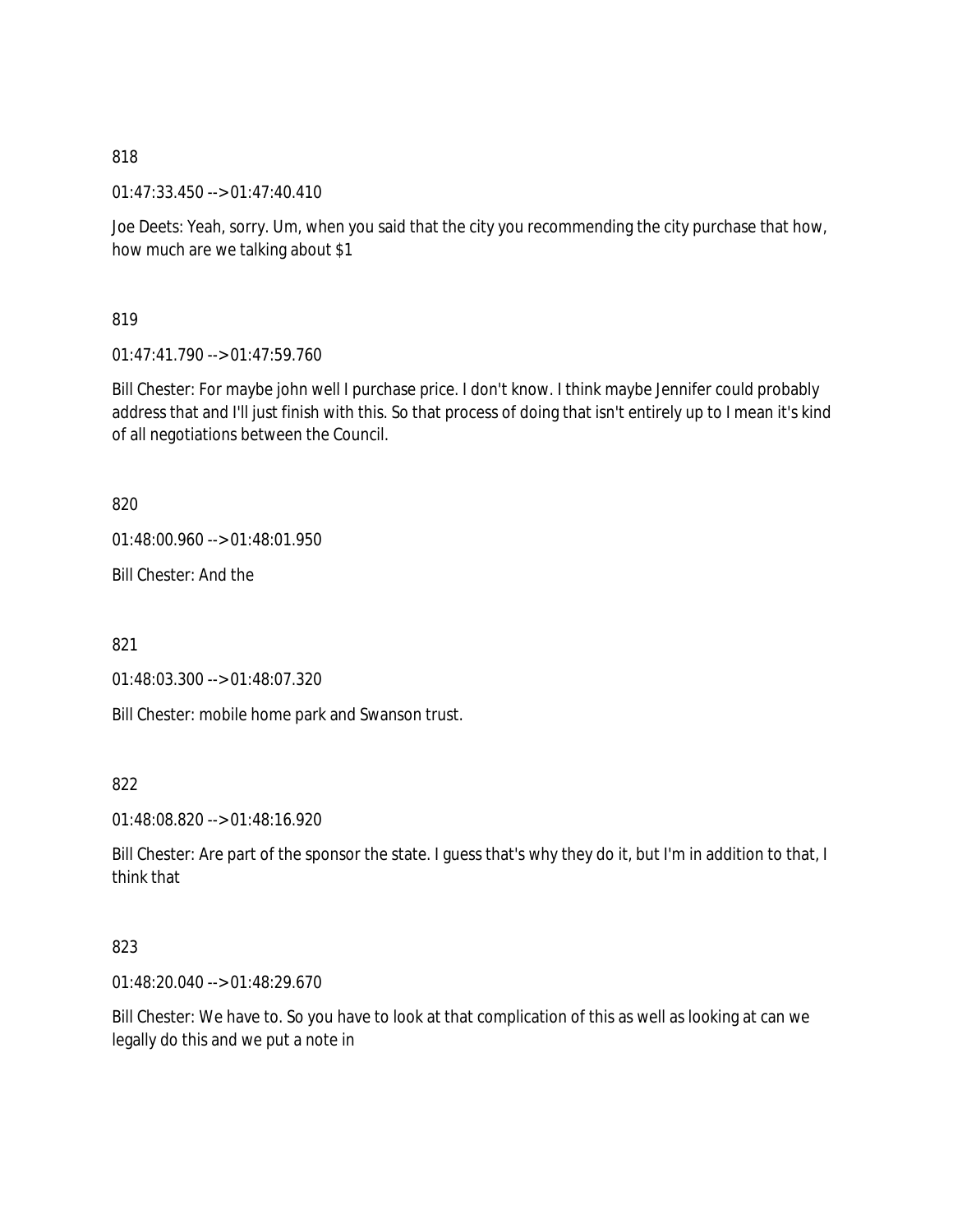01:47:33.450 --> 01:47:40.410

Joe Deets: Yeah, sorry. Um, when you said that the city you recommending the city purchase that how, how much are we talking about \$1

819

01:47:41.790 --> 01:47:59.760

Bill Chester: For maybe john well I purchase price. I don't know. I think maybe Jennifer could probably address that and I'll just finish with this. So that process of doing that isn't entirely up to I mean it's kind of all negotiations between the Council.

820

01:48:00.960 --> 01:48:01.950

Bill Chester: And the

821

01:48:03.300 --> 01:48:07.320

Bill Chester: mobile home park and Swanson trust.

822

01:48:08.820 --> 01:48:16.920

Bill Chester: Are part of the sponsor the state. I guess that's why they do it, but I'm in addition to that, I think that

823

01:48:20.040 --> 01:48:29.670

Bill Chester: We have to. So you have to look at that complication of this as well as looking at can we legally do this and we put a note in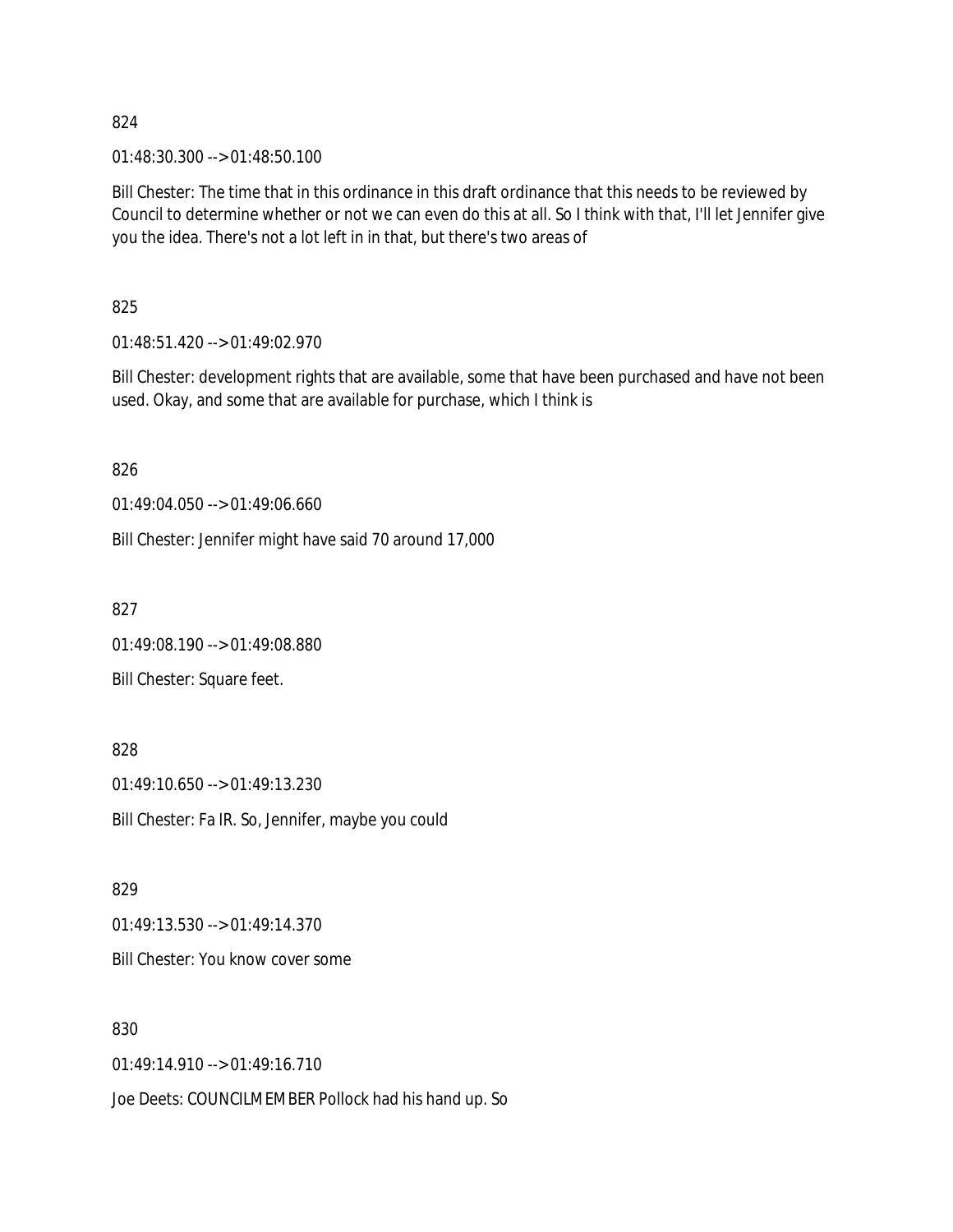01:48:30.300 --> 01:48:50.100

Bill Chester: The time that in this ordinance in this draft ordinance that this needs to be reviewed by Council to determine whether or not we can even do this at all. So I think with that, I'll let Jennifer give you the idea. There's not a lot left in in that, but there's two areas of

825

01:48:51.420 --> 01:49:02.970

Bill Chester: development rights that are available, some that have been purchased and have not been used. Okay, and some that are available for purchase, which I think is

826

01:49:04.050 --> 01:49:06.660

Bill Chester: Jennifer might have said 70 around 17,000

827

01:49:08.190 --> 01:49:08.880

Bill Chester: Square feet.

828 01:49:10.650 --> 01:49:13.230 Bill Chester: Fa IR. So, Jennifer, maybe you could

829 01:49:13.530 --> 01:49:14.370

Bill Chester: You know cover some

830

01:49:14.910 --> 01:49:16.710

Joe Deets: COUNCILMEMBER Pollock had his hand up. So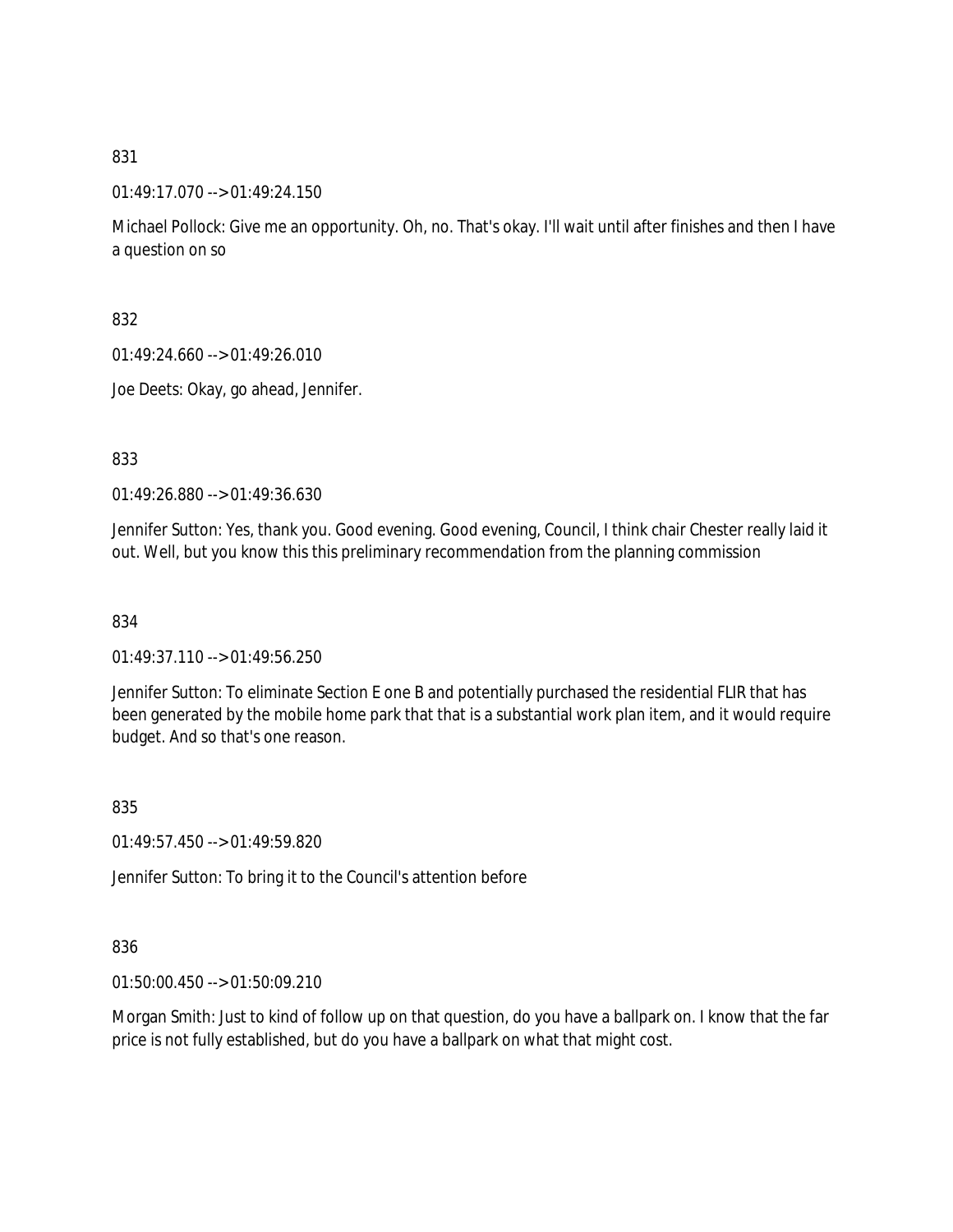01:49:17.070 --> 01:49:24.150

Michael Pollock: Give me an opportunity. Oh, no. That's okay. I'll wait until after finishes and then I have a question on so

832

01:49:24.660 --> 01:49:26.010

Joe Deets: Okay, go ahead, Jennifer.

833

01:49:26.880 --> 01:49:36.630

Jennifer Sutton: Yes, thank you. Good evening. Good evening, Council, I think chair Chester really laid it out. Well, but you know this this preliminary recommendation from the planning commission

834

01:49:37.110 --> 01:49:56.250

Jennifer Sutton: To eliminate Section E one B and potentially purchased the residential FLIR that has been generated by the mobile home park that that is a substantial work plan item, and it would require budget. And so that's one reason.

835

01:49:57.450 --> 01:49:59.820

Jennifer Sutton: To bring it to the Council's attention before

#### 836

01:50:00.450 --> 01:50:09.210

Morgan Smith: Just to kind of follow up on that question, do you have a ballpark on. I know that the far price is not fully established, but do you have a ballpark on what that might cost.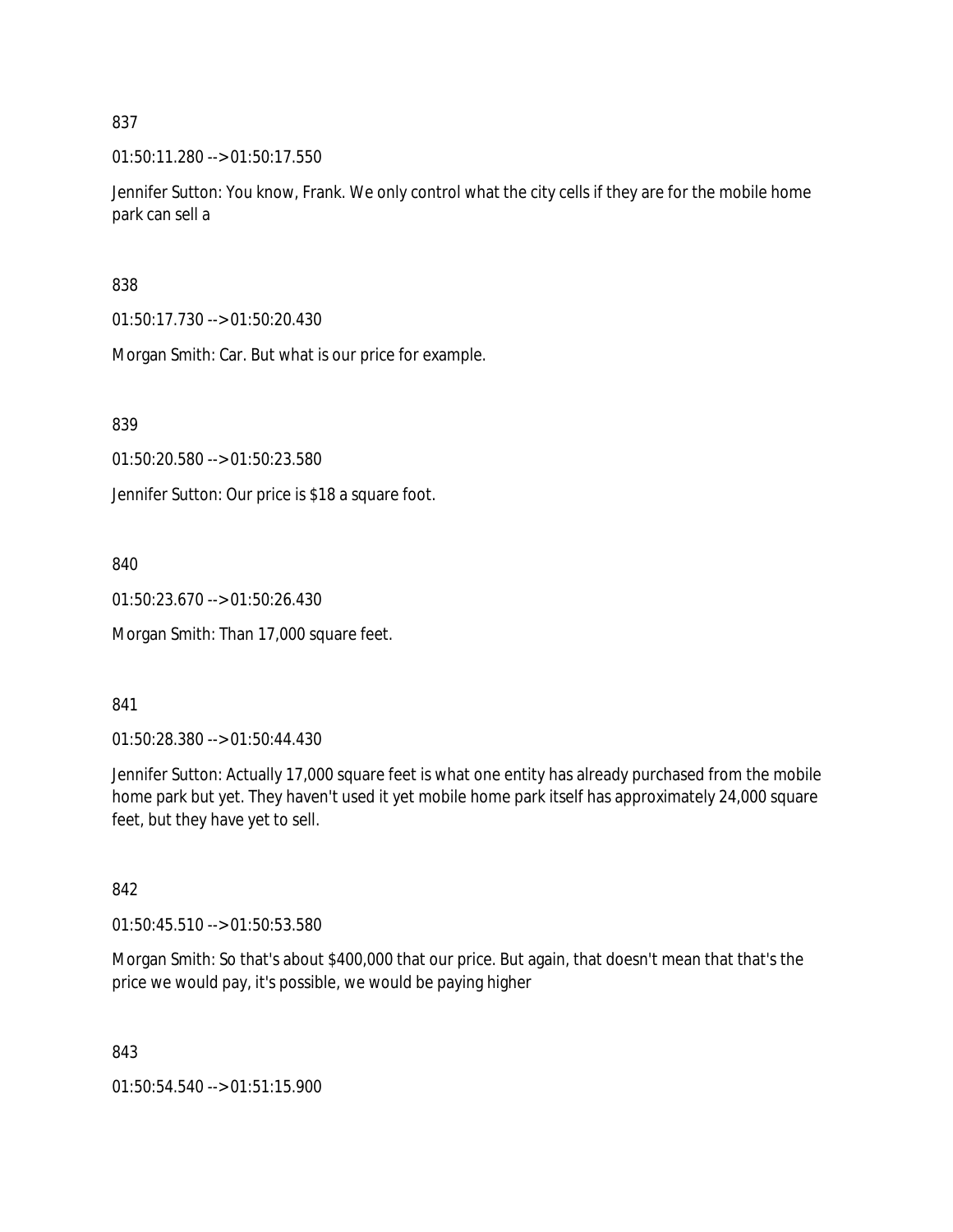01:50:11.280 --> 01:50:17.550

Jennifer Sutton: You know, Frank. We only control what the city cells if they are for the mobile home park can sell a

838

01:50:17.730 --> 01:50:20.430

Morgan Smith: Car. But what is our price for example.

839

01:50:20.580 --> 01:50:23.580

Jennifer Sutton: Our price is \$18 a square foot.

840

01:50:23.670 --> 01:50:26.430

Morgan Smith: Than 17,000 square feet.

#### 841

01:50:28.380 --> 01:50:44.430

Jennifer Sutton: Actually 17,000 square feet is what one entity has already purchased from the mobile home park but yet. They haven't used it yet mobile home park itself has approximately 24,000 square feet, but they have yet to sell.

#### 842

01:50:45.510 --> 01:50:53.580

Morgan Smith: So that's about \$400,000 that our price. But again, that doesn't mean that that's the price we would pay, it's possible, we would be paying higher

843

01:50:54.540 --> 01:51:15.900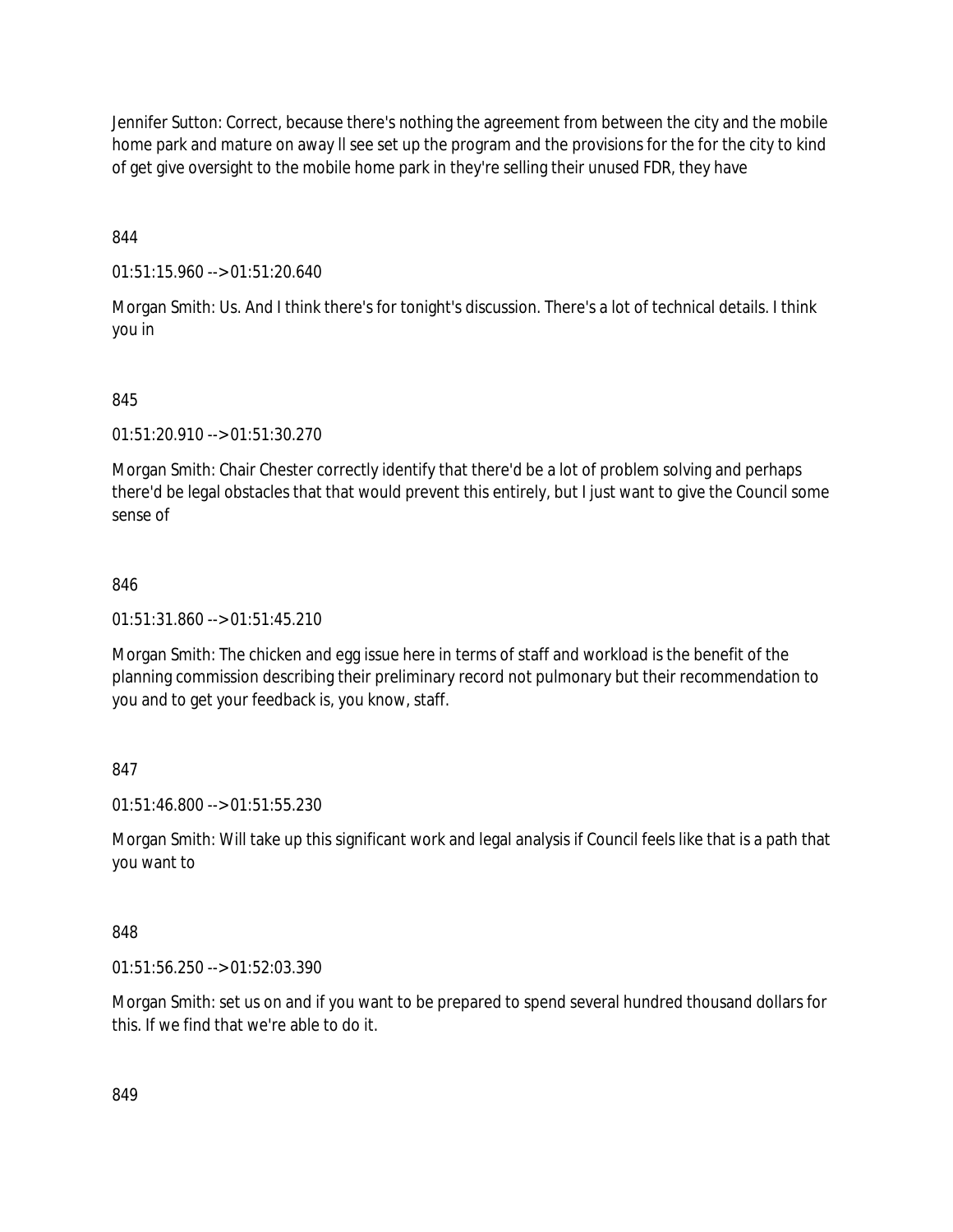Jennifer Sutton: Correct, because there's nothing the agreement from between the city and the mobile home park and mature on away ll see set up the program and the provisions for the for the city to kind of get give oversight to the mobile home park in they're selling their unused FDR, they have

844

01:51:15.960 --> 01:51:20.640

Morgan Smith: Us. And I think there's for tonight's discussion. There's a lot of technical details. I think you in

### 845

01:51:20.910 --> 01:51:30.270

Morgan Smith: Chair Chester correctly identify that there'd be a lot of problem solving and perhaps there'd be legal obstacles that that would prevent this entirely, but I just want to give the Council some sense of

#### 846

01:51:31.860 --> 01:51:45.210

Morgan Smith: The chicken and egg issue here in terms of staff and workload is the benefit of the planning commission describing their preliminary record not pulmonary but their recommendation to you and to get your feedback is, you know, staff.

#### 847

01:51:46.800 --> 01:51:55.230

Morgan Smith: Will take up this significant work and legal analysis if Council feels like that is a path that you want to

#### 848

01:51:56.250 --> 01:52:03.390

Morgan Smith: set us on and if you want to be prepared to spend several hundred thousand dollars for this. If we find that we're able to do it.

849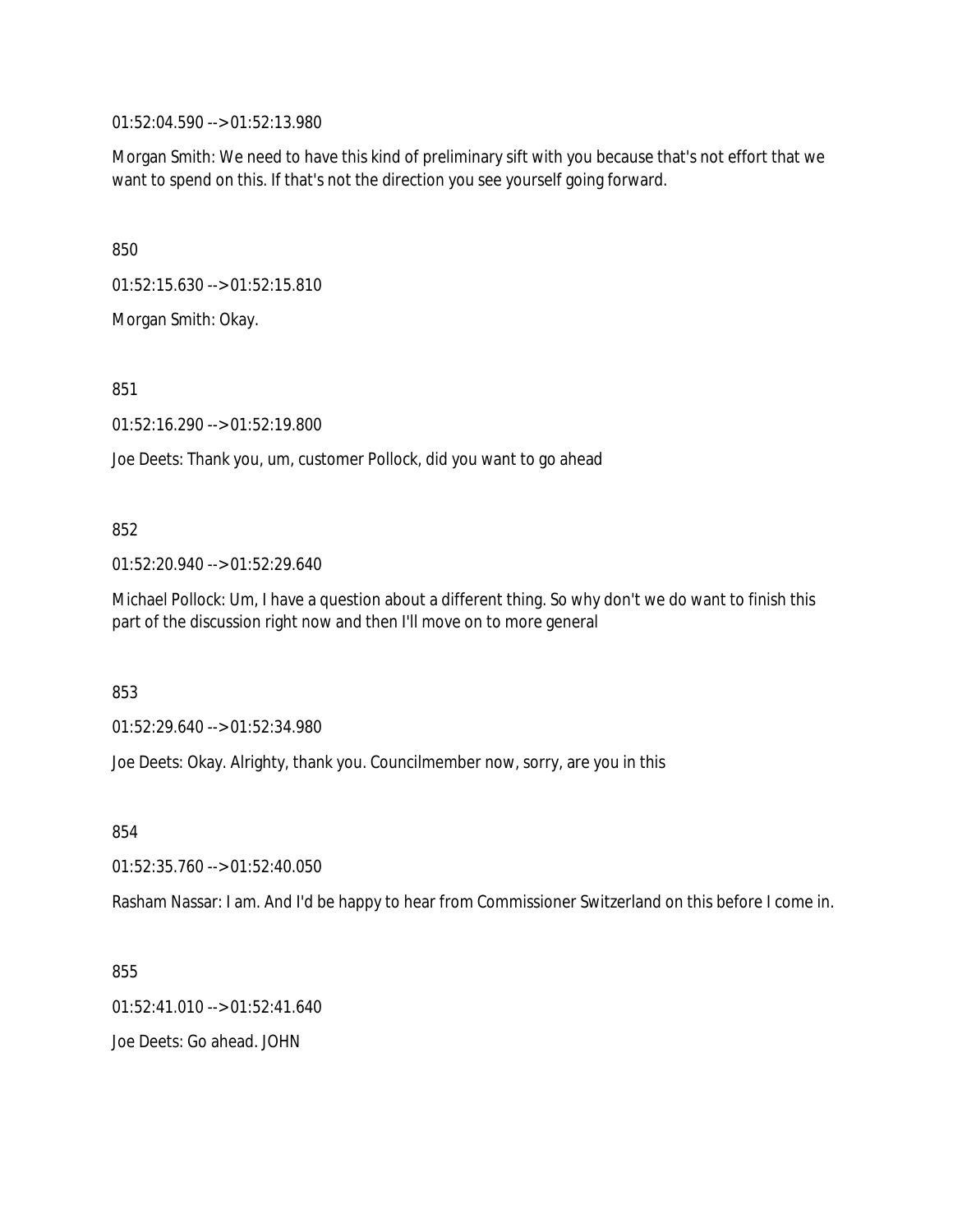01:52:04.590 --> 01:52:13.980

Morgan Smith: We need to have this kind of preliminary sift with you because that's not effort that we want to spend on this. If that's not the direction you see yourself going forward.

850

01:52:15.630 --> 01:52:15.810

Morgan Smith: Okay.

851

01:52:16.290 --> 01:52:19.800

Joe Deets: Thank you, um, customer Pollock, did you want to go ahead

#### 852

01:52:20.940 --> 01:52:29.640

Michael Pollock: Um, I have a question about a different thing. So why don't we do want to finish this part of the discussion right now and then I'll move on to more general

853

01:52:29.640 --> 01:52:34.980

Joe Deets: Okay. Alrighty, thank you. Councilmember now, sorry, are you in this

854

01:52:35.760 --> 01:52:40.050

Rasham Nassar: I am. And I'd be happy to hear from Commissioner Switzerland on this before I come in.

855

01:52:41.010 --> 01:52:41.640

Joe Deets: Go ahead. JOHN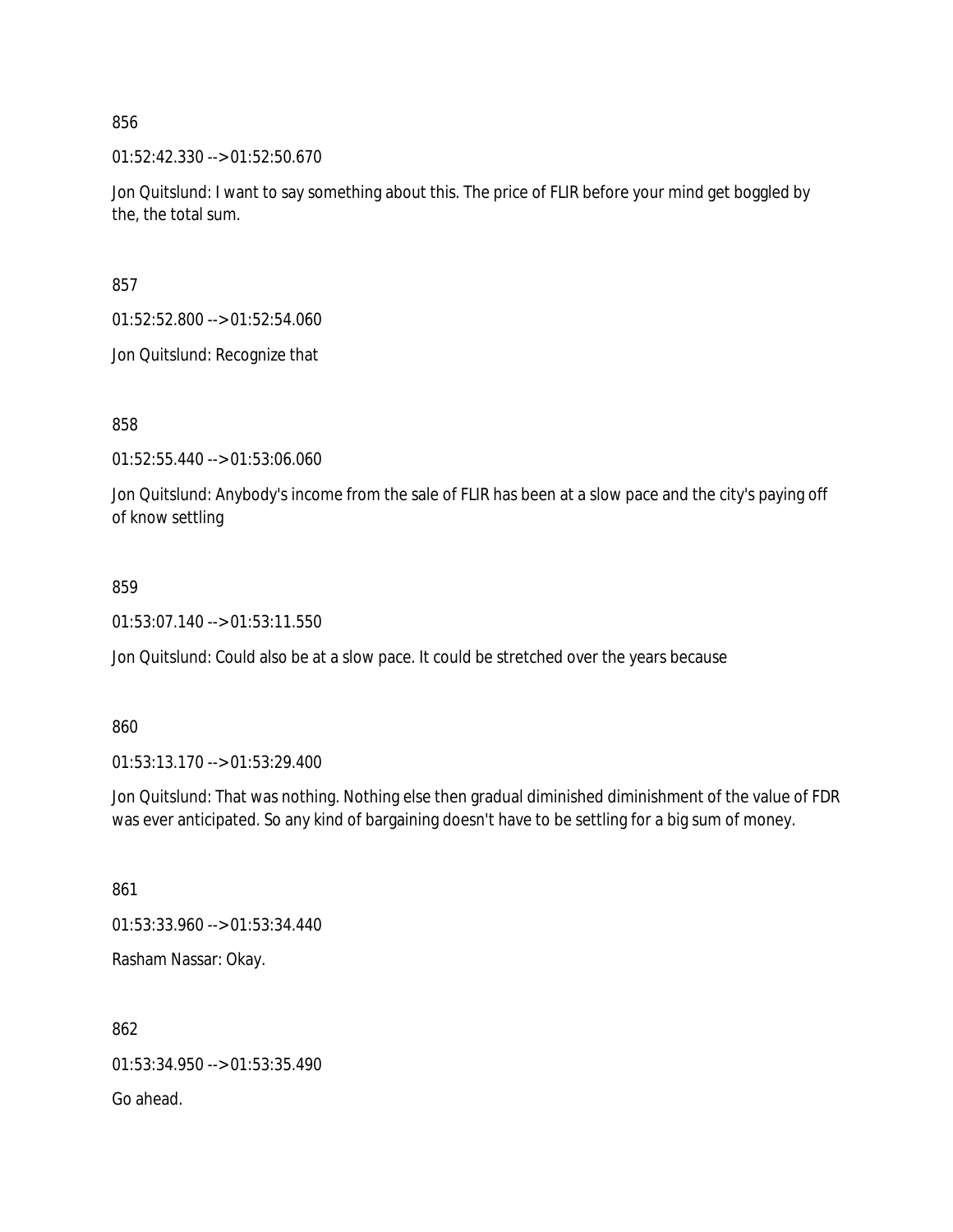01:52:42.330 --> 01:52:50.670

Jon Quitslund: I want to say something about this. The price of FLIR before your mind get boggled by the, the total sum.

857

01:52:52.800 --> 01:52:54.060

Jon Quitslund: Recognize that

858

01:52:55.440 --> 01:53:06.060

Jon Quitslund: Anybody's income from the sale of FLIR has been at a slow pace and the city's paying off of know settling

859

01:53:07.140 --> 01:53:11.550

Jon Quitslund: Could also be at a slow pace. It could be stretched over the years because

860

01:53:13.170 --> 01:53:29.400

Jon Quitslund: That was nothing. Nothing else then gradual diminished diminishment of the value of FDR was ever anticipated. So any kind of bargaining doesn't have to be settling for a big sum of money.

861

01:53:33.960 --> 01:53:34.440

Rasham Nassar: Okay.

862 01:53:34.950 --> 01:53:35.490 Go ahead.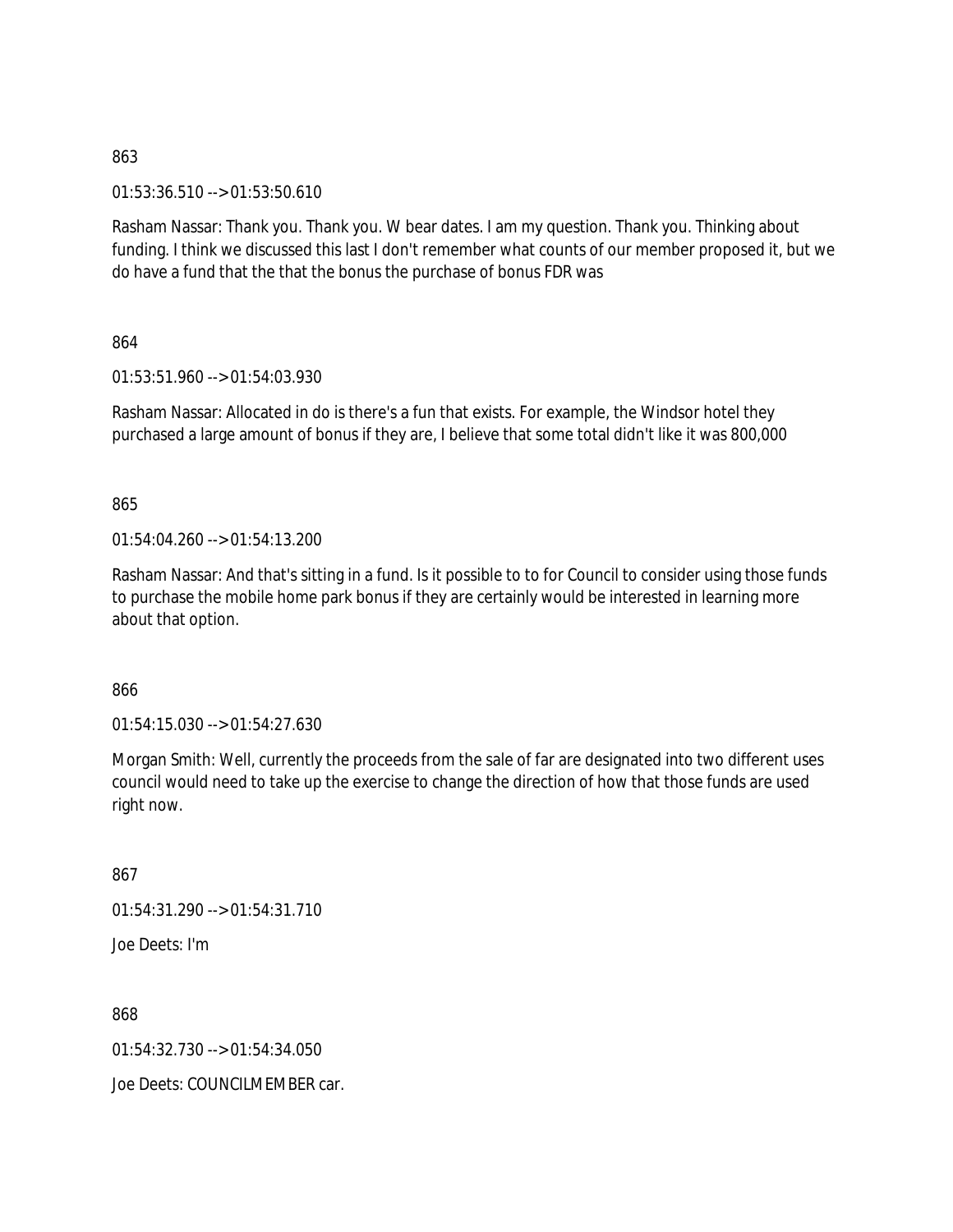01:53:36.510 --> 01:53:50.610

Rasham Nassar: Thank you. Thank you. W bear dates. I am my question. Thank you. Thinking about funding. I think we discussed this last I don't remember what counts of our member proposed it, but we do have a fund that the that the bonus the purchase of bonus FDR was

864

01:53:51.960 --> 01:54:03.930

Rasham Nassar: Allocated in do is there's a fun that exists. For example, the Windsor hotel they purchased a large amount of bonus if they are, I believe that some total didn't like it was 800,000

865

01:54:04.260 --> 01:54:13.200

Rasham Nassar: And that's sitting in a fund. Is it possible to to for Council to consider using those funds to purchase the mobile home park bonus if they are certainly would be interested in learning more about that option.

866

01:54:15.030 --> 01:54:27.630

Morgan Smith: Well, currently the proceeds from the sale of far are designated into two different uses council would need to take up the exercise to change the direction of how that those funds are used right now.

867

01:54:31.290 --> 01:54:31.710

Joe Deets: I'm

868

01:54:32.730 --> 01:54:34.050

Joe Deets: COUNCILMEMBER car.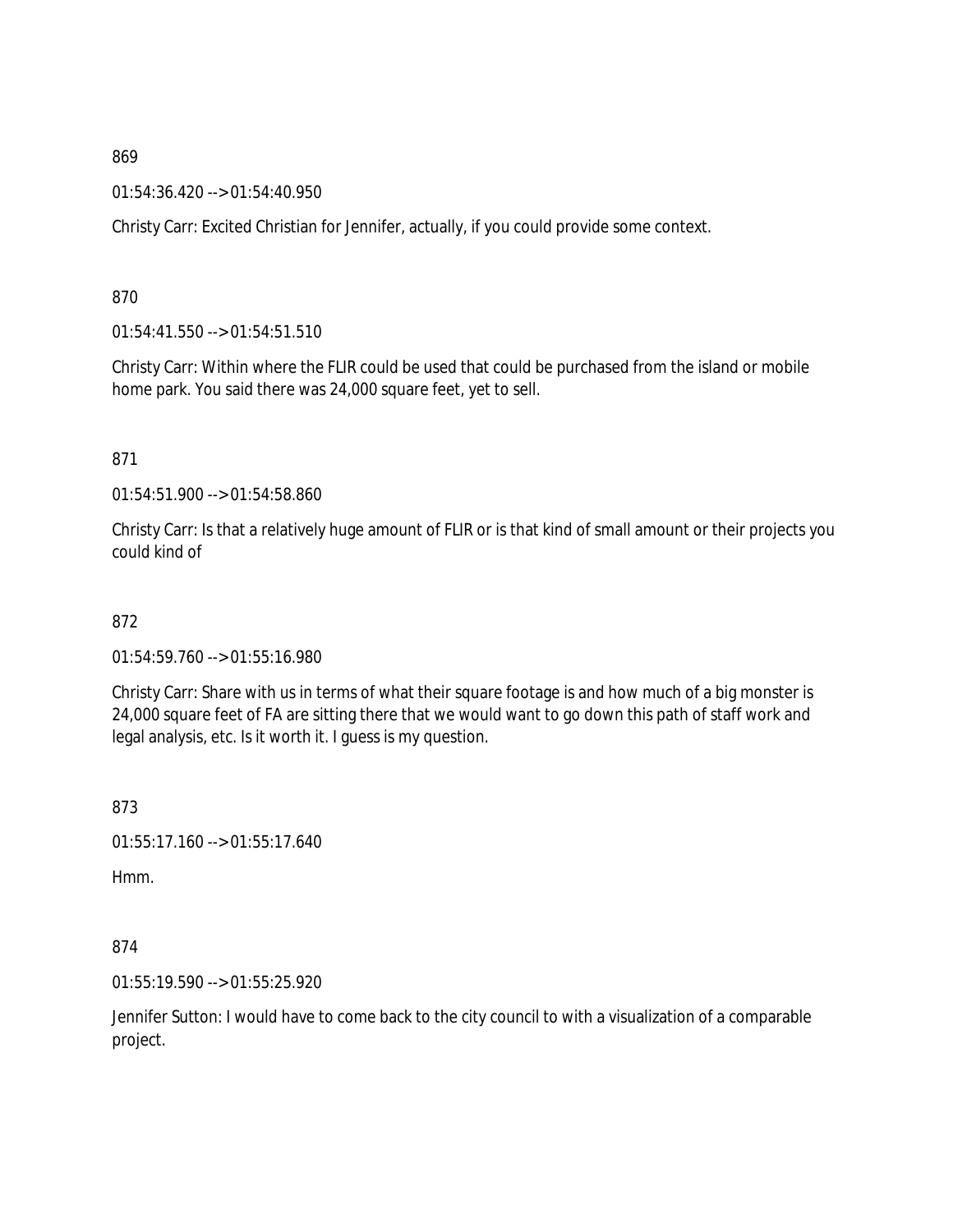01:54:36.420 --> 01:54:40.950

Christy Carr: Excited Christian for Jennifer, actually, if you could provide some context.

870

01:54:41.550 --> 01:54:51.510

Christy Carr: Within where the FLIR could be used that could be purchased from the island or mobile home park. You said there was 24,000 square feet, yet to sell.

871

01:54:51.900 --> 01:54:58.860

Christy Carr: Is that a relatively huge amount of FLIR or is that kind of small amount or their projects you could kind of

872

01:54:59.760 --> 01:55:16.980

Christy Carr: Share with us in terms of what their square footage is and how much of a big monster is 24,000 square feet of FA are sitting there that we would want to go down this path of staff work and legal analysis, etc. Is it worth it. I guess is my question.

873

01:55:17.160 --> 01:55:17.640

Hmm.

874

01:55:19.590 --> 01:55:25.920

Jennifer Sutton: I would have to come back to the city council to with a visualization of a comparable project.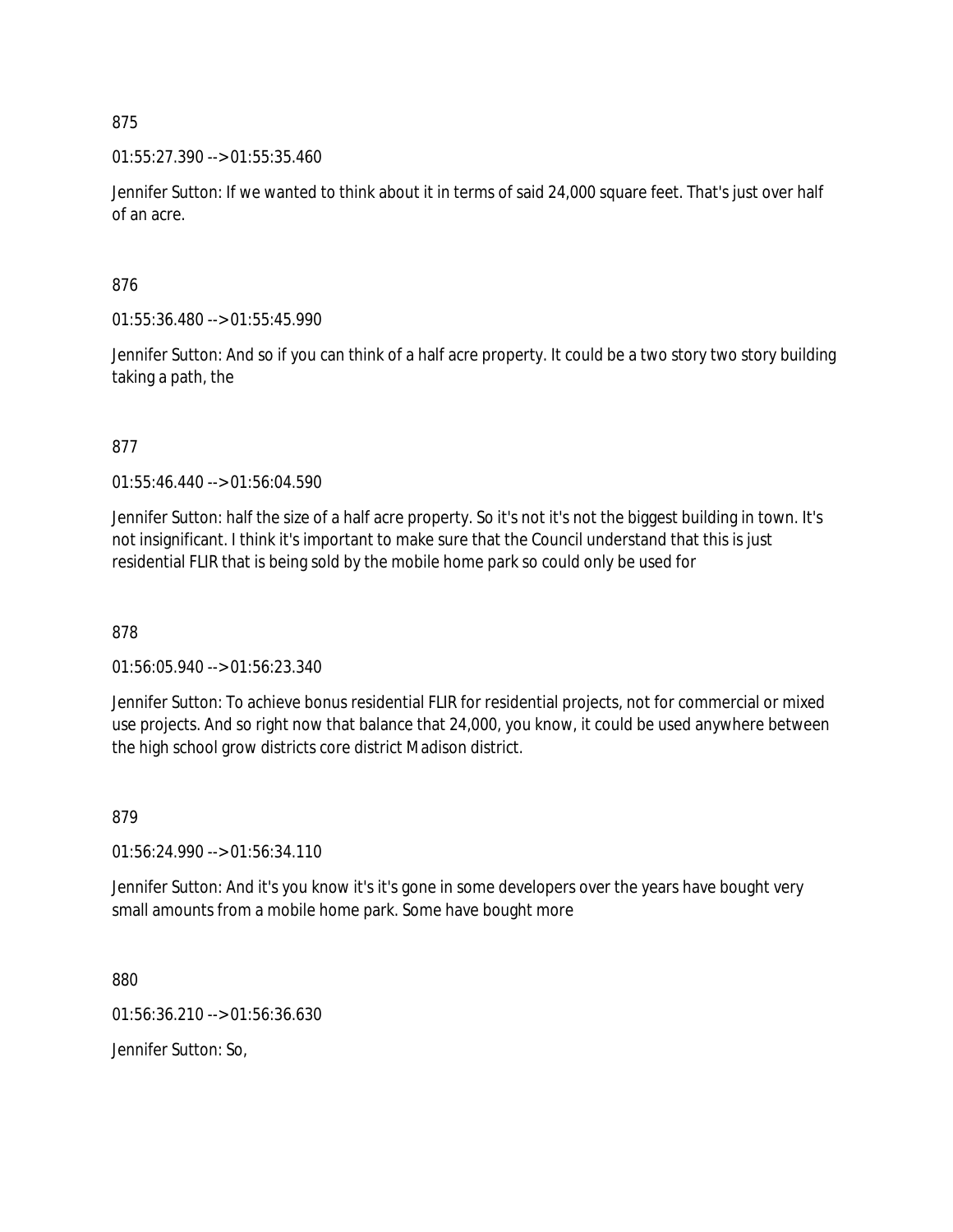01:55:27.390 --> 01:55:35.460

Jennifer Sutton: If we wanted to think about it in terms of said 24,000 square feet. That's just over half of an acre.

876

01:55:36.480 --> 01:55:45.990

Jennifer Sutton: And so if you can think of a half acre property. It could be a two story two story building taking a path, the

877

01:55:46.440 --> 01:56:04.590

Jennifer Sutton: half the size of a half acre property. So it's not it's not the biggest building in town. It's not insignificant. I think it's important to make sure that the Council understand that this is just residential FLIR that is being sold by the mobile home park so could only be used for

878

01:56:05.940 --> 01:56:23.340

Jennifer Sutton: To achieve bonus residential FLIR for residential projects, not for commercial or mixed use projects. And so right now that balance that 24,000, you know, it could be used anywhere between the high school grow districts core district Madison district.

879

01:56:24.990 --> 01:56:34.110

Jennifer Sutton: And it's you know it's it's gone in some developers over the years have bought very small amounts from a mobile home park. Some have bought more

880

01:56:36.210 --> 01:56:36.630

Jennifer Sutton: So,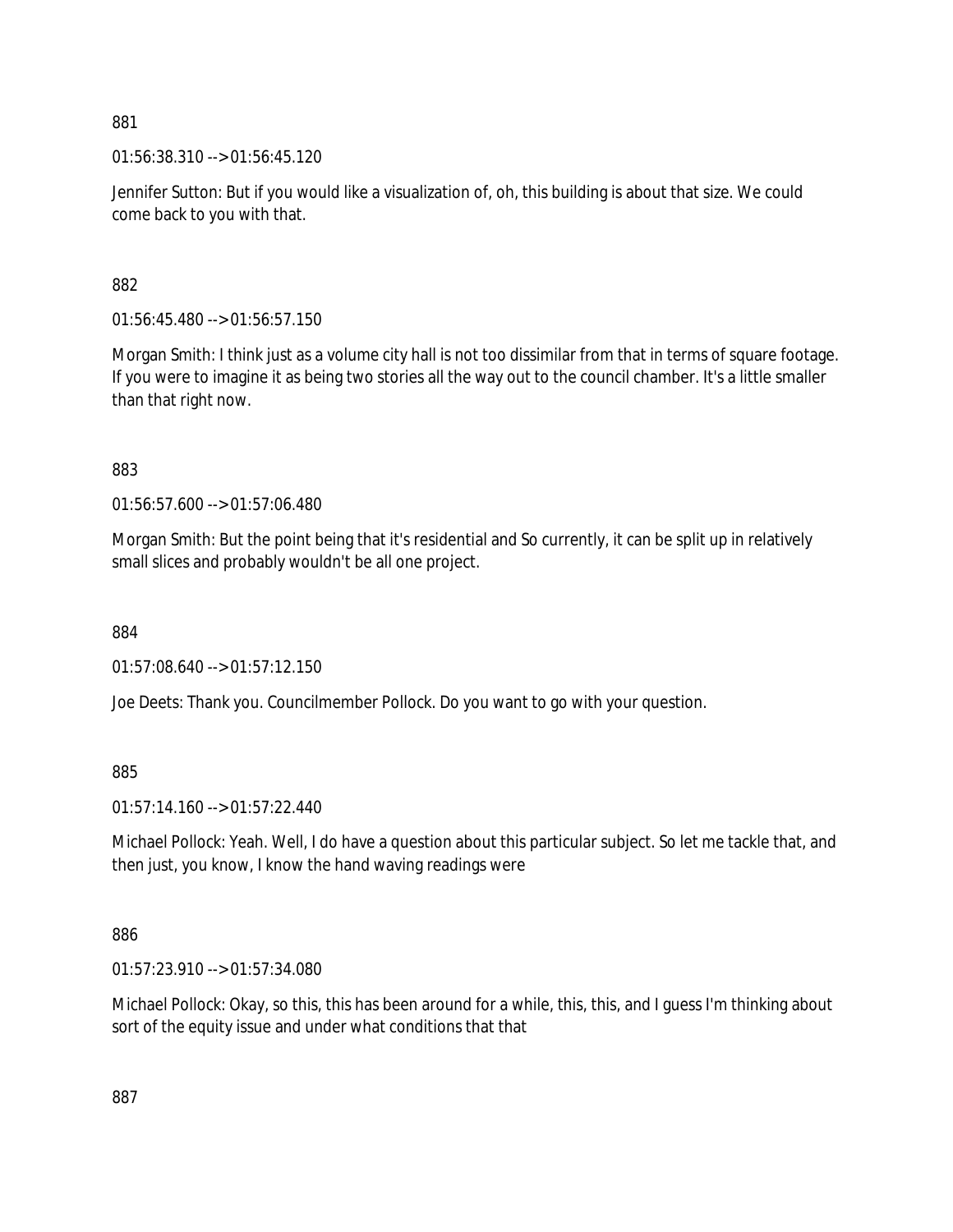01:56:38.310 --> 01:56:45.120

Jennifer Sutton: But if you would like a visualization of, oh, this building is about that size. We could come back to you with that.

882

01:56:45.480 --> 01:56:57.150

Morgan Smith: I think just as a volume city hall is not too dissimilar from that in terms of square footage. If you were to imagine it as being two stories all the way out to the council chamber. It's a little smaller than that right now.

883

01:56:57.600 --> 01:57:06.480

Morgan Smith: But the point being that it's residential and So currently, it can be split up in relatively small slices and probably wouldn't be all one project.

884

01:57:08.640 --> 01:57:12.150

Joe Deets: Thank you. Councilmember Pollock. Do you want to go with your question.

885

01:57:14.160 --> 01:57:22.440

Michael Pollock: Yeah. Well, I do have a question about this particular subject. So let me tackle that, and then just, you know, I know the hand waving readings were

886

01:57:23.910 --> 01:57:34.080

Michael Pollock: Okay, so this, this has been around for a while, this, this, and I guess I'm thinking about sort of the equity issue and under what conditions that that

887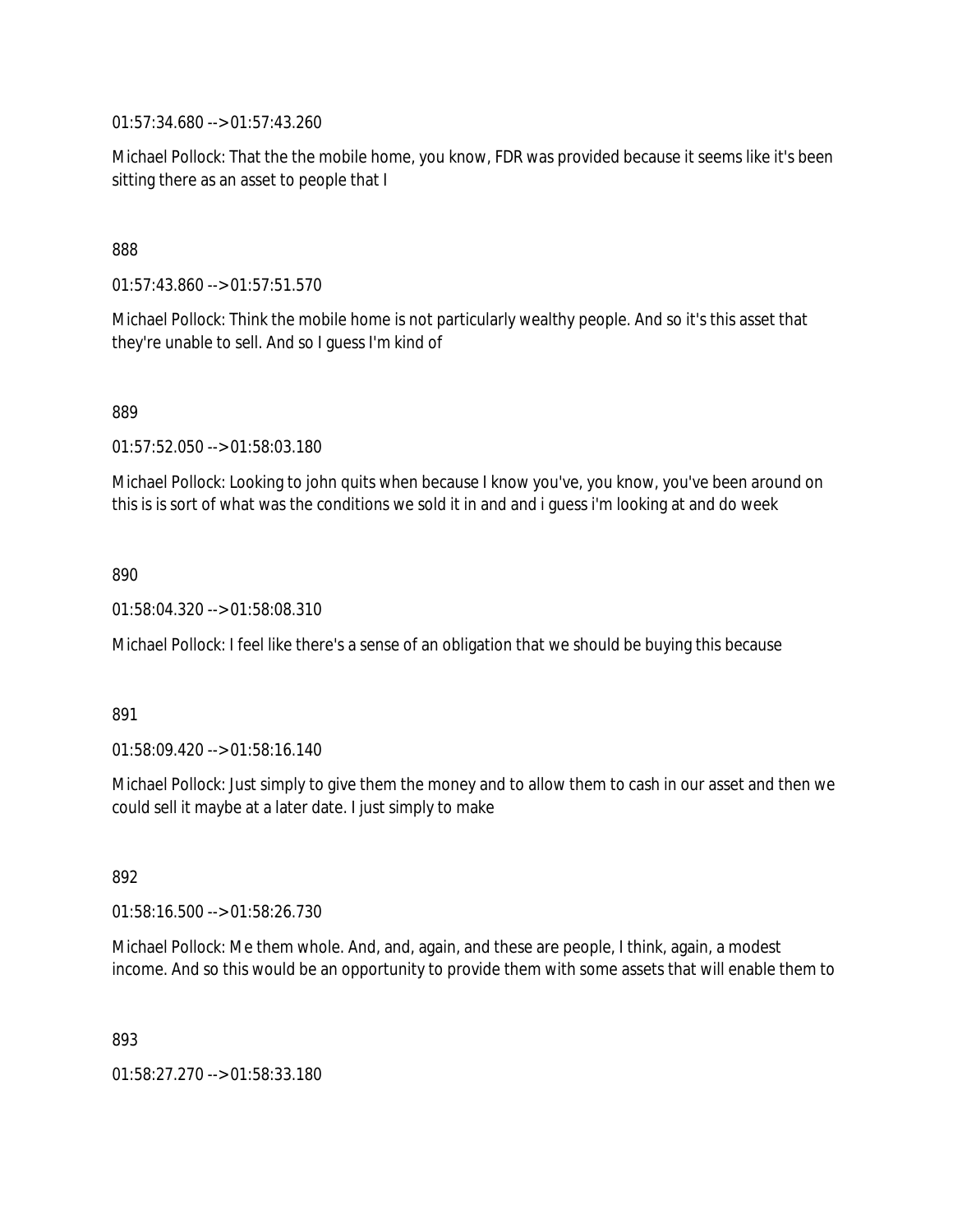01:57:34.680 --> 01:57:43.260

Michael Pollock: That the the mobile home, you know, FDR was provided because it seems like it's been sitting there as an asset to people that I

### 888

01:57:43.860 --> 01:57:51.570

Michael Pollock: Think the mobile home is not particularly wealthy people. And so it's this asset that they're unable to sell. And so I guess I'm kind of

889

01:57:52.050 --> 01:58:03.180

Michael Pollock: Looking to john quits when because I know you've, you know, you've been around on this is is sort of what was the conditions we sold it in and and i guess i'm looking at and do week

890

01:58:04.320 --> 01:58:08.310

Michael Pollock: I feel like there's a sense of an obligation that we should be buying this because

#### 891

01:58:09.420 --> 01:58:16.140

Michael Pollock: Just simply to give them the money and to allow them to cash in our asset and then we could sell it maybe at a later date. I just simply to make

892

01:58:16.500 --> 01:58:26.730

Michael Pollock: Me them whole. And, and, again, and these are people, I think, again, a modest income. And so this would be an opportunity to provide them with some assets that will enable them to

893

01:58:27.270 --> 01:58:33.180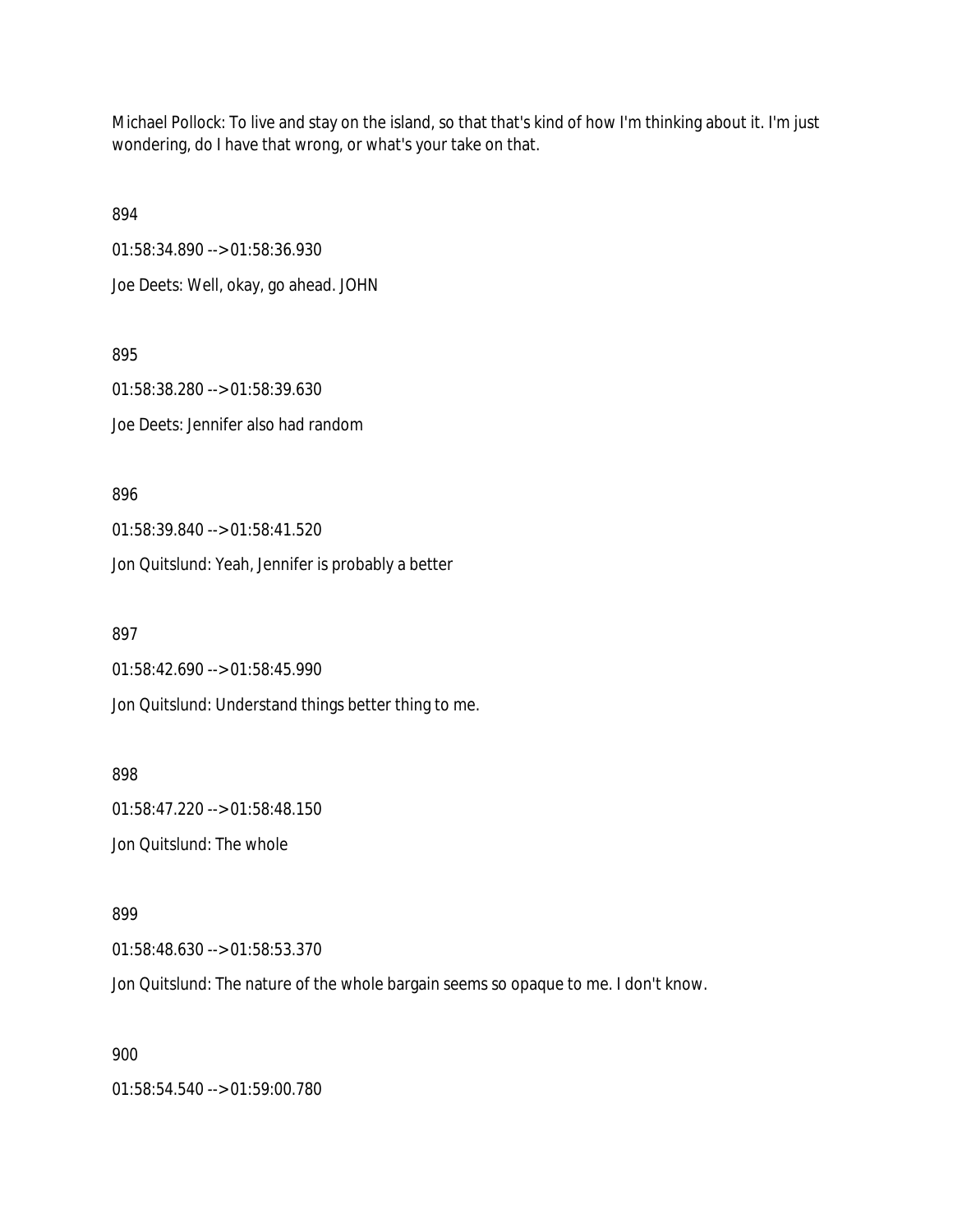Michael Pollock: To live and stay on the island, so that that's kind of how I'm thinking about it. I'm just wondering, do I have that wrong, or what's your take on that.

894

01:58:34.890 --> 01:58:36.930

Joe Deets: Well, okay, go ahead. JOHN

895

01:58:38.280 --> 01:58:39.630 Joe Deets: Jennifer also had random

896

01:58:39.840 --> 01:58:41.520

Jon Quitslund: Yeah, Jennifer is probably a better

897

01:58:42.690 --> 01:58:45.990

Jon Quitslund: Understand things better thing to me.

898

01:58:47.220 --> 01:58:48.150 Jon Quitslund: The whole

899

01:58:48.630 --> 01:58:53.370

Jon Quitslund: The nature of the whole bargain seems so opaque to me. I don't know.

900

01:58:54.540 --> 01:59:00.780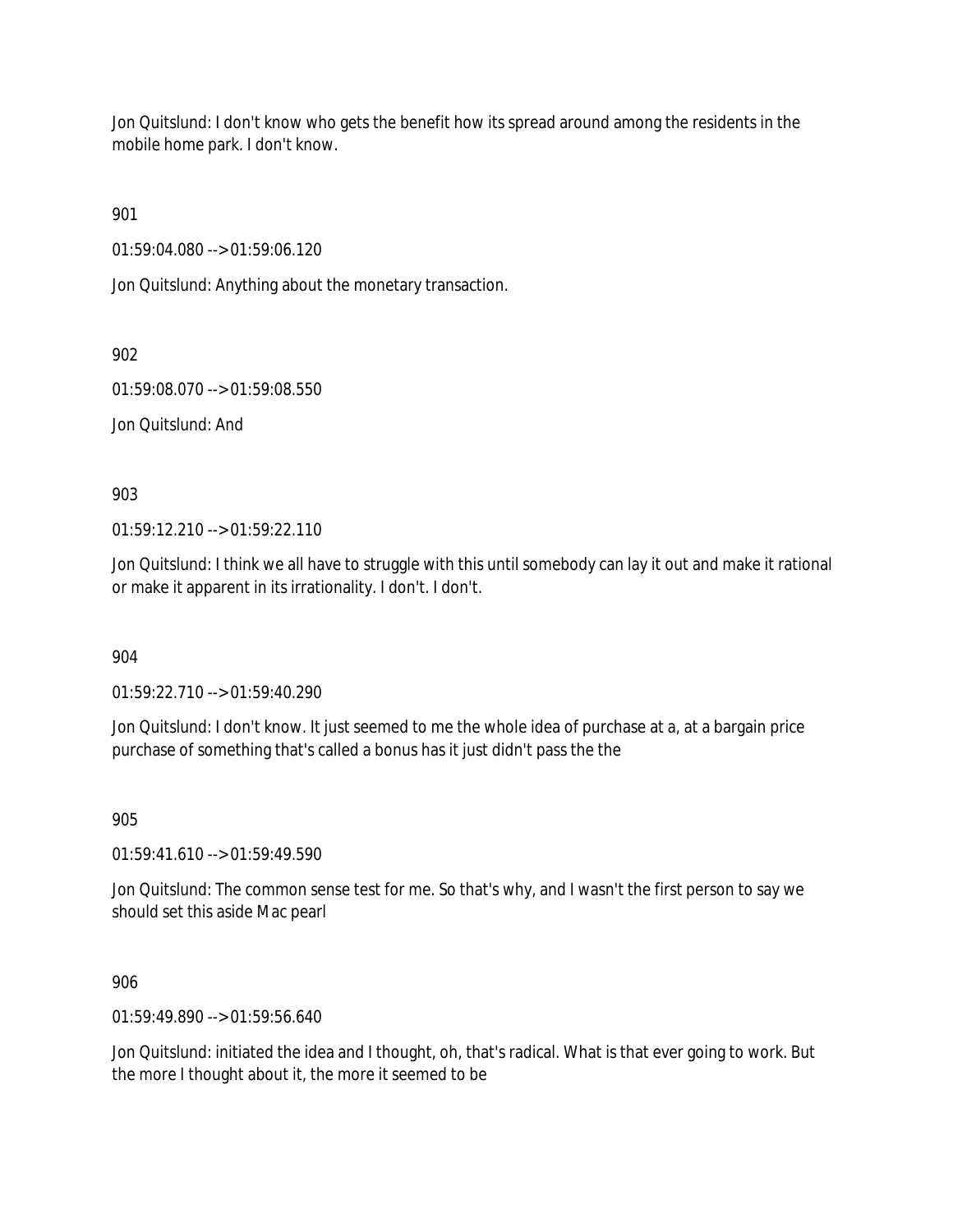Jon Quitslund: I don't know who gets the benefit how its spread around among the residents in the mobile home park. I don't know.

901

01:59:04.080 --> 01:59:06.120

Jon Quitslund: Anything about the monetary transaction.

902

01:59:08.070 --> 01:59:08.550

Jon Quitslund: And

903

01:59:12.210 --> 01:59:22.110

Jon Quitslund: I think we all have to struggle with this until somebody can lay it out and make it rational or make it apparent in its irrationality. I don't. I don't.

904

01:59:22.710 --> 01:59:40.290

Jon Quitslund: I don't know. It just seemed to me the whole idea of purchase at a, at a bargain price purchase of something that's called a bonus has it just didn't pass the the

905

01:59:41.610 --> 01:59:49.590

Jon Quitslund: The common sense test for me. So that's why, and I wasn't the first person to say we should set this aside Mac pearl

906

01:59:49.890 --> 01:59:56.640

Jon Quitslund: initiated the idea and I thought, oh, that's radical. What is that ever going to work. But the more I thought about it, the more it seemed to be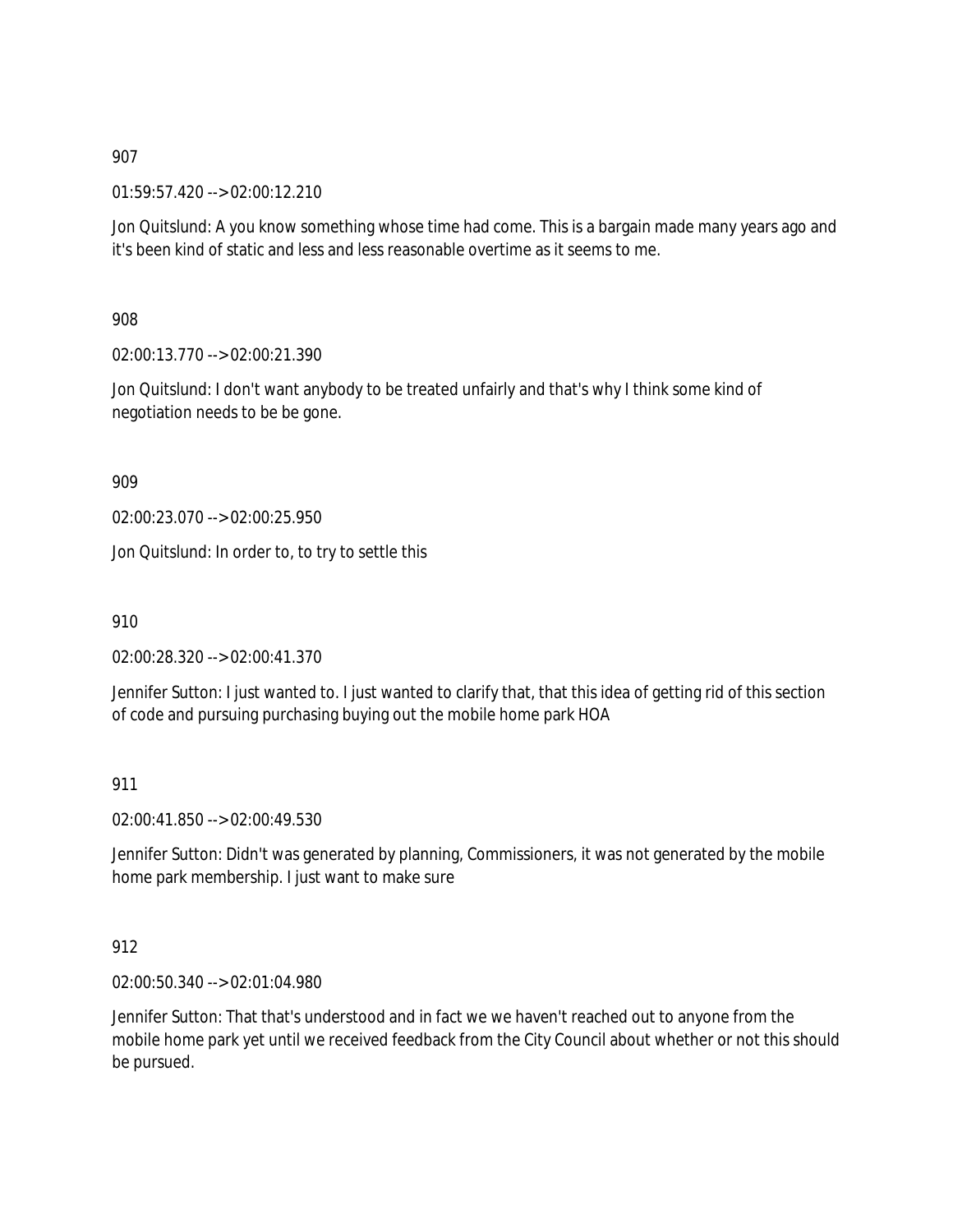01:59:57.420 --> 02:00:12.210

Jon Quitslund: A you know something whose time had come. This is a bargain made many years ago and it's been kind of static and less and less reasonable overtime as it seems to me.

908

02:00:13.770 --> 02:00:21.390

Jon Quitslund: I don't want anybody to be treated unfairly and that's why I think some kind of negotiation needs to be be gone.

909

02:00:23.070 --> 02:00:25.950

Jon Quitslund: In order to, to try to settle this

910

02:00:28.320 --> 02:00:41.370

Jennifer Sutton: I just wanted to. I just wanted to clarify that, that this idea of getting rid of this section of code and pursuing purchasing buying out the mobile home park HOA

911

02:00:41.850 --> 02:00:49.530

Jennifer Sutton: Didn't was generated by planning, Commissioners, it was not generated by the mobile home park membership. I just want to make sure

912

02:00:50.340 --> 02:01:04.980

Jennifer Sutton: That that's understood and in fact we we haven't reached out to anyone from the mobile home park yet until we received feedback from the City Council about whether or not this should be pursued.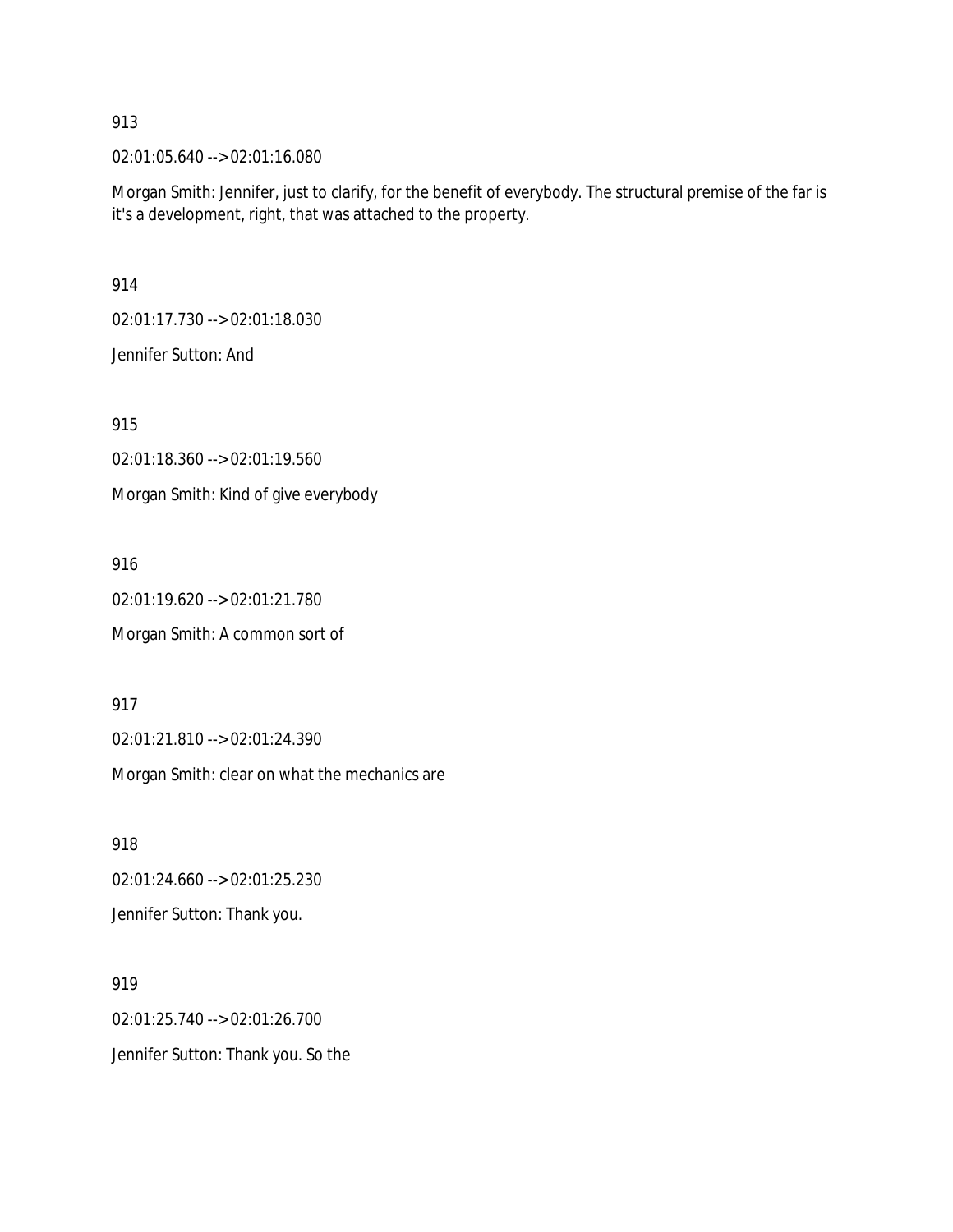02:01:05.640 --> 02:01:16.080

Morgan Smith: Jennifer, just to clarify, for the benefit of everybody. The structural premise of the far is it's a development, right, that was attached to the property.

914

02:01:17.730 --> 02:01:18.030

Jennifer Sutton: And

915

02:01:18.360 --> 02:01:19.560

Morgan Smith: Kind of give everybody

916

02:01:19.620 --> 02:01:21.780 Morgan Smith: A common sort of

917

02:01:21.810 --> 02:01:24.390

Morgan Smith: clear on what the mechanics are

918

02:01:24.660 --> 02:01:25.230

Jennifer Sutton: Thank you.

919 02:01:25.740 --> 02:01:26.700 Jennifer Sutton: Thank you. So the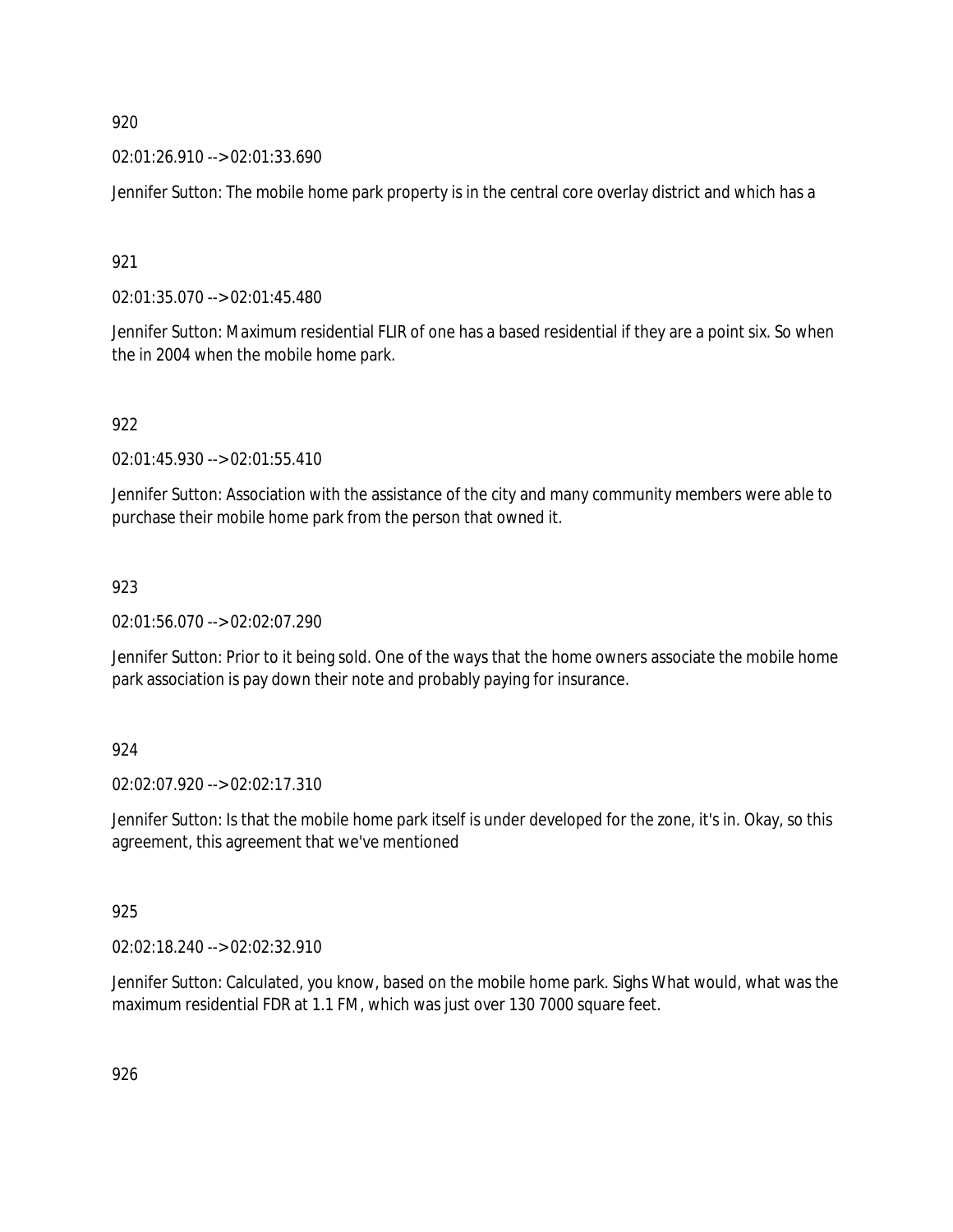02:01:26.910 --> 02:01:33.690

Jennifer Sutton: The mobile home park property is in the central core overlay district and which has a

921

02:01:35.070 --> 02:01:45.480

Jennifer Sutton: Maximum residential FLIR of one has a based residential if they are a point six. So when the in 2004 when the mobile home park.

922

02:01:45.930 --> 02:01:55.410

Jennifer Sutton: Association with the assistance of the city and many community members were able to purchase their mobile home park from the person that owned it.

## 923

02:01:56.070 --> 02:02:07.290

Jennifer Sutton: Prior to it being sold. One of the ways that the home owners associate the mobile home park association is pay down their note and probably paying for insurance.

#### 924

02:02:07.920 --> 02:02:17.310

Jennifer Sutton: Is that the mobile home park itself is under developed for the zone, it's in. Okay, so this agreement, this agreement that we've mentioned

#### 925

02:02:18.240 --> 02:02:32.910

Jennifer Sutton: Calculated, you know, based on the mobile home park. Sighs What would, what was the maximum residential FDR at 1.1 FM, which was just over 130 7000 square feet.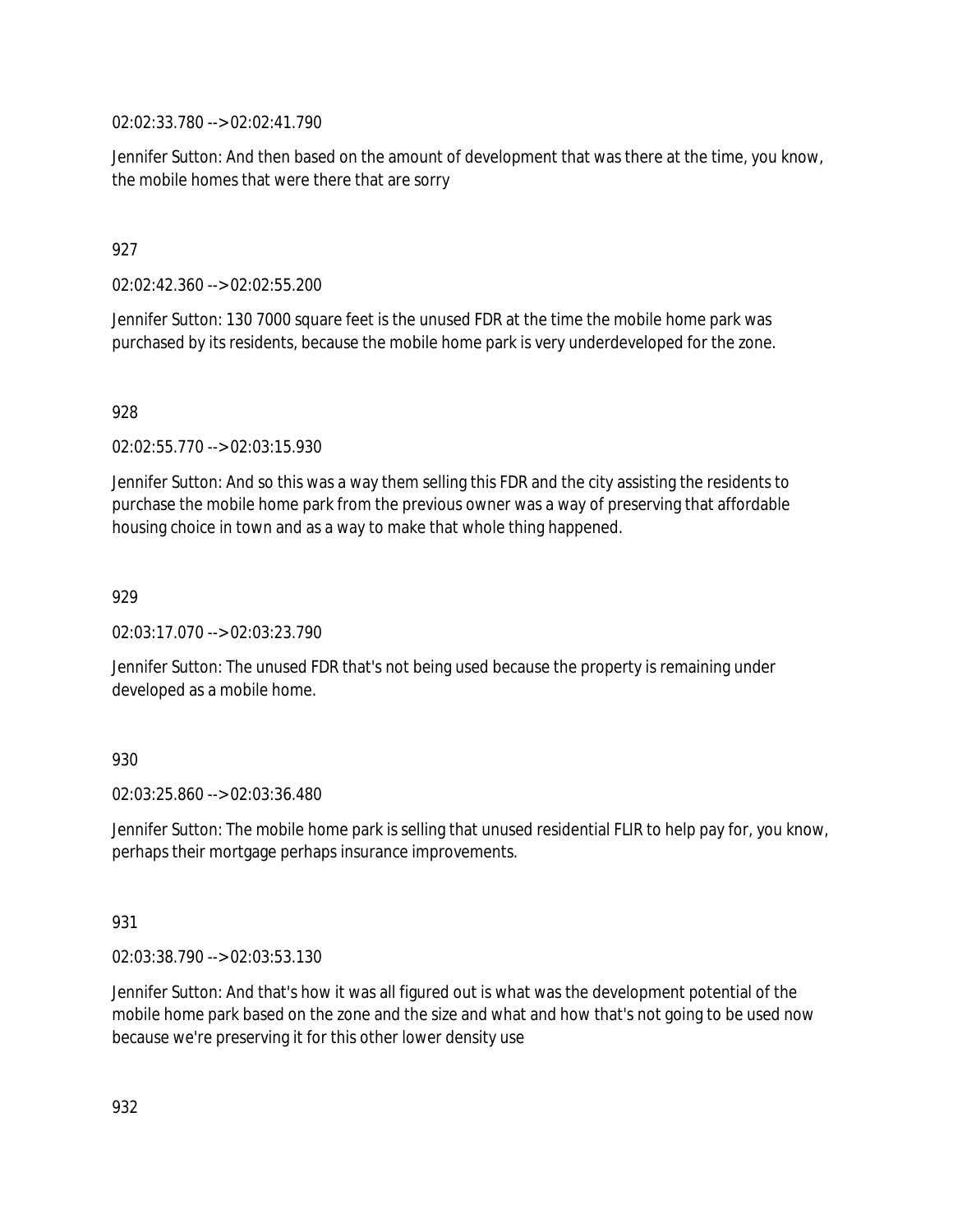02:02:33.780 --> 02:02:41.790

Jennifer Sutton: And then based on the amount of development that was there at the time, you know, the mobile homes that were there that are sorry

## 927

02:02:42.360 --> 02:02:55.200

Jennifer Sutton: 130 7000 square feet is the unused FDR at the time the mobile home park was purchased by its residents, because the mobile home park is very underdeveloped for the zone.

## 928

02:02:55.770 --> 02:03:15.930

Jennifer Sutton: And so this was a way them selling this FDR and the city assisting the residents to purchase the mobile home park from the previous owner was a way of preserving that affordable housing choice in town and as a way to make that whole thing happened.

## 929

02:03:17.070 --> 02:03:23.790

Jennifer Sutton: The unused FDR that's not being used because the property is remaining under developed as a mobile home.

## 930

02:03:25.860 --> 02:03:36.480

Jennifer Sutton: The mobile home park is selling that unused residential FLIR to help pay for, you know, perhaps their mortgage perhaps insurance improvements.

## 931

02:03:38.790 --> 02:03:53.130

Jennifer Sutton: And that's how it was all figured out is what was the development potential of the mobile home park based on the zone and the size and what and how that's not going to be used now because we're preserving it for this other lower density use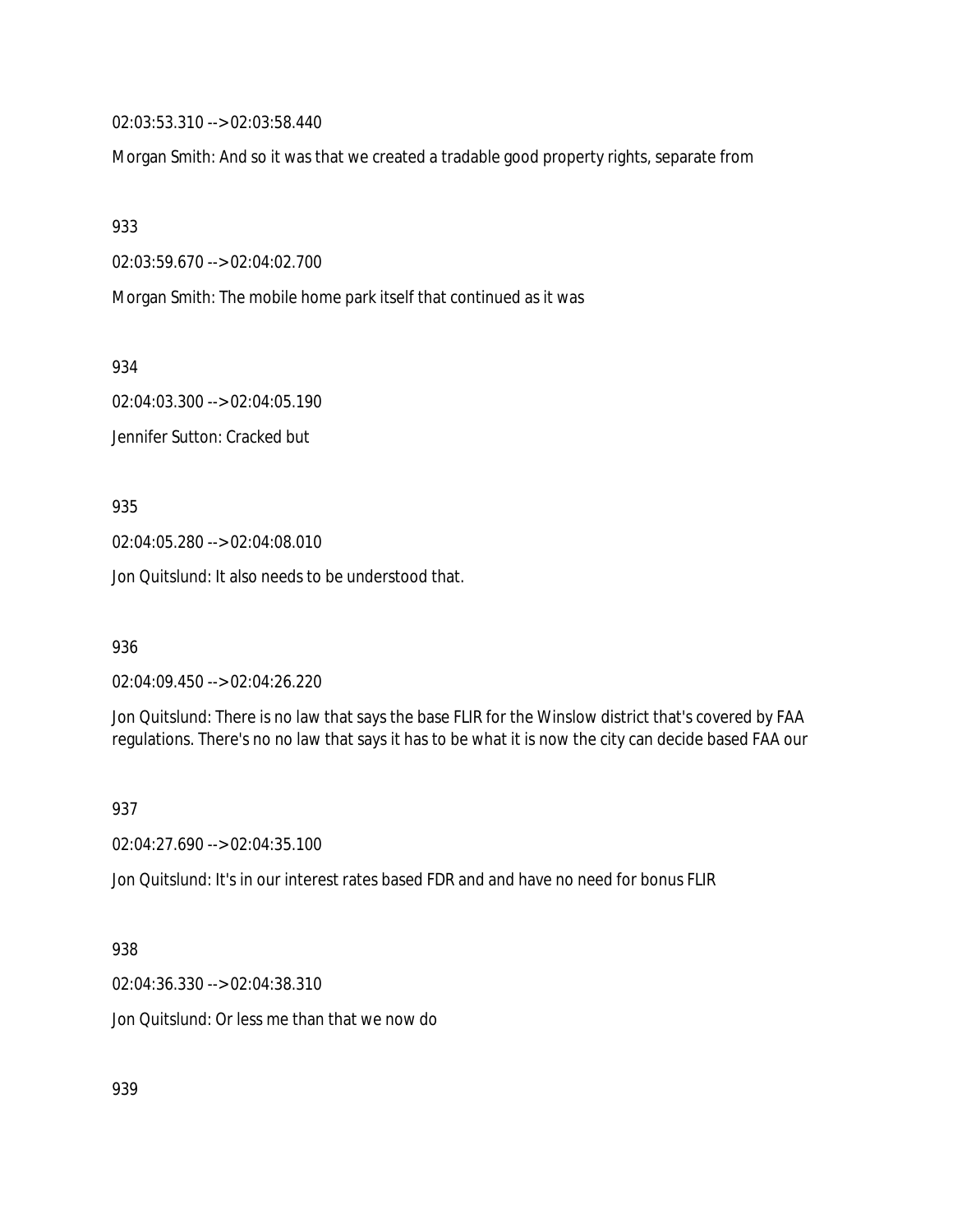02:03:53.310 --> 02:03:58.440

Morgan Smith: And so it was that we created a tradable good property rights, separate from

933

02:03:59.670 --> 02:04:02.700

Morgan Smith: The mobile home park itself that continued as it was

934

02:04:03.300 --> 02:04:05.190 Jennifer Sutton: Cracked but

935

02:04:05.280 --> 02:04:08.010

Jon Quitslund: It also needs to be understood that.

936

02:04:09.450 --> 02:04:26.220

Jon Quitslund: There is no law that says the base FLIR for the Winslow district that's covered by FAA regulations. There's no no law that says it has to be what it is now the city can decide based FAA our

937

02:04:27.690 --> 02:04:35.100

Jon Quitslund: It's in our interest rates based FDR and and have no need for bonus FLIR

938

02:04:36.330 --> 02:04:38.310

Jon Quitslund: Or less me than that we now do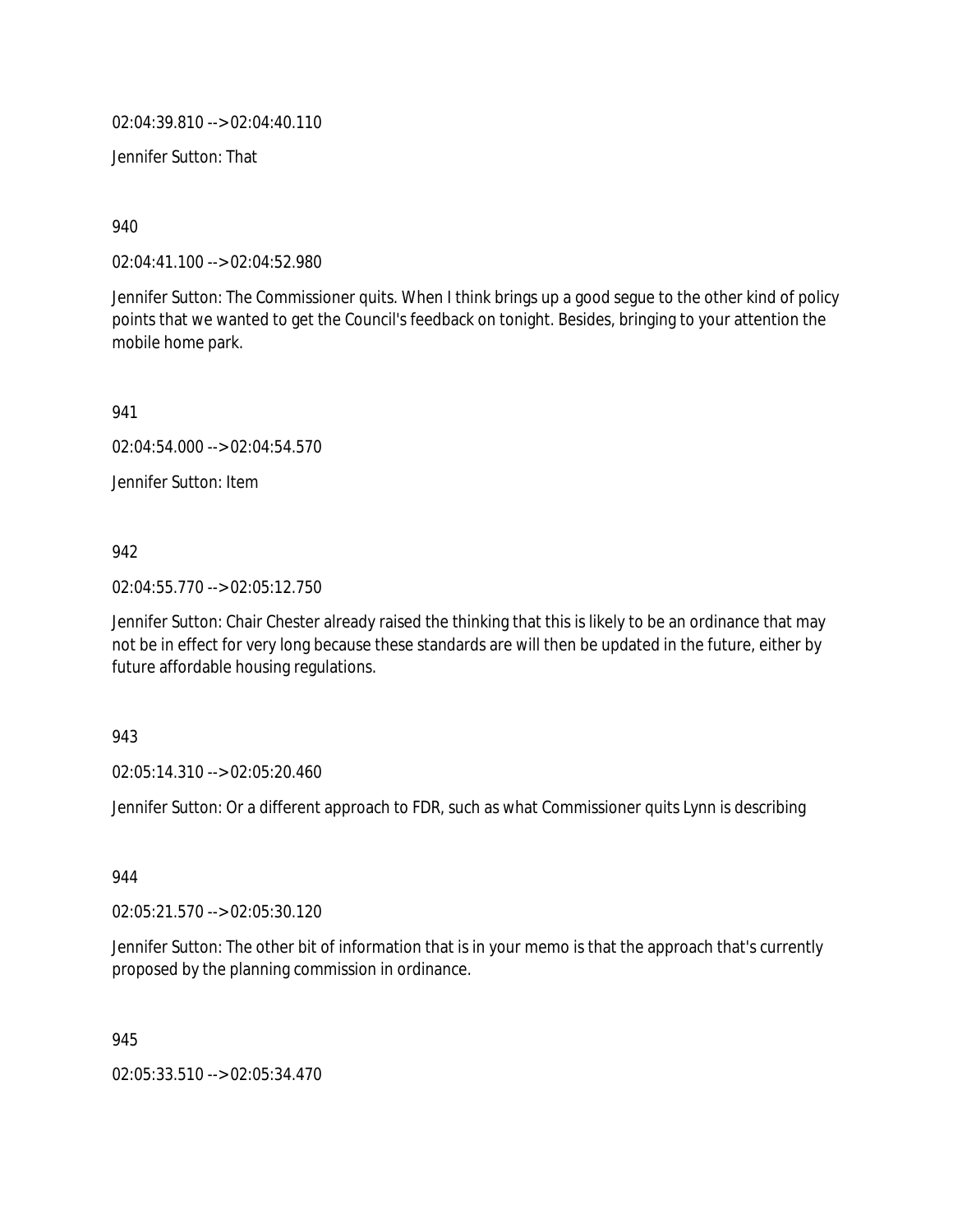02:04:39.810 --> 02:04:40.110

Jennifer Sutton: That

940

02:04:41.100 --> 02:04:52.980

Jennifer Sutton: The Commissioner quits. When I think brings up a good segue to the other kind of policy points that we wanted to get the Council's feedback on tonight. Besides, bringing to your attention the mobile home park.

941

02:04:54.000 --> 02:04:54.570

Jennifer Sutton: Item

942

02:04:55.770 --> 02:05:12.750

Jennifer Sutton: Chair Chester already raised the thinking that this is likely to be an ordinance that may not be in effect for very long because these standards are will then be updated in the future, either by future affordable housing regulations.

943

02:05:14.310 --> 02:05:20.460

Jennifer Sutton: Or a different approach to FDR, such as what Commissioner quits Lynn is describing

944

02:05:21.570 --> 02:05:30.120

Jennifer Sutton: The other bit of information that is in your memo is that the approach that's currently proposed by the planning commission in ordinance.

945

02:05:33.510 --> 02:05:34.470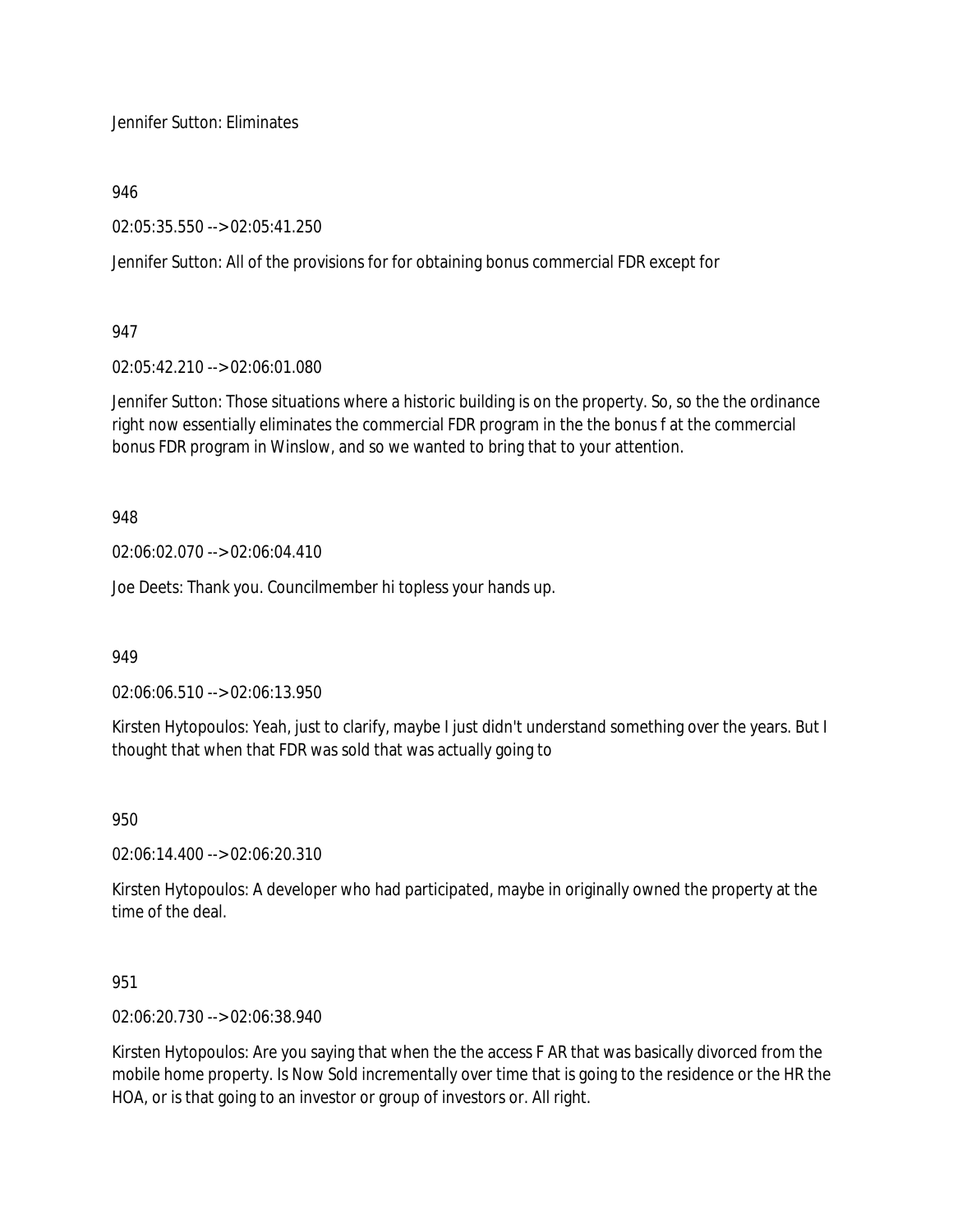Jennifer Sutton: Eliminates

946

02:05:35.550 --> 02:05:41.250

Jennifer Sutton: All of the provisions for for obtaining bonus commercial FDR except for

947

02:05:42.210 --> 02:06:01.080

Jennifer Sutton: Those situations where a historic building is on the property. So, so the the ordinance right now essentially eliminates the commercial FDR program in the the bonus f at the commercial bonus FDR program in Winslow, and so we wanted to bring that to your attention.

948

02:06:02.070 --> 02:06:04.410

Joe Deets: Thank you. Councilmember hi topless your hands up.

949

02:06:06.510 --> 02:06:13.950

Kirsten Hytopoulos: Yeah, just to clarify, maybe I just didn't understand something over the years. But I thought that when that FDR was sold that was actually going to

950

02:06:14.400 --> 02:06:20.310

Kirsten Hytopoulos: A developer who had participated, maybe in originally owned the property at the time of the deal.

951

02:06:20.730 --> 02:06:38.940

Kirsten Hytopoulos: Are you saying that when the the access F AR that was basically divorced from the mobile home property. Is Now Sold incrementally over time that is going to the residence or the HR the HOA, or is that going to an investor or group of investors or. All right.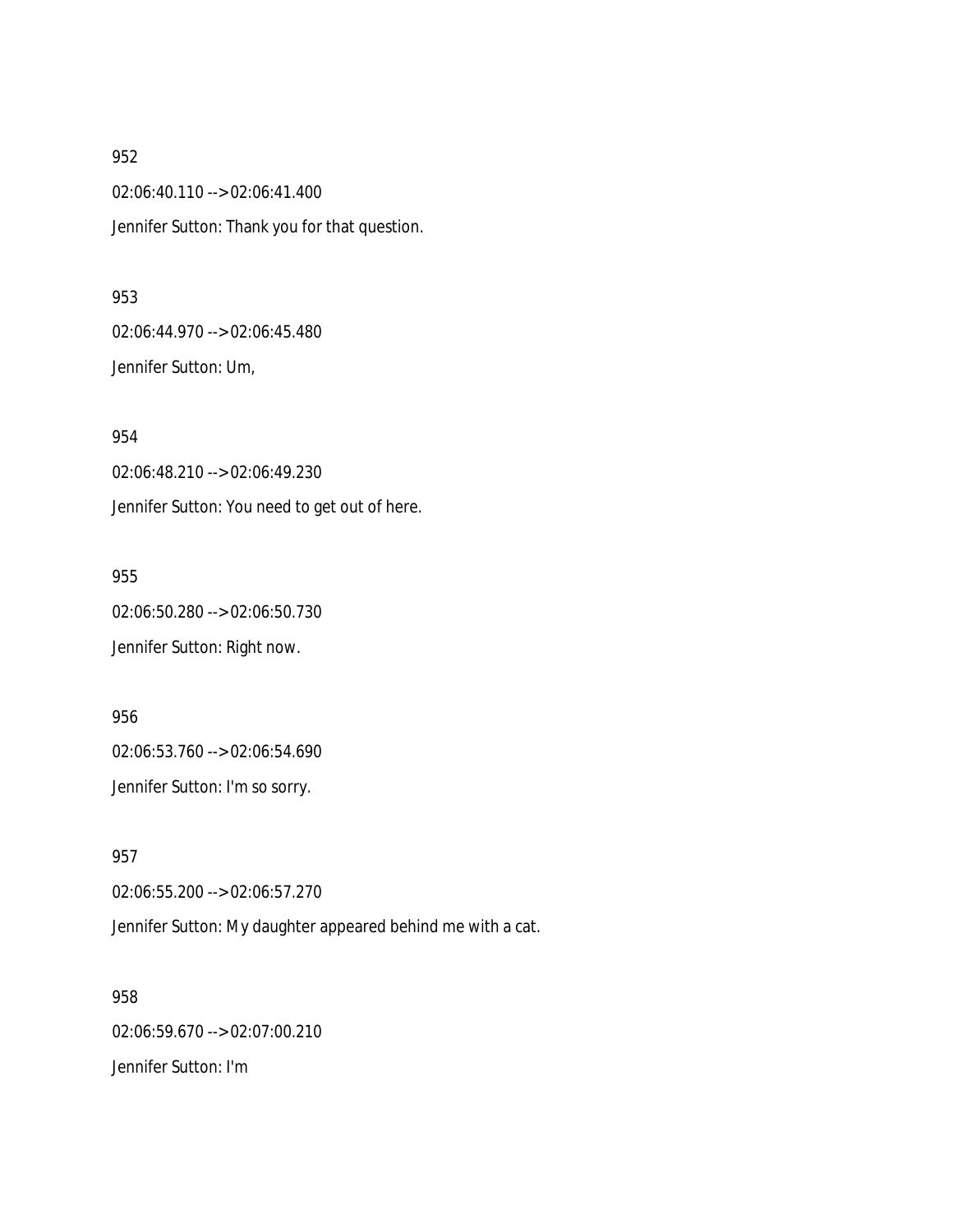02:06:40.110 --> 02:06:41.400 Jennifer Sutton: Thank you for that question.

#### 953

02:06:44.970 --> 02:06:45.480 Jennifer Sutton: Um,

954 02:06:48.210 --> 02:06:49.230 Jennifer Sutton: You need to get out of here.

955 02:06:50.280 --> 02:06:50.730 Jennifer Sutton: Right now.

956 02:06:53.760 --> 02:06:54.690 Jennifer Sutton: I'm so sorry.

957 02:06:55.200 --> 02:06:57.270 Jennifer Sutton: My daughter appeared behind me with a cat.

958 02:06:59.670 --> 02:07:00.210 Jennifer Sutton: I'm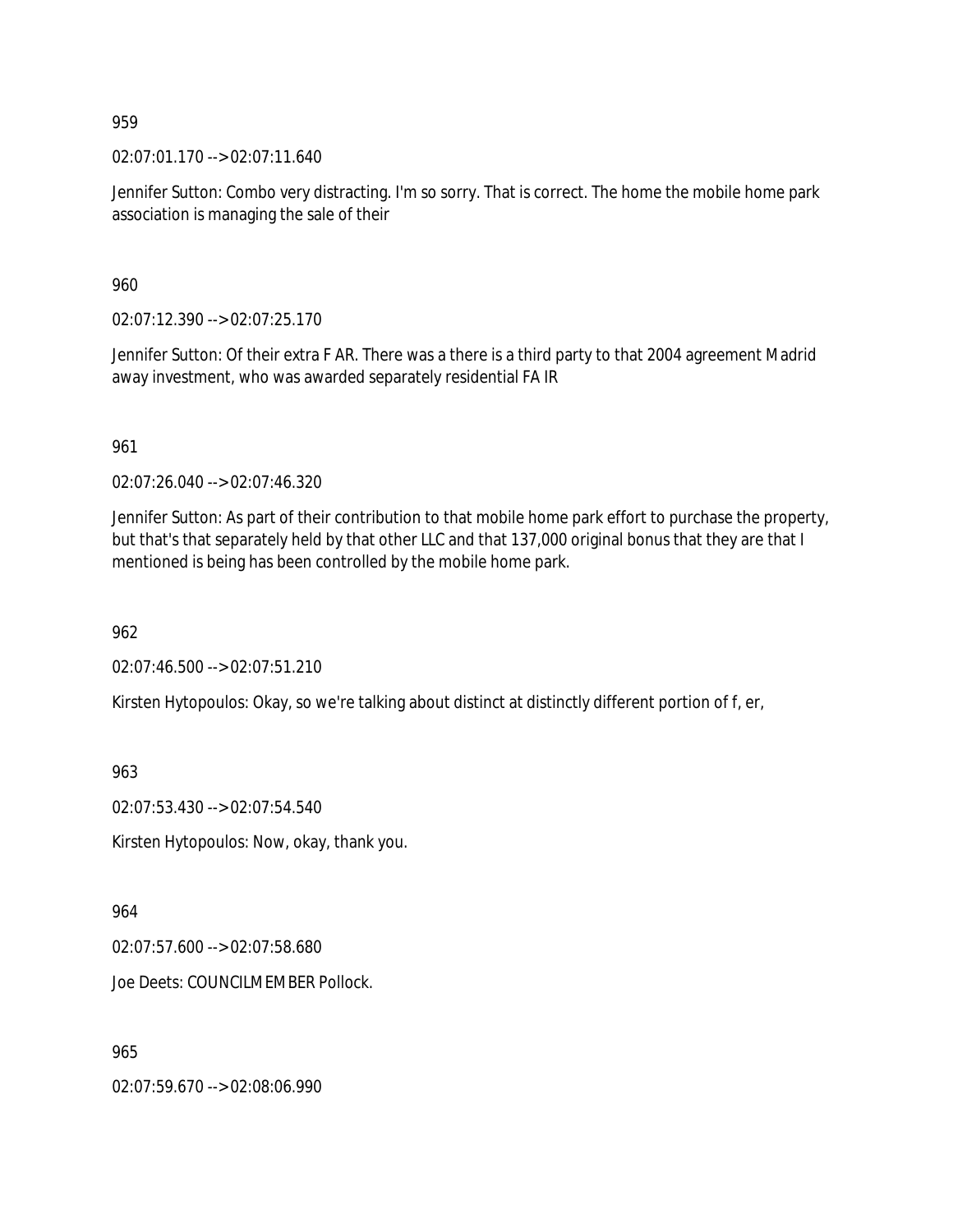02:07:01.170 --> 02:07:11.640

Jennifer Sutton: Combo very distracting. I'm so sorry. That is correct. The home the mobile home park association is managing the sale of their

960

02:07:12.390 --> 02:07:25.170

Jennifer Sutton: Of their extra F AR. There was a there is a third party to that 2004 agreement Madrid away investment, who was awarded separately residential FA IR

961

02:07:26.040 --> 02:07:46.320

Jennifer Sutton: As part of their contribution to that mobile home park effort to purchase the property, but that's that separately held by that other LLC and that 137,000 original bonus that they are that I mentioned is being has been controlled by the mobile home park.

962

02:07:46.500 --> 02:07:51.210

Kirsten Hytopoulos: Okay, so we're talking about distinct at distinctly different portion of f, er,

963

02:07:53.430 --> 02:07:54.540

Kirsten Hytopoulos: Now, okay, thank you.

964

02:07:57.600 --> 02:07:58.680

Joe Deets: COUNCILMEMBER Pollock.

965

02:07:59.670 --> 02:08:06.990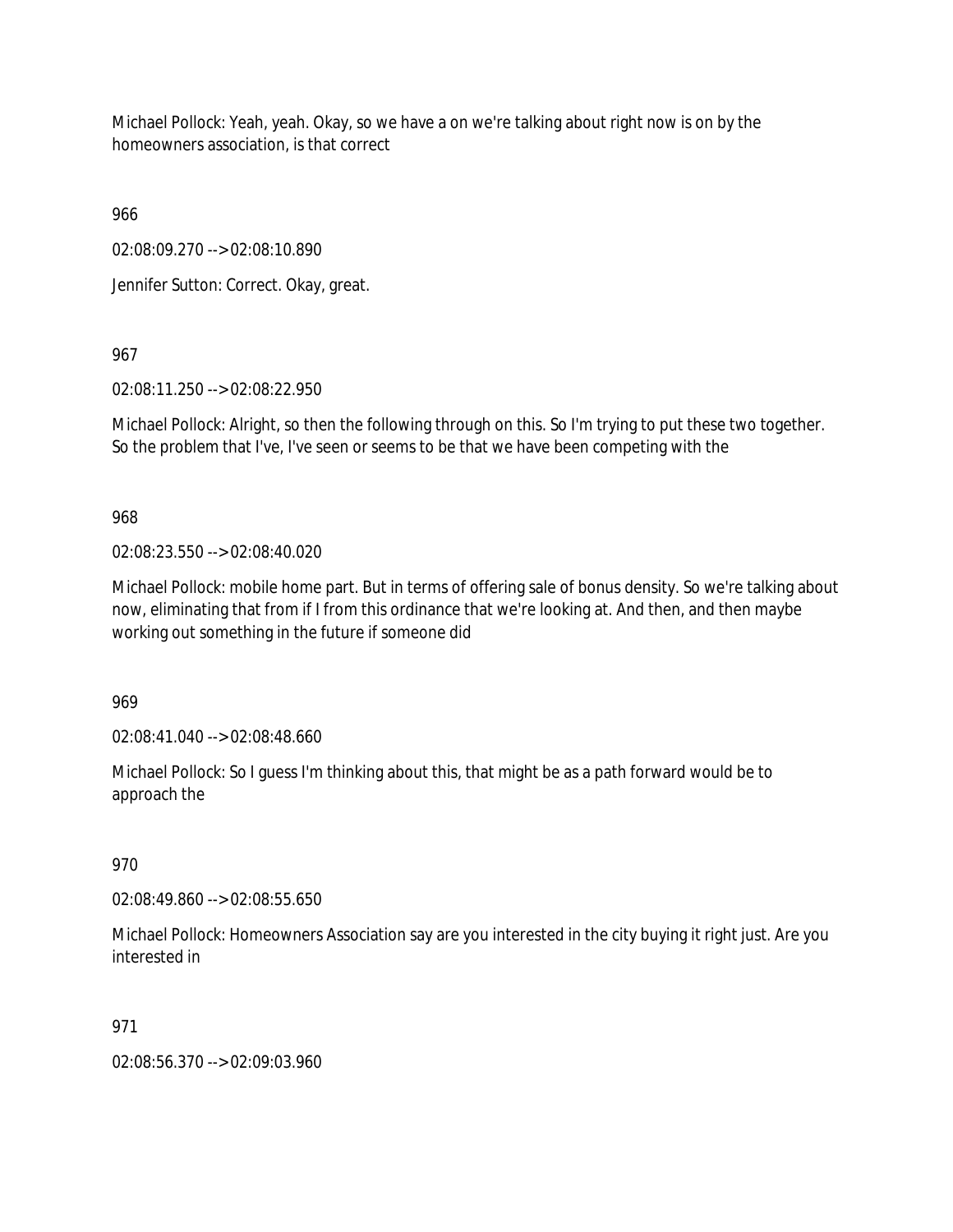Michael Pollock: Yeah, yeah. Okay, so we have a on we're talking about right now is on by the homeowners association, is that correct

966

02:08:09.270 --> 02:08:10.890

Jennifer Sutton: Correct. Okay, great.

967

02:08:11.250 --> 02:08:22.950

Michael Pollock: Alright, so then the following through on this. So I'm trying to put these two together. So the problem that I've, I've seen or seems to be that we have been competing with the

968

02:08:23.550 --> 02:08:40.020

Michael Pollock: mobile home part. But in terms of offering sale of bonus density. So we're talking about now, eliminating that from if I from this ordinance that we're looking at. And then, and then maybe working out something in the future if someone did

969

02:08:41.040 --> 02:08:48.660

Michael Pollock: So I guess I'm thinking about this, that might be as a path forward would be to approach the

# 970

02:08:49.860 --> 02:08:55.650

Michael Pollock: Homeowners Association say are you interested in the city buying it right just. Are you interested in

# 971

02:08:56.370 --> 02:09:03.960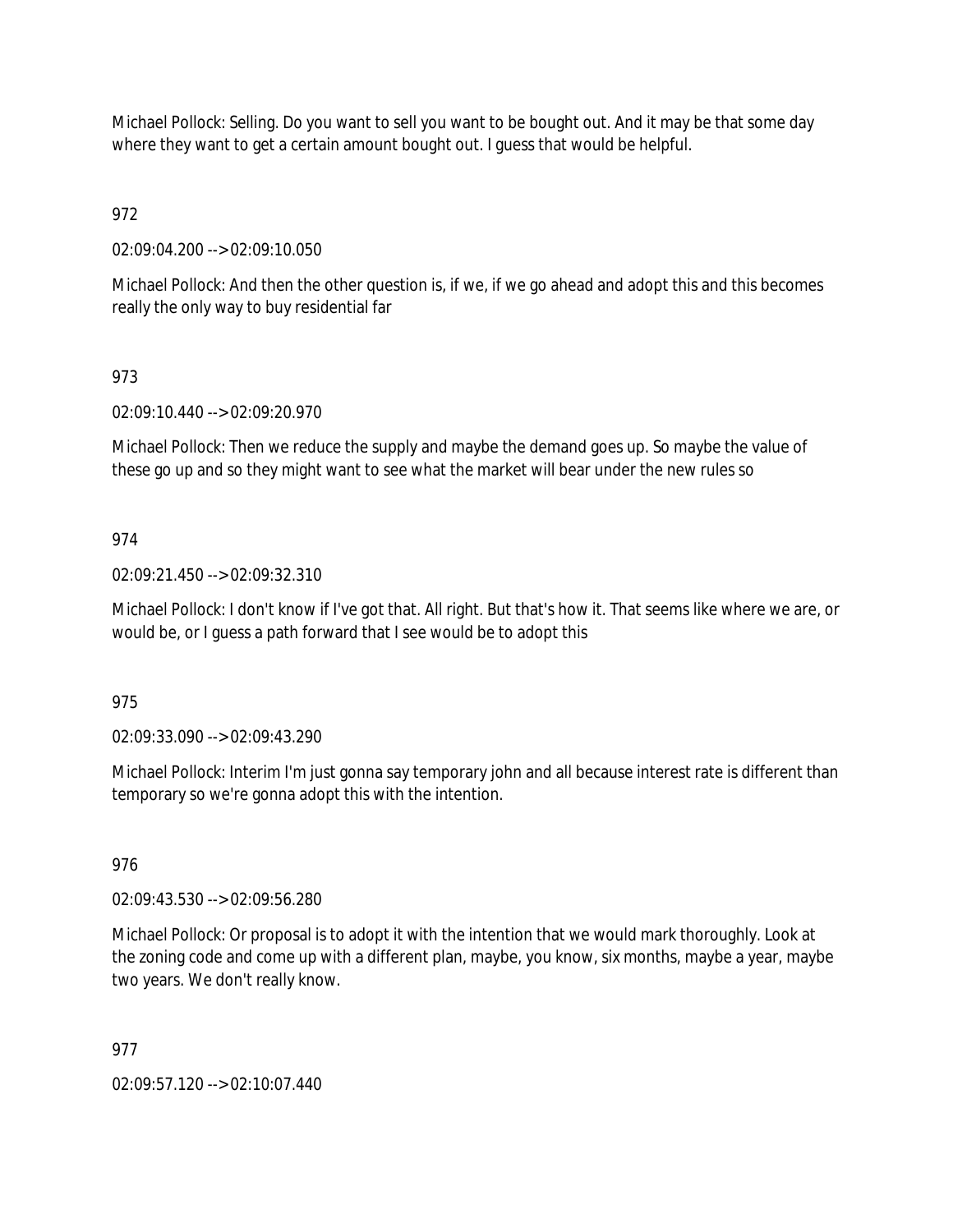Michael Pollock: Selling. Do you want to sell you want to be bought out. And it may be that some day where they want to get a certain amount bought out. I guess that would be helpful.

972

02:09:04.200 --> 02:09:10.050

Michael Pollock: And then the other question is, if we, if we go ahead and adopt this and this becomes really the only way to buy residential far

## 973

02:09:10.440 --> 02:09:20.970

Michael Pollock: Then we reduce the supply and maybe the demand goes up. So maybe the value of these go up and so they might want to see what the market will bear under the new rules so

## 974

02:09:21.450 --> 02:09:32.310

Michael Pollock: I don't know if I've got that. All right. But that's how it. That seems like where we are, or would be, or I guess a path forward that I see would be to adopt this

975

02:09:33.090 --> 02:09:43.290

Michael Pollock: Interim I'm just gonna say temporary john and all because interest rate is different than temporary so we're gonna adopt this with the intention.

## 976

02:09:43.530 --> 02:09:56.280

Michael Pollock: Or proposal is to adopt it with the intention that we would mark thoroughly. Look at the zoning code and come up with a different plan, maybe, you know, six months, maybe a year, maybe two years. We don't really know.

## 977

02:09:57.120 --> 02:10:07.440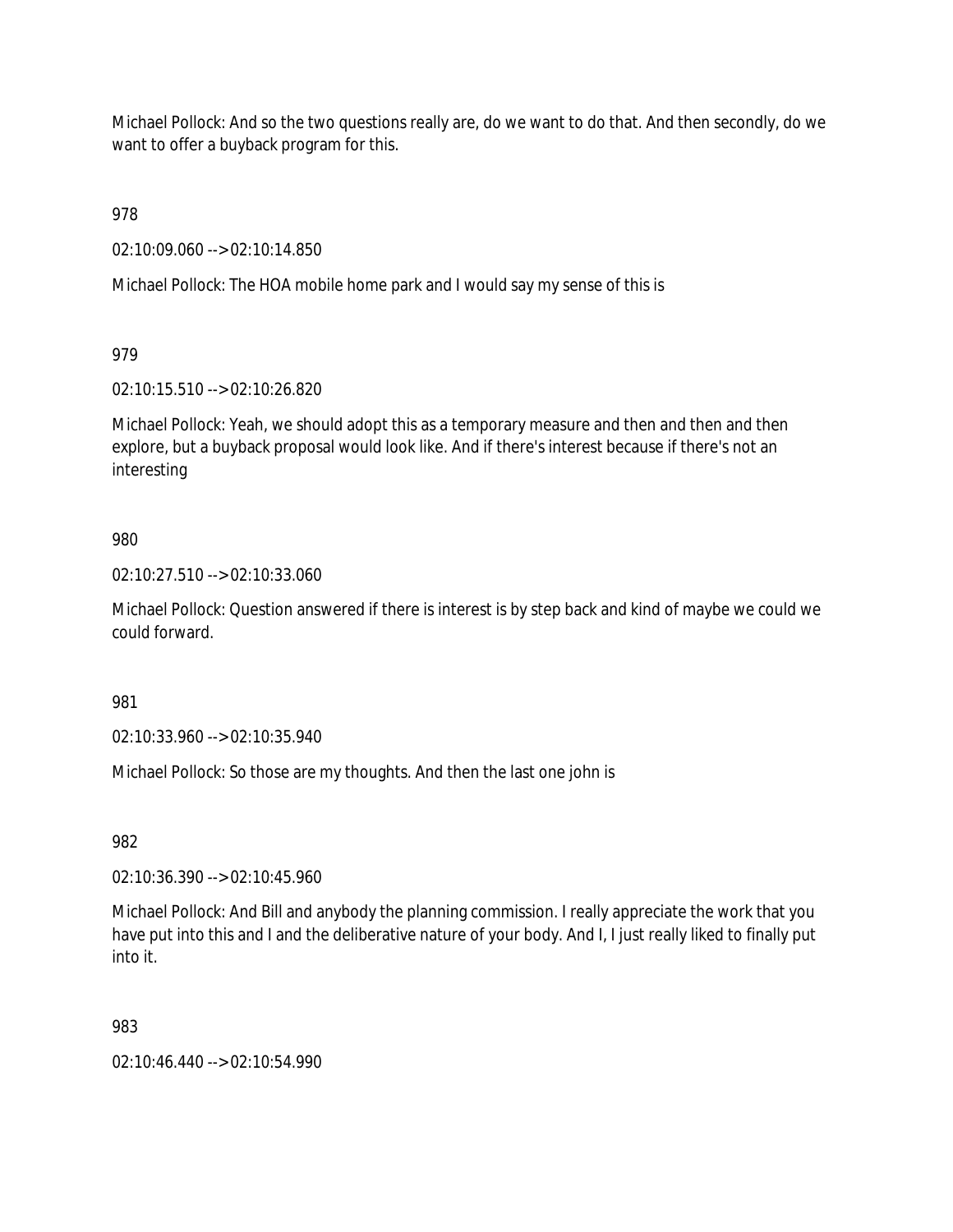Michael Pollock: And so the two questions really are, do we want to do that. And then secondly, do we want to offer a buyback program for this.

978

02:10:09.060 --> 02:10:14.850

Michael Pollock: The HOA mobile home park and I would say my sense of this is

979

02:10:15.510 --> 02:10:26.820

Michael Pollock: Yeah, we should adopt this as a temporary measure and then and then and then explore, but a buyback proposal would look like. And if there's interest because if there's not an interesting

## 980

02:10:27.510 --> 02:10:33.060

Michael Pollock: Question answered if there is interest is by step back and kind of maybe we could we could forward.

981

02:10:33.960 --> 02:10:35.940

Michael Pollock: So those are my thoughts. And then the last one john is

982

02:10:36.390 --> 02:10:45.960

Michael Pollock: And Bill and anybody the planning commission. I really appreciate the work that you have put into this and I and the deliberative nature of your body. And I, I just really liked to finally put into it.

983

02:10:46.440 --> 02:10:54.990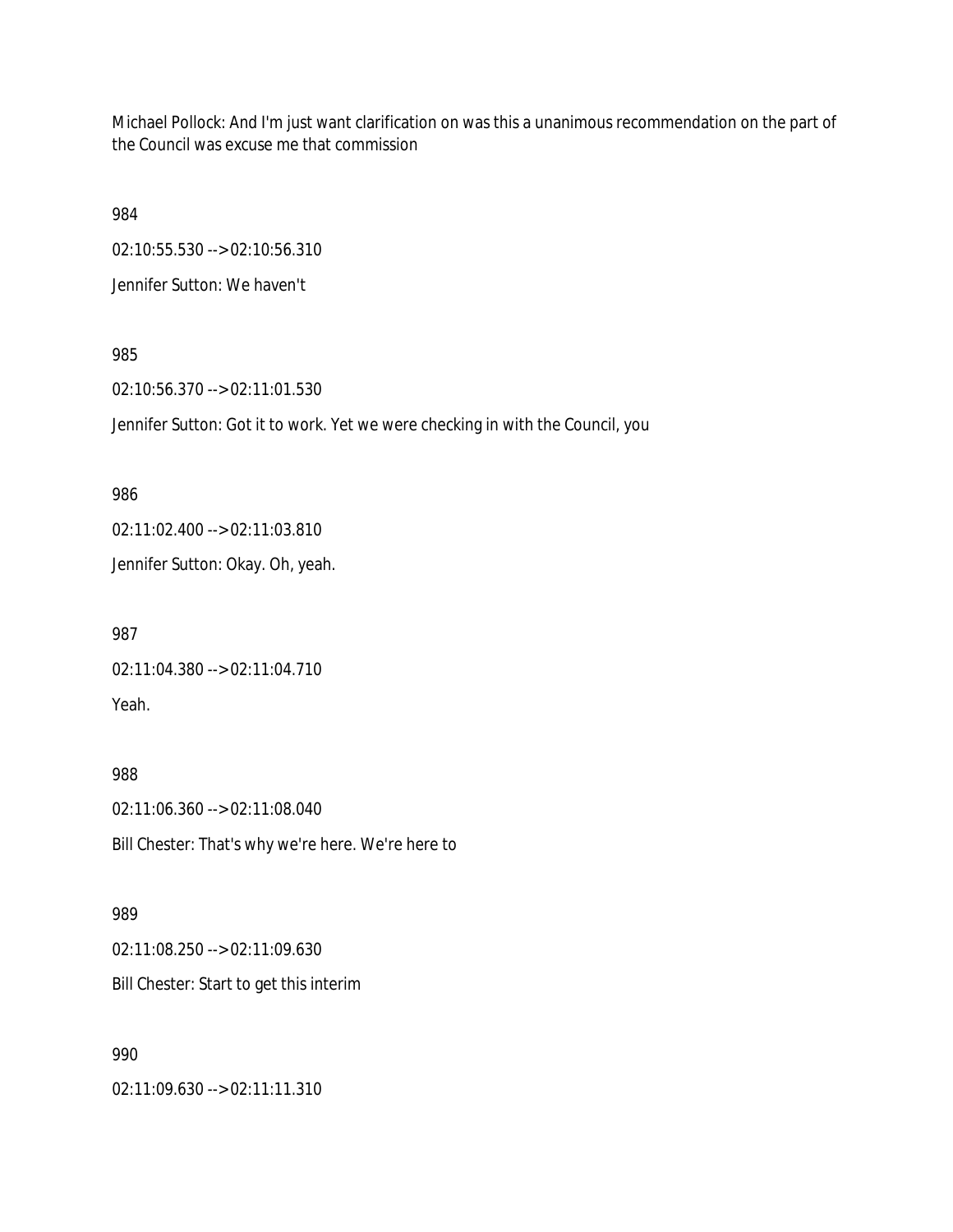Michael Pollock: And I'm just want clarification on was this a unanimous recommendation on the part of the Council was excuse me that commission

984

02:10:55.530 --> 02:10:56.310

Jennifer Sutton: We haven't

## 985

02:10:56.370 --> 02:11:01.530

Jennifer Sutton: Got it to work. Yet we were checking in with the Council, you

## 986

02:11:02.400 --> 02:11:03.810 Jennifer Sutton: Okay. Oh, yeah.

987 02:11:04.380 --> 02:11:04.710 Yeah.

# 988

02:11:06.360 --> 02:11:08.040 Bill Chester: That's why we're here. We're here to

# 989

02:11:08.250 --> 02:11:09.630 Bill Chester: Start to get this interim

# 990

02:11:09.630 --> 02:11:11.310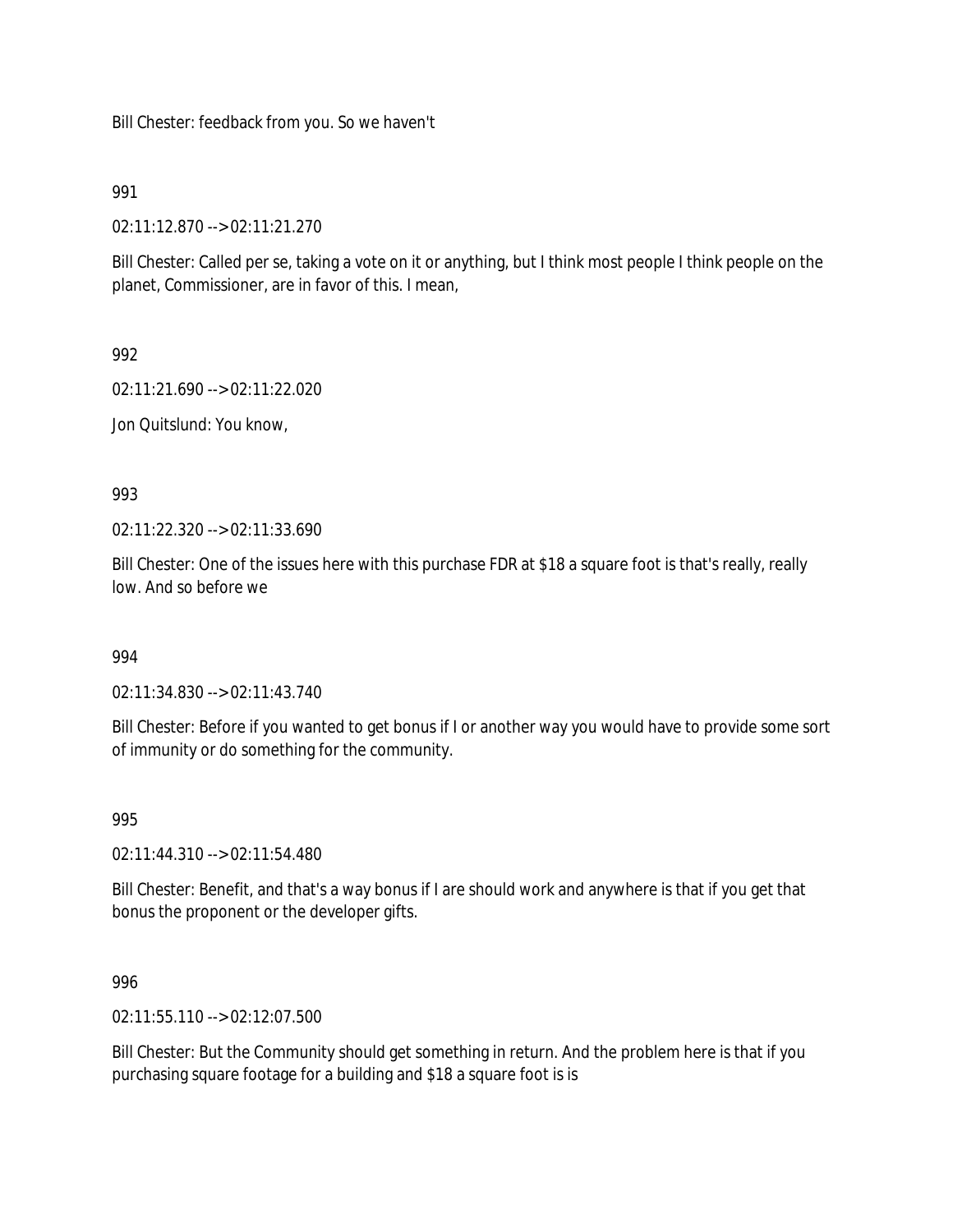Bill Chester: feedback from you. So we haven't

991

02:11:12.870 --> 02:11:21.270

Bill Chester: Called per se, taking a vote on it or anything, but I think most people I think people on the planet, Commissioner, are in favor of this. I mean,

992

02:11:21.690 --> 02:11:22.020

Jon Quitslund: You know,

993

02:11:22.320 --> 02:11:33.690

Bill Chester: One of the issues here with this purchase FDR at \$18 a square foot is that's really, really low. And so before we

994

02:11:34.830 --> 02:11:43.740

Bill Chester: Before if you wanted to get bonus if I or another way you would have to provide some sort of immunity or do something for the community.

995

02:11:44.310 --> 02:11:54.480

Bill Chester: Benefit, and that's a way bonus if I are should work and anywhere is that if you get that bonus the proponent or the developer gifts.

996

02:11:55.110 --> 02:12:07.500

Bill Chester: But the Community should get something in return. And the problem here is that if you purchasing square footage for a building and \$18 a square foot is is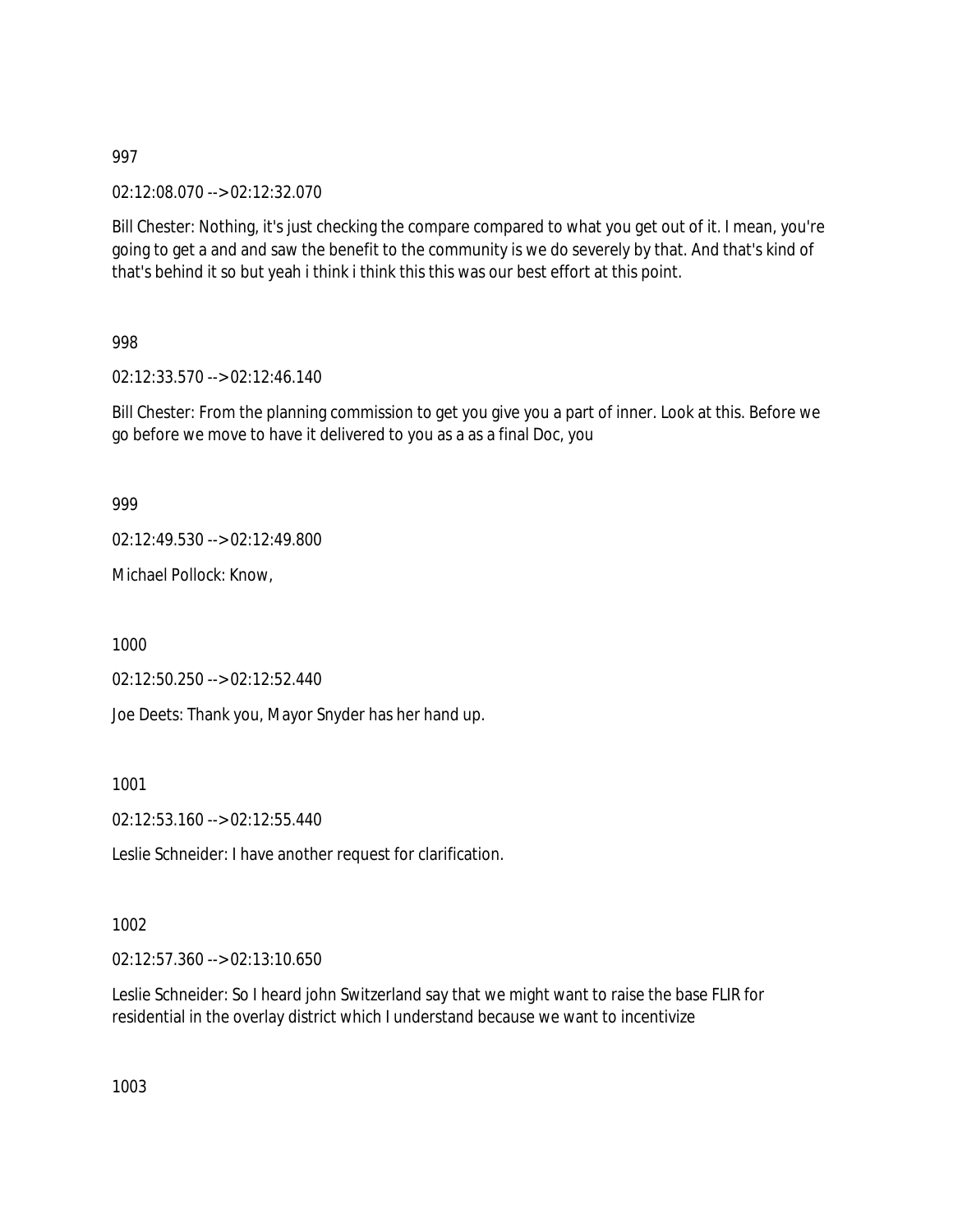02:12:08.070 --> 02:12:32.070

Bill Chester: Nothing, it's just checking the compare compared to what you get out of it. I mean, you're going to get a and and saw the benefit to the community is we do severely by that. And that's kind of that's behind it so but yeah i think i think this this was our best effort at this point.

998

02:12:33.570 --> 02:12:46.140

Bill Chester: From the planning commission to get you give you a part of inner. Look at this. Before we go before we move to have it delivered to you as a as a final Doc, you

999

02:12:49.530 --> 02:12:49.800

Michael Pollock: Know,

1000

02:12:50.250 --> 02:12:52.440

Joe Deets: Thank you, Mayor Snyder has her hand up.

1001

02:12:53.160 --> 02:12:55.440

Leslie Schneider: I have another request for clarification.

1002

02:12:57.360 --> 02:13:10.650

Leslie Schneider: So I heard john Switzerland say that we might want to raise the base FLIR for residential in the overlay district which I understand because we want to incentivize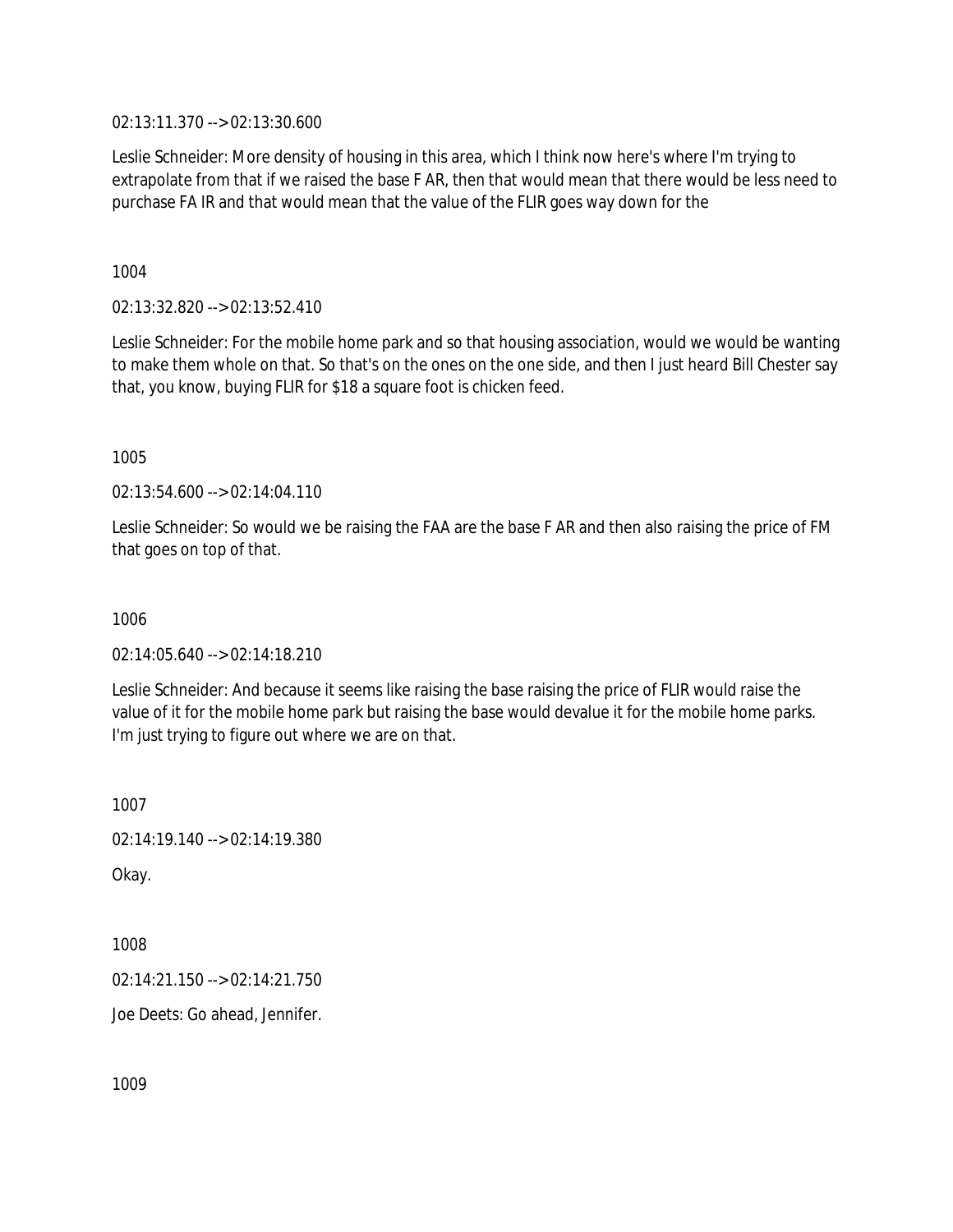02:13:11.370 --> 02:13:30.600

Leslie Schneider: More density of housing in this area, which I think now here's where I'm trying to extrapolate from that if we raised the base F AR, then that would mean that there would be less need to purchase FA IR and that would mean that the value of the FLIR goes way down for the

1004

02:13:32.820 --> 02:13:52.410

Leslie Schneider: For the mobile home park and so that housing association, would we would be wanting to make them whole on that. So that's on the ones on the one side, and then I just heard Bill Chester say that, you know, buying FLIR for \$18 a square foot is chicken feed.

1005

02:13:54.600 --> 02:14:04.110

Leslie Schneider: So would we be raising the FAA are the base F AR and then also raising the price of FM that goes on top of that.

1006

 $02.14.05.640 -> 02.14.18.210$ 

Leslie Schneider: And because it seems like raising the base raising the price of FLIR would raise the value of it for the mobile home park but raising the base would devalue it for the mobile home parks. I'm just trying to figure out where we are on that.

1007

02:14:19.140 --> 02:14:19.380

Okay.

1008

02:14:21.150 --> 02:14:21.750

Joe Deets: Go ahead, Jennifer.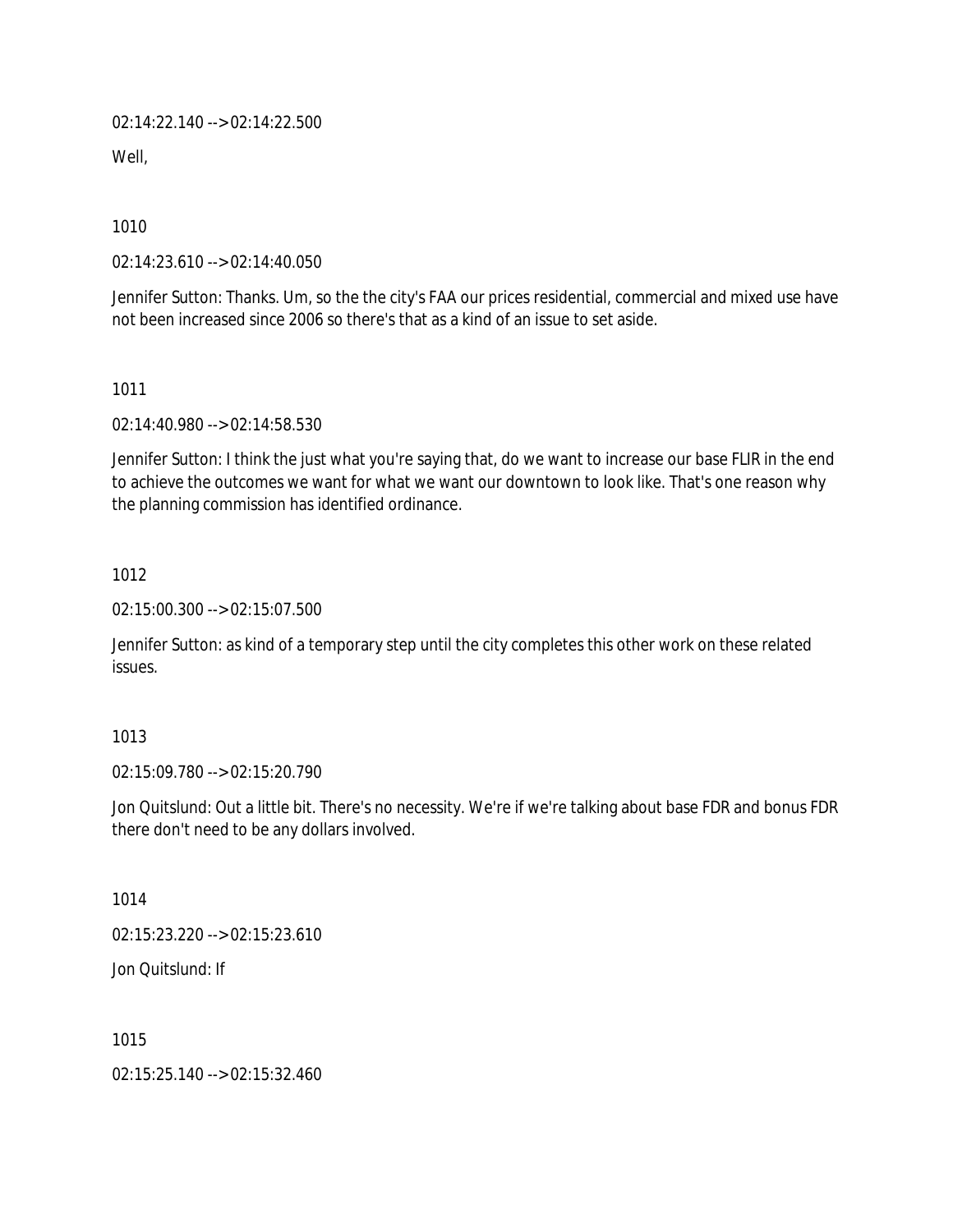02:14:22.140 --> 02:14:22.500

Well.

1010

02:14:23.610 --> 02:14:40.050

Jennifer Sutton: Thanks. Um, so the the city's FAA our prices residential, commercial and mixed use have not been increased since 2006 so there's that as a kind of an issue to set aside.

1011

02:14:40.980 --> 02:14:58.530

Jennifer Sutton: I think the just what you're saying that, do we want to increase our base FLIR in the end to achieve the outcomes we want for what we want our downtown to look like. That's one reason why the planning commission has identified ordinance.

1012

02:15:00.300 --> 02:15:07.500

Jennifer Sutton: as kind of a temporary step until the city completes this other work on these related issues.

#### 1013

02:15:09.780 --> 02:15:20.790

Jon Quitslund: Out a little bit. There's no necessity. We're if we're talking about base FDR and bonus FDR there don't need to be any dollars involved.

1014

02:15:23.220 --> 02:15:23.610

Jon Quitslund: If

1015

02:15:25.140 --> 02:15:32.460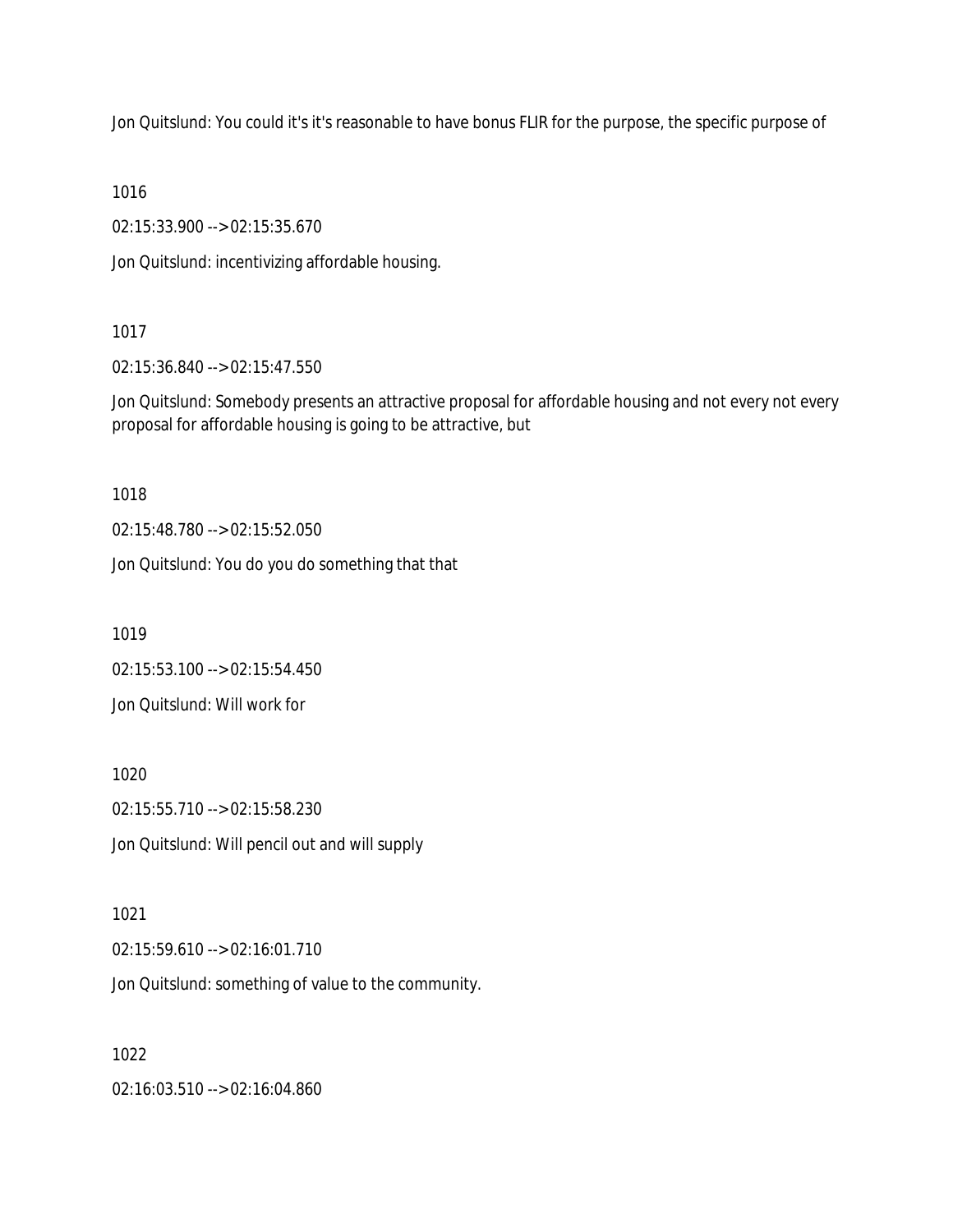Jon Quitslund: You could it's it's reasonable to have bonus FLIR for the purpose, the specific purpose of

1016

02:15:33.900 --> 02:15:35.670

Jon Quitslund: incentivizing affordable housing.

## 1017

02:15:36.840 --> 02:15:47.550

Jon Quitslund: Somebody presents an attractive proposal for affordable housing and not every not every proposal for affordable housing is going to be attractive, but

1018

02:15:48.780 --> 02:15:52.050

Jon Quitslund: You do you do something that that

1019

02:15:53.100 --> 02:15:54.450

Jon Quitslund: Will work for

1020

02:15:55.710 --> 02:15:58.230

Jon Quitslund: Will pencil out and will supply

1021

02:15:59.610 --> 02:16:01.710

Jon Quitslund: something of value to the community.

1022

02:16:03.510 --> 02:16:04.860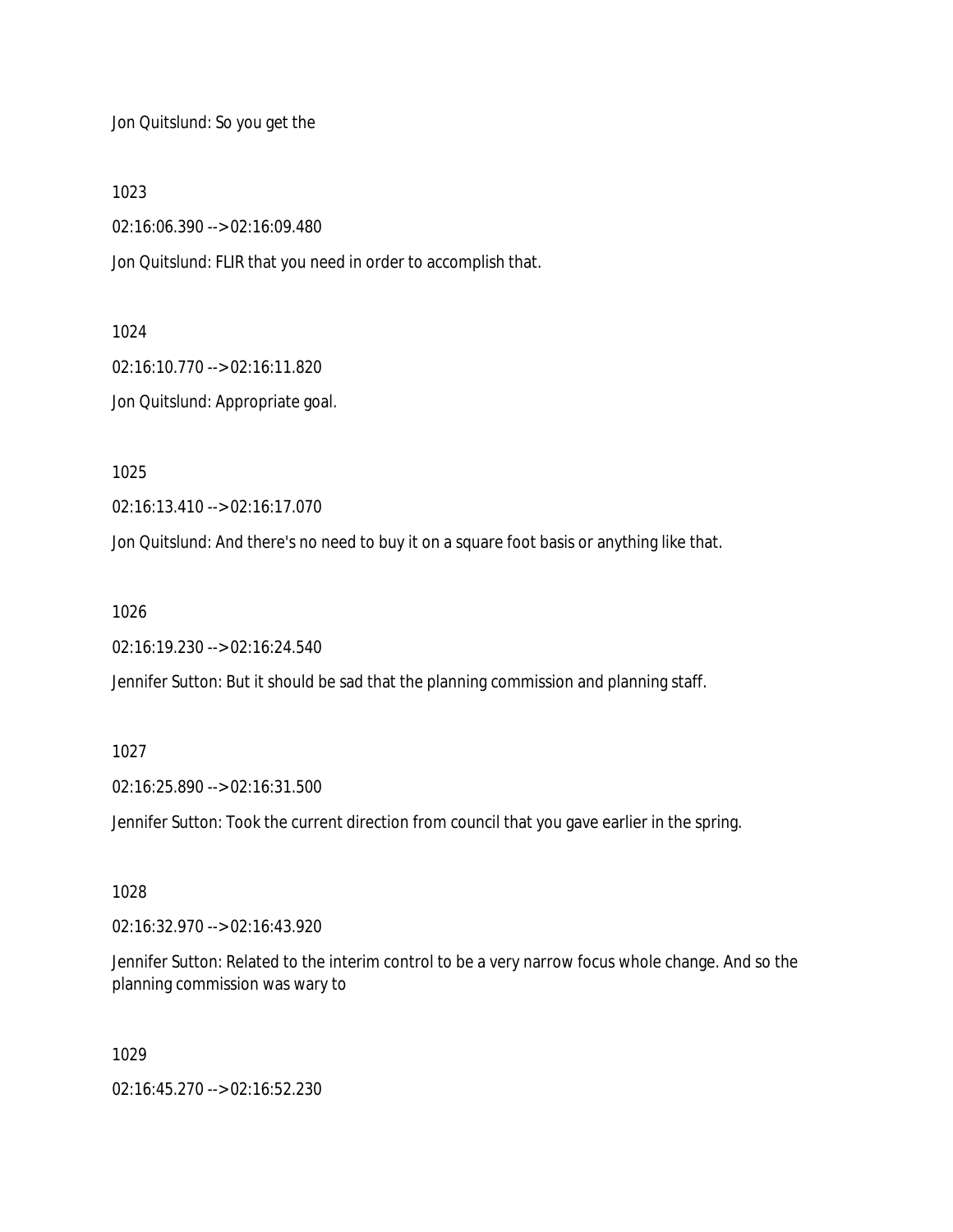Jon Quitslund: So you get the

1023

02:16:06.390 --> 02:16:09.480

Jon Quitslund: FLIR that you need in order to accomplish that.

1024

02:16:10.770 --> 02:16:11.820 Jon Quitslund: Appropriate goal.

1025

02:16:13.410 --> 02:16:17.070

Jon Quitslund: And there's no need to buy it on a square foot basis or anything like that.

1026

02:16:19.230 --> 02:16:24.540

Jennifer Sutton: But it should be sad that the planning commission and planning staff.

1027

02:16:25.890 --> 02:16:31.500

Jennifer Sutton: Took the current direction from council that you gave earlier in the spring.

1028

02:16:32.970 --> 02:16:43.920

Jennifer Sutton: Related to the interim control to be a very narrow focus whole change. And so the planning commission was wary to

1029

02:16:45.270 --> 02:16:52.230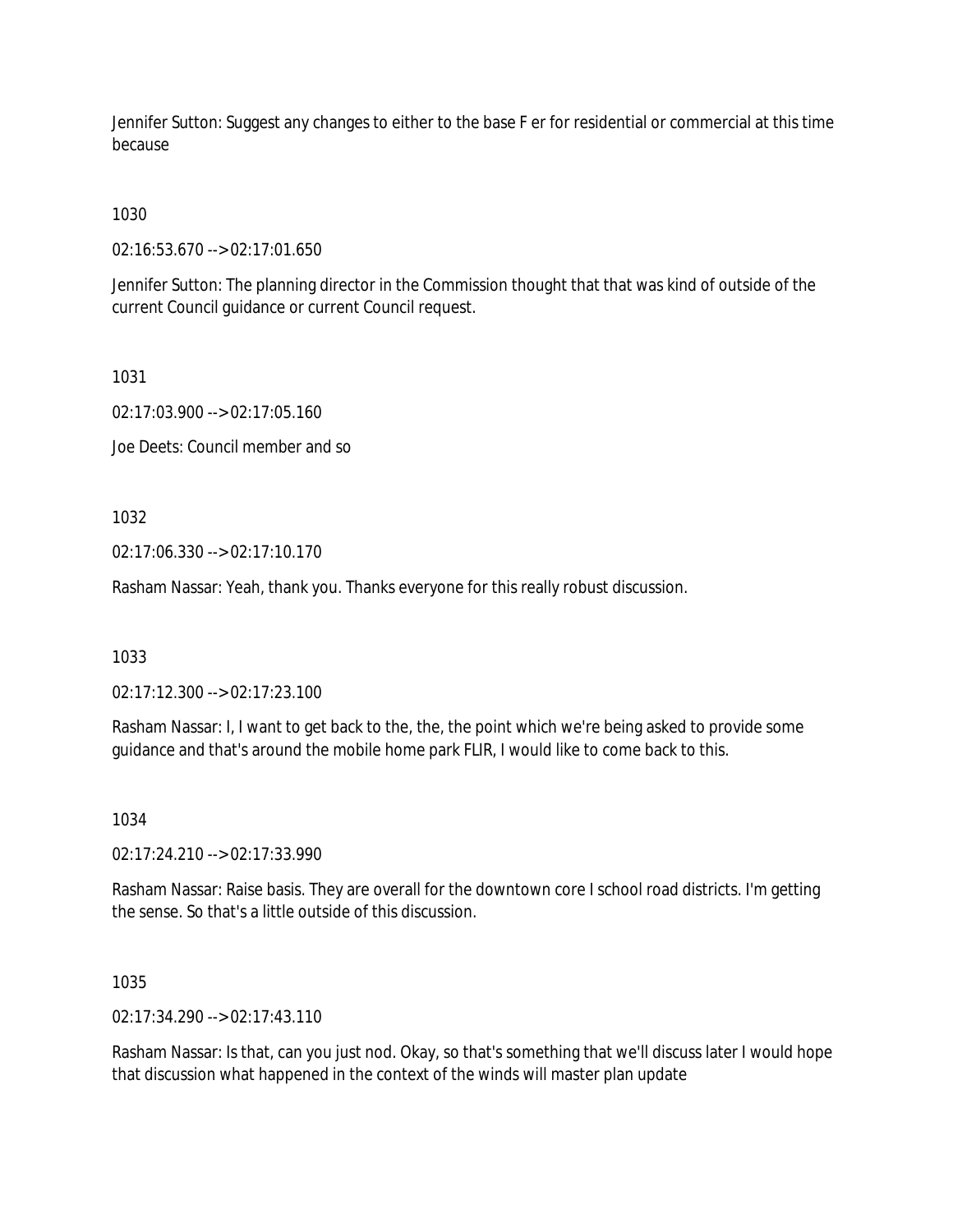Jennifer Sutton: Suggest any changes to either to the base F er for residential or commercial at this time because

## 1030

02:16:53.670 --> 02:17:01.650

Jennifer Sutton: The planning director in the Commission thought that that was kind of outside of the current Council guidance or current Council request.

1031

02:17:03.900 --> 02:17:05.160

Joe Deets: Council member and so

1032

02:17:06.330 --> 02:17:10.170

Rasham Nassar: Yeah, thank you. Thanks everyone for this really robust discussion.

1033

02:17:12.300 --> 02:17:23.100

Rasham Nassar: I, I want to get back to the, the, the point which we're being asked to provide some guidance and that's around the mobile home park FLIR, I would like to come back to this.

1034

02:17:24.210 --> 02:17:33.990

Rasham Nassar: Raise basis. They are overall for the downtown core I school road districts. I'm getting the sense. So that's a little outside of this discussion.

1035

02:17:34.290 --> 02:17:43.110

Rasham Nassar: Is that, can you just nod. Okay, so that's something that we'll discuss later I would hope that discussion what happened in the context of the winds will master plan update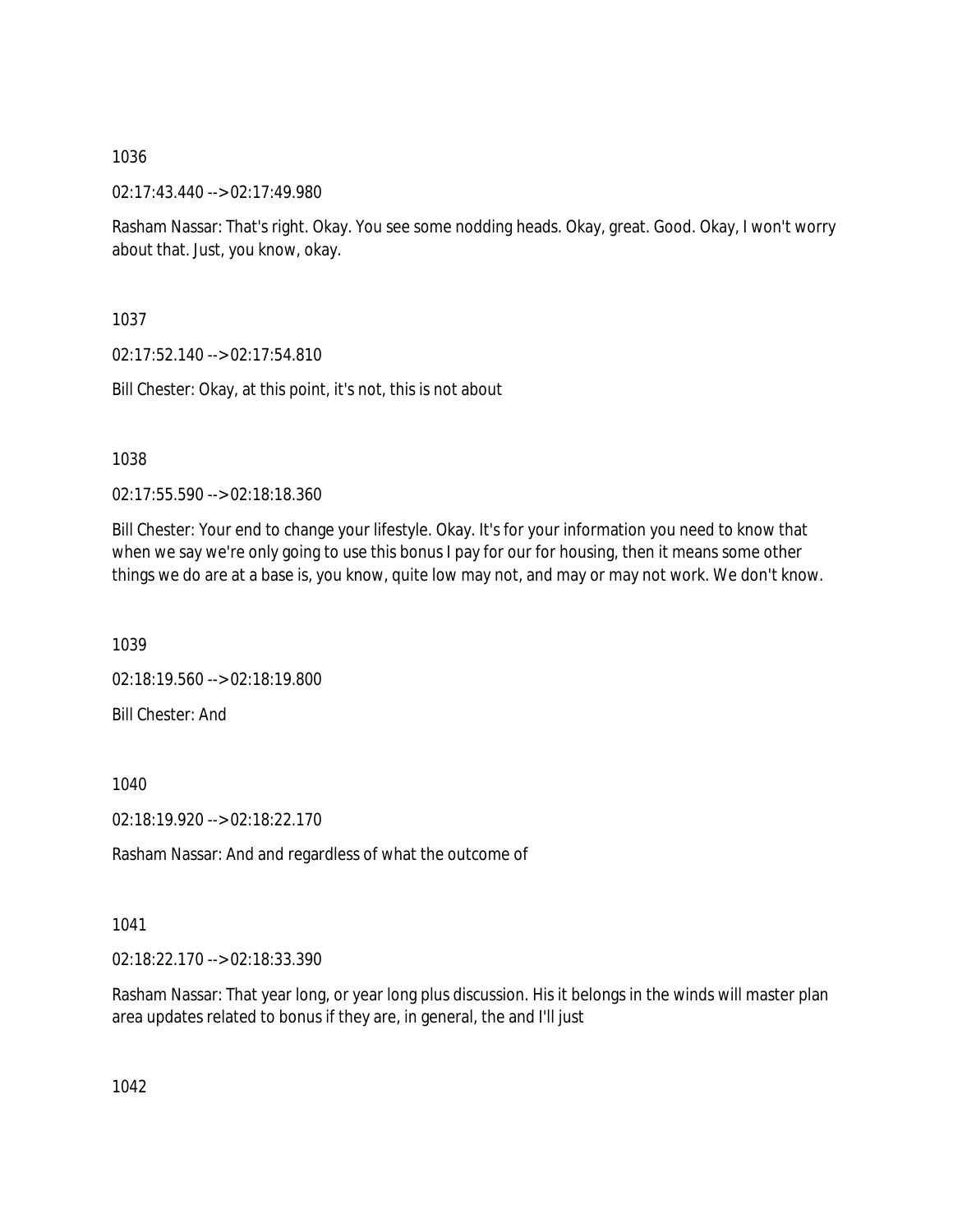02:17:43.440 --> 02:17:49.980

Rasham Nassar: That's right. Okay. You see some nodding heads. Okay, great. Good. Okay, I won't worry about that. Just, you know, okay.

1037

02:17:52.140 --> 02:17:54.810

Bill Chester: Okay, at this point, it's not, this is not about

1038

02:17:55.590 --> 02:18:18.360

Bill Chester: Your end to change your lifestyle. Okay. It's for your information you need to know that when we say we're only going to use this bonus I pay for our for housing, then it means some other things we do are at a base is, you know, quite low may not, and may or may not work. We don't know.

1039

02:18:19.560 --> 02:18:19.800 Bill Chester: And

1040

02:18:19.920 --> 02:18:22.170

Rasham Nassar: And and regardless of what the outcome of

1041

02:18:22.170 --> 02:18:33.390

Rasham Nassar: That year long, or year long plus discussion. His it belongs in the winds will master plan area updates related to bonus if they are, in general, the and I'll just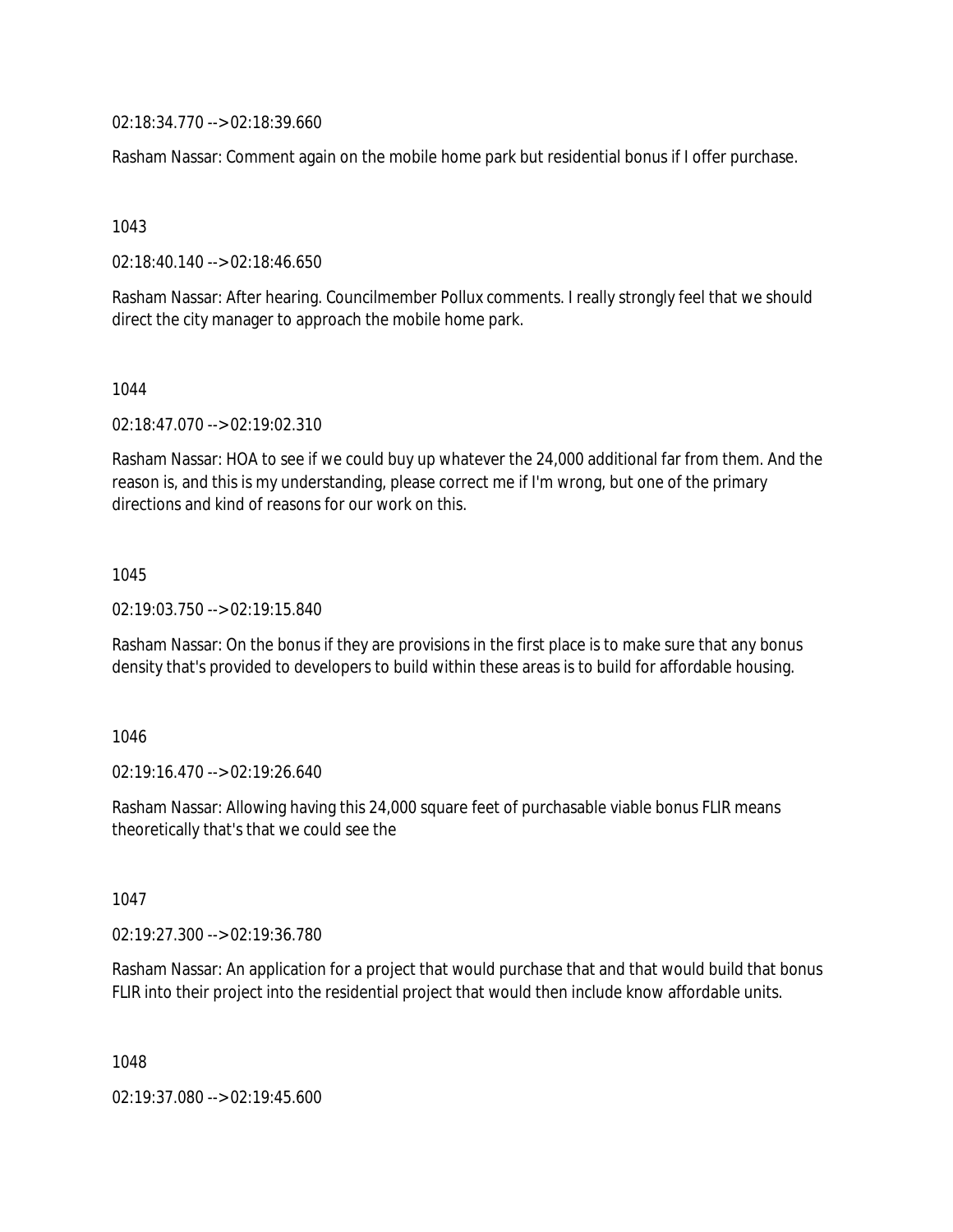02:18:34.770 --> 02:18:39.660

Rasham Nassar: Comment again on the mobile home park but residential bonus if I offer purchase.

1043

02:18:40.140 --> 02:18:46.650

Rasham Nassar: After hearing. Councilmember Pollux comments. I really strongly feel that we should direct the city manager to approach the mobile home park.

1044

02:18:47.070 --> 02:19:02.310

Rasham Nassar: HOA to see if we could buy up whatever the 24,000 additional far from them. And the reason is, and this is my understanding, please correct me if I'm wrong, but one of the primary directions and kind of reasons for our work on this.

1045

02:19:03.750 --> 02:19:15.840

Rasham Nassar: On the bonus if they are provisions in the first place is to make sure that any bonus density that's provided to developers to build within these areas is to build for affordable housing.

1046

02:19:16.470 --> 02:19:26.640

Rasham Nassar: Allowing having this 24,000 square feet of purchasable viable bonus FLIR means theoretically that's that we could see the

1047

02:19:27.300 --> 02:19:36.780

Rasham Nassar: An application for a project that would purchase that and that would build that bonus FLIR into their project into the residential project that would then include know affordable units.

1048

02:19:37.080 --> 02:19:45.600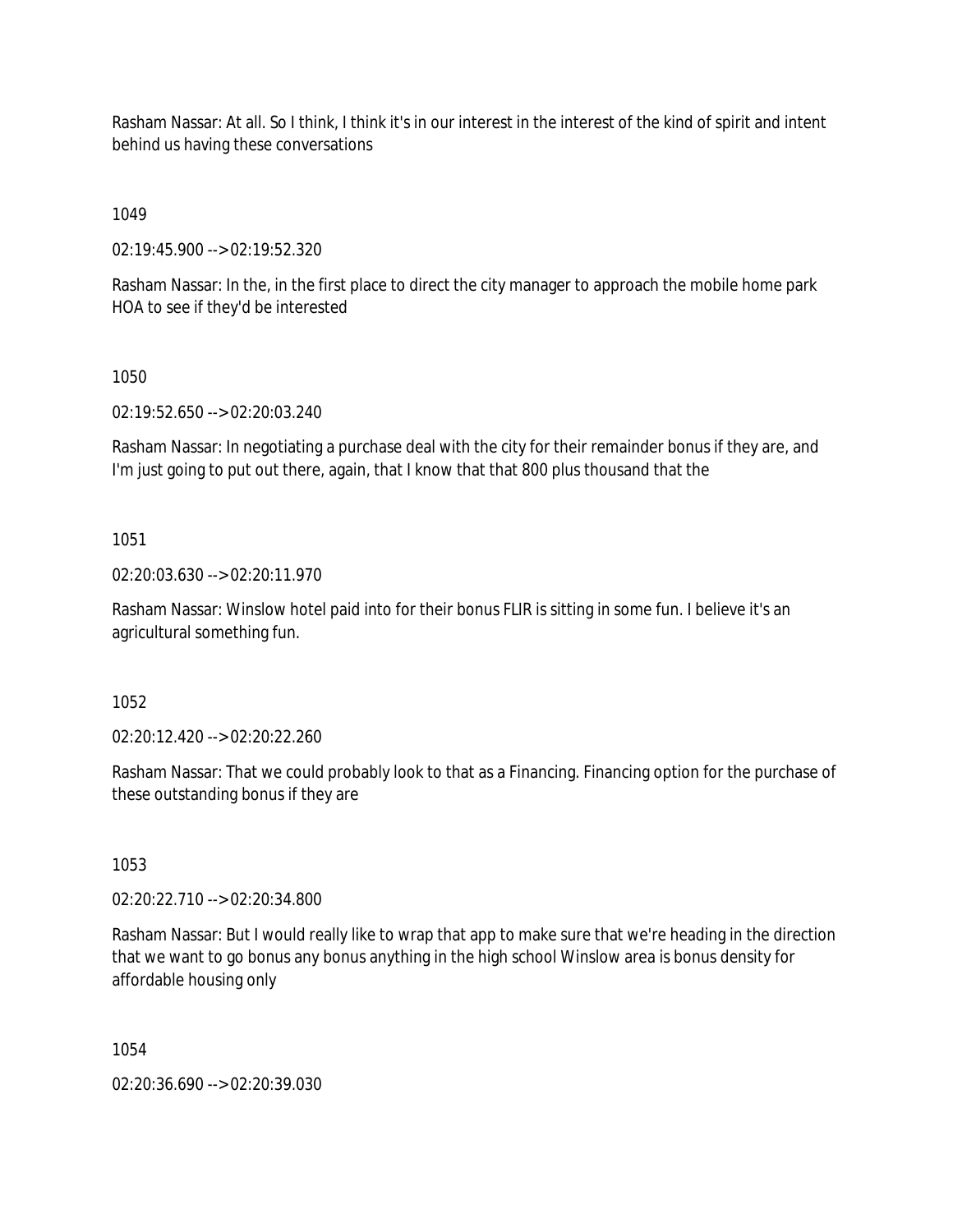Rasham Nassar: At all. So I think, I think it's in our interest in the interest of the kind of spirit and intent behind us having these conversations

1049

02:19:45.900 --> 02:19:52.320

Rasham Nassar: In the, in the first place to direct the city manager to approach the mobile home park HOA to see if they'd be interested

1050

02:19:52.650 --> 02:20:03.240

Rasham Nassar: In negotiating a purchase deal with the city for their remainder bonus if they are, and I'm just going to put out there, again, that I know that that 800 plus thousand that the

1051

02:20:03.630 --> 02:20:11.970

Rasham Nassar: Winslow hotel paid into for their bonus FLIR is sitting in some fun. I believe it's an agricultural something fun.

1052

02:20:12.420 --> 02:20:22.260

Rasham Nassar: That we could probably look to that as a Financing. Financing option for the purchase of these outstanding bonus if they are

1053

02:20:22.710 --> 02:20:34.800

Rasham Nassar: But I would really like to wrap that app to make sure that we're heading in the direction that we want to go bonus any bonus anything in the high school Winslow area is bonus density for affordable housing only

1054

02:20:36.690 --> 02:20:39.030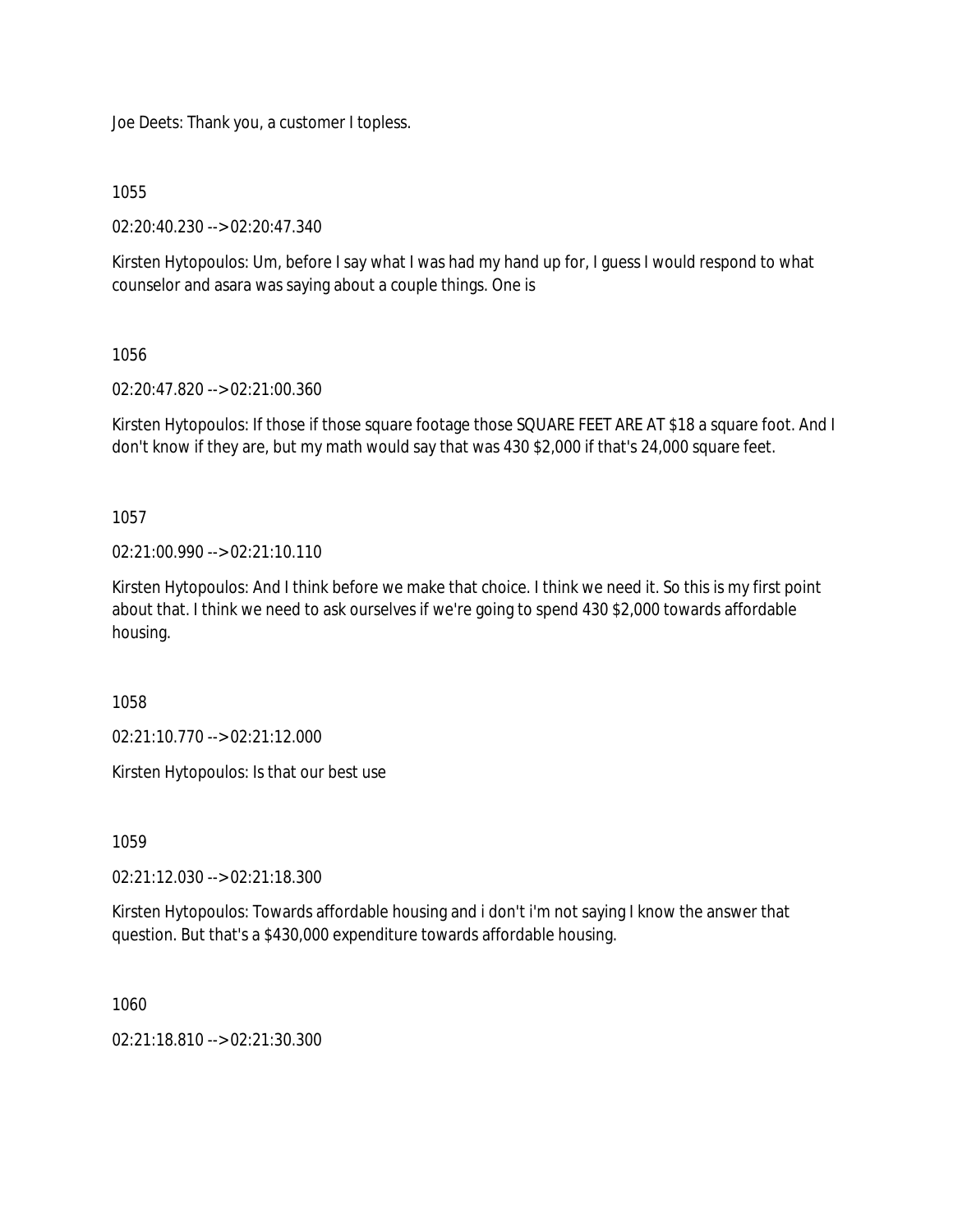Joe Deets: Thank you, a customer I topless.

1055

02:20:40.230 --> 02:20:47.340

Kirsten Hytopoulos: Um, before I say what I was had my hand up for, I guess I would respond to what counselor and asara was saying about a couple things. One is

1056

02:20:47.820 --> 02:21:00.360

Kirsten Hytopoulos: If those if those square footage those SQUARE FEET ARE AT \$18 a square foot. And I don't know if they are, but my math would say that was 430 \$2,000 if that's 24,000 square feet.

1057

 $02:21:00.990 \rightarrow 02:21:10.110$ 

Kirsten Hytopoulos: And I think before we make that choice. I think we need it. So this is my first point about that. I think we need to ask ourselves if we're going to spend 430 \$2,000 towards affordable housing.

1058

02:21:10.770 --> 02:21:12.000

Kirsten Hytopoulos: Is that our best use

1059

02:21:12.030 --> 02:21:18.300

Kirsten Hytopoulos: Towards affordable housing and i don't i'm not saying I know the answer that question. But that's a \$430,000 expenditure towards affordable housing.

1060

02:21:18.810 --> 02:21:30.300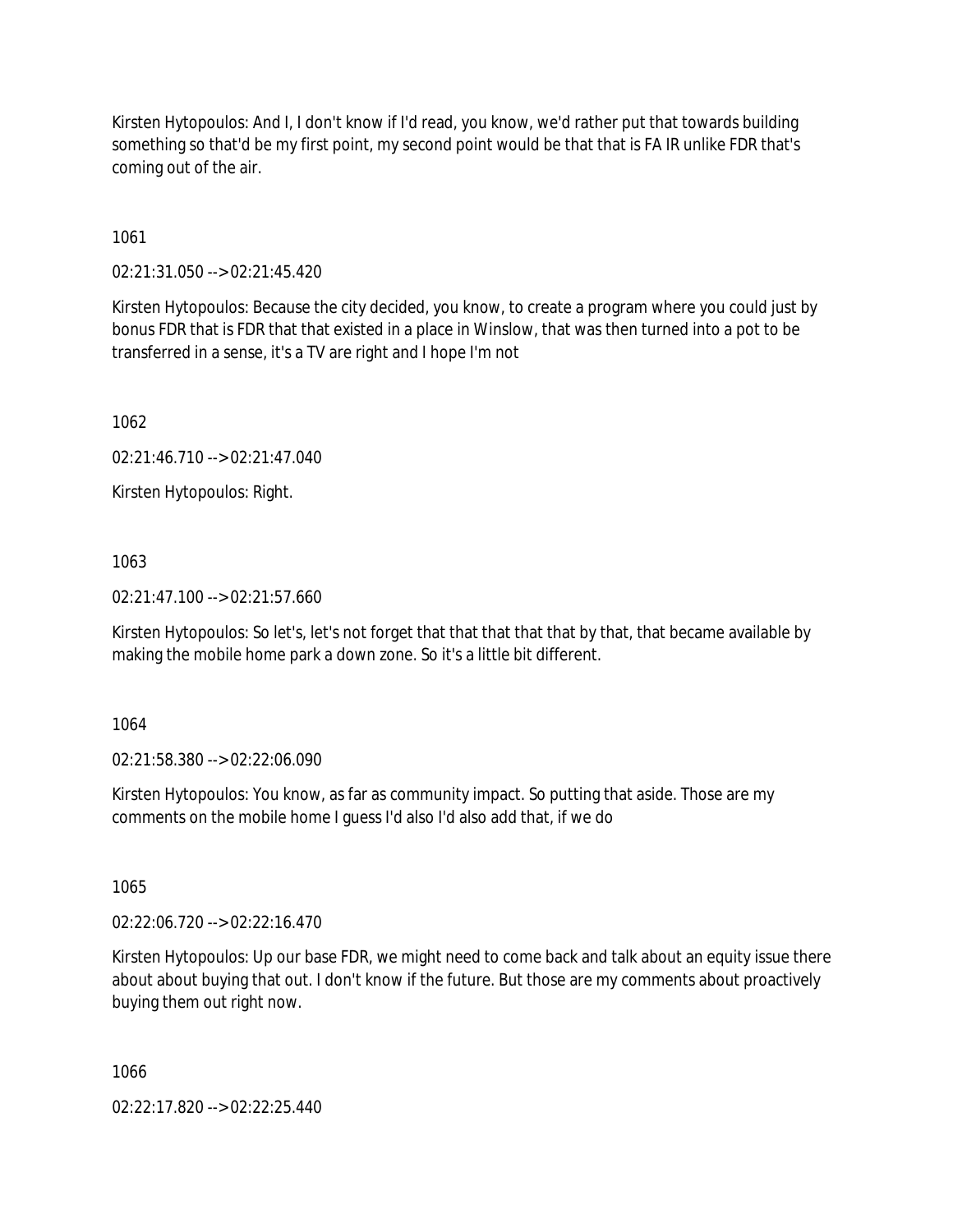Kirsten Hytopoulos: And I, I don't know if I'd read, you know, we'd rather put that towards building something so that'd be my first point, my second point would be that that is FA IR unlike FDR that's coming out of the air.

1061

02:21:31.050 --> 02:21:45.420

Kirsten Hytopoulos: Because the city decided, you know, to create a program where you could just by bonus FDR that is FDR that that existed in a place in Winslow, that was then turned into a pot to be transferred in a sense, it's a TV are right and I hope I'm not

1062

02:21:46.710 --> 02:21:47.040

Kirsten Hytopoulos: Right.

1063

02:21:47.100 --> 02:21:57.660

Kirsten Hytopoulos: So let's, let's not forget that that that that that by that, that became available by making the mobile home park a down zone. So it's a little bit different.

1064

02:21:58.380 --> 02:22:06.090

Kirsten Hytopoulos: You know, as far as community impact. So putting that aside. Those are my comments on the mobile home I guess I'd also I'd also add that, if we do

1065

02:22:06.720 --> 02:22:16.470

Kirsten Hytopoulos: Up our base FDR, we might need to come back and talk about an equity issue there about about buying that out. I don't know if the future. But those are my comments about proactively buying them out right now.

1066

02:22:17.820 --> 02:22:25.440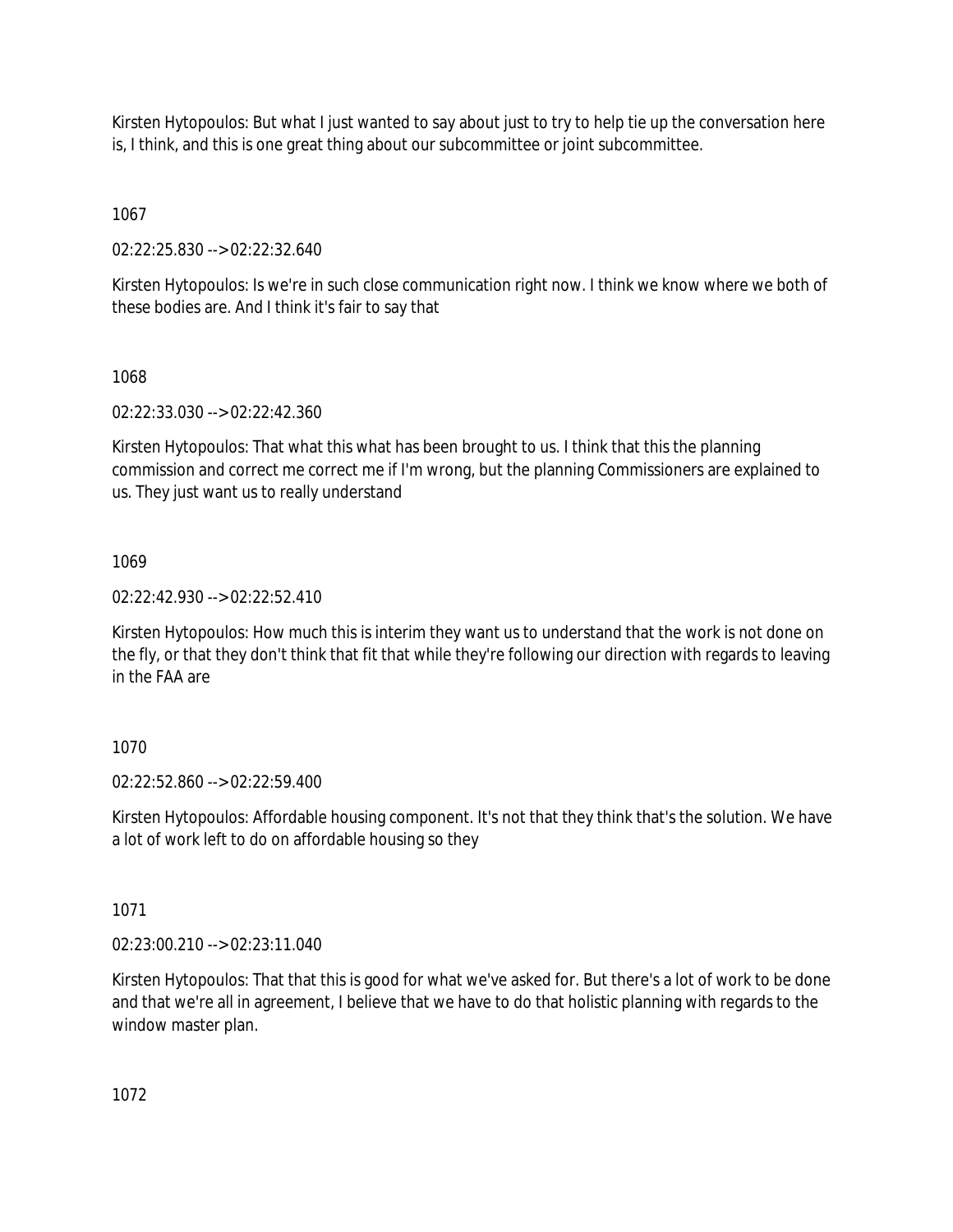Kirsten Hytopoulos: But what I just wanted to say about just to try to help tie up the conversation here is, I think, and this is one great thing about our subcommittee or joint subcommittee.

1067

02:22:25.830 --> 02:22:32.640

Kirsten Hytopoulos: Is we're in such close communication right now. I think we know where we both of these bodies are. And I think it's fair to say that

1068

02:22:33.030 --> 02:22:42.360

Kirsten Hytopoulos: That what this what has been brought to us. I think that this the planning commission and correct me correct me if I'm wrong, but the planning Commissioners are explained to us. They just want us to really understand

1069

02:22:42.930 --> 02:22:52.410

Kirsten Hytopoulos: How much this is interim they want us to understand that the work is not done on the fly, or that they don't think that fit that while they're following our direction with regards to leaving in the FAA are

# 1070

02:22:52.860 --> 02:22:59.400

Kirsten Hytopoulos: Affordable housing component. It's not that they think that's the solution. We have a lot of work left to do on affordable housing so they

1071

02:23:00.210 --> 02:23:11.040

Kirsten Hytopoulos: That that this is good for what we've asked for. But there's a lot of work to be done and that we're all in agreement, I believe that we have to do that holistic planning with regards to the window master plan.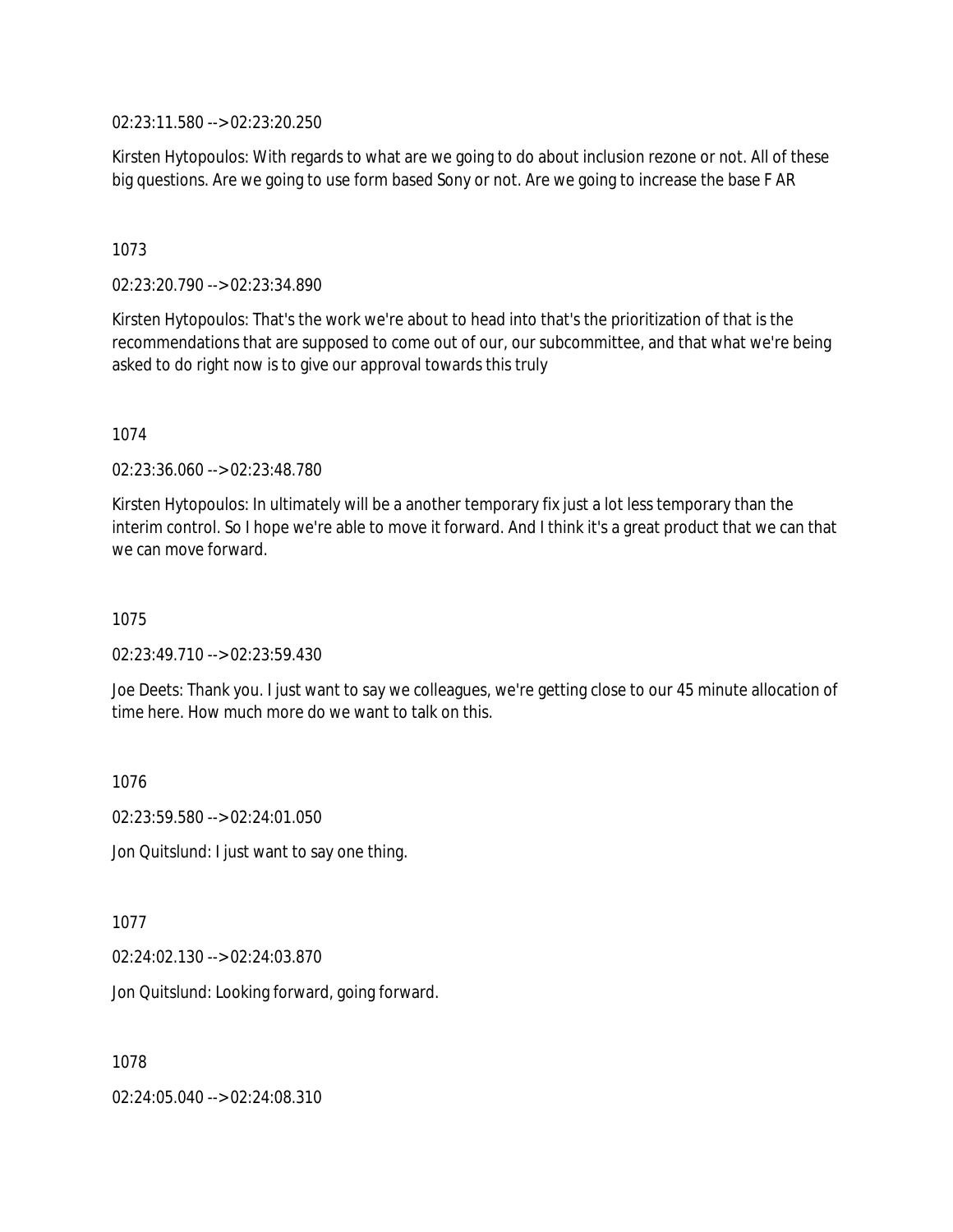02:23:11.580 --> 02:23:20.250

Kirsten Hytopoulos: With regards to what are we going to do about inclusion rezone or not. All of these big questions. Are we going to use form based Sony or not. Are we going to increase the base F AR

## 1073

02:23:20.790 --> 02:23:34.890

Kirsten Hytopoulos: That's the work we're about to head into that's the prioritization of that is the recommendations that are supposed to come out of our, our subcommittee, and that what we're being asked to do right now is to give our approval towards this truly

## 1074

02:23:36.060 --> 02:23:48.780

Kirsten Hytopoulos: In ultimately will be a another temporary fix just a lot less temporary than the interim control. So I hope we're able to move it forward. And I think it's a great product that we can that we can move forward.

## 1075

 $02:23:49.710 \rightarrow 02:23:59.430$ 

Joe Deets: Thank you. I just want to say we colleagues, we're getting close to our 45 minute allocation of time here. How much more do we want to talk on this.

1076

02:23:59.580 --> 02:24:01.050

Jon Quitslund: I just want to say one thing.

1077

02:24:02.130 --> 02:24:03.870

Jon Quitslund: Looking forward, going forward.

1078

02:24:05.040 --> 02:24:08.310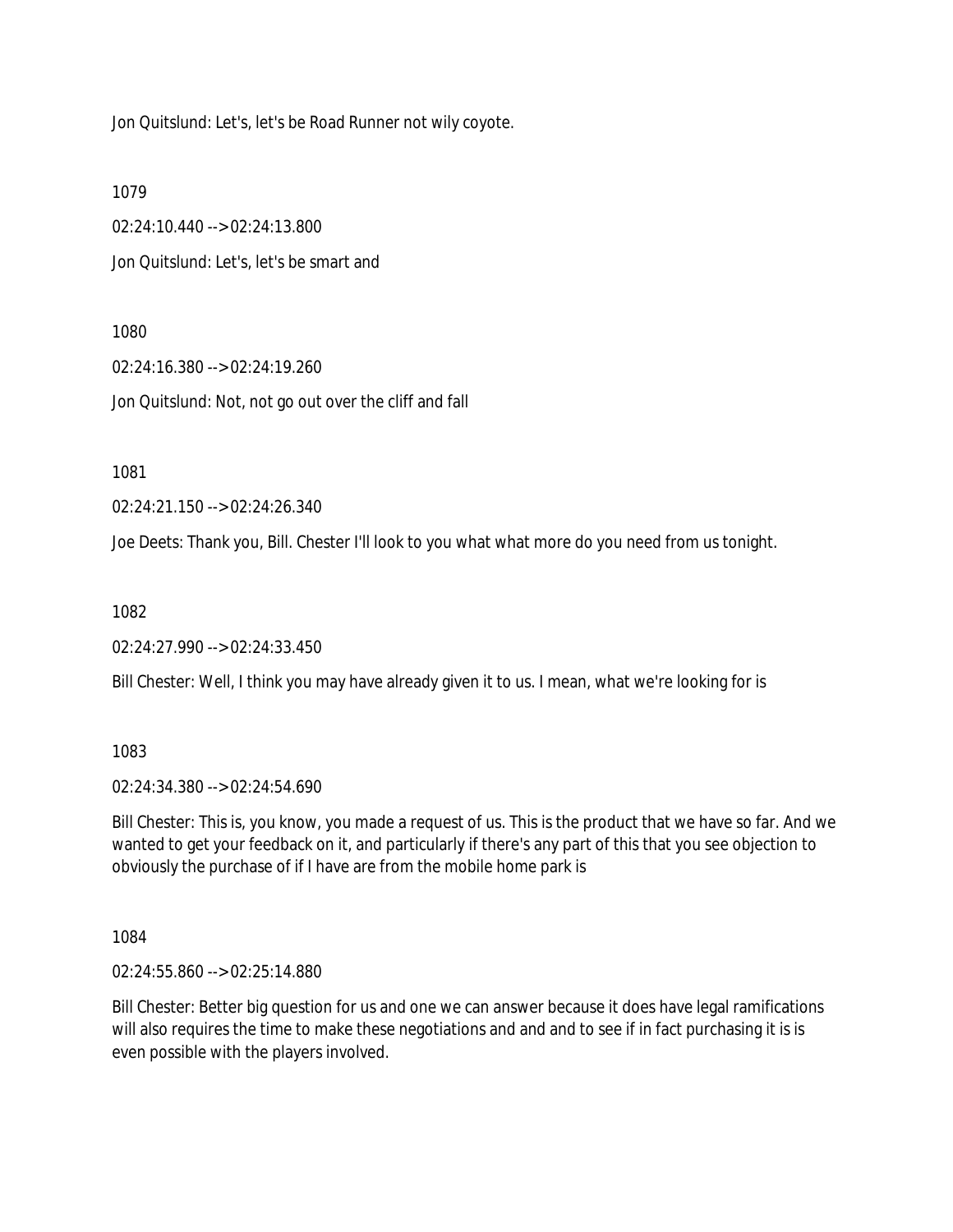Jon Quitslund: Let's, let's be Road Runner not wily coyote.

1079

02:24:10.440 --> 02:24:13.800 Jon Quitslund: Let's, let's be smart and

1080

02:24:16.380 --> 02:24:19.260 Jon Quitslund: Not, not go out over the cliff and fall

1081

02:24:21.150 --> 02:24:26.340

Joe Deets: Thank you, Bill. Chester I'll look to you what what more do you need from us tonight.

1082

02:24:27.990 --> 02:24:33.450

Bill Chester: Well, I think you may have already given it to us. I mean, what we're looking for is

1083

02:24:34.380 --> 02:24:54.690

Bill Chester: This is, you know, you made a request of us. This is the product that we have so far. And we wanted to get your feedback on it, and particularly if there's any part of this that you see objection to obviously the purchase of if I have are from the mobile home park is

1084

02:24:55.860 --> 02:25:14.880

Bill Chester: Better big question for us and one we can answer because it does have legal ramifications will also requires the time to make these negotiations and and and to see if in fact purchasing it is is even possible with the players involved.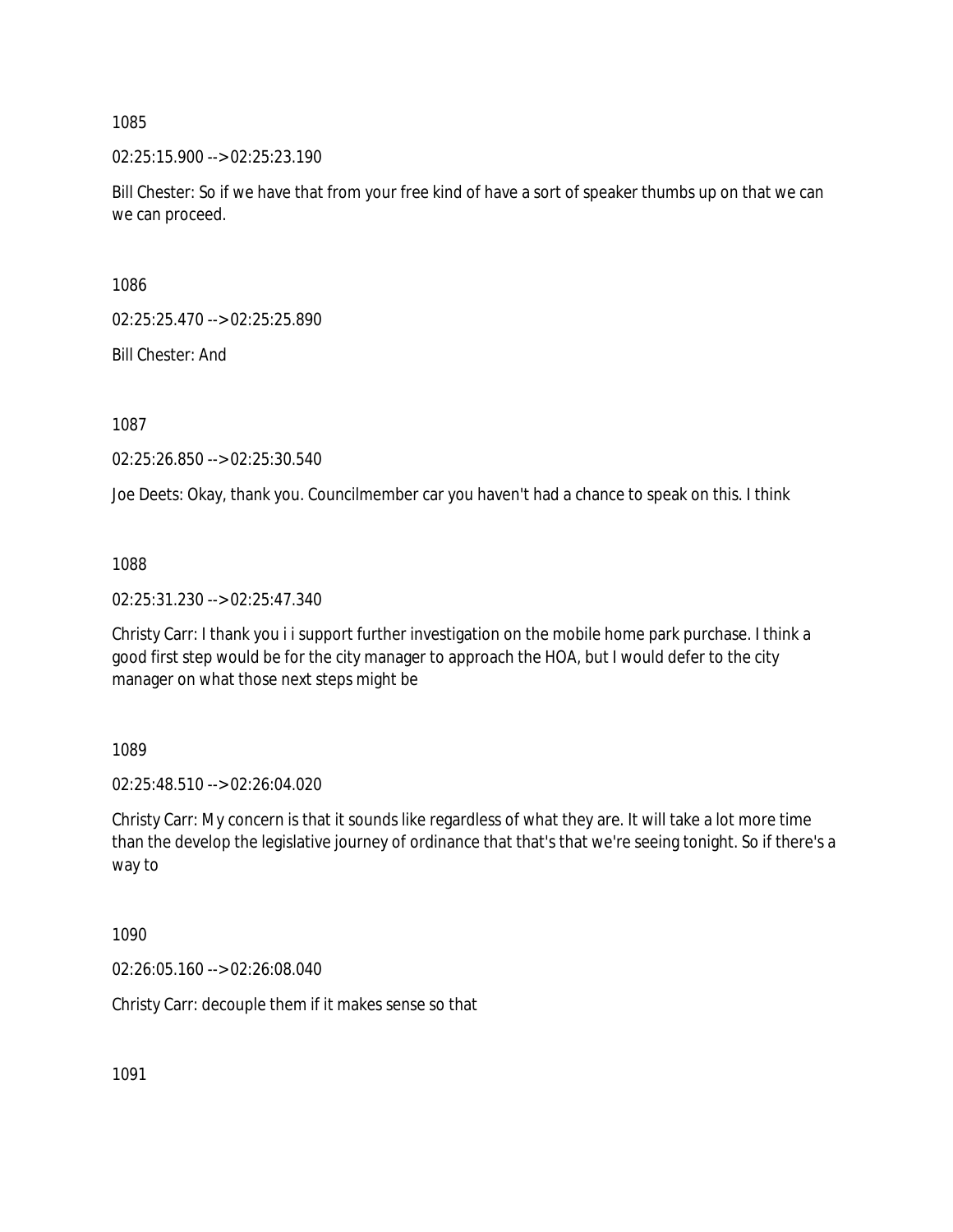02:25:15.900 --> 02:25:23.190

Bill Chester: So if we have that from your free kind of have a sort of speaker thumbs up on that we can we can proceed.

1086

02:25:25.470 --> 02:25:25.890

Bill Chester: And

1087

02:25:26.850 --> 02:25:30.540

Joe Deets: Okay, thank you. Councilmember car you haven't had a chance to speak on this. I think

1088

02:25:31.230 --> 02:25:47.340

Christy Carr: I thank you i i support further investigation on the mobile home park purchase. I think a good first step would be for the city manager to approach the HOA, but I would defer to the city manager on what those next steps might be

1089

02:25:48.510 --> 02:26:04.020

Christy Carr: My concern is that it sounds like regardless of what they are. It will take a lot more time than the develop the legislative journey of ordinance that that's that we're seeing tonight. So if there's a way to

1090

02:26:05.160 --> 02:26:08.040

Christy Carr: decouple them if it makes sense so that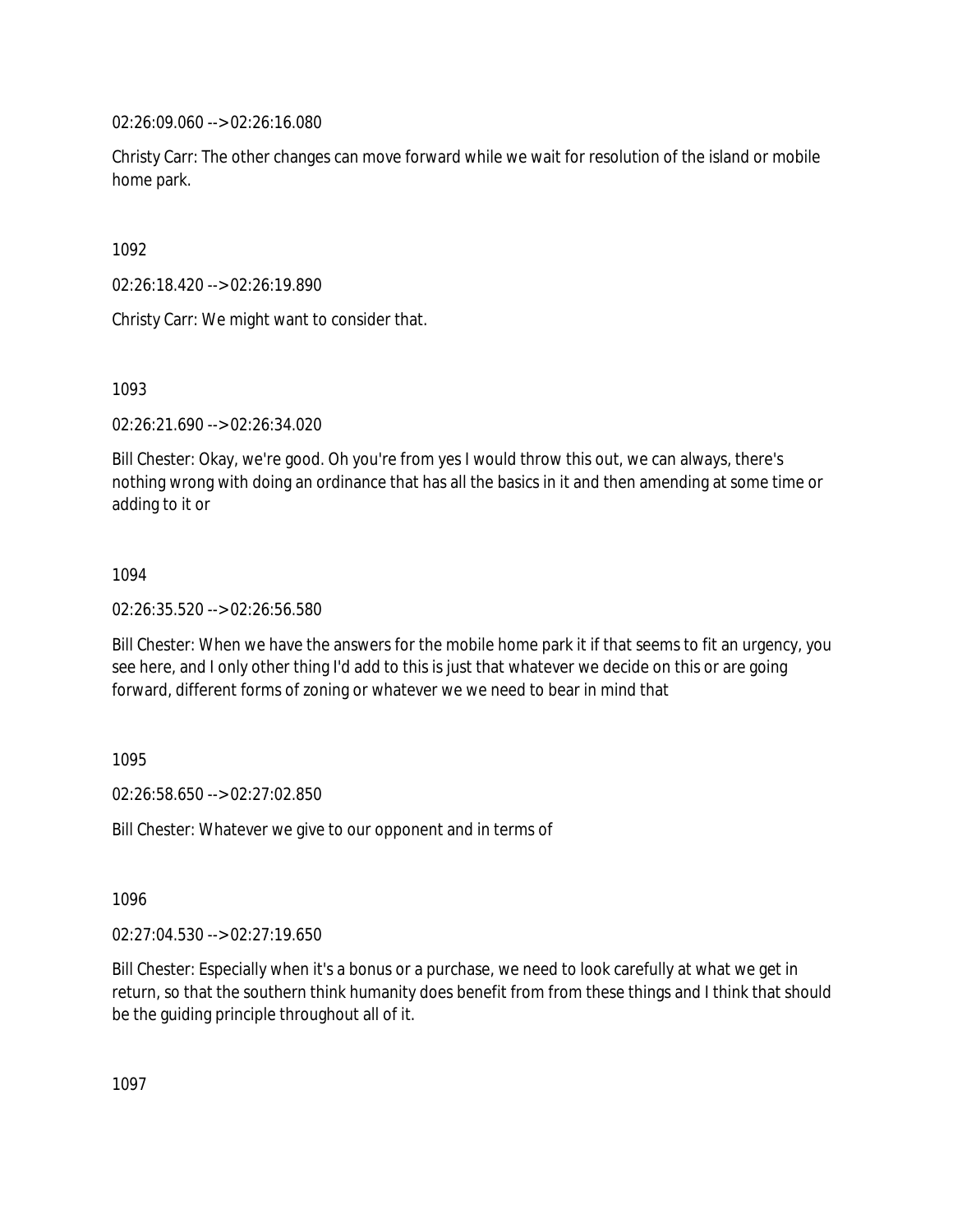02:26:09.060 --> 02:26:16.080

Christy Carr: The other changes can move forward while we wait for resolution of the island or mobile home park.

1092

02:26:18.420 --> 02:26:19.890

Christy Carr: We might want to consider that.

1093

02:26:21.690 --> 02:26:34.020

Bill Chester: Okay, we're good. Oh you're from yes I would throw this out, we can always, there's nothing wrong with doing an ordinance that has all the basics in it and then amending at some time or adding to it or

## 1094

02:26:35.520 --> 02:26:56.580

Bill Chester: When we have the answers for the mobile home park it if that seems to fit an urgency, you see here, and I only other thing I'd add to this is just that whatever we decide on this or are going forward, different forms of zoning or whatever we we need to bear in mind that

1095

02:26:58.650 --> 02:27:02.850

Bill Chester: Whatever we give to our opponent and in terms of

1096

02:27:04.530 --> 02:27:19.650

Bill Chester: Especially when it's a bonus or a purchase, we need to look carefully at what we get in return, so that the southern think humanity does benefit from from these things and I think that should be the guiding principle throughout all of it.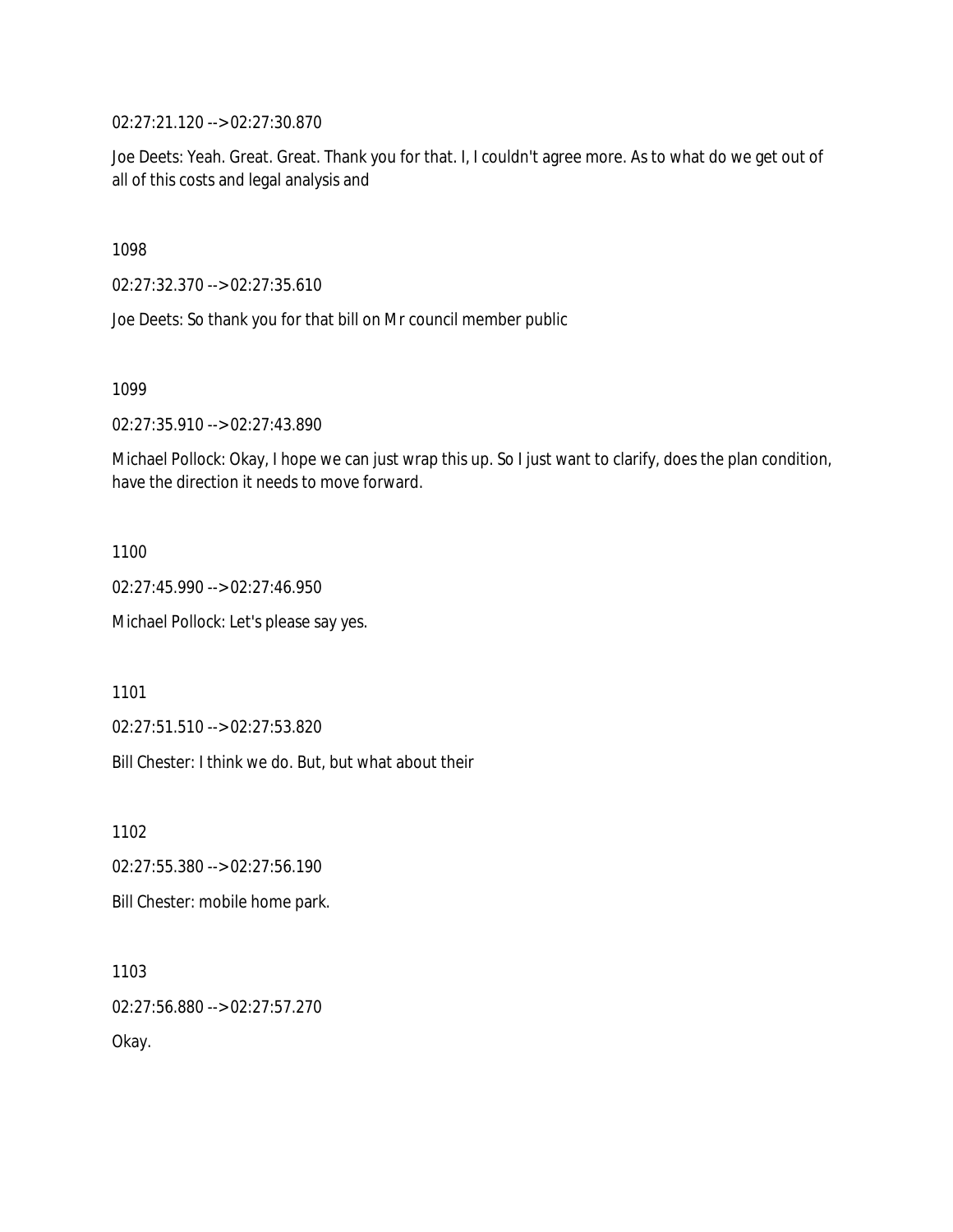02:27:21.120 --> 02:27:30.870

Joe Deets: Yeah. Great. Great. Thank you for that. I, I couldn't agree more. As to what do we get out of all of this costs and legal analysis and

1098

02:27:32.370 --> 02:27:35.610

Joe Deets: So thank you for that bill on Mr council member public

1099

02:27:35.910 --> 02:27:43.890

Michael Pollock: Okay, I hope we can just wrap this up. So I just want to clarify, does the plan condition, have the direction it needs to move forward.

1100

02:27:45.990 --> 02:27:46.950

Michael Pollock: Let's please say yes.

1101

02:27:51.510 --> 02:27:53.820

Bill Chester: I think we do. But, but what about their

1102

02:27:55.380 --> 02:27:56.190

Bill Chester: mobile home park.

1103 02:27:56.880 --> 02:27:57.270 Okay.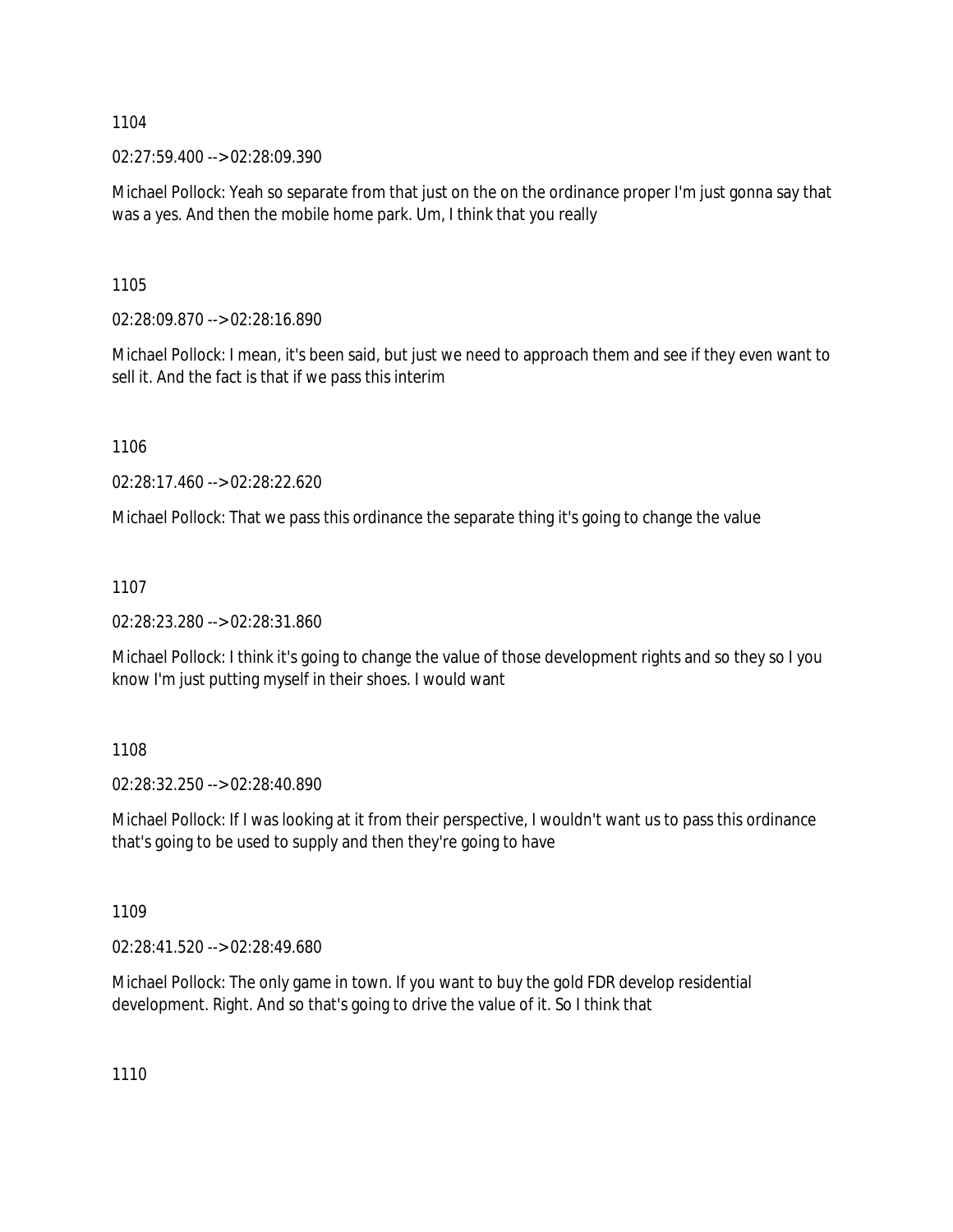02:27:59.400 --> 02:28:09.390

Michael Pollock: Yeah so separate from that just on the on the ordinance proper I'm just gonna say that was a yes. And then the mobile home park. Um, I think that you really

1105

02:28:09.870 --> 02:28:16.890

Michael Pollock: I mean, it's been said, but just we need to approach them and see if they even want to sell it. And the fact is that if we pass this interim

1106

02:28:17.460 --> 02:28:22.620

Michael Pollock: That we pass this ordinance the separate thing it's going to change the value

1107

02:28:23.280 --> 02:28:31.860

Michael Pollock: I think it's going to change the value of those development rights and so they so I you know I'm just putting myself in their shoes. I would want

1108

02:28:32.250 --> 02:28:40.890

Michael Pollock: If I was looking at it from their perspective, I wouldn't want us to pass this ordinance that's going to be used to supply and then they're going to have

1109

02:28:41.520 --> 02:28:49.680

Michael Pollock: The only game in town. If you want to buy the gold FDR develop residential development. Right. And so that's going to drive the value of it. So I think that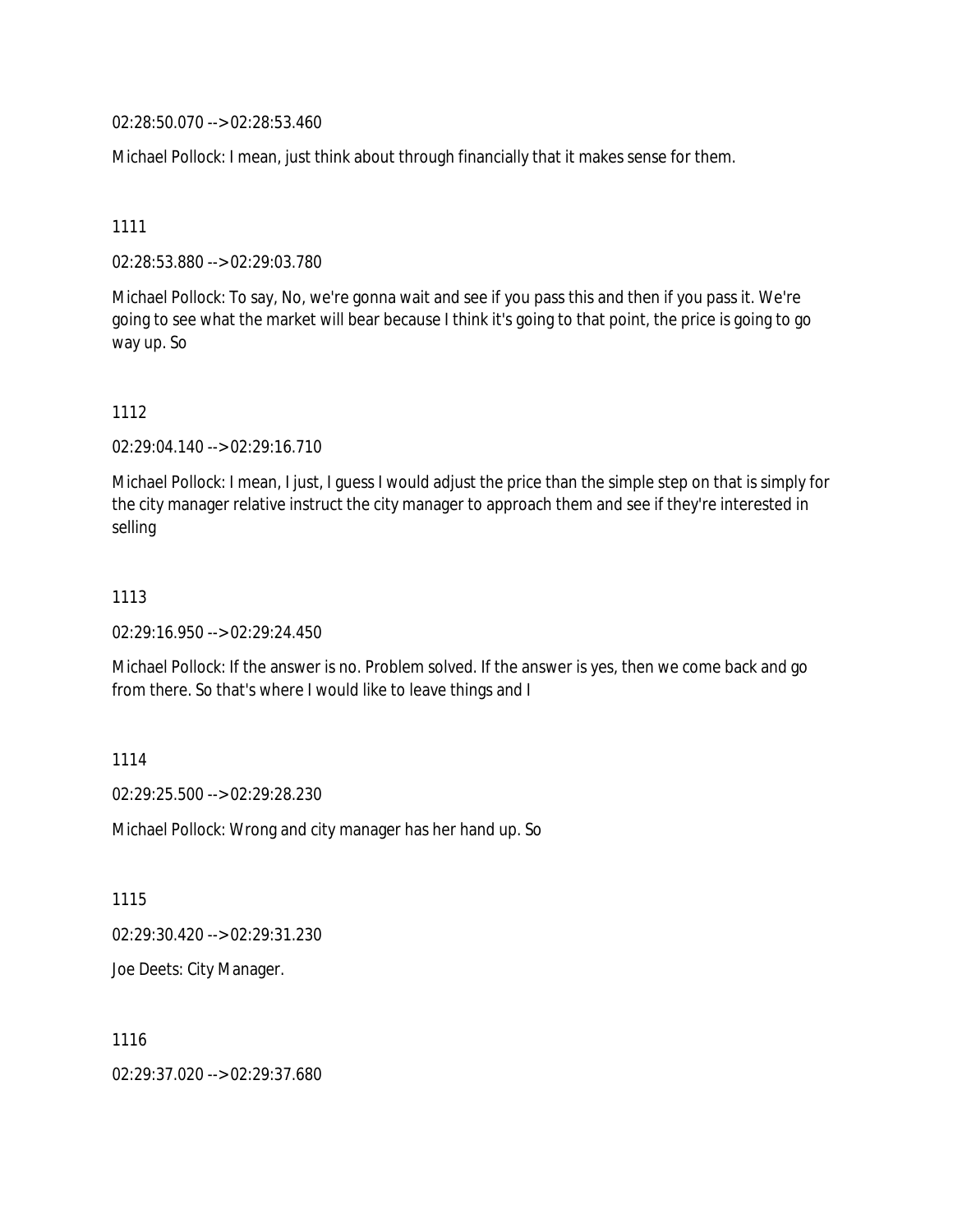02:28:50.070 --> 02:28:53.460

Michael Pollock: I mean, just think about through financially that it makes sense for them.

1111

02:28:53.880 --> 02:29:03.780

Michael Pollock: To say, No, we're gonna wait and see if you pass this and then if you pass it. We're going to see what the market will bear because I think it's going to that point, the price is going to go way up. So

#### 1112

02:29:04.140 --> 02:29:16.710

Michael Pollock: I mean, I just, I guess I would adjust the price than the simple step on that is simply for the city manager relative instruct the city manager to approach them and see if they're interested in selling

#### 1113

02:29:16.950 --> 02:29:24.450

Michael Pollock: If the answer is no. Problem solved. If the answer is yes, then we come back and go from there. So that's where I would like to leave things and I

1114

02:29:25.500 --> 02:29:28.230

Michael Pollock: Wrong and city manager has her hand up. So

1115

02:29:30.420 --> 02:29:31.230

Joe Deets: City Manager.

1116

02:29:37.020 --> 02:29:37.680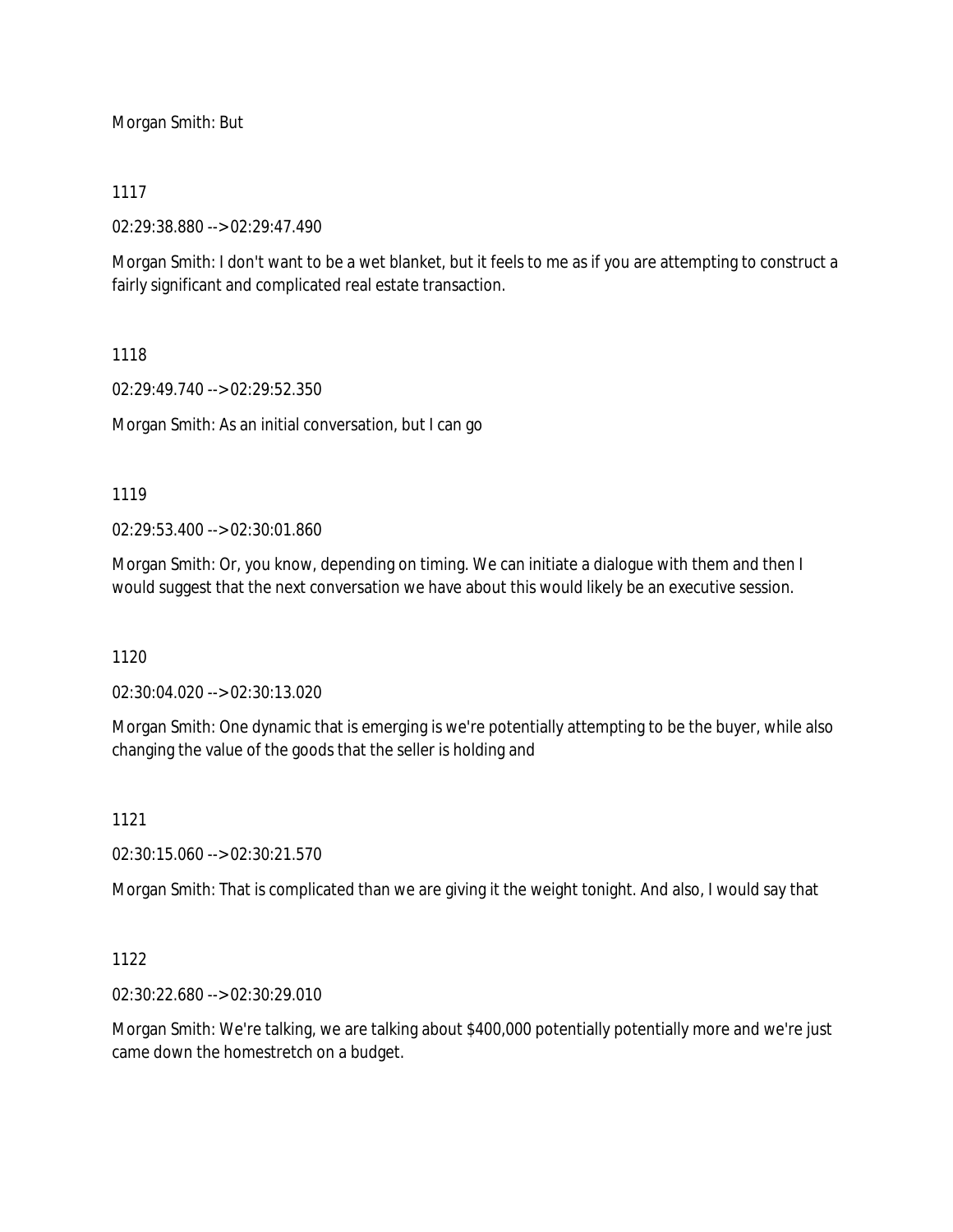Morgan Smith: But

## 1117

02:29:38.880 --> 02:29:47.490

Morgan Smith: I don't want to be a wet blanket, but it feels to me as if you are attempting to construct a fairly significant and complicated real estate transaction.

## 1118

02:29:49.740 --> 02:29:52.350

Morgan Smith: As an initial conversation, but I can go

## 1119

02:29:53.400 --> 02:30:01.860

Morgan Smith: Or, you know, depending on timing. We can initiate a dialogue with them and then I would suggest that the next conversation we have about this would likely be an executive session.

## 1120

02:30:04.020 --> 02:30:13.020

Morgan Smith: One dynamic that is emerging is we're potentially attempting to be the buyer, while also changing the value of the goods that the seller is holding and

# 1121

02:30:15.060 --> 02:30:21.570

Morgan Smith: That is complicated than we are giving it the weight tonight. And also, I would say that

# 1122

02:30:22.680 --> 02:30:29.010

Morgan Smith: We're talking, we are talking about \$400,000 potentially potentially more and we're just came down the homestretch on a budget.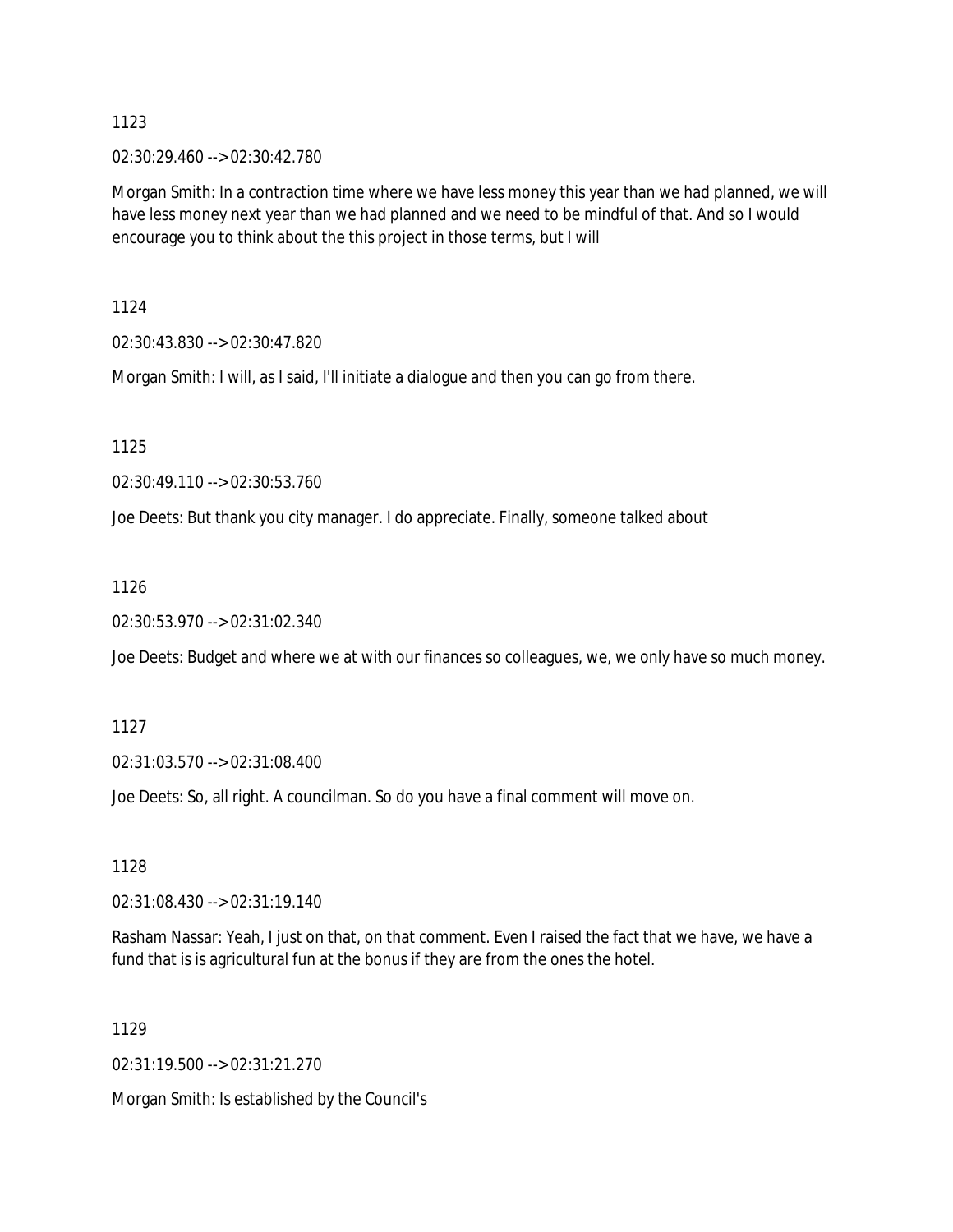02:30:29.460 --> 02:30:42.780

Morgan Smith: In a contraction time where we have less money this year than we had planned, we will have less money next year than we had planned and we need to be mindful of that. And so I would encourage you to think about the this project in those terms, but I will

1124

02:30:43.830 --> 02:30:47.820

Morgan Smith: I will, as I said, I'll initiate a dialogue and then you can go from there.

1125

02:30:49.110 --> 02:30:53.760

Joe Deets: But thank you city manager. I do appreciate. Finally, someone talked about

1126

02:30:53.970 --> 02:31:02.340

Joe Deets: Budget and where we at with our finances so colleagues, we, we only have so much money.

1127

02:31:03.570 --> 02:31:08.400

Joe Deets: So, all right. A councilman. So do you have a final comment will move on.

1128

02:31:08.430 --> 02:31:19.140

Rasham Nassar: Yeah, I just on that, on that comment. Even I raised the fact that we have, we have a fund that is is agricultural fun at the bonus if they are from the ones the hotel.

1129

02:31:19.500 --> 02:31:21.270

Morgan Smith: Is established by the Council's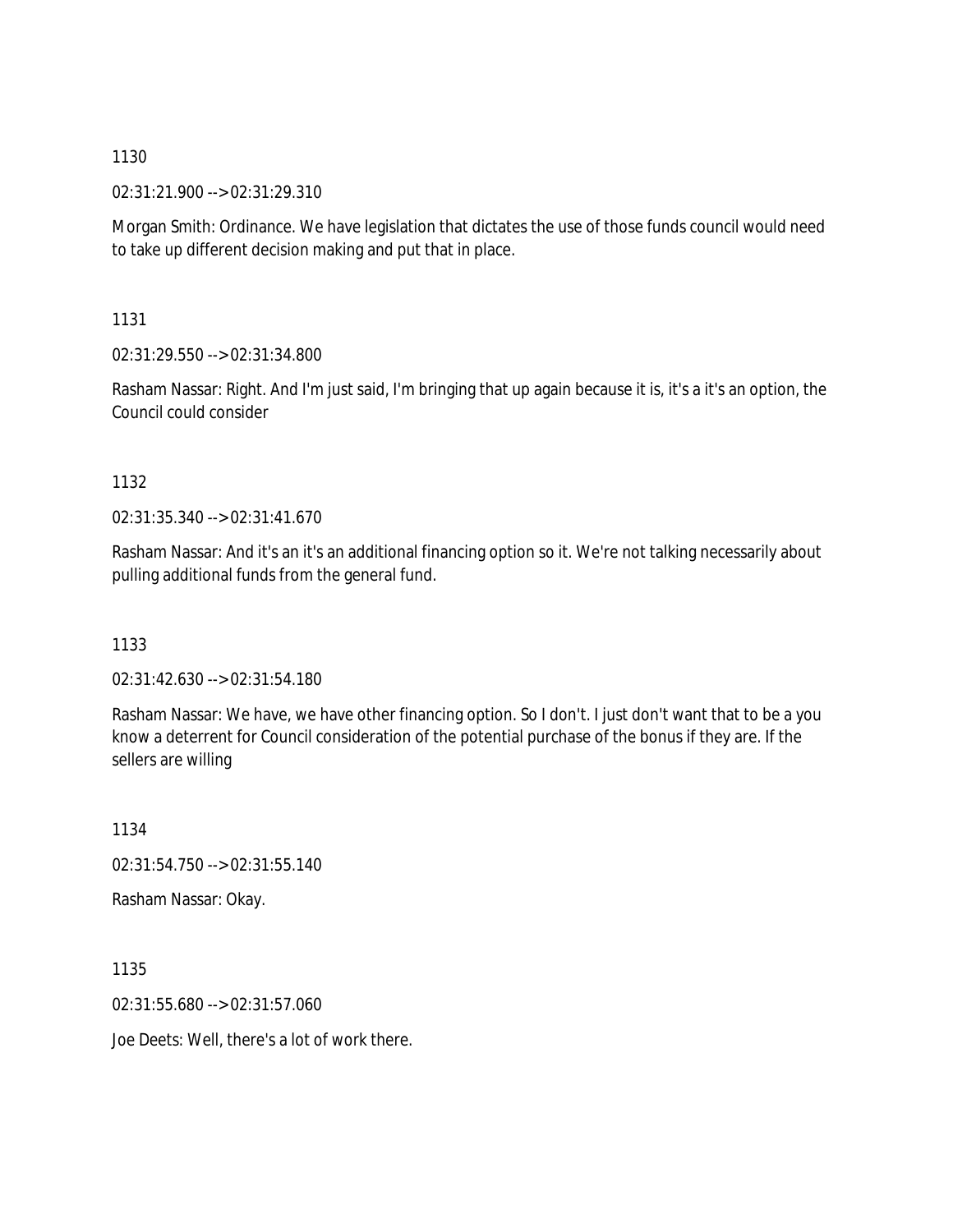02:31:21.900 --> 02:31:29.310

Morgan Smith: Ordinance. We have legislation that dictates the use of those funds council would need to take up different decision making and put that in place.

1131

02:31:29.550 --> 02:31:34.800

Rasham Nassar: Right. And I'm just said, I'm bringing that up again because it is, it's a it's an option, the Council could consider

1132

02:31:35.340 --> 02:31:41.670

Rasham Nassar: And it's an it's an additional financing option so it. We're not talking necessarily about pulling additional funds from the general fund.

1133

02:31:42.630 --> 02:31:54.180

Rasham Nassar: We have, we have other financing option. So I don't. I just don't want that to be a you know a deterrent for Council consideration of the potential purchase of the bonus if they are. If the sellers are willing

1134 02:31:54.750 --> 02:31:55.140 Rasham Nassar: Okay.

1135 02:31:55.680 --> 02:31:57.060

Joe Deets: Well, there's a lot of work there.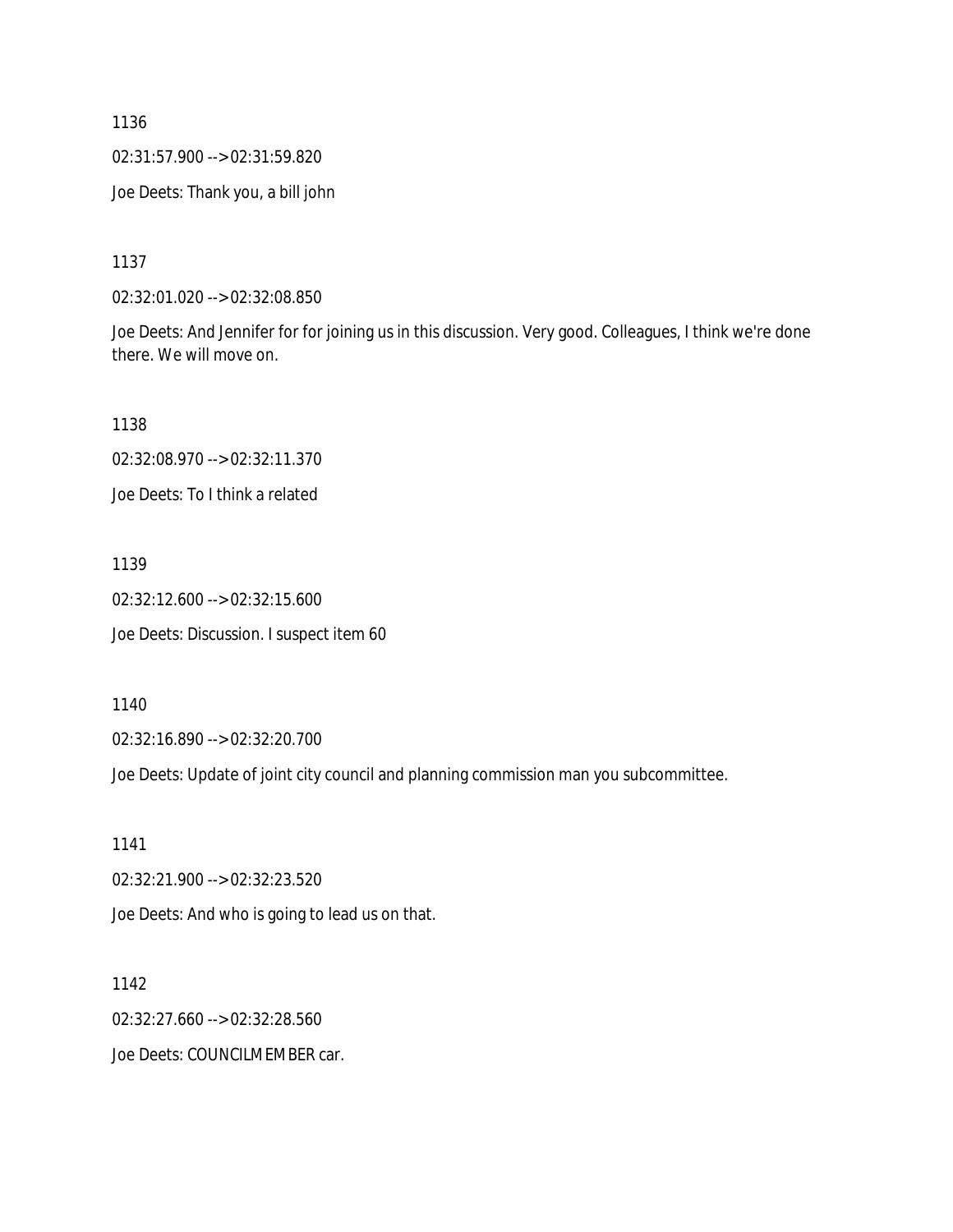02:31:57.900 --> 02:31:59.820

Joe Deets: Thank you, a bill john

1137

02:32:01.020 --> 02:32:08.850

Joe Deets: And Jennifer for for joining us in this discussion. Very good. Colleagues, I think we're done there. We will move on.

1138

02:32:08.970 --> 02:32:11.370

Joe Deets: To I think a related

1139

02:32:12.600 --> 02:32:15.600 Joe Deets: Discussion. I suspect item 60

1140

02:32:16.890 --> 02:32:20.700

Joe Deets: Update of joint city council and planning commission man you subcommittee.

1141

02:32:21.900 --> 02:32:23.520

Joe Deets: And who is going to lead us on that.

1142

02:32:27.660 --> 02:32:28.560

Joe Deets: COUNCILMEMBER car.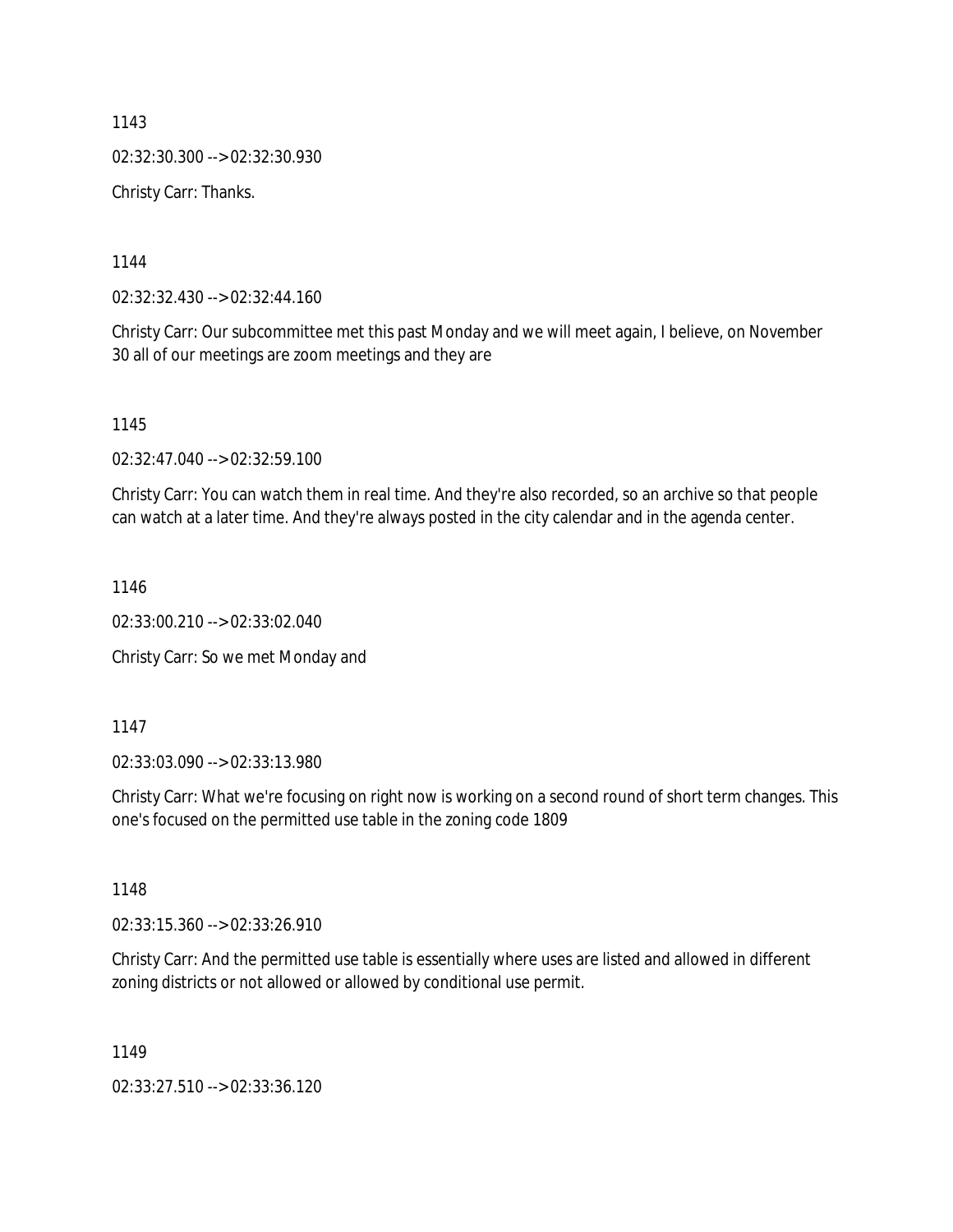1143 02:32:30.300 --> 02:32:30.930 Christy Carr: Thanks.

1144

02:32:32.430 --> 02:32:44.160

Christy Carr: Our subcommittee met this past Monday and we will meet again, I believe, on November 30 all of our meetings are zoom meetings and they are

1145

02:32:47.040 --> 02:32:59.100

Christy Carr: You can watch them in real time. And they're also recorded, so an archive so that people can watch at a later time. And they're always posted in the city calendar and in the agenda center.

1146

02:33:00.210 --> 02:33:02.040

Christy Carr: So we met Monday and

1147

02:33:03.090 --> 02:33:13.980

Christy Carr: What we're focusing on right now is working on a second round of short term changes. This one's focused on the permitted use table in the zoning code 1809

1148

02:33:15.360 --> 02:33:26.910

Christy Carr: And the permitted use table is essentially where uses are listed and allowed in different zoning districts or not allowed or allowed by conditional use permit.

1149

02:33:27.510 --> 02:33:36.120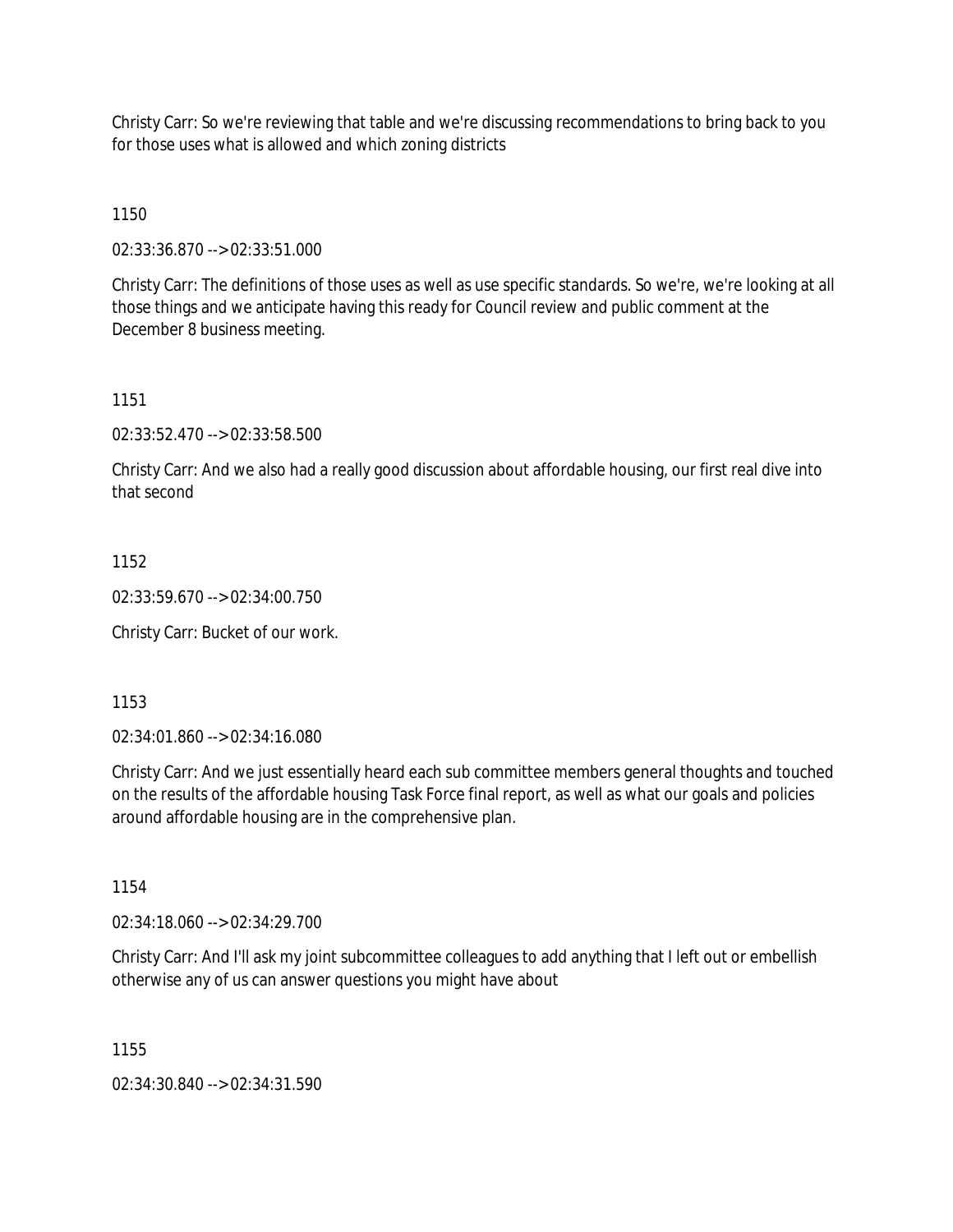Christy Carr: So we're reviewing that table and we're discussing recommendations to bring back to you for those uses what is allowed and which zoning districts

1150

02:33:36.870 --> 02:33:51.000

Christy Carr: The definitions of those uses as well as use specific standards. So we're, we're looking at all those things and we anticipate having this ready for Council review and public comment at the December 8 business meeting.

1151

02:33:52.470 --> 02:33:58.500

Christy Carr: And we also had a really good discussion about affordable housing, our first real dive into that second

1152

02:33:59.670 --> 02:34:00.750

Christy Carr: Bucket of our work.

1153

02:34:01.860 --> 02:34:16.080

Christy Carr: And we just essentially heard each sub committee members general thoughts and touched on the results of the affordable housing Task Force final report, as well as what our goals and policies around affordable housing are in the comprehensive plan.

1154

02:34:18.060 --> 02:34:29.700

Christy Carr: And I'll ask my joint subcommittee colleagues to add anything that I left out or embellish otherwise any of us can answer questions you might have about

1155

02:34:30.840 --> 02:34:31.590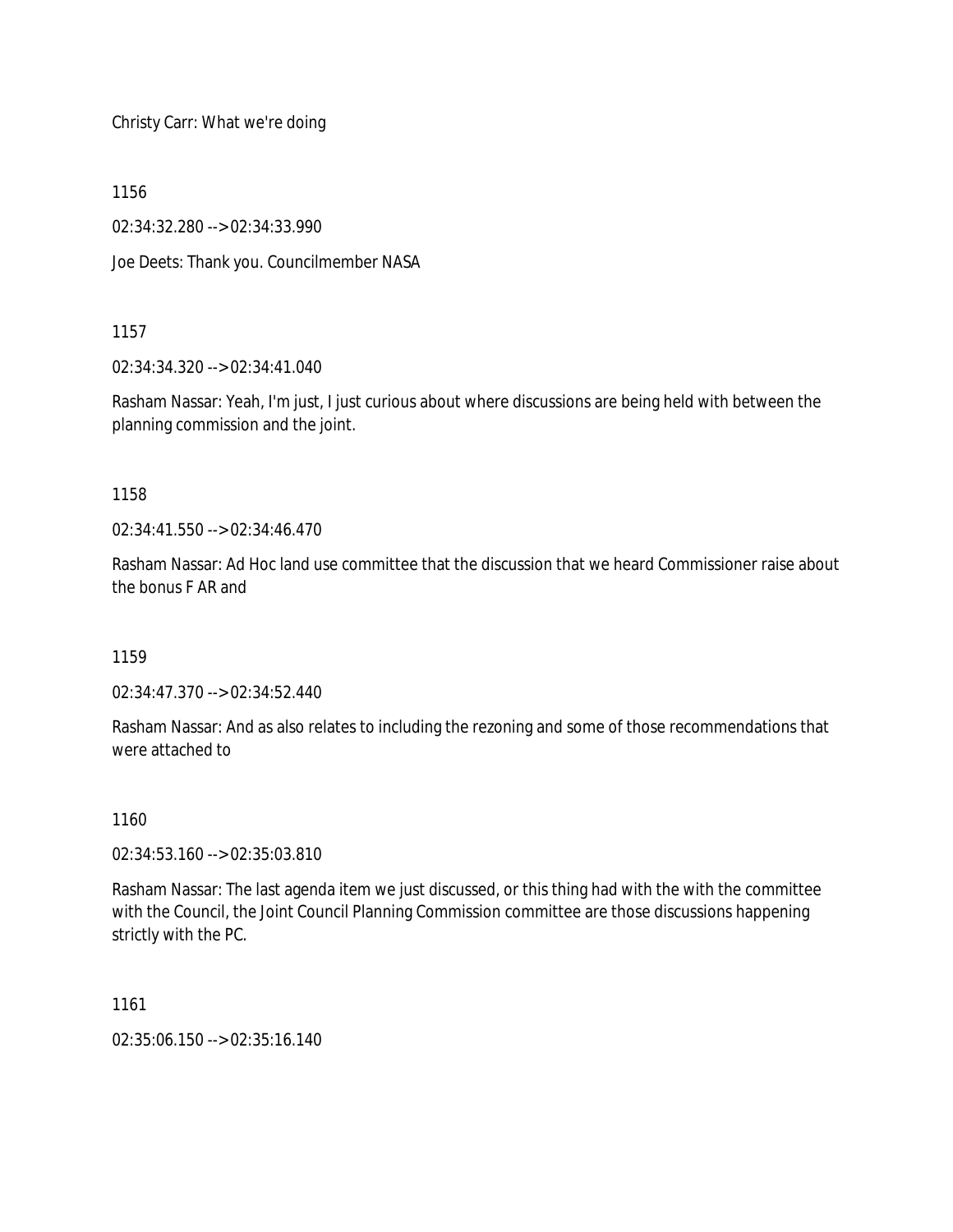Christy Carr: What we're doing

1156

02:34:32.280 --> 02:34:33.990

Joe Deets: Thank you. Councilmember NASA

#### 1157

02:34:34.320 --> 02:34:41.040

Rasham Nassar: Yeah, I'm just, I just curious about where discussions are being held with between the planning commission and the joint.

#### 1158

02:34:41.550 --> 02:34:46.470

Rasham Nassar: Ad Hoc land use committee that the discussion that we heard Commissioner raise about the bonus F AR and

1159

02:34:47.370 --> 02:34:52.440

Rasham Nassar: And as also relates to including the rezoning and some of those recommendations that were attached to

# 1160

02:34:53.160 --> 02:35:03.810

Rasham Nassar: The last agenda item we just discussed, or this thing had with the with the committee with the Council, the Joint Council Planning Commission committee are those discussions happening strictly with the PC.

1161

02:35:06.150 --> 02:35:16.140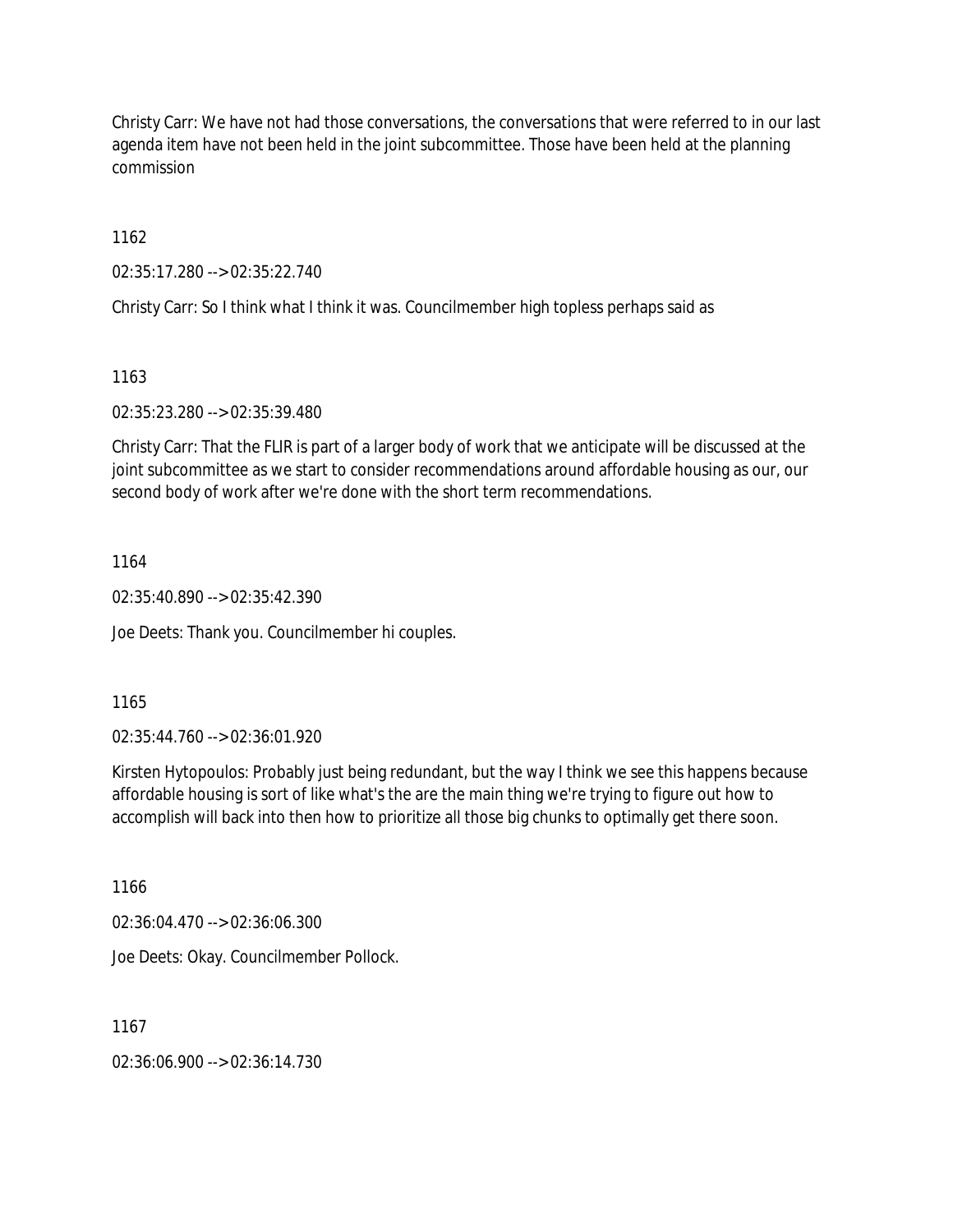Christy Carr: We have not had those conversations, the conversations that were referred to in our last agenda item have not been held in the joint subcommittee. Those have been held at the planning commission

1162

02:35:17.280 --> 02:35:22.740

Christy Carr: So I think what I think it was. Councilmember high topless perhaps said as

1163

02:35:23.280 --> 02:35:39.480

Christy Carr: That the FLIR is part of a larger body of work that we anticipate will be discussed at the joint subcommittee as we start to consider recommendations around affordable housing as our, our second body of work after we're done with the short term recommendations.

1164

02:35:40.890 --> 02:35:42.390

Joe Deets: Thank you. Councilmember hi couples.

1165

02:35:44.760 --> 02:36:01.920

Kirsten Hytopoulos: Probably just being redundant, but the way I think we see this happens because affordable housing is sort of like what's the are the main thing we're trying to figure out how to accomplish will back into then how to prioritize all those big chunks to optimally get there soon.

1166

02:36:04.470 --> 02:36:06.300

Joe Deets: Okay. Councilmember Pollock.

1167

02:36:06.900 --> 02:36:14.730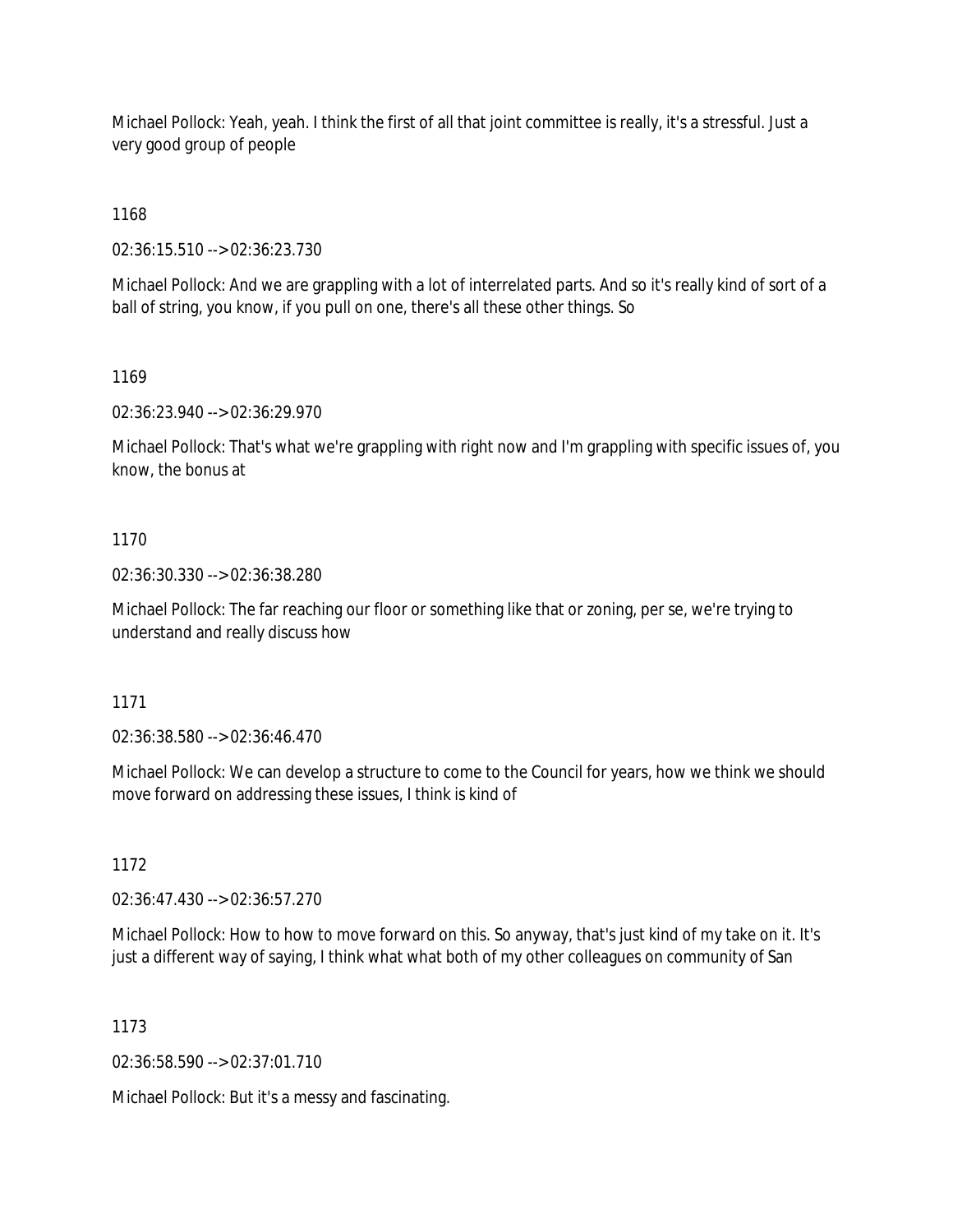Michael Pollock: Yeah, yeah. I think the first of all that joint committee is really, it's a stressful. Just a very good group of people

1168

02:36:15.510 --> 02:36:23.730

Michael Pollock: And we are grappling with a lot of interrelated parts. And so it's really kind of sort of a ball of string, you know, if you pull on one, there's all these other things. So

1169

02:36:23.940 --> 02:36:29.970

Michael Pollock: That's what we're grappling with right now and I'm grappling with specific issues of, you know, the bonus at

## 1170

02:36:30.330 --> 02:36:38.280

Michael Pollock: The far reaching our floor or something like that or zoning, per se, we're trying to understand and really discuss how

#### 1171

02:36:38.580 --> 02:36:46.470

Michael Pollock: We can develop a structure to come to the Council for years, how we think we should move forward on addressing these issues, I think is kind of

1172

02:36:47.430 --> 02:36:57.270

Michael Pollock: How to how to move forward on this. So anyway, that's just kind of my take on it. It's just a different way of saying, I think what what both of my other colleagues on community of San

#### 1173

02:36:58.590 --> 02:37:01.710

Michael Pollock: But it's a messy and fascinating.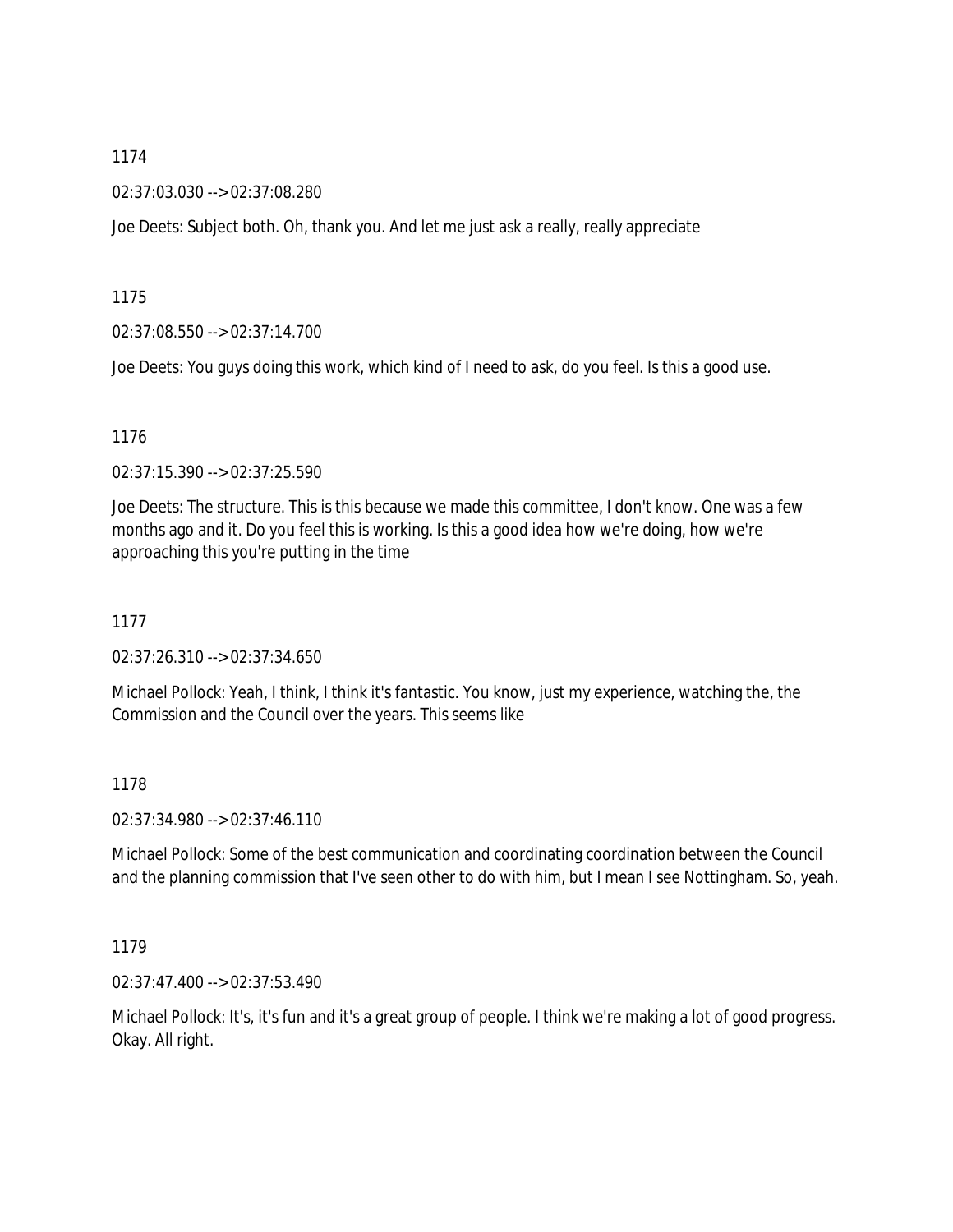02:37:03.030 --> 02:37:08.280

Joe Deets: Subject both. Oh, thank you. And let me just ask a really, really appreciate

1175

02:37:08.550 --> 02:37:14.700

Joe Deets: You guys doing this work, which kind of I need to ask, do you feel. Is this a good use.

#### 1176

02:37:15.390 --> 02:37:25.590

Joe Deets: The structure. This is this because we made this committee, I don't know. One was a few months ago and it. Do you feel this is working. Is this a good idea how we're doing, how we're approaching this you're putting in the time

1177

02:37:26.310 --> 02:37:34.650

Michael Pollock: Yeah, I think, I think it's fantastic. You know, just my experience, watching the, the Commission and the Council over the years. This seems like

1178

02:37:34.980 --> 02:37:46.110

Michael Pollock: Some of the best communication and coordinating coordination between the Council and the planning commission that I've seen other to do with him, but I mean I see Nottingham. So, yeah.

1179

02:37:47.400 --> 02:37:53.490

Michael Pollock: It's, it's fun and it's a great group of people. I think we're making a lot of good progress. Okay. All right.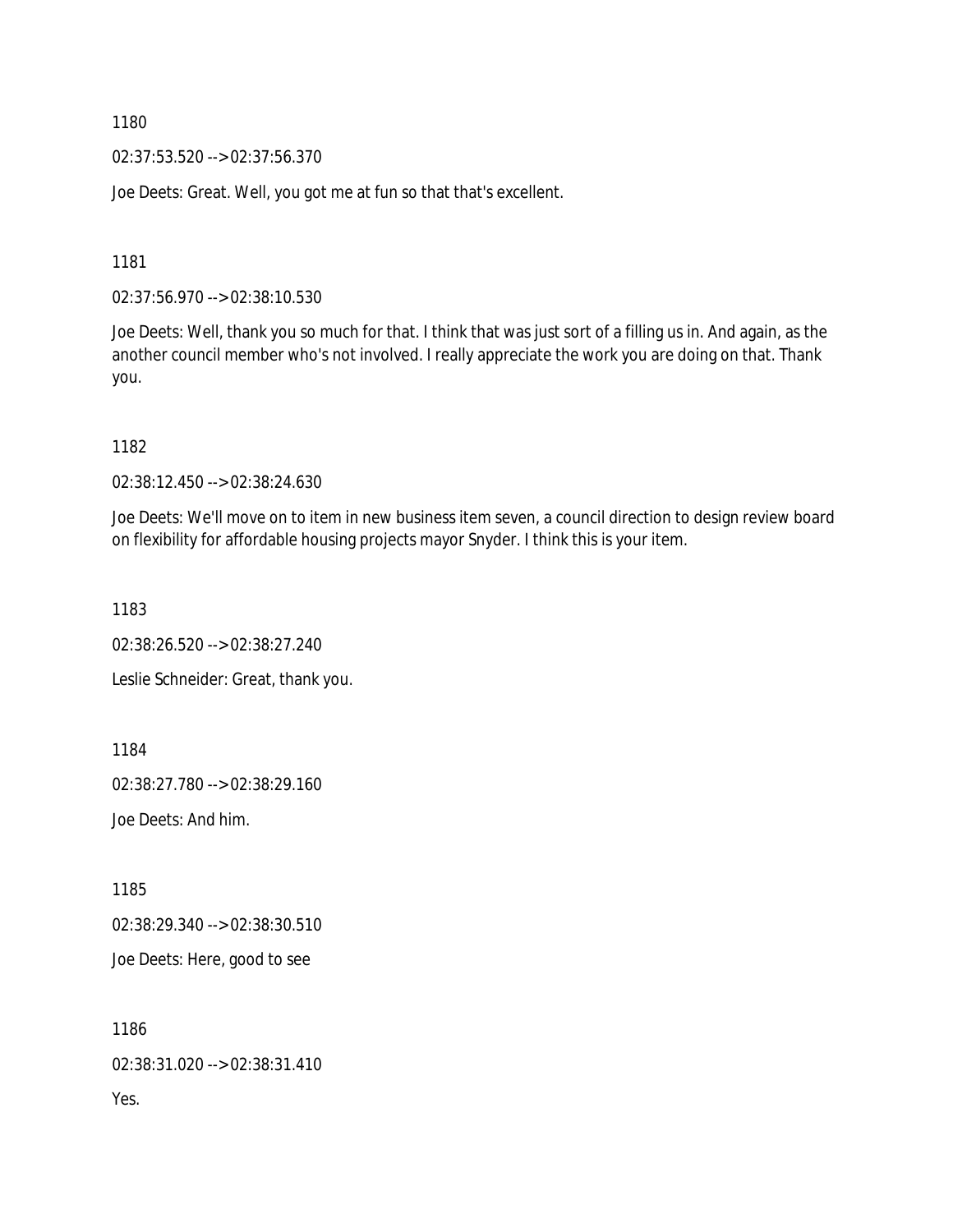02:37:53.520 --> 02:37:56.370

Joe Deets: Great. Well, you got me at fun so that that's excellent.

1181

02:37:56.970 --> 02:38:10.530

Joe Deets: Well, thank you so much for that. I think that was just sort of a filling us in. And again, as the another council member who's not involved. I really appreciate the work you are doing on that. Thank you.

1182

02:38:12.450 --> 02:38:24.630

Joe Deets: We'll move on to item in new business item seven, a council direction to design review board on flexibility for affordable housing projects mayor Snyder. I think this is your item.

1183

02:38:26.520 --> 02:38:27.240 Leslie Schneider: Great, thank you.

1184

02:38:27.780 --> 02:38:29.160

Joe Deets: And him.

1185

02:38:29.340 --> 02:38:30.510

Joe Deets: Here, good to see

1186 02:38:31.020 --> 02:38:31.410 Yes.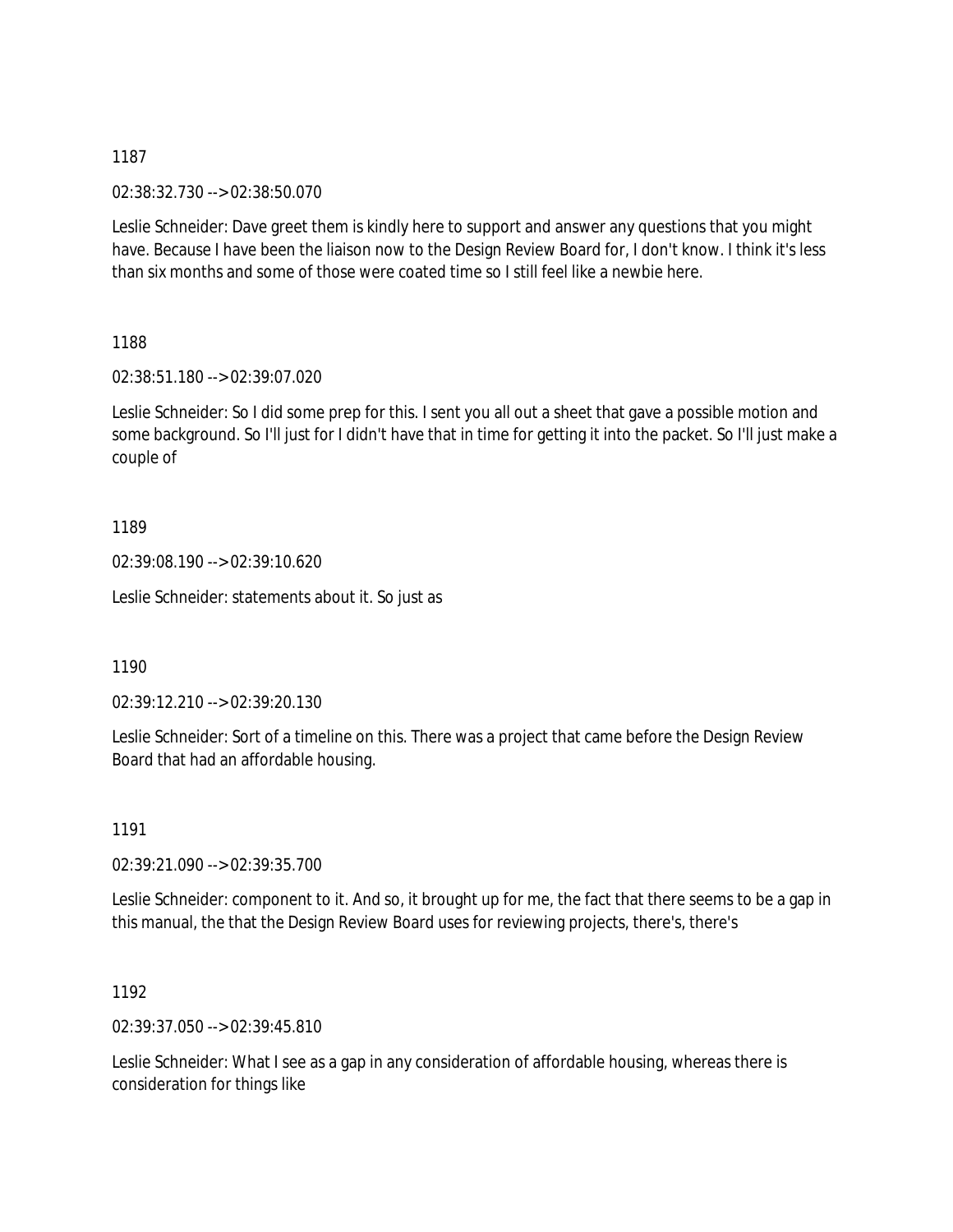02:38:32.730 --> 02:38:50.070

Leslie Schneider: Dave greet them is kindly here to support and answer any questions that you might have. Because I have been the liaison now to the Design Review Board for, I don't know. I think it's less than six months and some of those were coated time so I still feel like a newbie here.

1188

02:38:51.180 --> 02:39:07.020

Leslie Schneider: So I did some prep for this. I sent you all out a sheet that gave a possible motion and some background. So I'll just for I didn't have that in time for getting it into the packet. So I'll just make a couple of

1189

02:39:08.190 --> 02:39:10.620

Leslie Schneider: statements about it. So just as

1190

02:39:12.210 --> 02:39:20.130

Leslie Schneider: Sort of a timeline on this. There was a project that came before the Design Review Board that had an affordable housing.

1191

02:39:21.090 --> 02:39:35.700

Leslie Schneider: component to it. And so, it brought up for me, the fact that there seems to be a gap in this manual, the that the Design Review Board uses for reviewing projects, there's, there's

1192

02:39:37.050 --> 02:39:45.810

Leslie Schneider: What I see as a gap in any consideration of affordable housing, whereas there is consideration for things like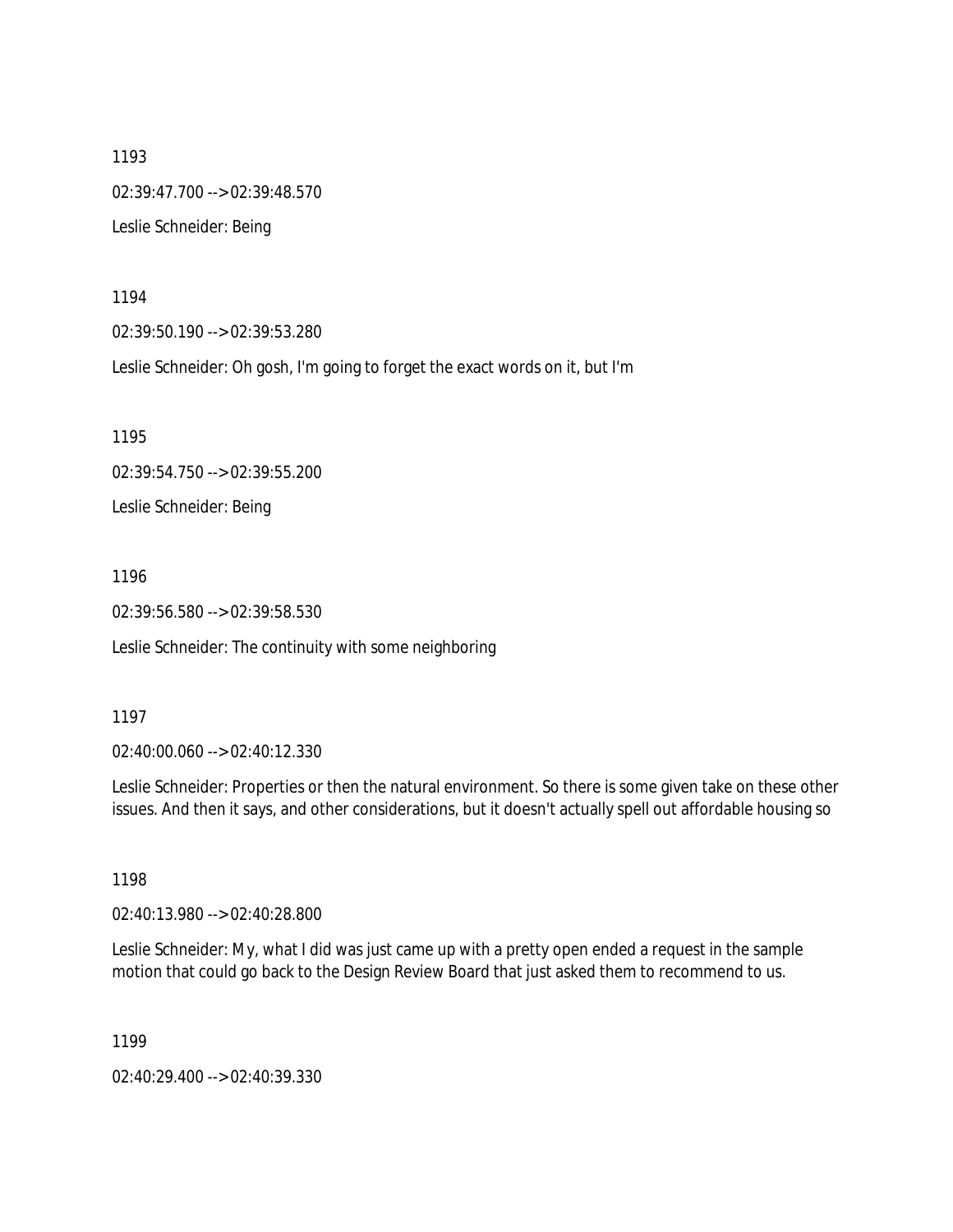1193 02:39:47.700 --> 02:39:48.570 Leslie Schneider: Being

1194

02:39:50.190 --> 02:39:53.280

Leslie Schneider: Oh gosh, I'm going to forget the exact words on it, but I'm

1195

02:39:54.750 --> 02:39:55.200

Leslie Schneider: Being

1196

02:39:56.580 --> 02:39:58.530

Leslie Schneider: The continuity with some neighboring

1197

02:40:00.060 --> 02:40:12.330

Leslie Schneider: Properties or then the natural environment. So there is some given take on these other issues. And then it says, and other considerations, but it doesn't actually spell out affordable housing so

1198

02:40:13.980 --> 02:40:28.800

Leslie Schneider: My, what I did was just came up with a pretty open ended a request in the sample motion that could go back to the Design Review Board that just asked them to recommend to us.

1199

02:40:29.400 --> 02:40:39.330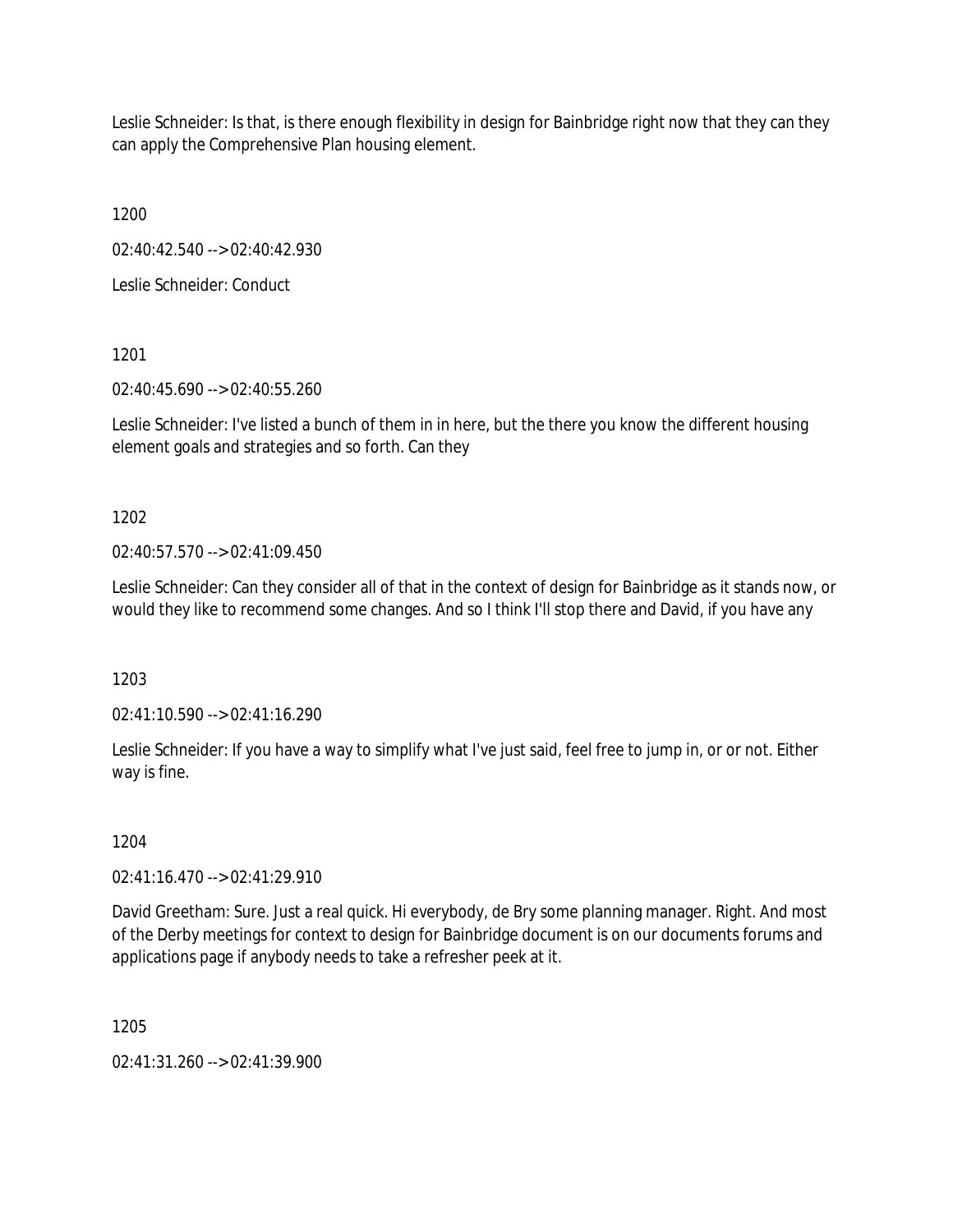Leslie Schneider: Is that, is there enough flexibility in design for Bainbridge right now that they can they can apply the Comprehensive Plan housing element.

1200

02:40:42.540 --> 02:40:42.930

Leslie Schneider: Conduct

1201

02:40:45.690 --> 02:40:55.260

Leslie Schneider: I've listed a bunch of them in in here, but the there you know the different housing element goals and strategies and so forth. Can they

1202

02:40:57.570 --> 02:41:09.450

Leslie Schneider: Can they consider all of that in the context of design for Bainbridge as it stands now, or would they like to recommend some changes. And so I think I'll stop there and David, if you have any

1203

02:41:10.590 --> 02:41:16.290

Leslie Schneider: If you have a way to simplify what I've just said, feel free to jump in, or or not. Either way is fine.

1204

02:41:16.470 --> 02:41:29.910

David Greetham: Sure. Just a real quick. Hi everybody, de Bry some planning manager. Right. And most of the Derby meetings for context to design for Bainbridge document is on our documents forums and applications page if anybody needs to take a refresher peek at it.

1205

02:41:31.260 --> 02:41:39.900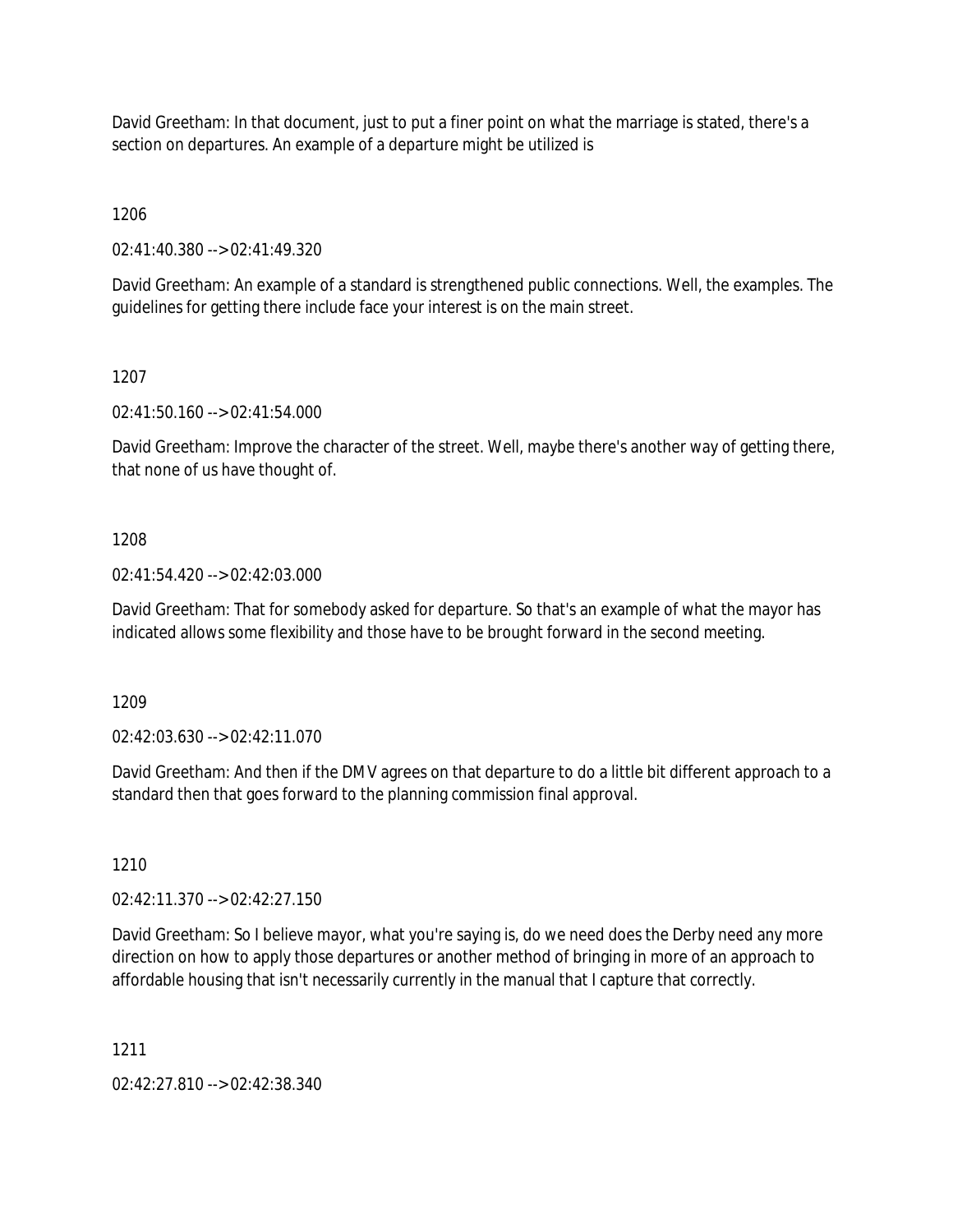David Greetham: In that document, just to put a finer point on what the marriage is stated, there's a section on departures. An example of a departure might be utilized is

1206

02:41:40.380 --> 02:41:49.320

David Greetham: An example of a standard is strengthened public connections. Well, the examples. The guidelines for getting there include face your interest is on the main street.

1207

02:41:50.160 --> 02:41:54.000

David Greetham: Improve the character of the street. Well, maybe there's another way of getting there, that none of us have thought of.

1208

02:41:54.420 --> 02:42:03.000

David Greetham: That for somebody asked for departure. So that's an example of what the mayor has indicated allows some flexibility and those have to be brought forward in the second meeting.

1209

02:42:03.630 --> 02:42:11.070

David Greetham: And then if the DMV agrees on that departure to do a little bit different approach to a standard then that goes forward to the planning commission final approval.

1210

02:42:11.370 --> 02:42:27.150

David Greetham: So I believe mayor, what you're saying is, do we need does the Derby need any more direction on how to apply those departures or another method of bringing in more of an approach to affordable housing that isn't necessarily currently in the manual that I capture that correctly.

1211

02:42:27.810 --> 02:42:38.340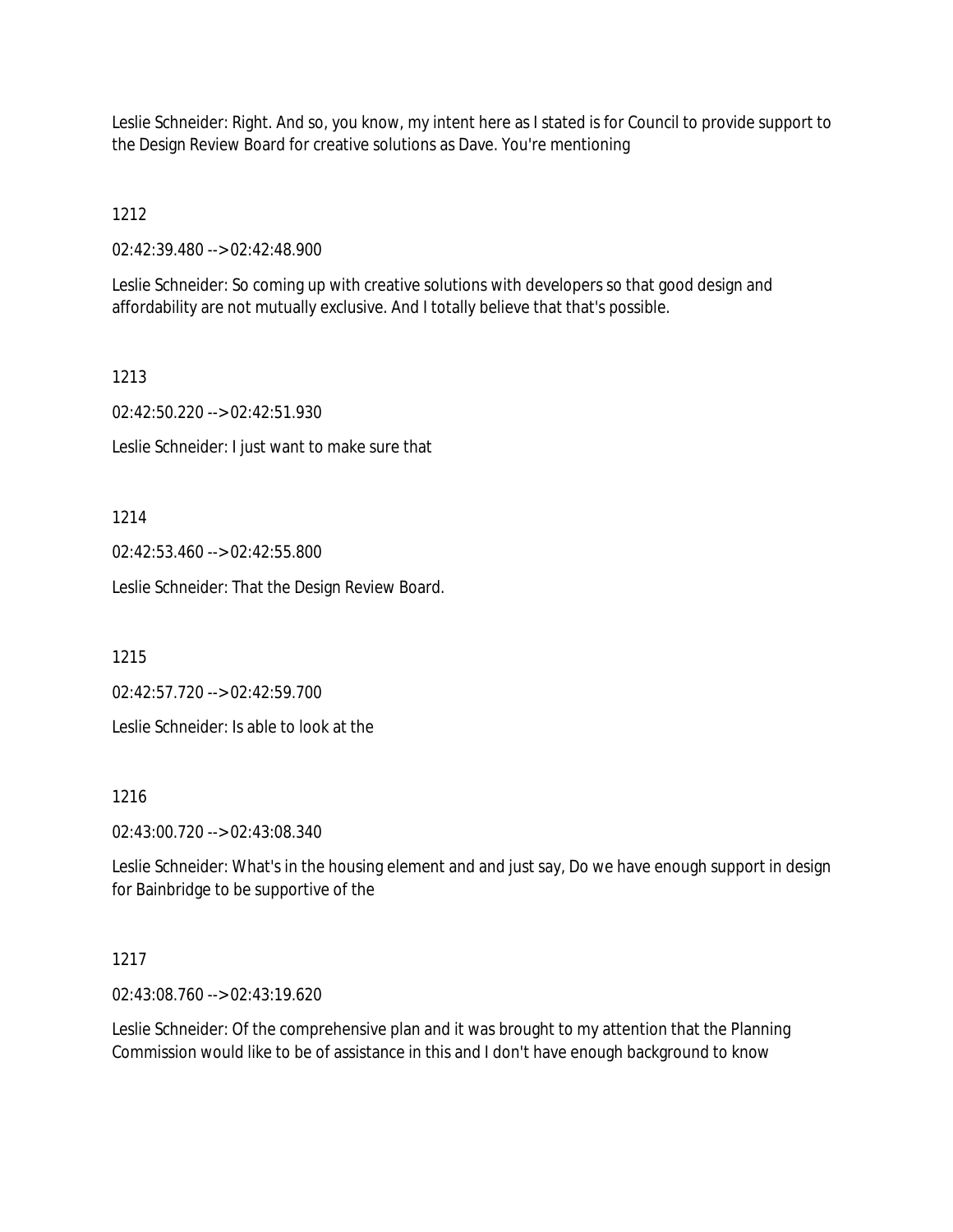Leslie Schneider: Right. And so, you know, my intent here as I stated is for Council to provide support to the Design Review Board for creative solutions as Dave. You're mentioning

1212

02:42:39.480 --> 02:42:48.900

Leslie Schneider: So coming up with creative solutions with developers so that good design and affordability are not mutually exclusive. And I totally believe that that's possible.

1213

02:42:50.220 --> 02:42:51.930

Leslie Schneider: I just want to make sure that

1214

02:42:53.460 --> 02:42:55.800

Leslie Schneider: That the Design Review Board.

1215

02:42:57.720 --> 02:42:59.700

Leslie Schneider: Is able to look at the

1216

02:43:00.720 --> 02:43:08.340

Leslie Schneider: What's in the housing element and and just say, Do we have enough support in design for Bainbridge to be supportive of the

# 1217

02:43:08.760 --> 02:43:19.620

Leslie Schneider: Of the comprehensive plan and it was brought to my attention that the Planning Commission would like to be of assistance in this and I don't have enough background to know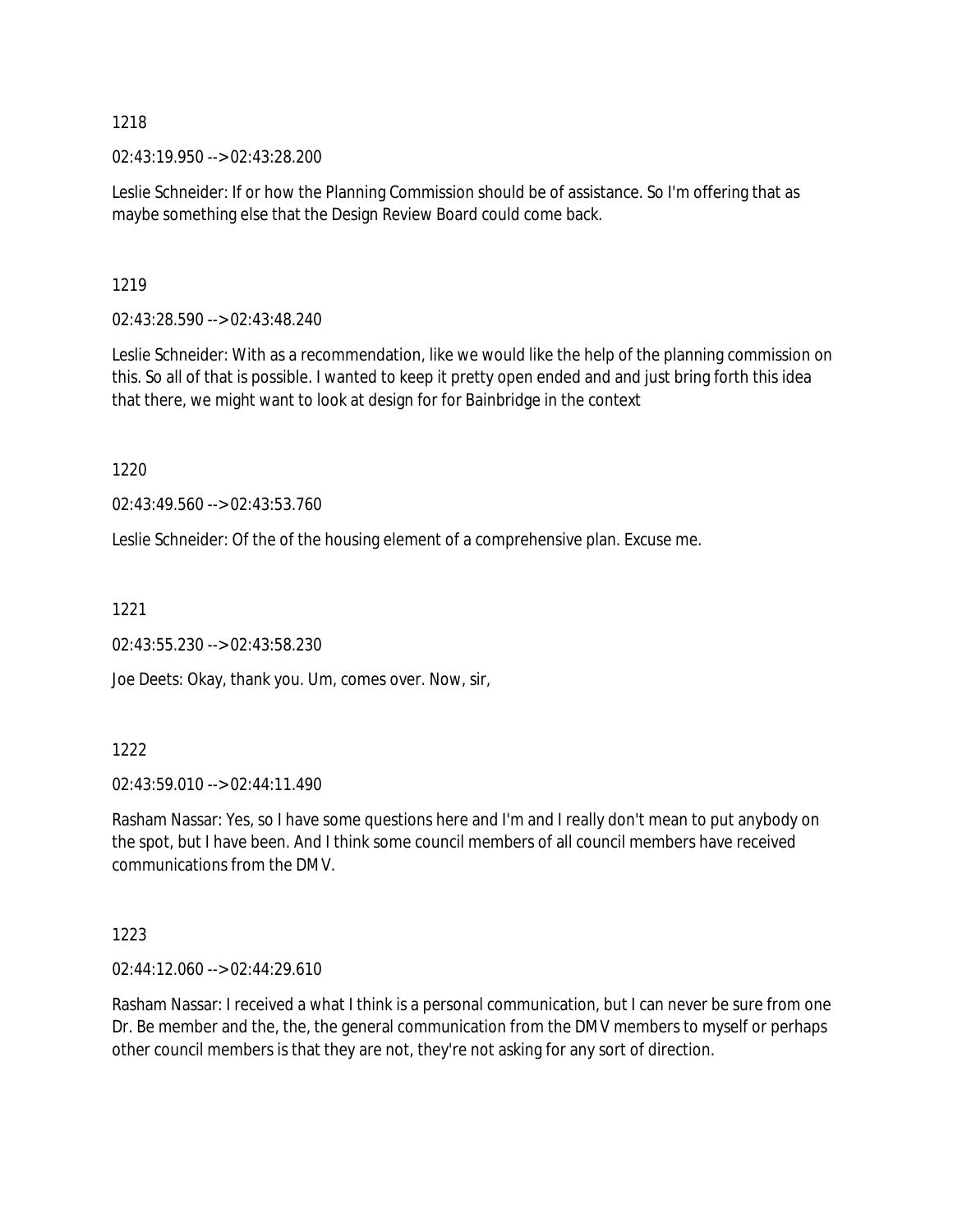02:43:19.950 --> 02:43:28.200

Leslie Schneider: If or how the Planning Commission should be of assistance. So I'm offering that as maybe something else that the Design Review Board could come back.

### 1219

02:43:28.590 --> 02:43:48.240

Leslie Schneider: With as a recommendation, like we would like the help of the planning commission on this. So all of that is possible. I wanted to keep it pretty open ended and and just bring forth this idea that there, we might want to look at design for for Bainbridge in the context

1220

02:43:49.560 --> 02:43:53.760

Leslie Schneider: Of the of the housing element of a comprehensive plan. Excuse me.

1221

02:43:55.230 --> 02:43:58.230

Joe Deets: Okay, thank you. Um, comes over. Now, sir,

#### 1222

02:43:59.010 --> 02:44:11.490

Rasham Nassar: Yes, so I have some questions here and I'm and I really don't mean to put anybody on the spot, but I have been. And I think some council members of all council members have received communications from the DMV.

#### 1223

02:44:12.060 --> 02:44:29.610

Rasham Nassar: I received a what I think is a personal communication, but I can never be sure from one Dr. Be member and the, the, the general communication from the DMV members to myself or perhaps other council members is that they are not, they're not asking for any sort of direction.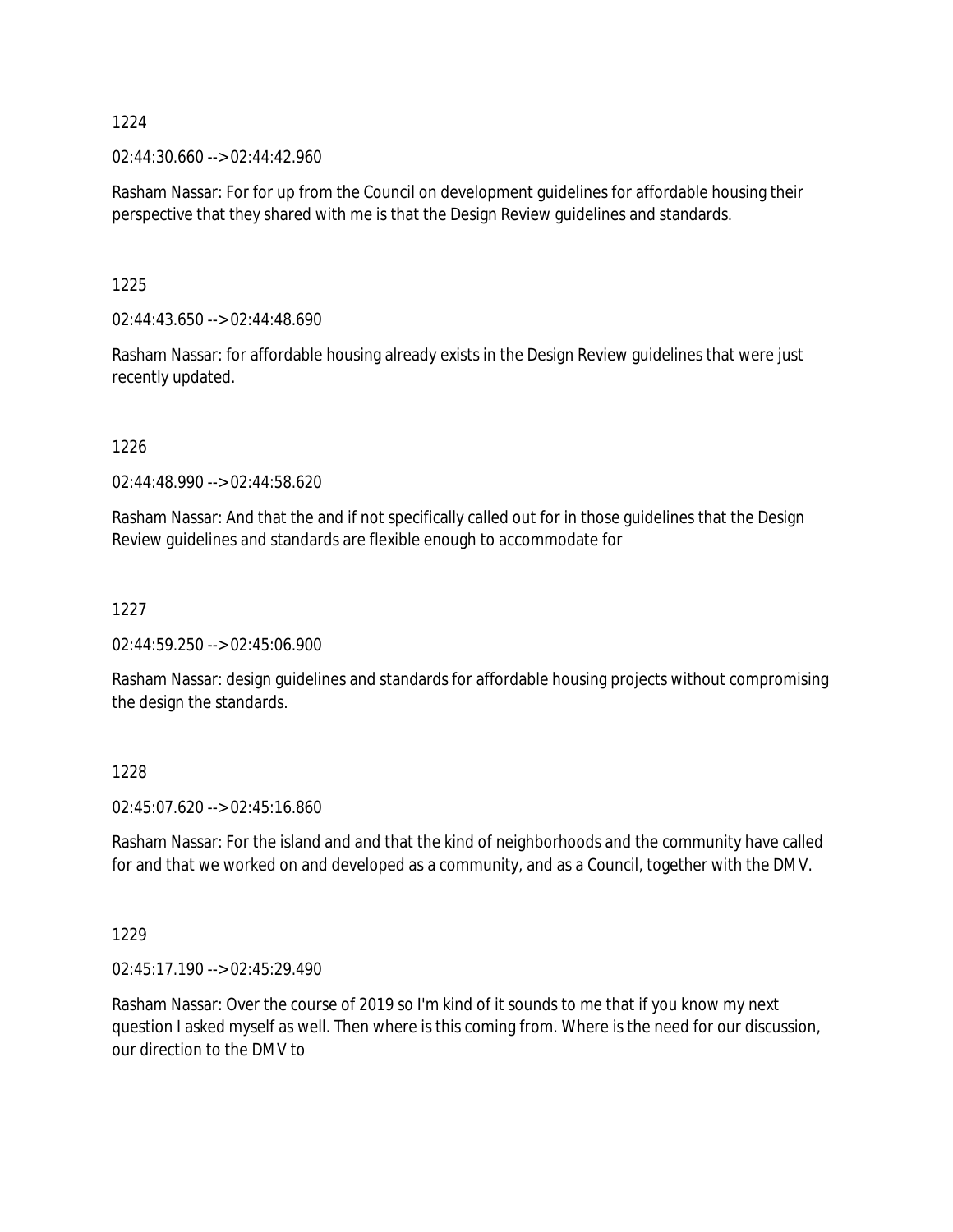$02:44:30.660 \rightarrow 02:44:42.960$ 

Rasham Nassar: For for up from the Council on development guidelines for affordable housing their perspective that they shared with me is that the Design Review guidelines and standards.

1225

 $02:44:43.650 \rightarrow 02:44:48.690$ 

Rasham Nassar: for affordable housing already exists in the Design Review guidelines that were just recently updated.

1226

02:44:48.990 --> 02:44:58.620

Rasham Nassar: And that the and if not specifically called out for in those guidelines that the Design Review guidelines and standards are flexible enough to accommodate for

1227

02:44:59.250 --> 02:45:06.900

Rasham Nassar: design guidelines and standards for affordable housing projects without compromising the design the standards.

1228

02:45:07.620 --> 02:45:16.860

Rasham Nassar: For the island and and that the kind of neighborhoods and the community have called for and that we worked on and developed as a community, and as a Council, together with the DMV.

1229

02:45:17.190 --> 02:45:29.490

Rasham Nassar: Over the course of 2019 so I'm kind of it sounds to me that if you know my next question I asked myself as well. Then where is this coming from. Where is the need for our discussion, our direction to the DMV to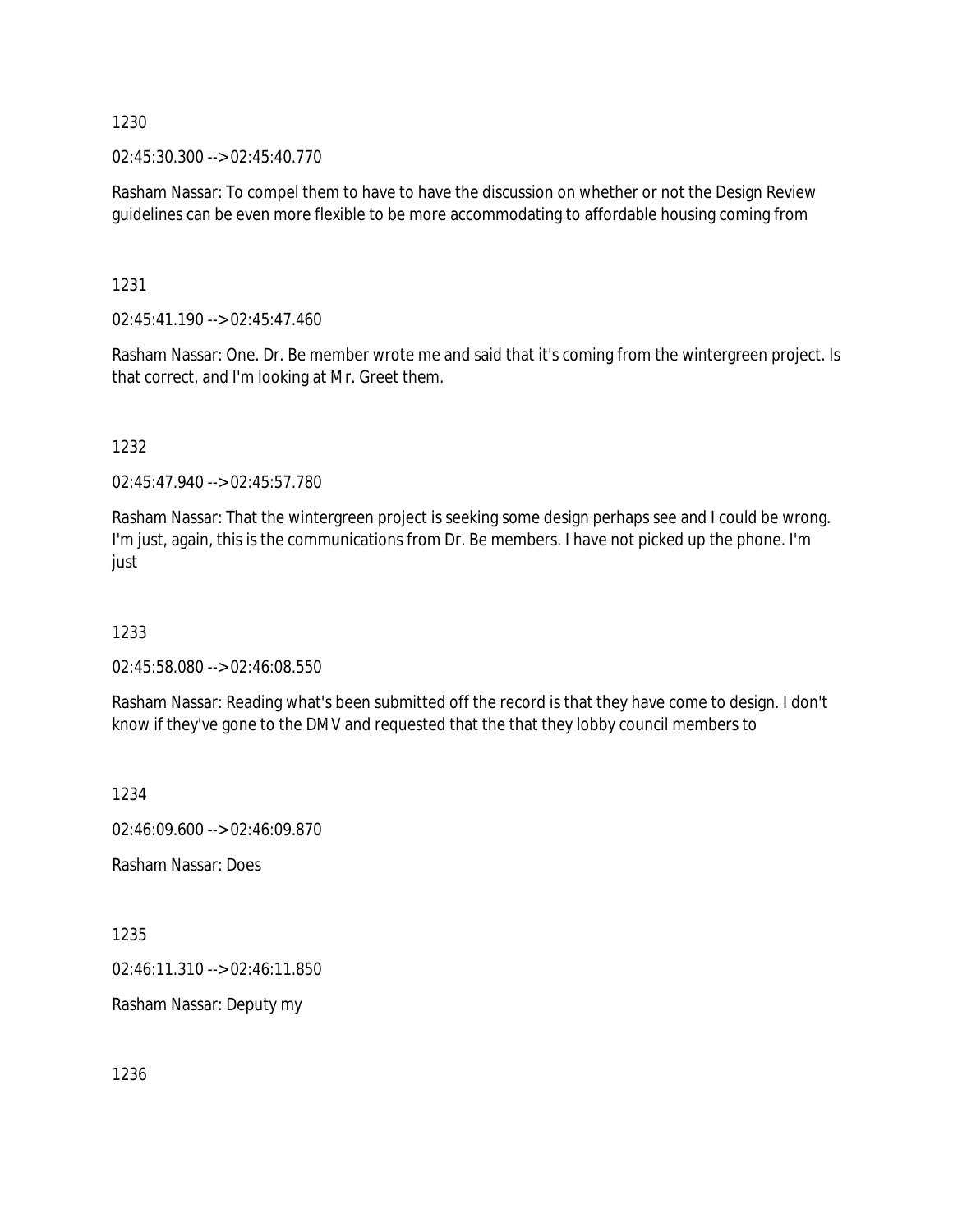02:45:30.300 --> 02:45:40.770

Rasham Nassar: To compel them to have to have the discussion on whether or not the Design Review guidelines can be even more flexible to be more accommodating to affordable housing coming from

1231

02:45:41.190 --> 02:45:47.460

Rasham Nassar: One. Dr. Be member wrote me and said that it's coming from the wintergreen project. Is that correct, and I'm looking at Mr. Greet them.

1232

02:45:47.940 --> 02:45:57.780

Rasham Nassar: That the wintergreen project is seeking some design perhaps see and I could be wrong. I'm just, again, this is the communications from Dr. Be members. I have not picked up the phone. I'm just

1233

02:45:58.080 --> 02:46:08.550

Rasham Nassar: Reading what's been submitted off the record is that they have come to design. I don't know if they've gone to the DMV and requested that the that they lobby council members to

1234

02:46:09.600 --> 02:46:09.870

Rasham Nassar: Does

1235

02:46:11.310 --> 02:46:11.850

Rasham Nassar: Deputy my

1236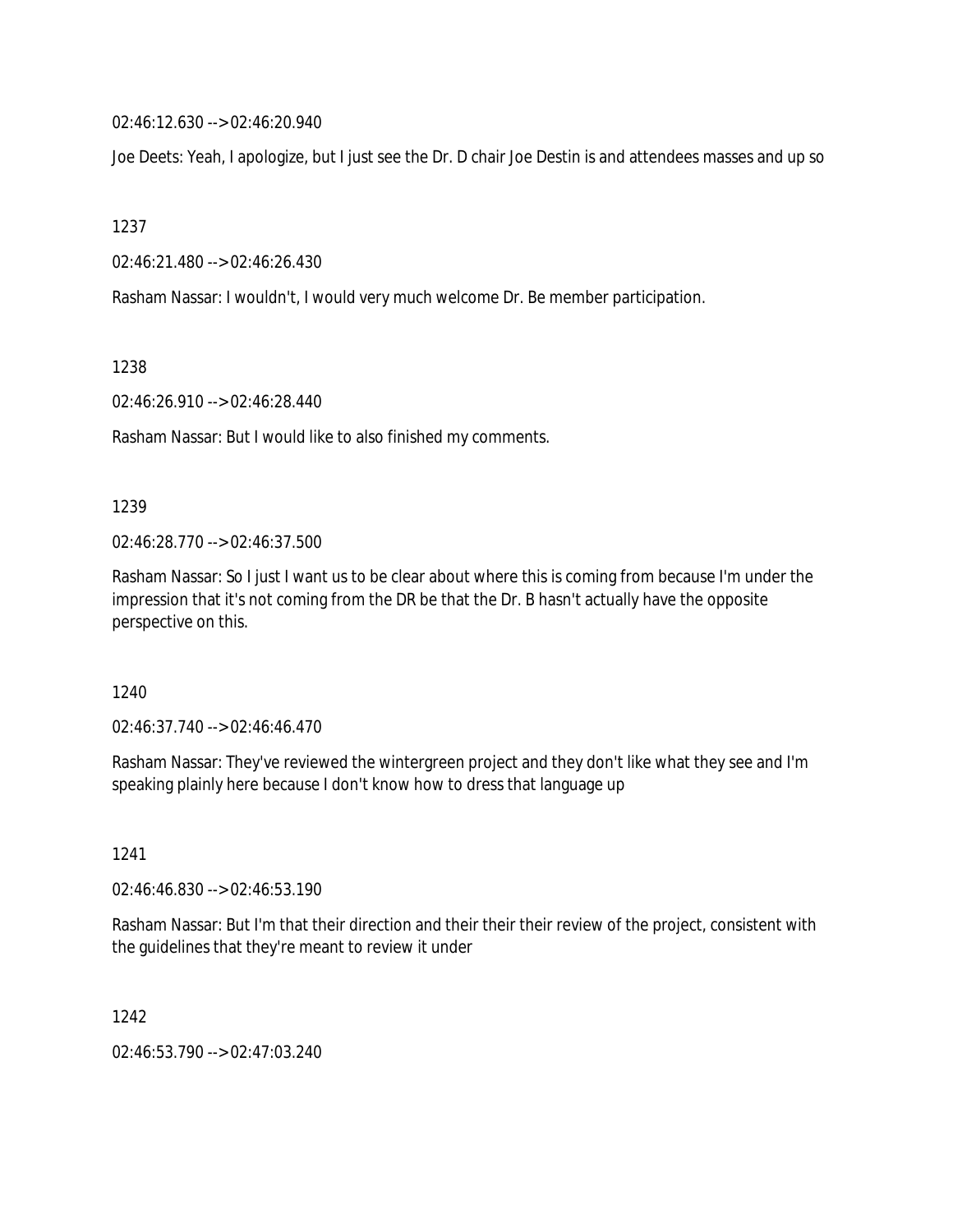02:46:12.630 --> 02:46:20.940

Joe Deets: Yeah, I apologize, but I just see the Dr. D chair Joe Destin is and attendees masses and up so

1237

02:46:21.480 --> 02:46:26.430

Rasham Nassar: I wouldn't, I would very much welcome Dr. Be member participation.

1238

02:46:26.910 --> 02:46:28.440

Rasham Nassar: But I would like to also finished my comments.

#### 1239

02:46:28.770 --> 02:46:37.500

Rasham Nassar: So I just I want us to be clear about where this is coming from because I'm under the impression that it's not coming from the DR be that the Dr. B hasn't actually have the opposite perspective on this.

#### 1240

02:46:37.740 --> 02:46:46.470

Rasham Nassar: They've reviewed the wintergreen project and they don't like what they see and I'm speaking plainly here because I don't know how to dress that language up

1241

02:46:46.830 --> 02:46:53.190

Rasham Nassar: But I'm that their direction and their their their review of the project, consistent with the guidelines that they're meant to review it under

1242

02:46:53.790 --> 02:47:03.240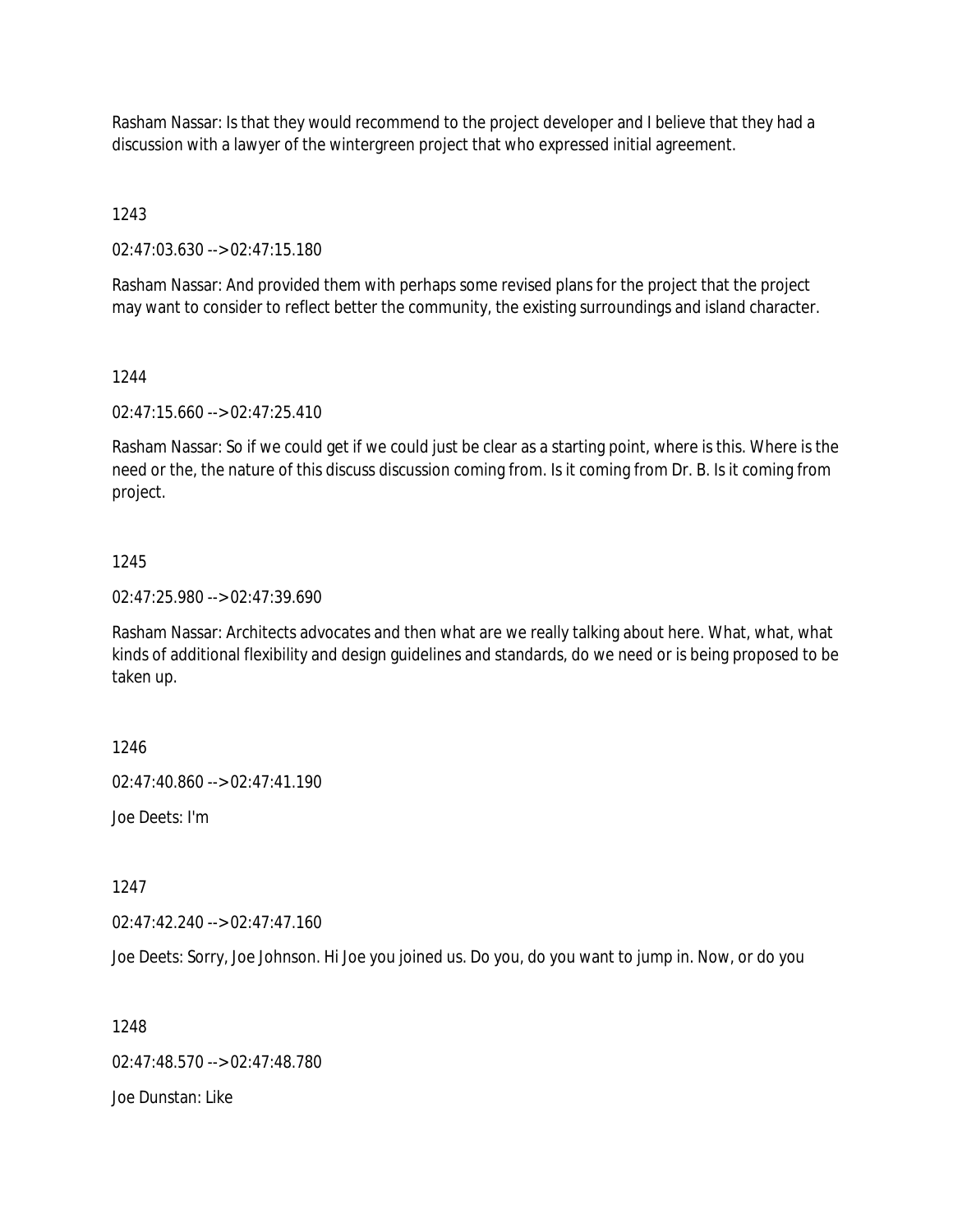Rasham Nassar: Is that they would recommend to the project developer and I believe that they had a discussion with a lawyer of the wintergreen project that who expressed initial agreement.

1243

02:47:03.630 --> 02:47:15.180

Rasham Nassar: And provided them with perhaps some revised plans for the project that the project may want to consider to reflect better the community, the existing surroundings and island character.

## 1244

02:47:15.660 --> 02:47:25.410

Rasham Nassar: So if we could get if we could just be clear as a starting point, where is this. Where is the need or the, the nature of this discuss discussion coming from. Is it coming from Dr. B. Is it coming from project.

## 1245

02:47:25.980 --> 02:47:39.690

Rasham Nassar: Architects advocates and then what are we really talking about here. What, what, what kinds of additional flexibility and design guidelines and standards, do we need or is being proposed to be taken up.

1246

02:47:40.860 --> 02:47:41.190

Joe Deets: I'm

1247

02:47:42.240 --> 02:47:47.160

Joe Deets: Sorry, Joe Johnson. Hi Joe you joined us. Do you, do you want to jump in. Now, or do you

1248

02:47:48.570 --> 02:47:48.780

Joe Dunstan: Like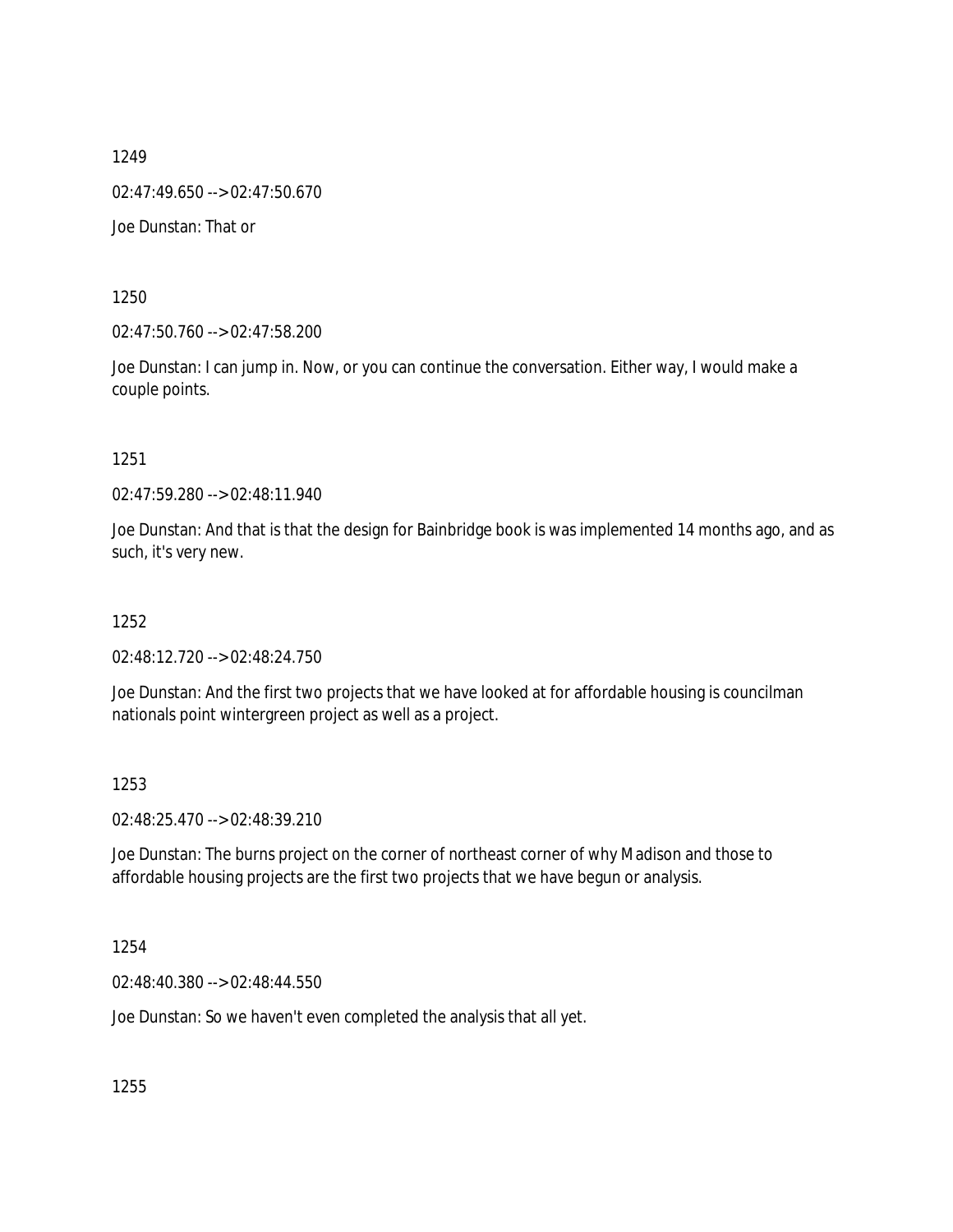1249 02:47:49.650 --> 02:47:50.670

Joe Dunstan: That or

1250

02:47:50.760 --> 02:47:58.200

Joe Dunstan: I can jump in. Now, or you can continue the conversation. Either way, I would make a couple points.

1251

02:47:59.280 --> 02:48:11.940

Joe Dunstan: And that is that the design for Bainbridge book is was implemented 14 months ago, and as such, it's very new.

1252

02:48:12.720 --> 02:48:24.750

Joe Dunstan: And the first two projects that we have looked at for affordable housing is councilman nationals point wintergreen project as well as a project.

1253

02:48:25.470 --> 02:48:39.210

Joe Dunstan: The burns project on the corner of northeast corner of why Madison and those to affordable housing projects are the first two projects that we have begun or analysis.

1254

02:48:40.380 --> 02:48:44.550

Joe Dunstan: So we haven't even completed the analysis that all yet.

1255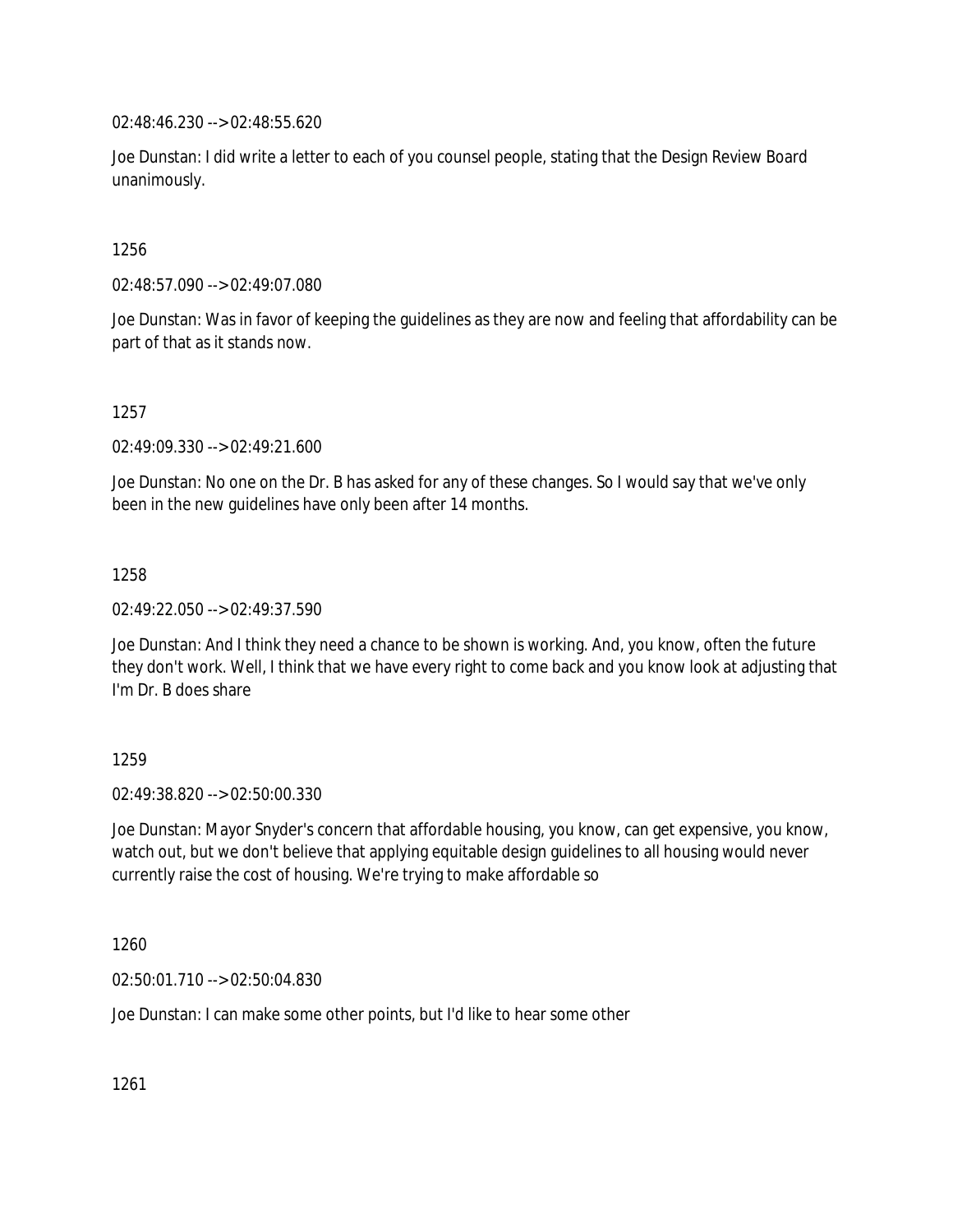02:48:46.230 --> 02:48:55.620

Joe Dunstan: I did write a letter to each of you counsel people, stating that the Design Review Board unanimously.

1256

02:48:57.090 --> 02:49:07.080

Joe Dunstan: Was in favor of keeping the guidelines as they are now and feeling that affordability can be part of that as it stands now.

1257

02:49:09.330 --> 02:49:21.600

Joe Dunstan: No one on the Dr. B has asked for any of these changes. So I would say that we've only been in the new guidelines have only been after 14 months.

1258

02:49:22.050 --> 02:49:37.590

Joe Dunstan: And I think they need a chance to be shown is working. And, you know, often the future they don't work. Well, I think that we have every right to come back and you know look at adjusting that I'm Dr. B does share

1259

02:49:38.820 --> 02:50:00.330

Joe Dunstan: Mayor Snyder's concern that affordable housing, you know, can get expensive, you know, watch out, but we don't believe that applying equitable design guidelines to all housing would never currently raise the cost of housing. We're trying to make affordable so

1260

02:50:01.710 --> 02:50:04.830

Joe Dunstan: I can make some other points, but I'd like to hear some other

1261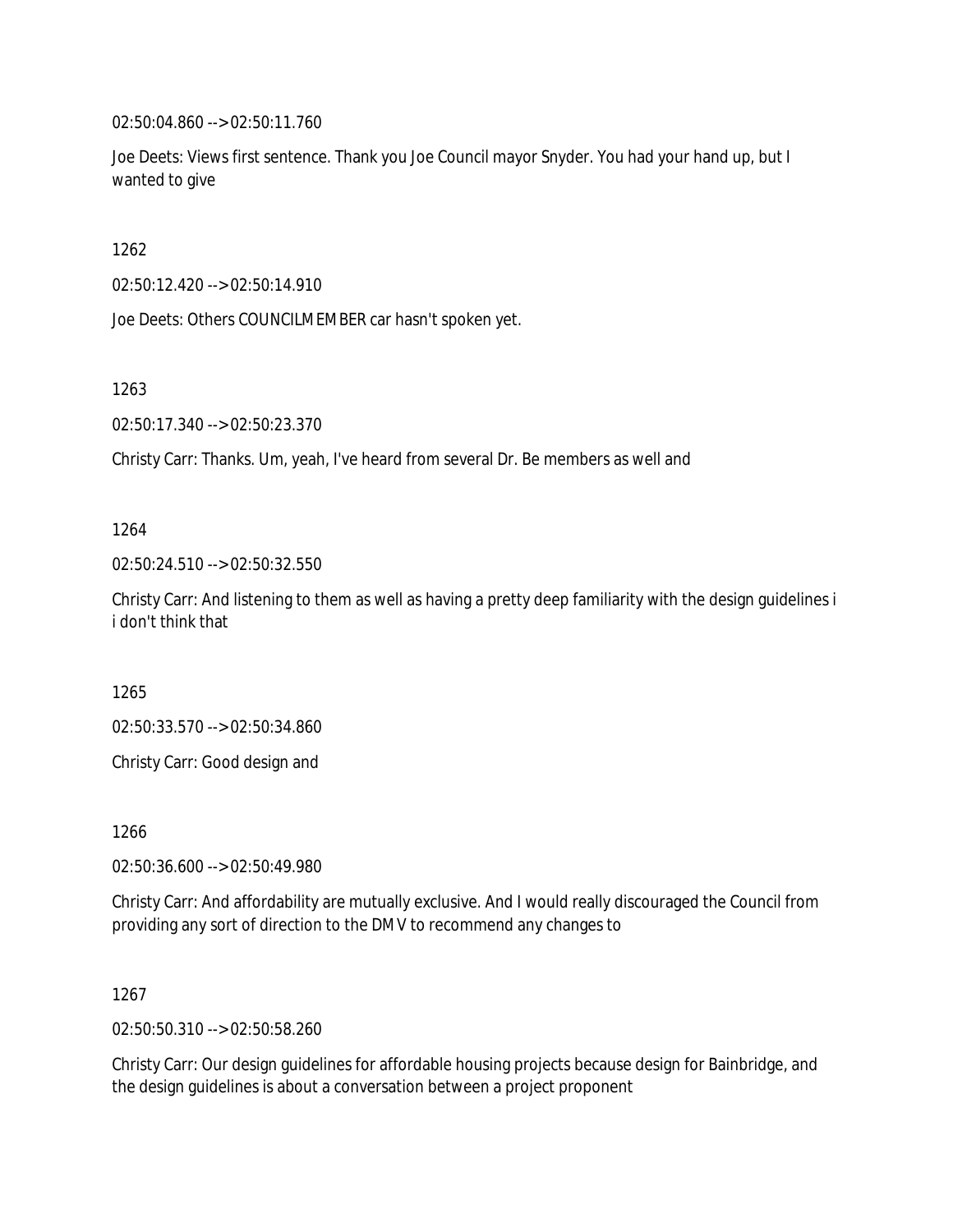02:50:04.860 --> 02:50:11.760

Joe Deets: Views first sentence. Thank you Joe Council mayor Snyder. You had your hand up, but I wanted to give

1262

02:50:12.420 --> 02:50:14.910

Joe Deets: Others COUNCILMEMBER car hasn't spoken yet.

1263

02:50:17.340 --> 02:50:23.370

Christy Carr: Thanks. Um, yeah, I've heard from several Dr. Be members as well and

1264

02:50:24.510 --> 02:50:32.550

Christy Carr: And listening to them as well as having a pretty deep familiarity with the design guidelines i i don't think that

1265

02:50:33.570 --> 02:50:34.860

Christy Carr: Good design and

1266

02:50:36.600 --> 02:50:49.980

Christy Carr: And affordability are mutually exclusive. And I would really discouraged the Council from providing any sort of direction to the DMV to recommend any changes to

1267

02:50:50.310 --> 02:50:58.260

Christy Carr: Our design guidelines for affordable housing projects because design for Bainbridge, and the design guidelines is about a conversation between a project proponent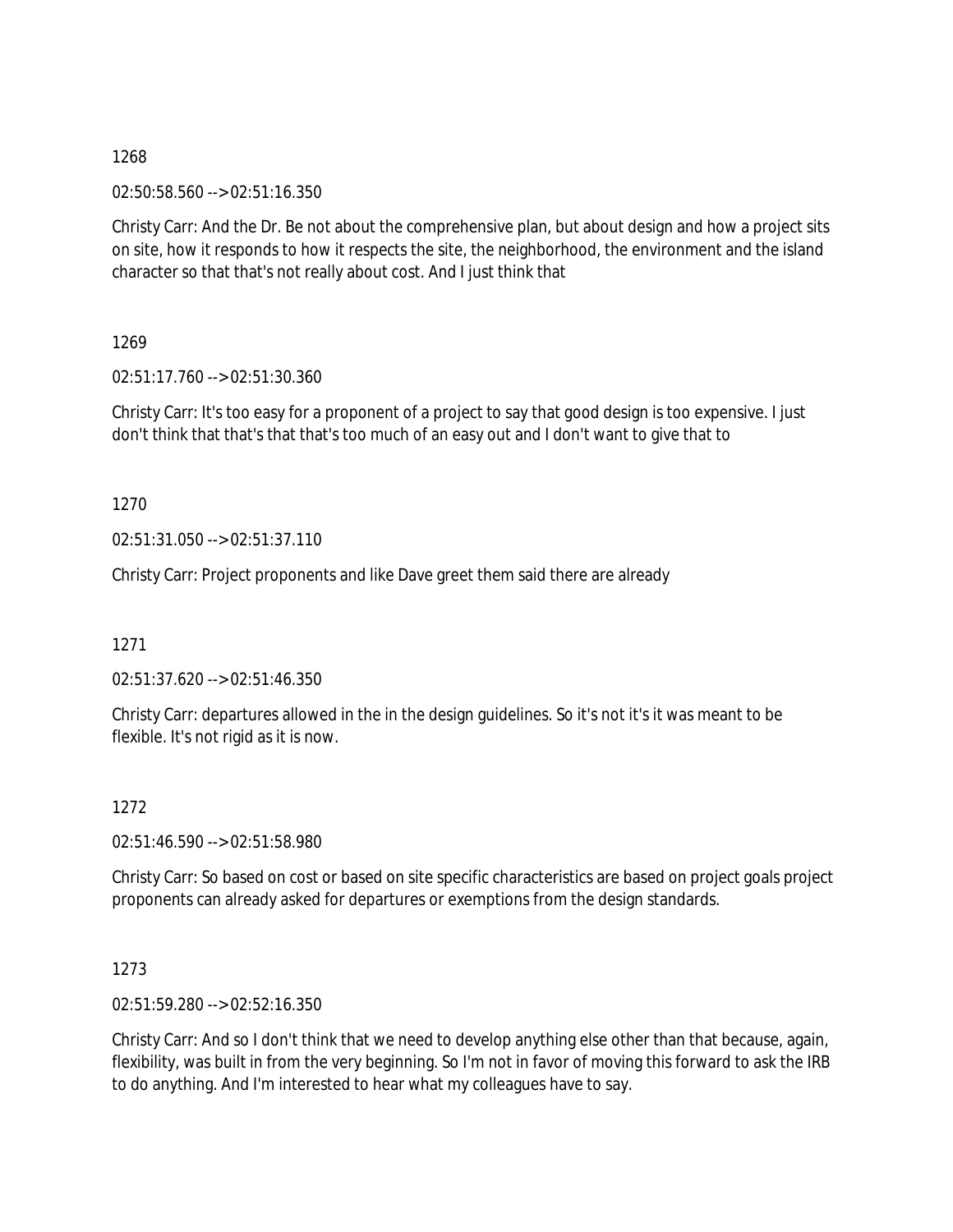02:50:58.560 --> 02:51:16.350

Christy Carr: And the Dr. Be not about the comprehensive plan, but about design and how a project sits on site, how it responds to how it respects the site, the neighborhood, the environment and the island character so that that's not really about cost. And I just think that

1269

02:51:17.760 --> 02:51:30.360

Christy Carr: It's too easy for a proponent of a project to say that good design is too expensive. I just don't think that that's that that's too much of an easy out and I don't want to give that to

1270

02:51:31.050 --> 02:51:37.110

Christy Carr: Project proponents and like Dave greet them said there are already

1271

02:51:37.620 --> 02:51:46.350

Christy Carr: departures allowed in the in the design guidelines. So it's not it's it was meant to be flexible. It's not rigid as it is now.

1272

02:51:46.590 --> 02:51:58.980

Christy Carr: So based on cost or based on site specific characteristics are based on project goals project proponents can already asked for departures or exemptions from the design standards.

1273

02:51:59.280 --> 02:52:16.350

Christy Carr: And so I don't think that we need to develop anything else other than that because, again, flexibility, was built in from the very beginning. So I'm not in favor of moving this forward to ask the IRB to do anything. And I'm interested to hear what my colleagues have to say.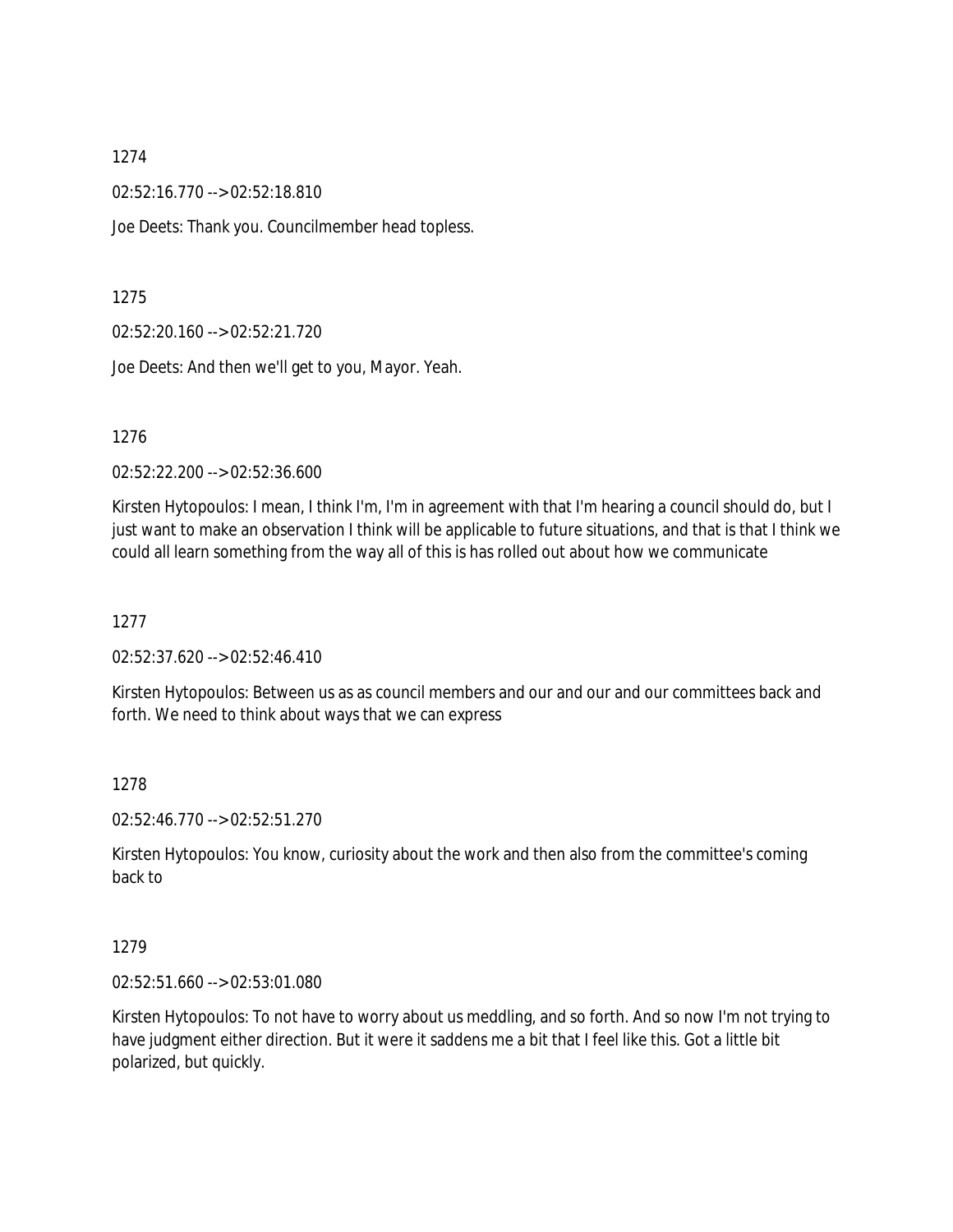02:52:16.770 --> 02:52:18.810

Joe Deets: Thank you. Councilmember head topless.

#### 1275

02:52:20.160 --> 02:52:21.720

Joe Deets: And then we'll get to you, Mayor. Yeah.

#### 1276

02:52:22.200 --> 02:52:36.600

Kirsten Hytopoulos: I mean, I think I'm, I'm in agreement with that I'm hearing a council should do, but I just want to make an observation I think will be applicable to future situations, and that is that I think we could all learn something from the way all of this is has rolled out about how we communicate

#### 1277

02:52:37.620 --> 02:52:46.410

Kirsten Hytopoulos: Between us as as council members and our and our and our committees back and forth. We need to think about ways that we can express

#### 1278

02:52:46.770 --> 02:52:51.270

Kirsten Hytopoulos: You know, curiosity about the work and then also from the committee's coming back to

#### 1279

02:52:51.660 --> 02:53:01.080

Kirsten Hytopoulos: To not have to worry about us meddling, and so forth. And so now I'm not trying to have judgment either direction. But it were it saddens me a bit that I feel like this. Got a little bit polarized, but quickly.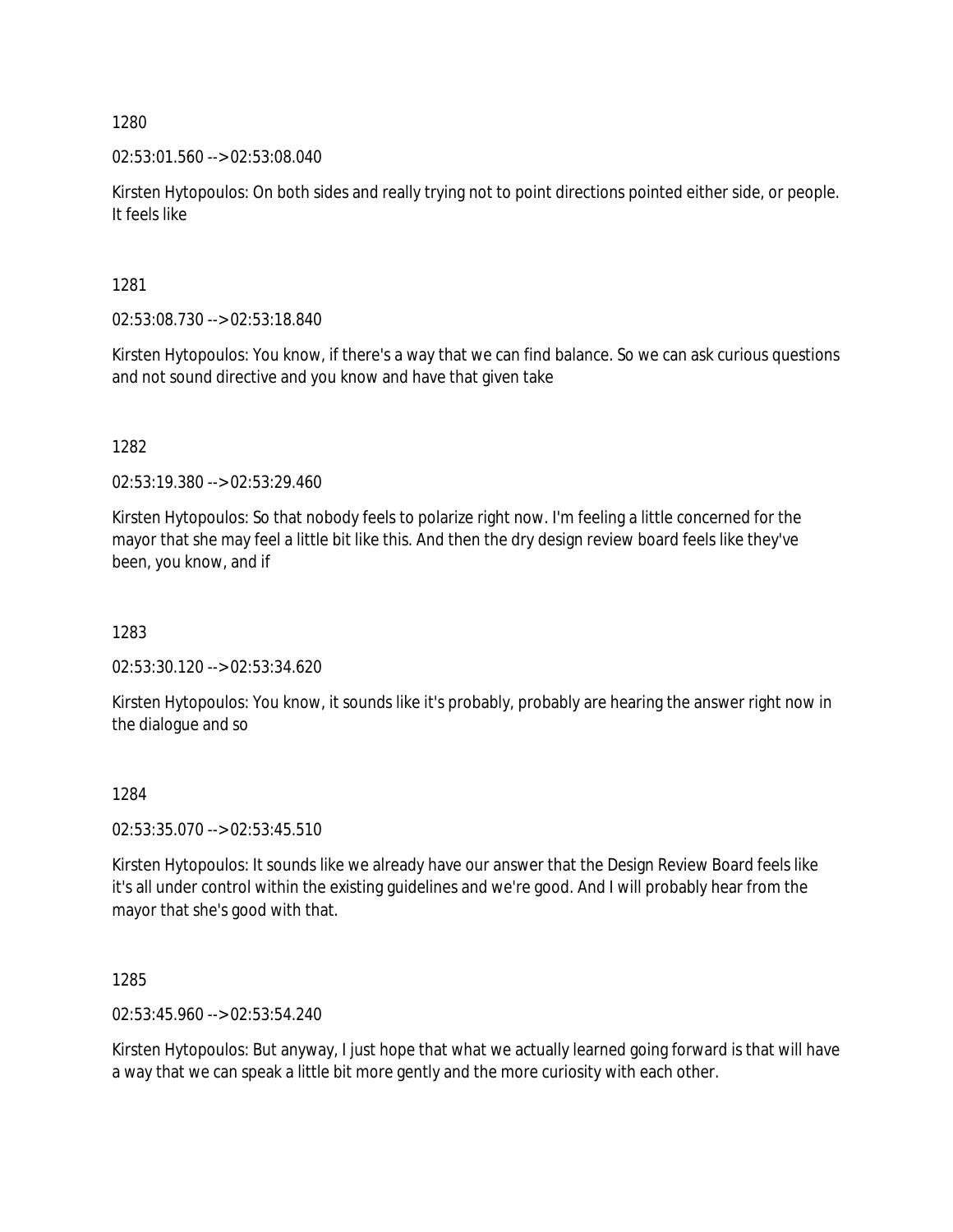02:53:01.560 --> 02:53:08.040

Kirsten Hytopoulos: On both sides and really trying not to point directions pointed either side, or people. It feels like

1281

02:53:08.730 --> 02:53:18.840

Kirsten Hytopoulos: You know, if there's a way that we can find balance. So we can ask curious questions and not sound directive and you know and have that given take

1282

02:53:19.380 --> 02:53:29.460

Kirsten Hytopoulos: So that nobody feels to polarize right now. I'm feeling a little concerned for the mayor that she may feel a little bit like this. And then the dry design review board feels like they've been, you know, and if

1283

02:53:30.120 --> 02:53:34.620

Kirsten Hytopoulos: You know, it sounds like it's probably, probably are hearing the answer right now in the dialogue and so

1284

02:53:35.070 --> 02:53:45.510

Kirsten Hytopoulos: It sounds like we already have our answer that the Design Review Board feels like it's all under control within the existing guidelines and we're good. And I will probably hear from the mayor that she's good with that.

1285

02:53:45.960 --> 02:53:54.240

Kirsten Hytopoulos: But anyway, I just hope that what we actually learned going forward is that will have a way that we can speak a little bit more gently and the more curiosity with each other.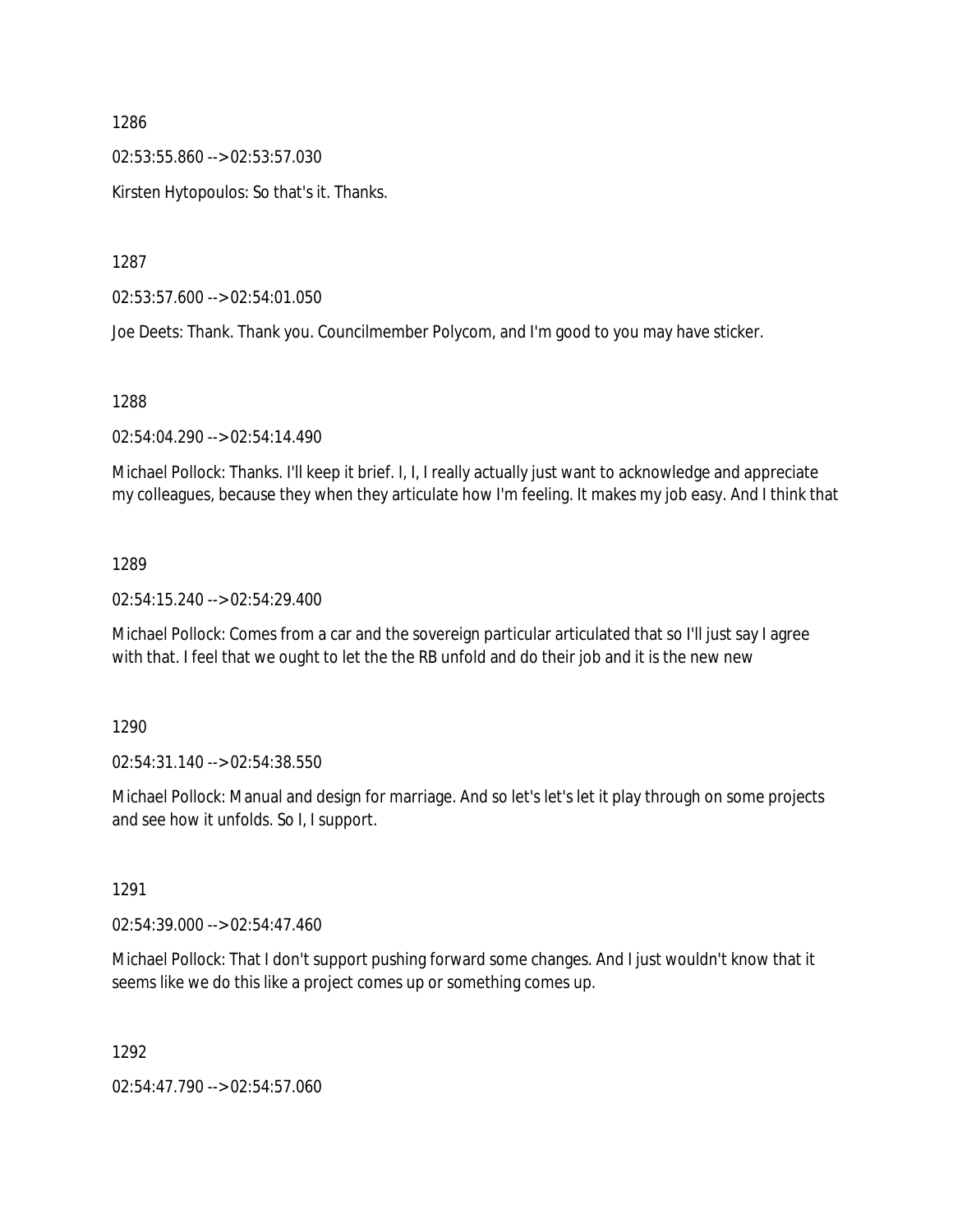02:53:55.860 --> 02:53:57.030

Kirsten Hytopoulos: So that's it. Thanks.

1287

02:53:57.600 --> 02:54:01.050

Joe Deets: Thank. Thank you. Councilmember Polycom, and I'm good to you may have sticker.

#### 1288

02:54:04.290 --> 02:54:14.490

Michael Pollock: Thanks. I'll keep it brief. I, I, I really actually just want to acknowledge and appreciate my colleagues, because they when they articulate how I'm feeling. It makes my job easy. And I think that

#### 1289

02:54:15.240 --> 02:54:29.400

Michael Pollock: Comes from a car and the sovereign particular articulated that so I'll just say I agree with that. I feel that we ought to let the the RB unfold and do their job and it is the new new

1290

02:54:31.140 --> 02:54:38.550

Michael Pollock: Manual and design for marriage. And so let's let's let it play through on some projects and see how it unfolds. So I, I support.

1291

02:54:39.000 --> 02:54:47.460

Michael Pollock: That I don't support pushing forward some changes. And I just wouldn't know that it seems like we do this like a project comes up or something comes up.

1292

02:54:47.790 --> 02:54:57.060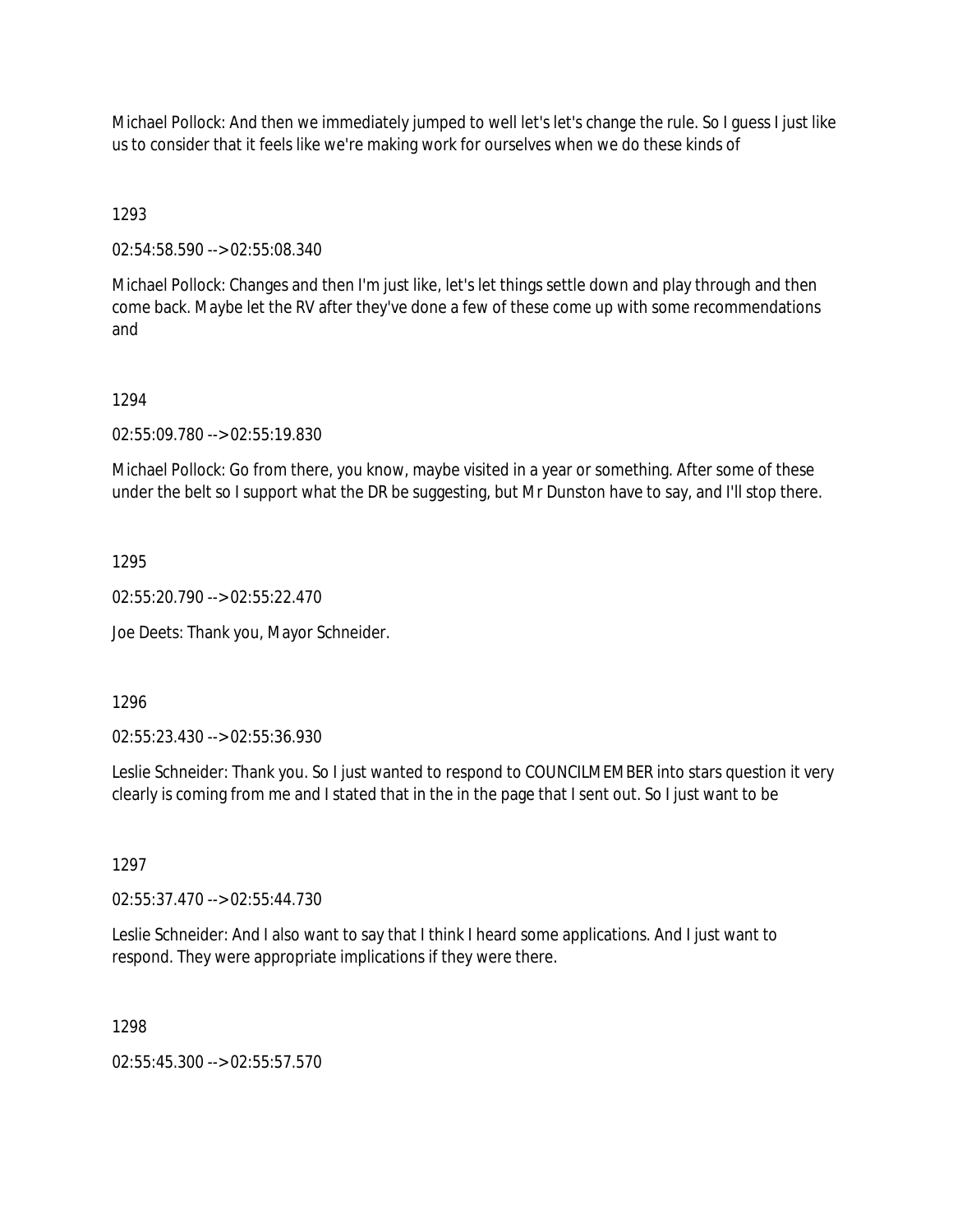Michael Pollock: And then we immediately jumped to well let's let's change the rule. So I guess I just like us to consider that it feels like we're making work for ourselves when we do these kinds of

1293

02:54:58.590 --> 02:55:08.340

Michael Pollock: Changes and then I'm just like, let's let things settle down and play through and then come back. Maybe let the RV after they've done a few of these come up with some recommendations and

## 1294

02:55:09.780 --> 02:55:19.830

Michael Pollock: Go from there, you know, maybe visited in a year or something. After some of these under the belt so I support what the DR be suggesting, but Mr Dunston have to say, and I'll stop there.

1295

02:55:20.790 --> 02:55:22.470

Joe Deets: Thank you, Mayor Schneider.

1296

02:55:23.430 --> 02:55:36.930

Leslie Schneider: Thank you. So I just wanted to respond to COUNCILMEMBER into stars question it very clearly is coming from me and I stated that in the in the page that I sent out. So I just want to be

1297

02:55:37.470 --> 02:55:44.730

Leslie Schneider: And I also want to say that I think I heard some applications. And I just want to respond. They were appropriate implications if they were there.

1298

02:55:45.300 --> 02:55:57.570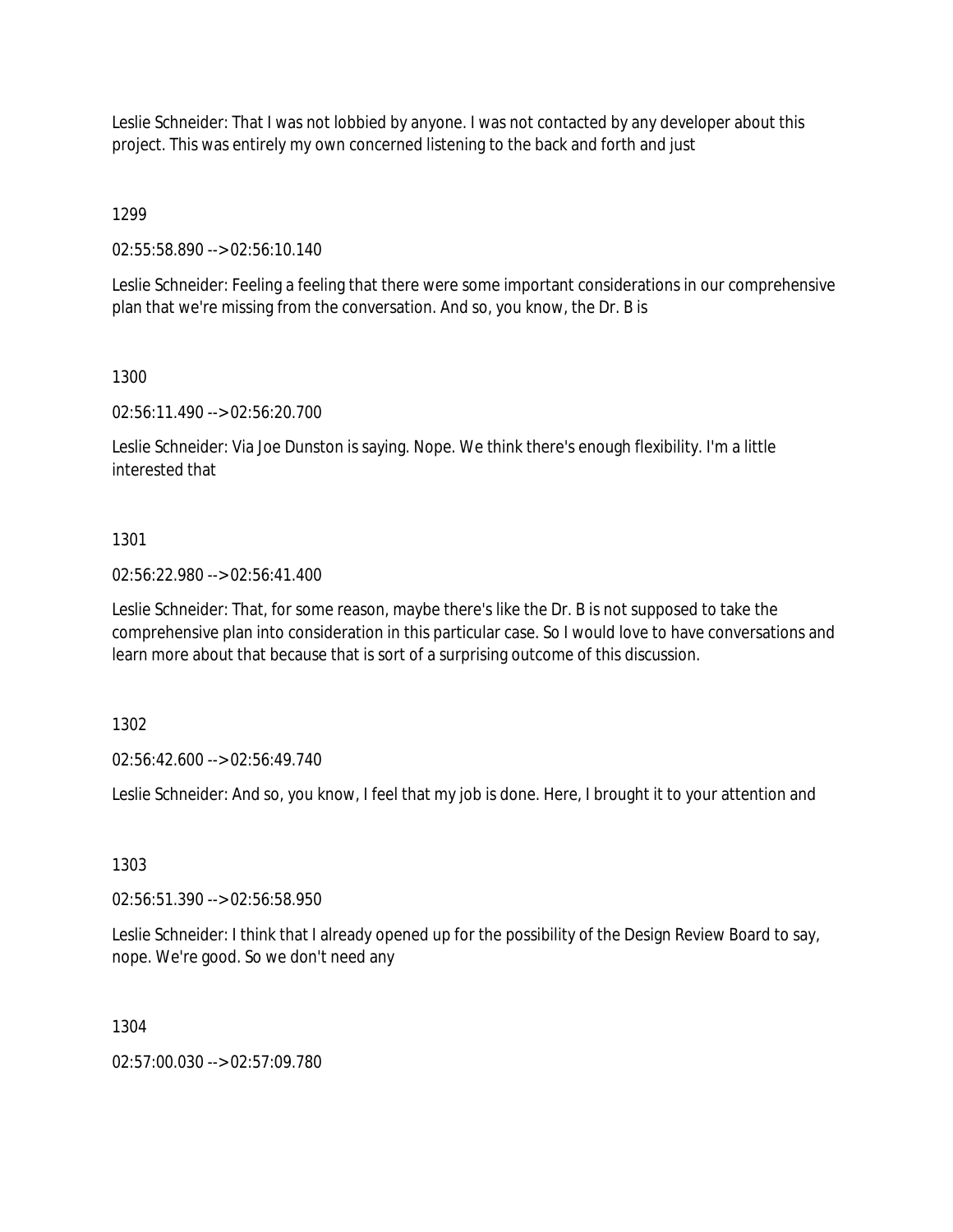Leslie Schneider: That I was not lobbied by anyone. I was not contacted by any developer about this project. This was entirely my own concerned listening to the back and forth and just

1299

02:55:58.890 --> 02:56:10.140

Leslie Schneider: Feeling a feeling that there were some important considerations in our comprehensive plan that we're missing from the conversation. And so, you know, the Dr. B is

## 1300

02:56:11.490 --> 02:56:20.700

Leslie Schneider: Via Joe Dunston is saying. Nope. We think there's enough flexibility. I'm a little interested that

## 1301

02:56:22.980 --> 02:56:41.400

Leslie Schneider: That, for some reason, maybe there's like the Dr. B is not supposed to take the comprehensive plan into consideration in this particular case. So I would love to have conversations and learn more about that because that is sort of a surprising outcome of this discussion.

1302

02:56:42.600 --> 02:56:49.740

Leslie Schneider: And so, you know, I feel that my job is done. Here, I brought it to your attention and

1303

02:56:51.390 --> 02:56:58.950

Leslie Schneider: I think that I already opened up for the possibility of the Design Review Board to say, nope. We're good. So we don't need any

1304

02:57:00.030 --> 02:57:09.780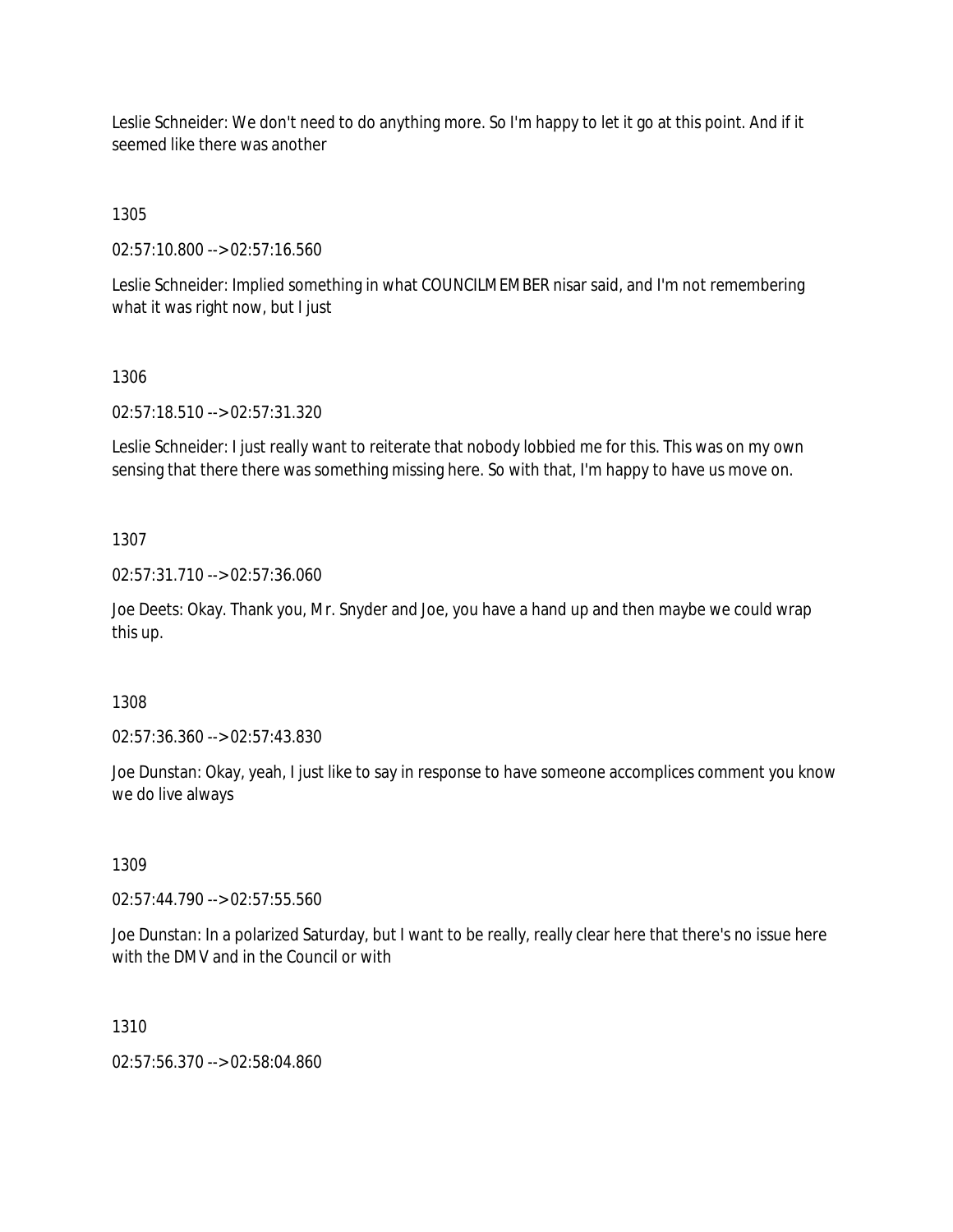Leslie Schneider: We don't need to do anything more. So I'm happy to let it go at this point. And if it seemed like there was another

1305

02:57:10.800 --> 02:57:16.560

Leslie Schneider: Implied something in what COUNCILMEMBER nisar said, and I'm not remembering what it was right now, but I just

1306

02:57:18.510 --> 02:57:31.320

Leslie Schneider: I just really want to reiterate that nobody lobbied me for this. This was on my own sensing that there there was something missing here. So with that, I'm happy to have us move on.

1307

02:57:31.710 --> 02:57:36.060

Joe Deets: Okay. Thank you, Mr. Snyder and Joe, you have a hand up and then maybe we could wrap this up.

1308

02:57:36.360 --> 02:57:43.830

Joe Dunstan: Okay, yeah, I just like to say in response to have someone accomplices comment you know we do live always

1309

02:57:44.790 --> 02:57:55.560

Joe Dunstan: In a polarized Saturday, but I want to be really, really clear here that there's no issue here with the DMV and in the Council or with

1310

02:57:56.370 --> 02:58:04.860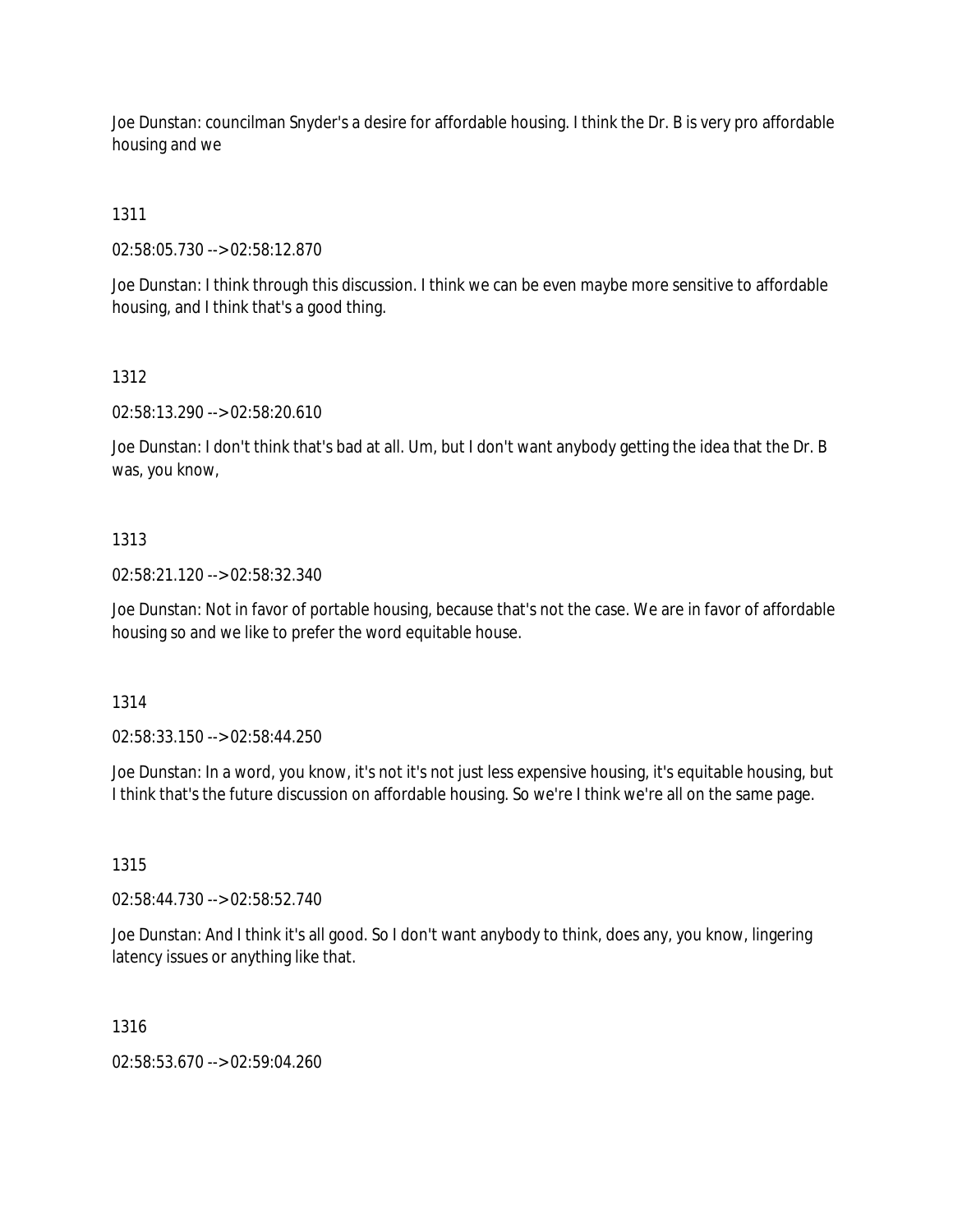Joe Dunstan: councilman Snyder's a desire for affordable housing. I think the Dr. B is very pro affordable housing and we

# 1311

02:58:05.730 --> 02:58:12.870

Joe Dunstan: I think through this discussion. I think we can be even maybe more sensitive to affordable housing, and I think that's a good thing.

# 1312

02:58:13.290 --> 02:58:20.610

Joe Dunstan: I don't think that's bad at all. Um, but I don't want anybody getting the idea that the Dr. B was, you know,

# 1313

02:58:21.120 --> 02:58:32.340

Joe Dunstan: Not in favor of portable housing, because that's not the case. We are in favor of affordable housing so and we like to prefer the word equitable house.

#### 1314

02:58:33.150 --> 02:58:44.250

Joe Dunstan: In a word, you know, it's not it's not just less expensive housing, it's equitable housing, but I think that's the future discussion on affordable housing. So we're I think we're all on the same page.

### 1315

02:58:44.730 --> 02:58:52.740

Joe Dunstan: And I think it's all good. So I don't want anybody to think, does any, you know, lingering latency issues or anything like that.

#### 1316

02:58:53.670 --> 02:59:04.260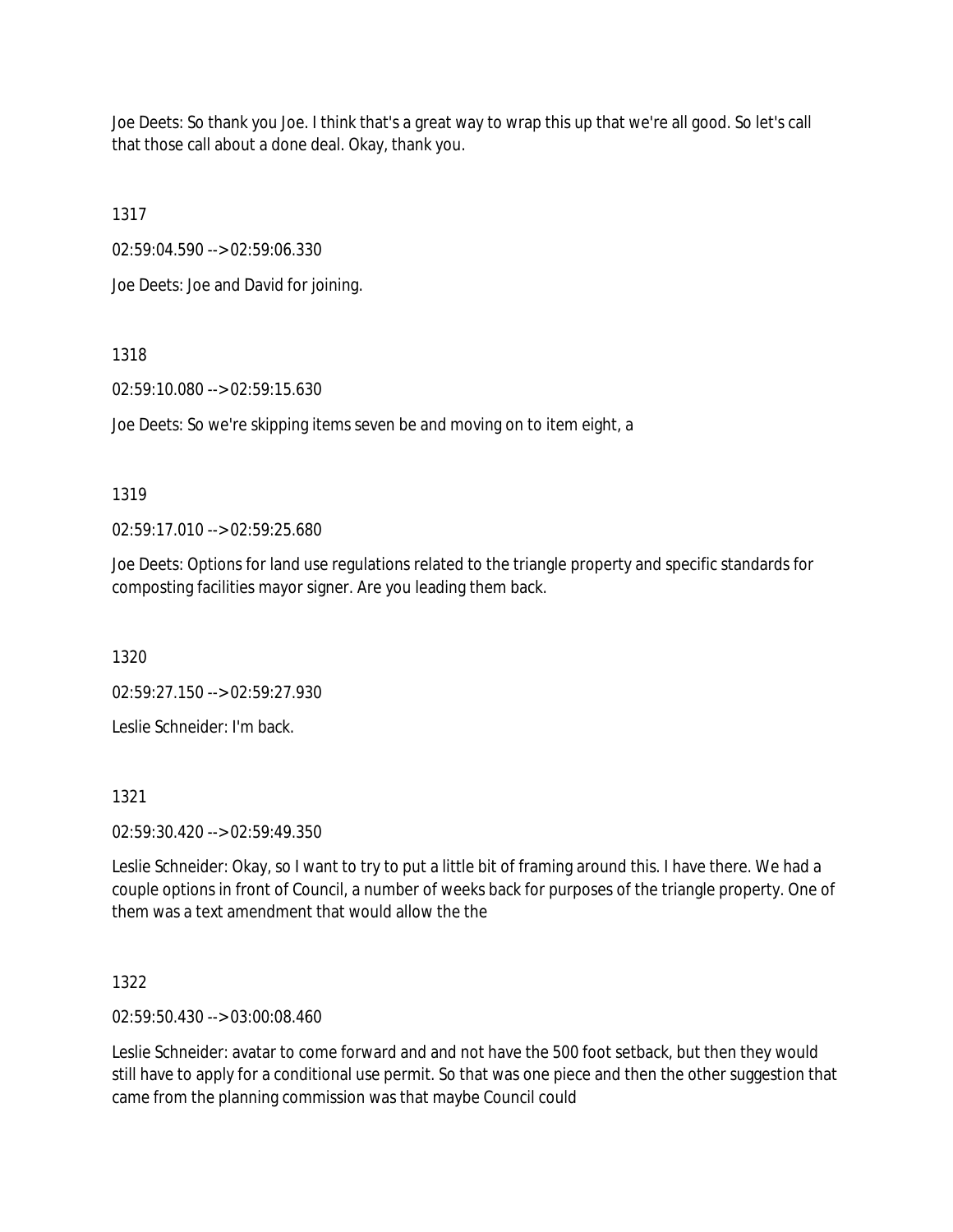Joe Deets: So thank you Joe. I think that's a great way to wrap this up that we're all good. So let's call that those call about a done deal. Okay, thank you.

1317

02:59:04.590 --> 02:59:06.330

Joe Deets: Joe and David for joining.

1318

02:59:10.080 --> 02:59:15.630

Joe Deets: So we're skipping items seven be and moving on to item eight, a

## 1319

02:59:17.010 --> 02:59:25.680

Joe Deets: Options for land use regulations related to the triangle property and specific standards for composting facilities mayor signer. Are you leading them back.

1320

02:59:27.150 --> 02:59:27.930

Leslie Schneider: I'm back.

1321

02:59:30.420 --> 02:59:49.350

Leslie Schneider: Okay, so I want to try to put a little bit of framing around this. I have there. We had a couple options in front of Council, a number of weeks back for purposes of the triangle property. One of them was a text amendment that would allow the the

1322

02:59:50.430 --> 03:00:08.460

Leslie Schneider: avatar to come forward and and not have the 500 foot setback, but then they would still have to apply for a conditional use permit. So that was one piece and then the other suggestion that came from the planning commission was that maybe Council could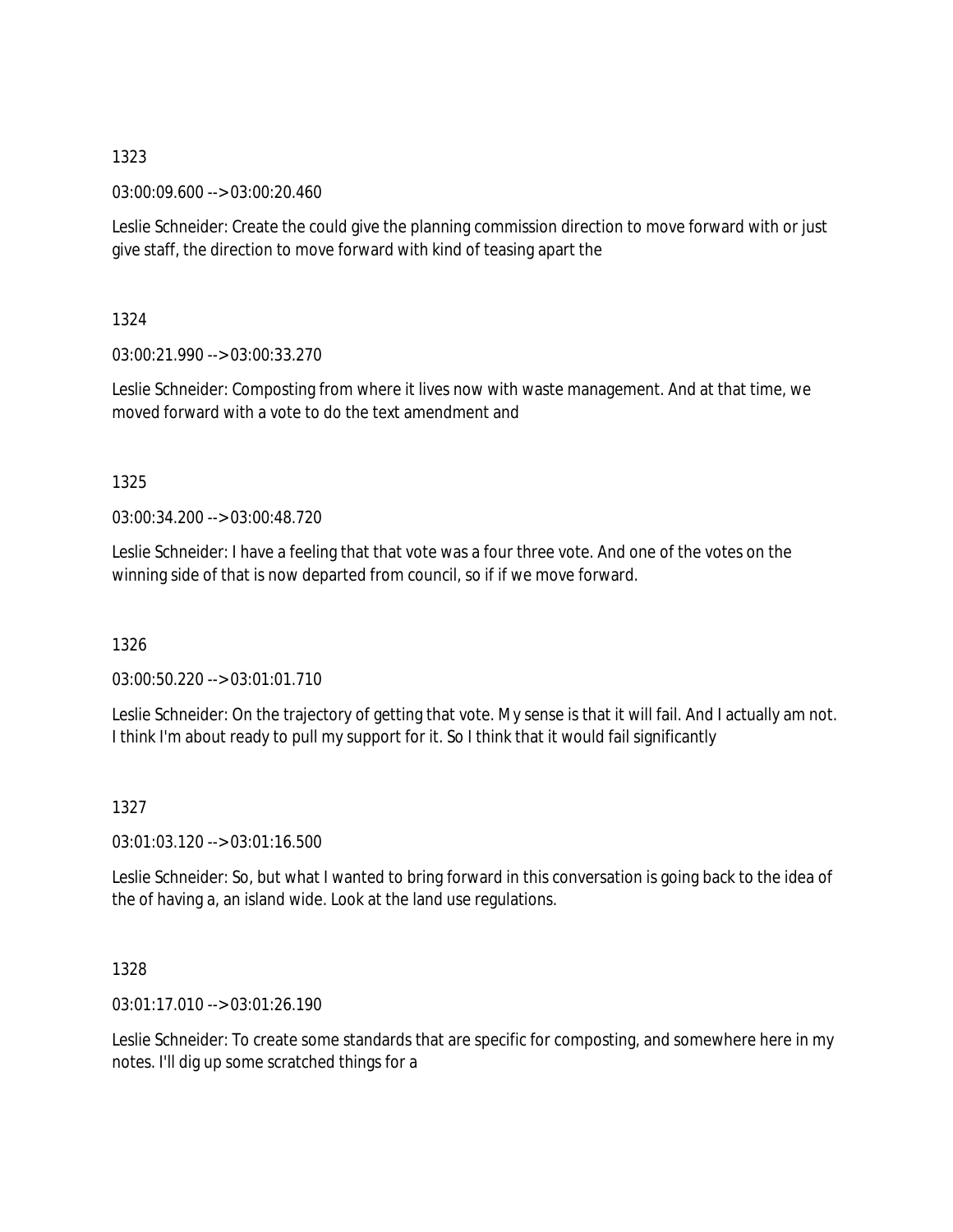03:00:09.600 --> 03:00:20.460

Leslie Schneider: Create the could give the planning commission direction to move forward with or just give staff, the direction to move forward with kind of teasing apart the

1324

03:00:21.990 --> 03:00:33.270

Leslie Schneider: Composting from where it lives now with waste management. And at that time, we moved forward with a vote to do the text amendment and

1325

03:00:34.200 --> 03:00:48.720

Leslie Schneider: I have a feeling that that vote was a four three vote. And one of the votes on the winning side of that is now departed from council, so if if we move forward.

1326

03:00:50.220 --> 03:01:01.710

Leslie Schneider: On the trajectory of getting that vote. My sense is that it will fail. And I actually am not. I think I'm about ready to pull my support for it. So I think that it would fail significantly

1327

03:01:03.120 --> 03:01:16.500

Leslie Schneider: So, but what I wanted to bring forward in this conversation is going back to the idea of the of having a, an island wide. Look at the land use regulations.

1328

03:01:17.010 --> 03:01:26.190

Leslie Schneider: To create some standards that are specific for composting, and somewhere here in my notes. I'll dig up some scratched things for a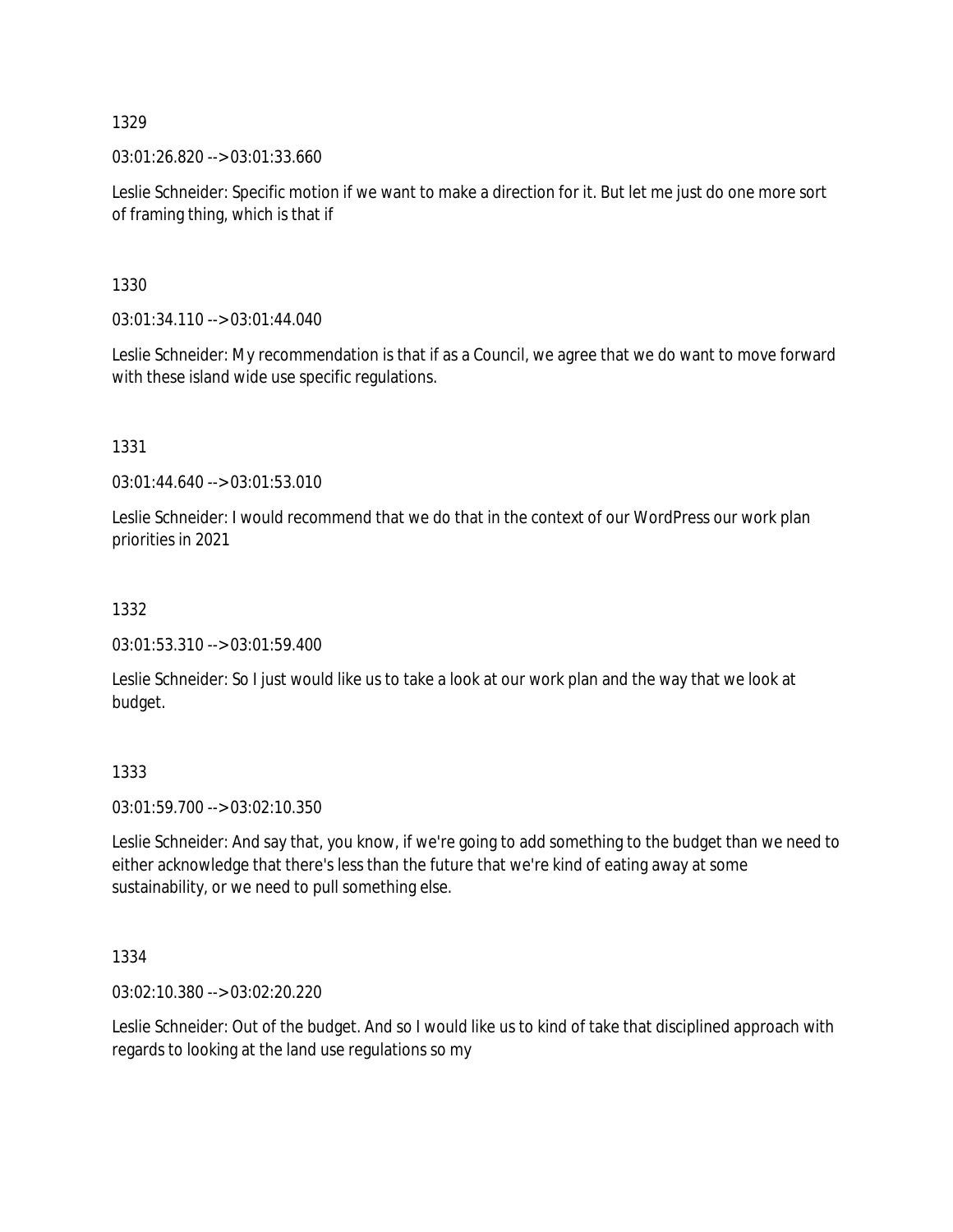03:01:26.820 --> 03:01:33.660

Leslie Schneider: Specific motion if we want to make a direction for it. But let me just do one more sort of framing thing, which is that if

1330

03:01:34.110 --> 03:01:44.040

Leslie Schneider: My recommendation is that if as a Council, we agree that we do want to move forward with these island wide use specific regulations.

1331

03:01:44.640 --> 03:01:53.010

Leslie Schneider: I would recommend that we do that in the context of our WordPress our work plan priorities in 2021

## 1332

03:01:53.310 --> 03:01:59.400

Leslie Schneider: So I just would like us to take a look at our work plan and the way that we look at budget.

1333

03:01:59.700 --> 03:02:10.350

Leslie Schneider: And say that, you know, if we're going to add something to the budget than we need to either acknowledge that there's less than the future that we're kind of eating away at some sustainability, or we need to pull something else.

1334

03:02:10.380 --> 03:02:20.220

Leslie Schneider: Out of the budget. And so I would like us to kind of take that disciplined approach with regards to looking at the land use regulations so my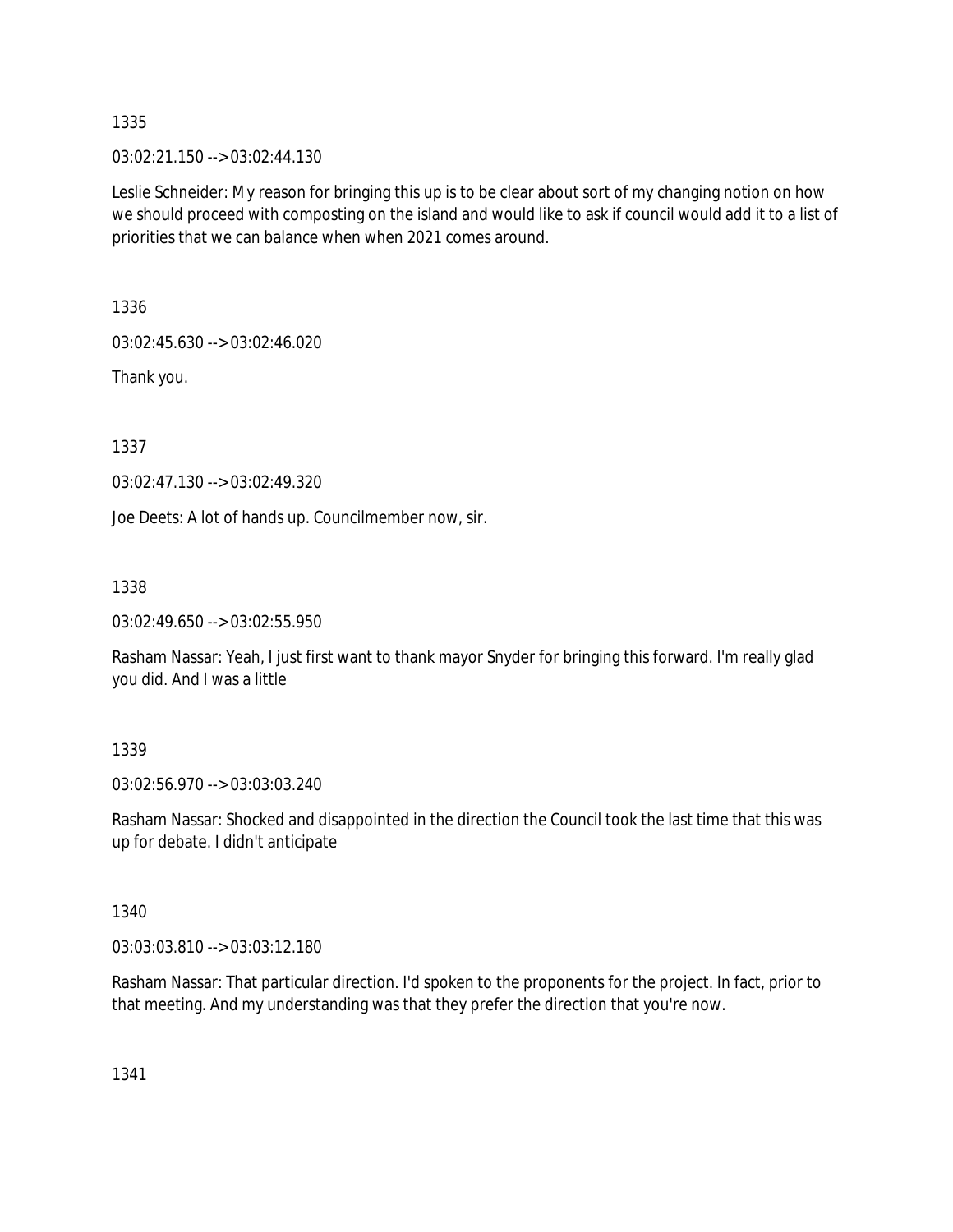03:02:21.150 --> 03:02:44.130

Leslie Schneider: My reason for bringing this up is to be clear about sort of my changing notion on how we should proceed with composting on the island and would like to ask if council would add it to a list of priorities that we can balance when when 2021 comes around.

1336

03:02:45.630 --> 03:02:46.020

Thank you.

1337

03:02:47.130 --> 03:02:49.320

Joe Deets: A lot of hands up. Councilmember now, sir.

1338

03:02:49.650 --> 03:02:55.950

Rasham Nassar: Yeah, I just first want to thank mayor Snyder for bringing this forward. I'm really glad you did. And I was a little

#### 1339

03:02:56.970 --> 03:03:03.240

Rasham Nassar: Shocked and disappointed in the direction the Council took the last time that this was up for debate. I didn't anticipate

#### 1340

03:03:03.810 --> 03:03:12.180

Rasham Nassar: That particular direction. I'd spoken to the proponents for the project. In fact, prior to that meeting. And my understanding was that they prefer the direction that you're now.

1341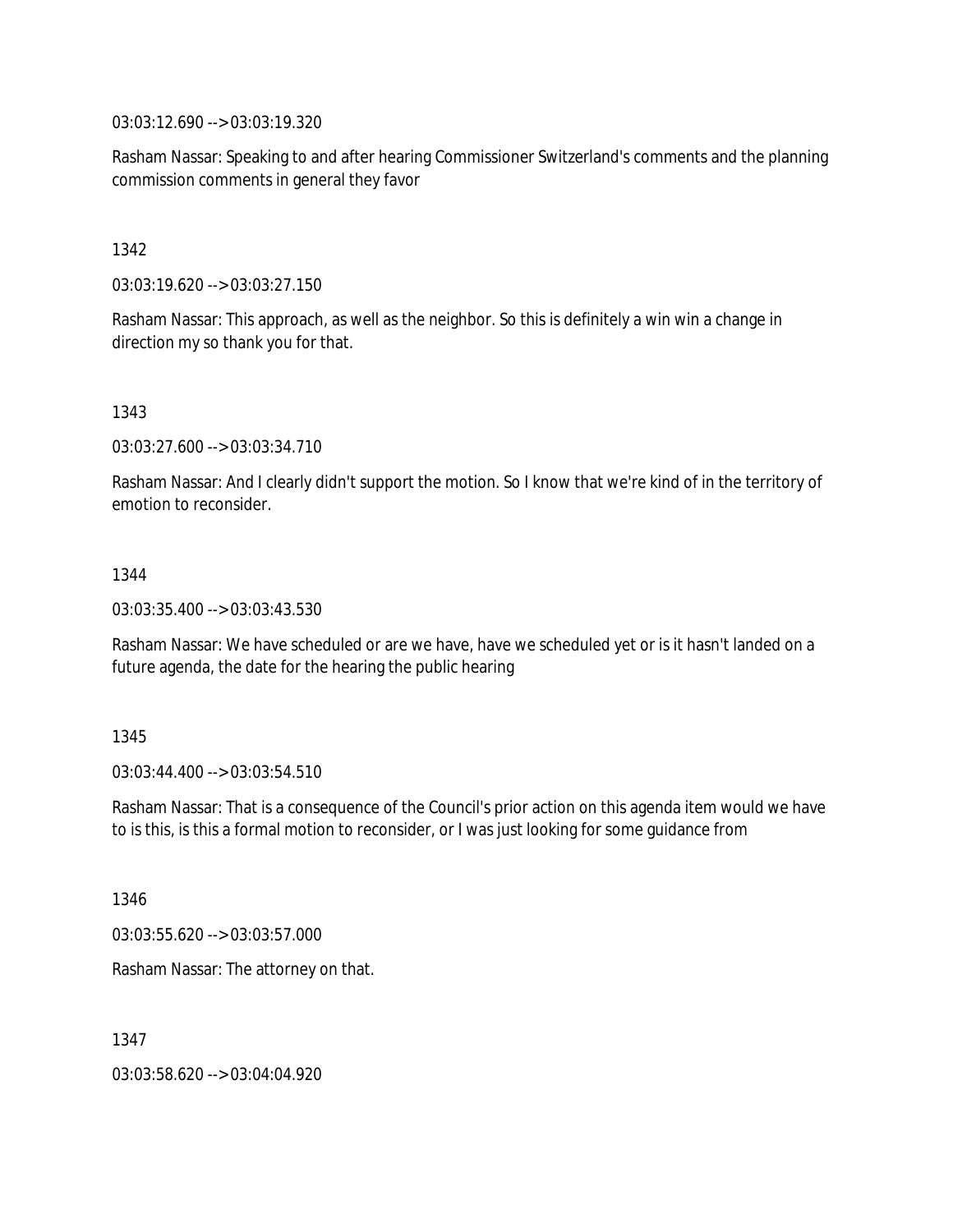03:03:12.690 --> 03:03:19.320

Rasham Nassar: Speaking to and after hearing Commissioner Switzerland's comments and the planning commission comments in general they favor

1342

03:03:19.620 --> 03:03:27.150

Rasham Nassar: This approach, as well as the neighbor. So this is definitely a win win a change in direction my so thank you for that.

1343

03:03:27.600 --> 03:03:34.710

Rasham Nassar: And I clearly didn't support the motion. So I know that we're kind of in the territory of emotion to reconsider.

1344

03:03:35.400 --> 03:03:43.530

Rasham Nassar: We have scheduled or are we have, have we scheduled yet or is it hasn't landed on a future agenda, the date for the hearing the public hearing

1345

03:03:44.400 --> 03:03:54.510

Rasham Nassar: That is a consequence of the Council's prior action on this agenda item would we have to is this, is this a formal motion to reconsider, or I was just looking for some guidance from

1346

03:03:55.620 --> 03:03:57.000

Rasham Nassar: The attorney on that.

1347

03:03:58.620 --> 03:04:04.920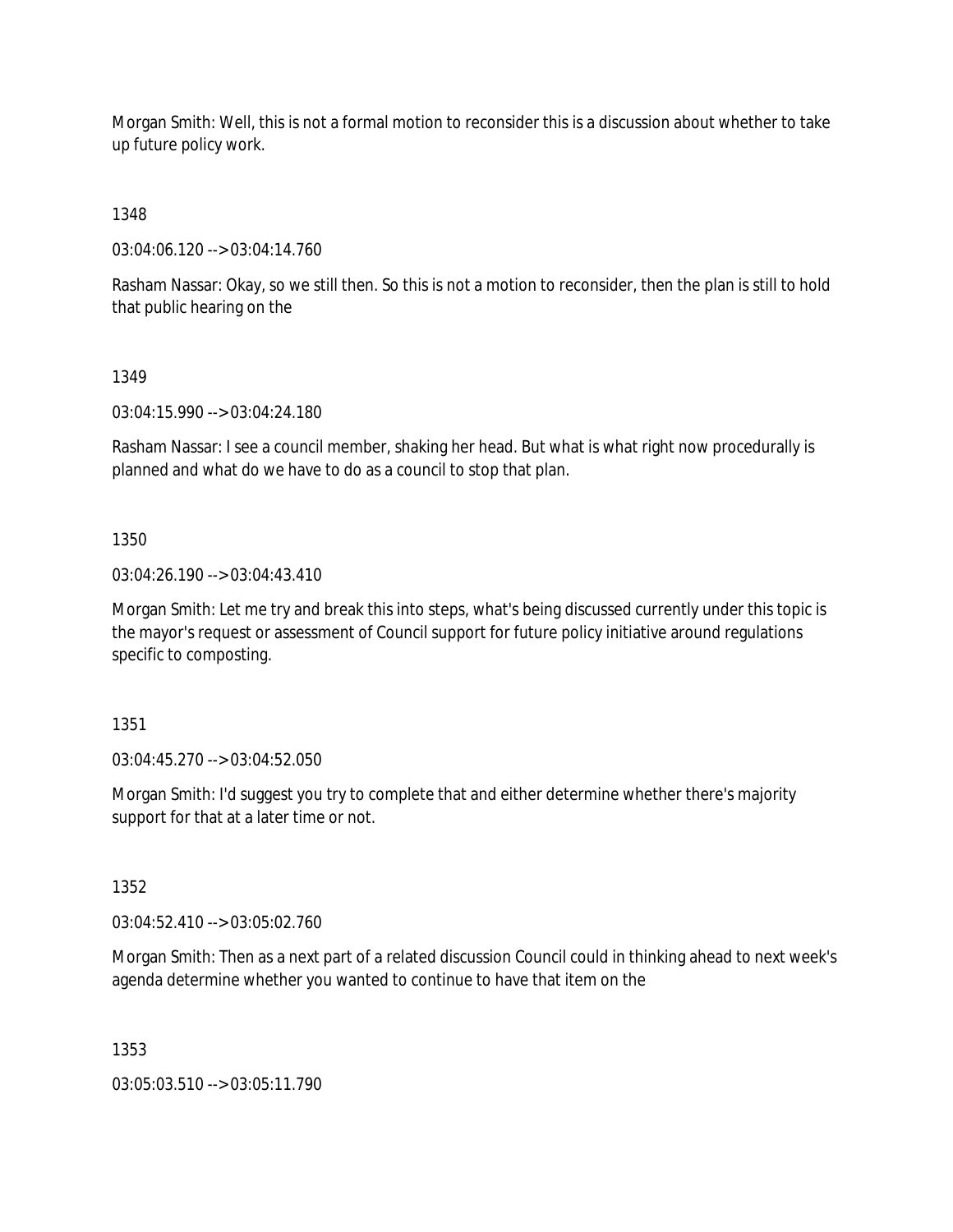Morgan Smith: Well, this is not a formal motion to reconsider this is a discussion about whether to take up future policy work.

1348

03:04:06.120 --> 03:04:14.760

Rasham Nassar: Okay, so we still then. So this is not a motion to reconsider, then the plan is still to hold that public hearing on the

1349

03:04:15.990 --> 03:04:24.180

Rasham Nassar: I see a council member, shaking her head. But what is what right now procedurally is planned and what do we have to do as a council to stop that plan.

1350

03:04:26.190 --> 03:04:43.410

Morgan Smith: Let me try and break this into steps, what's being discussed currently under this topic is the mayor's request or assessment of Council support for future policy initiative around regulations specific to composting.

1351

03:04:45.270 --> 03:04:52.050

Morgan Smith: I'd suggest you try to complete that and either determine whether there's majority support for that at a later time or not.

1352

03:04:52.410 --> 03:05:02.760

Morgan Smith: Then as a next part of a related discussion Council could in thinking ahead to next week's agenda determine whether you wanted to continue to have that item on the

1353

03:05:03.510 --> 03:05:11.790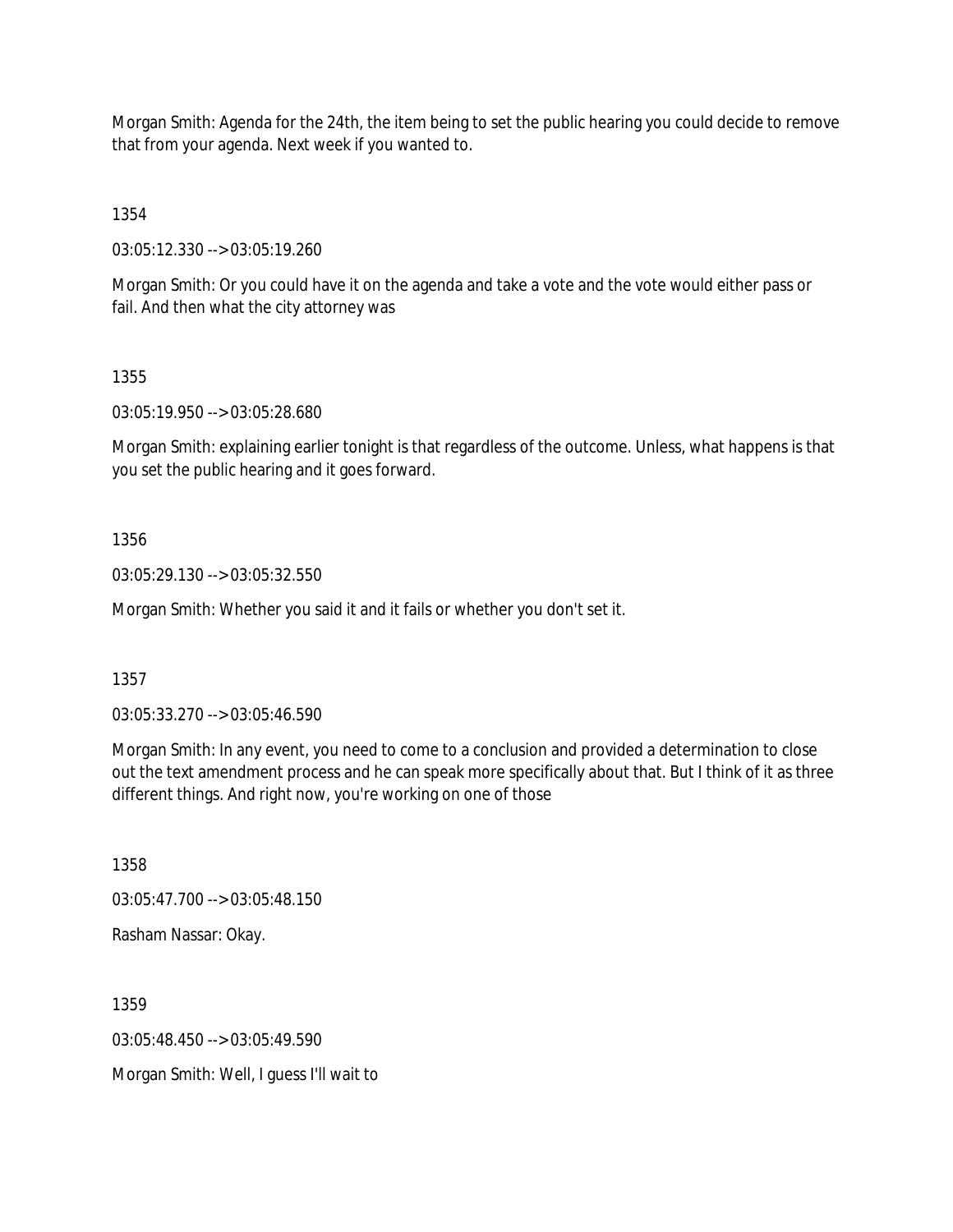Morgan Smith: Agenda for the 24th, the item being to set the public hearing you could decide to remove that from your agenda. Next week if you wanted to.

1354

03:05:12.330 --> 03:05:19.260

Morgan Smith: Or you could have it on the agenda and take a vote and the vote would either pass or fail. And then what the city attorney was

1355

03:05:19.950 --> 03:05:28.680

Morgan Smith: explaining earlier tonight is that regardless of the outcome. Unless, what happens is that you set the public hearing and it goes forward.

1356

03:05:29.130 --> 03:05:32.550

Morgan Smith: Whether you said it and it fails or whether you don't set it.

1357

03:05:33.270 --> 03:05:46.590

Morgan Smith: In any event, you need to come to a conclusion and provided a determination to close out the text amendment process and he can speak more specifically about that. But I think of it as three different things. And right now, you're working on one of those

1358

03:05:47.700 --> 03:05:48.150

Rasham Nassar: Okay.

1359

 $03:05:48.450 \rightarrow 03:05:49.590$ 

Morgan Smith: Well, I guess I'll wait to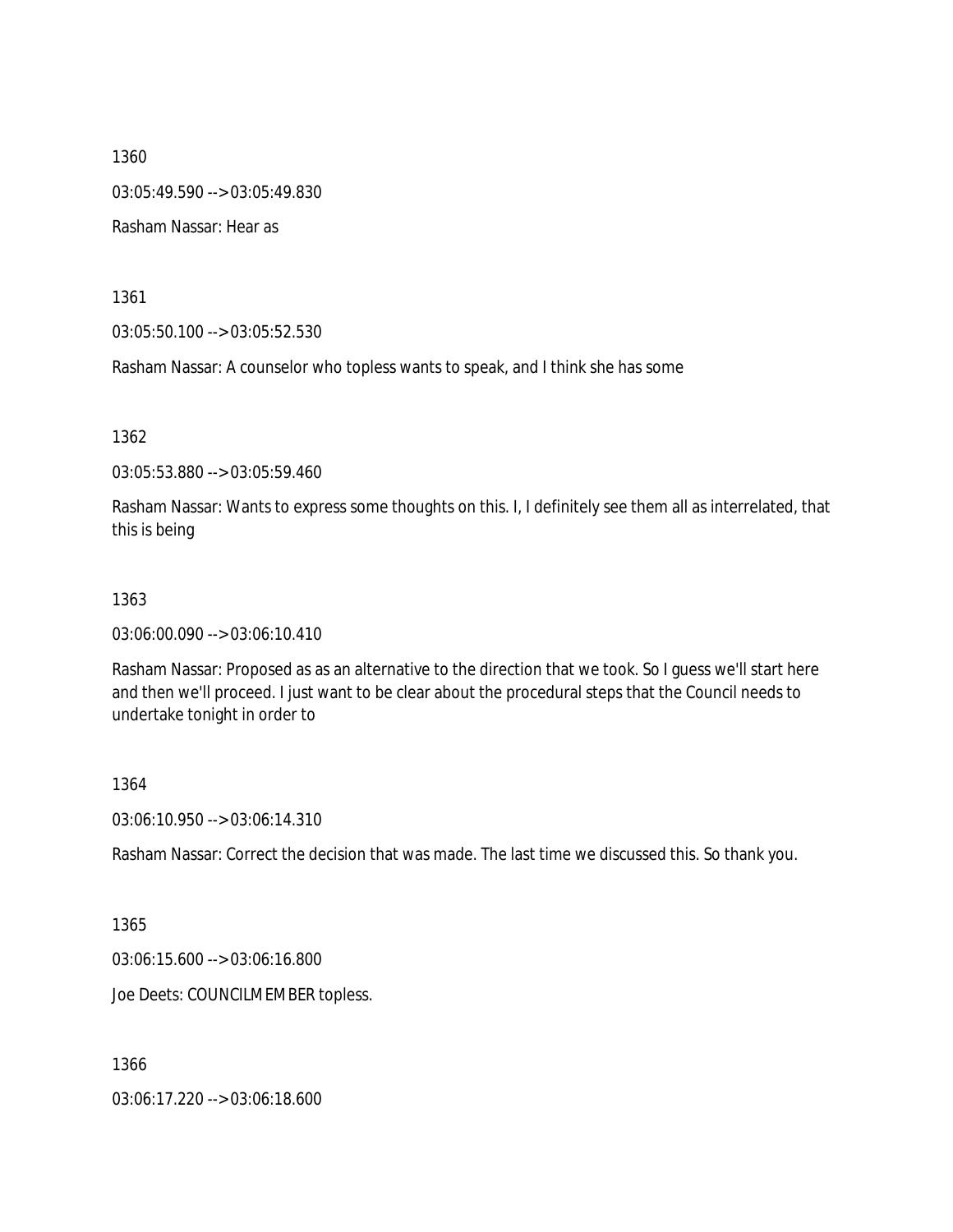1360 03:05:49.590 --> 03:05:49.830 Rasham Nassar: Hear as

1361

03:05:50.100 --> 03:05:52.530

Rasham Nassar: A counselor who topless wants to speak, and I think she has some

1362

03:05:53.880 --> 03:05:59.460

Rasham Nassar: Wants to express some thoughts on this. I, I definitely see them all as interrelated, that this is being

#### 1363

03:06:00.090 --> 03:06:10.410

Rasham Nassar: Proposed as as an alternative to the direction that we took. So I guess we'll start here and then we'll proceed. I just want to be clear about the procedural steps that the Council needs to undertake tonight in order to

1364

03:06:10.950 --> 03:06:14.310

Rasham Nassar: Correct the decision that was made. The last time we discussed this. So thank you.

1365

03:06:15.600 --> 03:06:16.800

Joe Deets: COUNCILMEMBER topless.

1366

03:06:17.220 --> 03:06:18.600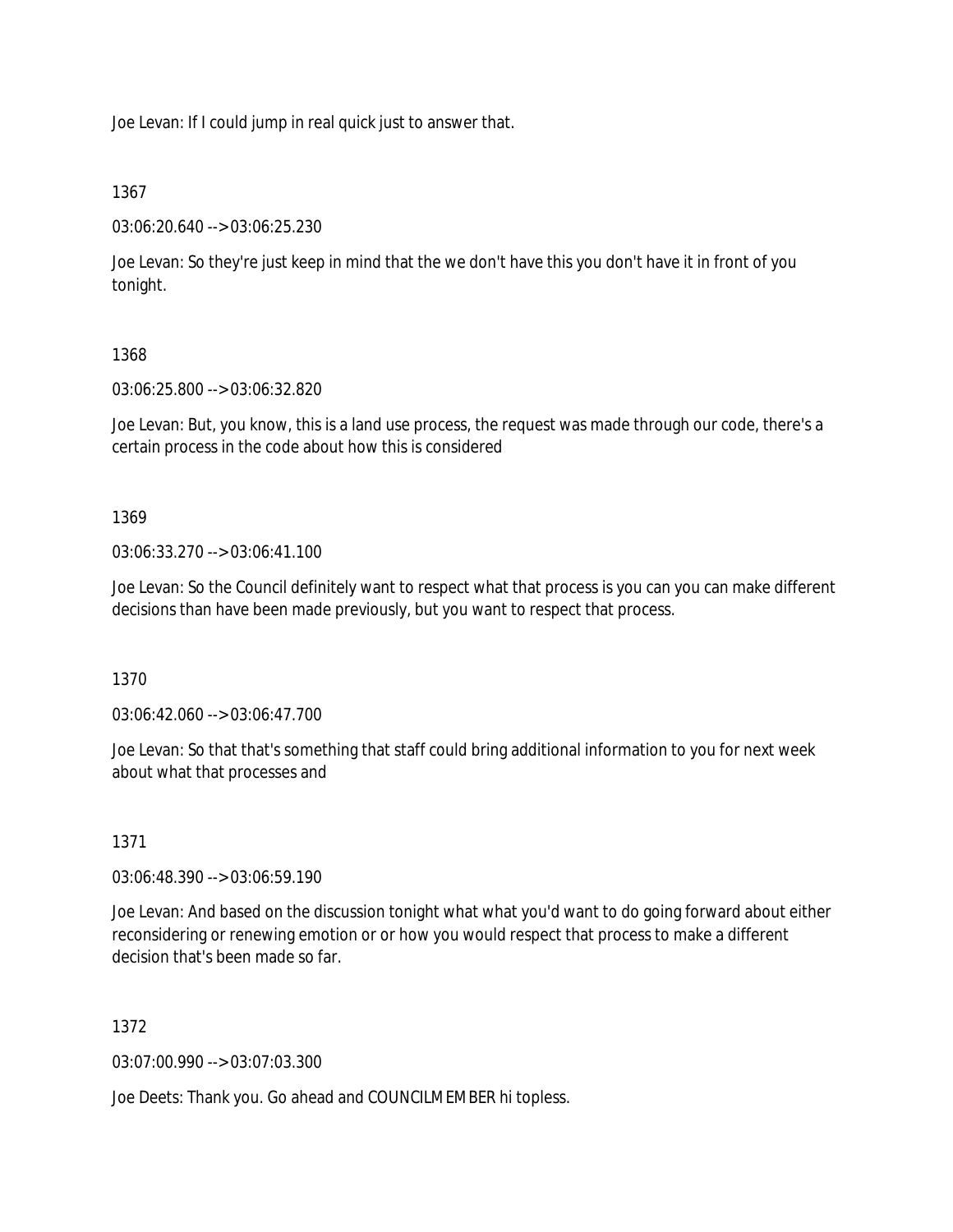Joe Levan: If I could jump in real quick just to answer that.

# 1367

03:06:20.640 --> 03:06:25.230

Joe Levan: So they're just keep in mind that the we don't have this you don't have it in front of you tonight.

# 1368

03:06:25.800 --> 03:06:32.820

Joe Levan: But, you know, this is a land use process, the request was made through our code, there's a certain process in the code about how this is considered

# 1369

03:06:33.270 --> 03:06:41.100

Joe Levan: So the Council definitely want to respect what that process is you can you can make different decisions than have been made previously, but you want to respect that process.

1370

03:06:42.060 --> 03:06:47.700

Joe Levan: So that that's something that staff could bring additional information to you for next week about what that processes and

# 1371

03:06:48.390 --> 03:06:59.190

Joe Levan: And based on the discussion tonight what what you'd want to do going forward about either reconsidering or renewing emotion or or how you would respect that process to make a different decision that's been made so far.

# 1372

03:07:00.990 --> 03:07:03.300

Joe Deets: Thank you. Go ahead and COUNCILMEMBER hi topless.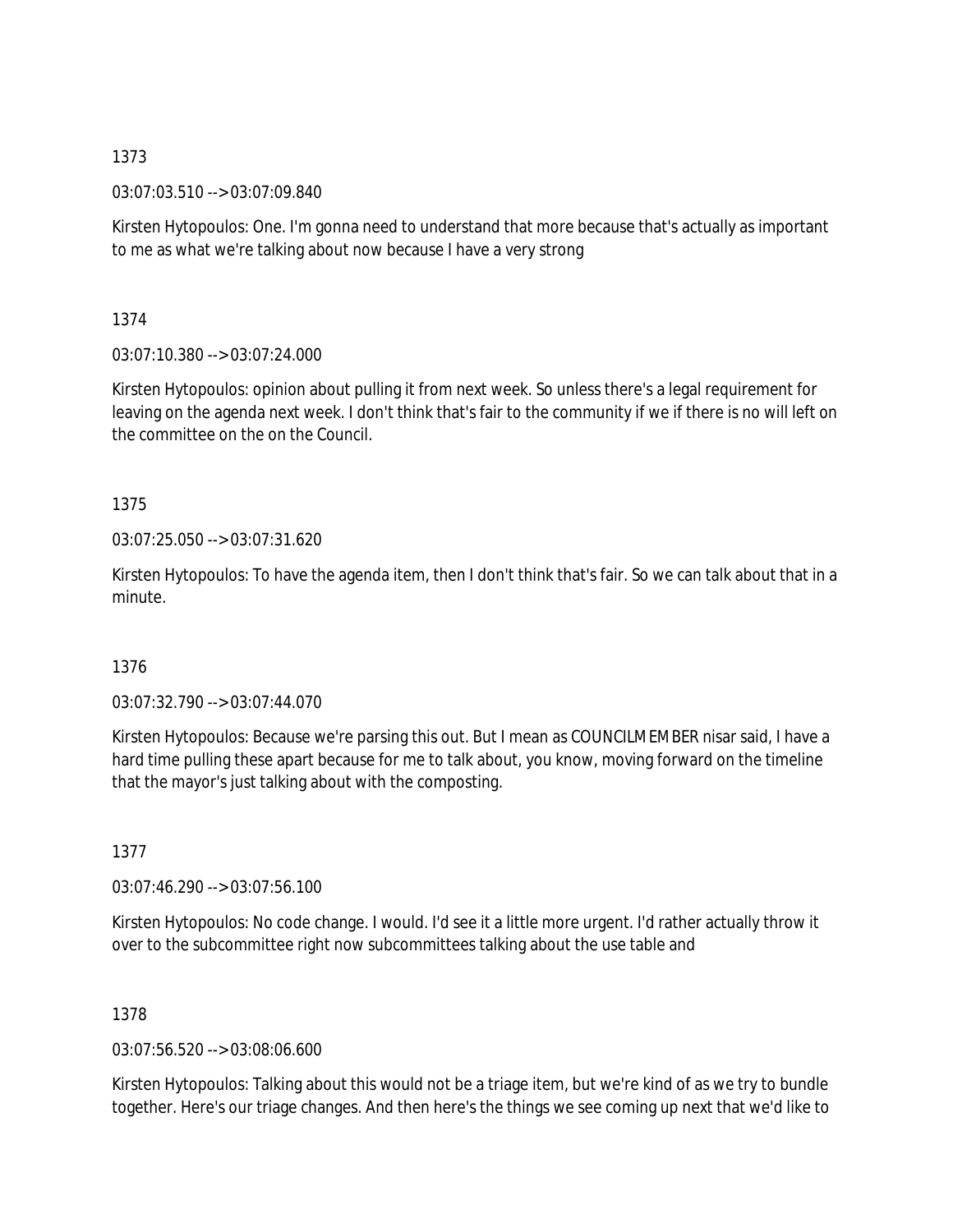03:07:03.510 --> 03:07:09.840

Kirsten Hytopoulos: One. I'm gonna need to understand that more because that's actually as important to me as what we're talking about now because I have a very strong

1374

03:07:10.380 --> 03:07:24.000

Kirsten Hytopoulos: opinion about pulling it from next week. So unless there's a legal requirement for leaving on the agenda next week. I don't think that's fair to the community if we if there is no will left on the committee on the on the Council.

1375

03:07:25.050 --> 03:07:31.620

Kirsten Hytopoulos: To have the agenda item, then I don't think that's fair. So we can talk about that in a minute.

# 1376

03:07:32.790 --> 03:07:44.070

Kirsten Hytopoulos: Because we're parsing this out. But I mean as COUNCILMEMBER nisar said, I have a hard time pulling these apart because for me to talk about, you know, moving forward on the timeline that the mayor's just talking about with the composting.

1377

03:07:46.290 --> 03:07:56.100

Kirsten Hytopoulos: No code change. I would. I'd see it a little more urgent. I'd rather actually throw it over to the subcommittee right now subcommittees talking about the use table and

1378

03:07:56.520 --> 03:08:06.600

Kirsten Hytopoulos: Talking about this would not be a triage item, but we're kind of as we try to bundle together. Here's our triage changes. And then here's the things we see coming up next that we'd like to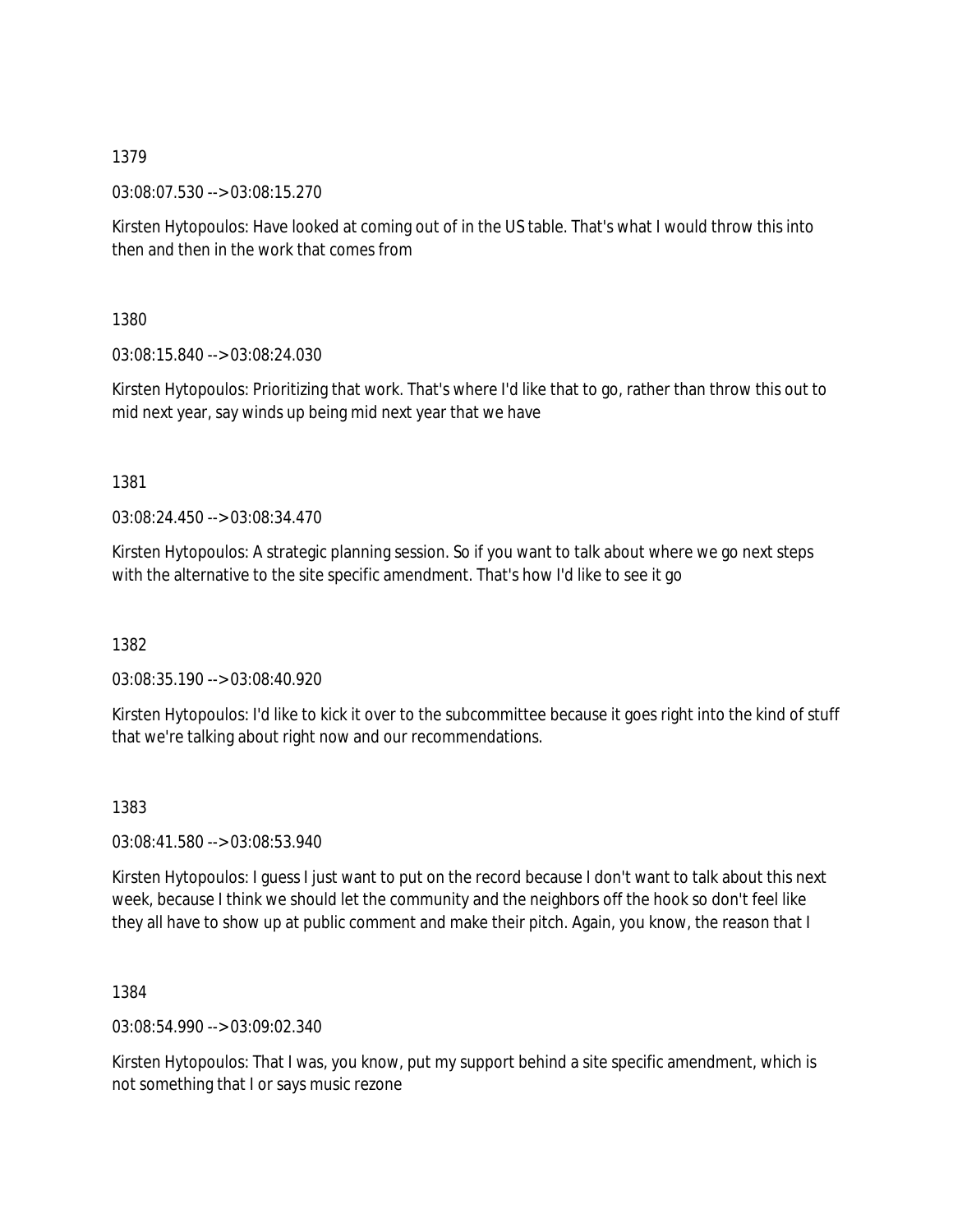03:08:07.530 --> 03:08:15.270

Kirsten Hytopoulos: Have looked at coming out of in the US table. That's what I would throw this into then and then in the work that comes from

1380

03:08:15.840 --> 03:08:24.030

Kirsten Hytopoulos: Prioritizing that work. That's where I'd like that to go, rather than throw this out to mid next year, say winds up being mid next year that we have

1381

03:08:24.450 --> 03:08:34.470

Kirsten Hytopoulos: A strategic planning session. So if you want to talk about where we go next steps with the alternative to the site specific amendment. That's how I'd like to see it go

1382

03:08:35.190 --> 03:08:40.920

Kirsten Hytopoulos: I'd like to kick it over to the subcommittee because it goes right into the kind of stuff that we're talking about right now and our recommendations.

1383

03:08:41.580 --> 03:08:53.940

Kirsten Hytopoulos: I guess I just want to put on the record because I don't want to talk about this next week, because I think we should let the community and the neighbors off the hook so don't feel like they all have to show up at public comment and make their pitch. Again, you know, the reason that I

1384

03:08:54.990 --> 03:09:02.340

Kirsten Hytopoulos: That I was, you know, put my support behind a site specific amendment, which is not something that I or says music rezone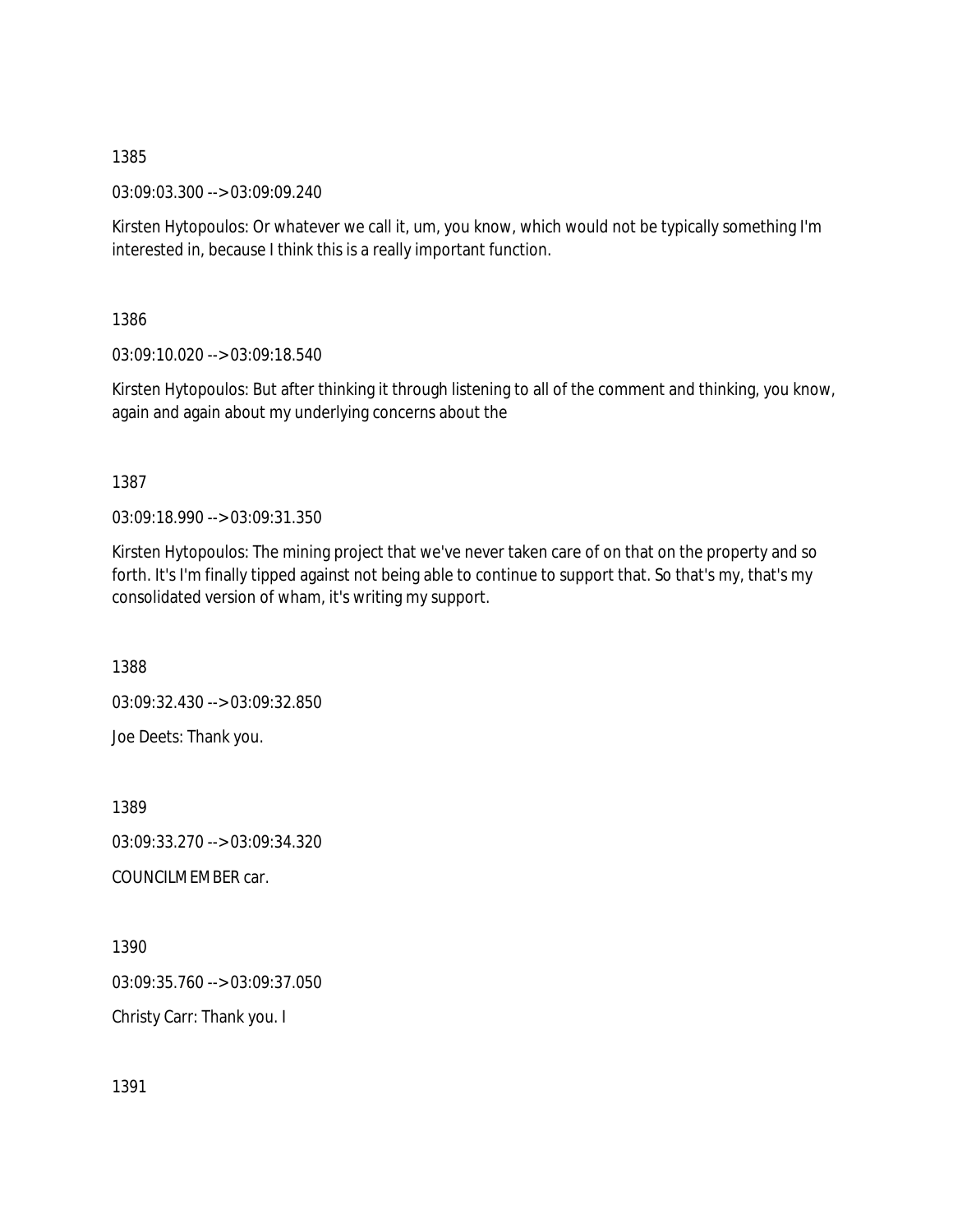03:09:03.300 --> 03:09:09.240

Kirsten Hytopoulos: Or whatever we call it, um, you know, which would not be typically something I'm interested in, because I think this is a really important function.

1386

03:09:10.020 --> 03:09:18.540

Kirsten Hytopoulos: But after thinking it through listening to all of the comment and thinking, you know, again and again about my underlying concerns about the

1387

03:09:18.990 --> 03:09:31.350

Kirsten Hytopoulos: The mining project that we've never taken care of on that on the property and so forth. It's I'm finally tipped against not being able to continue to support that. So that's my, that's my consolidated version of wham, it's writing my support.

1388

03:09:32.430 --> 03:09:32.850 Joe Deets: Thank you.

1389 03:09:33.270 --> 03:09:34.320 COUNCILMEMBER car.

1390 03:09:35.760 --> 03:09:37.050 Christy Carr: Thank you. I

1391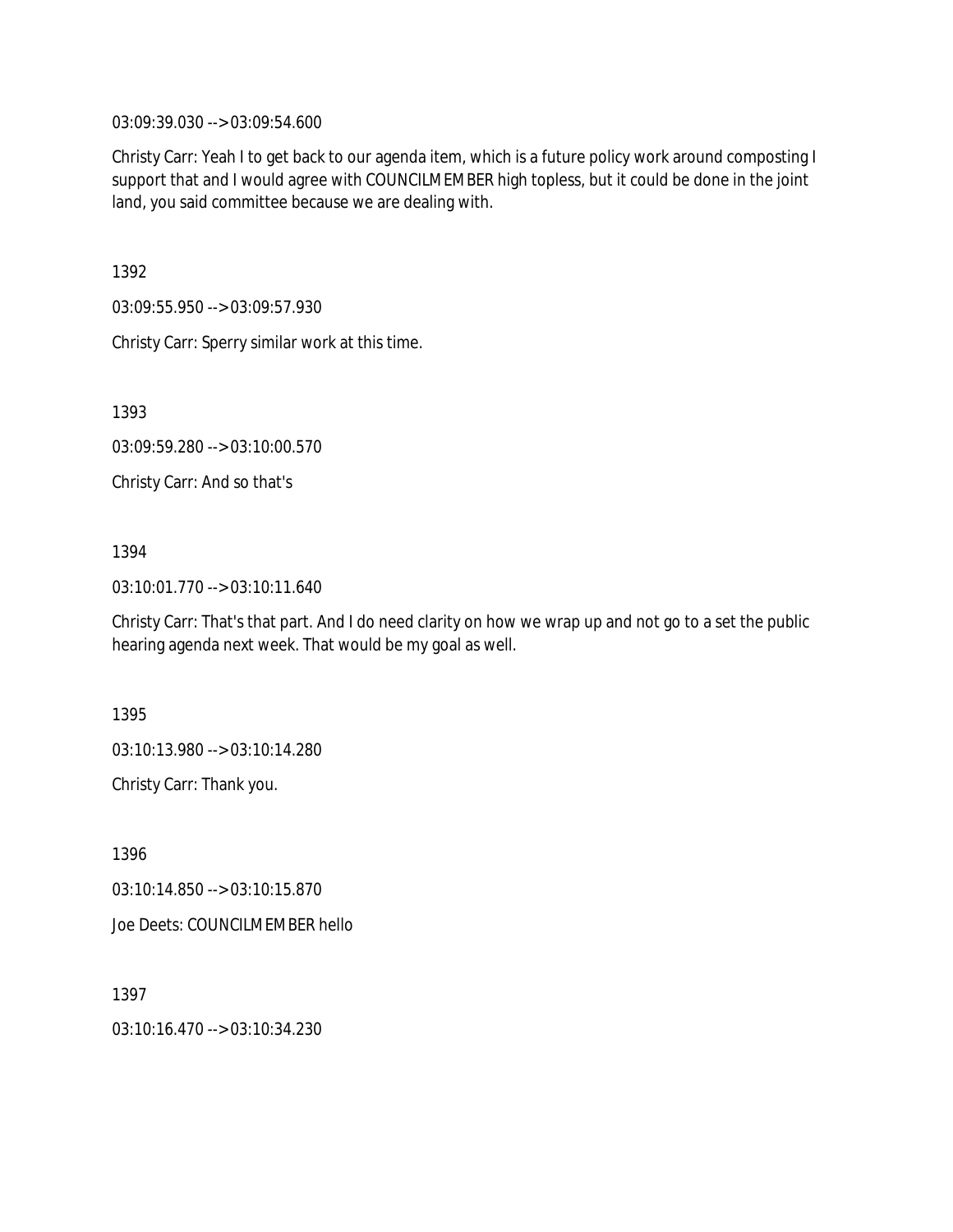03:09:39.030 --> 03:09:54.600

Christy Carr: Yeah I to get back to our agenda item, which is a future policy work around composting I support that and I would agree with COUNCILMEMBER high topless, but it could be done in the joint land, you said committee because we are dealing with.

1392

03:09:55.950 --> 03:09:57.930

Christy Carr: Sperry similar work at this time.

1393

03:09:59.280 --> 03:10:00.570

Christy Carr: And so that's

## 1394

03:10:01.770 --> 03:10:11.640

Christy Carr: That's that part. And I do need clarity on how we wrap up and not go to a set the public hearing agenda next week. That would be my goal as well.

1395

03:10:13.980 --> 03:10:14.280

Christy Carr: Thank you.

1396 03:10:14.850 --> 03:10:15.870 Joe Deets: COUNCILMEMBER hello

1397 03:10:16.470 --> 03:10:34.230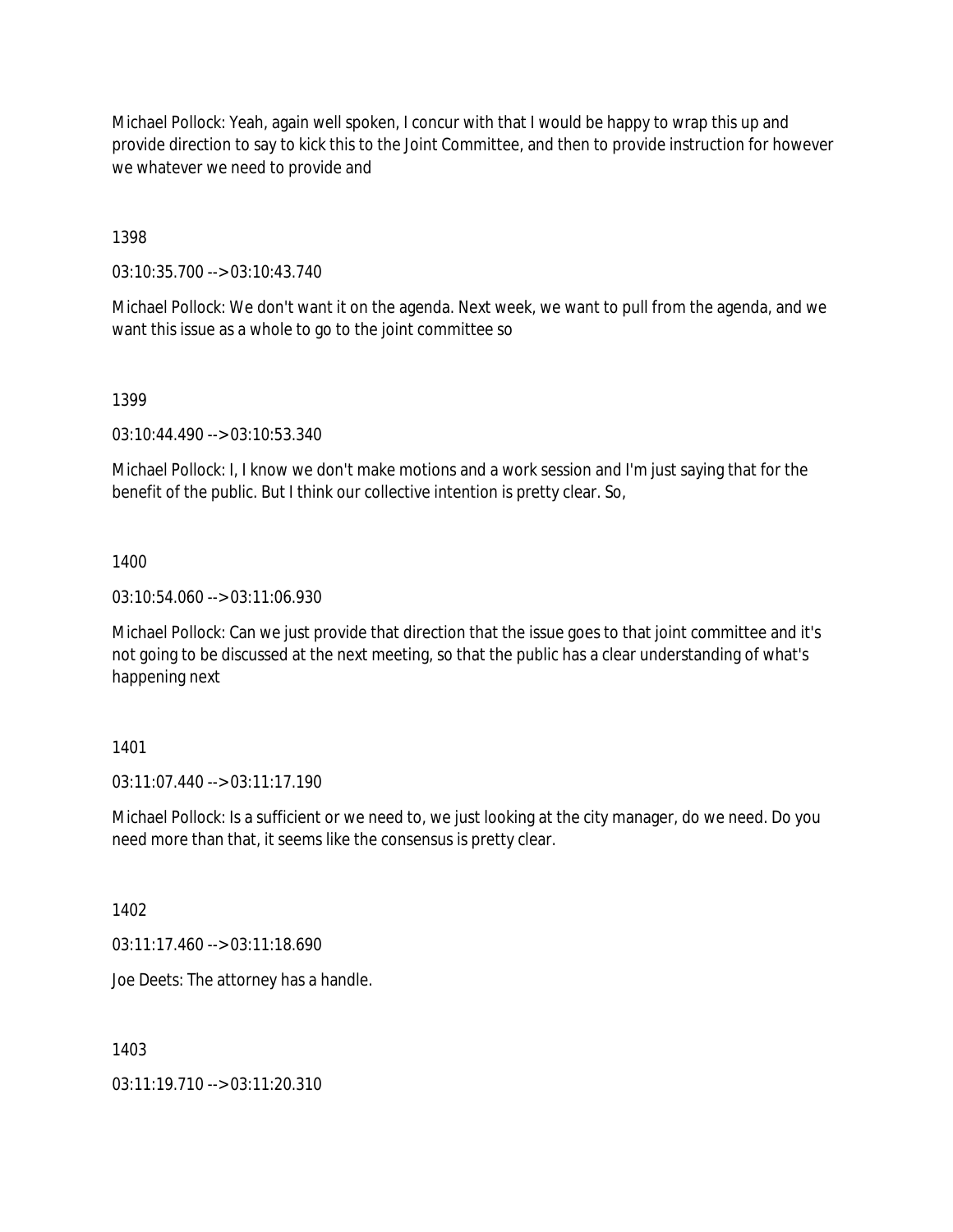Michael Pollock: Yeah, again well spoken, I concur with that I would be happy to wrap this up and provide direction to say to kick this to the Joint Committee, and then to provide instruction for however we whatever we need to provide and

1398

03:10:35.700 --> 03:10:43.740

Michael Pollock: We don't want it on the agenda. Next week, we want to pull from the agenda, and we want this issue as a whole to go to the joint committee so

1399

03:10:44.490 --> 03:10:53.340

Michael Pollock: I, I know we don't make motions and a work session and I'm just saying that for the benefit of the public. But I think our collective intention is pretty clear. So,

1400

03:10:54.060 --> 03:11:06.930

Michael Pollock: Can we just provide that direction that the issue goes to that joint committee and it's not going to be discussed at the next meeting, so that the public has a clear understanding of what's happening next

1401

03:11:07.440 --> 03:11:17.190

Michael Pollock: Is a sufficient or we need to, we just looking at the city manager, do we need. Do you need more than that, it seems like the consensus is pretty clear.

1402

 $03:11:17.460 \rightarrow 03:11:18.690$ 

Joe Deets: The attorney has a handle.

1403

03:11:19.710 --> 03:11:20.310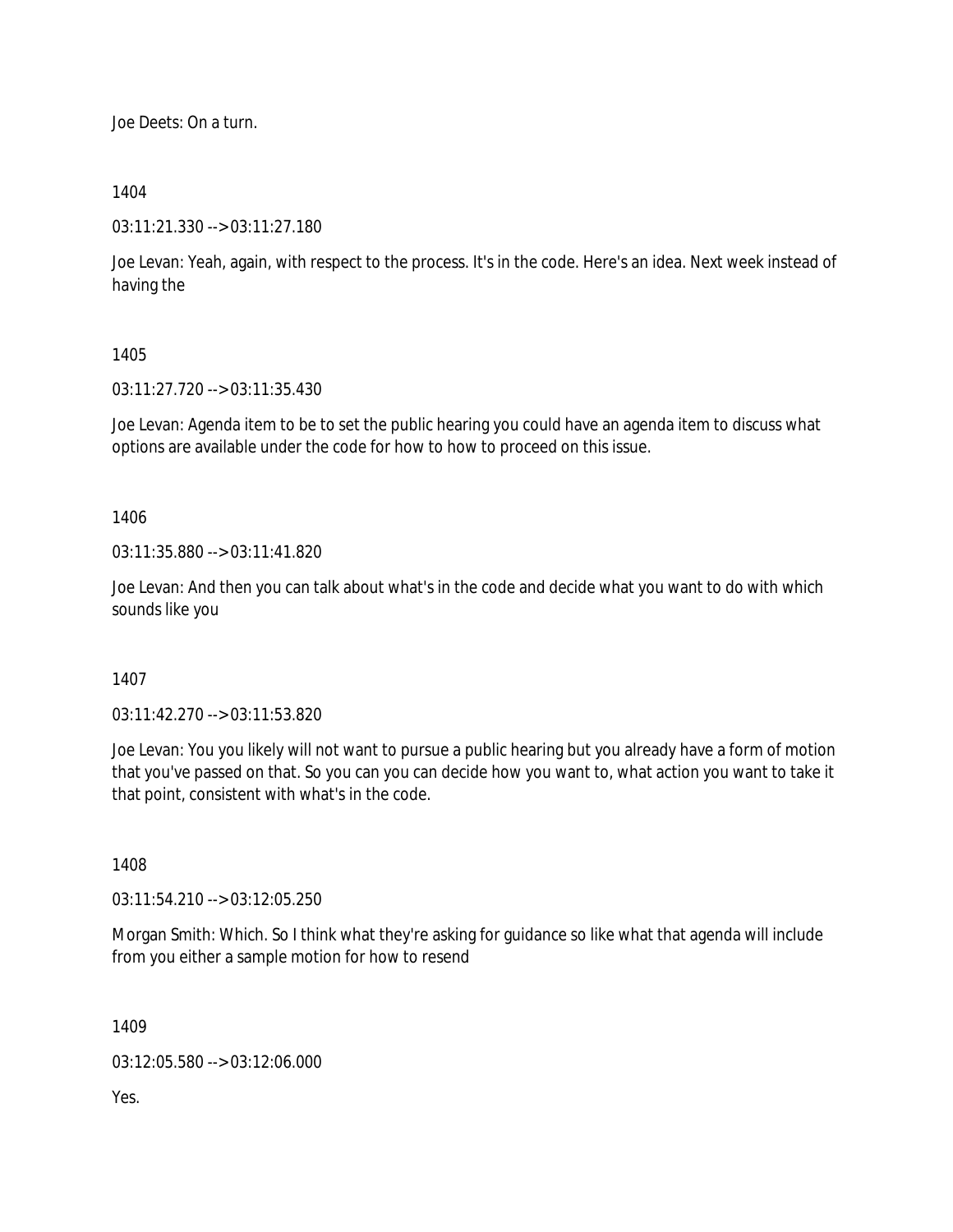Joe Deets: On a turn.

### 1404

03:11:21.330 --> 03:11:27.180

Joe Levan: Yeah, again, with respect to the process. It's in the code. Here's an idea. Next week instead of having the

#### 1405

03:11:27.720 --> 03:11:35.430

Joe Levan: Agenda item to be to set the public hearing you could have an agenda item to discuss what options are available under the code for how to how to proceed on this issue.

1406

03:11:35.880 --> 03:11:41.820

Joe Levan: And then you can talk about what's in the code and decide what you want to do with which sounds like you

1407

03:11:42.270 --> 03:11:53.820

Joe Levan: You you likely will not want to pursue a public hearing but you already have a form of motion that you've passed on that. So you can you can decide how you want to, what action you want to take it that point, consistent with what's in the code.

1408

03:11:54.210 --> 03:12:05.250

Morgan Smith: Which. So I think what they're asking for guidance so like what that agenda will include from you either a sample motion for how to resend

1409

03:12:05.580 --> 03:12:06.000

Yes.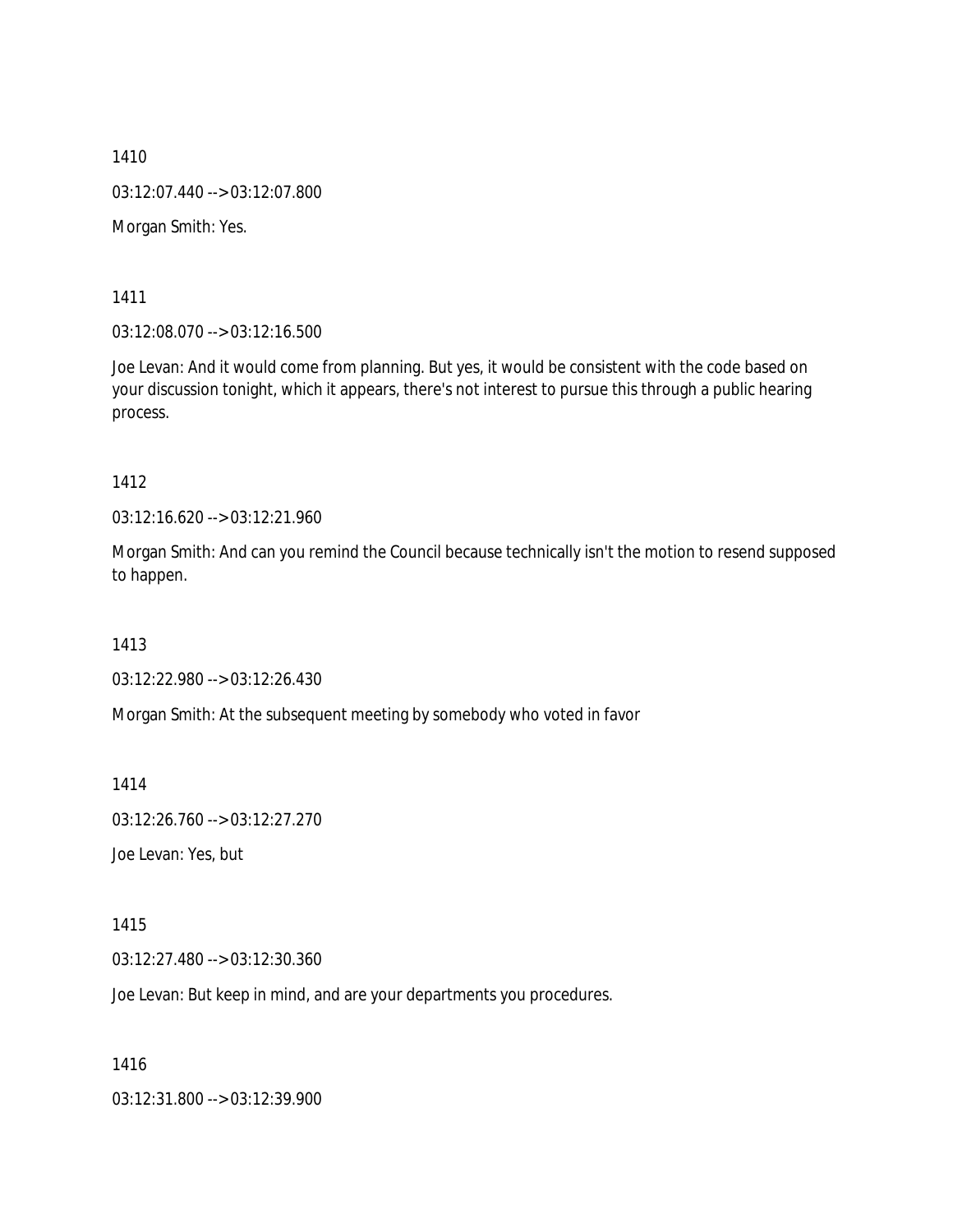1410 03:12:07.440 --> 03:12:07.800 Morgan Smith: Yes.

1411

03:12:08.070 --> 03:12:16.500

Joe Levan: And it would come from planning. But yes, it would be consistent with the code based on your discussion tonight, which it appears, there's not interest to pursue this through a public hearing process.

1412

03:12:16.620 --> 03:12:21.960

Morgan Smith: And can you remind the Council because technically isn't the motion to resend supposed to happen.

1413

03:12:22.980 --> 03:12:26.430

Morgan Smith: At the subsequent meeting by somebody who voted in favor

1414

03:12:26.760 --> 03:12:27.270

Joe Levan: Yes, but

1415

03:12:27.480 --> 03:12:30.360

Joe Levan: But keep in mind, and are your departments you procedures.

1416

03:12:31.800 --> 03:12:39.900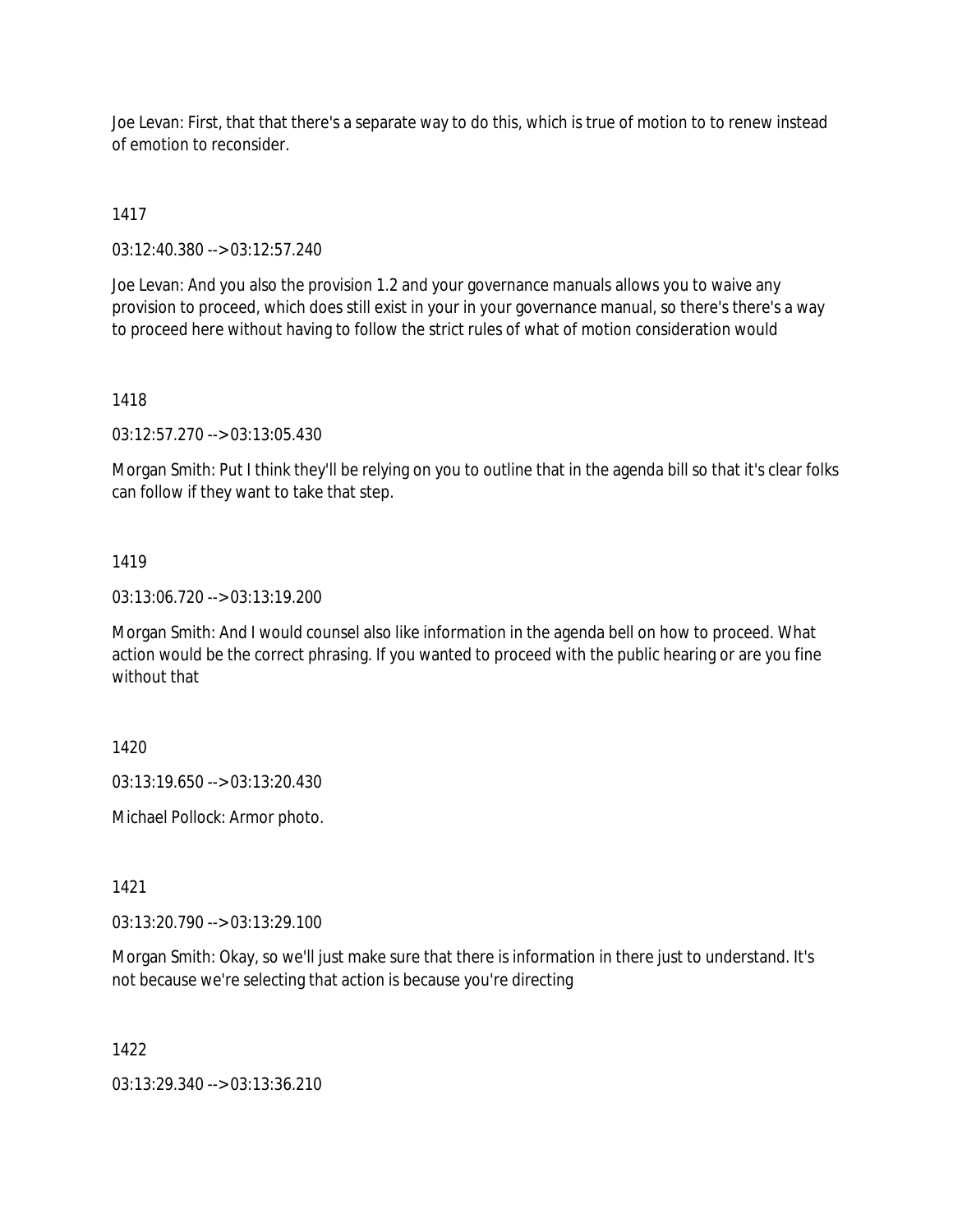Joe Levan: First, that that there's a separate way to do this, which is true of motion to to renew instead of emotion to reconsider.

1417

03:12:40.380 --> 03:12:57.240

Joe Levan: And you also the provision 1.2 and your governance manuals allows you to waive any provision to proceed, which does still exist in your in your governance manual, so there's there's a way to proceed here without having to follow the strict rules of what of motion consideration would

#### 1418

03:12:57.270 --> 03:13:05.430

Morgan Smith: Put I think they'll be relying on you to outline that in the agenda bill so that it's clear folks can follow if they want to take that step.

#### 1419

03:13:06.720 --> 03:13:19.200

Morgan Smith: And I would counsel also like information in the agenda bell on how to proceed. What action would be the correct phrasing. If you wanted to proceed with the public hearing or are you fine without that

1420

03:13:19.650 --> 03:13:20.430

Michael Pollock: Armor photo.

1421

03:13:20.790 --> 03:13:29.100

Morgan Smith: Okay, so we'll just make sure that there is information in there just to understand. It's not because we're selecting that action is because you're directing

1422

03:13:29.340 --> 03:13:36.210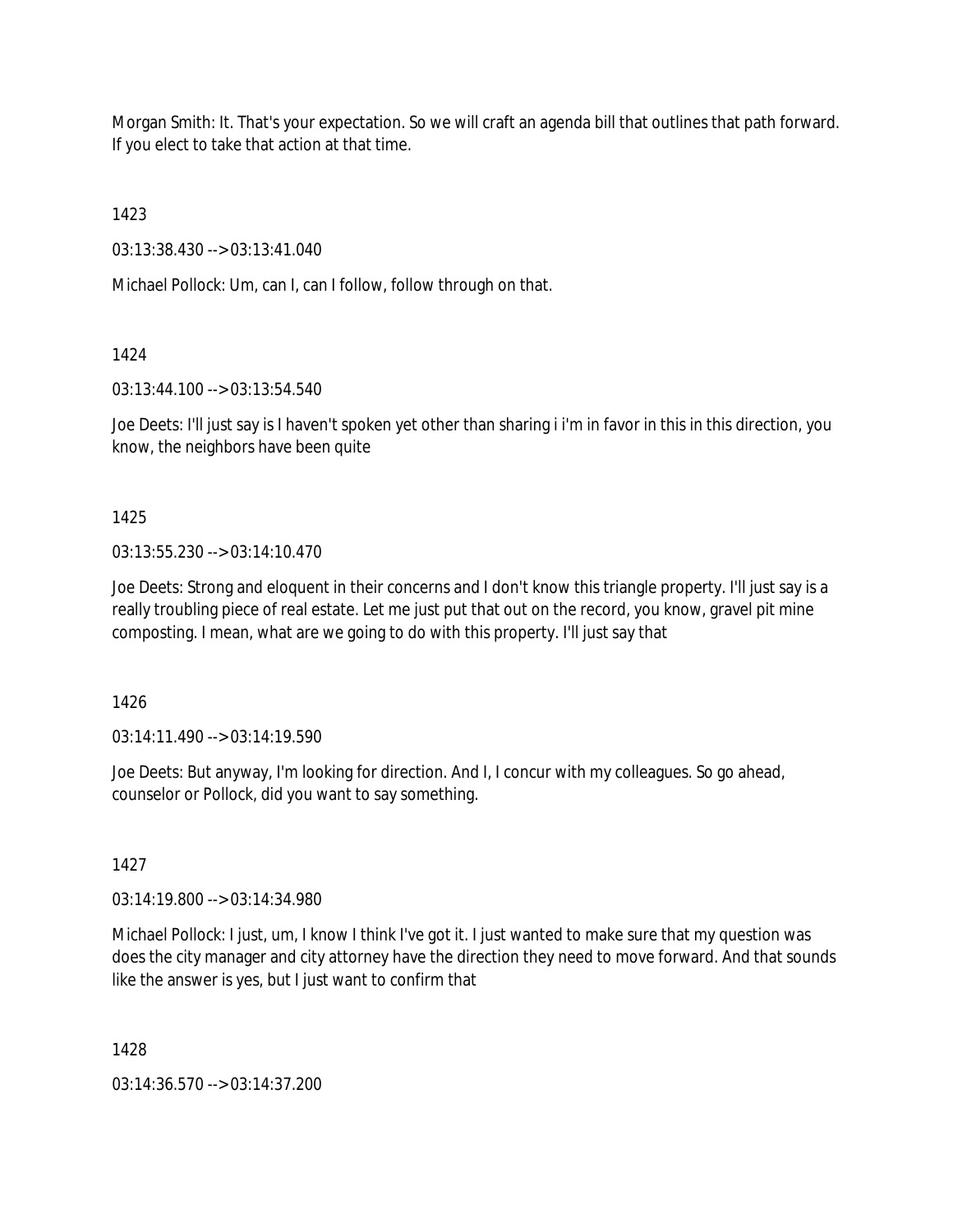Morgan Smith: It. That's your expectation. So we will craft an agenda bill that outlines that path forward. If you elect to take that action at that time.

1423

03:13:38.430 --> 03:13:41.040

Michael Pollock: Um, can I, can I follow, follow through on that.

1424

03:13:44.100 --> 03:13:54.540

Joe Deets: I'll just say is I haven't spoken yet other than sharing i i'm in favor in this in this direction, you know, the neighbors have been quite

1425

03:13:55.230 --> 03:14:10.470

Joe Deets: Strong and eloquent in their concerns and I don't know this triangle property. I'll just say is a really troubling piece of real estate. Let me just put that out on the record, you know, gravel pit mine composting. I mean, what are we going to do with this property. I'll just say that

1426

03:14:11.490 --> 03:14:19.590

Joe Deets: But anyway, I'm looking for direction. And I, I concur with my colleagues. So go ahead, counselor or Pollock, did you want to say something.

1427

03:14:19.800 --> 03:14:34.980

Michael Pollock: I just, um, I know I think I've got it. I just wanted to make sure that my question was does the city manager and city attorney have the direction they need to move forward. And that sounds like the answer is yes, but I just want to confirm that

1428

03:14:36.570 --> 03:14:37.200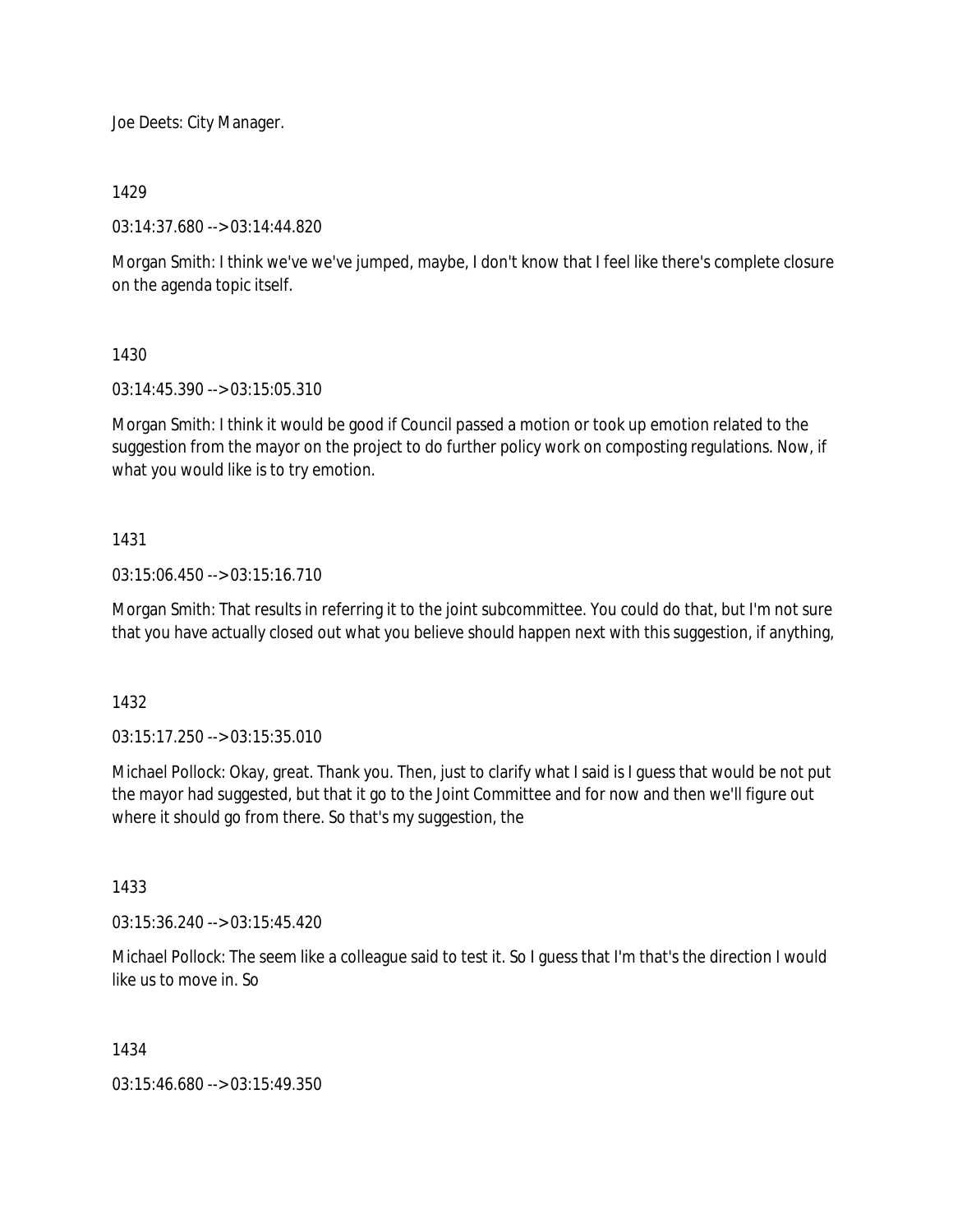Joe Deets: City Manager.

1429

03:14:37.680 --> 03:14:44.820

Morgan Smith: I think we've we've jumped, maybe, I don't know that I feel like there's complete closure on the agenda topic itself.

1430

03:14:45.390 --> 03:15:05.310

Morgan Smith: I think it would be good if Council passed a motion or took up emotion related to the suggestion from the mayor on the project to do further policy work on composting regulations. Now, if what you would like is to try emotion.

## 1431

03:15:06.450 --> 03:15:16.710

Morgan Smith: That results in referring it to the joint subcommittee. You could do that, but I'm not sure that you have actually closed out what you believe should happen next with this suggestion, if anything,

1432

03:15:17.250 --> 03:15:35.010

Michael Pollock: Okay, great. Thank you. Then, just to clarify what I said is I guess that would be not put the mayor had suggested, but that it go to the Joint Committee and for now and then we'll figure out where it should go from there. So that's my suggestion, the

1433

03:15:36.240 --> 03:15:45.420

Michael Pollock: The seem like a colleague said to test it. So I guess that I'm that's the direction I would like us to move in. So

1434

03:15:46.680 --> 03:15:49.350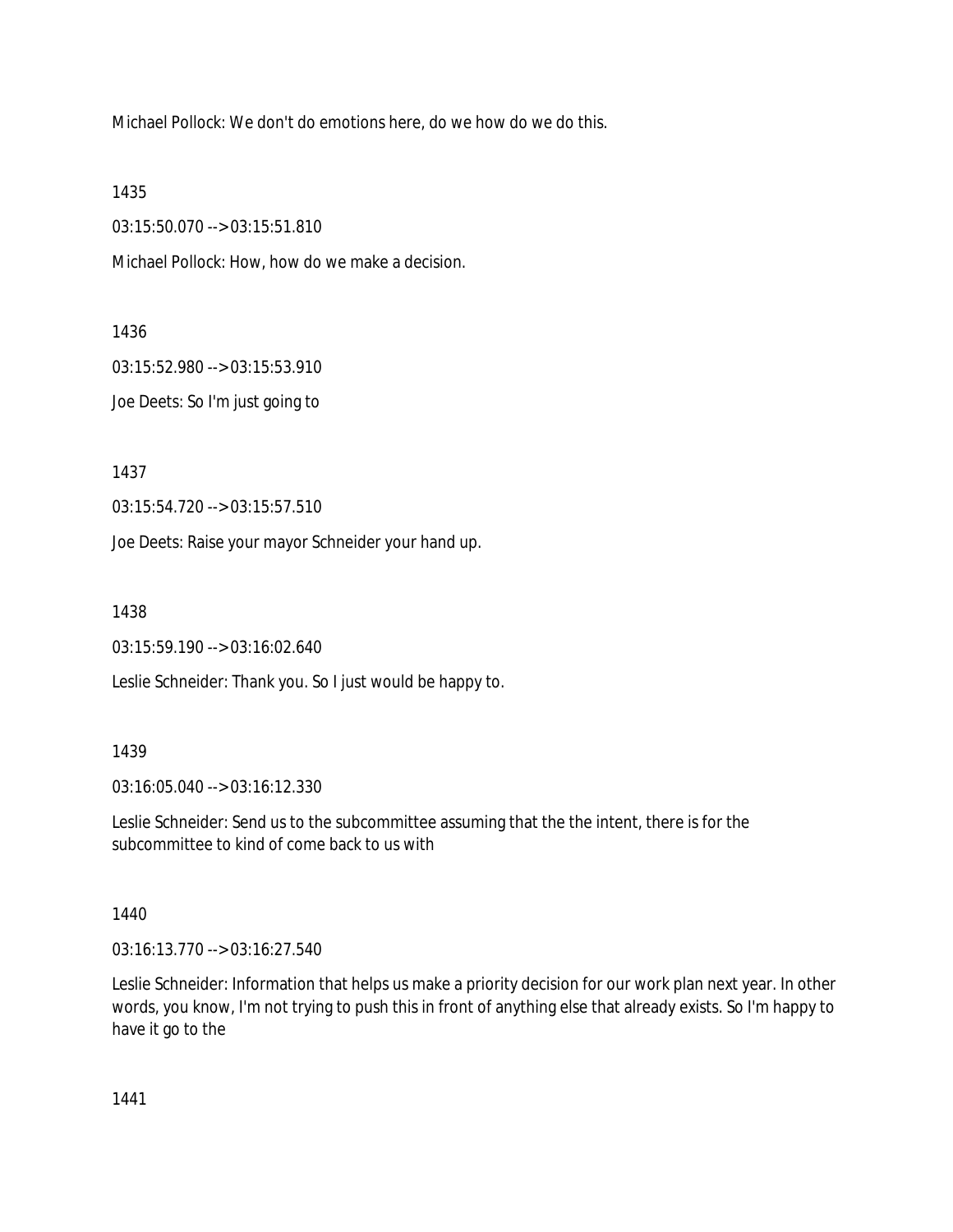Michael Pollock: We don't do emotions here, do we how do we do this.

1435

03:15:50.070 --> 03:15:51.810

Michael Pollock: How, how do we make a decision.

1436

03:15:52.980 --> 03:15:53.910

Joe Deets: So I'm just going to

1437

03:15:54.720 --> 03:15:57.510

Joe Deets: Raise your mayor Schneider your hand up.

1438

03:15:59.190 --> 03:16:02.640

Leslie Schneider: Thank you. So I just would be happy to.

#### 1439

03:16:05.040 --> 03:16:12.330

Leslie Schneider: Send us to the subcommittee assuming that the the intent, there is for the subcommittee to kind of come back to us with

1440

03:16:13.770 --> 03:16:27.540

Leslie Schneider: Information that helps us make a priority decision for our work plan next year. In other words, you know, I'm not trying to push this in front of anything else that already exists. So I'm happy to have it go to the

1441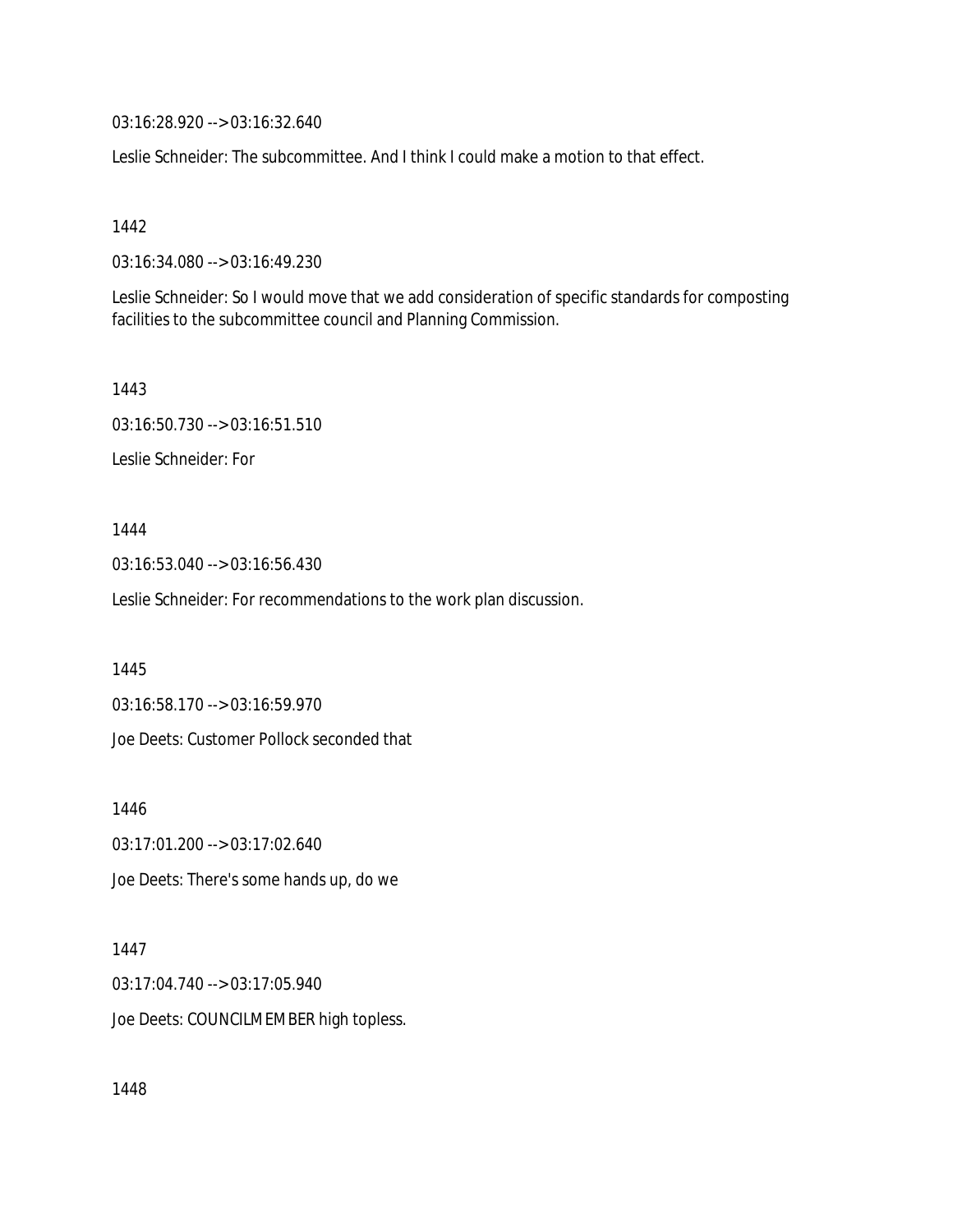03:16:28.920 --> 03:16:32.640

Leslie Schneider: The subcommittee. And I think I could make a motion to that effect.

1442

03:16:34.080 --> 03:16:49.230

Leslie Schneider: So I would move that we add consideration of specific standards for composting facilities to the subcommittee council and Planning Commission.

1443

03:16:50.730 --> 03:16:51.510

Leslie Schneider: For

1444

03:16:53.040 --> 03:16:56.430

Leslie Schneider: For recommendations to the work plan discussion.

1445

03:16:58.170 --> 03:16:59.970

Joe Deets: Customer Pollock seconded that

1446

03:17:01.200 --> 03:17:02.640 Joe Deets: There's some hands up, do we

1447

03:17:04.740 --> 03:17:05.940

Joe Deets: COUNCILMEMBER high topless.

1448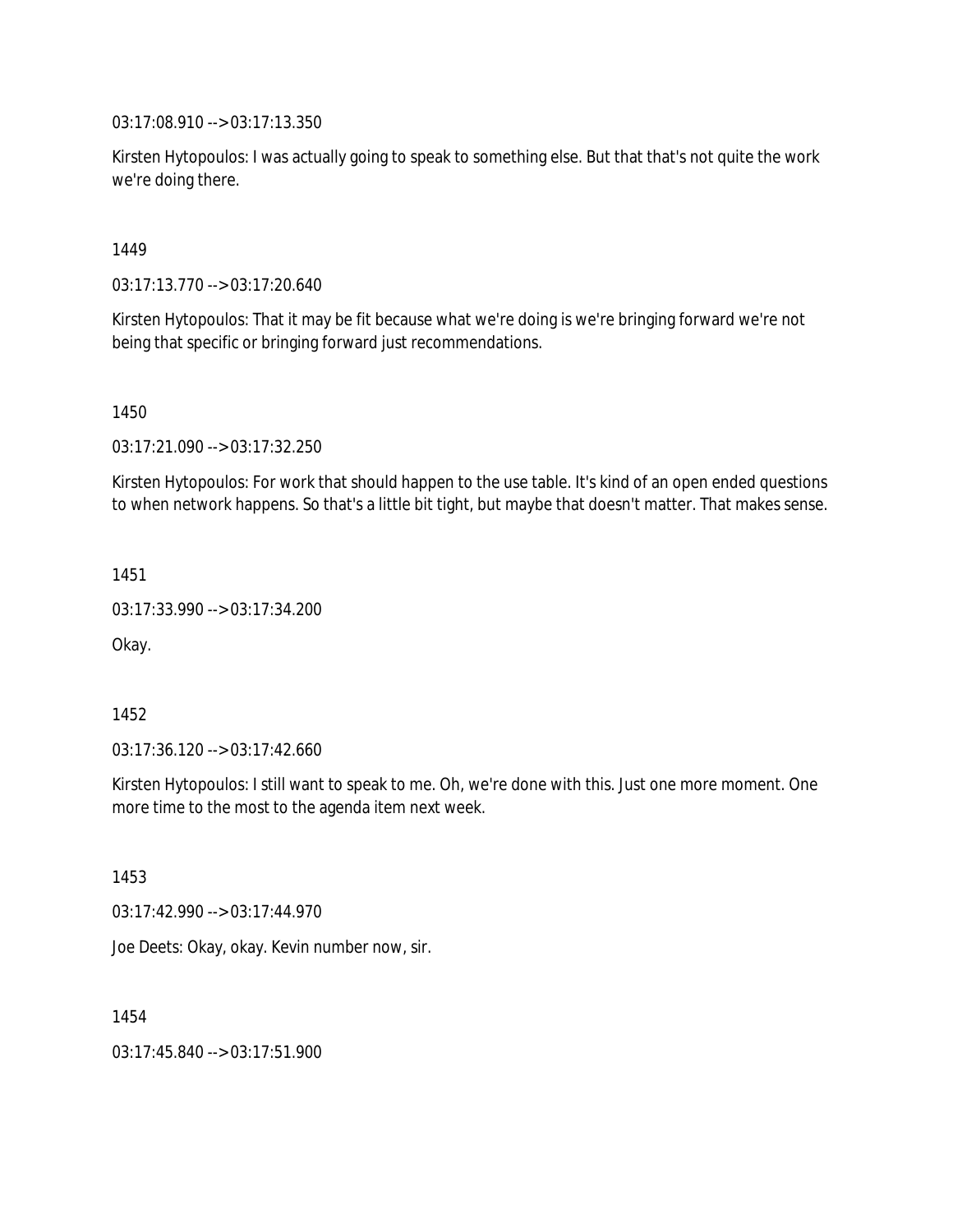03:17:08.910 --> 03:17:13.350

Kirsten Hytopoulos: I was actually going to speak to something else. But that that's not quite the work we're doing there.

## 1449

03:17:13.770 --> 03:17:20.640

Kirsten Hytopoulos: That it may be fit because what we're doing is we're bringing forward we're not being that specific or bringing forward just recommendations.

1450

03:17:21.090 --> 03:17:32.250

Kirsten Hytopoulos: For work that should happen to the use table. It's kind of an open ended questions to when network happens. So that's a little bit tight, but maybe that doesn't matter. That makes sense.

1451

03:17:33.990 --> 03:17:34.200

Okay.

1452

03:17:36.120 --> 03:17:42.660

Kirsten Hytopoulos: I still want to speak to me. Oh, we're done with this. Just one more moment. One more time to the most to the agenda item next week.

1453

03:17:42.990 --> 03:17:44.970

Joe Deets: Okay, okay. Kevin number now, sir.

1454

03:17:45.840 --> 03:17:51.900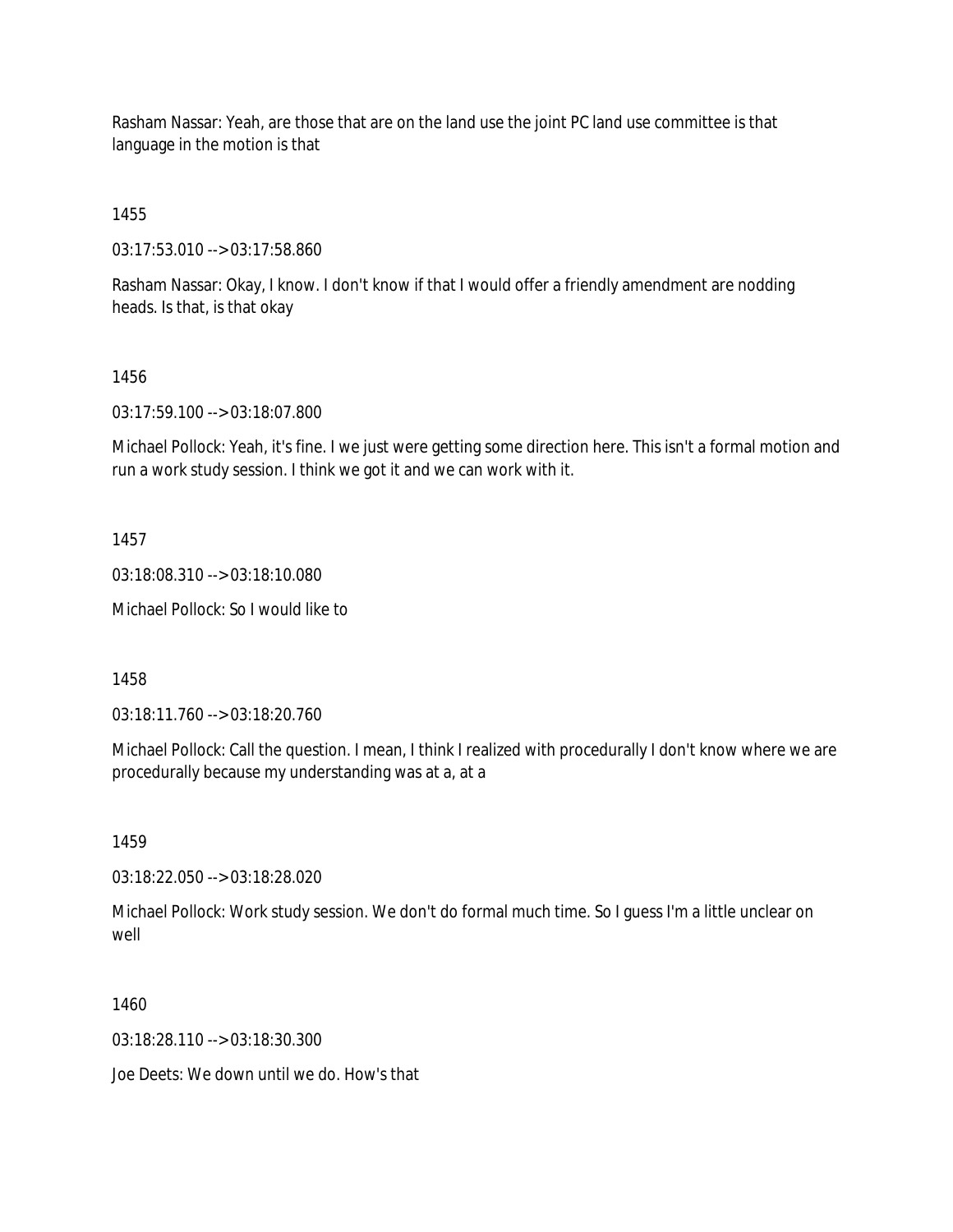Rasham Nassar: Yeah, are those that are on the land use the joint PC land use committee is that language in the motion is that

1455

03:17:53.010 --> 03:17:58.860

Rasham Nassar: Okay, I know. I don't know if that I would offer a friendly amendment are nodding heads. Is that, is that okay

## 1456

03:17:59.100 --> 03:18:07.800

Michael Pollock: Yeah, it's fine. I we just were getting some direction here. This isn't a formal motion and run a work study session. I think we got it and we can work with it.

#### 1457

03:18:08.310 --> 03:18:10.080

Michael Pollock: So I would like to

1458

03:18:11.760 --> 03:18:20.760

Michael Pollock: Call the question. I mean, I think I realized with procedurally I don't know where we are procedurally because my understanding was at a, at a

1459

03:18:22.050 --> 03:18:28.020

Michael Pollock: Work study session. We don't do formal much time. So I guess I'm a little unclear on well

1460

03:18:28.110 --> 03:18:30.300

Joe Deets: We down until we do. How's that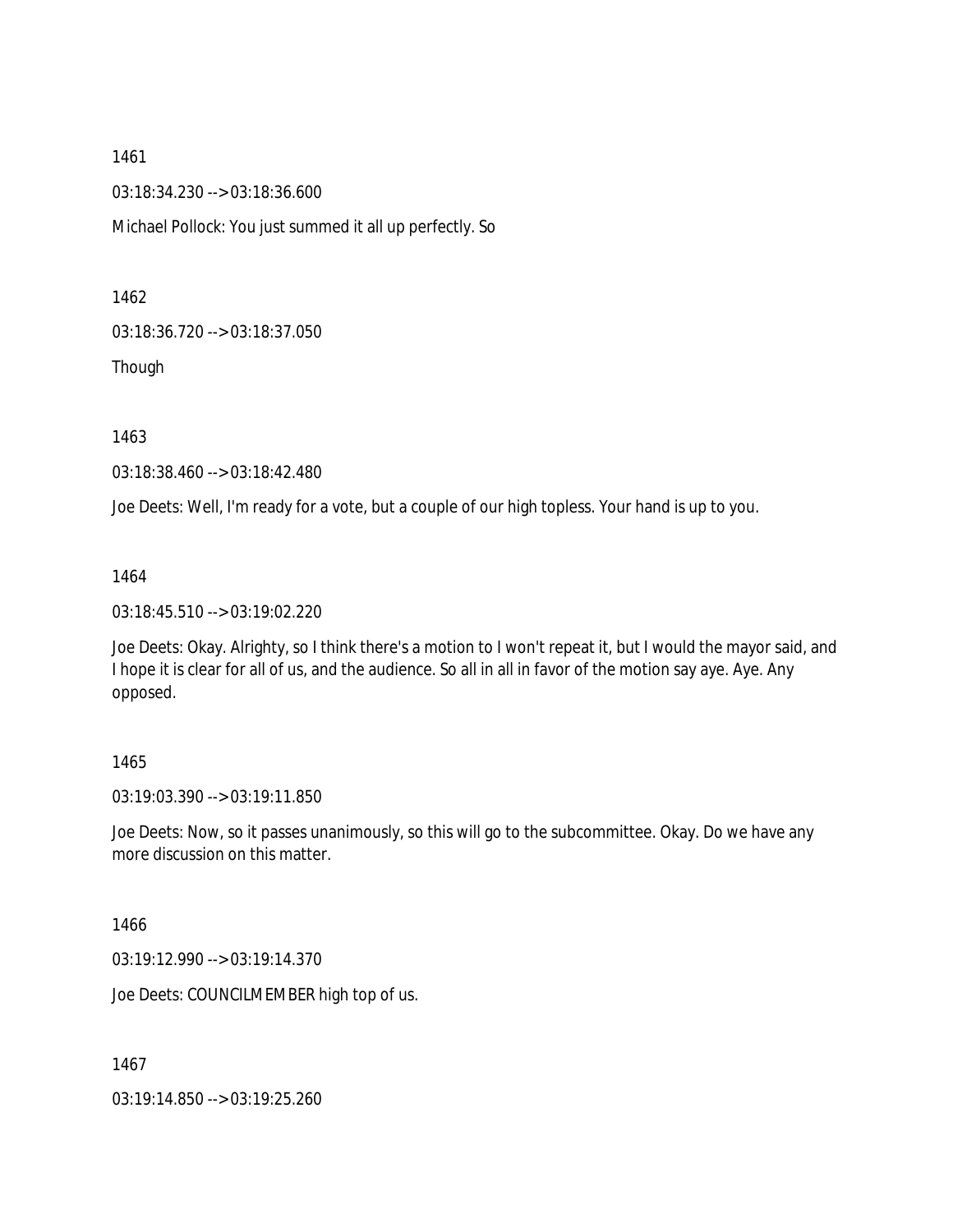03:18:34.230 --> 03:18:36.600

Michael Pollock: You just summed it all up perfectly. So

1462

03:18:36.720 --> 03:18:37.050

Though

1463

03:18:38.460 --> 03:18:42.480

Joe Deets: Well, I'm ready for a vote, but a couple of our high topless. Your hand is up to you.

1464

03:18:45.510 --> 03:19:02.220

Joe Deets: Okay. Alrighty, so I think there's a motion to I won't repeat it, but I would the mayor said, and I hope it is clear for all of us, and the audience. So all in all in favor of the motion say aye. Aye. Any opposed.

## 1465

03:19:03.390 --> 03:19:11.850

Joe Deets: Now, so it passes unanimously, so this will go to the subcommittee. Okay. Do we have any more discussion on this matter.

1466

03:19:12.990 --> 03:19:14.370

Joe Deets: COUNCILMEMBER high top of us.

1467

03:19:14.850 --> 03:19:25.260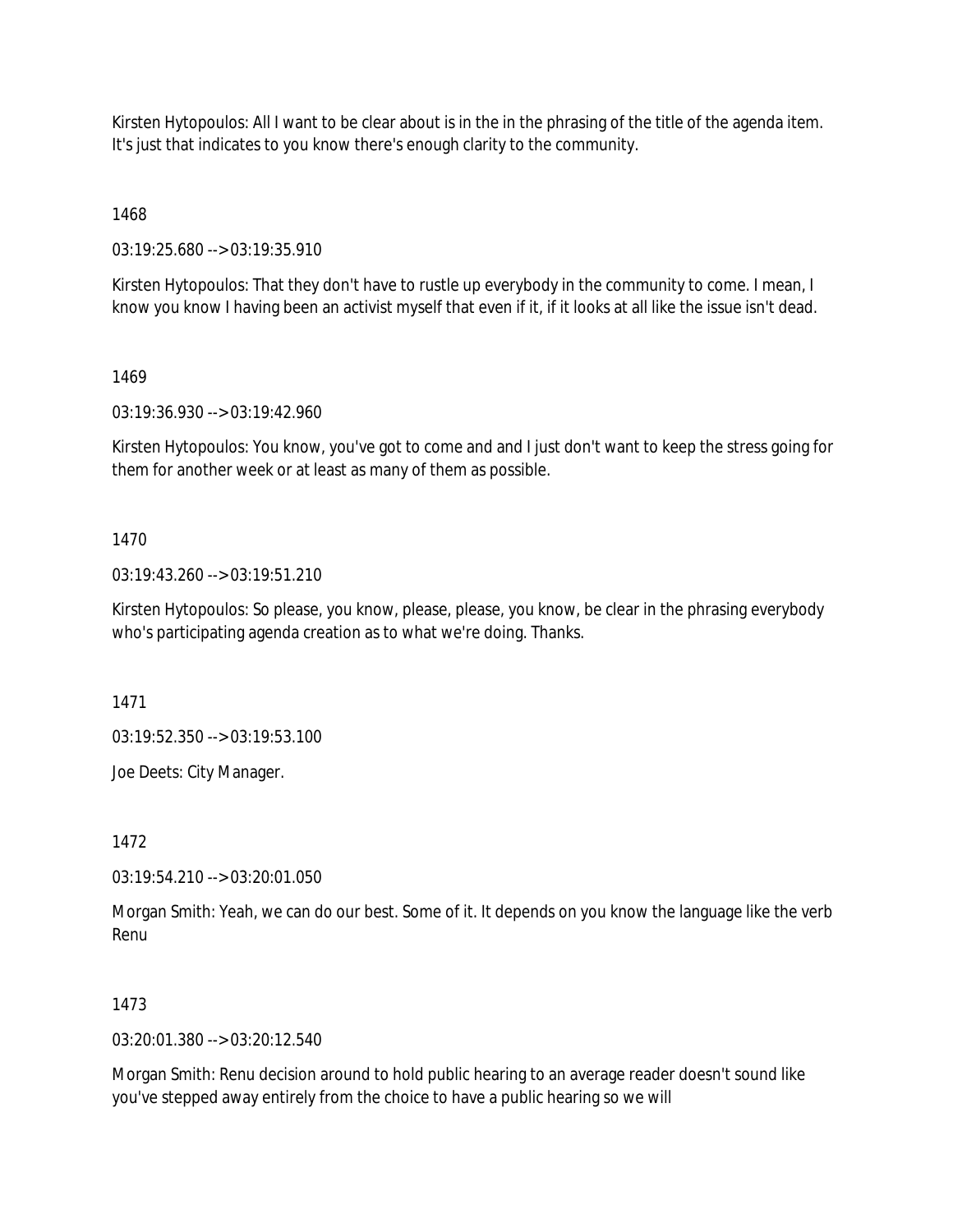Kirsten Hytopoulos: All I want to be clear about is in the in the phrasing of the title of the agenda item. It's just that indicates to you know there's enough clarity to the community.

1468

03:19:25.680 --> 03:19:35.910

Kirsten Hytopoulos: That they don't have to rustle up everybody in the community to come. I mean, I know you know I having been an activist myself that even if it, if it looks at all like the issue isn't dead.

1469

03:19:36.930 --> 03:19:42.960

Kirsten Hytopoulos: You know, you've got to come and and I just don't want to keep the stress going for them for another week or at least as many of them as possible.

## 1470

03:19:43.260 --> 03:19:51.210

Kirsten Hytopoulos: So please, you know, please, please, you know, be clear in the phrasing everybody who's participating agenda creation as to what we're doing. Thanks.

1471

03:19:52.350 --> 03:19:53.100

Joe Deets: City Manager.

1472

03:19:54.210 --> 03:20:01.050

Morgan Smith: Yeah, we can do our best. Some of it. It depends on you know the language like the verb Renu

## 1473

 $03:20:01.380 \rightarrow 03:20:12.540$ 

Morgan Smith: Renu decision around to hold public hearing to an average reader doesn't sound like you've stepped away entirely from the choice to have a public hearing so we will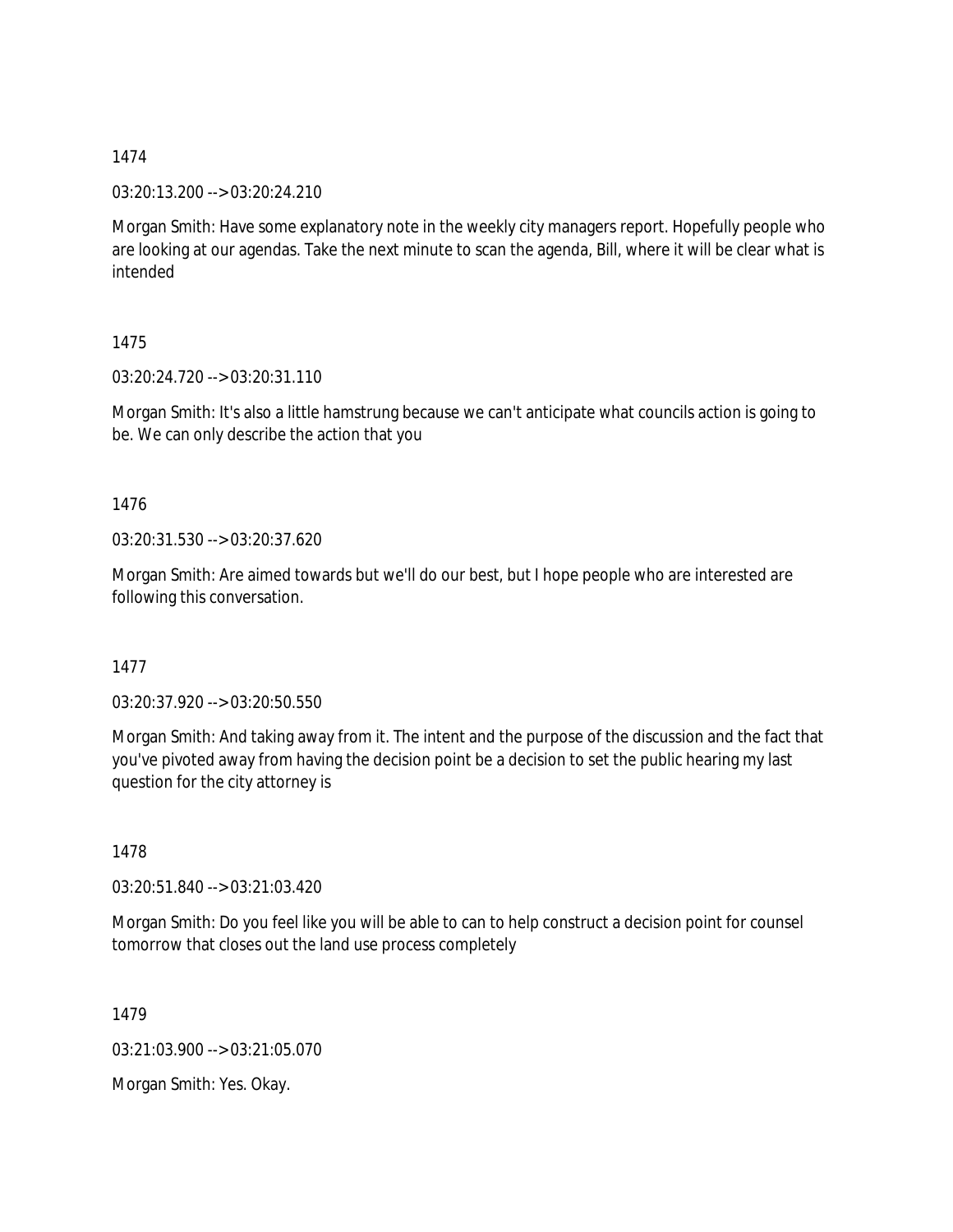03:20:13.200 --> 03:20:24.210

Morgan Smith: Have some explanatory note in the weekly city managers report. Hopefully people who are looking at our agendas. Take the next minute to scan the agenda, Bill, where it will be clear what is intended

1475

03:20:24.720 --> 03:20:31.110

Morgan Smith: It's also a little hamstrung because we can't anticipate what councils action is going to be. We can only describe the action that you

1476

03:20:31.530 --> 03:20:37.620

Morgan Smith: Are aimed towards but we'll do our best, but I hope people who are interested are following this conversation.

1477

03:20:37.920 --> 03:20:50.550

Morgan Smith: And taking away from it. The intent and the purpose of the discussion and the fact that you've pivoted away from having the decision point be a decision to set the public hearing my last question for the city attorney is

1478

03:20:51.840 --> 03:21:03.420

Morgan Smith: Do you feel like you will be able to can to help construct a decision point for counsel tomorrow that closes out the land use process completely

1479

03:21:03.900 --> 03:21:05.070

Morgan Smith: Yes. Okay.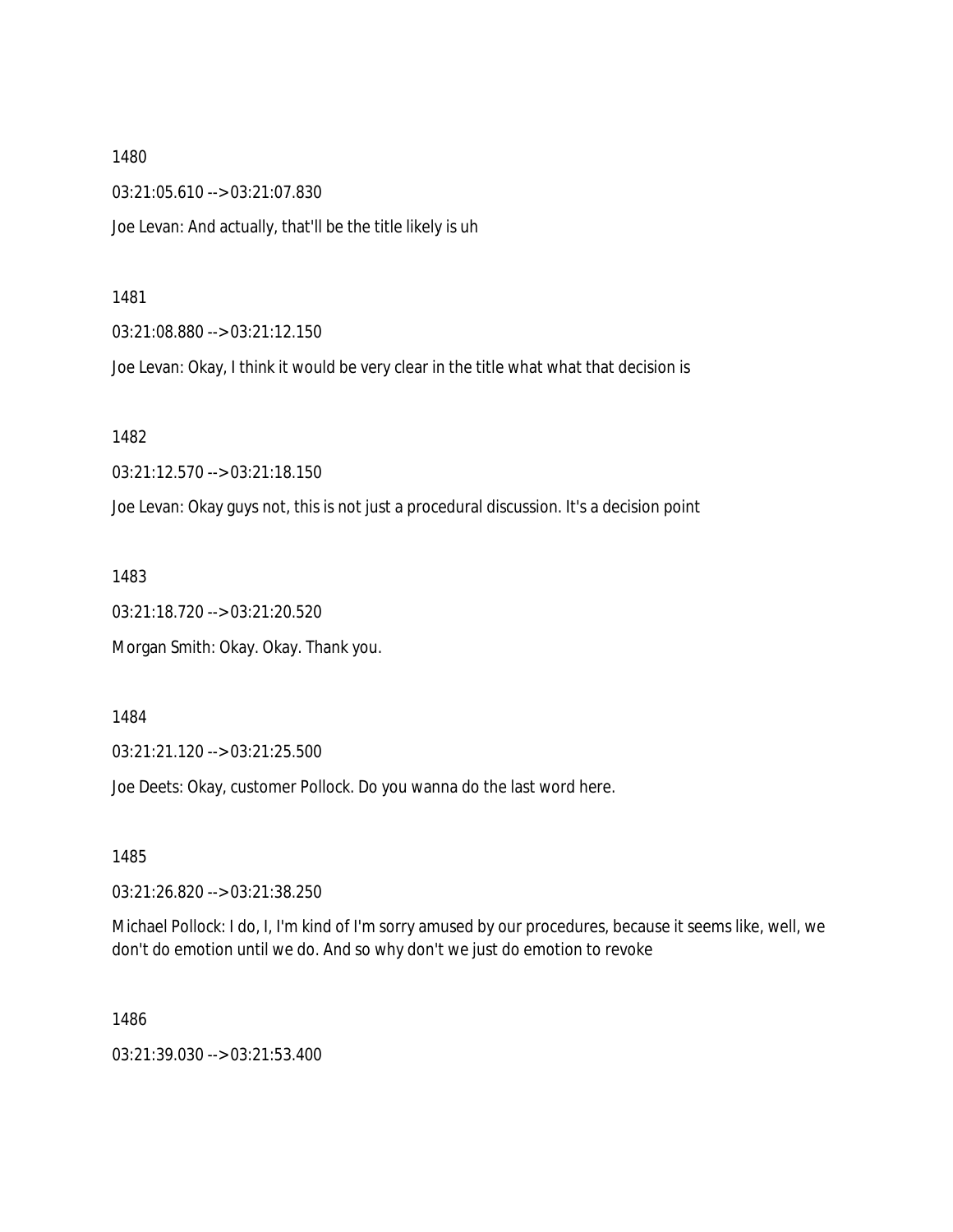1480 03:21:05.610 --> 03:21:07.830

Joe Levan: And actually, that'll be the title likely is uh

1481

03:21:08.880 --> 03:21:12.150

Joe Levan: Okay, I think it would be very clear in the title what what that decision is

1482

03:21:12.570 --> 03:21:18.150

Joe Levan: Okay guys not, this is not just a procedural discussion. It's a decision point

1483

03:21:18.720 --> 03:21:20.520

Morgan Smith: Okay. Okay. Thank you.

1484

03:21:21.120 --> 03:21:25.500

Joe Deets: Okay, customer Pollock. Do you wanna do the last word here.

1485

03:21:26.820 --> 03:21:38.250

Michael Pollock: I do, I, I'm kind of I'm sorry amused by our procedures, because it seems like, well, we don't do emotion until we do. And so why don't we just do emotion to revoke

1486

03:21:39.030 --> 03:21:53.400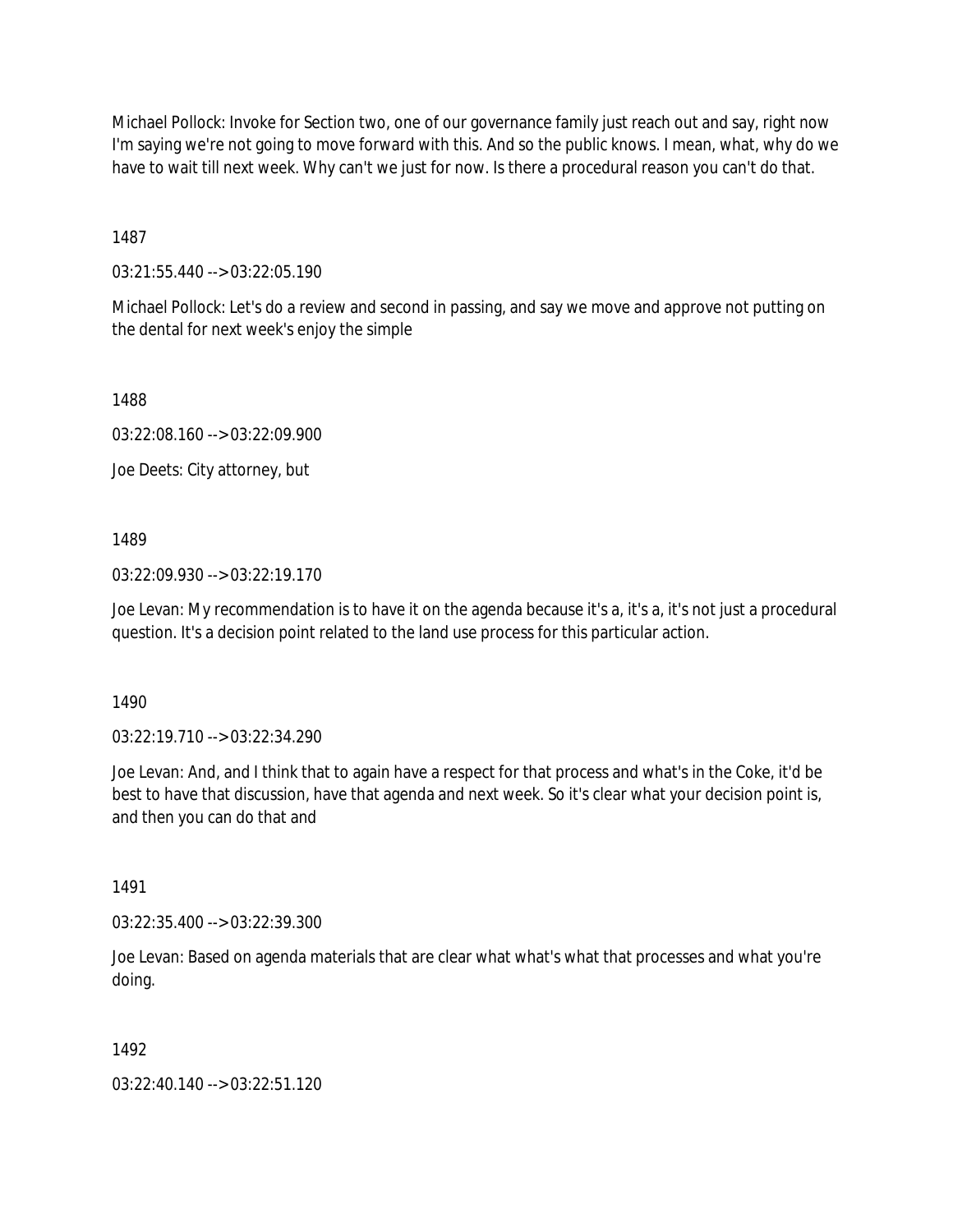Michael Pollock: Invoke for Section two, one of our governance family just reach out and say, right now I'm saying we're not going to move forward with this. And so the public knows. I mean, what, why do we have to wait till next week. Why can't we just for now. Is there a procedural reason you can't do that.

1487

03:21:55.440 --> 03:22:05.190

Michael Pollock: Let's do a review and second in passing, and say we move and approve not putting on the dental for next week's enjoy the simple

1488

03:22:08.160 --> 03:22:09.900

Joe Deets: City attorney, but

1489

03:22:09.930 --> 03:22:19.170

Joe Levan: My recommendation is to have it on the agenda because it's a, it's a, it's not just a procedural question. It's a decision point related to the land use process for this particular action.

1490

03:22:19.710 --> 03:22:34.290

Joe Levan: And, and I think that to again have a respect for that process and what's in the Coke, it'd be best to have that discussion, have that agenda and next week. So it's clear what your decision point is, and then you can do that and

1491

03:22:35.400 --> 03:22:39.300

Joe Levan: Based on agenda materials that are clear what what's what that processes and what you're doing.

1492

03:22:40.140 --> 03:22:51.120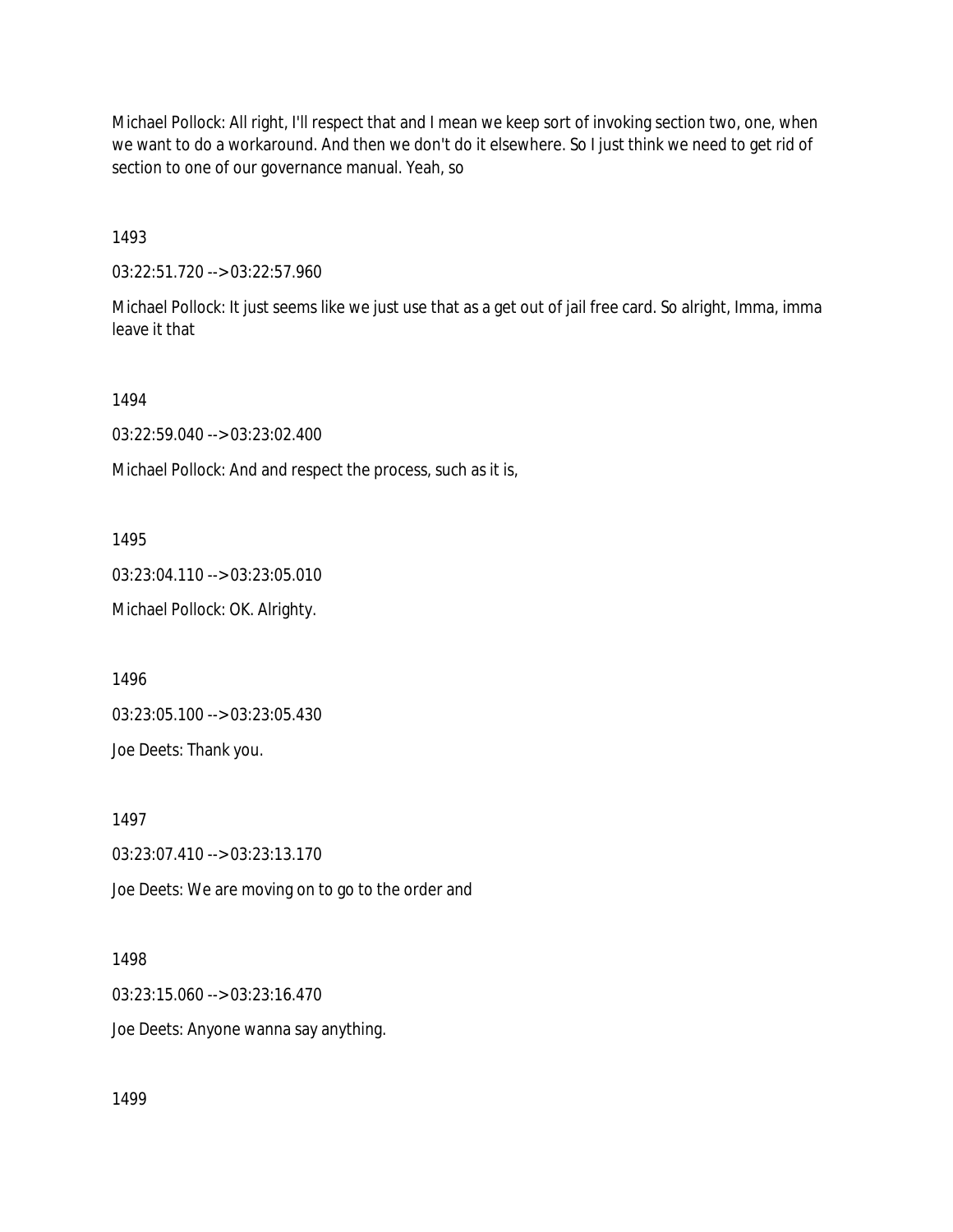Michael Pollock: All right, I'll respect that and I mean we keep sort of invoking section two, one, when we want to do a workaround. And then we don't do it elsewhere. So I just think we need to get rid of section to one of our governance manual. Yeah, so

1493

03:22:51.720 --> 03:22:57.960

Michael Pollock: It just seems like we just use that as a get out of jail free card. So alright, Imma, imma leave it that

1494

03:22:59.040 --> 03:23:02.400

Michael Pollock: And and respect the process, such as it is,

1495

03:23:04.110 --> 03:23:05.010

Michael Pollock: OK. Alrighty.

1496

03:23:05.100 --> 03:23:05.430

Joe Deets: Thank you.

1497

03:23:07.410 --> 03:23:13.170

Joe Deets: We are moving on to go to the order and

1498

03:23:15.060 --> 03:23:16.470

Joe Deets: Anyone wanna say anything.

1499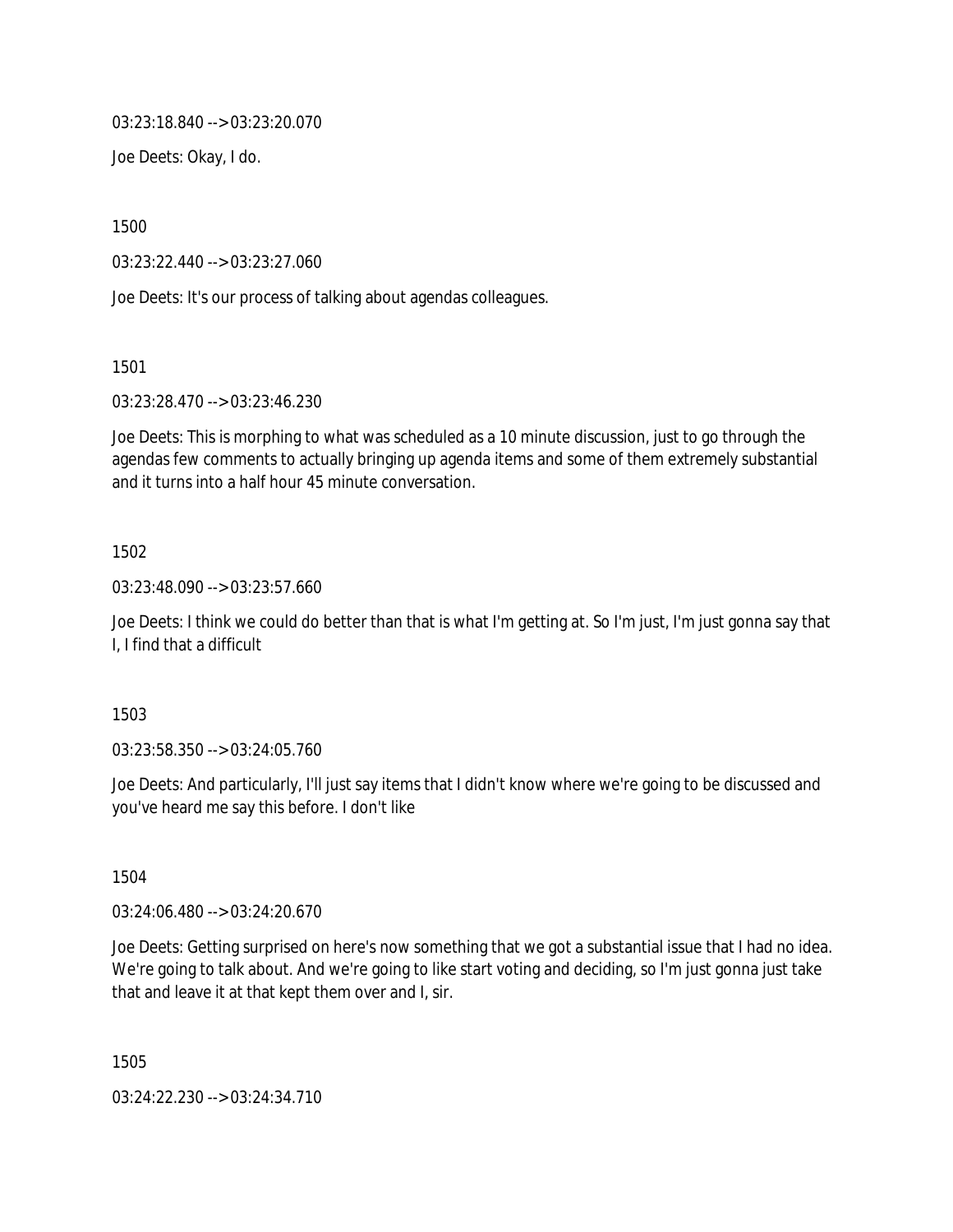03:23:18.840 --> 03:23:20.070

Joe Deets: Okay, I do.

1500

03:23:22.440 --> 03:23:27.060

Joe Deets: It's our process of talking about agendas colleagues.

1501

03:23:28.470 --> 03:23:46.230

Joe Deets: This is morphing to what was scheduled as a 10 minute discussion, just to go through the agendas few comments to actually bringing up agenda items and some of them extremely substantial and it turns into a half hour 45 minute conversation.

#### 1502

03:23:48.090 --> 03:23:57.660

Joe Deets: I think we could do better than that is what I'm getting at. So I'm just, I'm just gonna say that I, I find that a difficult

1503

03:23:58.350 --> 03:24:05.760

Joe Deets: And particularly, I'll just say items that I didn't know where we're going to be discussed and you've heard me say this before. I don't like

1504

03:24:06.480 --> 03:24:20.670

Joe Deets: Getting surprised on here's now something that we got a substantial issue that I had no idea. We're going to talk about. And we're going to like start voting and deciding, so I'm just gonna just take that and leave it at that kept them over and I, sir.

1505

03:24:22.230 --> 03:24:34.710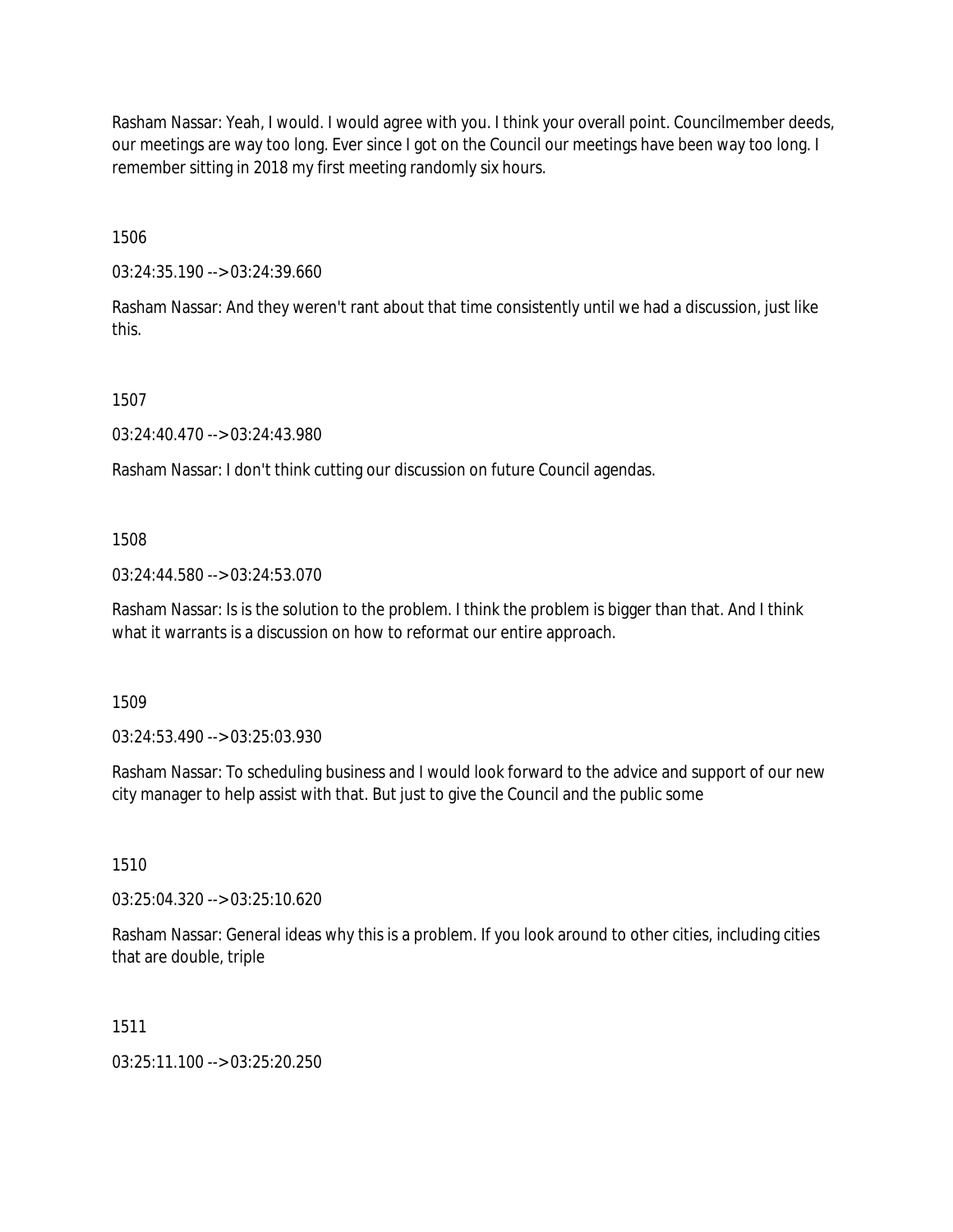Rasham Nassar: Yeah, I would. I would agree with you. I think your overall point. Councilmember deeds, our meetings are way too long. Ever since I got on the Council our meetings have been way too long. I remember sitting in 2018 my first meeting randomly six hours.

1506

03:24:35.190 --> 03:24:39.660

Rasham Nassar: And they weren't rant about that time consistently until we had a discussion, just like this.

1507

03:24:40.470 --> 03:24:43.980

Rasham Nassar: I don't think cutting our discussion on future Council agendas.

1508

03:24:44.580 --> 03:24:53.070

Rasham Nassar: Is is the solution to the problem. I think the problem is bigger than that. And I think what it warrants is a discussion on how to reformat our entire approach.

1509

03:24:53.490 --> 03:25:03.930

Rasham Nassar: To scheduling business and I would look forward to the advice and support of our new city manager to help assist with that. But just to give the Council and the public some

1510

03:25:04.320 --> 03:25:10.620

Rasham Nassar: General ideas why this is a problem. If you look around to other cities, including cities that are double, triple

1511

03:25:11.100 --> 03:25:20.250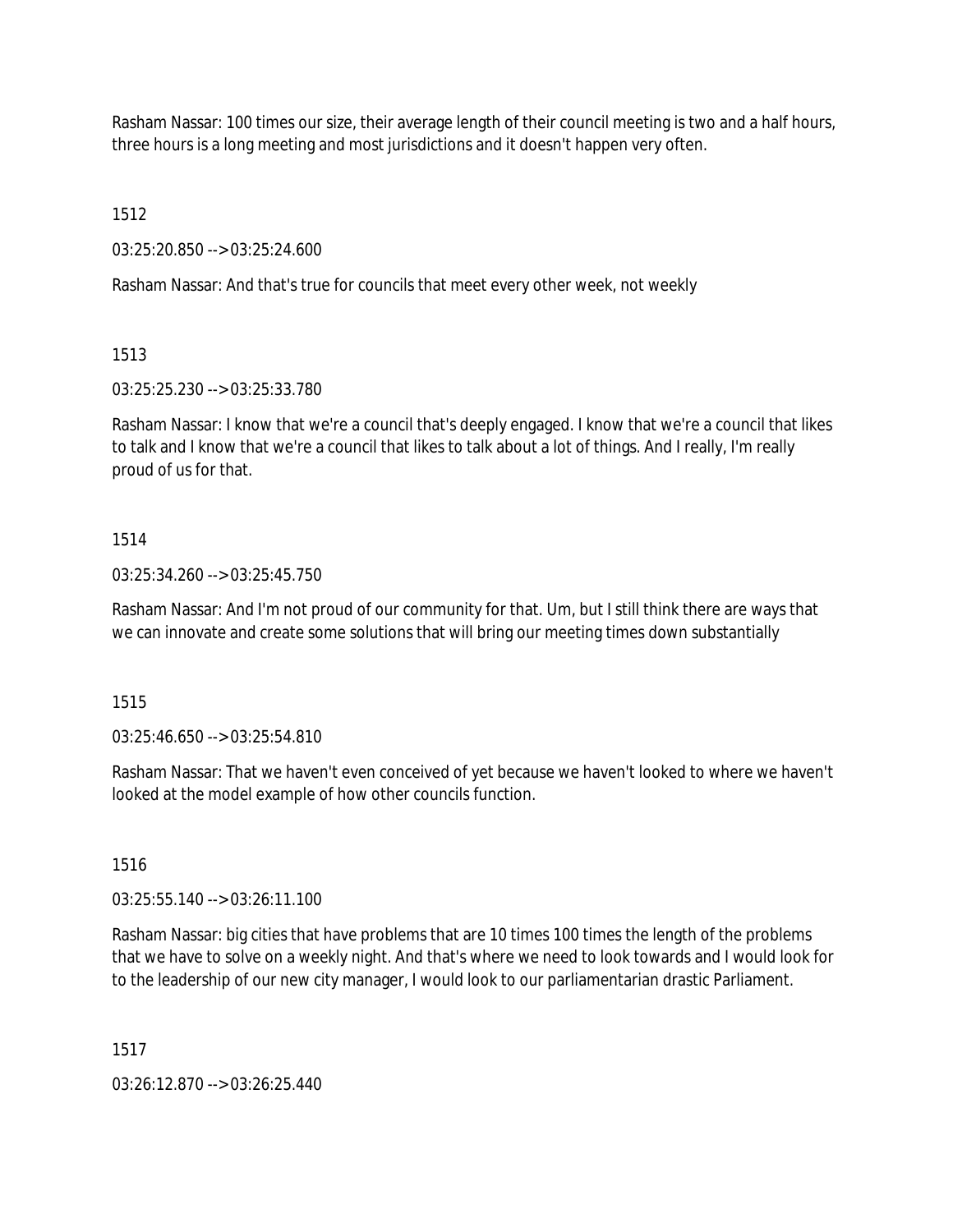Rasham Nassar: 100 times our size, their average length of their council meeting is two and a half hours, three hours is a long meeting and most jurisdictions and it doesn't happen very often.

1512

03:25:20.850 --> 03:25:24.600

Rasham Nassar: And that's true for councils that meet every other week, not weekly

1513

03:25:25.230 --> 03:25:33.780

Rasham Nassar: I know that we're a council that's deeply engaged. I know that we're a council that likes to talk and I know that we're a council that likes to talk about a lot of things. And I really, I'm really proud of us for that.

## 1514

03:25:34.260 --> 03:25:45.750

Rasham Nassar: And I'm not proud of our community for that. Um, but I still think there are ways that we can innovate and create some solutions that will bring our meeting times down substantially

1515

03:25:46.650 --> 03:25:54.810

Rasham Nassar: That we haven't even conceived of yet because we haven't looked to where we haven't looked at the model example of how other councils function.

1516

03:25:55.140 --> 03:26:11.100

Rasham Nassar: big cities that have problems that are 10 times 100 times the length of the problems that we have to solve on a weekly night. And that's where we need to look towards and I would look for to the leadership of our new city manager, I would look to our parliamentarian drastic Parliament.

1517

03:26:12.870 --> 03:26:25.440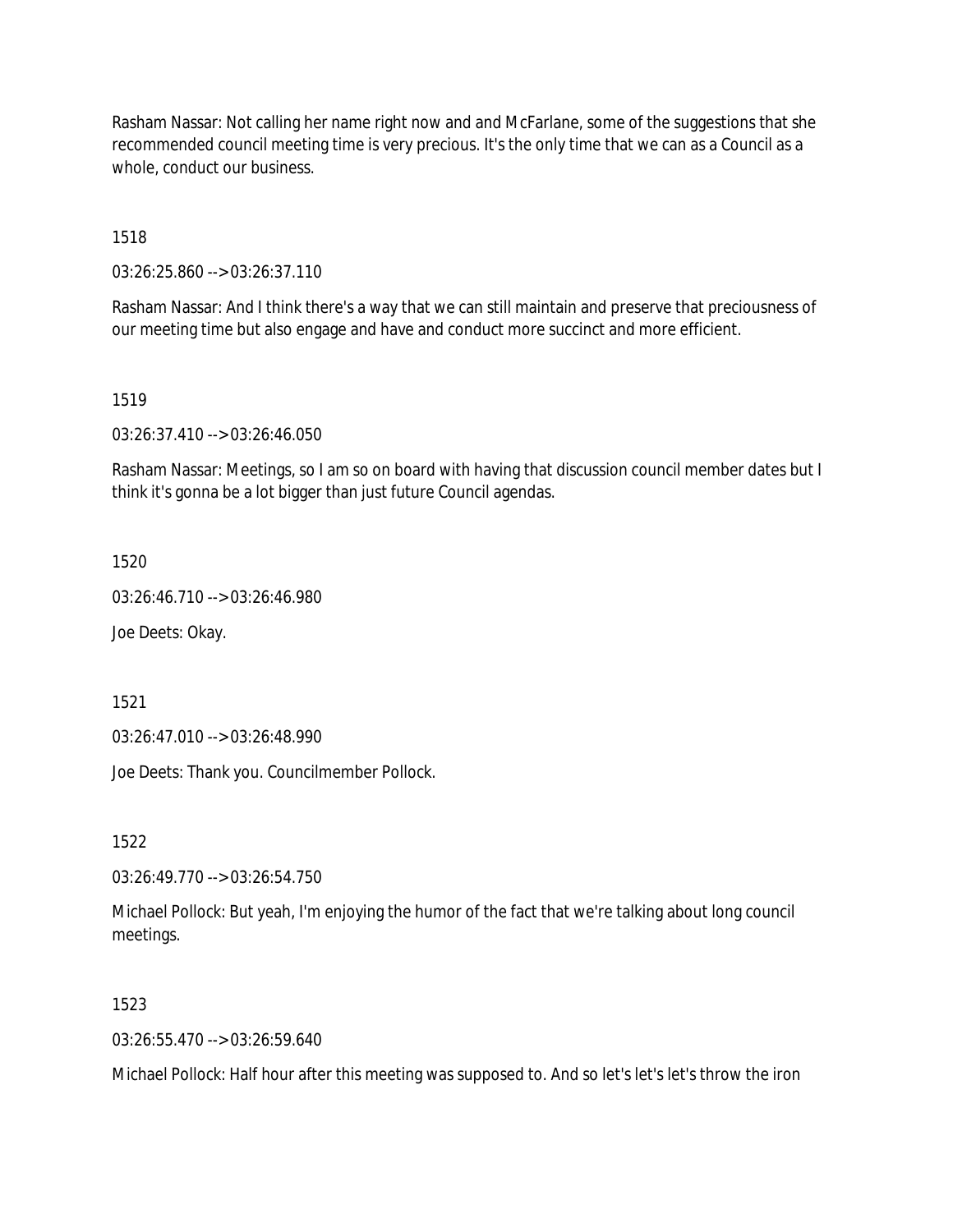Rasham Nassar: Not calling her name right now and and McFarlane, some of the suggestions that she recommended council meeting time is very precious. It's the only time that we can as a Council as a whole, conduct our business.

1518

03:26:25.860 --> 03:26:37.110

Rasham Nassar: And I think there's a way that we can still maintain and preserve that preciousness of our meeting time but also engage and have and conduct more succinct and more efficient.

1519

03:26:37.410 --> 03:26:46.050

Rasham Nassar: Meetings, so I am so on board with having that discussion council member dates but I think it's gonna be a lot bigger than just future Council agendas.

1520

03:26:46.710 --> 03:26:46.980

Joe Deets: Okay.

1521

03:26:47.010 --> 03:26:48.990

Joe Deets: Thank you. Councilmember Pollock.

1522

03:26:49.770 --> 03:26:54.750

Michael Pollock: But yeah, I'm enjoying the humor of the fact that we're talking about long council meetings.

1523

 $03:26:55.470 \rightarrow 03:26:59.640$ 

Michael Pollock: Half hour after this meeting was supposed to. And so let's let's let's throw the iron